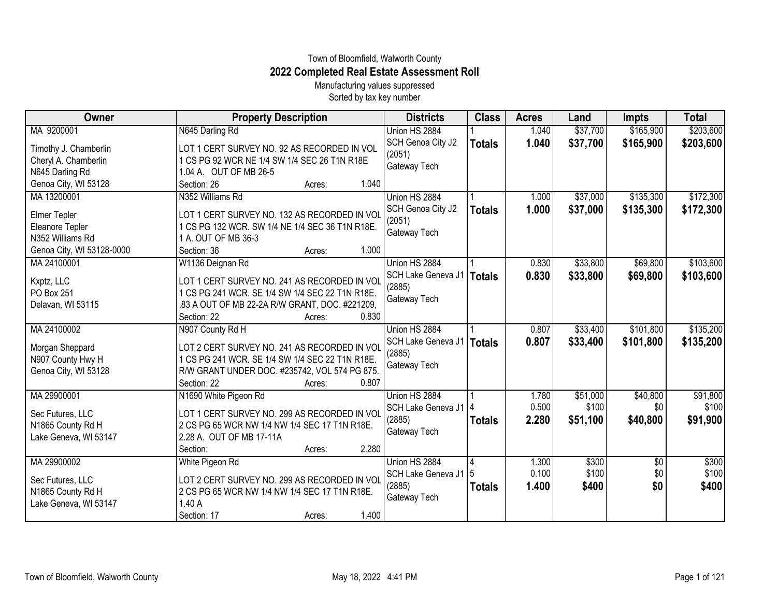## Town of Bloomfield, Walworth County **2022 Completed Real Estate Assessment Roll**

Manufacturing values suppressed Sorted by tax key number

| Owner                                                                                     | <b>Property Description</b>                                                                                                                                                                                                               | <b>Districts</b>                                              | <b>Class</b>  | <b>Acres</b>            | Land                          | Impts                       | <b>Total</b>                  |
|-------------------------------------------------------------------------------------------|-------------------------------------------------------------------------------------------------------------------------------------------------------------------------------------------------------------------------------------------|---------------------------------------------------------------|---------------|-------------------------|-------------------------------|-----------------------------|-------------------------------|
| MA 9200001                                                                                | N645 Darling Rd                                                                                                                                                                                                                           | Union HS 2884                                                 |               | 1.040                   | \$37,700                      | \$165,900                   | \$203,600                     |
| Timothy J. Chamberlin<br>Cheryl A. Chamberlin<br>N645 Darling Rd                          | LOT 1 CERT SURVEY NO. 92 AS RECORDED IN VOL<br>1 CS PG 92 WCR NE 1/4 SW 1/4 SEC 26 T1N R18E<br>1.04 A. OUT OF MB 26-5                                                                                                                     | SCH Genoa City J2<br>(2051)<br>Gateway Tech                   | <b>Totals</b> | 1.040                   | \$37,700                      | \$165,900                   | \$203,600                     |
| Genoa City, WI 53128                                                                      | 1.040<br>Section: 26<br>Acres:                                                                                                                                                                                                            |                                                               |               |                         |                               |                             |                               |
| MA 13200001<br><b>Elmer Tepler</b><br>Eleanore Tepler<br>N352 Williams Rd                 | N352 Williams Rd<br>LOT 1 CERT SURVEY NO. 132 AS RECORDED IN VOL<br>1 CS PG 132 WCR. SW 1/4 NE 1/4 SEC 36 T1N R18E.<br>1 A. OUT OF MB 36-3                                                                                                | Union HS 2884<br>SCH Genoa City J2<br>(2051)<br>Gateway Tech  | <b>Totals</b> | 1.000<br>1.000          | \$37,000<br>\$37,000          | \$135,300<br>\$135,300      | \$172,300<br>\$172,300        |
| Genoa City, WI 53128-0000<br>MA 24100001<br>Kxptz, LLC<br>PO Box 251<br>Delavan, WI 53115 | 1.000<br>Section: 36<br>Acres:<br>W1136 Deignan Rd<br>LOT 1 CERT SURVEY NO. 241 AS RECORDED IN VOL<br>1 CS PG 241 WCR. SE 1/4 SW 1/4 SEC 22 T1N R18E.<br>.83 A OUT OF MB 22-2A R/W GRANT, DOC. #221209,<br>0.830<br>Section: 22<br>Acres: | Union HS 2884<br>SCH Lake Geneva J1<br>(2885)<br>Gateway Tech | <b>Totals</b> | 0.830<br>0.830          | \$33,800<br>\$33,800          | \$69,800<br>\$69,800        | \$103,600<br>\$103,600        |
| MA 24100002<br>Morgan Sheppard<br>N907 County Hwy H<br>Genoa City, WI 53128               | N907 County Rd H<br>LOT 2 CERT SURVEY NO. 241 AS RECORDED IN VOL<br>1 CS PG 241 WCR. SE 1/4 SW 1/4 SEC 22 T1N R18E.<br>R/W GRANT UNDER DOC. #235742, VOL 574 PG 875.<br>Section: 22<br>0.807<br>Acres:                                    | Union HS 2884<br>SCH Lake Geneva J1<br>(2885)<br>Gateway Tech | <b>Totals</b> | 0.807<br>0.807          | \$33,400<br>\$33,400          | \$101,800<br>\$101,800      | \$135,200<br>\$135,200        |
| MA 29900001<br>Sec Futures, LLC<br>N1865 County Rd H<br>Lake Geneva, WI 53147             | N1690 White Pigeon Rd<br>LOT 1 CERT SURVEY NO. 299 AS RECORDED IN VOL<br>2 CS PG 65 WCR NW 1/4 NW 1/4 SEC 17 T1N R18E.<br>2.28 A. OUT OF MB 17-11A<br>2.280<br>Section:<br>Acres:                                                         | Union HS 2884<br>SCH Lake Geneva J1<br>(2885)<br>Gateway Tech | <b>Totals</b> | 1.780<br>0.500<br>2.280 | \$51,000<br>\$100<br>\$51,100 | \$40,800<br>\$0<br>\$40,800 | \$91,800<br>\$100<br>\$91,900 |
| MA 29900002<br>Sec Futures, LLC<br>N1865 County Rd H<br>Lake Geneva, WI 53147             | White Pigeon Rd<br>LOT 2 CERT SURVEY NO. 299 AS RECORDED IN VOL<br>2 CS PG 65 WCR NW 1/4 NW 1/4 SEC 17 T1N R18E.<br>1.40A<br>1.400<br>Section: 17<br>Acres:                                                                               | Union HS 2884<br>SCH Lake Geneva J1<br>(2885)<br>Gateway Tech | <b>Totals</b> | 1.300<br>0.100<br>1.400 | \$300<br>\$100<br>\$400       | \$0<br>\$0<br>\$0           | \$300<br>\$100<br>\$400       |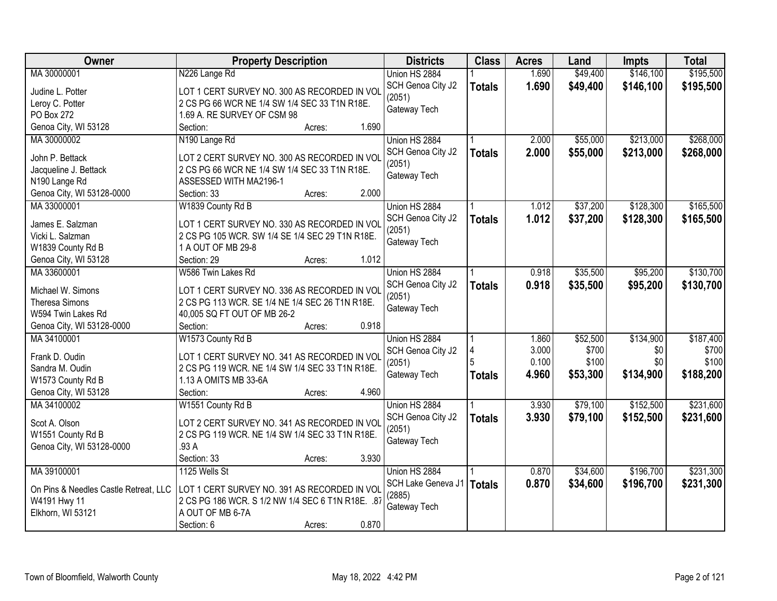| \$195,500<br>MA 30000001<br>1.690<br>\$49,400<br>\$146,100<br>N226 Lange Rd<br>Union HS 2884<br>1.690<br>SCH Genoa City J2<br>\$49,400<br>\$146,100<br><b>Totals</b><br>LOT 1 CERT SURVEY NO. 300 AS RECORDED IN VOL<br>Judine L. Potter<br>(2051)<br>Leroy C. Potter<br>2 CS PG 66 WCR NE 1/4 SW 1/4 SEC 33 T1N R18E.<br>Gateway Tech<br>PO Box 272<br>1.69 A. RE SURVEY OF CSM 98<br>Genoa City, WI 53128<br>1.690<br>Section:<br>Acres:<br>\$213,000<br>MA 30000002<br>N190 Lange Rd<br>2.000<br>\$55,000<br>Union HS 2884<br>2.000<br>\$55,000<br>\$213,000<br>SCH Genoa City J2<br><b>Totals</b><br>John P. Bettack<br>LOT 2 CERT SURVEY NO. 300 AS RECORDED IN VOL<br>(2051)<br>Jacqueline J. Bettack<br>2 CS PG 66 WCR NE 1/4 SW 1/4 SEC 33 T1N R18E.<br>Gateway Tech<br>N190 Lange Rd<br>ASSESSED WITH MA2196-1<br>Genoa City, WI 53128-0000<br>2.000<br>Section: 33<br>Acres:<br>\$37,200<br>\$128,300<br>MA 33000001<br>W1839 County Rd B<br>Union HS 2884<br>1.012<br>\$37,200<br>SCH Genoa City J2<br>1.012<br>\$128,300<br><b>Totals</b><br>James E. Salzman<br>LOT 1 CERT SURVEY NO. 330 AS RECORDED IN VOL<br>(2051)<br>2 CS PG 105 WCR. SW 1/4 SE 1/4 SEC 29 T1N R18E.<br>Vicki L. Salzman<br>Gateway Tech<br>1 A OUT OF MB 29-8<br>W1839 County Rd B<br>1.012<br>Genoa City, WI 53128<br>Section: 29<br>Acres:<br>MA 33600001<br>W586 Twin Lakes Rd<br>\$35,500<br>\$95,200<br>Union HS 2884<br>0.918<br>0.918<br>SCH Genoa City J2<br>\$35,500<br>\$95,200<br><b>Totals</b><br>Michael W. Simons<br>LOT 1 CERT SURVEY NO. 336 AS RECORDED IN VOL<br>(2051)<br><b>Theresa Simons</b><br>2 CS PG 113 WCR. SE 1/4 NE 1/4 SEC 26 T1N R18E.<br>Gateway Tech<br>W594 Twin Lakes Rd<br>40,005 SQ FT OUT OF MB 26-2<br>0.918<br>Genoa City, WI 53128-0000<br>Section:<br>Acres:<br>MA 34100001<br>W1573 County Rd B<br>\$52,500<br>\$134,900<br>Union HS 2884<br>1.860<br>3.000<br>\$700<br>\$0<br>SCH Genoa City J2<br>Frank D. Oudin<br>LOT 1 CERT SURVEY NO. 341 AS RECORDED IN VOL<br>0.100<br>\$100<br>\$100<br>\$0<br>(2051)<br>2 CS PG 119 WCR. NE 1/4 SW 1/4 SEC 33 T1N R18E.<br>Sandra M. Oudin<br>4.960<br>\$134,900<br>\$53,300<br>Gateway Tech<br><b>Totals</b><br>1.13 A OMITS MB 33-6A<br>W1573 County Rd B<br>Genoa City, WI 53128<br>4.960<br>Section:<br>Acres:<br>MA 34100002<br>\$79,100<br>\$152,500<br>W1551 County Rd B<br>Union HS 2884<br>3.930<br>3.930<br>\$79,100<br>\$152,500<br>SCH Genoa City J2<br><b>Totals</b><br>Scot A. Olson<br>LOT 2 CERT SURVEY NO. 341 AS RECORDED IN VOL<br>(2051)<br>W1551 County Rd B<br>2 CS PG 119 WCR. NE 1/4 SW 1/4 SEC 33 T1N R18E.<br>Gateway Tech<br>Genoa City, WI 53128-0000<br>.93 A<br>Section: 33<br>3.930<br>Acres:<br>\$196,700<br>MA 39100001<br>Union HS 2884<br>\$34,600<br>1125 Wells St<br>0.870<br>SCH Lake Geneva J1<br>0.870<br>\$196,700<br>\$34,600<br><b>Totals</b><br>On Pins & Needles Castle Retreat, LLC<br>LOT 1 CERT SURVEY NO. 391 AS RECORDED IN VOL<br>(2885)<br>W4191 Hwy 11<br>2 CS PG 186 WCR. S 1/2 NW 1/4 SEC 6 T1N R18E. .87<br>Gateway Tech<br>Elkhorn, WI 53121<br>A OUT OF MB 6-7A | Owner | <b>Property Description</b> | <b>Districts</b> | <b>Class</b> | <b>Acres</b> | Land | <b>Impts</b> | <b>Total</b> |
|---------------------------------------------------------------------------------------------------------------------------------------------------------------------------------------------------------------------------------------------------------------------------------------------------------------------------------------------------------------------------------------------------------------------------------------------------------------------------------------------------------------------------------------------------------------------------------------------------------------------------------------------------------------------------------------------------------------------------------------------------------------------------------------------------------------------------------------------------------------------------------------------------------------------------------------------------------------------------------------------------------------------------------------------------------------------------------------------------------------------------------------------------------------------------------------------------------------------------------------------------------------------------------------------------------------------------------------------------------------------------------------------------------------------------------------------------------------------------------------------------------------------------------------------------------------------------------------------------------------------------------------------------------------------------------------------------------------------------------------------------------------------------------------------------------------------------------------------------------------------------------------------------------------------------------------------------------------------------------------------------------------------------------------------------------------------------------------------------------------------------------------------------------------------------------------------------------------------------------------------------------------------------------------------------------------------------------------------------------------------------------------------------------------------------------------------------------------------------------------------------------------------------------------------------------------------------------------------------------------------------------------------------------------------------------------------------------------------------------------------------------------------------------------------------------------------------------------------------------------------------------------------------------------------------------------------------------------------------------------------------------------------------------------------------------------------------------------------------|-------|-----------------------------|------------------|--------------|--------------|------|--------------|--------------|
|                                                                                                                                                                                                                                                                                                                                                                                                                                                                                                                                                                                                                                                                                                                                                                                                                                                                                                                                                                                                                                                                                                                                                                                                                                                                                                                                                                                                                                                                                                                                                                                                                                                                                                                                                                                                                                                                                                                                                                                                                                                                                                                                                                                                                                                                                                                                                                                                                                                                                                                                                                                                                                                                                                                                                                                                                                                                                                                                                                                                                                                                                                   |       |                             |                  |              |              |      |              |              |
|                                                                                                                                                                                                                                                                                                                                                                                                                                                                                                                                                                                                                                                                                                                                                                                                                                                                                                                                                                                                                                                                                                                                                                                                                                                                                                                                                                                                                                                                                                                                                                                                                                                                                                                                                                                                                                                                                                                                                                                                                                                                                                                                                                                                                                                                                                                                                                                                                                                                                                                                                                                                                                                                                                                                                                                                                                                                                                                                                                                                                                                                                                   |       |                             |                  |              |              |      |              | \$195,500    |
| \$268,000<br>\$268,000<br>\$165,500<br>\$165,500<br>\$130,700<br>\$130,700<br>\$188,200<br>\$231,300<br>\$231,300                                                                                                                                                                                                                                                                                                                                                                                                                                                                                                                                                                                                                                                                                                                                                                                                                                                                                                                                                                                                                                                                                                                                                                                                                                                                                                                                                                                                                                                                                                                                                                                                                                                                                                                                                                                                                                                                                                                                                                                                                                                                                                                                                                                                                                                                                                                                                                                                                                                                                                                                                                                                                                                                                                                                                                                                                                                                                                                                                                                 |       |                             |                  |              |              |      |              |              |
|                                                                                                                                                                                                                                                                                                                                                                                                                                                                                                                                                                                                                                                                                                                                                                                                                                                                                                                                                                                                                                                                                                                                                                                                                                                                                                                                                                                                                                                                                                                                                                                                                                                                                                                                                                                                                                                                                                                                                                                                                                                                                                                                                                                                                                                                                                                                                                                                                                                                                                                                                                                                                                                                                                                                                                                                                                                                                                                                                                                                                                                                                                   |       |                             |                  |              |              |      |              |              |
|                                                                                                                                                                                                                                                                                                                                                                                                                                                                                                                                                                                                                                                                                                                                                                                                                                                                                                                                                                                                                                                                                                                                                                                                                                                                                                                                                                                                                                                                                                                                                                                                                                                                                                                                                                                                                                                                                                                                                                                                                                                                                                                                                                                                                                                                                                                                                                                                                                                                                                                                                                                                                                                                                                                                                                                                                                                                                                                                                                                                                                                                                                   |       |                             |                  |              |              |      |              |              |
|                                                                                                                                                                                                                                                                                                                                                                                                                                                                                                                                                                                                                                                                                                                                                                                                                                                                                                                                                                                                                                                                                                                                                                                                                                                                                                                                                                                                                                                                                                                                                                                                                                                                                                                                                                                                                                                                                                                                                                                                                                                                                                                                                                                                                                                                                                                                                                                                                                                                                                                                                                                                                                                                                                                                                                                                                                                                                                                                                                                                                                                                                                   |       |                             |                  |              |              |      |              |              |
|                                                                                                                                                                                                                                                                                                                                                                                                                                                                                                                                                                                                                                                                                                                                                                                                                                                                                                                                                                                                                                                                                                                                                                                                                                                                                                                                                                                                                                                                                                                                                                                                                                                                                                                                                                                                                                                                                                                                                                                                                                                                                                                                                                                                                                                                                                                                                                                                                                                                                                                                                                                                                                                                                                                                                                                                                                                                                                                                                                                                                                                                                                   |       |                             |                  |              |              |      |              |              |
|                                                                                                                                                                                                                                                                                                                                                                                                                                                                                                                                                                                                                                                                                                                                                                                                                                                                                                                                                                                                                                                                                                                                                                                                                                                                                                                                                                                                                                                                                                                                                                                                                                                                                                                                                                                                                                                                                                                                                                                                                                                                                                                                                                                                                                                                                                                                                                                                                                                                                                                                                                                                                                                                                                                                                                                                                                                                                                                                                                                                                                                                                                   |       |                             |                  |              |              |      |              |              |
|                                                                                                                                                                                                                                                                                                                                                                                                                                                                                                                                                                                                                                                                                                                                                                                                                                                                                                                                                                                                                                                                                                                                                                                                                                                                                                                                                                                                                                                                                                                                                                                                                                                                                                                                                                                                                                                                                                                                                                                                                                                                                                                                                                                                                                                                                                                                                                                                                                                                                                                                                                                                                                                                                                                                                                                                                                                                                                                                                                                                                                                                                                   |       |                             |                  |              |              |      |              |              |
|                                                                                                                                                                                                                                                                                                                                                                                                                                                                                                                                                                                                                                                                                                                                                                                                                                                                                                                                                                                                                                                                                                                                                                                                                                                                                                                                                                                                                                                                                                                                                                                                                                                                                                                                                                                                                                                                                                                                                                                                                                                                                                                                                                                                                                                                                                                                                                                                                                                                                                                                                                                                                                                                                                                                                                                                                                                                                                                                                                                                                                                                                                   |       |                             |                  |              |              |      |              |              |
|                                                                                                                                                                                                                                                                                                                                                                                                                                                                                                                                                                                                                                                                                                                                                                                                                                                                                                                                                                                                                                                                                                                                                                                                                                                                                                                                                                                                                                                                                                                                                                                                                                                                                                                                                                                                                                                                                                                                                                                                                                                                                                                                                                                                                                                                                                                                                                                                                                                                                                                                                                                                                                                                                                                                                                                                                                                                                                                                                                                                                                                                                                   |       |                             |                  |              |              |      |              |              |
|                                                                                                                                                                                                                                                                                                                                                                                                                                                                                                                                                                                                                                                                                                                                                                                                                                                                                                                                                                                                                                                                                                                                                                                                                                                                                                                                                                                                                                                                                                                                                                                                                                                                                                                                                                                                                                                                                                                                                                                                                                                                                                                                                                                                                                                                                                                                                                                                                                                                                                                                                                                                                                                                                                                                                                                                                                                                                                                                                                                                                                                                                                   |       |                             |                  |              |              |      |              |              |
|                                                                                                                                                                                                                                                                                                                                                                                                                                                                                                                                                                                                                                                                                                                                                                                                                                                                                                                                                                                                                                                                                                                                                                                                                                                                                                                                                                                                                                                                                                                                                                                                                                                                                                                                                                                                                                                                                                                                                                                                                                                                                                                                                                                                                                                                                                                                                                                                                                                                                                                                                                                                                                                                                                                                                                                                                                                                                                                                                                                                                                                                                                   |       |                             |                  |              |              |      |              |              |
|                                                                                                                                                                                                                                                                                                                                                                                                                                                                                                                                                                                                                                                                                                                                                                                                                                                                                                                                                                                                                                                                                                                                                                                                                                                                                                                                                                                                                                                                                                                                                                                                                                                                                                                                                                                                                                                                                                                                                                                                                                                                                                                                                                                                                                                                                                                                                                                                                                                                                                                                                                                                                                                                                                                                                                                                                                                                                                                                                                                                                                                                                                   |       |                             |                  |              |              |      |              |              |
|                                                                                                                                                                                                                                                                                                                                                                                                                                                                                                                                                                                                                                                                                                                                                                                                                                                                                                                                                                                                                                                                                                                                                                                                                                                                                                                                                                                                                                                                                                                                                                                                                                                                                                                                                                                                                                                                                                                                                                                                                                                                                                                                                                                                                                                                                                                                                                                                                                                                                                                                                                                                                                                                                                                                                                                                                                                                                                                                                                                                                                                                                                   |       |                             |                  |              |              |      |              |              |
|                                                                                                                                                                                                                                                                                                                                                                                                                                                                                                                                                                                                                                                                                                                                                                                                                                                                                                                                                                                                                                                                                                                                                                                                                                                                                                                                                                                                                                                                                                                                                                                                                                                                                                                                                                                                                                                                                                                                                                                                                                                                                                                                                                                                                                                                                                                                                                                                                                                                                                                                                                                                                                                                                                                                                                                                                                                                                                                                                                                                                                                                                                   |       |                             |                  |              |              |      |              |              |
|                                                                                                                                                                                                                                                                                                                                                                                                                                                                                                                                                                                                                                                                                                                                                                                                                                                                                                                                                                                                                                                                                                                                                                                                                                                                                                                                                                                                                                                                                                                                                                                                                                                                                                                                                                                                                                                                                                                                                                                                                                                                                                                                                                                                                                                                                                                                                                                                                                                                                                                                                                                                                                                                                                                                                                                                                                                                                                                                                                                                                                                                                                   |       |                             |                  |              |              |      |              |              |
|                                                                                                                                                                                                                                                                                                                                                                                                                                                                                                                                                                                                                                                                                                                                                                                                                                                                                                                                                                                                                                                                                                                                                                                                                                                                                                                                                                                                                                                                                                                                                                                                                                                                                                                                                                                                                                                                                                                                                                                                                                                                                                                                                                                                                                                                                                                                                                                                                                                                                                                                                                                                                                                                                                                                                                                                                                                                                                                                                                                                                                                                                                   |       |                             |                  |              |              |      |              |              |
|                                                                                                                                                                                                                                                                                                                                                                                                                                                                                                                                                                                                                                                                                                                                                                                                                                                                                                                                                                                                                                                                                                                                                                                                                                                                                                                                                                                                                                                                                                                                                                                                                                                                                                                                                                                                                                                                                                                                                                                                                                                                                                                                                                                                                                                                                                                                                                                                                                                                                                                                                                                                                                                                                                                                                                                                                                                                                                                                                                                                                                                                                                   |       |                             |                  |              |              |      |              |              |
|                                                                                                                                                                                                                                                                                                                                                                                                                                                                                                                                                                                                                                                                                                                                                                                                                                                                                                                                                                                                                                                                                                                                                                                                                                                                                                                                                                                                                                                                                                                                                                                                                                                                                                                                                                                                                                                                                                                                                                                                                                                                                                                                                                                                                                                                                                                                                                                                                                                                                                                                                                                                                                                                                                                                                                                                                                                                                                                                                                                                                                                                                                   |       |                             |                  |              |              |      |              |              |
| \$187,400<br>\$700<br>\$231,600<br>\$231,600                                                                                                                                                                                                                                                                                                                                                                                                                                                                                                                                                                                                                                                                                                                                                                                                                                                                                                                                                                                                                                                                                                                                                                                                                                                                                                                                                                                                                                                                                                                                                                                                                                                                                                                                                                                                                                                                                                                                                                                                                                                                                                                                                                                                                                                                                                                                                                                                                                                                                                                                                                                                                                                                                                                                                                                                                                                                                                                                                                                                                                                      |       |                             |                  |              |              |      |              |              |
|                                                                                                                                                                                                                                                                                                                                                                                                                                                                                                                                                                                                                                                                                                                                                                                                                                                                                                                                                                                                                                                                                                                                                                                                                                                                                                                                                                                                                                                                                                                                                                                                                                                                                                                                                                                                                                                                                                                                                                                                                                                                                                                                                                                                                                                                                                                                                                                                                                                                                                                                                                                                                                                                                                                                                                                                                                                                                                                                                                                                                                                                                                   |       |                             |                  |              |              |      |              |              |
|                                                                                                                                                                                                                                                                                                                                                                                                                                                                                                                                                                                                                                                                                                                                                                                                                                                                                                                                                                                                                                                                                                                                                                                                                                                                                                                                                                                                                                                                                                                                                                                                                                                                                                                                                                                                                                                                                                                                                                                                                                                                                                                                                                                                                                                                                                                                                                                                                                                                                                                                                                                                                                                                                                                                                                                                                                                                                                                                                                                                                                                                                                   |       |                             |                  |              |              |      |              |              |
|                                                                                                                                                                                                                                                                                                                                                                                                                                                                                                                                                                                                                                                                                                                                                                                                                                                                                                                                                                                                                                                                                                                                                                                                                                                                                                                                                                                                                                                                                                                                                                                                                                                                                                                                                                                                                                                                                                                                                                                                                                                                                                                                                                                                                                                                                                                                                                                                                                                                                                                                                                                                                                                                                                                                                                                                                                                                                                                                                                                                                                                                                                   |       |                             |                  |              |              |      |              |              |
|                                                                                                                                                                                                                                                                                                                                                                                                                                                                                                                                                                                                                                                                                                                                                                                                                                                                                                                                                                                                                                                                                                                                                                                                                                                                                                                                                                                                                                                                                                                                                                                                                                                                                                                                                                                                                                                                                                                                                                                                                                                                                                                                                                                                                                                                                                                                                                                                                                                                                                                                                                                                                                                                                                                                                                                                                                                                                                                                                                                                                                                                                                   |       |                             |                  |              |              |      |              |              |
|                                                                                                                                                                                                                                                                                                                                                                                                                                                                                                                                                                                                                                                                                                                                                                                                                                                                                                                                                                                                                                                                                                                                                                                                                                                                                                                                                                                                                                                                                                                                                                                                                                                                                                                                                                                                                                                                                                                                                                                                                                                                                                                                                                                                                                                                                                                                                                                                                                                                                                                                                                                                                                                                                                                                                                                                                                                                                                                                                                                                                                                                                                   |       |                             |                  |              |              |      |              |              |
|                                                                                                                                                                                                                                                                                                                                                                                                                                                                                                                                                                                                                                                                                                                                                                                                                                                                                                                                                                                                                                                                                                                                                                                                                                                                                                                                                                                                                                                                                                                                                                                                                                                                                                                                                                                                                                                                                                                                                                                                                                                                                                                                                                                                                                                                                                                                                                                                                                                                                                                                                                                                                                                                                                                                                                                                                                                                                                                                                                                                                                                                                                   |       |                             |                  |              |              |      |              |              |
|                                                                                                                                                                                                                                                                                                                                                                                                                                                                                                                                                                                                                                                                                                                                                                                                                                                                                                                                                                                                                                                                                                                                                                                                                                                                                                                                                                                                                                                                                                                                                                                                                                                                                                                                                                                                                                                                                                                                                                                                                                                                                                                                                                                                                                                                                                                                                                                                                                                                                                                                                                                                                                                                                                                                                                                                                                                                                                                                                                                                                                                                                                   |       |                             |                  |              |              |      |              |              |
|                                                                                                                                                                                                                                                                                                                                                                                                                                                                                                                                                                                                                                                                                                                                                                                                                                                                                                                                                                                                                                                                                                                                                                                                                                                                                                                                                                                                                                                                                                                                                                                                                                                                                                                                                                                                                                                                                                                                                                                                                                                                                                                                                                                                                                                                                                                                                                                                                                                                                                                                                                                                                                                                                                                                                                                                                                                                                                                                                                                                                                                                                                   |       |                             |                  |              |              |      |              |              |
|                                                                                                                                                                                                                                                                                                                                                                                                                                                                                                                                                                                                                                                                                                                                                                                                                                                                                                                                                                                                                                                                                                                                                                                                                                                                                                                                                                                                                                                                                                                                                                                                                                                                                                                                                                                                                                                                                                                                                                                                                                                                                                                                                                                                                                                                                                                                                                                                                                                                                                                                                                                                                                                                                                                                                                                                                                                                                                                                                                                                                                                                                                   |       |                             |                  |              |              |      |              |              |
|                                                                                                                                                                                                                                                                                                                                                                                                                                                                                                                                                                                                                                                                                                                                                                                                                                                                                                                                                                                                                                                                                                                                                                                                                                                                                                                                                                                                                                                                                                                                                                                                                                                                                                                                                                                                                                                                                                                                                                                                                                                                                                                                                                                                                                                                                                                                                                                                                                                                                                                                                                                                                                                                                                                                                                                                                                                                                                                                                                                                                                                                                                   |       |                             |                  |              |              |      |              |              |
|                                                                                                                                                                                                                                                                                                                                                                                                                                                                                                                                                                                                                                                                                                                                                                                                                                                                                                                                                                                                                                                                                                                                                                                                                                                                                                                                                                                                                                                                                                                                                                                                                                                                                                                                                                                                                                                                                                                                                                                                                                                                                                                                                                                                                                                                                                                                                                                                                                                                                                                                                                                                                                                                                                                                                                                                                                                                                                                                                                                                                                                                                                   |       |                             |                  |              |              |      |              |              |
|                                                                                                                                                                                                                                                                                                                                                                                                                                                                                                                                                                                                                                                                                                                                                                                                                                                                                                                                                                                                                                                                                                                                                                                                                                                                                                                                                                                                                                                                                                                                                                                                                                                                                                                                                                                                                                                                                                                                                                                                                                                                                                                                                                                                                                                                                                                                                                                                                                                                                                                                                                                                                                                                                                                                                                                                                                                                                                                                                                                                                                                                                                   |       |                             |                  |              |              |      |              |              |
|                                                                                                                                                                                                                                                                                                                                                                                                                                                                                                                                                                                                                                                                                                                                                                                                                                                                                                                                                                                                                                                                                                                                                                                                                                                                                                                                                                                                                                                                                                                                                                                                                                                                                                                                                                                                                                                                                                                                                                                                                                                                                                                                                                                                                                                                                                                                                                                                                                                                                                                                                                                                                                                                                                                                                                                                                                                                                                                                                                                                                                                                                                   |       |                             |                  |              |              |      |              |              |
|                                                                                                                                                                                                                                                                                                                                                                                                                                                                                                                                                                                                                                                                                                                                                                                                                                                                                                                                                                                                                                                                                                                                                                                                                                                                                                                                                                                                                                                                                                                                                                                                                                                                                                                                                                                                                                                                                                                                                                                                                                                                                                                                                                                                                                                                                                                                                                                                                                                                                                                                                                                                                                                                                                                                                                                                                                                                                                                                                                                                                                                                                                   |       |                             |                  |              |              |      |              |              |
|                                                                                                                                                                                                                                                                                                                                                                                                                                                                                                                                                                                                                                                                                                                                                                                                                                                                                                                                                                                                                                                                                                                                                                                                                                                                                                                                                                                                                                                                                                                                                                                                                                                                                                                                                                                                                                                                                                                                                                                                                                                                                                                                                                                                                                                                                                                                                                                                                                                                                                                                                                                                                                                                                                                                                                                                                                                                                                                                                                                                                                                                                                   |       |                             |                  |              |              |      |              |              |
|                                                                                                                                                                                                                                                                                                                                                                                                                                                                                                                                                                                                                                                                                                                                                                                                                                                                                                                                                                                                                                                                                                                                                                                                                                                                                                                                                                                                                                                                                                                                                                                                                                                                                                                                                                                                                                                                                                                                                                                                                                                                                                                                                                                                                                                                                                                                                                                                                                                                                                                                                                                                                                                                                                                                                                                                                                                                                                                                                                                                                                                                                                   |       |                             |                  |              |              |      |              |              |
| 0.870<br>Section: 6<br>Acres:                                                                                                                                                                                                                                                                                                                                                                                                                                                                                                                                                                                                                                                                                                                                                                                                                                                                                                                                                                                                                                                                                                                                                                                                                                                                                                                                                                                                                                                                                                                                                                                                                                                                                                                                                                                                                                                                                                                                                                                                                                                                                                                                                                                                                                                                                                                                                                                                                                                                                                                                                                                                                                                                                                                                                                                                                                                                                                                                                                                                                                                                     |       |                             |                  |              |              |      |              |              |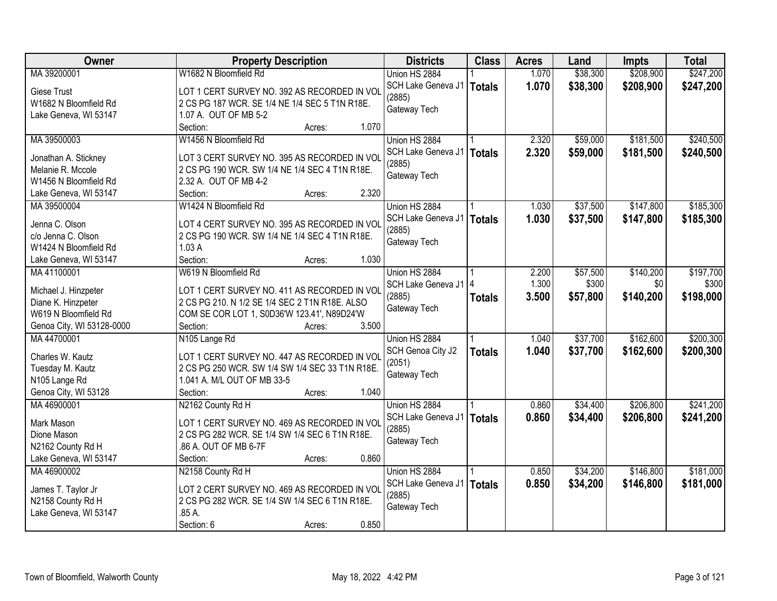| Owner                               | <b>Property Description</b>                                                                     | <b>Districts</b>       | <b>Class</b>  | <b>Acres</b> | Land     | <b>Impts</b> | <b>Total</b> |
|-------------------------------------|-------------------------------------------------------------------------------------------------|------------------------|---------------|--------------|----------|--------------|--------------|
| MA 39200001                         | W1682 N Bloomfield Rd                                                                           | Union HS 2884          |               | 1.070        | \$38,300 | \$208,900    | \$247,200    |
| <b>Giese Trust</b>                  | LOT 1 CERT SURVEY NO. 392 AS RECORDED IN VOL                                                    | SCH Lake Geneva J1     | <b>Totals</b> | 1.070        | \$38,300 | \$208,900    | \$247,200    |
| W1682 N Bloomfield Rd               | 2 CS PG 187 WCR. SE 1/4 NE 1/4 SEC 5 T1N R18E.                                                  | (2885)                 |               |              |          |              |              |
| Lake Geneva, WI 53147               | 1.07 A. OUT OF MB 5-2                                                                           | Gateway Tech           |               |              |          |              |              |
|                                     | 1.070<br>Section:<br>Acres:                                                                     |                        |               |              |          |              |              |
| MA 39500003                         | W1456 N Bloomfield Rd                                                                           | Union HS 2884          |               | 2.320        | \$59,000 | \$181,500    | \$240,500    |
|                                     |                                                                                                 | SCH Lake Geneva J1     | <b>Totals</b> | 2.320        | \$59,000 | \$181,500    | \$240,500    |
| Jonathan A. Stickney                | LOT 3 CERT SURVEY NO. 395 AS RECORDED IN VOL                                                    | (2885)                 |               |              |          |              |              |
| Melanie R. Mccole                   | 2 CS PG 190 WCR. SW 1/4 NE 1/4 SEC 4 T1N R18E.                                                  | Gateway Tech           |               |              |          |              |              |
| W1456 N Bloomfield Rd               | 2.32 A. OUT OF MB 4-2                                                                           |                        |               |              |          |              |              |
| Lake Geneva, WI 53147               | 2.320<br>Section:<br>Acres:                                                                     |                        |               |              |          |              |              |
| MA 39500004                         | W1424 N Bloomfield Rd                                                                           | Union HS 2884          |               | 1.030        | \$37,500 | \$147,800    | \$185,300    |
| Jenna C. Olson                      | LOT 4 CERT SURVEY NO. 395 AS RECORDED IN VOL                                                    | SCH Lake Geneva J1     | <b>Totals</b> | 1.030        | \$37,500 | \$147,800    | \$185,300    |
| c/o Jenna C. Olson                  | 2 CS PG 190 WCR. SW 1/4 NE 1/4 SEC 4 T1N R18E.                                                  | (2885)                 |               |              |          |              |              |
| W1424 N Bloomfield Rd               | 1.03A                                                                                           | Gateway Tech           |               |              |          |              |              |
| Lake Geneva, WI 53147               | 1.030<br>Section:<br>Acres:                                                                     |                        |               |              |          |              |              |
| MA41100001                          | W619 N Bloomfield Rd                                                                            | Union HS 2884          |               | 2.200        | \$57,500 | \$140,200    | \$197,700    |
|                                     |                                                                                                 | SCH Lake Geneva J1   4 |               | 1.300        | \$300    | \$0          | \$300        |
| Michael J. Hinzpeter                | LOT 1 CERT SURVEY NO. 411 AS RECORDED IN VOL                                                    | (2885)                 |               | 3.500        | \$57,800 | \$140,200    | \$198,000    |
| Diane K. Hinzpeter                  | 2 CS PG 210. N 1/2 SE 1/4 SEC 2 T1N R18E. ALSO                                                  | Gateway Tech           | <b>Totals</b> |              |          |              |              |
| W619 N Bloomfield Rd                | COM SE COR LOT 1, S0D36'W 123.41', N89D24'W                                                     |                        |               |              |          |              |              |
| Genoa City, WI 53128-0000           | 3.500<br>Section:<br>Acres:                                                                     |                        |               |              |          |              |              |
| MA 44700001                         | N105 Lange Rd                                                                                   | Union HS 2884          |               | 1.040        | \$37,700 | \$162,600    | \$200,300    |
| Charles W. Kautz                    |                                                                                                 | SCH Genoa City J2      | <b>Totals</b> | 1.040        | \$37,700 | \$162,600    | \$200,300    |
|                                     | LOT 1 CERT SURVEY NO. 447 AS RECORDED IN VOL<br>2 CS PG 250 WCR. SW 1/4 SW 1/4 SEC 33 T1N R18E. | (2051)                 |               |              |          |              |              |
| Tuesday M. Kautz<br>N105 Lange Rd   | 1.041 A. M/L OUT OF MB 33-5                                                                     | Gateway Tech           |               |              |          |              |              |
|                                     | 1.040<br>Section:                                                                               |                        |               |              |          |              |              |
| Genoa City, WI 53128<br>MA 46900001 | Acres:                                                                                          |                        |               |              | \$34,400 | \$206,800    | \$241,200    |
|                                     | N2162 County Rd H                                                                               | Union HS 2884          |               | 0.860        |          |              |              |
| Mark Mason                          | LOT 1 CERT SURVEY NO. 469 AS RECORDED IN VOL                                                    | SCH Lake Geneva J1     | <b>Totals</b> | 0.860        | \$34,400 | \$206,800    | \$241,200    |
| Dione Mason                         | 2 CS PG 282 WCR. SE 1/4 SW 1/4 SEC 6 T1N R18E.                                                  | (2885)                 |               |              |          |              |              |
| N2162 County Rd H                   | .86 A. OUT OF MB 6-7F                                                                           | Gateway Tech           |               |              |          |              |              |
| Lake Geneva, WI 53147               | 0.860<br>Section:<br>Acres:                                                                     |                        |               |              |          |              |              |
| MA 46900002                         | N2158 County Rd H                                                                               | Union HS 2884          |               | 0.850        | \$34,200 | \$146,800    | \$181,000    |
|                                     |                                                                                                 | SCH Lake Geneva J1     | <b>Totals</b> | 0.850        | \$34,200 | \$146,800    | \$181,000    |
| James T. Taylor Jr                  | LOT 2 CERT SURVEY NO. 469 AS RECORDED IN VOL                                                    | (2885)                 |               |              |          |              |              |
| N2158 County Rd H                   | 2 CS PG 282 WCR. SE 1/4 SW 1/4 SEC 6 T1N R18E.                                                  | Gateway Tech           |               |              |          |              |              |
| Lake Geneva, WI 53147               | .85 A.                                                                                          |                        |               |              |          |              |              |
|                                     | 0.850<br>Section: 6<br>Acres:                                                                   |                        |               |              |          |              |              |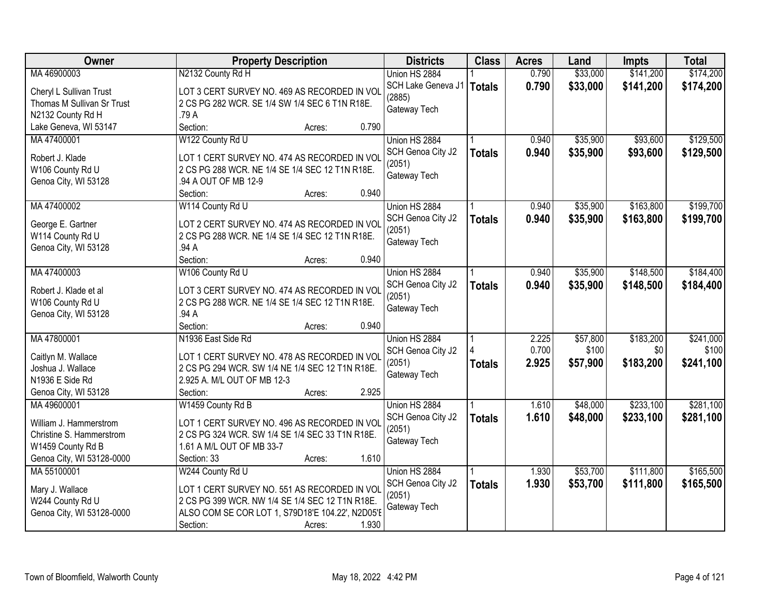| Owner                      | <b>Property Description</b>                      | <b>Districts</b>       | <b>Class</b>  | <b>Acres</b> | Land     | <b>Impts</b> | <b>Total</b> |
|----------------------------|--------------------------------------------------|------------------------|---------------|--------------|----------|--------------|--------------|
| MA 46900003                | N2132 County Rd H                                | Union HS 2884          |               | 0.790        | \$33,000 | \$141,200    | \$174,200    |
| Cheryl L Sullivan Trust    | LOT 3 CERT SURVEY NO. 469 AS RECORDED IN VOL     | SCH Lake Geneva J1     | <b>Totals</b> | 0.790        | \$33,000 | \$141,200    | \$174,200    |
| Thomas M Sullivan Sr Trust | 2 CS PG 282 WCR. SE 1/4 SW 1/4 SEC 6 T1N R18E.   | (2885)                 |               |              |          |              |              |
| N2132 County Rd H          | .79 A                                            | Gateway Tech           |               |              |          |              |              |
| Lake Geneva, WI 53147      | 0.790<br>Section:<br>Acres:                      |                        |               |              |          |              |              |
| MA 47400001                | W122 County Rd U                                 | Union HS 2884          |               | 0.940        | \$35,900 | \$93,600     | \$129,500    |
|                            |                                                  | SCH Genoa City J2      | <b>Totals</b> | 0.940        | \$35,900 | \$93,600     | \$129,500    |
| Robert J. Klade            | LOT 1 CERT SURVEY NO. 474 AS RECORDED IN VOL     | (2051)                 |               |              |          |              |              |
| W106 County Rd U           | 2 CS PG 288 WCR. NE 1/4 SE 1/4 SEC 12 T1N R18E.  | Gateway Tech           |               |              |          |              |              |
| Genoa City, WI 53128       | .94 A OUT OF MB 12-9<br>0.940                    |                        |               |              |          |              |              |
| MA 47400002                | Section:<br>Acres:                               |                        |               | 0.940        | \$35,900 | \$163,800    | \$199,700    |
|                            | W114 County Rd U                                 | Union HS 2884          |               |              |          |              |              |
| George E. Gartner          | LOT 2 CERT SURVEY NO. 474 AS RECORDED IN VOL     | SCH Genoa City J2      | <b>Totals</b> | 0.940        | \$35,900 | \$163,800    | \$199,700    |
| W114 County Rd U           | 2 CS PG 288 WCR. NE 1/4 SE 1/4 SEC 12 T1N R18E.  | (2051)<br>Gateway Tech |               |              |          |              |              |
| Genoa City, WI 53128       | .94 A                                            |                        |               |              |          |              |              |
|                            | 0.940<br>Section:<br>Acres:                      |                        |               |              |          |              |              |
| MA 47400003                | W106 County Rd U                                 | Union HS 2884          |               | 0.940        | \$35,900 | \$148,500    | \$184,400    |
| Robert J. Klade et al      | LOT 3 CERT SURVEY NO. 474 AS RECORDED IN VOL     | SCH Genoa City J2      | <b>Totals</b> | 0.940        | \$35,900 | \$148,500    | \$184,400    |
| W106 County Rd U           | 2 CS PG 288 WCR. NE 1/4 SE 1/4 SEC 12 T1N R18E.  | (2051)                 |               |              |          |              |              |
| Genoa City, WI 53128       | .94 A                                            | Gateway Tech           |               |              |          |              |              |
|                            | 0.940<br>Section:<br>Acres:                      |                        |               |              |          |              |              |
| MA 47800001                | N1936 East Side Rd                               | Union HS 2884          |               | 2.225        | \$57,800 | \$183,200    | \$241,000    |
|                            |                                                  | SCH Genoa City J2      |               | 0.700        | \$100    | \$0          | \$100        |
| Caitlyn M. Wallace         | LOT 1 CERT SURVEY NO. 478 AS RECORDED IN VOL     | (2051)                 | <b>Totals</b> | 2.925        | \$57,900 | \$183,200    | \$241,100    |
| Joshua J. Wallace          | 2 CS PG 294 WCR. SW 1/4 NE 1/4 SEC 12 T1N R18E.  | Gateway Tech           |               |              |          |              |              |
| N1936 E Side Rd            | 2.925 A. M/L OUT OF MB 12-3                      |                        |               |              |          |              |              |
| Genoa City, WI 53128       | 2.925<br>Section:<br>Acres:                      |                        |               |              |          |              |              |
| MA 49600001                | W1459 County Rd B                                | Union HS 2884          |               | 1.610        | \$48,000 | \$233,100    | \$281,100    |
| William J. Hammerstrom     | LOT 1 CERT SURVEY NO. 496 AS RECORDED IN VOL     | SCH Genoa City J2      | <b>Totals</b> | 1.610        | \$48,000 | \$233,100    | \$281,100    |
| Christine S. Hammerstrom   | 2 CS PG 324 WCR. SW 1/4 SE 1/4 SEC 33 T1N R18E.  | (2051)                 |               |              |          |              |              |
| W1459 County Rd B          | 1.61 A M/L OUT OF MB 33-7                        | Gateway Tech           |               |              |          |              |              |
| Genoa City, WI 53128-0000  | Section: 33<br>1.610<br>Acres:                   |                        |               |              |          |              |              |
| MA 55100001                | W244 County Rd U                                 | Union HS 2884          |               | 1.930        | \$53,700 | \$111,800    | \$165,500    |
|                            |                                                  | SCH Genoa City J2      | <b>Totals</b> | 1.930        | \$53,700 | \$111,800    | \$165,500    |
| Mary J. Wallace            | LOT 1 CERT SURVEY NO. 551 AS RECORDED IN VOL     | (2051)                 |               |              |          |              |              |
| W244 County Rd U           | 2 CS PG 399 WCR. NW 1/4 SE 1/4 SEC 12 T1N R18E.  | Gateway Tech           |               |              |          |              |              |
| Genoa City, WI 53128-0000  | ALSO COM SE COR LOT 1, S79D18'E 104.22', N2D05'E |                        |               |              |          |              |              |
|                            | 1.930<br>Section:<br>Acres:                      |                        |               |              |          |              |              |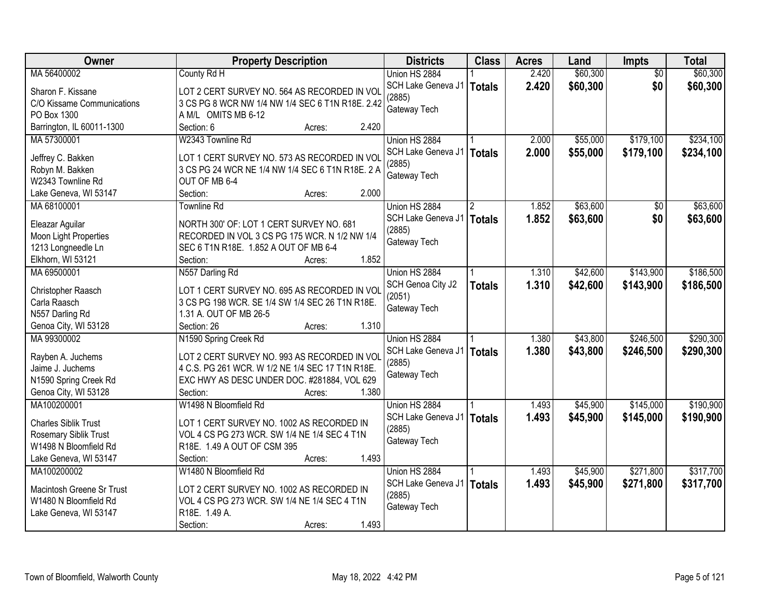| Owner                              | <b>Property Description</b>                                                                     | <b>Districts</b>            | <b>Class</b>  | <b>Acres</b> | Land     | Impts           | <b>Total</b> |
|------------------------------------|-------------------------------------------------------------------------------------------------|-----------------------------|---------------|--------------|----------|-----------------|--------------|
| MA 56400002                        | County Rd H                                                                                     | Union HS 2884               |               | 2.420        | \$60,300 | $\overline{50}$ | \$60,300     |
| Sharon F. Kissane                  | LOT 2 CERT SURVEY NO. 564 AS RECORDED IN VOL                                                    | SCH Lake Geneva J1          | Totals        | 2.420        | \$60,300 | \$0             | \$60,300     |
| C/O Kissame Communications         | 3 CS PG 8 WCR NW 1/4 NW 1/4 SEC 6 T1N R18E. 2.42                                                | (2885)                      |               |              |          |                 |              |
| PO Box 1300                        | A M/L OMITS MB 6-12                                                                             | Gateway Tech                |               |              |          |                 |              |
| Barrington, IL 60011-1300          | Section: 6<br>2.420<br>Acres:                                                                   |                             |               |              |          |                 |              |
| MA 57300001                        | W2343 Townline Rd                                                                               | Union HS 2884               |               | 2.000        | \$55,000 | \$179,100       | \$234,100    |
|                                    |                                                                                                 | SCH Lake Geneva J1          | Totals        | 2.000        | \$55,000 | \$179,100       | \$234,100    |
| Jeffrey C. Bakken                  | LOT 1 CERT SURVEY NO. 573 AS RECORDED IN VOL                                                    | (2885)                      |               |              |          |                 |              |
| Robyn M. Bakken                    | 3 CS PG 24 WCR NE 1/4 NW 1/4 SEC 6 T1N R18E. 2 A                                                | Gateway Tech                |               |              |          |                 |              |
| W2343 Townline Rd                  | OUT OF MB 6-4                                                                                   |                             |               |              |          |                 |              |
| Lake Geneva, WI 53147              | 2.000<br>Section:<br>Acres:                                                                     |                             |               |              |          |                 |              |
| MA 68100001                        | <b>Townline Rd</b>                                                                              | Union HS 2884               |               | 1.852        | \$63,600 | \$0             | \$63,600     |
| Eleazar Aguilar                    | NORTH 300' OF: LOT 1 CERT SURVEY NO. 681                                                        | SCH Lake Geneva J1          | <b>Totals</b> | 1.852        | \$63,600 | \$0             | \$63,600     |
| Moon Light Properties              | RECORDED IN VOL 3 CS PG 175 WCR. N 1/2 NW 1/4                                                   | (2885)                      |               |              |          |                 |              |
| 1213 Longneedle Ln                 | SEC 6 T1N R18E. 1.852 A OUT OF MB 6-4                                                           | Gateway Tech                |               |              |          |                 |              |
| Elkhorn, WI 53121                  | 1.852<br>Section:<br>Acres:                                                                     |                             |               |              |          |                 |              |
| MA 69500001                        | N557 Darling Rd                                                                                 | Union HS 2884               |               | 1.310        | \$42,600 | \$143,900       | \$186,500    |
|                                    |                                                                                                 | SCH Genoa City J2           | <b>Totals</b> | 1.310        | \$42,600 | \$143,900       | \$186,500    |
| Christopher Raasch<br>Carla Raasch | LOT 1 CERT SURVEY NO. 695 AS RECORDED IN VOL<br>3 CS PG 198 WCR. SE 1/4 SW 1/4 SEC 26 T1N R18E. | (2051)                      |               |              |          |                 |              |
| N557 Darling Rd                    | 1.31 A. OUT OF MB 26-5                                                                          | Gateway Tech                |               |              |          |                 |              |
| Genoa City, WI 53128               | 1.310<br>Section: 26<br>Acres:                                                                  |                             |               |              |          |                 |              |
| MA 99300002                        | N1590 Spring Creek Rd                                                                           | Union HS 2884               |               | 1.380        | \$43,800 | \$246,500       | \$290,300    |
|                                    |                                                                                                 | SCH Lake Geneva J1          |               | 1.380        | \$43,800 | \$246,500       | \$290,300    |
| Rayben A. Juchems                  | LOT 2 CERT SURVEY NO. 993 AS RECORDED IN VOL                                                    | (2885)                      | <b>Totals</b> |              |          |                 |              |
| Jaime J. Juchems                   | 4 C.S. PG 261 WCR. W 1/2 NE 1/4 SEC 17 T1N R18E.                                                | Gateway Tech                |               |              |          |                 |              |
| N1590 Spring Creek Rd              | EXC HWY AS DESC UNDER DOC. #281884, VOL 629                                                     |                             |               |              |          |                 |              |
| Genoa City, WI 53128               | 1.380<br>Section:<br>Acres:                                                                     |                             |               |              |          |                 |              |
| MA100200001                        | W1498 N Bloomfield Rd                                                                           | Union HS 2884               |               | 1.493        | \$45,900 | \$145,000       | \$190,900    |
| <b>Charles Siblik Trust</b>        | LOT 1 CERT SURVEY NO. 1002 AS RECORDED IN                                                       | SCH Lake Geneva J1          | Totals        | 1.493        | \$45,900 | \$145,000       | \$190,900    |
| Rosemary Siblik Trust              | VOL 4 CS PG 273 WCR. SW 1/4 NE 1/4 SEC 4 T1N                                                    | (2885)                      |               |              |          |                 |              |
| W1498 N Bloomfield Rd              | R18E. 1.49 A OUT OF CSM 395                                                                     | Gateway Tech                |               |              |          |                 |              |
| Lake Geneva, WI 53147              | 1.493<br>Section:<br>Acres:                                                                     |                             |               |              |          |                 |              |
| MA100200002                        | W1480 N Bloomfield Rd                                                                           | Union HS 2884               |               | 1.493        | \$45,900 | \$271,800       | \$317,700    |
|                                    |                                                                                                 | SCH Lake Geneva J1   Totals |               | 1.493        | \$45,900 | \$271,800       | \$317,700    |
| Macintosh Greene Sr Trust          | LOT 2 CERT SURVEY NO. 1002 AS RECORDED IN                                                       | (2885)                      |               |              |          |                 |              |
| W1480 N Bloomfield Rd              | VOL 4 CS PG 273 WCR. SW 1/4 NE 1/4 SEC 4 T1N                                                    | Gateway Tech                |               |              |          |                 |              |
| Lake Geneva, WI 53147              | R18E. 1.49 A.                                                                                   |                             |               |              |          |                 |              |
|                                    | 1.493<br>Section:<br>Acres:                                                                     |                             |               |              |          |                 |              |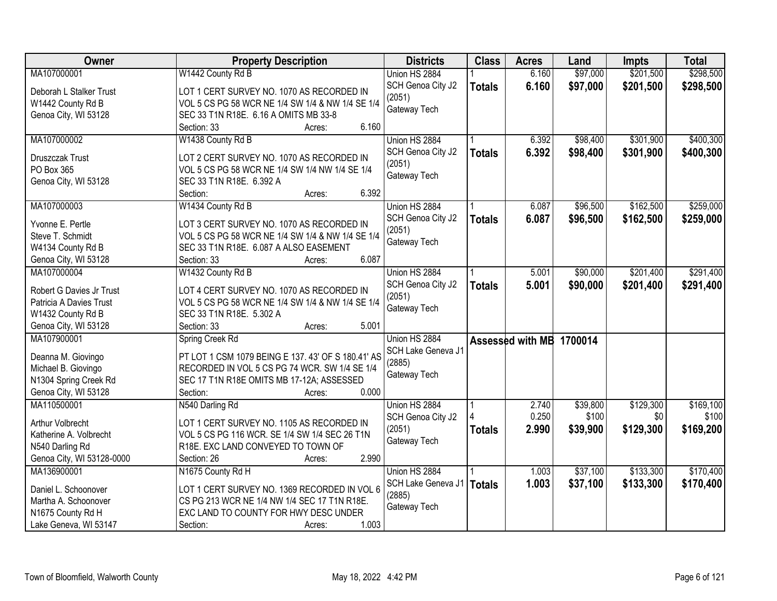| Owner                                      | <b>Property Description</b>                                          | <b>Districts</b>   | <b>Class</b>  | <b>Acres</b>             | Land     | <b>Impts</b> | <b>Total</b> |
|--------------------------------------------|----------------------------------------------------------------------|--------------------|---------------|--------------------------|----------|--------------|--------------|
| MA107000001                                | W1442 County Rd B                                                    | Union HS 2884      |               | 6.160                    | \$97,000 | \$201,500    | \$298,500    |
| Deborah L Stalker Trust                    | LOT 1 CERT SURVEY NO. 1070 AS RECORDED IN                            | SCH Genoa City J2  | <b>Totals</b> | 6.160                    | \$97,000 | \$201,500    | \$298,500    |
| W1442 County Rd B                          | VOL 5 CS PG 58 WCR NE 1/4 SW 1/4 & NW 1/4 SE 1/4                     | (2051)             |               |                          |          |              |              |
| Genoa City, WI 53128                       | SEC 33 T1N R18E. 6.16 A OMITS MB 33-8                                | Gateway Tech       |               |                          |          |              |              |
|                                            | 6.160<br>Section: 33<br>Acres:                                       |                    |               |                          |          |              |              |
| MA107000002                                | W1438 County Rd B                                                    | Union HS 2884      |               | 6.392                    | \$98,400 | \$301,900    | \$400,300    |
|                                            |                                                                      | SCH Genoa City J2  | <b>Totals</b> | 6.392                    | \$98,400 | \$301,900    | \$400,300    |
| Druszczak Trust                            | LOT 2 CERT SURVEY NO. 1070 AS RECORDED IN                            | (2051)             |               |                          |          |              |              |
| PO Box 365                                 | VOL 5 CS PG 58 WCR NE 1/4 SW 1/4 NW 1/4 SE 1/4                       | Gateway Tech       |               |                          |          |              |              |
| Genoa City, WI 53128                       | SEC 33 T1N R18E. 6.392 A                                             |                    |               |                          |          |              |              |
|                                            | 6.392<br>Section:<br>Acres:                                          |                    |               |                          |          |              |              |
| MA107000003                                | W1434 County Rd B                                                    | Union HS 2884      |               | 6.087                    | \$96,500 | \$162,500    | \$259,000    |
| Yvonne E. Pertle                           | LOT 3 CERT SURVEY NO. 1070 AS RECORDED IN                            | SCH Genoa City J2  | <b>Totals</b> | 6.087                    | \$96,500 | \$162,500    | \$259,000    |
| Steve T. Schmidt                           | VOL 5 CS PG 58 WCR NE 1/4 SW 1/4 & NW 1/4 SE 1/4                     | (2051)             |               |                          |          |              |              |
| W4134 County Rd B                          | SEC 33 T1N R18E. 6.087 A ALSO EASEMENT                               | Gateway Tech       |               |                          |          |              |              |
| Genoa City, WI 53128                       | 6.087<br>Section: 33<br>Acres:                                       |                    |               |                          |          |              |              |
| MA107000004                                | W1432 County Rd B                                                    | Union HS 2884      |               | 5.001                    | \$90,000 | \$201,400    | \$291,400    |
|                                            |                                                                      | SCH Genoa City J2  | <b>Totals</b> | 5.001                    | \$90,000 | \$201,400    | \$291,400    |
| Robert G Davies Jr Trust                   | LOT 4 CERT SURVEY NO. 1070 AS RECORDED IN                            | (2051)             |               |                          |          |              |              |
| Patricia A Davies Trust                    | VOL 5 CS PG 58 WCR NE 1/4 SW 1/4 & NW 1/4 SE 1/4                     | Gateway Tech       |               |                          |          |              |              |
| W1432 County Rd B                          | SEC 33 T1N R18E. 5.302 A                                             |                    |               |                          |          |              |              |
| Genoa City, WI 53128                       | 5.001<br>Section: 33<br>Acres:                                       |                    |               |                          |          |              |              |
| MA107900001                                | Spring Creek Rd                                                      | Union HS 2884      |               | Assessed with MB 1700014 |          |              |              |
| Deanna M. Giovingo                         | PT LOT 1 CSM 1079 BEING E 137. 43' OF S 180.41' AS                   | SCH Lake Geneva J1 |               |                          |          |              |              |
| Michael B. Giovingo                        | RECORDED IN VOL 5 CS PG 74 WCR. SW 1/4 SE 1/4                        | (2885)             |               |                          |          |              |              |
| N1304 Spring Creek Rd                      | SEC 17 T1N R18E OMITS MB 17-12A; ASSESSED                            | Gateway Tech       |               |                          |          |              |              |
| Genoa City, WI 53128                       | 0.000<br>Section:<br>Acres:                                          |                    |               |                          |          |              |              |
| MA110500001                                | N540 Darling Rd                                                      | Union HS 2884      |               | 2.740                    | \$39,800 | \$129,300    | \$169,100    |
|                                            |                                                                      | SCH Genoa City J2  |               | 0.250                    | \$100    | \$0          | \$100        |
| <b>Arthur Volbrecht</b>                    | LOT 1 CERT SURVEY NO. 1105 AS RECORDED IN                            | (2051)             |               | 2.990                    | \$39,900 | \$129,300    | \$169,200    |
| Katherine A. Volbrecht                     | VOL 5 CS PG 116 WCR. SE 1/4 SW 1/4 SEC 26 T1N                        | Gateway Tech       | <b>Totals</b> |                          |          |              |              |
| N540 Darling Rd                            | R18E. EXC LAND CONVEYED TO TOWN OF                                   |                    |               |                          |          |              |              |
| Genoa City, WI 53128-0000                  | 2.990<br>Section: 26<br>Acres:                                       |                    |               |                          |          |              |              |
| MA136900001                                | N1675 County Rd H                                                    | Union HS 2884      |               | 1.003                    | \$37,100 | \$133,300    | \$170,400    |
| Daniel L. Schoonover                       | LOT 1 CERT SURVEY NO. 1369 RECORDED IN VOL 6                         | SCH Lake Geneva J1 | <b>Totals</b> | 1.003                    | \$37,100 | \$133,300    | \$170,400    |
| Martha A. Schoonover                       | CS PG 213 WCR NE 1/4 NW 1/4 SEC 17 T1N R18E.                         | (2885)             |               |                          |          |              |              |
|                                            |                                                                      | Gateway Tech       |               |                          |          |              |              |
|                                            |                                                                      |                    |               |                          |          |              |              |
| N1675 County Rd H<br>Lake Geneva, WI 53147 | EXC LAND TO COUNTY FOR HWY DESC UNDER<br>Section:<br>1.003<br>Acres: |                    |               |                          |          |              |              |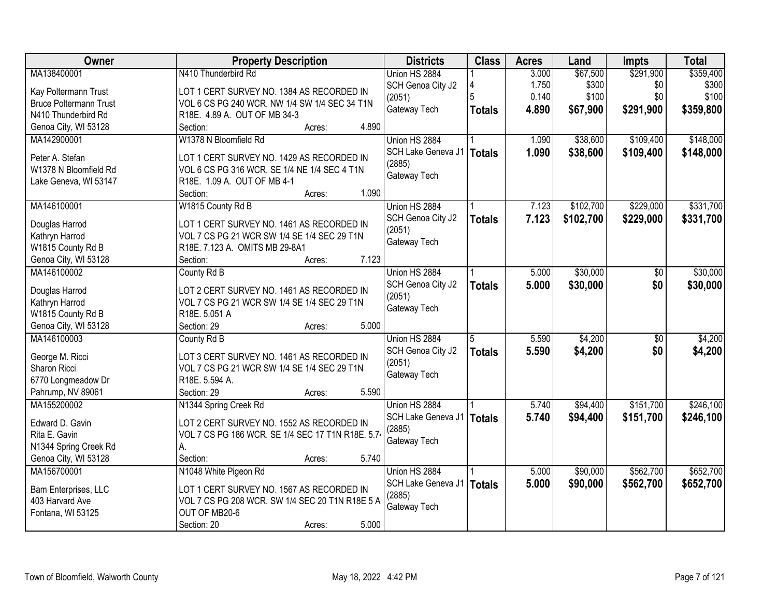| Owner                               | <b>Property Description</b>                                  | <b>Districts</b>            | <b>Class</b>  | <b>Acres</b> | Land      | <b>Impts</b> | <b>Total</b> |
|-------------------------------------|--------------------------------------------------------------|-----------------------------|---------------|--------------|-----------|--------------|--------------|
| MA138400001                         | N410 Thunderbird Rd                                          | Union HS 2884               |               | 3.000        | \$67,500  | \$291,900    | \$359,400    |
| Kay Poltermann Trust                | LOT 1 CERT SURVEY NO. 1384 AS RECORDED IN                    | SCH Genoa City J2           | Δ             | 1.750        | \$300     | \$0          | \$300        |
| <b>Bruce Poltermann Trust</b>       | VOL 6 CS PG 240 WCR. NW 1/4 SW 1/4 SEC 34 T1N                | (2051)                      | 5             | 0.140        | \$100     | \$0          | \$100        |
| N410 Thunderbird Rd                 | R18E. 4.89 A. OUT OF MB 34-3                                 | Gateway Tech                | <b>Totals</b> | 4.890        | \$67,900  | \$291,900    | \$359,800    |
| Genoa City, WI 53128                | 4.890<br>Section:<br>Acres:                                  |                             |               |              |           |              |              |
| MA142900001                         | W1378 N Bloomfield Rd                                        | Union HS 2884               |               | 1.090        | \$38,600  | \$109,400    | \$148,000    |
|                                     |                                                              | SCH Lake Geneva J1          | <b>Totals</b> | 1.090        | \$38,600  | \$109,400    | \$148,000    |
| Peter A. Stefan                     | LOT 1 CERT SURVEY NO. 1429 AS RECORDED IN                    | (2885)                      |               |              |           |              |              |
| W1378 N Bloomfield Rd               | VOL 6 CS PG 316 WCR. SE 1/4 NE 1/4 SEC 4 T1N                 | Gateway Tech                |               |              |           |              |              |
| Lake Geneva, WI 53147               | R18E. 1.09 A. OUT OF MB 4-1<br>1.090                         |                             |               |              |           |              |              |
|                                     | Section:<br>Acres:                                           |                             |               |              |           |              |              |
| MA146100001                         | W1815 County Rd B                                            | Union HS 2884               |               | 7.123        | \$102,700 | \$229,000    | \$331,700    |
| Douglas Harrod                      | LOT 1 CERT SURVEY NO. 1461 AS RECORDED IN                    | SCH Genoa City J2           | <b>Totals</b> | 7.123        | \$102,700 | \$229,000    | \$331,700    |
| Kathryn Harrod                      | VOL 7 CS PG 21 WCR SW 1/4 SE 1/4 SEC 29 T1N                  | (2051)                      |               |              |           |              |              |
| W1815 County Rd B                   | R18E. 7.123 A. OMITS MB 29-8A1                               | Gateway Tech                |               |              |           |              |              |
| Genoa City, WI 53128                | 7.123<br>Section:<br>Acres:                                  |                             |               |              |           |              |              |
| MA146100002                         | County Rd B                                                  | Union HS 2884               |               | 5.000        | \$30,000  | \$0          | \$30,000     |
|                                     |                                                              | SCH Genoa City J2           | <b>Totals</b> | 5.000        | \$30,000  | \$0          | \$30,000     |
| Douglas Harrod                      | LOT 2 CERT SURVEY NO. 1461 AS RECORDED IN                    | (2051)                      |               |              |           |              |              |
| Kathryn Harrod                      | VOL 7 CS PG 21 WCR SW 1/4 SE 1/4 SEC 29 T1N<br>R18E. 5.051 A | Gateway Tech                |               |              |           |              |              |
| W1815 County Rd B                   | 5.000                                                        |                             |               |              |           |              |              |
| Genoa City, WI 53128<br>MA146100003 | Section: 29<br>Acres:                                        |                             | 5             |              |           |              |              |
|                                     | County Rd B                                                  | Union HS 2884               |               | 5.590        | \$4,200   | \$0          | \$4,200      |
| George M. Ricci                     | LOT 3 CERT SURVEY NO. 1461 AS RECORDED IN                    | SCH Genoa City J2<br>(2051) | <b>Totals</b> | 5.590        | \$4,200   | \$0          | \$4,200      |
| Sharon Ricci                        | VOL 7 CS PG 21 WCR SW 1/4 SE 1/4 SEC 29 T1N                  |                             |               |              |           |              |              |
| 6770 Longmeadow Dr                  | R18E. 5.594 A.                                               | Gateway Tech                |               |              |           |              |              |
| Pahrump, NV 89061                   | 5.590<br>Section: 29<br>Acres:                               |                             |               |              |           |              |              |
| MA155200002                         | N1344 Spring Creek Rd                                        | Union HS 2884               |               | 5.740        | \$94,400  | \$151,700    | \$246,100    |
| Edward D. Gavin                     | LOT 2 CERT SURVEY NO. 1552 AS RECORDED IN                    | SCH Lake Geneva J1          | <b>Totals</b> | 5.740        | \$94,400  | \$151,700    | \$246,100    |
| Rita E. Gavin                       | VOL 7 CS PG 186 WCR. SE 1/4 SEC 17 T1N R18E. 5.7             | (2885)                      |               |              |           |              |              |
| N1344 Spring Creek Rd               | А.                                                           | Gateway Tech                |               |              |           |              |              |
| Genoa City, WI 53128                | 5.740<br>Section:<br>Acres:                                  |                             |               |              |           |              |              |
| MA156700001                         | N1048 White Pigeon Rd                                        | Union HS 2884               |               | 5.000        | \$90,000  | \$562,700    | \$652,700    |
|                                     |                                                              | SCH Lake Geneva J1   Totals |               | 5.000        | \$90,000  | \$562,700    |              |
| Bam Enterprises, LLC                | LOT 1 CERT SURVEY NO. 1567 AS RECORDED IN                    | (2885)                      |               |              |           |              | \$652,700    |
| 403 Harvard Ave                     | VOL 7 CS PG 208 WCR. SW 1/4 SEC 20 T1N R18E 5 A              | Gateway Tech                |               |              |           |              |              |
| Fontana, WI 53125                   | OUT OF MB20-6                                                |                             |               |              |           |              |              |
|                                     | 5.000<br>Section: 20<br>Acres:                               |                             |               |              |           |              |              |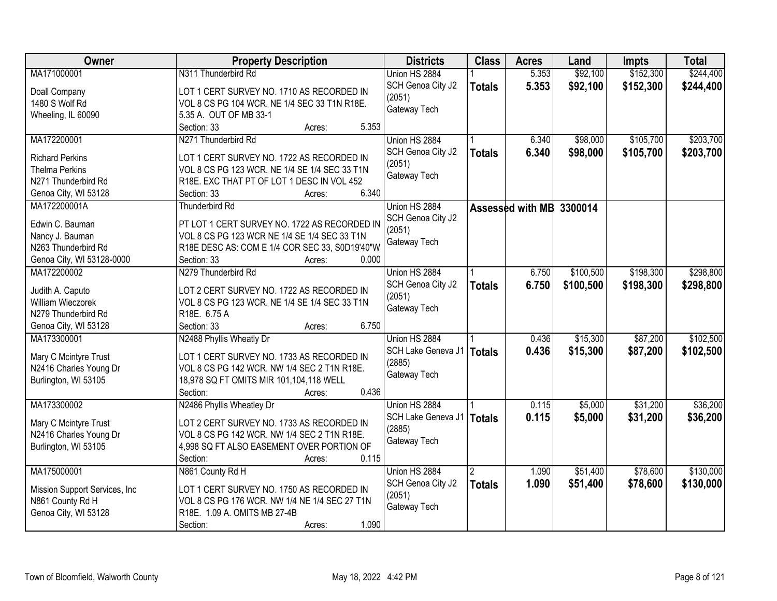| Owner                          | <b>Property Description</b>                    | <b>Districts</b>   | <b>Class</b>  | <b>Acres</b>     | Land      | Impts     | <b>Total</b> |
|--------------------------------|------------------------------------------------|--------------------|---------------|------------------|-----------|-----------|--------------|
| MA171000001                    | N311 Thunderbird Rd                            | Union HS 2884      |               | 5.353            | \$92,100  | \$152,300 | \$244,400    |
| Doall Company                  | LOT 1 CERT SURVEY NO. 1710 AS RECORDED IN      | SCH Genoa City J2  | <b>Totals</b> | 5.353            | \$92,100  | \$152,300 | \$244,400    |
| 1480 S Wolf Rd                 | VOL 8 CS PG 104 WCR. NE 1/4 SEC 33 T1N R18E.   | (2051)             |               |                  |           |           |              |
| Wheeling, IL 60090             | 5.35 A. OUT OF MB 33-1                         | Gateway Tech       |               |                  |           |           |              |
|                                | 5.353<br>Section: 33<br>Acres:                 |                    |               |                  |           |           |              |
| MA172200001                    | N271 Thunderbird Rd                            | Union HS 2884      |               | 6.340            | \$98,000  | \$105,700 | \$203,700    |
|                                |                                                | SCH Genoa City J2  | <b>Totals</b> | 6.340            | \$98,000  | \$105,700 | \$203,700    |
| <b>Richard Perkins</b>         | LOT 1 CERT SURVEY NO. 1722 AS RECORDED IN      | (2051)             |               |                  |           |           |              |
| <b>Thelma Perkins</b>          | VOL 8 CS PG 123 WCR. NE 1/4 SE 1/4 SEC 33 T1N  | Gateway Tech       |               |                  |           |           |              |
| N271 Thunderbird Rd            | R18E. EXC THAT PT OF LOT 1 DESC IN VOL 452     |                    |               |                  |           |           |              |
| Genoa City, WI 53128           | 6.340<br>Section: 33<br>Acres:                 |                    |               |                  |           |           |              |
| MA172200001A                   | <b>Thunderbird Rd</b>                          | Union HS 2884      |               | Assessed with MB | 3300014   |           |              |
| Edwin C. Bauman                | PT LOT 1 CERT SURVEY NO. 1722 AS RECORDED IN   | SCH Genoa City J2  |               |                  |           |           |              |
| Nancy J. Bauman                | VOL 8 CS PG 123 WCR NE 1/4 SE 1/4 SEC 33 T1N   | (2051)             |               |                  |           |           |              |
| N263 Thunderbird Rd            | R18E DESC AS: COM E 1/4 COR SEC 33, S0D19'40"W | Gateway Tech       |               |                  |           |           |              |
| Genoa City, WI 53128-0000      | Section: 33<br>0.000<br>Acres:                 |                    |               |                  |           |           |              |
| MA172200002                    | N279 Thunderbird Rd                            | Union HS 2884      |               | 6.750            | \$100,500 | \$198,300 | \$298,800    |
|                                |                                                | SCH Genoa City J2  | <b>Totals</b> | 6.750            | \$100,500 | \$198,300 | \$298,800    |
| Judith A. Caputo               | LOT 2 CERT SURVEY NO. 1722 AS RECORDED IN      | (2051)             |               |                  |           |           |              |
| William Wieczorek              | VOL 8 CS PG 123 WCR. NE 1/4 SE 1/4 SEC 33 T1N  | Gateway Tech       |               |                  |           |           |              |
| N279 Thunderbird Rd            | R18E. 6.75 A                                   |                    |               |                  |           |           |              |
| Genoa City, WI 53128           | 6.750<br>Section: 33<br>Acres:                 |                    |               |                  |           |           |              |
| MA173300001                    | N2488 Phyllis Wheatly Dr                       | Union HS 2884      |               | 0.436            | \$15,300  | \$87,200  | \$102,500    |
| Mary C Mcintyre Trust          | LOT 1 CERT SURVEY NO. 1733 AS RECORDED IN      | SCH Lake Geneva J1 | <b>Totals</b> | 0.436            | \$15,300  | \$87,200  | \$102,500    |
| N2416 Charles Young Dr         | VOL 8 CS PG 142 WCR. NW 1/4 SEC 2 T1N R18E.    | (2885)             |               |                  |           |           |              |
| Burlington, WI 53105           | 18,978 SQ FT OMITS MIR 101,104,118 WELL        | Gateway Tech       |               |                  |           |           |              |
|                                | 0.436<br>Section:<br>Acres:                    |                    |               |                  |           |           |              |
| MA173300002                    | N2486 Phyllis Wheatley Dr                      | Union HS 2884      |               | 0.115            | \$5,000   | \$31,200  | \$36,200     |
|                                |                                                |                    |               |                  |           |           |              |
| Mary C Mcintyre Trust          | LOT 2 CERT SURVEY NO. 1733 AS RECORDED IN      | SCH Lake Geneva J1 | <b>Totals</b> | 0.115            | \$5,000   | \$31,200  | \$36,200     |
| N2416 Charles Young Dr         | VOL 8 CS PG 142 WCR. NW 1/4 SEC 2 T1N R18E.    | (2885)             |               |                  |           |           |              |
| Burlington, WI 53105           | 4,998 SQ FT ALSO EASEMENT OVER PORTION OF      | Gateway Tech       |               |                  |           |           |              |
|                                | 0.115<br>Section:<br>Acres:                    |                    |               |                  |           |           |              |
| MA175000001                    | N861 County Rd H                               | Union HS 2884      | 2             | 1.090            | \$51,400  | \$78,600  | \$130,000    |
|                                |                                                | SCH Genoa City J2  | <b>Totals</b> | 1.090            | \$51,400  | \$78,600  | \$130,000    |
| Mission Support Services, Inc. | LOT 1 CERT SURVEY NO. 1750 AS RECORDED IN      | (2051)             |               |                  |           |           |              |
| N861 County Rd H               | VOL 8 CS PG 176 WCR. NW 1/4 NE 1/4 SEC 27 T1N  | Gateway Tech       |               |                  |           |           |              |
| Genoa City, WI 53128           | R18E. 1.09 A. OMITS MB 27-4B                   |                    |               |                  |           |           |              |
|                                | 1.090<br>Section:<br>Acres:                    |                    |               |                  |           |           |              |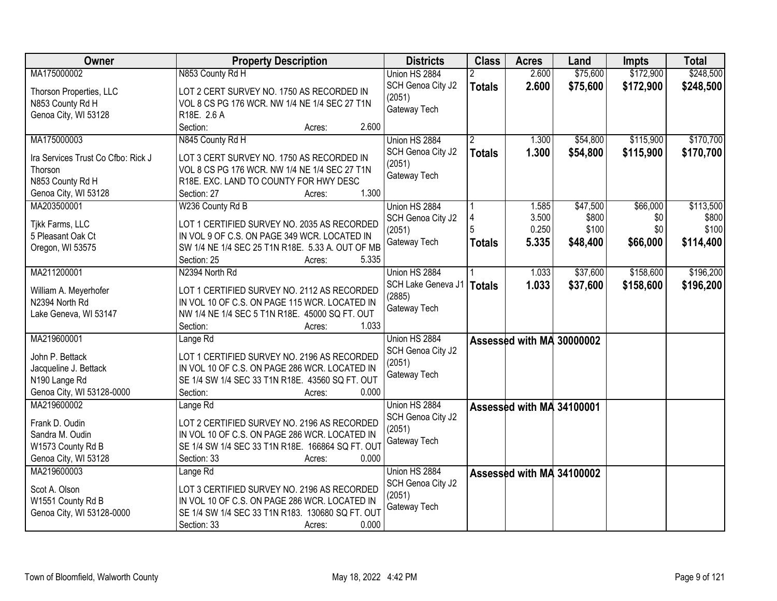| Owner                              | <b>Property Description</b>                      | <b>Districts</b>   | <b>Class</b>   | <b>Acres</b>              | Land     | Impts     | <b>Total</b> |
|------------------------------------|--------------------------------------------------|--------------------|----------------|---------------------------|----------|-----------|--------------|
| MA175000002                        | N853 County Rd H                                 | Union HS 2884      |                | 2.600                     | \$75,600 | \$172,900 | \$248,500    |
| Thorson Properties, LLC            | LOT 2 CERT SURVEY NO. 1750 AS RECORDED IN        | SCH Genoa City J2  | <b>Totals</b>  | 2.600                     | \$75,600 | \$172,900 | \$248,500    |
| N853 County Rd H                   | VOL 8 CS PG 176 WCR. NW 1/4 NE 1/4 SEC 27 T1N    | (2051)             |                |                           |          |           |              |
| Genoa City, WI 53128               | R18E. 2.6 A                                      | Gateway Tech       |                |                           |          |           |              |
|                                    | 2.600<br>Section:<br>Acres:                      |                    |                |                           |          |           |              |
| MA175000003                        | N845 County Rd H                                 | Union HS 2884      | $\overline{2}$ | 1.300                     | \$54,800 | \$115,900 | \$170,700    |
|                                    |                                                  | SCH Genoa City J2  | <b>Totals</b>  | 1.300                     | \$54,800 | \$115,900 | \$170,700    |
| Ira Services Trust Co Cfbo: Rick J | LOT 3 CERT SURVEY NO. 1750 AS RECORDED IN        | (2051)             |                |                           |          |           |              |
| Thorson                            | VOL 8 CS PG 176 WCR. NW 1/4 NE 1/4 SEC 27 T1N    | Gateway Tech       |                |                           |          |           |              |
| N853 County Rd H                   | R18E. EXC. LAND TO COUNTY FOR HWY DESC           |                    |                |                           |          |           |              |
| Genoa City, WI 53128               | 1.300<br>Section: 27<br>Acres:                   |                    |                |                           |          |           |              |
| MA203500001                        | W236 County Rd B                                 | Union HS 2884      |                | 1.585                     | \$47,500 | \$66,000  | \$113,500    |
| Tikk Farms, LLC                    | LOT 1 CERTIFIED SURVEY NO. 2035 AS RECORDED      | SCH Genoa City J2  | 4              | 3.500                     | \$800    | \$0       | \$800        |
| 5 Pleasant Oak Ct                  | IN VOL 9 OF C.S. ON PAGE 349 WCR. LOCATED IN     | (2051)             | 5              | 0.250                     | \$100    | \$0       | \$100        |
| Oregon, WI 53575                   | SW 1/4 NE 1/4 SEC 25 T1N R18E. 5.33 A. OUT OF MB | Gateway Tech       | <b>Totals</b>  | 5.335                     | \$48,400 | \$66,000  | \$114,400    |
|                                    | Section: 25<br>5.335<br>Acres:                   |                    |                |                           |          |           |              |
| MA211200001                        | N2394 North Rd                                   | Union HS 2884      |                | 1.033                     | \$37,600 | \$158,600 | \$196,200    |
|                                    |                                                  | SCH Lake Geneva J1 | <b>Totals</b>  | 1.033                     | \$37,600 | \$158,600 | \$196,200    |
| William A. Meyerhofer              | LOT 1 CERTIFIED SURVEY NO. 2112 AS RECORDED      | (2885)             |                |                           |          |           |              |
| N2394 North Rd                     | IN VOL 10 OF C.S. ON PAGE 115 WCR. LOCATED IN    | Gateway Tech       |                |                           |          |           |              |
| Lake Geneva, WI 53147              | NW 1/4 NE 1/4 SEC 5 T1N R18E. 45000 SQ FT. OUT   |                    |                |                           |          |           |              |
|                                    | 1.033<br>Section:<br>Acres:                      |                    |                |                           |          |           |              |
| MA219600001                        | Lange Rd                                         | Union HS 2884      |                | Assessed with MA 30000002 |          |           |              |
| John P. Bettack                    | LOT 1 CERTIFIED SURVEY NO. 2196 AS RECORDED      | SCH Genoa City J2  |                |                           |          |           |              |
| Jacqueline J. Bettack              | IN VOL 10 OF C.S. ON PAGE 286 WCR. LOCATED IN    | (2051)             |                |                           |          |           |              |
| N190 Lange Rd                      | SE 1/4 SW 1/4 SEC 33 T1N R18E. 43560 SQ FT. OUT  | Gateway Tech       |                |                           |          |           |              |
| Genoa City, WI 53128-0000          | 0.000<br>Section:<br>Acres:                      |                    |                |                           |          |           |              |
| MA219600002                        |                                                  |                    |                |                           |          |           |              |
|                                    | Lange Rd                                         | Union HS 2884      |                | Assessed with MA 34100001 |          |           |              |
| Frank D. Oudin                     | LOT 2 CERTIFIED SURVEY NO. 2196 AS RECORDED      | SCH Genoa City J2  |                |                           |          |           |              |
| Sandra M. Oudin                    | IN VOL 10 OF C.S. ON PAGE 286 WCR. LOCATED IN    | (2051)             |                |                           |          |           |              |
| W1573 County Rd B                  | SE 1/4 SW 1/4 SEC 33 T1N R18E. 166864 SQ FT. OUT | Gateway Tech       |                |                           |          |           |              |
| Genoa City, WI 53128               | Section: 33<br>0.000<br>Acres:                   |                    |                |                           |          |           |              |
| MA219600003                        | Lange <sub>Rd</sub>                              | Union HS 2884      |                | Assessed with MA 34100002 |          |           |              |
| Scot A. Olson                      | LOT 3 CERTIFIED SURVEY NO. 2196 AS RECORDED      | SCH Genoa City J2  |                |                           |          |           |              |
|                                    | IN VOL 10 OF C.S. ON PAGE 286 WCR. LOCATED IN    | (2051)             |                |                           |          |           |              |
| W1551 County Rd B                  |                                                  | Gateway Tech       |                |                           |          |           |              |
| Genoa City, WI 53128-0000          | SE 1/4 SW 1/4 SEC 33 T1N R183. 130680 SQ FT. OUT |                    |                |                           |          |           |              |
|                                    | 0.000<br>Section: 33<br>Acres:                   |                    |                |                           |          |           |              |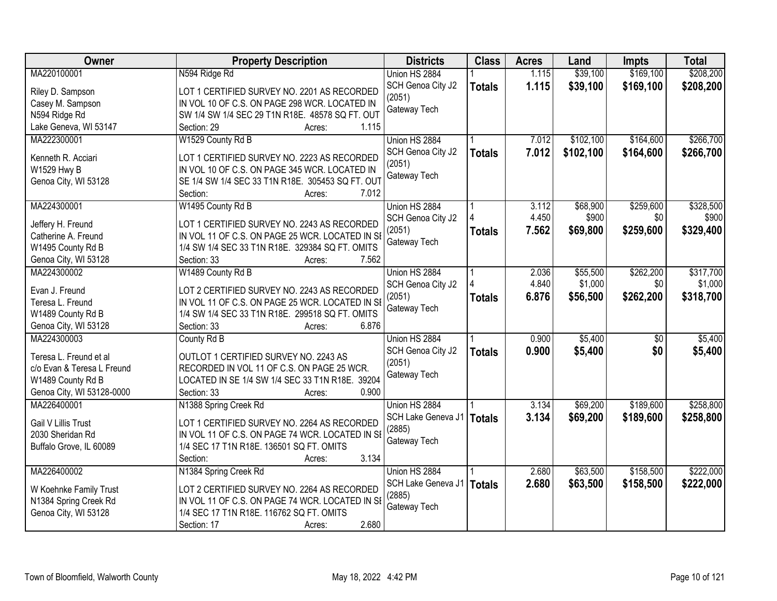| Owner                                    | <b>Property Description</b>                                                                        | <b>Districts</b>            | <b>Class</b>  | <b>Acres</b> | Land      | <b>Impts</b>    | <b>Total</b> |
|------------------------------------------|----------------------------------------------------------------------------------------------------|-----------------------------|---------------|--------------|-----------|-----------------|--------------|
| MA220100001                              | N594 Ridge Rd                                                                                      | Union HS 2884               |               | 1.115        | \$39,100  | \$169,100       | \$208,200    |
| Riley D. Sampson                         | LOT 1 CERTIFIED SURVEY NO. 2201 AS RECORDED                                                        | SCH Genoa City J2<br>(2051) | <b>Totals</b> | 1.115        | \$39,100  | \$169,100       | \$208,200    |
| Casey M. Sampson                         | IN VOL 10 OF C.S. ON PAGE 298 WCR. LOCATED IN                                                      | Gateway Tech                |               |              |           |                 |              |
| N594 Ridge Rd                            | SW 1/4 SW 1/4 SEC 29 T1N R18E. 48578 SQ FT. OUT                                                    |                             |               |              |           |                 |              |
| Lake Geneva, WI 53147                    | 1.115<br>Section: 29<br>Acres:                                                                     |                             |               |              |           |                 |              |
| MA222300001                              | W1529 County Rd B                                                                                  | Union HS 2884               |               | 7.012        | \$102,100 | \$164,600       | \$266,700    |
| Kenneth R. Acciari                       | LOT 1 CERTIFIED SURVEY NO. 2223 AS RECORDED                                                        | SCH Genoa City J2           | <b>Totals</b> | 7.012        | \$102,100 | \$164,600       | \$266,700    |
| W1529 Hwy B                              | IN VOL 10 OF C.S. ON PAGE 345 WCR. LOCATED IN                                                      | (2051)                      |               |              |           |                 |              |
| Genoa City, WI 53128                     | SE 1/4 SW 1/4 SEC 33 T1N R18E. 305453 SQ FT. OUT                                                   | Gateway Tech                |               |              |           |                 |              |
|                                          | 7.012<br>Section:<br>Acres:                                                                        |                             |               |              |           |                 |              |
| MA224300001                              | W1495 County Rd B                                                                                  | Union HS 2884               |               | 3.112        | \$68,900  | \$259,600       | \$328,500    |
|                                          | LOT 1 CERTIFIED SURVEY NO. 2243 AS RECORDED                                                        | SCH Genoa City J2           |               | 4.450        | \$900     | \$0             | \$900        |
| Jeffery H. Freund                        |                                                                                                    | (2051)                      | <b>Totals</b> | 7.562        | \$69,800  | \$259,600       | \$329,400    |
| Catherine A. Freund<br>W1495 County Rd B | IN VOL 11 OF C.S. ON PAGE 25 WCR. LOCATED IN SI<br>1/4 SW 1/4 SEC 33 T1N R18E. 329384 SQ FT. OMITS | Gateway Tech                |               |              |           |                 |              |
|                                          | 7.562<br>Section: 33<br>Acres:                                                                     |                             |               |              |           |                 |              |
| Genoa City, WI 53128<br>MA224300002      | W1489 County Rd B                                                                                  | Union HS 2884               |               | 2.036        | \$55,500  | \$262,200       | \$317,700    |
|                                          |                                                                                                    | SCH Genoa City J2           |               | 4.840        | \$1,000   | \$0             | \$1,000      |
| Evan J. Freund                           | LOT 2 CERTIFIED SURVEY NO. 2243 AS RECORDED                                                        |                             |               | 6.876        |           | \$262,200       |              |
| Teresa L. Freund                         | IN VOL 11 OF C.S. ON PAGE 25 WCR. LOCATED IN SI                                                    | (2051)<br>Gateway Tech      | <b>Totals</b> |              | \$56,500  |                 | \$318,700    |
| W1489 County Rd B                        | 1/4 SW 1/4 SEC 33 T1N R18E. 299518 SQ FT. OMITS                                                    |                             |               |              |           |                 |              |
| Genoa City, WI 53128                     | 6.876<br>Section: 33<br>Acres:                                                                     |                             |               |              |           |                 |              |
| MA224300003                              | County Rd B                                                                                        | Union HS 2884               |               | 0.900        | \$5,400   | $\overline{50}$ | \$5,400      |
| Teresa L. Freund et al                   | OUTLOT 1 CERTIFIED SURVEY NO. 2243 AS                                                              | SCH Genoa City J2           | <b>Totals</b> | 0.900        | \$5,400   | \$0             | \$5,400      |
| c/o Evan & Teresa L Freund               | RECORDED IN VOL 11 OF C.S. ON PAGE 25 WCR.                                                         | (2051)                      |               |              |           |                 |              |
| W1489 County Rd B                        | LOCATED IN SE 1/4 SW 1/4 SEC 33 T1N R18E. 39204                                                    | Gateway Tech                |               |              |           |                 |              |
| Genoa City, WI 53128-0000                | 0.900<br>Section: 33<br>Acres:                                                                     |                             |               |              |           |                 |              |
| MA226400001                              | N1388 Spring Creek Rd                                                                              | Union HS 2884               |               | 3.134        | \$69,200  | \$189,600       | \$258,800    |
|                                          |                                                                                                    | SCH Lake Geneva J1          | <b>Totals</b> | 3.134        | \$69,200  | \$189,600       | \$258,800    |
| <b>Gail V Lillis Trust</b>               | LOT 1 CERTIFIED SURVEY NO. 2264 AS RECORDED                                                        | (2885)                      |               |              |           |                 |              |
| 2030 Sheridan Rd                         | IN VOL 11 OF C.S. ON PAGE 74 WCR. LOCATED IN SI                                                    | Gateway Tech                |               |              |           |                 |              |
| Buffalo Grove, IL 60089                  | 1/4 SEC 17 T1N R18E. 136501 SQ FT. OMITS                                                           |                             |               |              |           |                 |              |
|                                          | 3.134<br>Section:<br>Acres:                                                                        |                             |               |              |           |                 |              |
| MA226400002                              | N1384 Spring Creek Rd                                                                              | Union HS 2884               |               | 2.680        | \$63,500  | \$158,500       | \$222,000    |
| W Koehnke Family Trust                   | LOT 2 CERTIFIED SURVEY NO. 2264 AS RECORDED                                                        | SCH Lake Geneva J1          | <b>Totals</b> | 2.680        | \$63,500  | \$158,500       | \$222,000    |
| N1384 Spring Creek Rd                    | IN VOL 11 OF C.S. ON PAGE 74 WCR. LOCATED IN SE                                                    | (2885)                      |               |              |           |                 |              |
| Genoa City, WI 53128                     | 1/4 SEC 17 T1N R18E. 116762 SQ FT. OMITS                                                           | Gateway Tech                |               |              |           |                 |              |
|                                          | 2.680<br>Section: 17<br>Acres:                                                                     |                             |               |              |           |                 |              |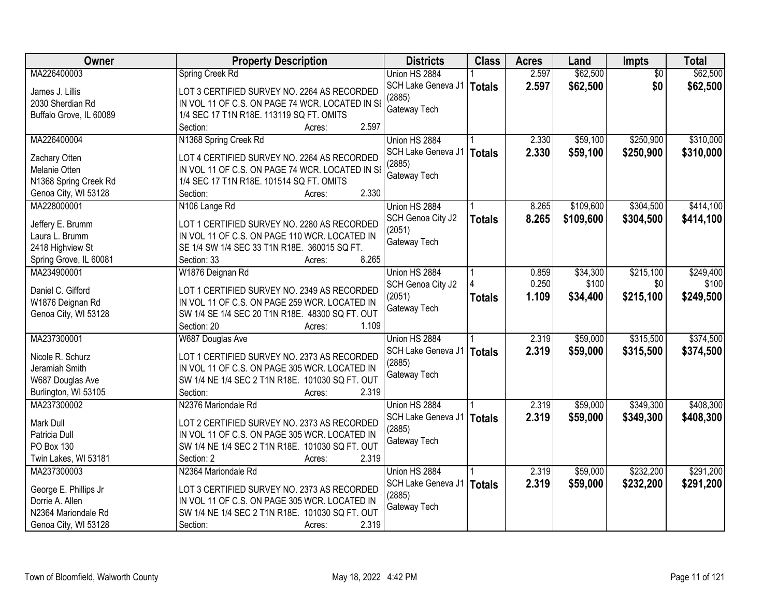| Owner                               | <b>Property Description</b>                     | <b>Districts</b>   | <b>Class</b>  | <b>Acres</b> | Land      | <b>Impts</b>    | <b>Total</b> |
|-------------------------------------|-------------------------------------------------|--------------------|---------------|--------------|-----------|-----------------|--------------|
| MA226400003                         | Spring Creek Rd                                 | Union HS 2884      |               | 2.597        | \$62,500  | $\overline{50}$ | \$62,500     |
| James J. Lillis                     | LOT 3 CERTIFIED SURVEY NO. 2264 AS RECORDED     | SCH Lake Geneva J1 | <b>Totals</b> | 2.597        | \$62,500  | \$0             | \$62,500     |
| 2030 Sherdian Rd                    | IN VOL 11 OF C.S. ON PAGE 74 WCR. LOCATED IN SE | (2885)             |               |              |           |                 |              |
| Buffalo Grove, IL 60089             | 1/4 SEC 17 T1N R18E. 113119 SQ FT. OMITS        | Gateway Tech       |               |              |           |                 |              |
|                                     | 2.597<br>Section:<br>Acres:                     |                    |               |              |           |                 |              |
| MA226400004                         | N1368 Spring Creek Rd                           | Union HS 2884      |               | 2.330        | \$59,100  | \$250,900       | \$310,000    |
|                                     |                                                 | SCH Lake Geneva J1 | <b>Totals</b> | 2.330        | \$59,100  | \$250,900       | \$310,000    |
| Zachary Otten                       | LOT 4 CERTIFIED SURVEY NO. 2264 AS RECORDED     | (2885)             |               |              |           |                 |              |
| Melanie Otten                       | IN VOL 11 OF C.S. ON PAGE 74 WCR. LOCATED IN SE | Gateway Tech       |               |              |           |                 |              |
| N1368 Spring Creek Rd               | 1/4 SEC 17 T1N R18E. 101514 SQ FT. OMITS        |                    |               |              |           |                 |              |
| Genoa City, WI 53128                | 2.330<br>Section:<br>Acres:                     |                    |               |              |           |                 |              |
| MA228000001                         | N106 Lange Rd                                   | Union HS 2884      |               | 8.265        | \$109,600 | \$304,500       | \$414,100    |
| Jeffery E. Brumm                    | LOT 1 CERTIFIED SURVEY NO. 2280 AS RECORDED     | SCH Genoa City J2  | <b>Totals</b> | 8.265        | \$109,600 | \$304,500       | \$414,100    |
| Laura L. Brumm                      | IN VOL 11 OF C.S. ON PAGE 110 WCR. LOCATED IN   | (2051)             |               |              |           |                 |              |
| 2418 Highview St                    | SE 1/4 SW 1/4 SEC 33 T1N R18E. 360015 SQ FT.    | Gateway Tech       |               |              |           |                 |              |
| Spring Grove, IL 60081              | 8.265<br>Section: 33<br>Acres:                  |                    |               |              |           |                 |              |
| MA234900001                         | W1876 Deignan Rd                                | Union HS 2884      |               | 0.859        | \$34,300  | \$215,100       | \$249,400    |
|                                     |                                                 | SCH Genoa City J2  |               | 0.250        | \$100     | \$0             | \$100        |
| Daniel C. Gifford                   | LOT 1 CERTIFIED SURVEY NO. 2349 AS RECORDED     | (2051)             | <b>Totals</b> | 1.109        | \$34,400  | \$215,100       | \$249,500    |
| W1876 Deignan Rd                    | IN VOL 11 OF C.S. ON PAGE 259 WCR. LOCATED IN   | Gateway Tech       |               |              |           |                 |              |
| Genoa City, WI 53128                | SW 1/4 SE 1/4 SEC 20 T1N R18E. 48300 SQ FT. OUT |                    |               |              |           |                 |              |
|                                     | Section: 20<br>1.109<br>Acres:                  |                    |               |              |           |                 |              |
| MA237300001                         | W687 Douglas Ave                                | Union HS 2884      |               | 2.319        | \$59,000  | \$315,500       | \$374,500    |
| Nicole R. Schurz                    | LOT 1 CERTIFIED SURVEY NO. 2373 AS RECORDED     | SCH Lake Geneva J1 | <b>Totals</b> | 2.319        | \$59,000  | \$315,500       | \$374,500    |
| Jeramiah Smith                      | IN VOL 11 OF C.S. ON PAGE 305 WCR. LOCATED IN   | (2885)             |               |              |           |                 |              |
|                                     | SW 1/4 NE 1/4 SEC 2 T1N R18E. 101030 SQ FT. OUT | Gateway Tech       |               |              |           |                 |              |
| W687 Douglas Ave                    | 2.319<br>Section:                               |                    |               |              |           |                 |              |
| Burlington, WI 53105<br>MA237300002 | Acres:<br>N2376 Mariondale Rd                   |                    |               | 2.319        | \$59,000  | \$349,300       | \$408,300    |
|                                     |                                                 | Union HS 2884      |               |              |           |                 |              |
| Mark Dull                           | LOT 2 CERTIFIED SURVEY NO. 2373 AS RECORDED     | SCH Lake Geneva J1 | <b>Totals</b> | 2.319        | \$59,000  | \$349,300       | \$408,300    |
| Patricia Dull                       | IN VOL 11 OF C.S. ON PAGE 305 WCR. LOCATED IN   | (2885)             |               |              |           |                 |              |
| PO Box 130                          | SW 1/4 NE 1/4 SEC 2 T1N R18E. 101030 SQ FT. OUT | Gateway Tech       |               |              |           |                 |              |
| Twin Lakes, WI 53181                | 2.319<br>Section: 2<br>Acres:                   |                    |               |              |           |                 |              |
| MA237300003                         | N2364 Mariondale Rd                             | Union HS 2884      |               | 2.319        | \$59,000  | \$232,200       | \$291,200    |
| George E. Phillips Jr               | LOT 3 CERTIFIED SURVEY NO. 2373 AS RECORDED     | SCH Lake Geneva J1 | <b>Totals</b> | 2.319        | \$59,000  | \$232,200       | \$291,200    |
| Dorrie A. Allen                     | IN VOL 11 OF C.S. ON PAGE 305 WCR. LOCATED IN   | (2885)             |               |              |           |                 |              |
| N2364 Mariondale Rd                 | SW 1/4 NE 1/4 SEC 2 T1N R18E. 101030 SQ FT. OUT | Gateway Tech       |               |              |           |                 |              |
|                                     |                                                 |                    |               |              |           |                 |              |
| Genoa City, WI 53128                | 2.319<br>Section:<br>Acres:                     |                    |               |              |           |                 |              |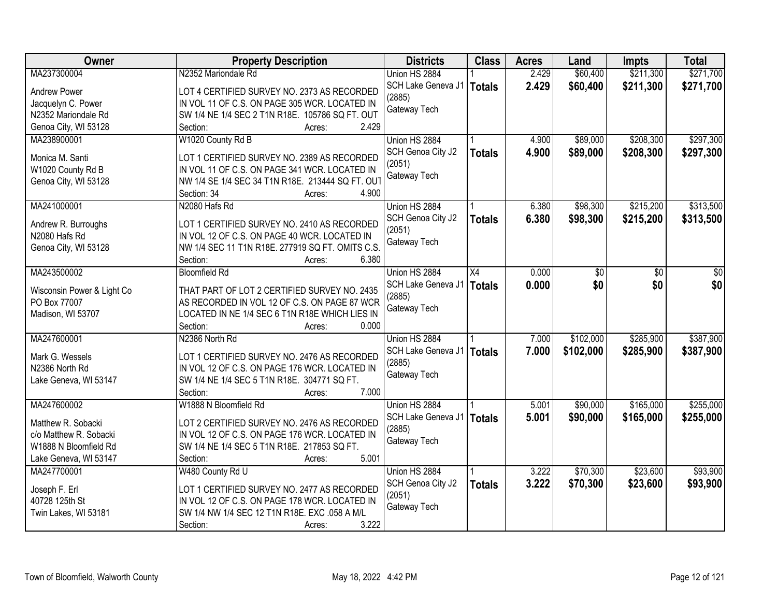| <b>Owner</b>               | <b>Property Description</b>                      | <b>Districts</b>   | <b>Class</b>  | <b>Acres</b> | Land      | <b>Impts</b> | <b>Total</b> |
|----------------------------|--------------------------------------------------|--------------------|---------------|--------------|-----------|--------------|--------------|
| MA237300004                | N2352 Mariondale Rd                              | Union HS 2884      |               | 2.429        | \$60,400  | \$211,300    | \$271,700    |
| <b>Andrew Power</b>        | LOT 4 CERTIFIED SURVEY NO. 2373 AS RECORDED      | SCH Lake Geneva J1 | <b>Totals</b> | 2.429        | \$60,400  | \$211,300    | \$271,700    |
| Jacquelyn C. Power         | IN VOL 11 OF C.S. ON PAGE 305 WCR. LOCATED IN    | (2885)             |               |              |           |              |              |
| N2352 Mariondale Rd        | SW 1/4 NE 1/4 SEC 2 T1N R18E. 105786 SQ FT. OUT  | Gateway Tech       |               |              |           |              |              |
| Genoa City, WI 53128       | 2.429<br>Section:<br>Acres:                      |                    |               |              |           |              |              |
| MA238900001                | W1020 County Rd B                                | Union HS 2884      |               | 4.900        | \$89,000  | \$208,300    | \$297,300    |
|                            |                                                  | SCH Genoa City J2  | <b>Totals</b> | 4.900        | \$89,000  | \$208,300    | \$297,300    |
| Monica M. Santi            | LOT 1 CERTIFIED SURVEY NO. 2389 AS RECORDED      | (2051)             |               |              |           |              |              |
| W1020 County Rd B          | IN VOL 11 OF C.S. ON PAGE 341 WCR. LOCATED IN    | Gateway Tech       |               |              |           |              |              |
| Genoa City, WI 53128       | NW 1/4 SE 1/4 SEC 34 T1N R18E. 213444 SQ FT. OUT |                    |               |              |           |              |              |
|                            | 4.900<br>Section: 34<br>Acres:                   |                    |               |              |           |              |              |
| MA241000001                | N2080 Hafs Rd                                    | Union HS 2884      |               | 6.380        | \$98,300  | \$215,200    | \$313,500    |
| Andrew R. Burroughs        | LOT 1 CERTIFIED SURVEY NO. 2410 AS RECORDED      | SCH Genoa City J2  | <b>Totals</b> | 6.380        | \$98,300  | \$215,200    | \$313,500    |
| N2080 Hafs Rd              | IN VOL 12 OF C.S. ON PAGE 40 WCR. LOCATED IN     | (2051)             |               |              |           |              |              |
| Genoa City, WI 53128       | NW 1/4 SEC 11 T1N R18E. 277919 SQ FT. OMITS C.S. | Gateway Tech       |               |              |           |              |              |
|                            | 6.380<br>Section:<br>Acres:                      |                    |               |              |           |              |              |
| MA243500002                | <b>Bloomfield Rd</b>                             | Union HS 2884      | X4            | 0.000        | \$0       | \$0          | \$0          |
|                            |                                                  | SCH Lake Geneva J1 | <b>Totals</b> | 0.000        | \$0       | \$0          | \$0          |
| Wisconsin Power & Light Co | THAT PART OF LOT 2 CERTIFIED SURVEY NO. 2435     | (2885)             |               |              |           |              |              |
| PO Box 77007               | AS RECORDED IN VOL 12 OF C.S. ON PAGE 87 WCR     | Gateway Tech       |               |              |           |              |              |
| Madison, WI 53707          | LOCATED IN NE 1/4 SEC 6 T1N R18E WHICH LIES IN   |                    |               |              |           |              |              |
|                            | Section:<br>0.000<br>Acres:                      |                    |               |              |           |              |              |
| MA247600001                | N2386 North Rd                                   | Union HS 2884      |               | 7.000        | \$102,000 | \$285,900    | \$387,900    |
| Mark G. Wessels            | LOT 1 CERTIFIED SURVEY NO. 2476 AS RECORDED      | SCH Lake Geneva J1 | <b>Totals</b> | 7.000        | \$102,000 | \$285,900    | \$387,900    |
| N2386 North Rd             | IN VOL 12 OF C.S. ON PAGE 176 WCR. LOCATED IN    | (2885)             |               |              |           |              |              |
| Lake Geneva, WI 53147      | SW 1/4 NE 1/4 SEC 5 T1N R18E. 304771 SQ FT.      | Gateway Tech       |               |              |           |              |              |
|                            | 7.000<br>Section:<br>Acres:                      |                    |               |              |           |              |              |
| MA247600002                | W1888 N Bloomfield Rd                            | Union HS 2884      |               | 5.001        | \$90,000  | \$165,000    | \$255,000    |
|                            |                                                  | SCH Lake Geneva J1 | <b>Totals</b> | 5.001        | \$90,000  | \$165,000    | \$255,000    |
| Matthew R. Sobacki         | LOT 2 CERTIFIED SURVEY NO. 2476 AS RECORDED      | (2885)             |               |              |           |              |              |
| c/o Matthew R. Sobacki     | IN VOL 12 OF C.S. ON PAGE 176 WCR. LOCATED IN    | Gateway Tech       |               |              |           |              |              |
| W1888 N Bloomfield Rd      | SW 1/4 NE 1/4 SEC 5 T1N R18E. 217853 SQ FT.      |                    |               |              |           |              |              |
| Lake Geneva, WI 53147      | 5.001<br>Section:<br>Acres:                      |                    |               |              |           |              |              |
| MA247700001                | W480 County Rd U                                 | Union HS 2884      |               | 3.222        | \$70,300  | \$23,600     | \$93,900     |
| Joseph F. Erl              | LOT 1 CERTIFIED SURVEY NO. 2477 AS RECORDED      | SCH Genoa City J2  | <b>Totals</b> | 3.222        | \$70,300  | \$23,600     | \$93,900     |
| 40728 125th St             | IN VOL 12 OF C.S. ON PAGE 178 WCR. LOCATED IN    | (2051)             |               |              |           |              |              |
| Twin Lakes, WI 53181       | SW 1/4 NW 1/4 SEC 12 T1N R18E. EXC .058 A M/L    | Gateway Tech       |               |              |           |              |              |
|                            | 3.222<br>Section:<br>Acres:                      |                    |               |              |           |              |              |
|                            |                                                  |                    |               |              |           |              |              |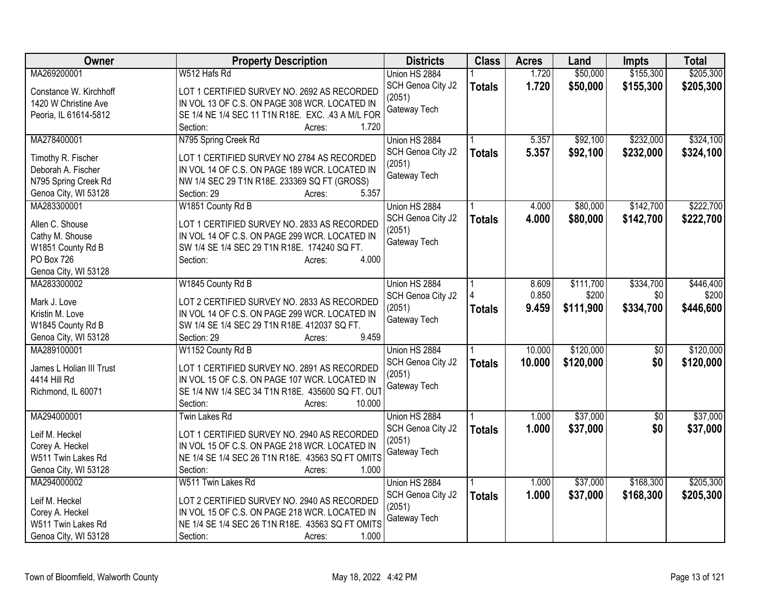| \$50,000<br>\$155,300<br>MA269200001<br>W512 Hafs Rd<br>Union HS 2884<br>1.720                                                              | \$205,300                                   | <b>Class</b>  | <b>Districts</b>  | <b>Property Description</b> | <b>Owner</b> |
|---------------------------------------------------------------------------------------------------------------------------------------------|---------------------------------------------|---------------|-------------------|-----------------------------|--------------|
|                                                                                                                                             |                                             |               |                   |                             |              |
| Constance W. Kirchhoff<br>LOT 1 CERTIFIED SURVEY NO. 2692 AS RECORDED                                                                       | 1.720<br>\$50,000<br>\$155,300<br>\$205,300 | <b>Totals</b> | SCH Genoa City J2 |                             |              |
| (2051)<br>IN VOL 13 OF C.S. ON PAGE 308 WCR. LOCATED IN<br>1420 W Christine Ave                                                             |                                             |               |                   |                             |              |
| Gateway Tech<br>SE 1/4 NE 1/4 SEC 11 T1N R18E. EXC. .43 A M/L FOR<br>Peoria, IL 61614-5812                                                  |                                             |               |                   |                             |              |
| Section:<br>1.720<br>Acres:                                                                                                                 |                                             |               |                   |                             |              |
| MA278400001<br>N795 Spring Creek Rd<br>\$92,100<br>\$232,000<br>Union HS 2884<br>5.357                                                      | \$324,100                                   |               |                   |                             |              |
| 5.357<br>\$92,100<br>\$232,000<br>SCH Genoa City J2<br><b>Totals</b>                                                                        | \$324,100                                   |               |                   |                             |              |
| Timothy R. Fischer<br>LOT 1 CERTIFIED SURVEY NO 2784 AS RECORDED<br>(2051)                                                                  |                                             |               |                   |                             |              |
| IN VOL 14 OF C.S. ON PAGE 189 WCR. LOCATED IN<br>Deborah A. Fischer<br>Gateway Tech                                                         |                                             |               |                   |                             |              |
| NW 1/4 SEC 29 T1N R18E. 233369 SQ FT (GROSS)<br>N795 Spring Creek Rd                                                                        |                                             |               |                   |                             |              |
| 5.357<br>Genoa City, WI 53128<br>Section: 29<br>Acres:                                                                                      |                                             |               |                   |                             |              |
| \$142,700<br>MA283300001<br>W1851 County Rd B<br>Union HS 2884<br>4.000<br>\$80,000                                                         | \$222,700                                   |               |                   |                             |              |
| 4.000<br>\$80,000<br>SCH Genoa City J2<br>\$142,700<br><b>Totals</b><br>Allen C. Shouse<br>LOT 1 CERTIFIED SURVEY NO. 2833 AS RECORDED      | \$222,700                                   |               |                   |                             |              |
| (2051)<br>Cathy M. Shouse<br>IN VOL 14 OF C.S. ON PAGE 299 WCR. LOCATED IN                                                                  |                                             |               |                   |                             |              |
| Gateway Tech<br>W1851 County Rd B<br>SW 1/4 SE 1/4 SEC 29 T1N R18E. 174240 SQ FT.                                                           |                                             |               |                   |                             |              |
| PO Box 726<br>4.000<br>Section:<br>Acres:                                                                                                   |                                             |               |                   |                             |              |
| Genoa City, WI 53128                                                                                                                        |                                             |               |                   |                             |              |
| MA283300002<br>W1845 County Rd B<br>Union HS 2884<br>\$111,700<br>\$334,700<br>8.609                                                        | \$446,400                                   |               |                   |                             |              |
| 0.850<br>\$200<br>\$0<br>SCH Genoa City J2                                                                                                  | \$200                                       |               |                   |                             |              |
| Mark J. Love<br>LOT 2 CERTIFIED SURVEY NO. 2833 AS RECORDED<br>9.459<br>\$111,900<br>\$334,700<br>(2051)<br><b>Totals</b>                   | \$446,600                                   |               |                   |                             |              |
| IN VOL 14 OF C.S. ON PAGE 299 WCR. LOCATED IN<br>Kristin M. Love<br>Gateway Tech                                                            |                                             |               |                   |                             |              |
| SW 1/4 SE 1/4 SEC 29 T1N R18E. 412037 SQ FT.<br>W1845 County Rd B                                                                           |                                             |               |                   |                             |              |
| 9.459<br>Genoa City, WI 53128<br>Section: 29<br>Acres:                                                                                      |                                             |               |                   |                             |              |
| MA289100001<br>\$120,000<br>W1152 County Rd B<br>Union HS 2884<br>10.000<br>\$0                                                             | \$120,000                                   |               |                   |                             |              |
| SCH Genoa City J2<br>10.000<br>\$120,000<br>\$0<br><b>Totals</b><br>James L Holian III Trust<br>LOT 1 CERTIFIED SURVEY NO. 2891 AS RECORDED | \$120,000                                   |               |                   |                             |              |
| (2051)<br>4414 Hill Rd<br>IN VOL 15 OF C.S. ON PAGE 107 WCR. LOCATED IN                                                                     |                                             |               |                   |                             |              |
| Gateway Tech<br>SE 1/4 NW 1/4 SEC 34 T1N R18E. 435600 SQ FT. OUT<br>Richmond, IL 60071                                                      |                                             |               |                   |                             |              |
| 10.000<br>Section:<br>Acres:                                                                                                                |                                             |               |                   |                             |              |
| \$37,000<br>MA294000001<br><b>Twin Lakes Rd</b><br>Union HS 2884<br>1.000<br>$\overline{50}$                                                | \$37,000                                    |               |                   |                             |              |
| 1.000<br>\$0<br>\$37,000<br>SCH Genoa City J2<br><b>Totals</b>                                                                              | \$37,000                                    |               |                   |                             |              |
| LOT 1 CERTIFIED SURVEY NO. 2940 AS RECORDED<br>Leif M. Heckel<br>(2051)                                                                     |                                             |               |                   |                             |              |
| IN VOL 15 OF C.S. ON PAGE 218 WCR. LOCATED IN<br>Corey A. Heckel<br>Gateway Tech                                                            |                                             |               |                   |                             |              |
| NE 1/4 SE 1/4 SEC 26 T1N R18E. 43563 SQ FT OMITS<br>W511 Twin Lakes Rd                                                                      |                                             |               |                   |                             |              |
| Genoa City, WI 53128<br>1.000<br>Section:<br>Acres:                                                                                         |                                             |               |                   |                             |              |
| MA294000002<br>\$37,000<br>\$168,300<br>W511 Twin Lakes Rd<br>Union HS 2884<br>1.000                                                        | \$205,300                                   |               |                   |                             |              |
| 1.000<br>SCH Genoa City J2<br>\$37,000<br>\$168,300<br><b>Totals</b><br>Leif M. Heckel<br>LOT 2 CERTIFIED SURVEY NO. 2940 AS RECORDED       | \$205,300                                   |               |                   |                             |              |
| (2051)<br>Corey A. Heckel<br>IN VOL 15 OF C.S. ON PAGE 218 WCR. LOCATED IN                                                                  |                                             |               |                   |                             |              |
| Gateway Tech<br>W511 Twin Lakes Rd<br>NE 1/4 SE 1/4 SEC 26 T1N R18E. 43563 SQ FT OMITS                                                      |                                             |               |                   |                             |              |
| 1.000<br>Section:<br>Genoa City, WI 53128<br>Acres:                                                                                         |                                             |               |                   |                             |              |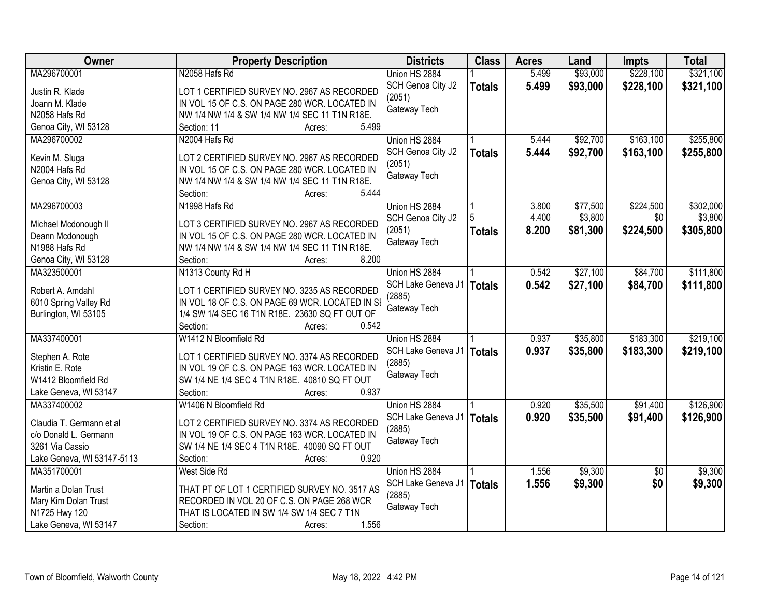| Owner                      | <b>Property Description</b>                     | <b>Districts</b>   | <b>Class</b>  | <b>Acres</b> | Land     | <b>Impts</b>    | <b>Total</b> |
|----------------------------|-------------------------------------------------|--------------------|---------------|--------------|----------|-----------------|--------------|
| MA296700001                | N2058 Hafs Rd                                   | Union HS 2884      |               | 5.499        | \$93,000 | \$228,100       | \$321,100    |
| Justin R. Klade            | LOT 1 CERTIFIED SURVEY NO. 2967 AS RECORDED     | SCH Genoa City J2  | <b>Totals</b> | 5.499        | \$93,000 | \$228,100       | \$321,100    |
| Joann M. Klade             | IN VOL 15 OF C.S. ON PAGE 280 WCR. LOCATED IN   | (2051)             |               |              |          |                 |              |
| N2058 Hafs Rd              | NW 1/4 NW 1/4 & SW 1/4 NW 1/4 SEC 11 T1N R18E.  | Gateway Tech       |               |              |          |                 |              |
| Genoa City, WI 53128       | 5.499<br>Section: 11<br>Acres:                  |                    |               |              |          |                 |              |
| MA296700002                | N2004 Hafs Rd                                   | Union HS 2884      |               | 5.444        | \$92,700 | \$163,100       | \$255,800    |
|                            |                                                 | SCH Genoa City J2  | <b>Totals</b> | 5.444        | \$92,700 | \$163,100       | \$255,800    |
| Kevin M. Sluga             | LOT 2 CERTIFIED SURVEY NO. 2967 AS RECORDED     | (2051)             |               |              |          |                 |              |
| N2004 Hafs Rd              | IN VOL 15 OF C.S. ON PAGE 280 WCR. LOCATED IN   | Gateway Tech       |               |              |          |                 |              |
| Genoa City, WI 53128       | NW 1/4 NW 1/4 & SW 1/4 NW 1/4 SEC 11 T1N R18E.  |                    |               |              |          |                 |              |
|                            | 5.444<br>Section:<br>Acres:                     |                    |               |              |          |                 |              |
| MA296700003                | N1998 Hafs Rd                                   | Union HS 2884      |               | 3.800        | \$77,500 | \$224,500       | \$302,000    |
| Michael Mcdonough II       | LOT 3 CERTIFIED SURVEY NO. 2967 AS RECORDED     | SCH Genoa City J2  |               | 4.400        | \$3,800  | \$0             | \$3,800      |
| Deann Mcdonough            | IN VOL 15 OF C.S. ON PAGE 280 WCR. LOCATED IN   | (2051)             | <b>Totals</b> | 8.200        | \$81,300 | \$224,500       | \$305,800    |
| N1988 Hafs Rd              | NW 1/4 NW 1/4 & SW 1/4 NW 1/4 SEC 11 T1N R18E.  | Gateway Tech       |               |              |          |                 |              |
| Genoa City, WI 53128       | 8.200<br>Section:<br>Acres:                     |                    |               |              |          |                 |              |
| MA323500001                | N1313 County Rd H                               | Union HS 2884      |               | 0.542        | \$27,100 | \$84,700        | \$111,800    |
|                            |                                                 | SCH Lake Geneva J1 | <b>Totals</b> | 0.542        | \$27,100 | \$84,700        | \$111,800    |
| Robert A. Amdahl           | LOT 1 CERTIFIED SURVEY NO. 3235 AS RECORDED     | (2885)             |               |              |          |                 |              |
| 6010 Spring Valley Rd      | IN VOL 18 OF C.S. ON PAGE 69 WCR. LOCATED IN SE | Gateway Tech       |               |              |          |                 |              |
| Burlington, WI 53105       | 1/4 SW 1/4 SEC 16 T1N R18E. 23630 SQ FT OUT OF  |                    |               |              |          |                 |              |
|                            | Section:<br>0.542<br>Acres:                     |                    |               |              |          |                 |              |
| MA337400001                | W1412 N Bloomfield Rd                           | Union HS 2884      |               | 0.937        | \$35,800 | \$183,300       | \$219,100    |
| Stephen A. Rote            | LOT 1 CERTIFIED SURVEY NO. 3374 AS RECORDED     | SCH Lake Geneva J1 | <b>Totals</b> | 0.937        | \$35,800 | \$183,300       | \$219,100    |
| Kristin E. Rote            | IN VOL 19 OF C.S. ON PAGE 163 WCR. LOCATED IN   | (2885)             |               |              |          |                 |              |
| W1412 Bloomfield Rd        | SW 1/4 NE 1/4 SEC 4 T1N R18E. 40810 SQ FT OUT   | Gateway Tech       |               |              |          |                 |              |
| Lake Geneva, WI 53147      | 0.937<br>Section:<br>Acres:                     |                    |               |              |          |                 |              |
| MA337400002                | W1406 N Bloomfield Rd                           | Union HS 2884      |               | 0.920        | \$35,500 | \$91,400        | \$126,900    |
|                            |                                                 | SCH Lake Geneva J1 | <b>Totals</b> | 0.920        | \$35,500 | \$91,400        | \$126,900    |
| Claudia T. Germann et al   | LOT 2 CERTIFIED SURVEY NO. 3374 AS RECORDED     | (2885)             |               |              |          |                 |              |
| c/o Donald L. Germann      | IN VOL 19 OF C.S. ON PAGE 163 WCR. LOCATED IN   | Gateway Tech       |               |              |          |                 |              |
| 3261 Via Cassio            | SW 1/4 NE 1/4 SEC 4 T1N R18E. 40090 SQ FT OUT   |                    |               |              |          |                 |              |
| Lake Geneva, WI 53147-5113 | 0.920<br>Section:<br>Acres:                     |                    |               |              |          |                 |              |
| MA351700001                | West Side Rd                                    | Union HS 2884      |               | 1.556        | \$9,300  | $\overline{30}$ | \$9,300      |
| Martin a Dolan Trust       | THAT PT OF LOT 1 CERTIFIED SURVEY NO. 3517 AS   | SCH Lake Geneva J1 | <b>Totals</b> | 1.556        | \$9,300  | \$0             | \$9,300      |
| Mary Kim Dolan Trust       | RECORDED IN VOL 20 OF C.S. ON PAGE 268 WCR      | (2885)             |               |              |          |                 |              |
| N1725 Hwy 120              | THAT IS LOCATED IN SW 1/4 SW 1/4 SEC 7 T1N      | Gateway Tech       |               |              |          |                 |              |
| Lake Geneva, WI 53147      | Section:<br>1.556<br>Acres:                     |                    |               |              |          |                 |              |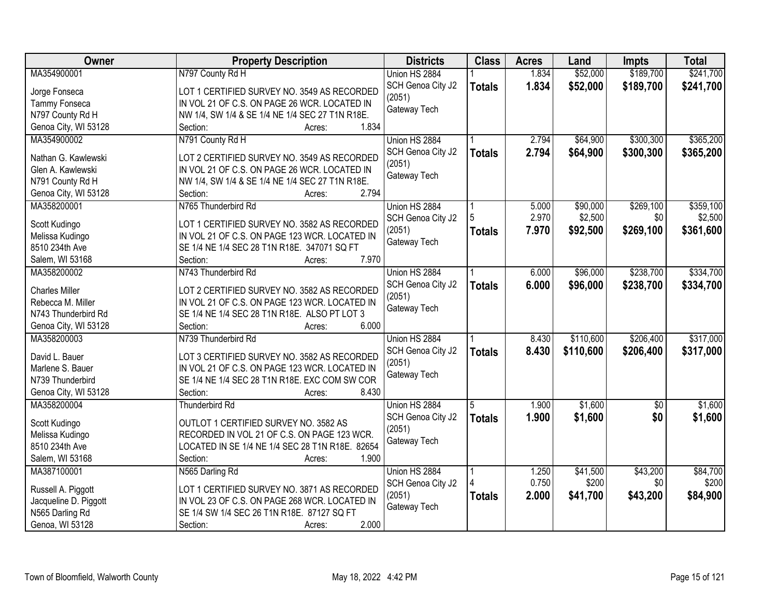| Owner                 | <b>Property Description</b>                                                                  | <b>Districts</b>  | <b>Class</b>  | <b>Acres</b> | Land      | <b>Impts</b> | <b>Total</b> |
|-----------------------|----------------------------------------------------------------------------------------------|-------------------|---------------|--------------|-----------|--------------|--------------|
| MA354900001           | N797 County Rd H                                                                             | Union HS 2884     |               | 1.834        | \$52,000  | \$189,700    | \$241,700    |
| Jorge Fonseca         | LOT 1 CERTIFIED SURVEY NO. 3549 AS RECORDED                                                  | SCH Genoa City J2 | <b>Totals</b> | 1.834        | \$52,000  | \$189,700    | \$241,700    |
| Tammy Fonseca         | IN VOL 21 OF C.S. ON PAGE 26 WCR. LOCATED IN                                                 | (2051)            |               |              |           |              |              |
| N797 County Rd H      | NW 1/4, SW 1/4 & SE 1/4 NE 1/4 SEC 27 T1N R18E.                                              | Gateway Tech      |               |              |           |              |              |
| Genoa City, WI 53128  | 1.834<br>Section:<br>Acres:                                                                  |                   |               |              |           |              |              |
| MA354900002           | N791 County Rd H                                                                             | Union HS 2884     |               | 2.794        | \$64,900  | \$300,300    | \$365,200    |
|                       |                                                                                              | SCH Genoa City J2 | <b>Totals</b> | 2.794        | \$64,900  | \$300,300    | \$365,200    |
| Nathan G. Kawlewski   | LOT 2 CERTIFIED SURVEY NO. 3549 AS RECORDED                                                  | (2051)            |               |              |           |              |              |
| Glen A. Kawlewski     | IN VOL 21 OF C.S. ON PAGE 26 WCR. LOCATED IN                                                 | Gateway Tech      |               |              |           |              |              |
| N791 County Rd H      | NW 1/4, SW 1/4 & SE 1/4 NE 1/4 SEC 27 T1N R18E.                                              |                   |               |              |           |              |              |
| Genoa City, WI 53128  | 2.794<br>Section:<br>Acres:                                                                  |                   |               |              |           |              |              |
| MA358200001           | N765 Thunderbird Rd                                                                          | Union HS 2884     |               | 5.000        | \$90,000  | \$269,100    | \$359,100    |
| Scott Kudingo         | LOT 1 CERTIFIED SURVEY NO. 3582 AS RECORDED                                                  | SCH Genoa City J2 |               | 2.970        | \$2,500   | \$0          | \$2,500      |
| Melissa Kudingo       | IN VOL 21 OF C.S. ON PAGE 123 WCR. LOCATED IN                                                | (2051)            | <b>Totals</b> | 7.970        | \$92,500  | \$269,100    | \$361,600    |
| 8510 234th Ave        | SE 1/4 NE 1/4 SEC 28 T1N R18E. 347071 SQ FT                                                  | Gateway Tech      |               |              |           |              |              |
| Salem, WI 53168       | 7.970<br>Section:<br>Acres:                                                                  |                   |               |              |           |              |              |
| MA358200002           | N743 Thunderbird Rd                                                                          | Union HS 2884     |               | 6.000        | \$96,000  | \$238,700    | \$334,700    |
|                       |                                                                                              | SCH Genoa City J2 |               | 6.000        | \$96,000  | \$238,700    | \$334,700    |
| <b>Charles Miller</b> | LOT 2 CERTIFIED SURVEY NO. 3582 AS RECORDED                                                  | (2051)            | <b>Totals</b> |              |           |              |              |
| Rebecca M. Miller     | IN VOL 21 OF C.S. ON PAGE 123 WCR. LOCATED IN                                                | Gateway Tech      |               |              |           |              |              |
| N743 Thunderbird Rd   | SE 1/4 NE 1/4 SEC 28 T1N R18E. ALSO PT LOT 3                                                 |                   |               |              |           |              |              |
| Genoa City, WI 53128  | Section:<br>6.000<br>Acres:                                                                  |                   |               |              |           |              |              |
| MA358200003           | N739 Thunderbird Rd                                                                          | Union HS 2884     |               | 8.430        | \$110,600 | \$206,400    | \$317,000    |
| David L. Bauer        |                                                                                              | SCH Genoa City J2 | <b>Totals</b> | 8.430        | \$110,600 | \$206,400    | \$317,000    |
| Marlene S. Bauer      | LOT 3 CERTIFIED SURVEY NO. 3582 AS RECORDED<br>IN VOL 21 OF C.S. ON PAGE 123 WCR. LOCATED IN | (2051)            |               |              |           |              |              |
| N739 Thunderbird      | SE 1/4 NE 1/4 SEC 28 T1N R18E. EXC COM SW COR                                                | Gateway Tech      |               |              |           |              |              |
| Genoa City, WI 53128  | 8.430<br>Section:<br>Acres:                                                                  |                   |               |              |           |              |              |
| MA358200004           |                                                                                              | Union HS 2884     |               | 1.900        | \$1,600   |              | \$1,600      |
|                       | Thunderbird Rd                                                                               |                   |               |              |           | $\sqrt{6}$   |              |
| Scott Kudingo         | OUTLOT 1 CERTIFIED SURVEY NO. 3582 AS                                                        | SCH Genoa City J2 | <b>Totals</b> | 1.900        | \$1,600   | \$0          | \$1,600      |
| Melissa Kudingo       | RECORDED IN VOL 21 OF C.S. ON PAGE 123 WCR.                                                  | (2051)            |               |              |           |              |              |
| 8510 234th Ave        | LOCATED IN SE 1/4 NE 1/4 SEC 28 T1N R18E. 82654                                              | Gateway Tech      |               |              |           |              |              |
| Salem, WI 53168       | Section:<br>1.900<br>Acres:                                                                  |                   |               |              |           |              |              |
| MA387100001           | N565 Darling Rd                                                                              | Union HS 2884     |               | 1.250        | \$41,500  | \$43,200     | \$84,700     |
|                       |                                                                                              | SCH Genoa City J2 |               | 0.750        | \$200     | \$0          | \$200        |
| Russell A. Piggott    | LOT 1 CERTIFIED SURVEY NO. 3871 AS RECORDED                                                  | (2051)            | <b>Totals</b> | 2.000        | \$41,700  | \$43,200     | \$84,900     |
| Jacqueline D. Piggott | IN VOL 23 OF C.S. ON PAGE 268 WCR. LOCATED IN                                                | Gateway Tech      |               |              |           |              |              |
| N565 Darling Rd       | SE 1/4 SW 1/4 SEC 26 T1N R18E. 87127 SQ FT                                                   |                   |               |              |           |              |              |
| Genoa, WI 53128       | 2.000<br>Section:<br>Acres:                                                                  |                   |               |              |           |              |              |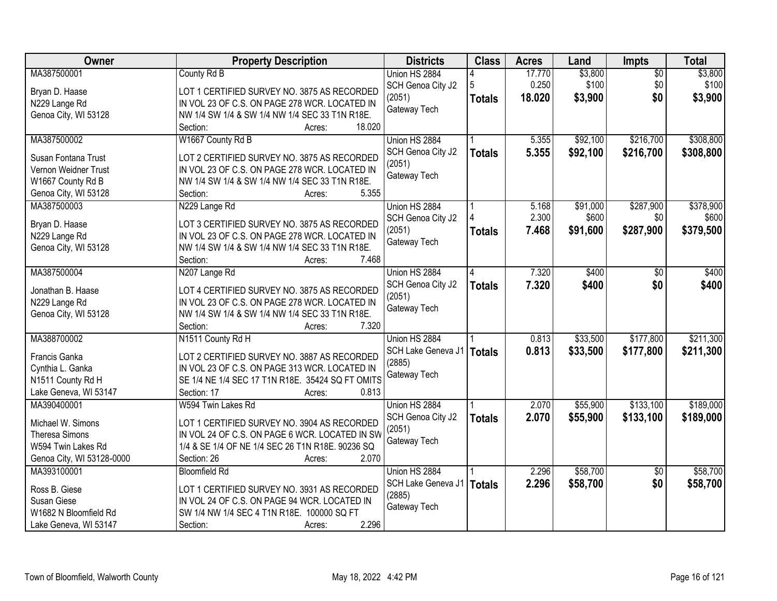| Owner                                       | <b>Property Description</b>                                                                  | <b>Districts</b>       | <b>Class</b>  | <b>Acres</b> | Land     | <b>Impts</b>    | <b>Total</b> |
|---------------------------------------------|----------------------------------------------------------------------------------------------|------------------------|---------------|--------------|----------|-----------------|--------------|
| MA387500001                                 | County Rd B                                                                                  | Union HS 2884          |               | 17.770       | \$3,800  | $\overline{50}$ | \$3,800      |
| Bryan D. Haase                              | LOT 1 CERTIFIED SURVEY NO. 3875 AS RECORDED                                                  | SCH Genoa City J2      | 5             | 0.250        | \$100    | \$0             | \$100        |
| N229 Lange Rd                               | IN VOL 23 OF C.S. ON PAGE 278 WCR. LOCATED IN                                                | (2051)                 | <b>Totals</b> | 18.020       | \$3,900  | \$0             | \$3,900      |
| Genoa City, WI 53128                        | NW 1/4 SW 1/4 & SW 1/4 NW 1/4 SEC 33 T1N R18E.                                               | Gateway Tech           |               |              |          |                 |              |
|                                             | 18.020<br>Section:<br>Acres:                                                                 |                        |               |              |          |                 |              |
| MA387500002                                 | W1667 County Rd B                                                                            | Union HS 2884          |               | 5.355        | \$92,100 | \$216,700       | \$308,800    |
|                                             |                                                                                              | SCH Genoa City J2      | <b>Totals</b> | 5.355        | \$92,100 | \$216,700       | \$308,800    |
| Susan Fontana Trust<br>Vernon Weidner Trust | LOT 2 CERTIFIED SURVEY NO. 3875 AS RECORDED<br>IN VOL 23 OF C.S. ON PAGE 278 WCR. LOCATED IN | (2051)                 |               |              |          |                 |              |
|                                             |                                                                                              | Gateway Tech           |               |              |          |                 |              |
| W1667 County Rd B                           | NW 1/4 SW 1/4 & SW 1/4 NW 1/4 SEC 33 T1N R18E.<br>5.355<br>Section:                          |                        |               |              |          |                 |              |
| Genoa City, WI 53128<br>MA387500003         | Acres:                                                                                       | Union HS 2884          |               | 5.168        | \$91,000 | \$287,900       | \$378,900    |
|                                             | N229 Lange Rd                                                                                |                        |               | 2.300        | \$600    | \$0             | \$600        |
| Bryan D. Haase                              | LOT 3 CERTIFIED SURVEY NO. 3875 AS RECORDED                                                  | SCH Genoa City J2      |               | 7.468        |          |                 |              |
| N229 Lange Rd                               | IN VOL 23 OF C.S. ON PAGE 278 WCR. LOCATED IN                                                | (2051)<br>Gateway Tech | <b>Totals</b> |              | \$91,600 | \$287,900       | \$379,500    |
| Genoa City, WI 53128                        | NW 1/4 SW 1/4 & SW 1/4 NW 1/4 SEC 33 T1N R18E.                                               |                        |               |              |          |                 |              |
|                                             | 7.468<br>Section:<br>Acres:                                                                  |                        |               |              |          |                 |              |
| MA387500004                                 | N207 Lange Rd                                                                                | Union HS 2884          | 4             | 7.320        | \$400    | \$0             | \$400        |
| Jonathan B. Haase                           | LOT 4 CERTIFIED SURVEY NO. 3875 AS RECORDED                                                  | SCH Genoa City J2      | <b>Totals</b> | 7.320        | \$400    | \$0             | \$400        |
|                                             | IN VOL 23 OF C.S. ON PAGE 278 WCR. LOCATED IN                                                | (2051)                 |               |              |          |                 |              |
| N229 Lange Rd<br>Genoa City, WI 53128       | NW 1/4 SW 1/4 & SW 1/4 NW 1/4 SEC 33 T1N R18E.                                               | Gateway Tech           |               |              |          |                 |              |
|                                             | Section:<br>7.320<br>Acres:                                                                  |                        |               |              |          |                 |              |
| MA388700002                                 | N1511 County Rd H                                                                            | Union HS 2884          |               | 0.813        | \$33,500 | \$177,800       | \$211,300    |
|                                             |                                                                                              | SCH Lake Geneva J1     |               | 0.813        |          |                 |              |
| Francis Ganka                               | LOT 2 CERTIFIED SURVEY NO. 3887 AS RECORDED                                                  | (2885)                 | <b>Totals</b> |              | \$33,500 | \$177,800       | \$211,300    |
| Cynthia L. Ganka                            | IN VOL 23 OF C.S. ON PAGE 313 WCR. LOCATED IN                                                | Gateway Tech           |               |              |          |                 |              |
| N1511 County Rd H                           | SE 1/4 NE 1/4 SEC 17 T1N R18E. 35424 SQ FT OMITS                                             |                        |               |              |          |                 |              |
| Lake Geneva, WI 53147                       | 0.813<br>Section: 17<br>Acres:                                                               |                        |               |              |          |                 |              |
| MA390400001                                 | W594 Twin Lakes Rd                                                                           | Union HS 2884          |               | 2.070        | \$55,900 | \$133,100       | \$189,000    |
| Michael W. Simons                           | LOT 1 CERTIFIED SURVEY NO. 3904 AS RECORDED                                                  | SCH Genoa City J2      | <b>Totals</b> | 2.070        | \$55,900 | \$133,100       | \$189,000    |
| <b>Theresa Simons</b>                       | IN VOL 24 OF C.S. ON PAGE 6 WCR. LOCATED IN SW                                               | (2051)                 |               |              |          |                 |              |
| W594 Twin Lakes Rd                          | 1/4 & SE 1/4 OF NE 1/4 SEC 26 T1N R18E. 90236 SQ                                             | Gateway Tech           |               |              |          |                 |              |
| Genoa City, WI 53128-0000                   | 2.070<br>Section: 26<br>Acres:                                                               |                        |               |              |          |                 |              |
| MA393100001                                 | <b>Bloomfield Rd</b>                                                                         | Union HS 2884          |               | 2.296        | \$58,700 | $\overline{50}$ | \$58,700     |
|                                             |                                                                                              | SCH Lake Geneva J1     | <b>Totals</b> | 2.296        | \$58,700 | \$0             | \$58,700     |
| Ross B. Giese                               | LOT 1 CERTIFIED SURVEY NO. 3931 AS RECORDED                                                  | (2885)                 |               |              |          |                 |              |
| Susan Giese                                 | IN VOL 24 OF C.S. ON PAGE 94 WCR. LOCATED IN                                                 | Gateway Tech           |               |              |          |                 |              |
| W1682 N Bloomfield Rd                       | SW 1/4 NW 1/4 SEC 4 T1N R18E. 100000 SQ FT                                                   |                        |               |              |          |                 |              |
| Lake Geneva, WI 53147                       | 2.296<br>Section:<br>Acres:                                                                  |                        |               |              |          |                 |              |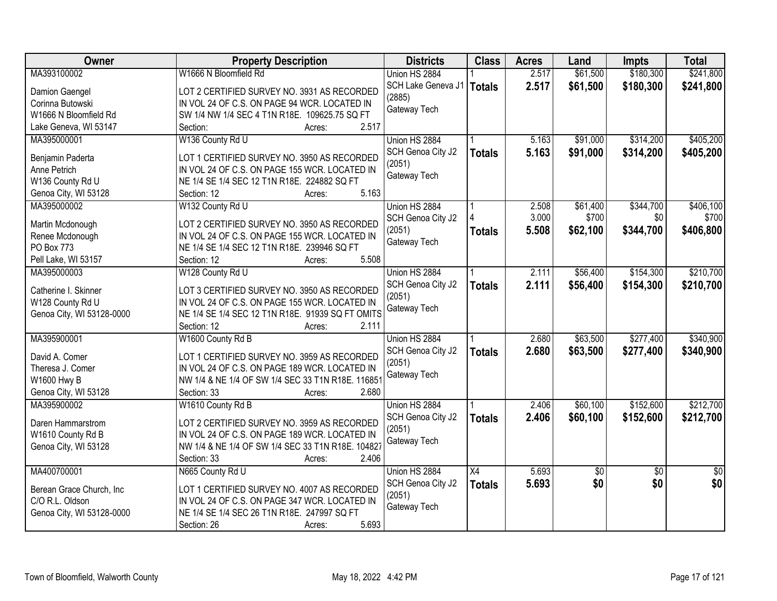| 2.517<br>\$61,500<br>\$180,300<br>MA393100002<br>W1666 N Bloomfield Rd<br>Union HS 2884                                                  |                 |
|------------------------------------------------------------------------------------------------------------------------------------------|-----------------|
|                                                                                                                                          | \$241,800       |
| 2.517<br>SCH Lake Geneva J1   Totals<br>\$61,500<br>\$180,300<br>LOT 2 CERTIFIED SURVEY NO. 3931 AS RECORDED<br>Damion Gaengel<br>(2885) | \$241,800       |
| Corinna Butowski<br>IN VOL 24 OF C.S. ON PAGE 94 WCR. LOCATED IN                                                                         |                 |
| Gateway Tech<br>W1666 N Bloomfield Rd<br>SW 1/4 NW 1/4 SEC 4 T1N R18E. 109625.75 SQ FT                                                   |                 |
| 2.517<br>Lake Geneva, WI 53147<br>Section:<br>Acres:                                                                                     |                 |
| \$91,000<br>\$314,200<br>MA395000001<br>W136 County Rd U<br>Union HS 2884<br>5.163                                                       | \$405,200       |
| 5.163<br>SCH Genoa City J2<br>\$91,000<br>\$314,200<br><b>Totals</b><br>LOT 1 CERTIFIED SURVEY NO. 3950 AS RECORDED                      | \$405,200       |
| Benjamin Paderta<br>(2051)<br>Anne Petrich<br>IN VOL 24 OF C.S. ON PAGE 155 WCR. LOCATED IN                                              |                 |
| Gateway Tech<br>W136 County Rd U<br>NE 1/4 SE 1/4 SEC 12 T1N R18E. 224882 SQ FT                                                          |                 |
| 5.163                                                                                                                                    |                 |
| Genoa City, WI 53128<br>Section: 12<br>Acres:                                                                                            |                 |
| W132 County Rd U<br>Union HS 2884<br>\$61,400<br>\$344,700<br>MA395000002<br>2.508                                                       | \$406,100       |
| 3.000<br>\$700<br>\$0<br>SCH Genoa City J2<br>LOT 2 CERTIFIED SURVEY NO. 3950 AS RECORDED<br>Martin Mcdonough                            | \$700           |
| 5.508<br>\$344,700<br>(2051)<br>\$62,100<br><b>Totals</b><br>IN VOL 24 OF C.S. ON PAGE 155 WCR. LOCATED IN<br>Renee Mcdonough            | \$406,800       |
| Gateway Tech<br>PO Box 773<br>NE 1/4 SE 1/4 SEC 12 T1N R18E. 239946 SQ FT                                                                |                 |
| 5.508<br>Pell Lake, WI 53157<br>Section: 12<br>Acres:                                                                                    |                 |
| MA395000003<br>\$56,400<br>\$154,300<br>W128 County Rd U<br>2.111<br>Union HS 2884                                                       | \$210,700       |
| SCH Genoa City J2<br>2.111<br>\$56,400<br>\$154,300<br><b>Totals</b>                                                                     | \$210,700       |
| Catherine I. Skinner<br>LOT 3 CERTIFIED SURVEY NO. 3950 AS RECORDED<br>(2051)                                                            |                 |
| W128 County Rd U<br>IN VOL 24 OF C.S. ON PAGE 155 WCR. LOCATED IN<br>Gateway Tech                                                        |                 |
| Genoa City, WI 53128-0000<br>NE 1/4 SE 1/4 SEC 12 T1N R18E. 91939 SQ FT OMITS                                                            |                 |
| Section: 12<br>2.111<br>Acres:                                                                                                           |                 |
| \$63,500<br>\$277,400<br>MA395900001<br>W1600 County Rd B<br>2.680<br>Union HS 2884                                                      | \$340,900       |
| 2.680<br>\$63,500<br>\$277,400<br>SCH Genoa City J2<br><b>Totals</b><br>David A. Comer<br>LOT 1 CERTIFIED SURVEY NO. 3959 AS RECORDED    | \$340,900       |
| (2051)<br>IN VOL 24 OF C.S. ON PAGE 189 WCR. LOCATED IN<br>Theresa J. Comer                                                              |                 |
| Gateway Tech<br>W1600 Hwy B<br>NW 1/4 & NE 1/4 OF SW 1/4 SEC 33 T1N R18E. 116851                                                         |                 |
| Genoa City, WI 53128<br>2.680<br>Section: 33<br>Acres:                                                                                   |                 |
| MA395900002<br>2.406<br>\$60,100<br>\$152,600<br>W1610 County Rd B<br>Union HS 2884                                                      | \$212,700       |
| \$152,600<br>2.406<br>\$60,100<br>SCH Genoa City J2<br><b>Totals</b>                                                                     | \$212,700       |
| LOT 2 CERTIFIED SURVEY NO. 3959 AS RECORDED<br>Daren Hammarstrom<br>(2051)                                                               |                 |
| W1610 County Rd B<br>IN VOL 24 OF C.S. ON PAGE 189 WCR. LOCATED IN<br>Gateway Tech                                                       |                 |
| Genoa City, WI 53128<br>NW 1/4 & NE 1/4 OF SW 1/4 SEC 33 T1N R18E. 104827                                                                |                 |
| 2.406<br>Section: 33<br>Acres:                                                                                                           |                 |
| MA400700001<br>N665 County Rd U<br>Union HS 2884<br>X4<br>5.693<br>$\overline{50}$<br>$\overline{50}$                                    | $\overline{50}$ |
| \$0<br>\$0<br>SCH Genoa City J2<br>5.693<br><b>Totals</b><br>Berean Grace Church, Inc<br>LOT 1 CERTIFIED SURVEY NO. 4007 AS RECORDED     | \$0             |
| (2051)<br>C/O R.L. Oldson<br>IN VOL 24 OF C.S. ON PAGE 347 WCR. LOCATED IN                                                               |                 |
| Gateway Tech<br>NE 1/4 SE 1/4 SEC 26 T1N R18E. 247997 SQ FT<br>Genoa City, WI 53128-0000                                                 |                 |
| 5.693<br>Section: 26<br>Acres:                                                                                                           |                 |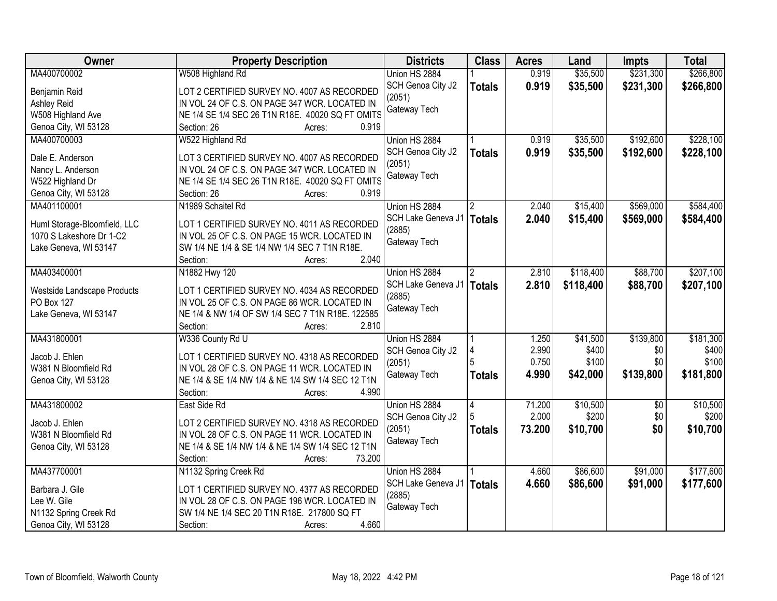| Owner                                                    | <b>Property Description</b>                            | <b>Districts</b>   | <b>Class</b>         | <b>Acres</b> | Land      | <b>Impts</b>    | <b>Total</b> |
|----------------------------------------------------------|--------------------------------------------------------|--------------------|----------------------|--------------|-----------|-----------------|--------------|
| MA400700002                                              | W508 Highland Rd                                       | Union HS 2884      |                      | 0.919        | \$35,500  | \$231,300       | \$266,800    |
| Benjamin Reid                                            | LOT 2 CERTIFIED SURVEY NO. 4007 AS RECORDED            | SCH Genoa City J2  | <b>Totals</b>        | 0.919        | \$35,500  | \$231,300       | \$266,800    |
| Ashley Reid                                              | IN VOL 24 OF C.S. ON PAGE 347 WCR. LOCATED IN          | (2051)             |                      |              |           |                 |              |
| W508 Highland Ave                                        | NE 1/4 SE 1/4 SEC 26 T1N R18E. 40020 SQ FT OMITS       | Gateway Tech       |                      |              |           |                 |              |
| Genoa City, WI 53128                                     | 0.919<br>Section: 26<br>Acres:                         |                    |                      |              |           |                 |              |
| MA400700003                                              | W522 Highland Rd                                       | Union HS 2884      |                      | 0.919        | \$35,500  | \$192,600       | \$228,100    |
|                                                          |                                                        | SCH Genoa City J2  |                      | 0.919        | \$35,500  | \$192,600       | \$228,100    |
| Dale E. Anderson                                         | LOT 3 CERTIFIED SURVEY NO. 4007 AS RECORDED            | (2051)             | <b>Totals</b>        |              |           |                 |              |
| Nancy L. Anderson                                        | IN VOL 24 OF C.S. ON PAGE 347 WCR. LOCATED IN          | Gateway Tech       |                      |              |           |                 |              |
| W522 Highland Dr                                         | NE 1/4 SE 1/4 SEC 26 T1N R18E. 40020 SQ FT OMITS       |                    |                      |              |           |                 |              |
| Genoa City, WI 53128                                     | 0.919<br>Section: 26<br>Acres:                         |                    |                      |              |           |                 |              |
| MA401100001                                              | N1989 Schaitel Rd                                      | Union HS 2884      |                      | 2.040        | \$15,400  | \$569,000       | \$584,400    |
|                                                          | LOT 1 CERTIFIED SURVEY NO. 4011 AS RECORDED            | SCH Lake Geneva J1 | <b>Totals</b>        | 2.040        | \$15,400  | \$569,000       | \$584,400    |
| Huml Storage-Bloomfield, LLC<br>1070 S Lakeshore Dr 1-C2 |                                                        | (2885)             |                      |              |           |                 |              |
|                                                          | IN VOL 25 OF C.S. ON PAGE 15 WCR. LOCATED IN           | Gateway Tech       |                      |              |           |                 |              |
| Lake Geneva, WI 53147                                    | SW 1/4 NE 1/4 & SE 1/4 NW 1/4 SEC 7 T1N R18E.<br>2.040 |                    |                      |              |           |                 |              |
|                                                          | Section:<br>Acres:                                     |                    |                      |              |           |                 |              |
| MA403400001                                              | N1882 Hwy 120                                          | Union HS 2884      | $\mathbf{2}^{\circ}$ | 2.810        | \$118,400 | \$88,700        | \$207,100    |
| Westside Landscape Products                              | LOT 1 CERTIFIED SURVEY NO. 4034 AS RECORDED            | SCH Lake Geneva J1 | <b>Totals</b>        | 2.810        | \$118,400 | \$88,700        | \$207,100    |
| PO Box 127                                               | IN VOL 25 OF C.S. ON PAGE 86 WCR. LOCATED IN           | (2885)             |                      |              |           |                 |              |
| Lake Geneva, WI 53147                                    | NE 1/4 & NW 1/4 OF SW 1/4 SEC 7 T1N R18E. 122585       | Gateway Tech       |                      |              |           |                 |              |
|                                                          | 2.810<br>Section:<br>Acres:                            |                    |                      |              |           |                 |              |
| MA431800001                                              | W336 County Rd U                                       | Union HS 2884      |                      | 1.250        | \$41,500  | \$139,800       | \$181,300    |
|                                                          |                                                        | SCH Genoa City J2  |                      | 2.990        | \$400     | \$0             | \$400        |
| Jacob J. Ehlen                                           | LOT 1 CERTIFIED SURVEY NO. 4318 AS RECORDED            | (2051)             |                      | 0.750        | \$100     | \$0             | \$100        |
| W381 N Bloomfield Rd                                     | IN VOL 28 OF C.S. ON PAGE 11 WCR. LOCATED IN           | Gateway Tech       | <b>Totals</b>        | 4.990        | \$42,000  | \$139,800       | \$181,800    |
| Genoa City, WI 53128                                     | NE 1/4 & SE 1/4 NW 1/4 & NE 1/4 SW 1/4 SEC 12 T1N      |                    |                      |              |           |                 |              |
|                                                          | 4.990<br>Section:<br>Acres:                            |                    |                      |              |           |                 |              |
| MA431800002                                              | East Side Rd                                           | Union HS 2884      | 4                    | 71.200       | \$10,500  | $\overline{50}$ | \$10,500     |
| Jacob J. Ehlen                                           | LOT 2 CERTIFIED SURVEY NO. 4318 AS RECORDED            | SCH Genoa City J2  |                      | 2.000        | \$200     | \$0             | \$200        |
| W381 N Bloomfield Rd                                     | IN VOL 28 OF C.S. ON PAGE 11 WCR. LOCATED IN           | (2051)             | <b>Totals</b>        | 73.200       | \$10,700  | \$0             | \$10,700     |
| Genoa City, WI 53128                                     | NE 1/4 & SE 1/4 NW 1/4 & NE 1/4 SW 1/4 SEC 12 T1N      | Gateway Tech       |                      |              |           |                 |              |
|                                                          | Section:<br>73.200<br>Acres:                           |                    |                      |              |           |                 |              |
| MA437700001                                              | N1132 Spring Creek Rd                                  | Union HS 2884      |                      | 4.660        | \$86,600  | \$91,000        | \$177,600    |
|                                                          |                                                        | SCH Lake Geneva J1 | <b>Totals</b>        | 4.660        | \$86,600  | \$91,000        | \$177,600    |
| Barbara J. Gile                                          | LOT 1 CERTIFIED SURVEY NO. 4377 AS RECORDED            | (2885)             |                      |              |           |                 |              |
| Lee W. Gile                                              | IN VOL 28 OF C.S. ON PAGE 196 WCR. LOCATED IN          | Gateway Tech       |                      |              |           |                 |              |
| N1132 Spring Creek Rd                                    | SW 1/4 NE 1/4 SEC 20 T1N R18E. 217800 SQ FT            |                    |                      |              |           |                 |              |
| Genoa City, WI 53128                                     | 4.660<br>Section:<br>Acres:                            |                    |                      |              |           |                 |              |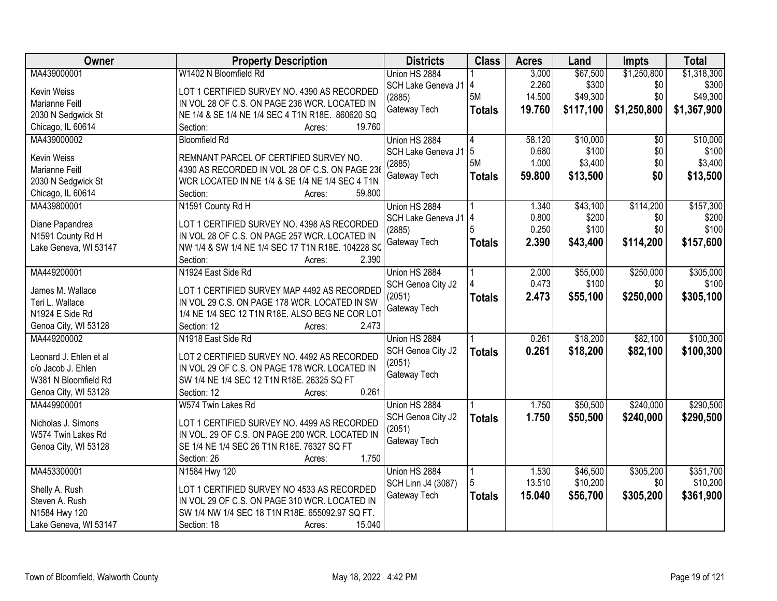| Owner                  | <b>Property Description</b>                                                                  | <b>Districts</b>          | <b>Class</b>  | <b>Acres</b>   | Land           | <b>Impts</b>    | <b>Total</b>   |
|------------------------|----------------------------------------------------------------------------------------------|---------------------------|---------------|----------------|----------------|-----------------|----------------|
| MA439000001            | W1402 N Bloomfield Rd                                                                        | Union HS 2884             |               | 3.000          | \$67,500       | \$1,250,800     | \$1,318,300    |
| Kevin Weiss            | LOT 1 CERTIFIED SURVEY NO. 4390 AS RECORDED                                                  | SCH Lake Geneva J1 4      |               | 2.260          | \$300          | \$0             | \$300          |
| Marianne Feitl         | IN VOL 28 OF C.S. ON PAGE 236 WCR. LOCATED IN                                                | (2885)                    | 5M            | 14.500         | \$49,300       | \$0             | \$49,300       |
| 2030 N Sedgwick St     | NE 1/4 & SE 1/4 NE 1/4 SEC 4 T1N R18E. 860620 SQ                                             | Gateway Tech              | <b>Totals</b> | 19.760         | \$117,100      | \$1,250,800     | \$1,367,900    |
| Chicago, IL 60614      | 19.760<br>Section:<br>Acres:                                                                 |                           |               |                |                |                 |                |
| MA439000002            | <b>Bloomfield Rd</b>                                                                         | Union HS 2884             |               | 58.120         | \$10,000       | $\overline{50}$ | \$10,000       |
|                        |                                                                                              | SCH Lake Geneva J1        | 5             | 0.680          | \$100          | \$0             | \$100          |
| <b>Kevin Weiss</b>     | REMNANT PARCEL OF CERTIFIED SURVEY NO.                                                       | (2885)                    | 5M            | 1.000          | \$3,400        | \$0             | \$3,400        |
| Marianne Feitl         | 4390 AS RECORDED IN VOL 28 OF C.S. ON PAGE 236                                               | Gateway Tech              | <b>Totals</b> | 59.800         | \$13,500       | \$0             | \$13,500       |
| 2030 N Sedgwick St     | WCR LOCATED IN NE 1/4 & SE 1/4 NE 1/4 SEC 4 T1N                                              |                           |               |                |                |                 |                |
| Chicago, IL 60614      | 59.800<br>Section:<br>Acres:                                                                 |                           |               |                |                |                 |                |
| MA439800001            | N1591 County Rd H                                                                            | Union HS 2884             |               | 1.340          | \$43,100       | \$114,200       | \$157,300      |
| Diane Papandrea        | LOT 1 CERTIFIED SURVEY NO. 4398 AS RECORDED                                                  | SCH Lake Geneva J1        | 14            | 0.800<br>0.250 | \$200<br>\$100 | \$0<br>\$0      | \$200<br>\$100 |
| N1591 County Rd H      | IN VOL 28 OF C.S. ON PAGE 257 WCR. LOCATED IN                                                | (2885)                    |               |                |                |                 |                |
| Lake Geneva, WI 53147  | NW 1/4 & SW 1/4 NE 1/4 SEC 17 T1N R18E. 104228 SC                                            | Gateway Tech              | <b>Totals</b> | 2.390          | \$43,400       | \$114,200       | \$157,600      |
|                        | 2.390<br>Section:<br>Acres:                                                                  |                           |               |                |                |                 |                |
| MA449200001            | N1924 East Side Rd                                                                           | Union HS 2884             |               | 2.000          | \$55,000       | \$250,000       | \$305,000      |
| James M. Wallace       |                                                                                              | SCH Genoa City J2         |               | 0.473          | \$100          | \$0             | \$100          |
| Teri L. Wallace        | LOT 1 CERTIFIED SURVEY MAP 4492 AS RECORDED<br>IN VOL 29 C.S. ON PAGE 178 WCR. LOCATED IN SW | (2051)                    | <b>Totals</b> | 2.473          | \$55,100       | \$250,000       | \$305,100      |
| N1924 E Side Rd        | 1/4 NE 1/4 SEC 12 T1N R18E. ALSO BEG NE COR LOT                                              | Gateway Tech              |               |                |                |                 |                |
| Genoa City, WI 53128   | Section: 12<br>2.473<br>Acres:                                                               |                           |               |                |                |                 |                |
| MA449200002            | N1918 East Side Rd                                                                           | Union HS 2884             |               | 0.261          | \$18,200       | \$82,100        | \$100,300      |
|                        |                                                                                              | SCH Genoa City J2         | <b>Totals</b> | 0.261          | \$18,200       | \$82,100        | \$100,300      |
| Leonard J. Ehlen et al | LOT 2 CERTIFIED SURVEY NO. 4492 AS RECORDED                                                  | (2051)                    |               |                |                |                 |                |
| c/o Jacob J. Ehlen     | IN VOL 29 OF C.S. ON PAGE 178 WCR. LOCATED IN                                                | Gateway Tech              |               |                |                |                 |                |
| W381 N Bloomfield Rd   | SW 1/4 NE 1/4 SEC 12 T1N R18E. 26325 SQ FT                                                   |                           |               |                |                |                 |                |
| Genoa City, WI 53128   | 0.261<br>Section: 12<br>Acres:                                                               |                           |               |                |                |                 |                |
| MA449900001            | W574 Twin Lakes Rd                                                                           | Union HS 2884             |               | 1.750          | \$50,500       | \$240,000       | \$290,500      |
| Nicholas J. Simons     | LOT 1 CERTIFIED SURVEY NO. 4499 AS RECORDED                                                  | SCH Genoa City J2         | <b>Totals</b> | 1.750          | \$50,500       | \$240,000       | \$290,500      |
| W574 Twin Lakes Rd     | IN VOL. 29 OF C.S. ON PAGE 200 WCR. LOCATED IN                                               | (2051)                    |               |                |                |                 |                |
| Genoa City, WI 53128   | SE 1/4 NE 1/4 SEC 26 T1N R18E. 76327 SQ FT                                                   | Gateway Tech              |               |                |                |                 |                |
|                        | 1.750<br>Section: 26<br>Acres:                                                               |                           |               |                |                |                 |                |
| MA453300001            | N1584 Hwy 120                                                                                | Union HS 2884             |               | 1.530          | \$46,500       | \$305,200       | \$351,700      |
|                        |                                                                                              | <b>SCH Linn J4 (3087)</b> |               | 13.510         | \$10,200       | \$0             | \$10,200       |
| Shelly A. Rush         | LOT 1 CERTIFIED SURVEY NO 4533 AS RECORDED                                                   | Gateway Tech              | <b>Totals</b> | 15.040         | \$56,700       | \$305,200       | \$361,900      |
| Steven A. Rush         | IN VOL 29 OF C.S. ON PAGE 310 WCR. LOCATED IN                                                |                           |               |                |                |                 |                |
| N1584 Hwy 120          | SW 1/4 NW 1/4 SEC 18 T1N R18E. 655092.97 SQ FT.                                              |                           |               |                |                |                 |                |
| Lake Geneva, WI 53147  | 15.040<br>Section: 18<br>Acres:                                                              |                           |               |                |                |                 |                |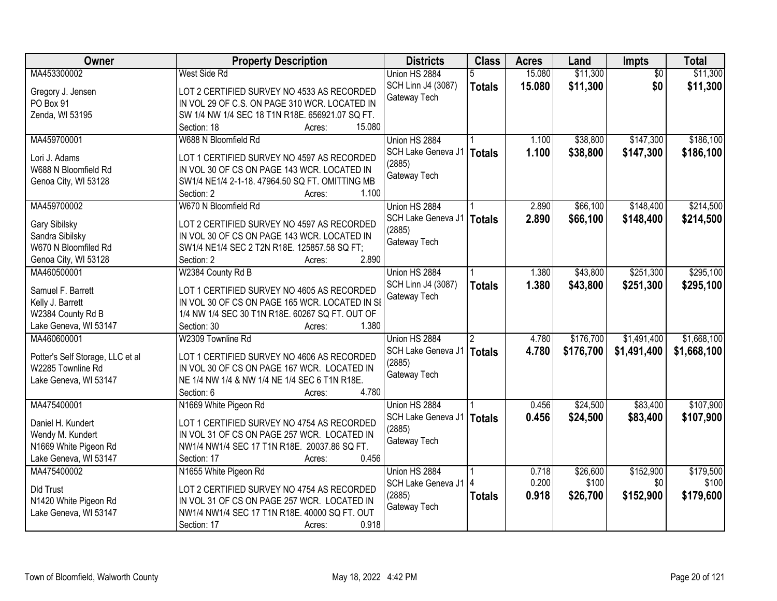| Owner                            | <b>Property Description</b>                                            | <b>Districts</b>          | <b>Class</b>  | <b>Acres</b> | Land      | <b>Impts</b>    | <b>Total</b> |
|----------------------------------|------------------------------------------------------------------------|---------------------------|---------------|--------------|-----------|-----------------|--------------|
| MA453300002                      | West Side Rd                                                           | Union HS 2884             | 5             | 15.080       | \$11,300  | $\overline{50}$ | \$11,300     |
| Gregory J. Jensen                | LOT 2 CERTIFIED SURVEY NO 4533 AS RECORDED                             | <b>SCH Linn J4 (3087)</b> | <b>Totals</b> | 15.080       | \$11,300  | \$0             | \$11,300     |
| PO Box 91                        | IN VOL 29 OF C.S. ON PAGE 310 WCR. LOCATED IN                          | Gateway Tech              |               |              |           |                 |              |
| Zenda, WI 53195                  | SW 1/4 NW 1/4 SEC 18 T1N R18E. 656921.07 SQ FT.                        |                           |               |              |           |                 |              |
|                                  | Section: 18<br>15.080<br>Acres:                                        |                           |               |              |           |                 |              |
| MA459700001                      | W688 N Bloomfield Rd                                                   | Union HS 2884             |               | 1.100        | \$38,800  | \$147,300       | \$186,100    |
|                                  |                                                                        | SCH Lake Geneva J1        | <b>Totals</b> | 1.100        | \$38,800  | \$147,300       | \$186,100    |
| Lori J. Adams                    | LOT 1 CERTIFIED SURVEY NO 4597 AS RECORDED                             | (2885)                    |               |              |           |                 |              |
| W688 N Bloomfield Rd             | IN VOL 30 OF CS ON PAGE 143 WCR. LOCATED IN                            | Gateway Tech              |               |              |           |                 |              |
| Genoa City, WI 53128             | SW1/4 NE1/4 2-1-18. 47964.50 SQ FT. OMITTING MB<br>1.100<br>Section: 2 |                           |               |              |           |                 |              |
| MA459700002                      | Acres:<br>W670 N Bloomfield Rd                                         | Union HS 2884             |               | 2.890        | \$66,100  | \$148,400       | \$214,500    |
|                                  |                                                                        | SCH Lake Geneva J1        |               |              |           |                 |              |
| Gary Sibilsky                    | LOT 2 CERTIFIED SURVEY NO 4597 AS RECORDED                             | (2885)                    | <b>Totals</b> | 2.890        | \$66,100  | \$148,400       | \$214,500    |
| Sandra Sibilsky                  | IN VOL 30 OF CS ON PAGE 143 WCR. LOCATED IN                            | Gateway Tech              |               |              |           |                 |              |
| W670 N Bloomfiled Rd             | SW1/4 NE1/4 SEC 2 T2N R18E. 125857.58 SQ FT;                           |                           |               |              |           |                 |              |
| Genoa City, WI 53128             | 2.890<br>Section: 2<br>Acres:                                          |                           |               |              |           |                 |              |
| MA460500001                      | W2384 County Rd B                                                      | Union HS 2884             |               | 1.380        | \$43,800  | \$251,300       | \$295,100    |
| Samuel F. Barrett                | LOT 1 CERTIFIED SURVEY NO 4605 AS RECORDED                             | SCH Linn J4 (3087)        | <b>Totals</b> | 1.380        | \$43,800  | \$251,300       | \$295,100    |
| Kelly J. Barrett                 | IN VOL 30 OF CS ON PAGE 165 WCR. LOCATED IN SE                         | Gateway Tech              |               |              |           |                 |              |
| W2384 County Rd B                | 1/4 NW 1/4 SEC 30 T1N R18E. 60267 SQ FT. OUT OF                        |                           |               |              |           |                 |              |
| Lake Geneva, WI 53147            | 1.380<br>Section: 30<br>Acres:                                         |                           |               |              |           |                 |              |
| MA460600001                      | W2309 Townline Rd                                                      | Union HS 2884             |               | 4.780        | \$176,700 | \$1,491,400     | \$1,668,100  |
|                                  |                                                                        | SCH Lake Geneva J1        | <b>Totals</b> | 4.780        | \$176,700 | \$1,491,400     | \$1,668,100  |
| Potter's Self Storage, LLC et al | LOT 1 CERTIFIED SURVEY NO 4606 AS RECORDED                             | (2885)                    |               |              |           |                 |              |
| W2285 Townline Rd                | IN VOL 30 OF CS ON PAGE 167 WCR. LOCATED IN                            | Gateway Tech              |               |              |           |                 |              |
| Lake Geneva, WI 53147            | NE 1/4 NW 1/4 & NW 1/4 NE 1/4 SEC 6 T1N R18E.                          |                           |               |              |           |                 |              |
|                                  | 4.780<br>Section: 6<br>Acres:                                          |                           |               |              |           |                 |              |
| MA475400001                      | N1669 White Pigeon Rd                                                  | Union HS 2884             |               | 0.456        | \$24,500  | \$83,400        | \$107,900    |
| Daniel H. Kundert                | LOT 1 CERTIFIED SURVEY NO 4754 AS RECORDED                             | SCH Lake Geneva J1        | <b>Totals</b> | 0.456        | \$24,500  | \$83,400        | \$107,900    |
| Wendy M. Kundert                 | IN VOL 31 OF CS ON PAGE 257 WCR. LOCATED IN                            | (2885)                    |               |              |           |                 |              |
| N1669 White Pigeon Rd            | NW1/4 NW1/4 SEC 17 T1N R18E. 20037.86 SQ FT.                           | Gateway Tech              |               |              |           |                 |              |
| Lake Geneva, WI 53147            | 0.456<br>Section: 17<br>Acres:                                         |                           |               |              |           |                 |              |
| MA475400002                      | N1655 White Pigeon Rd                                                  | Union HS 2884             |               | 0.718        | \$26,600  | \$152,900       | \$179,500    |
|                                  |                                                                        | SCH Lake Geneva J1   4    |               | 0.200        | \$100     | \$0             | \$100        |
| <b>Dld Trust</b>                 | LOT 2 CERTIFIED SURVEY NO 4754 AS RECORDED                             | (2885)                    | <b>Totals</b> | 0.918        | \$26,700  | \$152,900       | \$179,600    |
| N1420 White Pigeon Rd            | IN VOL 31 OF CS ON PAGE 257 WCR. LOCATED IN                            | Gateway Tech              |               |              |           |                 |              |
| Lake Geneva, WI 53147            | NW1/4 NW1/4 SEC 17 T1N R18E. 40000 SQ FT. OUT                          |                           |               |              |           |                 |              |
|                                  | 0.918<br>Section: 17<br>Acres:                                         |                           |               |              |           |                 |              |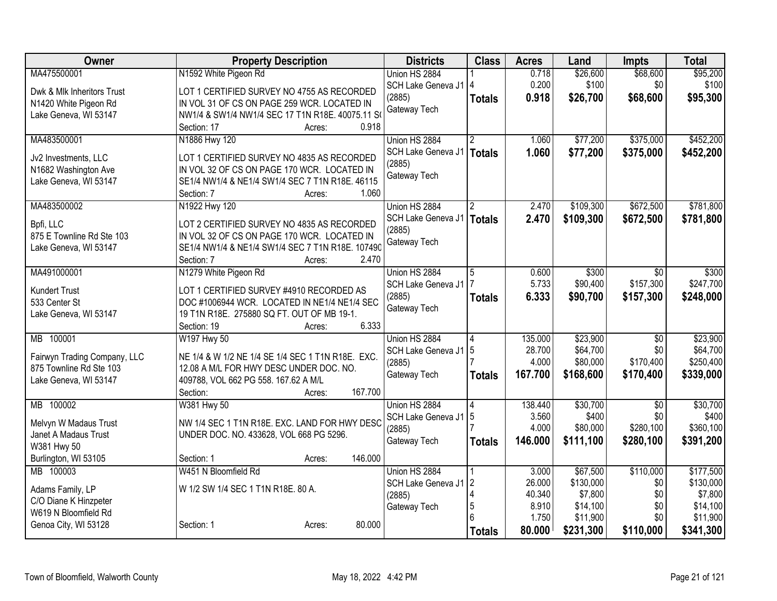| Owner                                        | <b>Property Description</b>                                                               | <b>Districts</b>       | <b>Class</b>   | <b>Acres</b>   | Land              | <b>Impts</b>    | <b>Total</b> |
|----------------------------------------------|-------------------------------------------------------------------------------------------|------------------------|----------------|----------------|-------------------|-----------------|--------------|
| MA475500001                                  | N1592 White Pigeon Rd                                                                     | Union HS 2884          |                | 0.718          | \$26,600          | \$68,600        | \$95,200     |
| Dwk & Mlk Inheritors Trust                   | LOT 1 CERTIFIED SURVEY NO 4755 AS RECORDED                                                | SCH Lake Geneva J1   4 |                | 0.200          | \$100             | \$0             | \$100        |
| N1420 White Pigeon Rd                        | IN VOL 31 OF CS ON PAGE 259 WCR. LOCATED IN                                               | (2885)                 | <b>Totals</b>  | 0.918          | \$26,700          | \$68,600        | \$95,300     |
| Lake Geneva, WI 53147                        | NW1/4 & SW1/4 NW1/4 SEC 17 T1N R18E. 40075.11 S                                           | Gateway Tech           |                |                |                   |                 |              |
|                                              | 0.918<br>Section: 17<br>Acres:                                                            |                        |                |                |                   |                 |              |
| MA483500001                                  | N1886 Hwy 120                                                                             | Union HS 2884          |                | 1.060          | \$77,200          | \$375,000       | \$452,200    |
|                                              |                                                                                           | SCH Lake Geneva J1     | <b>Totals</b>  | 1.060          | \$77,200          | \$375,000       | \$452,200    |
| Jv2 Investments, LLC<br>N1682 Washington Ave | LOT 1 CERTIFIED SURVEY NO 4835 AS RECORDED<br>IN VOL 32 OF CS ON PAGE 170 WCR. LOCATED IN | (2885)                 |                |                |                   |                 |              |
| Lake Geneva, WI 53147                        | SE1/4 NW1/4 & NE1/4 SW1/4 SEC 7 T1N R18E. 46115                                           | Gateway Tech           |                |                |                   |                 |              |
|                                              | 1.060<br>Section: 7<br>Acres:                                                             |                        |                |                |                   |                 |              |
| MA483500002                                  | N1922 Hwy 120                                                                             | Union HS 2884          |                | 2.470          | \$109,300         | \$672,500       | \$781,800    |
|                                              |                                                                                           | SCH Lake Geneva J1     | <b>Totals</b>  | 2.470          | \$109,300         | \$672,500       | \$781,800    |
| Bpfi, LLC                                    | LOT 2 CERTIFIED SURVEY NO 4835 AS RECORDED                                                | (2885)                 |                |                |                   |                 |              |
| 875 E Townline Rd Ste 103                    | IN VOL 32 OF CS ON PAGE 170 WCR. LOCATED IN                                               | Gateway Tech           |                |                |                   |                 |              |
| Lake Geneva, WI 53147                        | SE1/4 NW1/4 & NE1/4 SW1/4 SEC 7 T1N R18E. 107490                                          |                        |                |                |                   |                 |              |
|                                              | 2.470<br>Section: 7<br>Acres:                                                             |                        |                |                |                   |                 |              |
| MA491000001                                  | N1279 White Pigeon Rd                                                                     | Union HS 2884          | 5              | 0.600<br>5.733 | \$300<br>\$90,400 | $\overline{30}$ | \$300        |
| <b>Kundert Trust</b>                         | LOT 1 CERTIFIED SURVEY #4910 RECORDED AS                                                  | SCH Lake Geneva J1     |                |                |                   | \$157,300       | \$247,700    |
| 533 Center St                                | DOC #1006944 WCR. LOCATED IN NE1/4 NE1/4 SEC                                              | (2885)<br>Gateway Tech | <b>Totals</b>  | 6.333          | \$90,700          | \$157,300       | \$248,000    |
| Lake Geneva, WI 53147                        | 19 T1N R18E. 275880 SQ FT. OUT OF MB 19-1.                                                |                        |                |                |                   |                 |              |
|                                              | 6.333<br>Section: 19<br>Acres:                                                            |                        |                |                |                   |                 |              |
| 100001<br>MB                                 | W197 Hwy 50                                                                               | Union HS 2884          |                | 135.000        | \$23,900          | $\overline{50}$ | \$23,900     |
| Fairwyn Trading Company, LLC                 | NE 1/4 & W 1/2 NE 1/4 SE 1/4 SEC 1 T1N R18E. EXC.                                         | SCH Lake Geneva J1     | 5              | 28.700         | \$64,700          | \$0             | \$64,700     |
| 875 Townline Rd Ste 103                      | 12.08 A M/L FOR HWY DESC UNDER DOC. NO.                                                   | (2885)                 |                | 4.000          | \$80,000          | \$170,400       | \$250,400    |
| Lake Geneva, WI 53147                        | 409788, VOL 662 PG 558. 167.62 A M/L                                                      | Gateway Tech           | <b>Totals</b>  | 167.700        | \$168,600         | \$170,400       | \$339,000    |
|                                              | 167.700<br>Section:<br>Acres:                                                             |                        |                |                |                   |                 |              |
| MB 100002                                    | W381 Hwy 50                                                                               | Union HS 2884          |                | 138.440        | \$30,700          | $\overline{50}$ | \$30,700     |
| Melvyn W Madaus Trust                        | NW 1/4 SEC 1 T1N R18E. EXC. LAND FOR HWY DESC                                             | SCH Lake Geneva J1   5 |                | 3.560          | \$400             | \$0             | \$400        |
| Janet A Madaus Trust                         | UNDER DOC. NO. 433628, VOL 668 PG 5296.                                                   | (2885)                 |                | 4.000          | \$80,000          | \$280,100       | \$360,100    |
| W381 Hwy 50                                  |                                                                                           | Gateway Tech           | <b>Totals</b>  | 146.000        | \$111,100         | \$280,100       | \$391,200    |
| Burlington, WI 53105                         | 146.000<br>Section: 1<br>Acres:                                                           |                        |                |                |                   |                 |              |
| MB 100003                                    | W451 N Bloomfield Rd                                                                      | Union HS 2884          |                | 3.000          | \$67,500          | \$110,000       | \$177,500    |
|                                              |                                                                                           | SCH Lake Geneva J1     | $\overline{2}$ | 26.000         | \$130,000         | \$0             | \$130,000    |
| Adams Family, LP                             | W 1/2 SW 1/4 SEC 1 T1N R18E. 80 A.                                                        | (2885)                 | 4              | 40.340         | \$7,800           | \$0             | \$7,800      |
| C/O Diane K Hinzpeter                        |                                                                                           | Gateway Tech           | 5              | 8.910          | \$14,100          | \$0             | \$14,100     |
| W619 N Bloomfield Rd                         |                                                                                           |                        |                | 1.750          | \$11,900          | \$0             | \$11,900     |
| Genoa City, WI 53128                         | 80.000<br>Section: 1<br>Acres:                                                            |                        | <b>Totals</b>  | 80.000         | \$231,300         | \$110,000       | \$341,300    |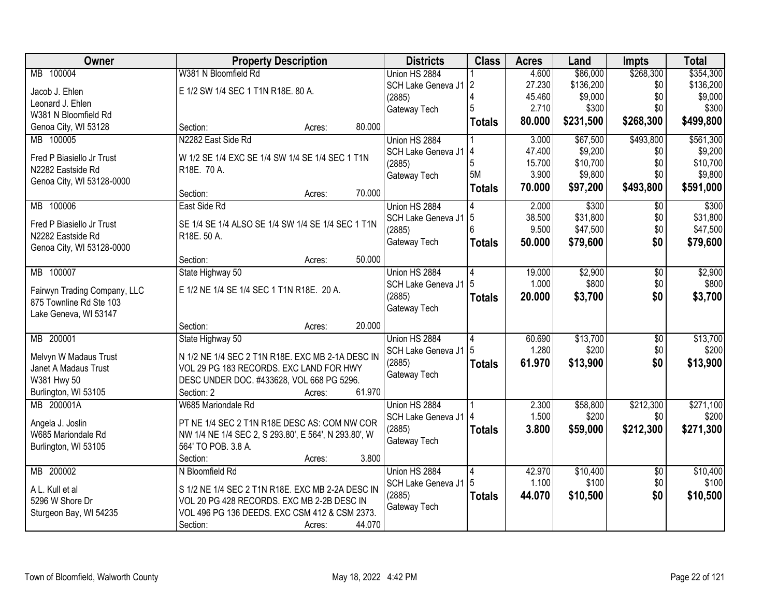| <b>Owner</b>                                   | <b>Property Description</b>                                    | <b>Districts</b>       | <b>Class</b>  | <b>Acres</b> | Land      | <b>Impts</b>    | <b>Total</b> |
|------------------------------------------------|----------------------------------------------------------------|------------------------|---------------|--------------|-----------|-----------------|--------------|
| MB 100004                                      | W381 N Bloomfield Rd                                           | Union HS 2884          |               | 4.600        | \$86,000  | \$268,300       | \$354,300    |
| Jacob J. Ehlen                                 | E 1/2 SW 1/4 SEC 1 T1N R18E. 80 A.                             | SCH Lake Geneva J1 2   |               | 27.230       | \$136,200 | \$0             | \$136,200    |
| Leonard J. Ehlen                               |                                                                | (2885)                 |               | 45.460       | \$9,000   | \$0             | \$9,000      |
| W381 N Bloomfield Rd                           |                                                                | Gateway Tech           |               | 2.710        | \$300     | \$0             | \$300        |
| Genoa City, WI 53128                           | 80.000<br>Section:<br>Acres:                                   |                        | <b>Totals</b> | 80.000       | \$231,500 | \$268,300       | \$499,800    |
| MB 100005                                      | N2282 East Side Rd                                             | Union HS 2884          |               | 3.000        | \$67,500  | \$493,800       | \$561,300    |
|                                                |                                                                | SCH Lake Geneva J1     | 4             | 47.400       | \$9,200   | \$0             | \$9,200      |
| Fred P Biasiello Jr Trust<br>N2282 Eastside Rd | W 1/2 SE 1/4 EXC SE 1/4 SW 1/4 SE 1/4 SEC 1 T1N<br>R18E. 70 A. | (2885)                 | 5             | 15.700       | \$10,700  | \$0             | \$10,700     |
| Genoa City, WI 53128-0000                      |                                                                | Gateway Tech           | 5M            | 3.900        | \$9,800   | \$0             | \$9,800      |
|                                                | 70.000<br>Section:<br>Acres:                                   |                        | <b>Totals</b> | 70.000       | \$97,200  | \$493,800       | \$591,000    |
| 100006<br>MB                                   | East Side Rd                                                   | Union HS 2884          |               | 2.000        | \$300     | $\overline{50}$ | \$300        |
| Fred P Biasiello Jr Trust                      | SE 1/4 SE 1/4 ALSO SE 1/4 SW 1/4 SE 1/4 SEC 1 T1N              | SCH Lake Geneva J1     | 5             | 38.500       | \$31,800  | \$0             | \$31,800     |
| N2282 Eastside Rd                              | R18E. 50 A.                                                    | (2885)                 |               | 9.500        | \$47,500  | \$0             | \$47,500     |
| Genoa City, WI 53128-0000                      |                                                                | Gateway Tech           | <b>Totals</b> | 50.000       | \$79,600  | \$0             | \$79,600     |
|                                                | 50.000<br>Section:<br>Acres:                                   |                        |               |              |           |                 |              |
| MB 100007                                      | State Highway 50                                               | Union HS 2884          |               | 19.000       | \$2,900   | \$0             | \$2,900      |
|                                                |                                                                | SCH Lake Geneva J1   5 |               | 1.000        | \$800     | \$0             | \$800        |
| Fairwyn Trading Company, LLC                   | E 1/2 NE 1/4 SE 1/4 SEC 1 T1N R18E. 20 A.                      | (2885)                 | <b>Totals</b> | 20.000       | \$3,700   | \$0             | \$3,700      |
| 875 Townline Rd Ste 103                        |                                                                | Gateway Tech           |               |              |           |                 |              |
| Lake Geneva, WI 53147                          | 20.000<br>Section:                                             |                        |               |              |           |                 |              |
| MB 200001                                      | Acres:                                                         |                        | 4             | 60.690       | \$13,700  | $\overline{50}$ | \$13,700     |
|                                                | State Highway 50                                               | Union HS 2884          | 5             | 1.280        | \$200     | \$0             | \$200        |
| Melvyn W Madaus Trust                          | N 1/2 NE 1/4 SEC 2 T1N R18E. EXC MB 2-1A DESC IN               | SCH Lake Geneva J1     |               | 61.970       |           | \$0             |              |
| Janet A Madaus Trust                           | VOL 29 PG 183 RECORDS. EXC LAND FOR HWY                        | (2885)<br>Gateway Tech | <b>Totals</b> |              | \$13,900  |                 | \$13,900     |
| W381 Hwy 50                                    | DESC UNDER DOC. #433628, VOL 668 PG 5296.                      |                        |               |              |           |                 |              |
| Burlington, WI 53105                           | 61.970<br>Section: 2<br>Acres:                                 |                        |               |              |           |                 |              |
| MB 200001A                                     | W685 Mariondale Rd                                             | Union HS 2884          |               | 2.300        | \$58,800  | \$212,300       | \$271,100    |
| Angela J. Joslin                               | PT NE 1/4 SEC 2 T1N R18E DESC AS: COM NW COR                   | SCH Lake Geneva J1   4 |               | 1.500        | \$200     | \$0             | \$200        |
| W685 Mariondale Rd                             | NW 1/4 NE 1/4 SEC 2, S 293.80', E 564', N 293.80', W           | (2885)                 | <b>Totals</b> | 3.800        | \$59,000  | \$212,300       | \$271,300    |
| Burlington, WI 53105                           | 564' TO POB. 3.8 A.                                            | Gateway Tech           |               |              |           |                 |              |
|                                                | 3.800<br>Section:<br>Acres:                                    |                        |               |              |           |                 |              |
| MB 200002                                      | N Bloomfield Rd                                                | Union HS 2884          | 4             | 42.970       | \$10,400  | $\overline{50}$ | \$10,400     |
|                                                |                                                                | SCH Lake Geneva J1     | 5             | 1.100        | \$100     | \$0             | \$100        |
| A L. Kull et al                                | S 1/2 NE 1/4 SEC 2 T1N R18E. EXC MB 2-2A DESC IN               | (2885)                 | <b>Totals</b> | 44.070       | \$10,500  | \$0             | \$10,500     |
| 5296 W Shore Dr                                | VOL 20 PG 428 RECORDS. EXC MB 2-2B DESC IN                     | Gateway Tech           |               |              |           |                 |              |
| Sturgeon Bay, WI 54235                         | VOL 496 PG 136 DEEDS. EXC CSM 412 & CSM 2373.                  |                        |               |              |           |                 |              |
|                                                | 44.070<br>Section:<br>Acres:                                   |                        |               |              |           |                 |              |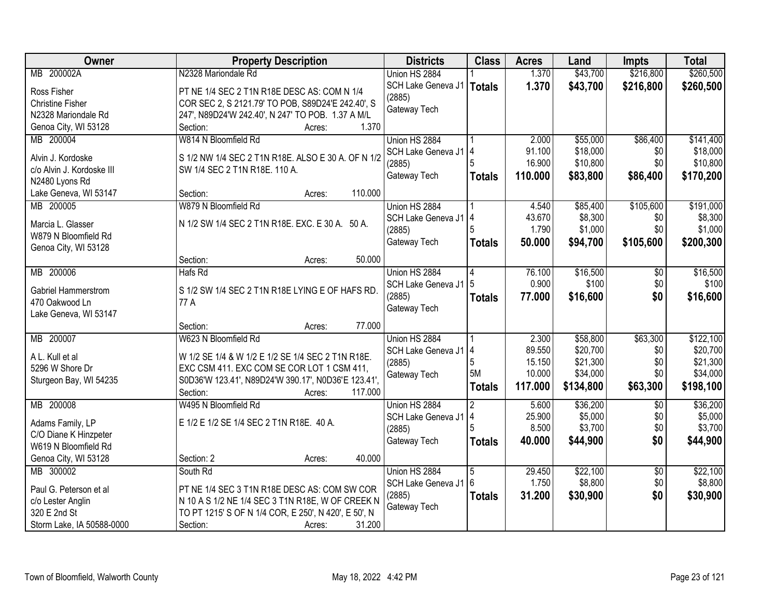| <b>Owner</b>               | <b>Property Description</b>                          | <b>Districts</b>       | <b>Class</b>  | <b>Acres</b>    | Land                 | <b>Impts</b>    | <b>Total</b>          |
|----------------------------|------------------------------------------------------|------------------------|---------------|-----------------|----------------------|-----------------|-----------------------|
| MB 200002A                 | N2328 Mariondale Rd                                  | Union HS 2884          |               | 1.370           | \$43,700             | \$216,800       | \$260,500             |
| Ross Fisher                | PT NE 1/4 SEC 2 T1N R18E DESC AS: COM N 1/4          | SCH Lake Geneva J1     | <b>Totals</b> | 1.370           | \$43,700             | \$216,800       | \$260,500             |
| <b>Christine Fisher</b>    | COR SEC 2, S 2121.79' TO POB, S89D24'E 242.40', S    | (2885)                 |               |                 |                      |                 |                       |
| N2328 Mariondale Rd        | 247', N89D24'W 242.40', N 247' TO POB. 1.37 A M/L    | Gateway Tech           |               |                 |                      |                 |                       |
| Genoa City, WI 53128       | 1.370<br>Section:<br>Acres:                          |                        |               |                 |                      |                 |                       |
| MB 200004                  | W814 N Bloomfield Rd                                 | Union HS 2884          |               | 2.000           | \$55,000             | \$86,400        | \$141,400             |
|                            |                                                      | SCH Lake Geneva J1 4   |               | 91.100          | \$18,000             | \$0             | \$18,000              |
| Alvin J. Kordoske          | S 1/2 NW 1/4 SEC 2 T1N R18E. ALSO E 30 A. OF N 1/2   | (2885)                 |               | 16.900          | \$10,800             | \$0             | \$10,800              |
| c/o Alvin J. Kordoske III  | SW 1/4 SEC 2 T1N R18E. 110 A.                        | Gateway Tech           | Totals        | 110.000         | \$83,800             | \$86,400        | \$170,200             |
| N2480 Lyons Rd             |                                                      |                        |               |                 |                      |                 |                       |
| Lake Geneva, WI 53147      | 110.000<br>Section:<br>Acres:                        |                        |               |                 |                      |                 |                       |
| MB 200005                  | W879 N Bloomfield Rd                                 | Union HS 2884          |               | 4.540           | \$85,400             | \$105,600       | \$191,000             |
| Marcia L. Glasser          | N 1/2 SW 1/4 SEC 2 T1N R18E. EXC. E 30 A. 50 A.      | SCH Lake Geneva J1   4 |               | 43.670          | \$8,300              | \$0             | \$8,300               |
| W879 N Bloomfield Rd       |                                                      | (2885)                 |               | 1.790           | \$1,000              | \$0             | \$1,000               |
| Genoa City, WI 53128       |                                                      | Gateway Tech           | <b>Totals</b> | 50.000          | \$94,700             | \$105,600       | \$200,300             |
|                            | 50.000<br>Section:<br>Acres:                         |                        |               |                 |                      |                 |                       |
| MB 200006                  | Hafs Rd                                              | Union HS 2884          | 4             | 76.100          | \$16,500             | \$0             | \$16,500              |
|                            |                                                      | SCH Lake Geneva J1   5 |               | 0.900           | \$100                | \$0             | \$100                 |
| <b>Gabriel Hammerstrom</b> | S 1/2 SW 1/4 SEC 2 T1N R18E LYING E OF HAFS RD.      | (2885)                 | <b>Totals</b> | 77.000          | \$16,600             | \$0             | \$16,600              |
| 470 Oakwood Ln             | 77 A                                                 | Gateway Tech           |               |                 |                      |                 |                       |
| Lake Geneva, WI 53147      | 77.000                                               |                        |               |                 |                      |                 |                       |
| MB 200007                  | Section:<br>Acres:<br>W623 N Bloomfield Rd           |                        |               |                 |                      |                 |                       |
|                            |                                                      | Union HS 2884          |               | 2.300<br>89.550 | \$58,800<br>\$20,700 | \$63,300<br>\$0 | \$122,100<br>\$20,700 |
| A L. Kull et al            | W 1/2 SE 1/4 & W 1/2 E 1/2 SE 1/4 SEC 2 T1N R18E.    | SCH Lake Geneva J1 4   | 5             | 15.150          | \$21,300             | \$0             | \$21,300              |
| 5296 W Shore Dr            | EXC CSM 411. EXC COM SE COR LOT 1 CSM 411,           | (2885)                 | 5M            | 10.000          | \$34,000             | \$0             | \$34,000              |
| Sturgeon Bay, WI 54235     | S0D36'W 123.41', N89D24'W 390.17', N0D36'E 123.41',  | Gateway Tech           |               | 117.000         | \$134,800            | \$63,300        | \$198,100             |
|                            | 117.000<br>Section:<br>Acres:                        |                        | <b>Totals</b> |                 |                      |                 |                       |
| MB 200008                  | W495 N Bloomfield Rd                                 | Union HS 2884          | 2             | 5.600           | \$36,200             | $\overline{50}$ | \$36,200              |
| Adams Family, LP           | E 1/2 E 1/2 SE 1/4 SEC 2 T1N R18E. 40 A.             | SCH Lake Geneva J1 4   |               | 25.900          | \$5,000              | \$0             | \$5,000               |
| C/O Diane K Hinzpeter      |                                                      | (2885)                 |               | 8.500           | \$3,700              | \$0             | \$3,700               |
| W619 N Bloomfield Rd       |                                                      | Gateway Tech           | <b>Totals</b> | 40.000          | \$44,900             | \$0             | \$44,900              |
| Genoa City, WI 53128       | 40.000<br>Section: 2<br>Acres:                       |                        |               |                 |                      |                 |                       |
| MB 300002                  | South Rd                                             | Union HS 2884          | 5             | 29.450          | \$22,100             | $\overline{50}$ | \$22,100              |
|                            |                                                      | SCH Lake Geneva J1 6   |               | 1.750           | \$8,800              | \$0             | \$8,800               |
| Paul G. Peterson et al     | PT NE 1/4 SEC 3 T1N R18E DESC AS: COM SW COR         | (2885)                 | <b>Totals</b> | 31.200          | \$30,900             | \$0             | \$30,900              |
| c/o Lester Anglin          | N 10 A S 1/2 NE 1/4 SEC 3 T1N R18E, W OF CREEK N     | Gateway Tech           |               |                 |                      |                 |                       |
| 320 E 2nd St               | TO PT 1215' S OF N 1/4 COR, E 250', N 420', E 50', N |                        |               |                 |                      |                 |                       |
| Storm Lake, IA 50588-0000  | 31.200<br>Section:<br>Acres:                         |                        |               |                 |                      |                 |                       |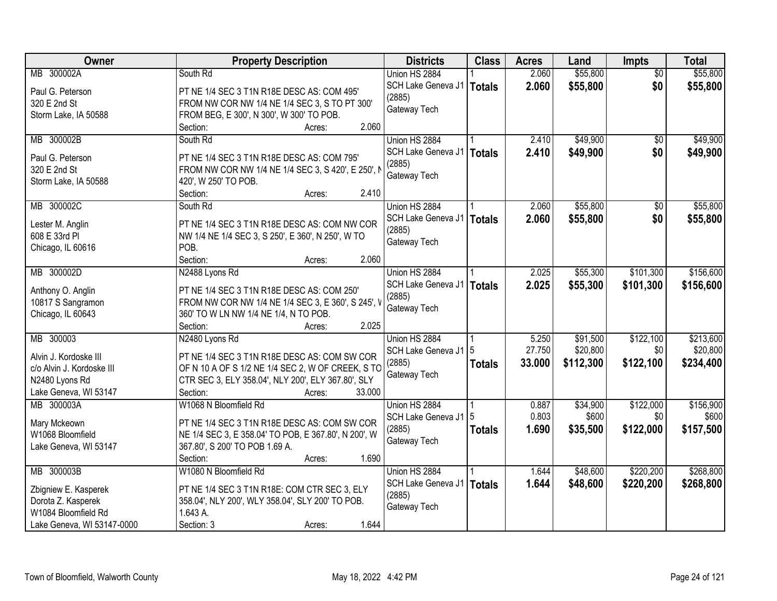| Owner                      | <b>Property Description</b>                          | <b>Districts</b>     | <b>Class</b>  | <b>Acres</b> | Land      | Impts           | <b>Total</b> |
|----------------------------|------------------------------------------------------|----------------------|---------------|--------------|-----------|-----------------|--------------|
| MB 300002A                 | South Rd                                             | Union HS 2884        |               | 2.060        | \$55,800  | $\overline{50}$ | \$55,800     |
| Paul G. Peterson           | PT NE 1/4 SEC 3 T1N R18E DESC AS: COM 495'           | SCH Lake Geneva J1   | <b>Totals</b> | 2.060        | \$55,800  | \$0             | \$55,800     |
| 320 E 2nd St               | FROM NW COR NW 1/4 NE 1/4 SEC 3, S TO PT 300'        | (2885)               |               |              |           |                 |              |
| Storm Lake, IA 50588       | FROM BEG, E 300', N 300', W 300' TO POB.             | Gateway Tech         |               |              |           |                 |              |
|                            | 2.060<br>Section:<br>Acres:                          |                      |               |              |           |                 |              |
| MB 300002B                 | South Rd                                             | Union HS 2884        |               | 2.410        | \$49,900  | \$0             | \$49,900     |
|                            |                                                      | SCH Lake Geneva J1   | <b>Totals</b> | 2.410        | \$49,900  | \$0             | \$49,900     |
| Paul G. Peterson           | PT NE 1/4 SEC 3 T1N R18E DESC AS: COM 795'           | (2885)               |               |              |           |                 |              |
| 320 E 2nd St               | FROM NW COR NW 1/4 NE 1/4 SEC 3, S 420', E 250', I   | Gateway Tech         |               |              |           |                 |              |
| Storm Lake, IA 50588       | 420', W 250' TO POB.                                 |                      |               |              |           |                 |              |
|                            | 2.410<br>Section:<br>Acres:                          |                      |               |              |           |                 |              |
| MB 300002C                 | South Rd                                             | Union HS 2884        |               | 2.060        | \$55,800  | \$0             | \$55,800     |
| Lester M. Anglin           | PT NE 1/4 SEC 3 T1N R18E DESC AS: COM NW COR         | SCH Lake Geneva J1   | <b>Totals</b> | 2.060        | \$55,800  | \$0             | \$55,800     |
| 608 E 33rd PI              | NW 1/4 NE 1/4 SEC 3, S 250', E 360', N 250', W TO    | (2885)               |               |              |           |                 |              |
| Chicago, IL 60616          | POB.                                                 | Gateway Tech         |               |              |           |                 |              |
|                            | 2.060<br>Section:<br>Acres:                          |                      |               |              |           |                 |              |
| MB 300002D                 | N2488 Lyons Rd                                       | Union HS 2884        |               | 2.025        | \$55,300  | \$101,300       | \$156,600    |
|                            |                                                      | SCH Lake Geneva J1   | <b>Totals</b> | 2.025        | \$55,300  | \$101,300       | \$156,600    |
| Anthony O. Anglin          | PT NE 1/4 SEC 3 T1N R18E DESC AS: COM 250'           | (2885)               |               |              |           |                 |              |
| 10817 S Sangramon          | FROM NW COR NW 1/4 NE 1/4 SEC 3, E 360', S 245', V   | Gateway Tech         |               |              |           |                 |              |
| Chicago, IL 60643          | 360' TO W LN NW 1/4 NE 1/4, N TO POB.                |                      |               |              |           |                 |              |
|                            | Section:<br>2.025<br>Acres:                          |                      |               |              |           |                 |              |
| MB 300003                  | N2480 Lyons Rd                                       | Union HS 2884        |               | 5.250        | \$91,500  | \$122,100       | \$213,600    |
| Alvin J. Kordoske III      | PT NE 1/4 SEC 3 T1N R18E DESC AS: COM SW COR         | SCH Lake Geneva J1 5 |               | 27.750       | \$20,800  | \$0             | \$20,800     |
| c/o Alvin J. Kordoske III  | OF N 10 A OF S 1/2 NE 1/4 SEC 2, W OF CREEK, S TO    | (2885)               | <b>Totals</b> | 33.000       | \$112,300 | \$122,100       | \$234,400    |
| N2480 Lyons Rd             | CTR SEC 3, ELY 358.04', NLY 200', ELY 367.80', SLY   | Gateway Tech         |               |              |           |                 |              |
| Lake Geneva, WI 53147      | 33.000<br>Section:<br>Acres:                         |                      |               |              |           |                 |              |
| MB 300003A                 | W1068 N Bloomfield Rd                                | Union HS 2884        |               | 0.887        | \$34,900  | \$122,000       | \$156,900    |
|                            |                                                      | SCH Lake Geneva J1   | 5             | 0.803        | \$600     | \$0             | \$600        |
| Mary Mckeown               | PT NE 1/4 SEC 3 T1N R18E DESC AS: COM SW COR         | (2885)               | <b>Totals</b> | 1.690        | \$35,500  | \$122,000       | \$157,500    |
| W1068 Bloomfield           | NE 1/4 SEC 3, E 358.04' TO POB, E 367.80', N 200', W | Gateway Tech         |               |              |           |                 |              |
| Lake Geneva, WI 53147      | 367.80', S 200' TO POB 1.69 A.                       |                      |               |              |           |                 |              |
|                            | 1.690<br>Section:<br>Acres:                          |                      |               |              |           |                 |              |
| MB 300003B                 | W1080 N Bloomfield Rd                                | Union HS 2884        |               | 1.644        | \$48,600  | \$220,200       | \$268,800    |
| Zbigniew E. Kasperek       | PT NE 1/4 SEC 3 T1N R18E: COM CTR SEC 3, ELY         | SCH Lake Geneva J1   | <b>Totals</b> | 1.644        | \$48,600  | \$220,200       | \$268,800    |
| Dorota Z. Kasperek         | 358.04', NLY 200', WLY 358.04', SLY 200' TO POB.     | (2885)               |               |              |           |                 |              |
| W1084 Bloomfield Rd        | 1.643 A.                                             | Gateway Tech         |               |              |           |                 |              |
| Lake Geneva, WI 53147-0000 | 1.644<br>Section: 3<br>Acres:                        |                      |               |              |           |                 |              |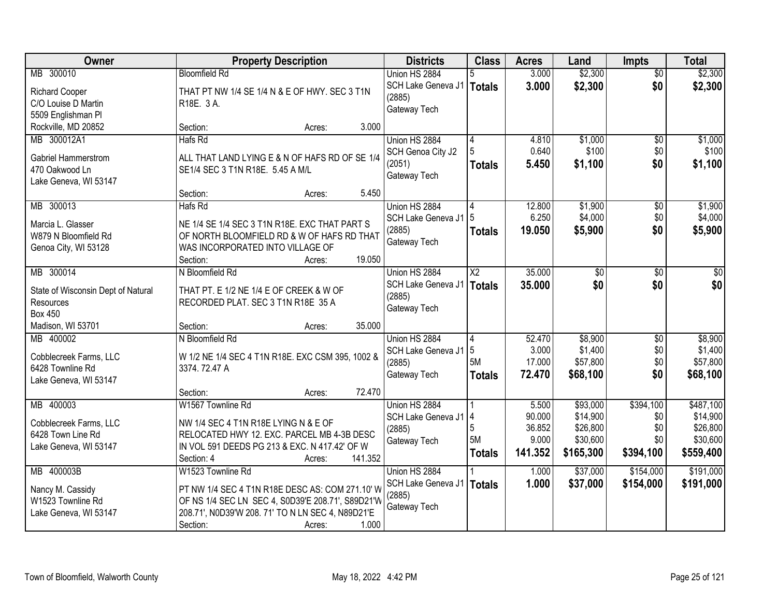| Owner                                       | <b>Property Description</b>                                                        | <b>Districts</b>   | <b>Class</b>    | <b>Acres</b> | Land      | <b>Impts</b>    | <b>Total</b> |
|---------------------------------------------|------------------------------------------------------------------------------------|--------------------|-----------------|--------------|-----------|-----------------|--------------|
| MB 300010                                   | <b>Bloomfield Rd</b>                                                               | Union HS 2884      |                 | 3.000        | \$2,300   | $\overline{50}$ | \$2,300      |
| <b>Richard Cooper</b>                       | THAT PT NW 1/4 SE 1/4 N & E OF HWY. SEC 3 T1N                                      | SCH Lake Geneva J1 | Totals          | 3.000        | \$2,300   | \$0             | \$2,300      |
| C/O Louise D Martin                         | R18E. 3 A.                                                                         | (2885)             |                 |              |           |                 |              |
| 5509 Englishman Pl                          |                                                                                    | Gateway Tech       |                 |              |           |                 |              |
| Rockville, MD 20852                         | 3.000<br>Section:<br>Acres:                                                        |                    |                 |              |           |                 |              |
| MB 300012A1                                 | Hafs Rd                                                                            | Union HS 2884      | 4               | 4.810        | \$1,000   | $\overline{50}$ | \$1,000      |
|                                             |                                                                                    | SCH Genoa City J2  |                 | 0.640        | \$100     | \$0             | \$100        |
| Gabriel Hammerstrom                         | ALL THAT LAND LYING E & N OF HAFS RD OF SE 1/4                                     | (2051)             | <b>Totals</b>   | 5.450        | \$1,100   | \$0             | \$1,100      |
| 470 Oakwood Ln<br>Lake Geneva, WI 53147     | SE1/4 SEC 3 T1N R18E. 5.45 A M/L                                                   | Gateway Tech       |                 |              |           |                 |              |
|                                             | 5.450<br>Section:<br>Acres:                                                        |                    |                 |              |           |                 |              |
| MB 300013                                   | Hafs Rd                                                                            | Union HS 2884      |                 | 12.800       | \$1,900   | $\sqrt[6]{}$    | \$1,900      |
|                                             |                                                                                    | SCH Lake Geneva J1 |                 | 6.250        | \$4,000   | \$0             | \$4,000      |
| Marcia L. Glasser                           | NE 1/4 SE 1/4 SEC 3 T1N R18E. EXC THAT PART S                                      | (2885)             | <b>Totals</b>   | 19.050       | \$5,900   | \$0             | \$5,900      |
| W879 N Bloomfield Rd                        | OF NORTH BLOOMFIELD RD & W OF HAFS RD THAT                                         | Gateway Tech       |                 |              |           |                 |              |
| Genoa City, WI 53128                        | WAS INCORPORATED INTO VILLAGE OF                                                   |                    |                 |              |           |                 |              |
|                                             | 19.050<br>Section:<br>Acres:                                                       |                    |                 |              |           |                 |              |
| MB 300014                                   | N Bloomfield Rd                                                                    | Union HS 2884      | $\overline{X2}$ | 35.000       | \$0       | \$0             | \$0          |
| State of Wisconsin Dept of Natural          | THAT PT. E 1/2 NE 1/4 E OF CREEK & W OF                                            | SCH Lake Geneva J1 | <b>Totals</b>   | 35.000       | \$0       | \$0             | \$0          |
| Resources                                   | RECORDED PLAT. SEC 3 T1N R18E 35 A                                                 | (2885)             |                 |              |           |                 |              |
| <b>Box 450</b>                              |                                                                                    | Gateway Tech       |                 |              |           |                 |              |
| Madison, WI 53701                           | 35.000<br>Section:<br>Acres:                                                       |                    |                 |              |           |                 |              |
| MB 400002                                   | N Bloomfield Rd                                                                    | Union HS 2884      | 4               | 52.470       | \$8,900   | $\overline{50}$ | \$8,900      |
| Cobblecreek Farms, LLC                      | W 1/2 NE 1/4 SEC 4 T1N R18E. EXC CSM 395, 1002 &                                   | SCH Lake Geneva J1 | 5               | 3.000        | \$1,400   | \$0             | \$1,400      |
| 6428 Townline Rd                            | 3374.72.47 A                                                                       | (2885)             | 5M              | 17.000       | \$57,800  | \$0             | \$57,800     |
| Lake Geneva, WI 53147                       |                                                                                    | Gateway Tech       | <b>Totals</b>   | 72.470       | \$68,100  | \$0             | \$68,100     |
|                                             | 72.470<br>Section:<br>Acres:                                                       |                    |                 |              |           |                 |              |
| MB 400003                                   | W1567 Townline Rd                                                                  | Union HS 2884      |                 | 5.500        | \$93,000  | \$394,100       | \$487,100    |
|                                             |                                                                                    | SCH Lake Geneva J1 | 14              | 90.000       | \$14,900  | \$0             | \$14,900     |
| Cobblecreek Farms, LLC<br>6428 Town Line Rd | NW 1/4 SEC 4 T1N R18E LYING N & E OF<br>RELOCATED HWY 12. EXC. PARCEL MB 4-3B DESC | (2885)             | 5               | 36.852       | \$26,800  | \$0             | \$26,800     |
| Lake Geneva, WI 53147                       | IN VOL 591 DEEDS PG 213 & EXC. N 417.42' OF W                                      | Gateway Tech       | 5M              | 9.000        | \$30,600  | \$0             | \$30,600     |
|                                             | 141.352<br>Section: 4<br>Acres:                                                    |                    | <b>Totals</b>   | 141.352      | \$165,300 | \$394,100       | \$559,400    |
| MB 400003B                                  | W1523 Townline Rd                                                                  | Union HS 2884      |                 | 1.000        | \$37,000  | \$154,000       | \$191,000    |
|                                             |                                                                                    | SCH Lake Geneva J1 | Totals          | 1.000        | \$37,000  | \$154,000       | \$191,000    |
| Nancy M. Cassidy                            | PT NW 1/4 SEC 4 T1N R18E DESC AS: COM 271.10' W                                    | (2885)             |                 |              |           |                 |              |
| W1523 Townline Rd                           | OF NS 1/4 SEC LN SEC 4, S0D39'E 208.71', S89D21'W                                  | Gateway Tech       |                 |              |           |                 |              |
| Lake Geneva, WI 53147                       | 208.71', N0D39'W 208.71' TO N LN SEC 4, N89D21'E                                   |                    |                 |              |           |                 |              |
|                                             | 1.000<br>Section:<br>Acres:                                                        |                    |                 |              |           |                 |              |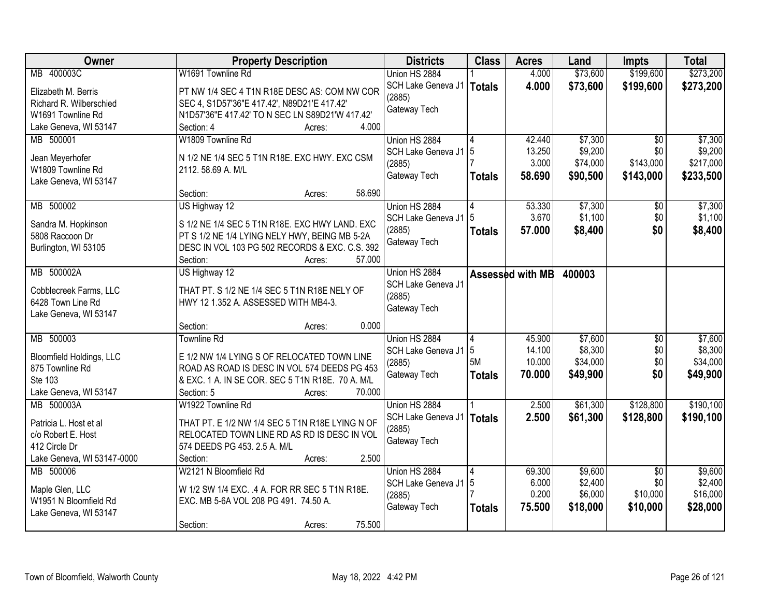| <b>Owner</b>                    | <b>Property Description</b>                      | <b>Districts</b>   | <b>Class</b>  | <b>Acres</b>     | Land     | <b>Impts</b>    | <b>Total</b> |
|---------------------------------|--------------------------------------------------|--------------------|---------------|------------------|----------|-----------------|--------------|
| MB 400003C                      | W1691 Townline Rd                                | Union HS 2884      |               | 4.000            | \$73,600 | \$199,600       | \$273,200    |
| Elizabeth M. Berris             | PT NW 1/4 SEC 4 T1N R18E DESC AS: COM NW COR     | SCH Lake Geneva J1 | <b>Totals</b> | 4.000            | \$73,600 | \$199,600       | \$273,200    |
| Richard R. Wilberschied         | SEC 4, S1D57'36"E 417.42', N89D21'E 417.42'      | (2885)             |               |                  |          |                 |              |
| W1691 Townline Rd               | N1D57'36"E 417.42' TO N SEC LN S89D21'W 417.42'  | Gateway Tech       |               |                  |          |                 |              |
| Lake Geneva, WI 53147           | 4.000<br>Section: 4<br>Acres:                    |                    |               |                  |          |                 |              |
| MB 500001                       | W1809 Townline Rd                                | Union HS 2884      |               | 42.440           | \$7,300  | $\overline{50}$ | \$7,300      |
|                                 |                                                  |                    | 5             | 13.250           | \$9,200  | \$0             | \$9,200      |
| Jean Meyerhofer                 | N 1/2 NE 1/4 SEC 5 T1N R18E. EXC HWY. EXC CSM    | SCH Lake Geneva J1 |               | 3.000            | \$74,000 | \$143,000       | \$217,000    |
| W1809 Townline Rd               | 2112.58.69 A. M/L                                | (2885)             |               |                  |          |                 |              |
| Lake Geneva, WI 53147           |                                                  | Gateway Tech       | <b>Totals</b> | 58.690           | \$90,500 | \$143,000       | \$233,500    |
|                                 | 58.690<br>Section:<br>Acres:                     |                    |               |                  |          |                 |              |
| MB 500002                       | US Highway 12                                    | Union HS 2884      |               | 53.330           | \$7,300  | $\overline{50}$ | \$7,300      |
|                                 | S 1/2 NE 1/4 SEC 5 T1N R18E. EXC HWY LAND. EXC   | SCH Lake Geneva J1 | 5             | 3.670            | \$1,100  | \$0             | \$1,100      |
| Sandra M. Hopkinson             |                                                  | (2885)             | <b>Totals</b> | 57,000           | \$8,400  | \$0             | \$8,400      |
| 5808 Raccoon Dr                 | PT S 1/2 NE 1/4 LYING NELY HWY, BEING MB 5-2A    | Gateway Tech       |               |                  |          |                 |              |
| Burlington, WI 53105            | DESC IN VOL 103 PG 502 RECORDS & EXC. C.S. 392   |                    |               |                  |          |                 |              |
|                                 | Section:<br>57,000<br>Acres:                     |                    |               |                  |          |                 |              |
| MB 500002A                      | US Highway 12                                    | Union HS 2884      |               | Assessed with MB | 400003   |                 |              |
| Cobblecreek Farms, LLC          | THAT PT. S 1/2 NE 1/4 SEC 5 T1N R18E NELY OF     | SCH Lake Geneva J1 |               |                  |          |                 |              |
| 6428 Town Line Rd               | HWY 12 1.352 A. ASSESSED WITH MB4-3.             | (2885)             |               |                  |          |                 |              |
| Lake Geneva, WI 53147           |                                                  | Gateway Tech       |               |                  |          |                 |              |
|                                 | 0.000<br>Section:<br>Acres:                      |                    |               |                  |          |                 |              |
| MB 500003                       | <b>Townline Rd</b>                               | Union HS 2884      | 4             | 45.900           | \$7,600  | $\overline{50}$ | \$7,600      |
|                                 |                                                  | SCH Lake Geneva J1 | 5             | 14.100           | \$8,300  | \$0             | \$8,300      |
| <b>Bloomfield Holdings, LLC</b> | E 1/2 NW 1/4 LYING S OF RELOCATED TOWN LINE      | (2885)             | 5M            | 10.000           | \$34,000 | \$0             | \$34,000     |
| 875 Townline Rd                 | ROAD AS ROAD IS DESC IN VOL 574 DEEDS PG 453     | Gateway Tech       | <b>Totals</b> | 70.000           | \$49,900 | \$0             | \$49,900     |
| Ste 103                         | & EXC. 1 A. IN SE COR. SEC 5 T1N R18E. 70 A. M/L |                    |               |                  |          |                 |              |
| Lake Geneva, WI 53147           | Section: 5<br>70.000<br>Acres:                   |                    |               |                  |          |                 |              |
| MB 500003A                      | W1922 Townline Rd                                | Union HS 2884      |               | 2.500            | \$61,300 | \$128,800       | \$190,100    |
| Patricia L. Host et al          | THAT PT. E 1/2 NW 1/4 SEC 5 T1N R18E LYING N OF  | SCH Lake Geneva J1 | <b>Totals</b> | 2.500            | \$61,300 | \$128,800       | \$190,100    |
| c/o Robert E. Host              | RELOCATED TOWN LINE RD AS RD IS DESC IN VOL      | (2885)             |               |                  |          |                 |              |
| 412 Circle Dr                   | 574 DEEDS PG 453. 2.5 A. M/L                     | Gateway Tech       |               |                  |          |                 |              |
| Lake Geneva, WI 53147-0000      | 2.500<br>Section:<br>Acres:                      |                    |               |                  |          |                 |              |
| MB 500006                       | W2121 N Bloomfield Rd                            | Union HS 2884      |               | 69.300           | \$9,600  | $\overline{50}$ | \$9,600      |
|                                 |                                                  | SCH Lake Geneva J1 | $\sqrt{5}$    | 6.000            | \$2,400  | \$0             | \$2,400      |
| Maple Glen, LLC                 | W 1/2 SW 1/4 EXC. .4 A. FOR RR SEC 5 T1N R18E.   | (2885)             |               | 0.200            | \$6,000  | \$10,000        | \$16,000     |
| W1951 N Bloomfield Rd           | EXC. MB 5-6A VOL 208 PG 491. 74.50 A.            | Gateway Tech       | <b>Totals</b> | 75.500           | \$18,000 | \$10,000        | \$28,000     |
| Lake Geneva, WI 53147           |                                                  |                    |               |                  |          |                 |              |
|                                 | 75.500<br>Section:<br>Acres:                     |                    |               |                  |          |                 |              |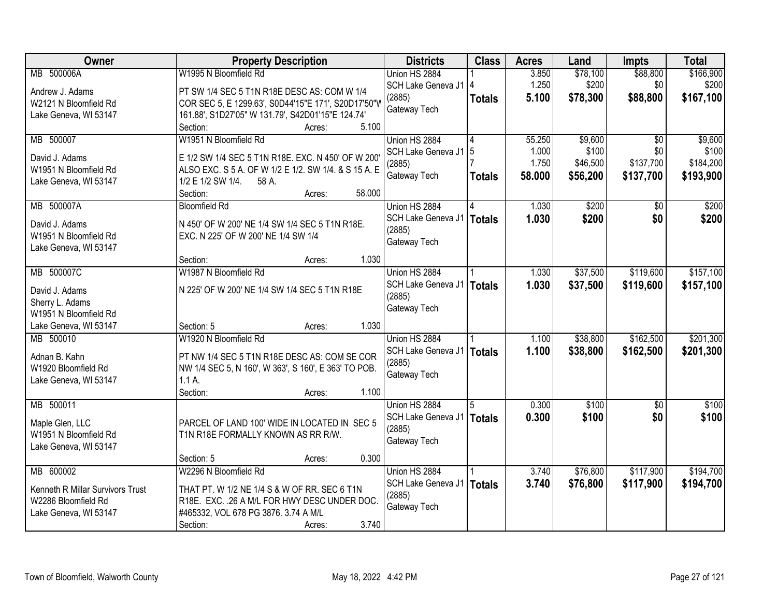| Owner                                          |                                                      | <b>Property Description</b> |        | <b>Districts</b>       | <b>Class</b>  | <b>Acres</b> | Land     | <b>Impts</b>    | <b>Total</b> |
|------------------------------------------------|------------------------------------------------------|-----------------------------|--------|------------------------|---------------|--------------|----------|-----------------|--------------|
| MB 500006A                                     | W1995 N Bloomfield Rd                                |                             |        | Union HS 2884          |               | 3.850        | \$78,100 | \$88,800        | \$166,900    |
| Andrew J. Adams                                | PT SW 1/4 SEC 5 T1N R18E DESC AS: COM W 1/4          |                             |        | SCH Lake Geneva J1   4 |               | 1.250        | \$200    | \$0             | \$200        |
| W2121 N Bloomfield Rd                          | COR SEC 5, E 1299.63', S0D44'15"E 171', S20D17'50"W  |                             |        | (2885)                 | <b>Totals</b> | 5.100        | \$78,300 | \$88,800        | \$167,100    |
| Lake Geneva, WI 53147                          | 161.88', S1D27'05" W 131.79', S42D01'15"E 124.74'    |                             |        | Gateway Tech           |               |              |          |                 |              |
|                                                | Section:                                             | Acres:                      | 5.100  |                        |               |              |          |                 |              |
| MB 500007                                      | W1951 N Bloomfield Rd                                |                             |        | Union HS 2884          | 4             | 55.250       | \$9,600  | $\overline{30}$ | \$9,600      |
| David J. Adams                                 | E 1/2 SW 1/4 SEC 5 T1N R18E. EXC. N 450' OF W 200'   |                             |        | SCH Lake Geneva J1   5 |               | 1.000        | \$100    | \$0             | \$100        |
| W1951 N Bloomfield Rd                          | ALSO EXC. S 5 A. OF W 1/2 E 1/2. SW 1/4. & S 15 A. E |                             |        | (2885)                 |               | 1.750        | \$46,500 | \$137,700       | \$184,200    |
| Lake Geneva, WI 53147                          | 1/2 E 1/2 SW 1/4.<br>58 A.                           |                             |        | Gateway Tech           | <b>Totals</b> | 58.000       | \$56,200 | \$137,700       | \$193,900    |
|                                                | Section:                                             | Acres:                      | 58.000 |                        |               |              |          |                 |              |
| MB 500007A                                     | <b>Bloomfield Rd</b>                                 |                             |        | Union HS 2884          |               | 1.030        | \$200    | \$0             | \$200        |
|                                                | N 450' OF W 200' NE 1/4 SW 1/4 SEC 5 T1N R18E.       |                             |        | SCH Lake Geneva J1     | <b>Totals</b> | 1.030        | \$200    | \$0             | \$200        |
| David J. Adams<br>W1951 N Bloomfield Rd        | EXC. N 225' OF W 200' NE 1/4 SW 1/4                  |                             |        | (2885)                 |               |              |          |                 |              |
| Lake Geneva, WI 53147                          |                                                      |                             |        | Gateway Tech           |               |              |          |                 |              |
|                                                | Section:                                             | Acres:                      | 1.030  |                        |               |              |          |                 |              |
| MB 500007C                                     | W1987 N Bloomfield Rd                                |                             |        | Union HS 2884          |               | 1.030        | \$37,500 | \$119,600       | \$157,100    |
|                                                |                                                      |                             |        | SCH Lake Geneva J1     | <b>Totals</b> | 1.030        | \$37,500 | \$119,600       | \$157,100    |
| David J. Adams                                 | N 225' OF W 200' NE 1/4 SW 1/4 SEC 5 T1N R18E        |                             |        | (2885)                 |               |              |          |                 |              |
| Sherry L. Adams                                |                                                      |                             |        | Gateway Tech           |               |              |          |                 |              |
| W1951 N Bloomfield Rd<br>Lake Geneva, WI 53147 | Section: 5                                           | Acres:                      | 1.030  |                        |               |              |          |                 |              |
| MB 500010                                      | W1920 N Bloomfield Rd                                |                             |        | Union HS 2884          |               | 1.100        | \$38,800 | \$162,500       | \$201,300    |
|                                                |                                                      |                             |        | SCH Lake Geneva J1     |               | 1.100        | \$38,800 | \$162,500       | \$201,300    |
| Adnan B. Kahn                                  | PT NW 1/4 SEC 5 T1N R18E DESC AS: COM SE COR         |                             |        | (2885)                 | <b>Totals</b> |              |          |                 |              |
| W1920 Bloomfield Rd                            | NW 1/4 SEC 5, N 160', W 363', S 160', E 363' TO POB. |                             |        | Gateway Tech           |               |              |          |                 |              |
| Lake Geneva, WI 53147                          | $1.1A$ .                                             |                             |        |                        |               |              |          |                 |              |
|                                                | Section:                                             | Acres:                      | 1.100  |                        |               |              |          |                 |              |
| MB 500011                                      |                                                      |                             |        | Union HS 2884          | 5             | 0.300        | \$100    | $\sqrt{6}$      | \$100        |
| Maple Glen, LLC                                | PARCEL OF LAND 100' WIDE IN LOCATED IN SEC 5         |                             |        | SCH Lake Geneva J1     | <b>Totals</b> | 0.300        | \$100    | \$0             | \$100        |
| W1951 N Bloomfield Rd                          | T1N R18E FORMALLY KNOWN AS RR R/W.                   |                             |        | (2885)                 |               |              |          |                 |              |
| Lake Geneva, WI 53147                          |                                                      |                             |        | Gateway Tech           |               |              |          |                 |              |
|                                                | Section: 5                                           | Acres:                      | 0.300  |                        |               |              |          |                 |              |
| MB 600002                                      | W2296 N Bloomfield Rd                                |                             |        | Union HS 2884          |               | 3.740        | \$76,800 | \$117,900       | \$194,700    |
| Kenneth R Millar Survivors Trust               | THAT PT. W 1/2 NE 1/4 S & W OF RR. SEC 6 T1N         |                             |        | SCH Lake Geneva J1     | <b>Totals</b> | 3.740        | \$76,800 | \$117,900       | \$194,700    |
| W2286 Bloomfield Rd                            | R18E. EXC. . 26 A M/L FOR HWY DESC UNDER DOC.        |                             |        | (2885)                 |               |              |          |                 |              |
| Lake Geneva, WI 53147                          | #465332, VOL 678 PG 3876. 3.74 A M/L                 |                             |        | Gateway Tech           |               |              |          |                 |              |
|                                                | Section:                                             | Acres:                      | 3.740  |                        |               |              |          |                 |              |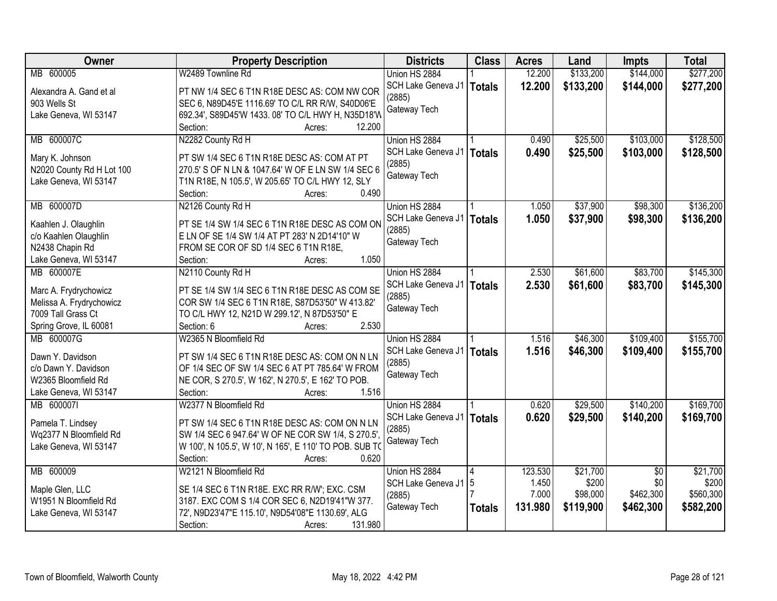| Owner                                          | <b>Property Description</b>                                                                       | <b>Districts</b>     | <b>Class</b>  | <b>Acres</b> | Land      | <b>Impts</b>    | <b>Total</b> |
|------------------------------------------------|---------------------------------------------------------------------------------------------------|----------------------|---------------|--------------|-----------|-----------------|--------------|
| MB 600005                                      | W2489 Townline Rd                                                                                 | Union HS 2884        |               | 12.200       | \$133,200 | \$144,000       | \$277,200    |
| Alexandra A. Gand et al                        | PT NW 1/4 SEC 6 T1N R18E DESC AS: COM NW COR                                                      | SCH Lake Geneva J1   | <b>Totals</b> | 12.200       | \$133,200 | \$144,000       | \$277,200    |
| 903 Wells St                                   | SEC 6, N89D45'E 1116.69' TO C/L RR R/W, S40D06'E                                                  | (2885)               |               |              |           |                 |              |
| Lake Geneva, WI 53147                          | 692.34', S89D45'W 1433. 08' TO C/L HWY H, N35D18'W                                                | Gateway Tech         |               |              |           |                 |              |
|                                                | 12.200<br>Section:<br>Acres:                                                                      |                      |               |              |           |                 |              |
| MB 600007C                                     | N2282 County Rd H                                                                                 | Union HS 2884        |               | 0.490        | \$25,500  | \$103,000       | \$128,500    |
|                                                |                                                                                                   | SCH Lake Geneva J1   | <b>Totals</b> | 0.490        | \$25,500  | \$103,000       | \$128,500    |
| Mary K. Johnson                                | PT SW 1/4 SEC 6 T1N R18E DESC AS: COM AT PT                                                       | (2885)               |               |              |           |                 |              |
| N2020 County Rd H Lot 100                      | 270.5' S OF N LN & 1047.64' W OF E LN SW 1/4 SEC 6                                                | Gateway Tech         |               |              |           |                 |              |
| Lake Geneva, WI 53147                          | T1N R18E, N 105.5', W 205.65' TO C/L HWY 12, SLY                                                  |                      |               |              |           |                 |              |
|                                                | 0.490<br>Section:<br>Acres:                                                                       |                      |               |              |           |                 |              |
| MB 600007D                                     | N2126 County Rd H                                                                                 | Union HS 2884        |               | 1.050        | \$37,900  | \$98,300        | \$136,200    |
| Kaahlen J. Olaughlin                           | PT SE 1/4 SW 1/4 SEC 6 T1N R18E DESC AS COM ON                                                    | SCH Lake Geneva J1   | <b>Totals</b> | 1.050        | \$37,900  | \$98,300        | \$136,200    |
| c/o Kaahlen Olaughlin                          | E LN OF SE 1/4 SW 1/4 AT PT 283' N 2D14'10" W                                                     | (2885)               |               |              |           |                 |              |
| N2438 Chapin Rd                                | FROM SE COR OF SD 1/4 SEC 6 T1N R18E,                                                             | Gateway Tech         |               |              |           |                 |              |
| Lake Geneva, WI 53147                          | 1.050<br>Section:<br>Acres:                                                                       |                      |               |              |           |                 |              |
| MB 600007E                                     | N2110 County Rd H                                                                                 | Union HS 2884        |               | 2.530        | \$61,600  | \$83,700        | \$145,300    |
|                                                |                                                                                                   | SCH Lake Geneva J1   | <b>Totals</b> | 2.530        | \$61,600  | \$83,700        | \$145,300    |
| Marc A. Frydrychowicz                          | PT SE 1/4 SW 1/4 SEC 6 T1N R18E DESC AS COM SE<br>COR SW 1/4 SEC 6 T1N R18E, S87D53'50" W 413.82' | (2885)               |               |              |           |                 |              |
| Melissa A. Frydrychowicz<br>7009 Tall Grass Ct | TO C/L HWY 12, N21D W 299.12', N 87D53'50" E                                                      | Gateway Tech         |               |              |           |                 |              |
| Spring Grove, IL 60081                         | Section: 6<br>2.530<br>Acres:                                                                     |                      |               |              |           |                 |              |
| MB 600007G                                     | W2365 N Bloomfield Rd                                                                             | Union HS 2884        |               | 1.516        | \$46,300  | \$109,400       | \$155,700    |
|                                                |                                                                                                   | SCH Lake Geneva J1   |               | 1.516        | \$46,300  | \$109,400       | \$155,700    |
| Dawn Y. Davidson                               | PT SW 1/4 SEC 6 T1N R18E DESC AS: COM ON N LN                                                     | (2885)               | <b>Totals</b> |              |           |                 |              |
| c/o Dawn Y. Davidson                           | OF 1/4 SEC OF SW 1/4 SEC 6 AT PT 785.64' W FROM                                                   | Gateway Tech         |               |              |           |                 |              |
| W2365 Bloomfield Rd                            | NE COR, S 270.5', W 162', N 270.5', E 162' TO POB.                                                |                      |               |              |           |                 |              |
| Lake Geneva, WI 53147                          | Section:<br>1.516<br>Acres:                                                                       |                      |               |              |           |                 |              |
| MB 6000071                                     | W2377 N Bloomfield Rd                                                                             | Union HS 2884        |               | 0.620        | \$29,500  | \$140,200       | \$169,700    |
| Pamela T. Lindsey                              | PT SW 1/4 SEC 6 T1N R18E DESC AS: COM ON N LN                                                     | SCH Lake Geneva J1   | <b>Totals</b> | 0.620        | \$29,500  | \$140,200       | \$169,700    |
| Wq2377 N Bloomfield Rd                         | SW 1/4 SEC 6 947.64' W OF NE COR SW 1/4, S 270.5'                                                 | (2885)               |               |              |           |                 |              |
| Lake Geneva, WI 53147                          | W 100', N 105.5', W 10', N 165', E 110' TO POB. SUB TO                                            | Gateway Tech         |               |              |           |                 |              |
|                                                | Section:<br>0.620<br>Acres:                                                                       |                      |               |              |           |                 |              |
| MB 600009                                      | W2121 N Bloomfield Rd                                                                             | Union HS 2884        |               | 123.530      | \$21,700  | $\overline{50}$ | \$21,700     |
|                                                |                                                                                                   | SCH Lake Geneva J1 5 |               | 1.450        | \$200     | \$0             | \$200        |
| Maple Glen, LLC                                | SE 1/4 SEC 6 T1N R18E. EXC RR R/W'; EXC. CSM                                                      | (2885)               |               | 7.000        | \$98,000  | \$462,300       | \$560,300    |
| W1951 N Bloomfield Rd                          | 3187. EXC COM S 1/4 COR SEC 6, N2D19'41"W 377.                                                    | Gateway Tech         | <b>Totals</b> | 131.980      | \$119,900 | \$462,300       | \$582,200    |
| Lake Geneva, WI 53147                          | 72', N9D23'47"E 115.10', N9D54'08"E 1130.69', ALG                                                 |                      |               |              |           |                 |              |
|                                                | 131.980<br>Section:<br>Acres:                                                                     |                      |               |              |           |                 |              |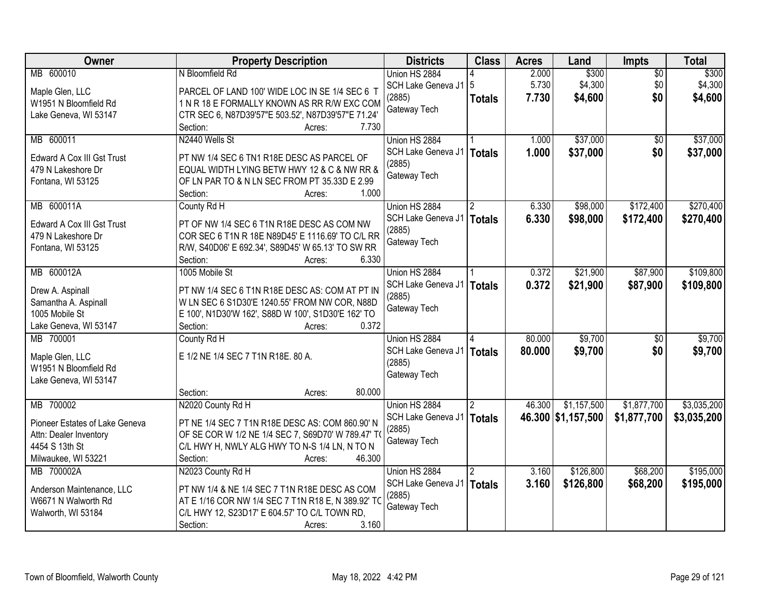| Owner                          | <b>Property Description</b>                        | <b>Districts</b>       | <b>Class</b>  | <b>Acres</b> | Land               | Impts           | <b>Total</b> |
|--------------------------------|----------------------------------------------------|------------------------|---------------|--------------|--------------------|-----------------|--------------|
| MB 600010                      | N Bloomfield Rd                                    | Union HS 2884          |               | 2.000        | \$300              | $\overline{50}$ | \$300        |
| Maple Glen, LLC                | PARCEL OF LAND 100' WIDE LOC IN SE 1/4 SEC 6 T     | SCH Lake Geneva J1   5 |               | 5.730        | \$4,300            | \$0             | \$4,300      |
| W1951 N Bloomfield Rd          | 1 N R 18 E FORMALLY KNOWN AS RR R/W EXC COM        | (2885)                 | <b>Totals</b> | 7.730        | \$4,600            | \$0             | \$4,600      |
| Lake Geneva, WI 53147          | CTR SEC 6, N87D39'57"E 503.52', N87D39'57"E 71.24' | Gateway Tech           |               |              |                    |                 |              |
|                                | 7.730<br>Section:<br>Acres:                        |                        |               |              |                    |                 |              |
| MB 600011                      | N2440 Wells St                                     | Union HS 2884          |               | 1.000        | \$37,000           | $\overline{50}$ | \$37,000     |
|                                |                                                    | SCH Lake Geneva J1     | <b>Totals</b> | 1.000        | \$37,000           | \$0             | \$37,000     |
| Edward A Cox III Gst Trust     | PT NW 1/4 SEC 6 TN1 R18E DESC AS PARCEL OF         | (2885)                 |               |              |                    |                 |              |
| 479 N Lakeshore Dr             | EQUAL WIDTH LYING BETW HWY 12 & C & NW RR &        | Gateway Tech           |               |              |                    |                 |              |
| Fontana, WI 53125              | OF LN PAR TO & N LN SEC FROM PT 35.33D E 2.99      |                        |               |              |                    |                 |              |
|                                | 1.000<br>Section:<br>Acres:                        |                        |               |              |                    |                 |              |
| MB 600011A                     | County Rd H                                        | Union HS 2884          |               | 6.330        | \$98,000           | \$172,400       | \$270,400    |
| Edward A Cox III Gst Trust     | PT OF NW 1/4 SEC 6 T1N R18E DESC AS COM NW         | SCH Lake Geneva J1     | <b>Totals</b> | 6.330        | \$98,000           | \$172,400       | \$270,400    |
| 479 N Lakeshore Dr             | COR SEC 6 T1N R 18E N89D45' E 1116.69' TO C/L RR   | (2885)                 |               |              |                    |                 |              |
| Fontana, WI 53125              | R/W, S40D06' E 692.34', S89D45' W 65.13' TO SW RR  | Gateway Tech           |               |              |                    |                 |              |
|                                | Section:<br>6.330<br>Acres:                        |                        |               |              |                    |                 |              |
| MB 600012A                     | 1005 Mobile St                                     | Union HS 2884          |               | 0.372        | \$21,900           | \$87,900        | \$109,800    |
|                                |                                                    | SCH Lake Geneva J1     | <b>Totals</b> | 0.372        | \$21,900           | \$87,900        | \$109,800    |
| Drew A. Aspinall               | PT NW 1/4 SEC 6 T1N R18E DESC AS: COM AT PT IN     | (2885)                 |               |              |                    |                 |              |
| Samantha A. Aspinall           | W LN SEC 6 S1D30'E 1240.55' FROM NW COR, N88D      | Gateway Tech           |               |              |                    |                 |              |
| 1005 Mobile St                 | E 100', N1D30'W 162', S88D W 100', S1D30'E 162' TO |                        |               |              |                    |                 |              |
| Lake Geneva, WI 53147          | 0.372<br>Section:<br>Acres:                        |                        |               |              |                    |                 |              |
| MB 700001                      | County Rd H                                        | Union HS 2884          |               | 80.000       | \$9,700            | $\overline{50}$ | \$9,700      |
| Maple Glen, LLC                | E 1/2 NE 1/4 SEC 7 T1N R18E. 80 A.                 | SCH Lake Geneva J1     | <b>Totals</b> | 80,000       | \$9,700            | \$0             | \$9,700      |
| W1951 N Bloomfield Rd          |                                                    | (2885)                 |               |              |                    |                 |              |
| Lake Geneva, WI 53147          |                                                    | Gateway Tech           |               |              |                    |                 |              |
|                                | 80.000<br>Section:<br>Acres:                       |                        |               |              |                    |                 |              |
| MB 700002                      | N2020 County Rd H                                  | Union HS 2884          |               | 46.300       | \$1,157,500        | \$1,877,700     | \$3,035,200  |
| Pioneer Estates of Lake Geneva | PT NE 1/4 SEC 7 T1N R18E DESC AS: COM 860.90' N    | SCH Lake Geneva J1     | <b>Totals</b> |              | 46.300 \$1,157,500 | \$1,877,700     | \$3,035,200  |
| Attn: Dealer Inventory         | OF SE COR W 1/2 NE 1/4 SEC 7, S69D70' W 789.47' T  | (2885)                 |               |              |                    |                 |              |
| 4454 S 13th St                 | C/L HWY H, NWLY ALG HWY TO N-S 1/4 LN, N TO N      | Gateway Tech           |               |              |                    |                 |              |
| Milwaukee, WI 53221            | 46.300<br>Section:<br>Acres:                       |                        |               |              |                    |                 |              |
| MB 700002A                     | N2023 County Rd H                                  | Union HS 2884          |               | 3.160        | \$126,800          | \$68,200        | \$195,000    |
|                                |                                                    | SCH Lake Geneva J1     | <b>Totals</b> | 3.160        | \$126,800          | \$68,200        | \$195,000    |
| Anderson Maintenance, LLC      | PT NW 1/4 & NE 1/4 SEC 7 T1N R18E DESC AS COM      | (2885)                 |               |              |                    |                 |              |
| W6671 N Walworth Rd            | AT E 1/16 COR NW 1/4 SEC 7 T1N R18 E, N 389.92' TO | Gateway Tech           |               |              |                    |                 |              |
| Walworth, WI 53184             | C/L HWY 12, S23D17' E 604.57' TO C/L TOWN RD,      |                        |               |              |                    |                 |              |
|                                | 3.160<br>Section:<br>Acres:                        |                        |               |              |                    |                 |              |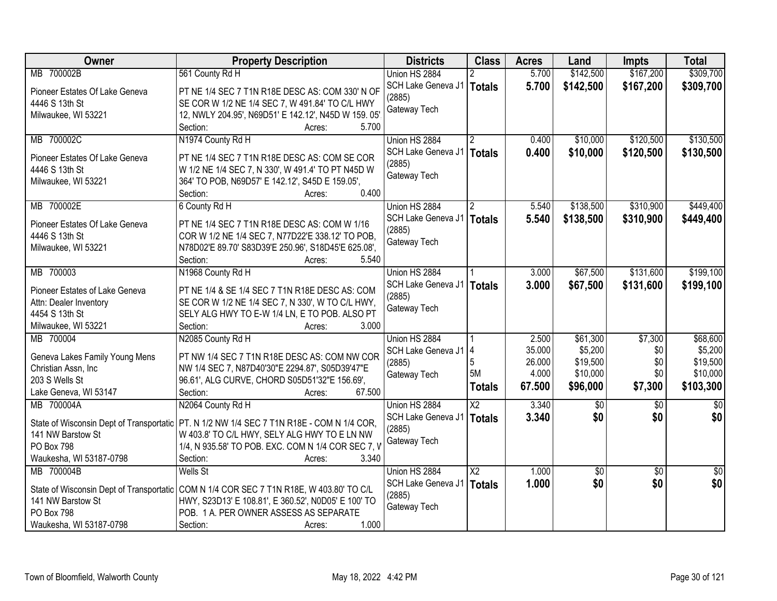| Owner                                                         | <b>Property Description</b>                         | <b>Districts</b>                      | <b>Class</b>           | <b>Acres</b> | Land            | Impts           | <b>Total</b>    |
|---------------------------------------------------------------|-----------------------------------------------------|---------------------------------------|------------------------|--------------|-----------------|-----------------|-----------------|
| MB 700002B                                                    | 561 County Rd H                                     | Union HS 2884                         |                        | 5.700        | \$142,500       | \$167,200       | \$309,700       |
| Pioneer Estates Of Lake Geneva                                | PT NE 1/4 SEC 7 T1N R18E DESC AS: COM 330' N OF     | SCH Lake Geneva J1   Totals           |                        | 5.700        | \$142,500       | \$167,200       | \$309,700       |
| 4446 S 13th St                                                | SE COR W 1/2 NE 1/4 SEC 7, W 491.84' TO C/L HWY     | (2885)                                |                        |              |                 |                 |                 |
| Milwaukee, WI 53221                                           | 12, NWLY 204.95', N69D51' E 142.12', N45D W 159.05' | Gateway Tech                          |                        |              |                 |                 |                 |
|                                                               | Section:<br>5.700<br>Acres:                         |                                       |                        |              |                 |                 |                 |
| MB 700002C                                                    | N1974 County Rd H                                   | Union HS 2884                         |                        | 0.400        | \$10,000        | \$120,500       | \$130,500       |
|                                                               |                                                     | SCH Lake Geneva J1                    | Totals                 | 0.400        | \$10,000        | \$120,500       | \$130,500       |
| Pioneer Estates Of Lake Geneva                                | PT NE 1/4 SEC 7 T1N R18E DESC AS: COM SE COR        | (2885)                                |                        |              |                 |                 |                 |
| 4446 S 13th St                                                | W 1/2 NE 1/4 SEC 7, N 330', W 491.4' TO PT N45D W   | Gateway Tech                          |                        |              |                 |                 |                 |
| Milwaukee, WI 53221                                           | 364' TO POB, N69D57' E 142.12', S45D E 159.05',     |                                       |                        |              |                 |                 |                 |
|                                                               | 0.400<br>Section:<br>Acres:                         |                                       |                        |              |                 |                 |                 |
| MB 700002E                                                    | 6 County Rd H                                       | Union HS 2884                         |                        | 5.540        | \$138,500       | \$310,900       | \$449,400       |
| Pioneer Estates Of Lake Geneva                                | PT NE 1/4 SEC 7 T1N R18E DESC AS: COM W 1/16        | SCH Lake Geneva J1                    | Totals                 | 5.540        | \$138,500       | \$310,900       | \$449,400       |
| 4446 S 13th St                                                | COR W 1/2 NE 1/4 SEC 7, N77D22'E 338.12' TO POB,    | (2885)                                |                        |              |                 |                 |                 |
| Milwaukee, WI 53221                                           | N78D02'E 89.70' S83D39'E 250.96', S18D45'E 625.08', | Gateway Tech                          |                        |              |                 |                 |                 |
|                                                               | Section:<br>5.540<br>Acres:                         |                                       |                        |              |                 |                 |                 |
| MB 700003                                                     | N1968 County Rd H                                   | Union HS 2884                         |                        | 3.000        | \$67,500        | \$131,600       | \$199,100       |
|                                                               |                                                     | SCH Lake Geneva J1   Totals           |                        | 3.000        | \$67,500        | \$131,600       | \$199,100       |
| Pioneer Estates of Lake Geneva                                | PT NE 1/4 & SE 1/4 SEC 7 T1N R18E DESC AS: COM      | (2885)                                |                        |              |                 |                 |                 |
| Attn: Dealer Inventory                                        | SE COR W 1/2 NE 1/4 SEC 7, N 330', W TO C/L HWY,    | Gateway Tech                          |                        |              |                 |                 |                 |
| 4454 S 13th St                                                | SELY ALG HWY TO E-W 1/4 LN, E TO POB. ALSO PT       |                                       |                        |              |                 |                 |                 |
| Milwaukee, WI 53221                                           | Section:<br>3.000<br>Acres:                         |                                       |                        |              |                 |                 |                 |
| MB 700004                                                     | N2085 County Rd H                                   | Union HS 2884                         |                        | 2.500        | \$61,300        | \$7,300         | \$68,600        |
| Geneva Lakes Family Young Mens                                | PT NW 1/4 SEC 7 T1N R18E DESC AS: COM NW COR        | SCH Lake Geneva J1 4                  |                        | 35.000       | \$5,200         | \$0             | \$5,200         |
| Christian Assn, Inc.                                          | NW 1/4 SEC 7, N87D40'30"E 2294.87', S05D39'47"E     | (2885)                                |                        | 26.000       | \$19,500        | \$0             | \$19,500        |
| 203 S Wells St                                                | 96.61', ALG CURVE, CHORD S05D51'32"E 156.69',       | Gateway Tech                          | 5M                     | 4.000        | \$10,000        | \$0             | \$10,000        |
| Lake Geneva, WI 53147                                         | Section:<br>67.500<br>Acres:                        |                                       | <b>Totals</b>          | 67.500       | \$96,000        | \$7,300         | \$103,300       |
| MB 700004A                                                    | N2064 County Rd H                                   | Union HS 2884                         | $\overline{\text{X2}}$ | 3.340        | $\overline{50}$ | $\overline{50}$ | $\overline{30}$ |
|                                                               | PT. N 1/2 NW 1/4 SEC 7 T1N R18E - COM N 1/4 COR,    | SCH Lake Geneva J1                    | Totals                 | 3.340        | \$0             | \$0             | \$0             |
| State of Wisconsin Dept of Transportatic<br>141 NW Barstow St | W 403.8' TO C/L HWY, SELY ALG HWY TO E LN NW        | (2885)                                |                        |              |                 |                 |                 |
| <b>PO Box 798</b>                                             | 1/4, N 935.58' TO POB. EXC. COM N 1/4 COR SEC 7, V  | Gateway Tech                          |                        |              |                 |                 |                 |
| Waukesha, WI 53187-0798                                       | Section:<br>3.340                                   |                                       |                        |              |                 |                 |                 |
| MB 700004B                                                    | Acres:<br><b>Wells St</b>                           | Union HS 2884                         | $\overline{X2}$        | 1.000        |                 |                 | $\overline{50}$ |
|                                                               |                                                     |                                       |                        |              | $\sqrt{$0}$     | $\overline{50}$ |                 |
| State of Wisconsin Dept of Transportatic                      | COM N 1/4 COR SEC 7 T1N R18E, W 403.80' TO C/L      | SCH Lake Geneva J1   Totals<br>(2885) |                        | 1.000        | \$0             | \$0             | \$0             |
| 141 NW Barstow St                                             | HWY, S23D13' E 108.81', E 360.52', N0D05' E 100' TO |                                       |                        |              |                 |                 |                 |
| PO Box 798                                                    | POB. 1 A. PER OWNER ASSESS AS SEPARATE              | Gateway Tech                          |                        |              |                 |                 |                 |
| Waukesha, WI 53187-0798                                       | 1.000<br>Section:<br>Acres:                         |                                       |                        |              |                 |                 |                 |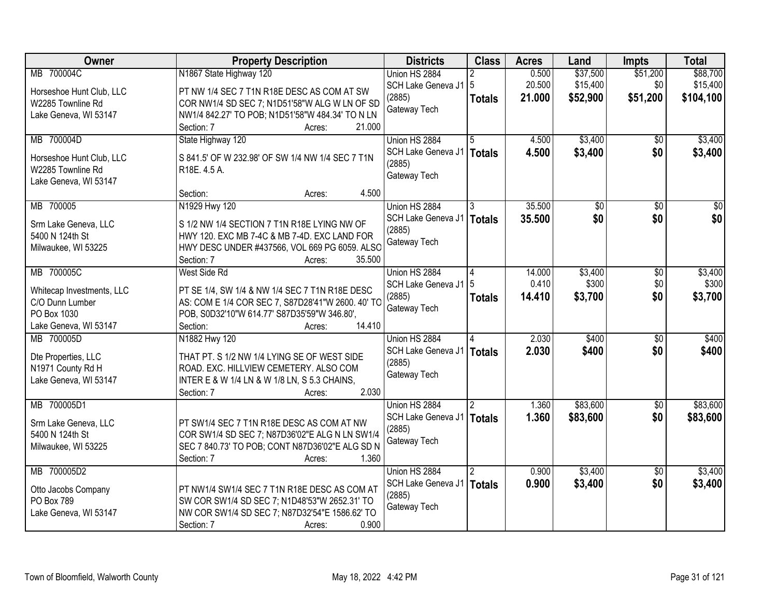| Owner                                         | <b>Property Description</b>                       | <b>Districts</b>       | <b>Class</b>  | <b>Acres</b> | Land     | <b>Impts</b>    | <b>Total</b>    |
|-----------------------------------------------|---------------------------------------------------|------------------------|---------------|--------------|----------|-----------------|-----------------|
| MB 700004C                                    | N1867 State Highway 120                           | Union HS 2884          |               | 0.500        | \$37,500 | \$51,200        | \$88,700        |
| Horseshoe Hunt Club, LLC                      | PT NW 1/4 SEC 7 T1N R18E DESC AS COM AT SW        | SCH Lake Geneva J1   5 |               | 20.500       | \$15,400 | \$0             | \$15,400        |
| W2285 Townline Rd                             | COR NW1/4 SD SEC 7; N1D51'58"W ALG W LN OF SD     | (2885)                 | <b>Totals</b> | 21.000       | \$52,900 | \$51,200        | \$104,100       |
| Lake Geneva, WI 53147                         | NW1/4 842.27' TO POB; N1D51'58"W 484.34' TO N LN  | Gateway Tech           |               |              |          |                 |                 |
|                                               | 21.000<br>Section: 7<br>Acres:                    |                        |               |              |          |                 |                 |
| MB 700004D                                    | State Highway 120                                 | Union HS 2884          |               | 4.500        | \$3,400  | $\overline{50}$ | \$3,400         |
|                                               | S 841.5' OF W 232.98' OF SW 1/4 NW 1/4 SEC 7 T1N  | SCH Lake Geneva J1     | Totals        | 4.500        | \$3,400  | \$0             | \$3,400         |
| Horseshoe Hunt Club, LLC<br>W2285 Townline Rd | R <sub>18</sub> E, 4.5 A.                         | (2885)                 |               |              |          |                 |                 |
| Lake Geneva, WI 53147                         |                                                   | Gateway Tech           |               |              |          |                 |                 |
|                                               | 4.500<br>Section:<br>Acres:                       |                        |               |              |          |                 |                 |
| MB 700005                                     | N1929 Hwy 120                                     | Union HS 2884          |               | 35.500       | \$0      | $\overline{50}$ | $\overline{50}$ |
| Srm Lake Geneva, LLC                          | S 1/2 NW 1/4 SECTION 7 T1N R18E LYING NW OF       | SCH Lake Geneva J1     | <b>Totals</b> | 35.500       | \$0      | \$0             | \$0             |
| 5400 N 124th St                               | HWY 120. EXC MB 7-4C & MB 7-4D. EXC LAND FOR      | (2885)                 |               |              |          |                 |                 |
| Milwaukee, WI 53225                           | HWY DESC UNDER #437566, VOL 669 PG 6059. ALSO     | Gateway Tech           |               |              |          |                 |                 |
|                                               | 35.500<br>Section: 7<br>Acres:                    |                        |               |              |          |                 |                 |
| MB 700005C                                    | West Side Rd                                      | Union HS 2884          | 4             | 14.000       | \$3,400  | \$0             | \$3,400         |
|                                               |                                                   | SCH Lake Geneva J1   5 |               | 0.410        | \$300    | \$0             | \$300           |
| Whitecap Investments, LLC                     | PT SE 1/4, SW 1/4 & NW 1/4 SEC 7 T1N R18E DESC    | (2885)                 | <b>Totals</b> | 14.410       | \$3,700  | \$0             | \$3,700         |
| C/O Dunn Lumber                               | AS: COM E 1/4 COR SEC 7, S87D28'41"W 2600. 40' TO | Gateway Tech           |               |              |          |                 |                 |
| PO Box 1030                                   | POB, S0D32'10"W 614.77' S87D35'59"W 346.80',      |                        |               |              |          |                 |                 |
| Lake Geneva, WI 53147                         | 14.410<br>Section:<br>Acres:                      |                        |               | 2.030        | \$400    |                 |                 |
| MB 700005D                                    | N1882 Hwy 120                                     | Union HS 2884          |               |              |          | $\overline{50}$ | \$400           |
| Dte Properties, LLC                           | THAT PT. S 1/2 NW 1/4 LYING SE OF WEST SIDE       | SCH Lake Geneva J1     | <b>Totals</b> | 2.030        | \$400    | \$0             | \$400           |
| N1971 County Rd H                             | ROAD. EXC. HILLVIEW CEMETERY. ALSO COM            | (2885)<br>Gateway Tech |               |              |          |                 |                 |
| Lake Geneva, WI 53147                         | INTER E & W 1/4 LN & W 1/8 LN, S 5.3 CHAINS,      |                        |               |              |          |                 |                 |
|                                               | 2.030<br>Section: 7<br>Acres:                     |                        |               |              |          |                 |                 |
| MB 700005D1                                   |                                                   | Union HS 2884          |               | 1.360        | \$83,600 | $\overline{60}$ | \$83,600        |
| Srm Lake Geneva, LLC                          | PT SW1/4 SEC 7 T1N R18E DESC AS COM AT NW         | SCH Lake Geneva J1     | <b>Totals</b> | 1.360        | \$83,600 | \$0             | \$83,600        |
| 5400 N 124th St                               | COR SW1/4 SD SEC 7; N87D36'02"E ALG N LN SW1/4    | (2885)                 |               |              |          |                 |                 |
| Milwaukee, WI 53225                           | SEC 7 840.73' TO POB; CONT N87D36'02"E ALG SD N   | Gateway Tech           |               |              |          |                 |                 |
|                                               | Section: 7<br>1.360<br>Acres:                     |                        |               |              |          |                 |                 |
| MB 700005D2                                   |                                                   | Union HS 2884          | 2             | 0.900        | \$3,400  | $\overline{50}$ | \$3,400         |
| Otto Jacobs Company                           | PT NW1/4 SW1/4 SEC 7 T1N R18E DESC AS COM AT      | SCH Lake Geneva J1     | <b>Totals</b> | 0.900        | \$3,400  | \$0             | \$3,400         |
| PO Box 789                                    | SW COR SW1/4 SD SEC 7; N1D48'53"W 2652.31' TO     | (2885)                 |               |              |          |                 |                 |
| Lake Geneva, WI 53147                         | NW COR SW1/4 SD SEC 7; N87D32'54"E 1586.62' TO    | Gateway Tech           |               |              |          |                 |                 |
|                                               | 0.900<br>Section: 7<br>Acres:                     |                        |               |              |          |                 |                 |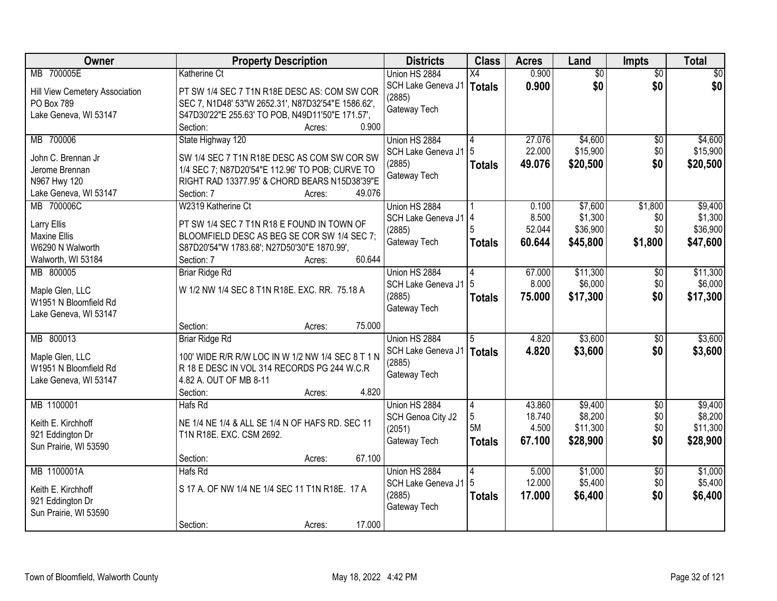| Owner                          | <b>Property Description</b>                                                                    | <b>Districts</b>       | <b>Class</b>   | <b>Acres</b> | Land     | Impts           | <b>Total</b> |
|--------------------------------|------------------------------------------------------------------------------------------------|------------------------|----------------|--------------|----------|-----------------|--------------|
| MB 700005E                     | <b>Katherine Ct</b>                                                                            | Union HS 2884          | X4             | 0.900        | \$0      | $\overline{50}$ | \$0          |
| Hill View Cemetery Association | PT SW 1/4 SEC 7 T1N R18E DESC AS: COM SW COR                                                   | SCH Lake Geneva J1     | <b>Totals</b>  | 0.900        | \$0      | \$0             | \$0          |
| PO Box 789                     | SEC 7, N1D48' 53"W 2652.31', N87D32'54"E 1586.62',                                             | (2885)                 |                |              |          |                 |              |
| Lake Geneva, WI 53147          | S47D30'22"E 255.63' TO POB, N49D11'50"E 171.57',                                               | Gateway Tech           |                |              |          |                 |              |
|                                | 0.900<br>Section:<br>Acres:                                                                    |                        |                |              |          |                 |              |
| MB 700006                      | State Highway 120                                                                              | Union HS 2884          | 4              | 27.076       | \$4,600  | \$0             | \$4,600      |
| John C. Brennan Jr             |                                                                                                | SCH Lake Geneva J1     | 5              | 22.000       | \$15,900 | \$0             | \$15,900     |
| Jerome Brennan                 | SW 1/4 SEC 7 T1N R18E DESC AS COM SW COR SW<br>1/4 SEC 7; N87D20'54"E 112.96' TO POB; CURVE TO | (2885)                 | <b>Totals</b>  | 49.076       | \$20,500 | \$0             | \$20,500     |
| N967 Hwy 120                   | RIGHT RAD 13377.95' & CHORD BEARS N15D38'39"E                                                  | Gateway Tech           |                |              |          |                 |              |
| Lake Geneva, WI 53147          | 49.076<br>Section: 7<br>Acres:                                                                 |                        |                |              |          |                 |              |
| MB 700006C                     | W2319 Katherine Ct                                                                             | Union HS 2884          |                | 0.100        | \$7,600  | \$1,800         | \$9,400      |
|                                |                                                                                                | SCH Lake Geneva J1   4 |                | 8.500        | \$1,300  | \$0             | \$1,300      |
| Larry Ellis                    | PT SW 1/4 SEC 7 T1N R18 E FOUND IN TOWN OF                                                     | (2885)                 |                | 52.044       | \$36,900 | \$0             | \$36,900     |
| Maxine Ellis                   | BLOOMFIELD DESC AS BEG SE COR SW 1/4 SEC 7;                                                    | Gateway Tech           | <b>Totals</b>  | 60.644       | \$45,800 | \$1,800         | \$47,600     |
| W6290 N Walworth               | S87D20'54"W 1783.68'; N27D50'30"E 1870.99',                                                    |                        |                |              |          |                 |              |
| Walworth, WI 53184             | 60.644<br>Section: 7<br>Acres:                                                                 |                        |                |              |          |                 |              |
| MB 800005                      | <b>Briar Ridge Rd</b>                                                                          | Union HS 2884          |                | 67.000       | \$11,300 | \$0             | \$11,300     |
| Maple Glen, LLC                | W 1/2 NW 1/4 SEC 8 T1N R18E. EXC. RR. 75.18 A                                                  | SCH Lake Geneva J1   5 |                | 8.000        | \$6,000  | \$0             | \$6,000      |
| W1951 N Bloomfield Rd          |                                                                                                | (2885)                 | <b>Totals</b>  | 75.000       | \$17,300 | \$0             | \$17,300     |
| Lake Geneva, WI 53147          |                                                                                                | Gateway Tech           |                |              |          |                 |              |
|                                | 75.000<br>Section:<br>Acres:                                                                   |                        |                |              |          |                 |              |
| MB 800013                      | <b>Briar Ridge Rd</b>                                                                          | Union HS 2884          |                | 4.820        | \$3,600  | $\overline{50}$ | \$3,600      |
|                                |                                                                                                | SCH Lake Geneva J1     | <b>Totals</b>  | 4.820        | \$3,600  | \$0             | \$3,600      |
| Maple Glen, LLC                | 100' WIDE R/R R/W LOC IN W 1/2 NW 1/4 SEC 8 T 1 N                                              | (2885)                 |                |              |          |                 |              |
| W1951 N Bloomfield Rd          | R 18 E DESC IN VOL 314 RECORDS PG 244 W.C.R<br>4.82 A. OUT OF MB 8-11                          | Gateway Tech           |                |              |          |                 |              |
| Lake Geneva, WI 53147          | 4.820<br>Section:<br>Acres:                                                                    |                        |                |              |          |                 |              |
| MB 1100001                     | Hafs Rd                                                                                        | Union HS 2884          | $\overline{4}$ | 43.860       | \$9,400  | $\overline{50}$ | \$9,400      |
|                                |                                                                                                | SCH Genoa City J2      | 5              | 18.740       | \$8,200  | \$0             | \$8,200      |
| Keith E. Kirchhoff             | NE 1/4 NE 1/4 & ALL SE 1/4 N OF HAFS RD. SEC 11                                                | (2051)                 | 5M             | 4.500        | \$11,300 | \$0             | \$11,300     |
| 921 Eddington Dr               | T1N R18E. EXC. CSM 2692.                                                                       | Gateway Tech           | <b>Totals</b>  | 67.100       | \$28,900 | \$0             | \$28,900     |
| Sun Prairie, WI 53590          |                                                                                                |                        |                |              |          |                 |              |
|                                | 67.100<br>Section:<br>Acres:                                                                   |                        |                |              |          |                 |              |
| MB 1100001A                    | Hafs Rd                                                                                        | Union HS 2884          | 4              | 5.000        | \$1,000  | $\overline{50}$ | \$1,000      |
| Keith E. Kirchhoff             | S 17 A. OF NW 1/4 NE 1/4 SEC 11 T1N R18E. 17 A                                                 | SCH Lake Geneva J1     | 5              | 12.000       | \$5,400  | \$0             | \$5,400      |
| 921 Eddington Dr               |                                                                                                | (2885)                 | <b>Totals</b>  | 17.000       | \$6,400  | \$0             | \$6,400      |
| Sun Prairie, WI 53590          |                                                                                                | Gateway Tech           |                |              |          |                 |              |
|                                | 17.000<br>Section:<br>Acres:                                                                   |                        |                |              |          |                 |              |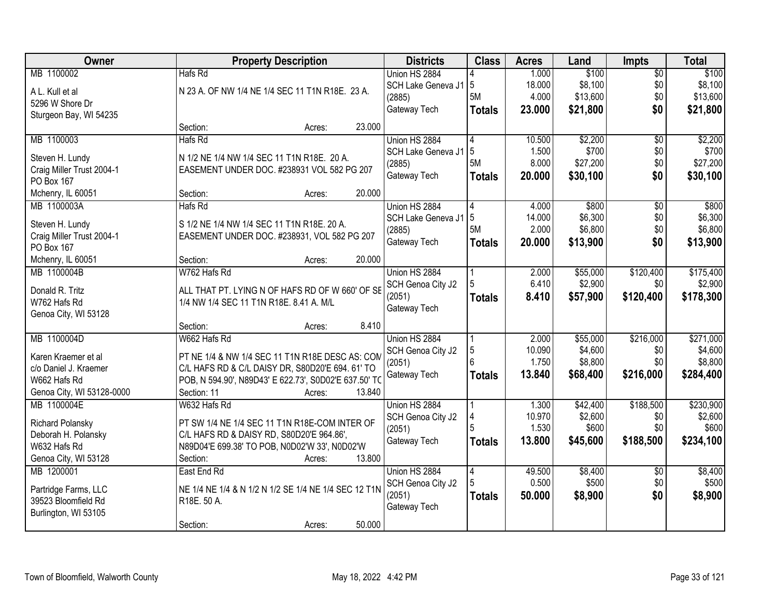| <b>Owner</b>                        | <b>Property Description</b>                                                                | <b>Districts</b>       | <b>Class</b>  | <b>Acres</b> | Land     | Impts           | <b>Total</b> |
|-------------------------------------|--------------------------------------------------------------------------------------------|------------------------|---------------|--------------|----------|-----------------|--------------|
| MB 1100002                          | Hafs Rd                                                                                    | Union HS 2884          |               | 1.000        | \$100    | $\overline{50}$ | \$100        |
| A L. Kull et al                     | N 23 A. OF NW 1/4 NE 1/4 SEC 11 T1N R18E. 23 A.                                            | SCH Lake Geneva J1   5 |               | 18.000       | \$8,100  | \$0             | \$8,100      |
| 5296 W Shore Dr                     |                                                                                            | (2885)                 | 5M            | 4.000        | \$13,600 | \$0             | \$13,600     |
| Sturgeon Bay, WI 54235              |                                                                                            | Gateway Tech           | <b>Totals</b> | 23.000       | \$21,800 | \$0             | \$21,800     |
|                                     | 23.000<br>Section:<br>Acres:                                                               |                        |               |              |          |                 |              |
| MB 1100003                          | Hafs Rd                                                                                    | Union HS 2884          | 4             | 10.500       | \$2,200  | $\overline{50}$ | \$2,200      |
| Steven H. Lundy                     | N 1/2 NE 1/4 NW 1/4 SEC 11 T1N R18E. 20 A.                                                 | SCH Lake Geneva J1     | 5             | 1.500        | \$700    | \$0             | \$700        |
| Craig Miller Trust 2004-1           | EASEMENT UNDER DOC. #238931 VOL 582 PG 207                                                 | (2885)                 | 5M            | 8.000        | \$27,200 | \$0             | \$27,200     |
| PO Box 167                          |                                                                                            | Gateway Tech           | <b>Totals</b> | 20.000       | \$30,100 | \$0             | \$30,100     |
| Mchenry, IL 60051                   | 20.000<br>Section:<br>Acres:                                                               |                        |               |              |          |                 |              |
| MB 1100003A                         | Hafs Rd                                                                                    | Union HS 2884          |               | 4.000        | \$800    | $\overline{50}$ | \$800        |
|                                     |                                                                                            | SCH Lake Geneva J1     | 5             | 14.000       | \$6,300  | \$0             | \$6,300      |
| Steven H. Lundy                     | S 1/2 NE 1/4 NW 1/4 SEC 11 T1N R18E. 20 A.                                                 | (2885)                 | 5M            | 2.000        | \$6,800  | \$0             | \$6,800      |
| Craig Miller Trust 2004-1           | EASEMENT UNDER DOC. #238931, VOL 582 PG 207                                                | Gateway Tech           | <b>Totals</b> | 20.000       | \$13,900 | \$0             | \$13,900     |
| PO Box 167                          |                                                                                            |                        |               |              |          |                 |              |
| Mchenry, IL 60051                   | 20.000<br>Section:<br>Acres:                                                               |                        |               |              |          |                 |              |
| MB 1100004B                         | W762 Hafs Rd                                                                               | Union HS 2884          |               | 2.000        | \$55,000 | \$120,400       | \$175,400    |
| Donald R. Tritz                     | ALL THAT PT. LYING N OF HAFS RD OF W 660' OF SE                                            | SCH Genoa City J2      |               | 6.410        | \$2,900  | \$0             | \$2,900      |
| W762 Hafs Rd                        | 1/4 NW 1/4 SEC 11 T1N R18E. 8.41 A. M/L                                                    | (2051)<br>Gateway Tech | <b>Totals</b> | 8.410        | \$57,900 | \$120,400       | \$178,300    |
| Genoa City, WI 53128                |                                                                                            |                        |               |              |          |                 |              |
|                                     | 8.410<br>Section:<br>Acres:                                                                |                        |               |              |          |                 |              |
| MB 1100004D                         | W662 Hafs Rd                                                                               | Union HS 2884          |               | 2.000        | \$55,000 | \$216,000       | \$271,000    |
| Karen Kraemer et al                 | PT NE 1/4 & NW 1/4 SEC 11 T1N R18E DESC AS: COM                                            | SCH Genoa City J2      | 5             | 10.090       | \$4,600  | \$0             | \$4,600      |
| c/o Daniel J. Kraemer               | C/L HAFS RD & C/L DAISY DR, S80D20'E 694. 61' TO                                           | (2051)                 | ĥ             | 1.750        | \$8,800  | \$0             | \$8,800      |
| W662 Hafs Rd                        | POB, N 594.90', N89D43' E 622.73', S0D02'E 637.50' TO                                      | Gateway Tech           | <b>Totals</b> | 13.840       | \$68,400 | \$216,000       | \$284,400    |
| Genoa City, WI 53128-0000           | 13.840<br>Section: 11<br>Acres:                                                            |                        |               |              |          |                 |              |
| MB 1100004E                         | W632 Hafs Rd                                                                               | Union HS 2884          |               | 1.300        | \$42,400 | \$188,500       | \$230,900    |
|                                     |                                                                                            | SCH Genoa City J2      | 4             | 10.970       | \$2,600  | \$0             | \$2,600      |
| Richard Polansky                    | PT SW 1/4 NE 1/4 SEC 11 T1N R18E-COM INTER OF                                              | (2051)                 |               | 1.530        | \$600    | \$0             | \$600        |
| Deborah H. Polansky<br>W632 Hafs Rd | C/L HAFS RD & DAISY RD, S80D20'E 964.86',<br>N89D04'E 699.38' TO POB, N0D02'W 33', N0D02'W | Gateway Tech           | <b>Totals</b> | 13.800       | \$45,600 | \$188,500       | \$234,100    |
| Genoa City, WI 53128                | Section:<br>13.800                                                                         |                        |               |              |          |                 |              |
| MB 1200001                          | Acres:<br>East End Rd                                                                      | Union HS 2884          | 4             | 49.500       | \$8,400  | $\overline{30}$ | \$8,400      |
|                                     |                                                                                            | SCH Genoa City J2      |               | 0.500        | \$500    | \$0             | \$500        |
| Partridge Farms, LLC                | NE 1/4 NE 1/4 & N 1/2 N 1/2 SE 1/4 NE 1/4 SEC 12 T1N                                       | (2051)                 | <b>Totals</b> | 50.000       | \$8,900  | \$0             | \$8,900      |
| 39523 Bloomfield Rd                 | R18E. 50 A.                                                                                | Gateway Tech           |               |              |          |                 |              |
| Burlington, WI 53105                |                                                                                            |                        |               |              |          |                 |              |
|                                     | 50.000<br>Section:<br>Acres:                                                               |                        |               |              |          |                 |              |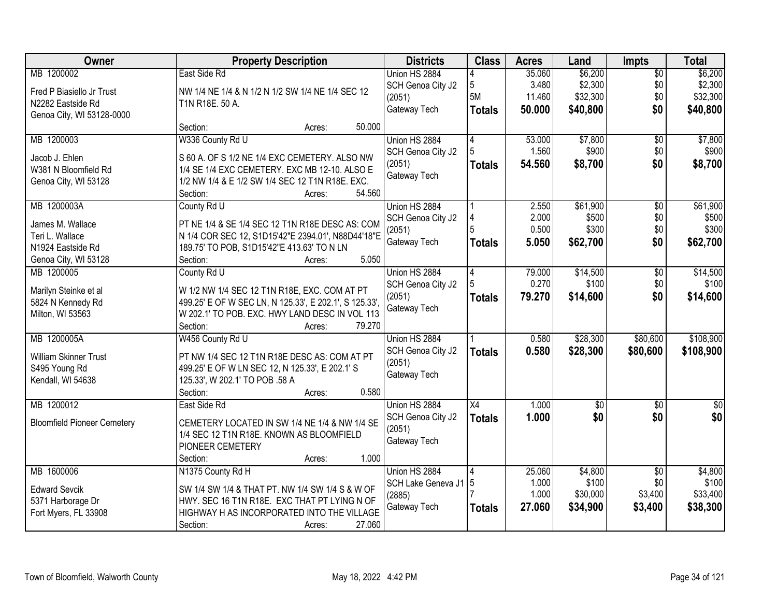| Owner                              | <b>Property Description</b>                                                                | <b>Districts</b>   | <b>Class</b>    | <b>Acres</b> | Land     | Impts           | <b>Total</b> |
|------------------------------------|--------------------------------------------------------------------------------------------|--------------------|-----------------|--------------|----------|-----------------|--------------|
| MB 1200002                         | East Side Rd                                                                               | Union HS 2884      |                 | 35.060       | \$6,200  | $\overline{50}$ | \$6,200      |
| Fred P Biasiello Jr Trust          | NW 1/4 NE 1/4 & N 1/2 N 1/2 SW 1/4 NE 1/4 SEC 12                                           | SCH Genoa City J2  | 5               | 3.480        | \$2,300  | \$0             | \$2,300      |
| N2282 Eastside Rd                  | T1N R18E. 50 A.                                                                            | (2051)             | 5M              | 11.460       | \$32,300 | \$0             | \$32,300     |
| Genoa City, WI 53128-0000          |                                                                                            | Gateway Tech       | <b>Totals</b>   | 50.000       | \$40,800 | \$0             | \$40,800     |
|                                    | 50.000<br>Section:<br>Acres:                                                               |                    |                 |              |          |                 |              |
| MB 1200003                         | W336 County Rd U                                                                           | Union HS 2884      | 4               | 53.000       | \$7,800  | $\overline{50}$ | \$7,800      |
|                                    |                                                                                            | SCH Genoa City J2  |                 | 1.560        | \$900    | \$0             | \$900        |
| Jacob J. Ehlen                     | S 60 A. OF S 1/2 NE 1/4 EXC CEMETERY. ALSO NW                                              | (2051)             | <b>Totals</b>   | 54.560       | \$8,700  | \$0             | \$8,700      |
| W381 N Bloomfield Rd               | 1/4 SE 1/4 EXC CEMETERY. EXC MB 12-10. ALSO E                                              | Gateway Tech       |                 |              |          |                 |              |
| Genoa City, WI 53128               | 1/2 NW 1/4 & E 1/2 SW 1/4 SEC 12 T1N R18E. EXC.                                            |                    |                 |              |          |                 |              |
|                                    | 54.560<br>Section:<br>Acres:                                                               |                    |                 |              |          |                 |              |
| MB 1200003A                        | County Rd U                                                                                | Union HS 2884      |                 | 2.550        | \$61,900 | $\overline{50}$ | \$61,900     |
| James M. Wallace                   | PT NE 1/4 & SE 1/4 SEC 12 T1N R18E DESC AS: COM                                            | SCH Genoa City J2  | 4               | 2.000        | \$500    | \$0             | \$500        |
| Teri L. Wallace                    | N 1/4 COR SEC 12, S1D15'42"E 2394.01', N88D44'18"E                                         | (2051)             |                 | 0.500        | \$300    | \$0             | \$300        |
| N1924 Eastside Rd                  | 189.75' TO POB, S1D15'42"E 413.63' TO N LN                                                 | Gateway Tech       | <b>Totals</b>   | 5.050        | \$62,700 | \$0             | \$62,700     |
| Genoa City, WI 53128               | 5.050<br>Section:<br>Acres:                                                                |                    |                 |              |          |                 |              |
| MB 1200005                         | County Rd U                                                                                | Union HS 2884      | 4               | 79.000       | \$14,500 | $\overline{50}$ | \$14,500     |
|                                    |                                                                                            | SCH Genoa City J2  |                 | 0.270        | \$100    | \$0             | \$100        |
| Marilyn Steinke et al              | W 1/2 NW 1/4 SEC 12 T1N R18E, EXC. COM AT PT                                               | (2051)             | <b>Totals</b>   | 79.270       | \$14,600 | \$0             | \$14,600     |
| 5824 N Kennedy Rd                  | 499.25' E OF W SEC LN, N 125.33', E 202.1', S 125.33',                                     | Gateway Tech       |                 |              |          |                 |              |
| Milton, WI 53563                   | W 202.1' TO POB. EXC. HWY LAND DESC IN VOL 113                                             |                    |                 |              |          |                 |              |
|                                    | Section:<br>79.270<br>Acres:                                                               |                    |                 |              |          |                 |              |
| MB 1200005A                        | W456 County Rd U                                                                           | Union HS 2884      |                 | 0.580        | \$28,300 | \$80,600        | \$108,900    |
| William Skinner Trust              | PT NW 1/4 SEC 12 T1N R18E DESC AS: COM AT PT                                               | SCH Genoa City J2  | <b>Totals</b>   | 0.580        | \$28,300 | \$80,600        | \$108,900    |
| S495 Young Rd                      | 499.25' E OF W LN SEC 12, N 125.33', E 202.1' S                                            | (2051)             |                 |              |          |                 |              |
| Kendall, WI 54638                  | 125.33', W 202.1' TO POB .58 A                                                             | Gateway Tech       |                 |              |          |                 |              |
|                                    | 0.580<br>Section:<br>Acres:                                                                |                    |                 |              |          |                 |              |
| MB 1200012                         | East Side Rd                                                                               | Union HS 2884      | $\overline{X4}$ | 1.000        | \$0      | $\overline{50}$ | $\sqrt{30}$  |
| <b>Bloomfield Pioneer Cemetery</b> | CEMETERY LOCATED IN SW 1/4 NE 1/4 & NW 1/4 SE                                              | SCH Genoa City J2  | <b>Totals</b>   | 1.000        | \$0      | \$0             | \$0          |
|                                    | 1/4 SEC 12 T1N R18E. KNOWN AS BLOOMFIELD                                                   | (2051)             |                 |              |          |                 |              |
|                                    | PIONEER CEMETERY                                                                           | Gateway Tech       |                 |              |          |                 |              |
|                                    | 1.000<br>Section:<br>Acres:                                                                |                    |                 |              |          |                 |              |
| MB 1600006                         | N1375 County Rd H                                                                          | Union HS 2884      |                 | 25.060       | \$4,800  | $\overline{50}$ | \$4,800      |
|                                    |                                                                                            | SCH Lake Geneva J1 | 5               | 1.000        | \$100    | \$0             | \$100        |
| <b>Edward Sevcik</b>               | SW 1/4 SW 1/4 & THAT PT. NW 1/4 SW 1/4 S & W OF                                            | (2885)             |                 | 1.000        | \$30,000 | \$3,400         | \$33,400     |
| 5371 Harborage Dr                  | HWY. SEC 16 T1N R18E. EXC THAT PT LYING N OF<br>HIGHWAY H AS INCORPORATED INTO THE VILLAGE | Gateway Tech       | <b>Totals</b>   | 27.060       | \$34,900 | \$3,400         | \$38,300     |
| Fort Myers, FL 33908               | 27.060                                                                                     |                    |                 |              |          |                 |              |
|                                    | Section:<br>Acres:                                                                         |                    |                 |              |          |                 |              |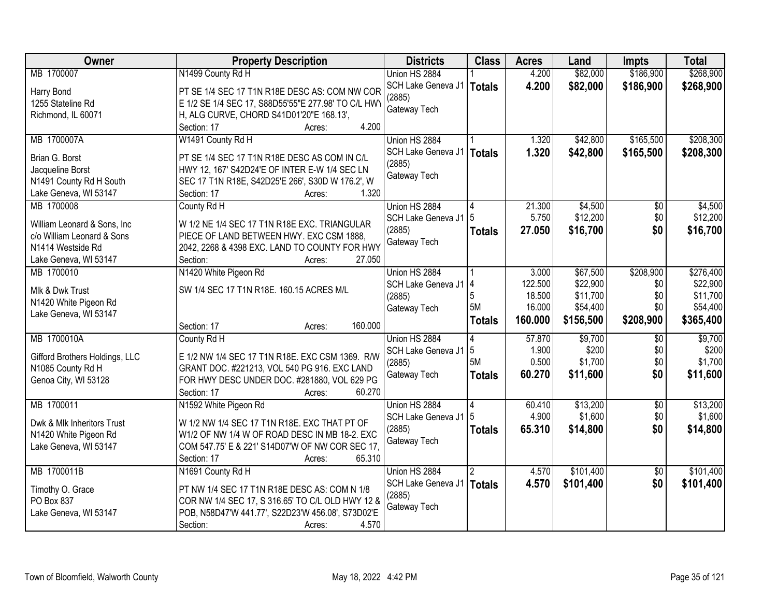| Owner                                          | <b>Property Description</b>                         | <b>Districts</b>                      | <b>Class</b>  | <b>Acres</b> | Land      | <b>Impts</b>    | <b>Total</b> |
|------------------------------------------------|-----------------------------------------------------|---------------------------------------|---------------|--------------|-----------|-----------------|--------------|
| MB 1700007                                     | N1499 County Rd H                                   | Union HS 2884                         |               | 4.200        | \$82,000  | \$186,900       | \$268,900    |
| Harry Bond                                     | PT SE 1/4 SEC 17 T1N R18E DESC AS: COM NW COR       | SCH Lake Geneva J1   Totals           |               | 4.200        | \$82,000  | \$186,900       | \$268,900    |
| 1255 Stateline Rd                              | E 1/2 SE 1/4 SEC 17, S88D55'55"E 277.98' TO C/L HWY | (2885)                                |               |              |           |                 |              |
| Richmond, IL 60071                             | H, ALG CURVE, CHORD S41D01'20"E 168.13',            | Gateway Tech                          |               |              |           |                 |              |
|                                                | 4.200<br>Section: 17<br>Acres:                      |                                       |               |              |           |                 |              |
| MB 1700007A                                    | W1491 County Rd H                                   | Union HS 2884                         |               | 1.320        | \$42,800  | \$165,500       | \$208,300    |
|                                                |                                                     | SCH Lake Geneva J1                    | Totals        | 1.320        | \$42,800  | \$165,500       | \$208,300    |
| Brian G. Borst                                 | PT SE 1/4 SEC 17 T1N R18E DESC AS COM IN C/L        | (2885)                                |               |              |           |                 |              |
| Jacqueline Borst                               | HWY 12, 167' S42D24'E OF INTER E-W 1/4 SEC LN       | Gateway Tech                          |               |              |           |                 |              |
| N1491 County Rd H South                        | SEC 17 T1N R18E, S42D25'E 266', S30D W 176.2', W    |                                       |               |              |           |                 |              |
| Lake Geneva, WI 53147                          | 1.320<br>Section: 17<br>Acres:                      |                                       |               |              |           |                 |              |
| MB 1700008                                     | County Rd H                                         | Union HS 2884                         |               | 21.300       | \$4,500   | $\overline{50}$ | \$4,500      |
| William Leonard & Sons, Inc.                   | W 1/2 NE 1/4 SEC 17 T1N R18E EXC. TRIANGULAR        | SCH Lake Geneva J1                    | 5             | 5.750        | \$12,200  | \$0             | \$12,200     |
| c/o William Leonard & Sons                     | PIECE OF LAND BETWEEN HWY. EXC CSM 1888,            | (2885)                                | <b>Totals</b> | 27.050       | \$16,700  | \$0             | \$16,700     |
| N <sub>1414</sub> Westside Rd                  | 2042, 2268 & 4398 EXC. LAND TO COUNTY FOR HWY       | Gateway Tech                          |               |              |           |                 |              |
| Lake Geneva, WI 53147                          | 27.050<br>Section:<br>Acres:                        |                                       |               |              |           |                 |              |
| MB 1700010                                     | N1420 White Pigeon Rd                               | Union HS 2884                         |               | 3.000        | \$67,500  | \$208,900       | \$276,400    |
|                                                |                                                     | SCH Lake Geneva J1 4                  |               | 122.500      | \$22,900  | \$0             | \$22,900     |
| Mlk & Dwk Trust                                | SW 1/4 SEC 17 T1N R18E. 160.15 ACRES M/L            | (2885)                                | 5             | 18.500       | \$11,700  | \$0             | \$11,700     |
| N1420 White Pigeon Rd                          |                                                     | Gateway Tech                          | 5M            | 16.000       | \$54,400  | \$0             | \$54,400     |
| Lake Geneva, WI 53147                          |                                                     |                                       | <b>Totals</b> | 160.000      | \$156,500 | \$208,900       | \$365,400    |
|                                                | 160.000<br>Section: 17<br>Acres:                    |                                       |               |              |           |                 |              |
| MB 1700010A                                    | County Rd H                                         | Union HS 2884                         | 4             | 57.870       | \$9,700   | $\overline{60}$ | \$9,700      |
| Gifford Brothers Holdings, LLC                 | E 1/2 NW 1/4 SEC 17 T1N R18E. EXC CSM 1369. R/W     | SCH Lake Geneva J1                    | 5             | 1.900        | \$200     | \$0             | \$200        |
| N1085 County Rd H                              | GRANT DOC. #221213, VOL 540 PG 916. EXC LAND        | (2885)                                | 5M            | 0.500        | \$1,700   | \$0             | \$1,700      |
| Genoa City, WI 53128                           | FOR HWY DESC UNDER DOC. #281880, VOL 629 PG         | Gateway Tech                          | <b>Totals</b> | 60.270       | \$11,600  | \$0             | \$11,600     |
|                                                | 60.270<br>Section: 17<br>Acres:                     |                                       |               |              |           |                 |              |
| MB 1700011                                     | N1592 White Pigeon Rd                               | Union HS 2884                         |               | 60.410       | \$13,200  | $\overline{50}$ | \$13,200     |
| Dwk & Mlk Inheritors Trust                     | W 1/2 NW 1/4 SEC 17 T1N R18E. EXC THAT PT OF        | SCH Lake Geneva J1                    | 5             | 4.900        | \$1,600   | \$0             | \$1,600      |
|                                                | W1/2 OF NW 1/4 W OF ROAD DESC IN MB 18-2. EXC       | (2885)                                | <b>Totals</b> | 65.310       | \$14,800  | \$0             | \$14,800     |
| N1420 White Pigeon Rd<br>Lake Geneva, WI 53147 | COM 547.75' E & 221' S14D07'W OF NW COR SEC 17.     | Gateway Tech                          |               |              |           |                 |              |
|                                                | 65.310                                              |                                       |               |              |           |                 |              |
| MB 1700011B                                    | Section: 17<br>Acres:                               | Union HS 2884                         |               | 4.570        | \$101,400 |                 | \$101,400    |
|                                                | N1691 County Rd H                                   |                                       | 2             |              |           | $\overline{50}$ |              |
| Timothy O. Grace                               | PT NW 1/4 SEC 17 T1N R18E DESC AS: COM N 1/8        | SCH Lake Geneva J1   Totals<br>(2885) |               | 4.570        | \$101,400 | \$0             | \$101,400    |
| PO Box 837                                     | COR NW 1/4 SEC 17, S 316.65' TO C/L OLD HWY 12 &    |                                       |               |              |           |                 |              |
| Lake Geneva, WI 53147                          | POB, N58D47'W 441.77', S22D23'W 456.08', S73D02'E   | Gateway Tech                          |               |              |           |                 |              |
|                                                | Section:<br>4.570<br>Acres:                         |                                       |               |              |           |                 |              |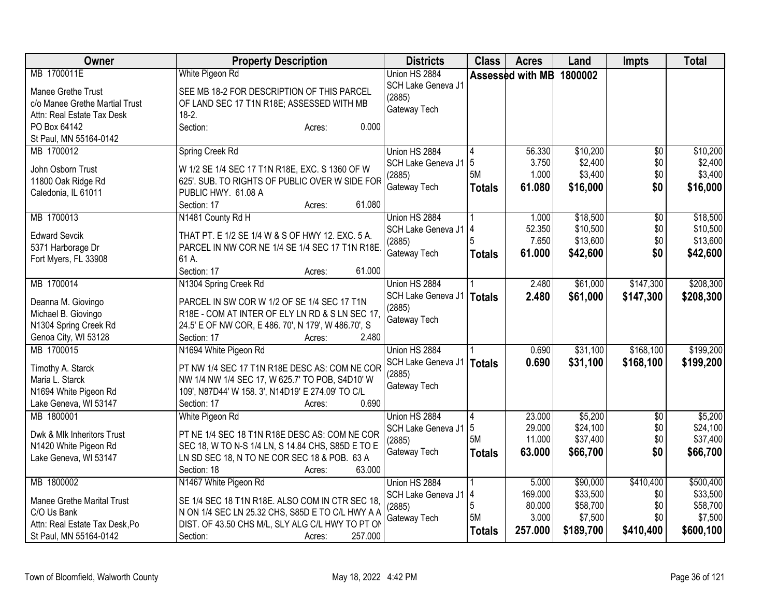| Owner                                    | <b>Property Description</b>                                                                          | <b>Districts</b>   | <b>Class</b>  | <b>Acres</b>     | Land      | <b>Impts</b>    | <b>Total</b> |
|------------------------------------------|------------------------------------------------------------------------------------------------------|--------------------|---------------|------------------|-----------|-----------------|--------------|
| MB 1700011E                              | White Pigeon Rd                                                                                      | Union HS 2884      |               | Assessed with MB | 1800002   |                 |              |
| Manee Grethe Trust                       | SEE MB 18-2 FOR DESCRIPTION OF THIS PARCEL                                                           | SCH Lake Geneva J1 |               |                  |           |                 |              |
| c/o Manee Grethe Martial Trust           | OF LAND SEC 17 T1N R18E; ASSESSED WITH MB                                                            | (2885)             |               |                  |           |                 |              |
| Attn: Real Estate Tax Desk               | $18-2.$                                                                                              | Gateway Tech       |               |                  |           |                 |              |
| PO Box 64142                             | 0.000<br>Section:<br>Acres:                                                                          |                    |               |                  |           |                 |              |
| St Paul, MN 55164-0142                   |                                                                                                      |                    |               |                  |           |                 |              |
| MB 1700012                               | Spring Creek Rd                                                                                      | Union HS 2884      |               | 56.330           | \$10,200  | \$0             | \$10,200     |
| John Osborn Trust                        | W 1/2 SE 1/4 SEC 17 T1N R18E, EXC. S 1360 OF W                                                       | SCH Lake Geneva J1 | 5             | 3.750            | \$2,400   | \$0             | \$2,400      |
| 11800 Oak Ridge Rd                       | 625'. SUB. TO RIGHTS OF PUBLIC OVER W SIDE FOR                                                       | (2885)             | 5M            | 1.000            | \$3,400   | \$0             | \$3,400      |
| Caledonia, IL 61011                      | PUBLIC HWY. 61.08 A                                                                                  | Gateway Tech       | <b>Totals</b> | 61.080           | \$16,000  | \$0             | \$16,000     |
|                                          | Section: 17<br>61.080<br>Acres:                                                                      |                    |               |                  |           |                 |              |
| MB 1700013                               | N1481 County Rd H                                                                                    | Union HS 2884      |               | 1.000            | \$18,500  | $\overline{50}$ | \$18,500     |
|                                          |                                                                                                      | SCH Lake Geneva J1 | 14            | 52.350           | \$10,500  | \$0             | \$10,500     |
| <b>Edward Sevcik</b>                     | THAT PT. E 1/2 SE 1/4 W & S OF HWY 12. EXC. 5 A.                                                     | (2885)             |               | 7.650            | \$13,600  | \$0             | \$13,600     |
| 5371 Harborage Dr                        | PARCEL IN NW COR NE 1/4 SE 1/4 SEC 17 T1N R18E.                                                      | Gateway Tech       | <b>Totals</b> | 61.000           | \$42,600  | \$0             | \$42,600     |
| Fort Myers, FL 33908                     | 61 A.                                                                                                |                    |               |                  |           |                 |              |
|                                          | 61.000<br>Section: 17<br>Acres:                                                                      |                    |               |                  |           |                 |              |
| MB 1700014                               | N1304 Spring Creek Rd                                                                                | Union HS 2884      |               | 2.480            | \$61,000  | \$147,300       | \$208,300    |
| Deanna M. Giovingo                       | PARCEL IN SW COR W 1/2 OF SE 1/4 SEC 17 T1N                                                          | SCH Lake Geneva J1 | Totals        | 2.480            | \$61,000  | \$147,300       | \$208,300    |
| Michael B. Giovingo                      | R18E - COM AT INTER OF ELY LN RD & S LN SEC 17.                                                      | (2885)             |               |                  |           |                 |              |
| N1304 Spring Creek Rd                    | 24.5' E OF NW COR, E 486. 70', N 179', W 486.70', S                                                  | Gateway Tech       |               |                  |           |                 |              |
| Genoa City, WI 53128                     | 2.480<br>Section: 17<br>Acres:                                                                       |                    |               |                  |           |                 |              |
| MB 1700015                               | N1694 White Pigeon Rd                                                                                | Union HS 2884      |               | 0.690            | \$31,100  | \$168,100       | \$199,200    |
|                                          |                                                                                                      | SCH Lake Geneva J1 | <b>Totals</b> | 0.690            | \$31,100  | \$168,100       | \$199,200    |
| Timothy A. Starck                        | PT NW 1/4 SEC 17 T1N R18E DESC AS: COM NE COR                                                        | (2885)             |               |                  |           |                 |              |
| Maria L. Starck<br>N1694 White Pigeon Rd | NW 1/4 NW 1/4 SEC 17, W 625.7' TO POB, S4D10' W<br>109', N87D44' W 158. 3', N14D19' E 274.09' TO C/L | Gateway Tech       |               |                  |           |                 |              |
| Lake Geneva, WI 53147                    | 0.690<br>Section: 17<br>Acres:                                                                       |                    |               |                  |           |                 |              |
| MB 1800001                               | White Pigeon Rd                                                                                      | Union HS 2884      | 14            | 23.000           | \$5,200   | \$0             | \$5,200      |
|                                          |                                                                                                      | SCH Lake Geneva J1 | 5             | 29.000           | \$24,100  | \$0             | \$24,100     |
| Dwk & Mlk Inheritors Trust               | PT NE 1/4 SEC 18 T1N R18E DESC AS: COM NE COR                                                        | (2885)             | 5M            | 11.000           | \$37,400  | \$0             | \$37,400     |
| N1420 White Pigeon Rd                    | SEC 18, W TO N-S 1/4 LN, S 14.84 CHS, S85D E TO E                                                    | Gateway Tech       | <b>Totals</b> | 63.000           | \$66,700  | \$0             | \$66,700     |
| Lake Geneva, WI 53147                    | LN SD SEC 18, N TO NE COR SEC 18 & POB. 63 A                                                         |                    |               |                  |           |                 |              |
|                                          | 63.000<br>Section: 18<br>Acres:                                                                      |                    |               |                  |           |                 |              |
| MB 1800002                               | N1467 White Pigeon Rd                                                                                | Union HS 2884      |               | 5.000            | \$90,000  | \$410,400       | \$500,400    |
| <b>Manee Grethe Marital Trust</b>        | SE 1/4 SEC 18 T1N R18E. ALSO COM IN CTR SEC 18,                                                      | SCH Lake Geneva J1 | 14            | 169.000          | \$33,500  | \$0             | \$33,500     |
| C/O Us Bank                              | N ON 1/4 SEC LN 25.32 CHS, S85D E TO C/L HWY A A                                                     | (2885)             | 5             | 80.000           | \$58,700  | \$0             | \$58,700     |
| Attn: Real Estate Tax Desk, Po           | DIST. OF 43.50 CHS M/L, SLY ALG C/L HWY TO PT ON                                                     | Gateway Tech       | 5M            | 3.000            | \$7,500   | \$0             | \$7,500      |
| St Paul, MN 55164-0142                   | Section:<br>257.000<br>Acres:                                                                        |                    | <b>Totals</b> | 257.000          | \$189,700 | \$410,400       | \$600,100    |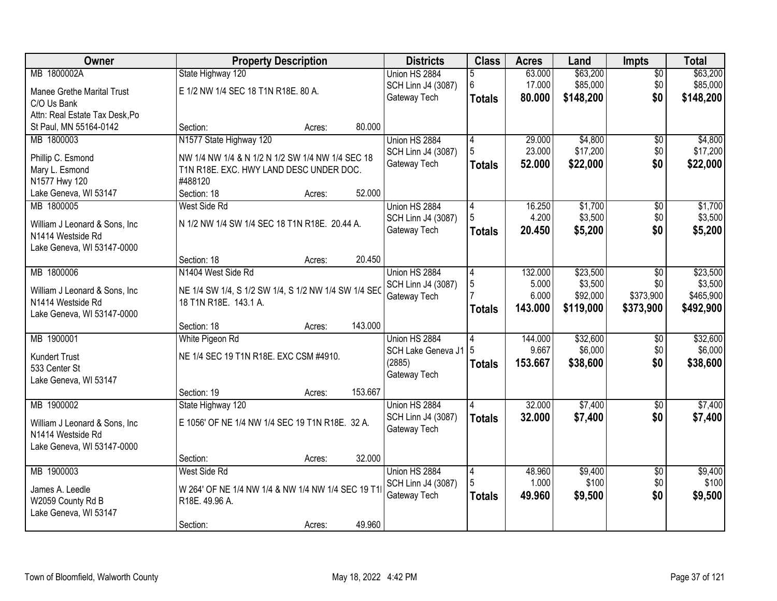| Owner                                               | <b>Property Description</b>                                                   |        |         | <b>Districts</b>   | <b>Class</b>   | <b>Acres</b> | Land      | Impts           | <b>Total</b> |
|-----------------------------------------------------|-------------------------------------------------------------------------------|--------|---------|--------------------|----------------|--------------|-----------|-----------------|--------------|
| MB 1800002A                                         | State Highway 120                                                             |        |         | Union HS 2884      | 5              | 63.000       | \$63,200  | $\overline{50}$ | \$63,200     |
| <b>Manee Grethe Marital Trust</b>                   | E 1/2 NW 1/4 SEC 18 T1N R18E. 80 A.                                           |        |         | SCH Linn J4 (3087) | 6              | 17.000       | \$85,000  | \$0             | \$85,000     |
| C/O Us Bank                                         |                                                                               |        |         | Gateway Tech       | <b>Totals</b>  | 80.000       | \$148,200 | \$0             | \$148,200    |
| Attn: Real Estate Tax Desk, Po                      |                                                                               |        |         |                    |                |              |           |                 |              |
| St Paul, MN 55164-0142                              | Section:                                                                      | Acres: | 80.000  |                    |                |              |           |                 |              |
| MB 1800003                                          | N1577 State Highway 120                                                       |        |         | Union HS 2884      | $\overline{4}$ | 29.000       | \$4,800   | \$0             | \$4,800      |
| Phillip C. Esmond                                   | NW 1/4 NW 1/4 & N 1/2 N 1/2 SW 1/4 NW 1/4 SEC 18                              |        |         | SCH Linn J4 (3087) | 5              | 23.000       | \$17,200  | \$0             | \$17,200     |
| Mary L. Esmond                                      | T1N R18E. EXC. HWY LAND DESC UNDER DOC.                                       |        |         | Gateway Tech       | <b>Totals</b>  | 52.000       | \$22,000  | \$0             | \$22,000     |
| N1577 Hwy 120                                       | #488120                                                                       |        |         |                    |                |              |           |                 |              |
| Lake Geneva, WI 53147                               | Section: 18                                                                   | Acres: | 52.000  |                    |                |              |           |                 |              |
| MB 1800005                                          | West Side Rd                                                                  |        |         | Union HS 2884      | 4              | 16.250       | \$1,700   | $\overline{50}$ | \$1,700      |
|                                                     | N 1/2 NW 1/4 SW 1/4 SEC 18 T1N R18E. 20.44 A.                                 |        |         | SCH Linn J4 (3087) | 5              | 4.200        | \$3,500   | \$0             | \$3,500      |
| William J Leonard & Sons, Inc.<br>N1414 Westside Rd |                                                                               |        |         | Gateway Tech       | <b>Totals</b>  | 20.450       | \$5,200   | \$0             | \$5,200      |
| Lake Geneva, WI 53147-0000                          |                                                                               |        |         |                    |                |              |           |                 |              |
|                                                     | Section: 18                                                                   | Acres: | 20.450  |                    |                |              |           |                 |              |
| MB 1800006                                          | N1404 West Side Rd                                                            |        |         | Union HS 2884      | 4              | 132.000      | \$23,500  | $\overline{50}$ | \$23,500     |
|                                                     |                                                                               |        |         | SCH Linn J4 (3087) | 5              | 5.000        | \$3,500   | \$0             | \$3,500      |
| William J Leonard & Sons, Inc.<br>N1414 Westside Rd | NE 1/4 SW 1/4, S 1/2 SW 1/4, S 1/2 NW 1/4 SW 1/4 SEO<br>18 T1N R18E. 143.1 A. |        |         | Gateway Tech       |                | 6.000        | \$92,000  | \$373,900       | \$465,900    |
| Lake Geneva, WI 53147-0000                          |                                                                               |        |         |                    | <b>Totals</b>  | 143.000      | \$119,000 | \$373,900       | \$492,900    |
|                                                     | Section: 18                                                                   | Acres: | 143.000 |                    |                |              |           |                 |              |
| MB 1900001                                          | White Pigeon Rd                                                               |        |         | Union HS 2884      |                | 144.000      | \$32,600  | \$0             | \$32,600     |
|                                                     |                                                                               |        |         | SCH Lake Geneva J1 | 5              | 9.667        | \$6,000   | \$0             | \$6,000      |
| <b>Kundert Trust</b><br>533 Center St               | NE 1/4 SEC 19 T1N R18E. EXC CSM #4910.                                        |        |         | (2885)             | <b>Totals</b>  | 153.667      | \$38,600  | \$0             | \$38,600     |
| Lake Geneva, WI 53147                               |                                                                               |        |         | Gateway Tech       |                |              |           |                 |              |
|                                                     | Section: 19                                                                   | Acres: | 153.667 |                    |                |              |           |                 |              |
| MB 1900002                                          | State Highway 120                                                             |        |         | Union HS 2884      | 4              | 32.000       | \$7,400   | $\overline{60}$ | \$7,400      |
| William J Leonard & Sons, Inc.                      | E 1056' OF NE 1/4 NW 1/4 SEC 19 T1N R18E. 32 A.                               |        |         | SCH Linn J4 (3087) | <b>Totals</b>  | 32.000       | \$7,400   | \$0             | \$7,400      |
| N1414 Westside Rd                                   |                                                                               |        |         | Gateway Tech       |                |              |           |                 |              |
| Lake Geneva, WI 53147-0000                          |                                                                               |        |         |                    |                |              |           |                 |              |
|                                                     | Section:                                                                      | Acres: | 32.000  |                    |                |              |           |                 |              |
| MB 1900003                                          | West Side Rd                                                                  |        |         | Union HS 2884      | $\overline{4}$ | 48.960       | \$9,400   | $\overline{50}$ | \$9,400      |
| James A. Leedle                                     | W 264' OF NE 1/4 NW 1/4 & NW 1/4 NW 1/4 SEC 19 T1                             |        |         | SCH Linn J4 (3087) | 5              | 1.000        | \$100     | \$0             | \$100        |
| W2059 County Rd B                                   | R18E. 49.96 A.                                                                |        |         | Gateway Tech       | <b>Totals</b>  | 49.960       | \$9,500   | \$0             | \$9,500      |
| Lake Geneva, WI 53147                               |                                                                               |        |         |                    |                |              |           |                 |              |
|                                                     | Section:                                                                      | Acres: | 49.960  |                    |                |              |           |                 |              |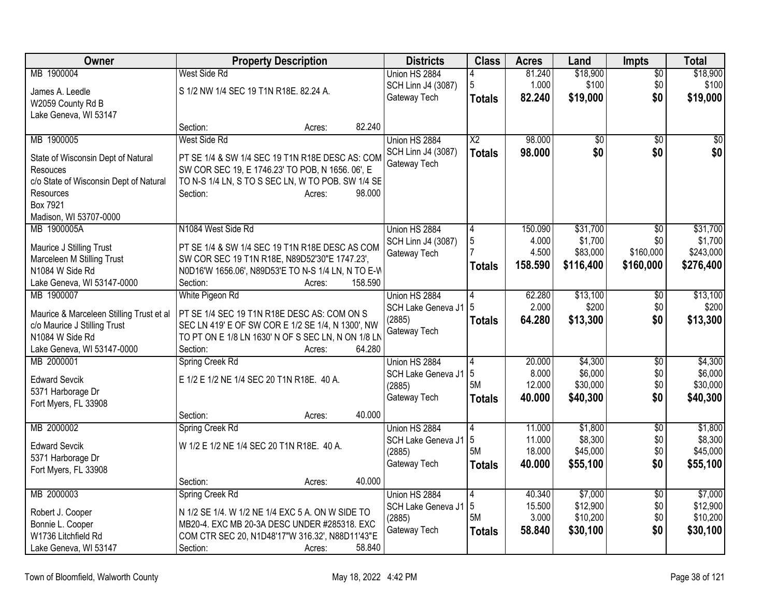| West Side Rd<br>\$18,900<br>\$18,900<br>MB 1900004<br>Union HS 2884<br>81.240<br>$\overline{50}$<br>4<br>5<br>\$0\$<br>1.000<br>\$100<br>\$100<br>SCH Linn J4 (3087)<br>S 1/2 NW 1/4 SEC 19 T1N R18E. 82.24 A.<br>James A. Leedle<br>82.240<br>\$19,000<br>\$0<br>\$19,000<br>Gateway Tech<br><b>Totals</b><br>W2059 County Rd B<br>Lake Geneva, WI 53147<br>82.240<br>Section:<br>Acres:<br>$\overline{X2}$<br>98.000<br>MB 1900005<br>West Side Rd<br>Union HS 2884<br>$\overline{50}$<br>$\overline{50}$<br>$\overline{50}$<br>\$0<br>98,000<br>\$0<br>\$0<br>SCH Linn J4 (3087)<br><b>Totals</b><br>PT SE 1/4 & SW 1/4 SEC 19 T1N R18E DESC AS: COM<br>State of Wisconsin Dept of Natural<br>Gateway Tech<br>SW COR SEC 19, E 1746.23' TO POB, N 1656. 06', E<br>Resouces<br>c/o State of Wisconsin Dept of Natural<br>TO N-S 1/4 LN, S TO S SEC LN, W TO POB. SW 1/4 SE<br>Section:<br>98.000<br>Resources<br>Acres:<br>Box 7921<br>Madison, WI 53707-0000<br>MB 1900005A<br>N1084 West Side Rd<br>Union HS 2884<br>150.090<br>\$31,700<br>\$31,700<br>\$0<br>$\vert 4$<br>5<br>\$1,700<br>\$0<br>\$1,700<br>4.000<br>SCH Linn J4 (3087)<br>PT SE 1/4 & SW 1/4 SEC 19 T1N R18E DESC AS COM<br>Maurice J Stilling Trust<br>4.500<br>\$160,000<br>\$83,000<br>\$243,000<br>Gateway Tech<br>SW COR SEC 19 T1N R18E, N89D52'30"E 1747.23',<br>Marceleen M Stilling Trust<br>158.590<br>\$116,400<br>\$160,000<br>\$276,400<br><b>Totals</b><br>N1084 W Side Rd<br>N0D16'W 1656.06', N89D53'E TO N-S 1/4 LN, N TO E-W<br>158.590<br>Lake Geneva, WI 53147-0000<br>Section:<br>Acres:<br>MB 1900007<br>White Pigeon Rd<br>62.280<br>\$13,100<br>$\overline{50}$<br>\$13,100<br>Union HS 2884<br>2.000<br>\$200<br>\$0<br>5<br>\$200<br>SCH Lake Geneva J1<br>PT SE 1/4 SEC 19 T1N R18E DESC AS: COM ON S<br>Maurice & Marceleen Stilling Trust et al<br>\$13,300<br>(2885)<br>64.280<br>\$13,300<br>\$0<br><b>Totals</b><br>SEC LN 419' E OF SW COR E 1/2 SE 1/4, N 1300', NW<br>c/o Maurice J Stilling Trust<br>Gateway Tech<br>N1084 W Side Rd<br>TO PT ON E 1/8 LN 1630' N OF S SEC LN, N ON 1/8 LN | <b>Owner</b>               | <b>Property Description</b>  | <b>Districts</b> | <b>Class</b> | <b>Acres</b> | Land | Impts | <b>Total</b> |
|-------------------------------------------------------------------------------------------------------------------------------------------------------------------------------------------------------------------------------------------------------------------------------------------------------------------------------------------------------------------------------------------------------------------------------------------------------------------------------------------------------------------------------------------------------------------------------------------------------------------------------------------------------------------------------------------------------------------------------------------------------------------------------------------------------------------------------------------------------------------------------------------------------------------------------------------------------------------------------------------------------------------------------------------------------------------------------------------------------------------------------------------------------------------------------------------------------------------------------------------------------------------------------------------------------------------------------------------------------------------------------------------------------------------------------------------------------------------------------------------------------------------------------------------------------------------------------------------------------------------------------------------------------------------------------------------------------------------------------------------------------------------------------------------------------------------------------------------------------------------------------------------------------------------------------------------------------------------------------------------------------------------------------------------------------------------------------------------------------|----------------------------|------------------------------|------------------|--------------|--------------|------|-------|--------------|
|                                                                                                                                                                                                                                                                                                                                                                                                                                                                                                                                                                                                                                                                                                                                                                                                                                                                                                                                                                                                                                                                                                                                                                                                                                                                                                                                                                                                                                                                                                                                                                                                                                                                                                                                                                                                                                                                                                                                                                                                                                                                                                       |                            |                              |                  |              |              |      |       |              |
|                                                                                                                                                                                                                                                                                                                                                                                                                                                                                                                                                                                                                                                                                                                                                                                                                                                                                                                                                                                                                                                                                                                                                                                                                                                                                                                                                                                                                                                                                                                                                                                                                                                                                                                                                                                                                                                                                                                                                                                                                                                                                                       |                            |                              |                  |              |              |      |       |              |
|                                                                                                                                                                                                                                                                                                                                                                                                                                                                                                                                                                                                                                                                                                                                                                                                                                                                                                                                                                                                                                                                                                                                                                                                                                                                                                                                                                                                                                                                                                                                                                                                                                                                                                                                                                                                                                                                                                                                                                                                                                                                                                       |                            |                              |                  |              |              |      |       |              |
|                                                                                                                                                                                                                                                                                                                                                                                                                                                                                                                                                                                                                                                                                                                                                                                                                                                                                                                                                                                                                                                                                                                                                                                                                                                                                                                                                                                                                                                                                                                                                                                                                                                                                                                                                                                                                                                                                                                                                                                                                                                                                                       |                            |                              |                  |              |              |      |       |              |
|                                                                                                                                                                                                                                                                                                                                                                                                                                                                                                                                                                                                                                                                                                                                                                                                                                                                                                                                                                                                                                                                                                                                                                                                                                                                                                                                                                                                                                                                                                                                                                                                                                                                                                                                                                                                                                                                                                                                                                                                                                                                                                       |                            |                              |                  |              |              |      |       |              |
|                                                                                                                                                                                                                                                                                                                                                                                                                                                                                                                                                                                                                                                                                                                                                                                                                                                                                                                                                                                                                                                                                                                                                                                                                                                                                                                                                                                                                                                                                                                                                                                                                                                                                                                                                                                                                                                                                                                                                                                                                                                                                                       |                            |                              |                  |              |              |      |       |              |
|                                                                                                                                                                                                                                                                                                                                                                                                                                                                                                                                                                                                                                                                                                                                                                                                                                                                                                                                                                                                                                                                                                                                                                                                                                                                                                                                                                                                                                                                                                                                                                                                                                                                                                                                                                                                                                                                                                                                                                                                                                                                                                       |                            |                              |                  |              |              |      |       |              |
|                                                                                                                                                                                                                                                                                                                                                                                                                                                                                                                                                                                                                                                                                                                                                                                                                                                                                                                                                                                                                                                                                                                                                                                                                                                                                                                                                                                                                                                                                                                                                                                                                                                                                                                                                                                                                                                                                                                                                                                                                                                                                                       |                            |                              |                  |              |              |      |       |              |
|                                                                                                                                                                                                                                                                                                                                                                                                                                                                                                                                                                                                                                                                                                                                                                                                                                                                                                                                                                                                                                                                                                                                                                                                                                                                                                                                                                                                                                                                                                                                                                                                                                                                                                                                                                                                                                                                                                                                                                                                                                                                                                       |                            |                              |                  |              |              |      |       |              |
|                                                                                                                                                                                                                                                                                                                                                                                                                                                                                                                                                                                                                                                                                                                                                                                                                                                                                                                                                                                                                                                                                                                                                                                                                                                                                                                                                                                                                                                                                                                                                                                                                                                                                                                                                                                                                                                                                                                                                                                                                                                                                                       |                            |                              |                  |              |              |      |       |              |
|                                                                                                                                                                                                                                                                                                                                                                                                                                                                                                                                                                                                                                                                                                                                                                                                                                                                                                                                                                                                                                                                                                                                                                                                                                                                                                                                                                                                                                                                                                                                                                                                                                                                                                                                                                                                                                                                                                                                                                                                                                                                                                       |                            |                              |                  |              |              |      |       |              |
|                                                                                                                                                                                                                                                                                                                                                                                                                                                                                                                                                                                                                                                                                                                                                                                                                                                                                                                                                                                                                                                                                                                                                                                                                                                                                                                                                                                                                                                                                                                                                                                                                                                                                                                                                                                                                                                                                                                                                                                                                                                                                                       |                            |                              |                  |              |              |      |       |              |
|                                                                                                                                                                                                                                                                                                                                                                                                                                                                                                                                                                                                                                                                                                                                                                                                                                                                                                                                                                                                                                                                                                                                                                                                                                                                                                                                                                                                                                                                                                                                                                                                                                                                                                                                                                                                                                                                                                                                                                                                                                                                                                       |                            |                              |                  |              |              |      |       |              |
|                                                                                                                                                                                                                                                                                                                                                                                                                                                                                                                                                                                                                                                                                                                                                                                                                                                                                                                                                                                                                                                                                                                                                                                                                                                                                                                                                                                                                                                                                                                                                                                                                                                                                                                                                                                                                                                                                                                                                                                                                                                                                                       |                            |                              |                  |              |              |      |       |              |
|                                                                                                                                                                                                                                                                                                                                                                                                                                                                                                                                                                                                                                                                                                                                                                                                                                                                                                                                                                                                                                                                                                                                                                                                                                                                                                                                                                                                                                                                                                                                                                                                                                                                                                                                                                                                                                                                                                                                                                                                                                                                                                       |                            |                              |                  |              |              |      |       |              |
|                                                                                                                                                                                                                                                                                                                                                                                                                                                                                                                                                                                                                                                                                                                                                                                                                                                                                                                                                                                                                                                                                                                                                                                                                                                                                                                                                                                                                                                                                                                                                                                                                                                                                                                                                                                                                                                                                                                                                                                                                                                                                                       |                            |                              |                  |              |              |      |       |              |
|                                                                                                                                                                                                                                                                                                                                                                                                                                                                                                                                                                                                                                                                                                                                                                                                                                                                                                                                                                                                                                                                                                                                                                                                                                                                                                                                                                                                                                                                                                                                                                                                                                                                                                                                                                                                                                                                                                                                                                                                                                                                                                       |                            |                              |                  |              |              |      |       |              |
|                                                                                                                                                                                                                                                                                                                                                                                                                                                                                                                                                                                                                                                                                                                                                                                                                                                                                                                                                                                                                                                                                                                                                                                                                                                                                                                                                                                                                                                                                                                                                                                                                                                                                                                                                                                                                                                                                                                                                                                                                                                                                                       |                            |                              |                  |              |              |      |       |              |
|                                                                                                                                                                                                                                                                                                                                                                                                                                                                                                                                                                                                                                                                                                                                                                                                                                                                                                                                                                                                                                                                                                                                                                                                                                                                                                                                                                                                                                                                                                                                                                                                                                                                                                                                                                                                                                                                                                                                                                                                                                                                                                       |                            |                              |                  |              |              |      |       |              |
|                                                                                                                                                                                                                                                                                                                                                                                                                                                                                                                                                                                                                                                                                                                                                                                                                                                                                                                                                                                                                                                                                                                                                                                                                                                                                                                                                                                                                                                                                                                                                                                                                                                                                                                                                                                                                                                                                                                                                                                                                                                                                                       |                            |                              |                  |              |              |      |       |              |
|                                                                                                                                                                                                                                                                                                                                                                                                                                                                                                                                                                                                                                                                                                                                                                                                                                                                                                                                                                                                                                                                                                                                                                                                                                                                                                                                                                                                                                                                                                                                                                                                                                                                                                                                                                                                                                                                                                                                                                                                                                                                                                       |                            |                              |                  |              |              |      |       |              |
|                                                                                                                                                                                                                                                                                                                                                                                                                                                                                                                                                                                                                                                                                                                                                                                                                                                                                                                                                                                                                                                                                                                                                                                                                                                                                                                                                                                                                                                                                                                                                                                                                                                                                                                                                                                                                                                                                                                                                                                                                                                                                                       | Lake Geneva, WI 53147-0000 | 64.280<br>Section:<br>Acres: |                  |              |              |      |       |              |
| Spring Creek Rd<br>Union HS 2884<br>\$4,300<br>\$4,300<br>MB 2000001<br>20.000<br>$\overline{50}$<br>4                                                                                                                                                                                                                                                                                                                                                                                                                                                                                                                                                                                                                                                                                                                                                                                                                                                                                                                                                                                                                                                                                                                                                                                                                                                                                                                                                                                                                                                                                                                                                                                                                                                                                                                                                                                                                                                                                                                                                                                                |                            |                              |                  |              |              |      |       |              |
| 5<br>8.000<br>\$6,000<br>\$0<br>\$6,000<br>SCH Lake Geneva J1<br>E 1/2 E 1/2 NE 1/4 SEC 20 T1N R18E. 40 A.<br><b>Edward Sevcik</b>                                                                                                                                                                                                                                                                                                                                                                                                                                                                                                                                                                                                                                                                                                                                                                                                                                                                                                                                                                                                                                                                                                                                                                                                                                                                                                                                                                                                                                                                                                                                                                                                                                                                                                                                                                                                                                                                                                                                                                    |                            |                              |                  |              |              |      |       |              |
| 5M<br>\$0<br>12.000<br>\$30,000<br>\$30,000<br>(2885)<br>5371 Harborage Dr                                                                                                                                                                                                                                                                                                                                                                                                                                                                                                                                                                                                                                                                                                                                                                                                                                                                                                                                                                                                                                                                                                                                                                                                                                                                                                                                                                                                                                                                                                                                                                                                                                                                                                                                                                                                                                                                                                                                                                                                                            |                            |                              |                  |              |              |      |       |              |
| \$0<br>Gateway Tech<br>40.000<br>\$40,300<br>\$40,300<br><b>Totals</b><br>Fort Myers, FL 33908                                                                                                                                                                                                                                                                                                                                                                                                                                                                                                                                                                                                                                                                                                                                                                                                                                                                                                                                                                                                                                                                                                                                                                                                                                                                                                                                                                                                                                                                                                                                                                                                                                                                                                                                                                                                                                                                                                                                                                                                        |                            |                              |                  |              |              |      |       |              |
| 40.000<br>Section:<br>Acres:                                                                                                                                                                                                                                                                                                                                                                                                                                                                                                                                                                                                                                                                                                                                                                                                                                                                                                                                                                                                                                                                                                                                                                                                                                                                                                                                                                                                                                                                                                                                                                                                                                                                                                                                                                                                                                                                                                                                                                                                                                                                          |                            |                              |                  |              |              |      |       |              |
| MB 2000002<br>\$1,800<br>$\overline{30}$<br>\$1,800<br>Spring Creek Rd<br>Union HS 2884<br>11.000<br>4                                                                                                                                                                                                                                                                                                                                                                                                                                                                                                                                                                                                                                                                                                                                                                                                                                                                                                                                                                                                                                                                                                                                                                                                                                                                                                                                                                                                                                                                                                                                                                                                                                                                                                                                                                                                                                                                                                                                                                                                |                            |                              |                  |              |              |      |       |              |
| 5<br>11.000<br>\$8,300<br>\$0<br>\$8,300<br>SCH Lake Geneva J1<br>W 1/2 E 1/2 NE 1/4 SEC 20 T1N R18E. 40 A.<br><b>Edward Sevcik</b>                                                                                                                                                                                                                                                                                                                                                                                                                                                                                                                                                                                                                                                                                                                                                                                                                                                                                                                                                                                                                                                                                                                                                                                                                                                                                                                                                                                                                                                                                                                                                                                                                                                                                                                                                                                                                                                                                                                                                                   |                            |                              |                  |              |              |      |       |              |
| 5M<br>\$45,000<br>18.000<br>\$45,000<br>\$0<br>(2885)<br>5371 Harborage Dr                                                                                                                                                                                                                                                                                                                                                                                                                                                                                                                                                                                                                                                                                                                                                                                                                                                                                                                                                                                                                                                                                                                                                                                                                                                                                                                                                                                                                                                                                                                                                                                                                                                                                                                                                                                                                                                                                                                                                                                                                            |                            |                              |                  |              |              |      |       |              |
| \$55,100<br>\$0<br>Gateway Tech<br>40.000<br>\$55,100<br><b>Totals</b><br>Fort Myers, FL 33908                                                                                                                                                                                                                                                                                                                                                                                                                                                                                                                                                                                                                                                                                                                                                                                                                                                                                                                                                                                                                                                                                                                                                                                                                                                                                                                                                                                                                                                                                                                                                                                                                                                                                                                                                                                                                                                                                                                                                                                                        |                            |                              |                  |              |              |      |       |              |
| 40.000<br>Section:<br>Acres:                                                                                                                                                                                                                                                                                                                                                                                                                                                                                                                                                                                                                                                                                                                                                                                                                                                                                                                                                                                                                                                                                                                                                                                                                                                                                                                                                                                                                                                                                                                                                                                                                                                                                                                                                                                                                                                                                                                                                                                                                                                                          |                            |                              |                  |              |              |      |       |              |
| MB 2000003<br>\$7,000<br>\$7,000<br>Spring Creek Rd<br>Union HS 2884<br>$\overline{\mathbf{A}}$<br>40.340<br>$\overline{30}$                                                                                                                                                                                                                                                                                                                                                                                                                                                                                                                                                                                                                                                                                                                                                                                                                                                                                                                                                                                                                                                                                                                                                                                                                                                                                                                                                                                                                                                                                                                                                                                                                                                                                                                                                                                                                                                                                                                                                                          |                            |                              |                  |              |              |      |       |              |
| 5<br>\$12,900<br>\$0<br>\$12,900<br>15.500<br>SCH Lake Geneva J1<br>N 1/2 SE 1/4. W 1/2 NE 1/4 EXC 5 A. ON W SIDE TO<br>Robert J. Cooper                                                                                                                                                                                                                                                                                                                                                                                                                                                                                                                                                                                                                                                                                                                                                                                                                                                                                                                                                                                                                                                                                                                                                                                                                                                                                                                                                                                                                                                                                                                                                                                                                                                                                                                                                                                                                                                                                                                                                              |                            |                              |                  |              |              |      |       |              |
| 5M<br>3.000<br>\$10,200<br>\$0<br>\$10,200<br>(2885)<br>MB20-4. EXC MB 20-3A DESC UNDER #285318. EXC<br>Bonnie L. Cooper                                                                                                                                                                                                                                                                                                                                                                                                                                                                                                                                                                                                                                                                                                                                                                                                                                                                                                                                                                                                                                                                                                                                                                                                                                                                                                                                                                                                                                                                                                                                                                                                                                                                                                                                                                                                                                                                                                                                                                              |                            |                              |                  |              |              |      |       |              |
| \$0<br>58.840<br>\$30,100<br>\$30,100<br>Gateway Tech<br><b>Totals</b><br>W1736 Litchfield Rd<br>COM CTR SEC 20, N1D48'17"W 316.32', N88D11'43"E                                                                                                                                                                                                                                                                                                                                                                                                                                                                                                                                                                                                                                                                                                                                                                                                                                                                                                                                                                                                                                                                                                                                                                                                                                                                                                                                                                                                                                                                                                                                                                                                                                                                                                                                                                                                                                                                                                                                                      |                            |                              |                  |              |              |      |       |              |
| Lake Geneva, WI 53147<br>58.840<br>Section:<br>Acres:                                                                                                                                                                                                                                                                                                                                                                                                                                                                                                                                                                                                                                                                                                                                                                                                                                                                                                                                                                                                                                                                                                                                                                                                                                                                                                                                                                                                                                                                                                                                                                                                                                                                                                                                                                                                                                                                                                                                                                                                                                                 |                            |                              |                  |              |              |      |       |              |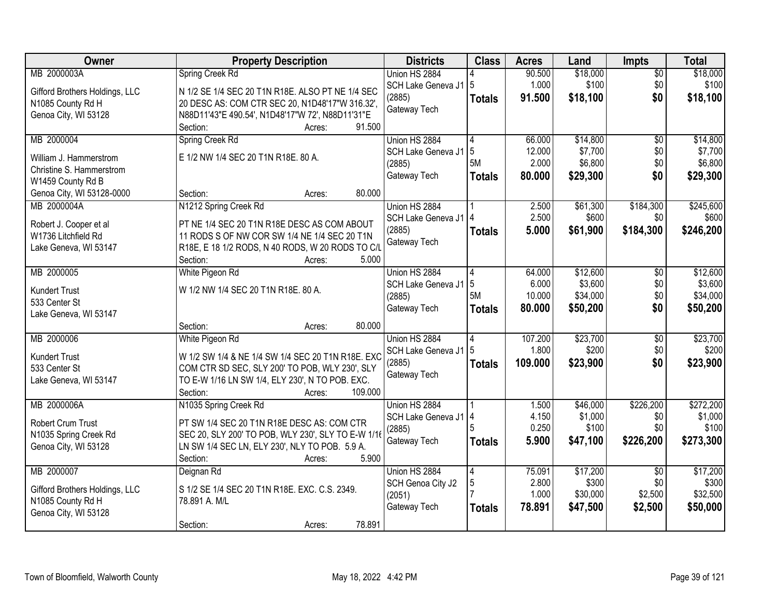| <b>Owner</b>                           | <b>Property Description</b>                            | <b>Districts</b>       | <b>Class</b>  | <b>Acres</b>   | Land              | Impts           | <b>Total</b>      |
|----------------------------------------|--------------------------------------------------------|------------------------|---------------|----------------|-------------------|-----------------|-------------------|
| MB 2000003A                            | Spring Creek Rd                                        | Union HS 2884          |               | 90.500         | \$18,000          | $\overline{50}$ | \$18,000          |
| Gifford Brothers Holdings, LLC         | N 1/2 SE 1/4 SEC 20 T1N R18E. ALSO PT NE 1/4 SEC       | SCH Lake Geneva J1   5 |               | 1.000          | \$100             | \$0             | \$100             |
| N1085 County Rd H                      | 20 DESC AS: COM CTR SEC 20, N1D48'17"W 316.32',        | (2885)                 | <b>Totals</b> | 91.500         | \$18,100          | \$0             | \$18,100          |
| Genoa City, WI 53128                   | N88D11'43"E 490.54', N1D48'17"W 72', N88D11'31"E       | Gateway Tech           |               |                |                   |                 |                   |
|                                        | Section:<br>91.500<br>Acres:                           |                        |               |                |                   |                 |                   |
| MB 2000004                             | Spring Creek Rd                                        | Union HS 2884          | 4             | 66.000         | \$14,800          | $\overline{50}$ | \$14,800          |
| William J. Hammerstrom                 | E 1/2 NW 1/4 SEC 20 T1N R18E, 80 A.                    | SCH Lake Geneva J1     | 5             | 12.000         | \$7,700           | \$0             | \$7,700           |
| Christine S. Hammerstrom               |                                                        | (2885)                 | 5M            | 2.000          | \$6,800           | \$0             | \$6,800           |
| W1459 County Rd B                      |                                                        | Gateway Tech           | <b>Totals</b> | 80.000         | \$29,300          | \$0             | \$29,300          |
| Genoa City, WI 53128-0000              | 80,000<br>Section:<br>Acres:                           |                        |               |                |                   |                 |                   |
| MB 2000004A                            | N1212 Spring Creek Rd                                  | Union HS 2884          |               | 2.500          | \$61,300          | \$184,300       | \$245,600         |
| Robert J. Cooper et al                 | PT NE 1/4 SEC 20 T1N R18E DESC AS COM ABOUT            | SCH Lake Geneva J1   4 |               | 2.500          | \$600             | \$0             | \$600             |
| W1736 Litchfield Rd                    | 11 RODS S OF NW COR SW 1/4 NE 1/4 SEC 20 T1N           | (2885)                 | <b>Totals</b> | 5.000          | \$61,900          | \$184,300       | \$246,200         |
| Lake Geneva, WI 53147                  | R18E, E 18 1/2 RODS, N 40 RODS, W 20 RODS TO C/L       | Gateway Tech           |               |                |                   |                 |                   |
|                                        | 5.000<br>Section:<br>Acres:                            |                        |               |                |                   |                 |                   |
| MB 2000005                             | White Pigeon Rd                                        | Union HS 2884          | 4             | 64.000         | \$12,600          | \$0             | \$12,600          |
|                                        |                                                        | SCH Lake Geneva J1   5 |               | 6.000          | \$3,600           | \$0             | \$3,600           |
| <b>Kundert Trust</b>                   | W 1/2 NW 1/4 SEC 20 T1N R18E. 80 A.                    | (2885)                 | 5M            | 10.000         | \$34,000          | \$0             | \$34,000          |
| 533 Center St<br>Lake Geneva, WI 53147 |                                                        | Gateway Tech           | <b>Totals</b> | 80.000         | \$50,200          | \$0             | \$50,200          |
|                                        | 80.000<br>Section:<br>Acres:                           |                        |               |                |                   |                 |                   |
| MB 2000006                             | White Pigeon Rd                                        | Union HS 2884          | 4             | 107.200        | \$23,700          | $\overline{50}$ | \$23,700          |
|                                        |                                                        | SCH Lake Geneva J1     | 5             | 1.800          | \$200             | \$0             | \$200             |
| <b>Kundert Trust</b>                   | W 1/2 SW 1/4 & NE 1/4 SW 1/4 SEC 20 T1N R18E. EXC      | (2885)                 | <b>Totals</b> | 109.000        | \$23,900          | \$0             | \$23,900          |
| 533 Center St                          | COM CTR SD SEC, SLY 200' TO POB, WLY 230', SLY         | Gateway Tech           |               |                |                   |                 |                   |
| Lake Geneva, WI 53147                  | TO E-W 1/16 LN SW 1/4, ELY 230', N TO POB. EXC.        |                        |               |                |                   |                 |                   |
| MB 2000006A                            | Section:<br>109.000<br>Acres:<br>N1035 Spring Creek Rd | Union HS 2884          |               | 1.500          | \$46,000          | \$226,200       | \$272,200         |
|                                        |                                                        | SCH Lake Geneva J1   4 |               | 4.150          | \$1,000           | \$0             | \$1,000           |
| Robert Crum Trust                      | PT SW 1/4 SEC 20 T1N R18E DESC AS: COM CTR             | (2885)                 |               | 0.250          | \$100             | \$0             | \$100             |
| N1035 Spring Creek Rd                  | SEC 20, SLY 200' TO POB, WLY 230', SLY TO E-W 1/16     | Gateway Tech           | <b>Totals</b> | 5.900          | \$47,100          | \$226,200       | \$273,300         |
| Genoa City, WI 53128                   | LN SW 1/4 SEC LN, ELY 230', NLY TO POB. 5.9 A.         |                        |               |                |                   |                 |                   |
|                                        | 5.900<br>Section:<br>Acres:                            |                        |               |                |                   |                 |                   |
| MB 2000007                             | Deignan Rd                                             | Union HS 2884          | 4             | 75.091         | \$17,200          | $\overline{50}$ | \$17,200          |
| Gifford Brothers Holdings, LLC         | S 1/2 SE 1/4 SEC 20 T1N R18E. EXC. C.S. 2349.          | SCH Genoa City J2      | 5             | 2.800<br>1.000 | \$300<br>\$30,000 | \$0<br>\$2,500  | \$300<br>\$32,500 |
| N1085 County Rd H                      | 78.891 A. M/L                                          | (2051)                 |               | 78.891         |                   |                 |                   |
| Genoa City, WI 53128                   |                                                        | Gateway Tech           | <b>Totals</b> |                | \$47,500          | \$2,500         | \$50,000          |
|                                        | 78.891<br>Section:<br>Acres:                           |                        |               |                |                   |                 |                   |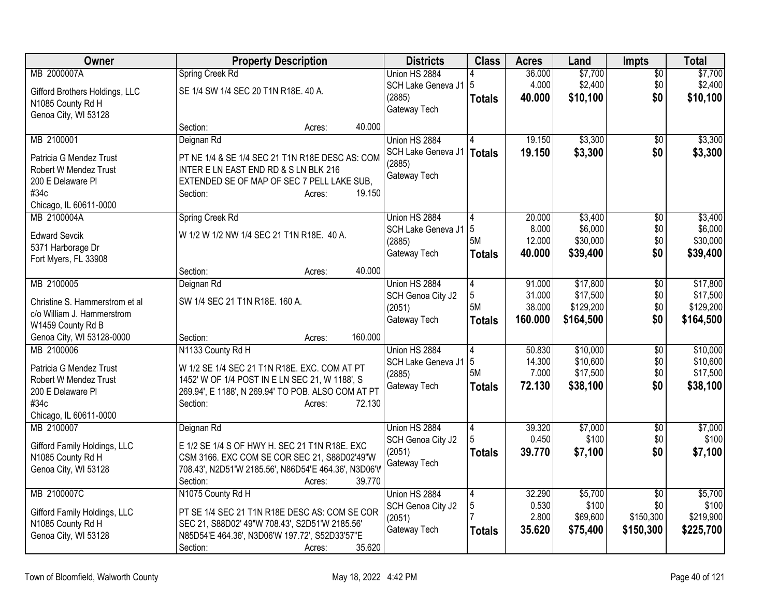| Owner                                            | <b>Property Description</b>                                                                          | <b>Districts</b>       | <b>Class</b>  | <b>Acres</b> | Land      | <b>Impts</b>    | <b>Total</b> |
|--------------------------------------------------|------------------------------------------------------------------------------------------------------|------------------------|---------------|--------------|-----------|-----------------|--------------|
| MB 2000007A                                      | Spring Creek Rd                                                                                      | Union HS 2884          |               | 36.000       | \$7,700   | $\overline{50}$ | \$7,700      |
| Gifford Brothers Holdings, LLC                   | SE 1/4 SW 1/4 SEC 20 T1N R18E. 40 A.                                                                 | SCH Lake Geneva J1     | 15            | 4.000        | \$2,400   | \$0             | \$2,400      |
| N1085 County Rd H                                |                                                                                                      | (2885)<br>Gateway Tech | <b>Totals</b> | 40.000       | \$10,100  | \$0             | \$10,100     |
| Genoa City, WI 53128                             |                                                                                                      |                        |               |              |           |                 |              |
|                                                  | Section:<br>40.000<br>Acres:                                                                         |                        |               |              |           |                 |              |
| MB 2100001                                       | Deignan Rd                                                                                           | Union HS 2884          |               | 19.150       | \$3,300   | \$0             | \$3,300      |
| Patricia G Mendez Trust                          | PT NE 1/4 & SE 1/4 SEC 21 T1N R18E DESC AS: COM                                                      | SCH Lake Geneva J1     | <b>Totals</b> | 19.150       | \$3,300   | \$0             | \$3,300      |
| Robert W Mendez Trust                            | INTER E LN EAST END RD & S LN BLK 216                                                                | (2885)<br>Gateway Tech |               |              |           |                 |              |
| 200 E Delaware Pl                                | EXTENDED SE OF MAP OF SEC 7 PELL LAKE SUB,                                                           |                        |               |              |           |                 |              |
| #34c                                             | 19.150<br>Section:<br>Acres:                                                                         |                        |               |              |           |                 |              |
| Chicago, IL 60611-0000<br>MB 2100004A            | Spring Creek Rd                                                                                      | Union HS 2884          | 4             | 20.000       | \$3,400   | $\overline{50}$ | \$3,400      |
|                                                  |                                                                                                      | SCH Lake Geneva J1     | 5             | 8.000        | \$6,000   | \$0             | \$6,000      |
| <b>Edward Sevcik</b>                             | W 1/2 W 1/2 NW 1/4 SEC 21 T1N R18E. 40 A.                                                            | (2885)                 | 5M            | 12.000       | \$30,000  | \$0             | \$30,000     |
| 5371 Harborage Dr                                |                                                                                                      | Gateway Tech           | <b>Totals</b> | 40.000       | \$39,400  | \$0             | \$39,400     |
| Fort Myers, FL 33908                             | 40.000<br>Section:<br>Acres:                                                                         |                        |               |              |           |                 |              |
| MB 2100005                                       | Deignan Rd                                                                                           | Union HS 2884          | 4             | 91.000       | \$17,800  | $\overline{50}$ | \$17,800     |
|                                                  |                                                                                                      | SCH Genoa City J2      | 5             | 31.000       | \$17,500  | \$0             | \$17,500     |
| Christine S. Hammerstrom et al                   | SW 1/4 SEC 21 T1N R18E. 160 A.                                                                       | (2051)                 | <b>5M</b>     | 38.000       | \$129,200 | \$0             | \$129,200    |
| c/o William J. Hammerstrom<br>W1459 County Rd B  |                                                                                                      | Gateway Tech           | <b>Totals</b> | 160.000      | \$164,500 | \$0             | \$164,500    |
| Genoa City, WI 53128-0000                        | 160.000<br>Section:<br>Acres:                                                                        |                        |               |              |           |                 |              |
| MB 2100006                                       | N1133 County Rd H                                                                                    | Union HS 2884          | 4             | 50.830       | \$10,000  | \$0             | \$10,000     |
|                                                  |                                                                                                      | SCH Lake Geneva J1     | 5             | 14.300       | \$10,600  | \$0             | \$10,600     |
| Patricia G Mendez Trust<br>Robert W Mendez Trust | W 1/2 SE 1/4 SEC 21 T1N R18E. EXC. COM AT PT                                                         | (2885)                 | 5M            | 7.000        | \$17,500  | \$0             | \$17,500     |
| 200 E Delaware Pl                                | 1452' W OF 1/4 POST IN E LN SEC 21, W 1188', S<br>269.94', E 1188', N 269.94' TO POB. ALSO COM AT PT | Gateway Tech           | Totals        | 72.130       | \$38,100  | \$0             | \$38,100     |
| #34c                                             | 72.130<br>Section:<br>Acres:                                                                         |                        |               |              |           |                 |              |
| Chicago, IL 60611-0000                           |                                                                                                      |                        |               |              |           |                 |              |
| MB 2100007                                       | Deignan Rd                                                                                           | Union HS 2884          | 4             | 39.320       | \$7,000   | \$0             | \$7,000      |
| Gifford Family Holdings, LLC                     | E 1/2 SE 1/4 S OF HWY H. SEC 21 T1N R18E. EXC                                                        | SCH Genoa City J2      |               | 0.450        | \$100     | \$0             | \$100        |
| N1085 County Rd H                                | CSM 3166. EXC COM SE COR SEC 21, S88D02'49"W                                                         | (2051)                 | <b>Totals</b> | 39.770       | \$7,100   | \$0             | \$7,100      |
| Genoa City, WI 53128                             | 708.43', N2D51'W 2185.56', N86D54'E 464.36', N3D06'W                                                 | Gateway Tech           |               |              |           |                 |              |
|                                                  | 39.770<br>Section:<br>Acres:                                                                         |                        |               |              |           |                 |              |
| MB 2100007C                                      | N1075 County Rd H                                                                                    | Union HS 2884          | 4             | 32.290       | \$5,700   | $\overline{50}$ | \$5,700      |
| Gifford Family Holdings, LLC                     | PT SE 1/4 SEC 21 T1N R18E DESC AS: COM SE COR                                                        | SCH Genoa City J2      | 5             | 0.530        | \$100     | \$0             | \$100        |
| N1085 County Rd H                                | SEC 21, S88D02' 49"W 708.43', S2D51'W 2185.56'                                                       | (2051)                 |               | 2.800        | \$69,600  | \$150,300       | \$219,900    |
| Genoa City, WI 53128                             | N85D54'E 464.36', N3D06'W 197.72', S52D33'57"E                                                       | Gateway Tech           | <b>Totals</b> | 35.620       | \$75,400  | \$150,300       | \$225,700    |
|                                                  | 35.620<br>Section:<br>Acres:                                                                         |                        |               |              |           |                 |              |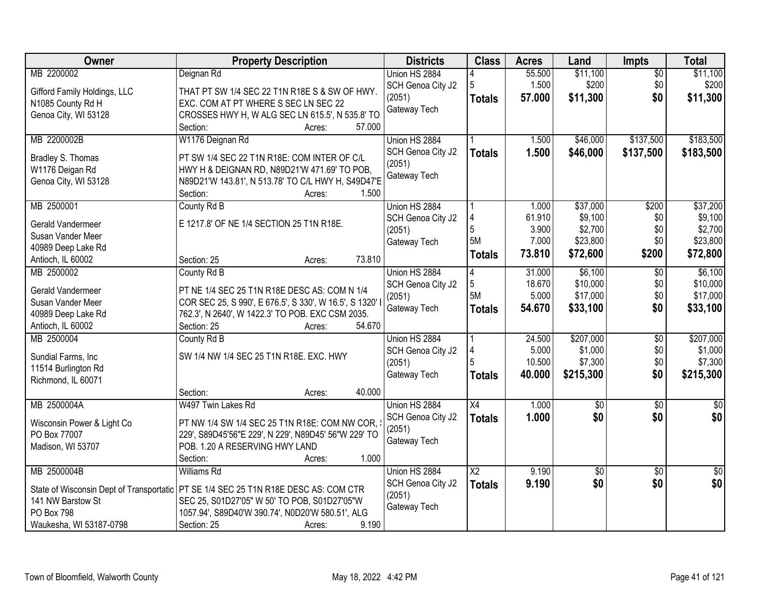| Owner                        | <b>Property Description</b>                                                           | <b>Districts</b>  | <b>Class</b>    | <b>Acres</b> | Land        | Impts           | <b>Total</b>    |
|------------------------------|---------------------------------------------------------------------------------------|-------------------|-----------------|--------------|-------------|-----------------|-----------------|
| MB 2200002                   | Deignan Rd                                                                            | Union HS 2884     |                 | 55.500       | \$11,100    | $\overline{50}$ | \$11,100        |
| Gifford Family Holdings, LLC | THAT PT SW 1/4 SEC 22 T1N R18E S & SW OF HWY.                                         | SCH Genoa City J2 | 5               | 1.500        | \$200       | \$0             | \$200           |
| N1085 County Rd H            | EXC. COM AT PT WHERE S SEC LN SEC 22                                                  | (2051)            | <b>Totals</b>   | 57.000       | \$11,300    | \$0             | \$11,300        |
| Genoa City, WI 53128         | CROSSES HWY H, W ALG SEC LN 615.5', N 535.8' TO                                       | Gateway Tech      |                 |              |             |                 |                 |
|                              | 57.000<br>Section:<br>Acres:                                                          |                   |                 |              |             |                 |                 |
| MB 2200002B                  | W1176 Deignan Rd                                                                      | Union HS 2884     |                 | 1.500        | \$46,000    | \$137,500       | \$183,500       |
| Bradley S. Thomas            | PT SW 1/4 SEC 22 T1N R18E: COM INTER OF C/L                                           | SCH Genoa City J2 | <b>Totals</b>   | 1.500        | \$46,000    | \$137,500       | \$183,500       |
| W1176 Deigan Rd              | HWY H & DEIGNAN RD, N89D21'W 471.69' TO POB,                                          | (2051)            |                 |              |             |                 |                 |
| Genoa City, WI 53128         | N89D21'W 143.81', N 513.78' TO C/L HWY H, S49D47'E                                    | Gateway Tech      |                 |              |             |                 |                 |
|                              | Section:<br>1.500<br>Acres:                                                           |                   |                 |              |             |                 |                 |
| MB 2500001                   | County Rd B                                                                           | Union HS 2884     |                 | 1.000        | \$37,000    | \$200           | \$37,200        |
|                              |                                                                                       | SCH Genoa City J2 | 4               | 61.910       | \$9,100     | \$0             | \$9,100         |
| Gerald Vandermeer            | E 1217.8' OF NE 1/4 SECTION 25 T1N R18E.                                              | (2051)            | 5               | 3.900        | \$2,700     | \$0             | \$2,700         |
| Susan Vander Meer            |                                                                                       | Gateway Tech      | 5M              | 7.000        | \$23,800    | \$0             | \$23,800        |
| 40989 Deep Lake Rd           |                                                                                       |                   | <b>Totals</b>   | 73.810       | \$72,600    | \$200           | \$72,800        |
| Antioch, IL 60002            | 73.810<br>Section: 25<br>Acres:                                                       |                   |                 |              |             |                 |                 |
| MB 2500002                   | County Rd B                                                                           | Union HS 2884     | 4               | 31.000       | \$6,100     | $\sqrt[6]{3}$   | \$6,100         |
| Gerald Vandermeer            | PT NE 1/4 SEC 25 T1N R18E DESC AS: COM N 1/4                                          | SCH Genoa City J2 | 5               | 18.670       | \$10,000    | \$0             | \$10,000        |
| Susan Vander Meer            | COR SEC 25, S 990', E 676.5', S 330', W 16.5', S 1320'                                | (2051)            | 5M              | 5.000        | \$17,000    | \$0             | \$17,000        |
| 40989 Deep Lake Rd           | 762.3', N 2640', W 1422.3' TO POB. EXC CSM 2035.                                      | Gateway Tech      | <b>Totals</b>   | 54.670       | \$33,100    | \$0             | \$33,100        |
| Antioch, IL 60002            | Section: 25<br>54.670<br>Acres:                                                       |                   |                 |              |             |                 |                 |
| MB 2500004                   | County Rd B                                                                           | Union HS 2884     |                 | 24.500       | \$207,000   | $\overline{30}$ | \$207,000       |
| Sundial Farms, Inc.          | SW 1/4 NW 1/4 SEC 25 T1N R18E. EXC. HWY                                               | SCH Genoa City J2 |                 | 5.000        | \$1,000     | \$0             | \$1,000         |
| 11514 Burlington Rd          |                                                                                       | (2051)            |                 | 10.500       | \$7,300     | \$0             | \$7,300         |
| Richmond, IL 60071           |                                                                                       | Gateway Tech      | <b>Totals</b>   | 40.000       | \$215,300   | \$0             | \$215,300       |
|                              | 40.000<br>Section:<br>Acres:                                                          |                   |                 |              |             |                 |                 |
| MB 2500004A                  | W497 Twin Lakes Rd                                                                    | Union HS 2884     | $\overline{X4}$ | 1.000        | $\sqrt{50}$ | $\overline{50}$ | $\overline{30}$ |
|                              |                                                                                       | SCH Genoa City J2 | <b>Totals</b>   | 1.000        | \$0         | \$0             | \$0             |
| Wisconsin Power & Light Co   | PT NW 1/4 SW 1/4 SEC 25 T1N R18E: COM NW COR,                                         | (2051)            |                 |              |             |                 |                 |
| PO Box 77007                 | 229', S89D45'56"E 229', N 229', N89D45' 56"W 229' TO                                  | Gateway Tech      |                 |              |             |                 |                 |
| Madison, WI 53707            | POB. 1.20 A RESERVING HWY LAND                                                        |                   |                 |              |             |                 |                 |
|                              | 1.000<br>Section:<br>Acres:                                                           |                   |                 |              |             |                 |                 |
| MB 2500004B                  | <b>Williams Rd</b>                                                                    | Union HS 2884     | $\overline{X2}$ | 9.190        | \$0         | $\overline{30}$ | $\sqrt{50}$     |
|                              | State of Wisconsin Dept of Transportatic   PT SE 1/4 SEC 25 T1N R18E DESC AS: COM CTR | SCH Genoa City J2 | <b>Totals</b>   | 9.190        | \$0         | \$0             | \$0             |
| 141 NW Barstow St            | SEC 25, S01D27'05" W 50' TO POB, S01D27'05"W                                          | (2051)            |                 |              |             |                 |                 |
| PO Box 798                   | 1057.94', S89D40'W 390.74', N0D20'W 580.51', ALG                                      | Gateway Tech      |                 |              |             |                 |                 |
| Waukesha, WI 53187-0798      | 9.190<br>Section: 25<br>Acres:                                                        |                   |                 |              |             |                 |                 |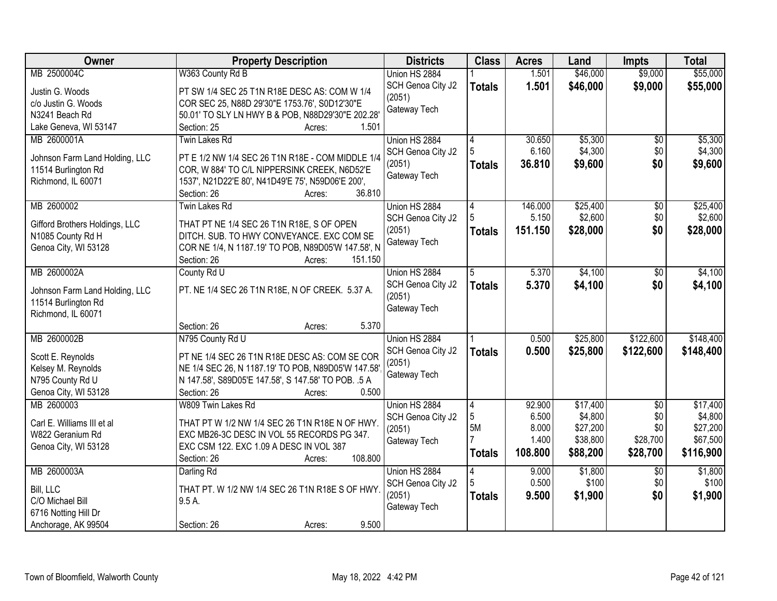| Owner                          | <b>Property Description</b>                                                                  | <b>Districts</b>            | <b>Class</b>   | <b>Acres</b> | Land     | <b>Impts</b>    | <b>Total</b> |
|--------------------------------|----------------------------------------------------------------------------------------------|-----------------------------|----------------|--------------|----------|-----------------|--------------|
| MB 2500004C                    | W363 County Rd B                                                                             | Union HS 2884               |                | 1.501        | \$46,000 | \$9,000         | \$55,000     |
| Justin G. Woods                | PT SW 1/4 SEC 25 T1N R18E DESC AS: COM W 1/4                                                 | SCH Genoa City J2<br>(2051) | <b>Totals</b>  | 1.501        | \$46,000 | \$9,000         | \$55,000     |
| c/o Justin G. Woods            | COR SEC 25, N88D 29'30"E 1753.76', S0D12'30"E                                                |                             |                |              |          |                 |              |
| N3241 Beach Rd                 | 50.01' TO SLY LN HWY B & POB, N88D29'30"E 202.28'                                            | Gateway Tech                |                |              |          |                 |              |
| Lake Geneva, WI 53147          | 1.501<br>Section: 25<br>Acres:                                                               |                             |                |              |          |                 |              |
| MB 2600001A                    | <b>Twin Lakes Rd</b>                                                                         | Union HS 2884               | 4              | 30.650       | \$5,300  | $\overline{30}$ | \$5,300      |
| Johnson Farm Land Holding, LLC | PT E 1/2 NW 1/4 SEC 26 T1N R18E - COM MIDDLE 1/4                                             | SCH Genoa City J2           |                | 6.160        | \$4,300  | \$0             | \$4,300      |
| 11514 Burlington Rd            | COR, W 884' TO C/L NIPPERSINK CREEK, N6D52'E                                                 | (2051)                      | <b>Totals</b>  | 36.810       | \$9,600  | \$0             | \$9,600      |
| Richmond, IL 60071             | 1537', N21D22'E 80', N41D49'E 75', N59D06'E 200',                                            | Gateway Tech                |                |              |          |                 |              |
|                                | 36.810<br>Section: 26<br>Acres:                                                              |                             |                |              |          |                 |              |
| MB 2600002                     | Twin Lakes Rd                                                                                | Union HS 2884               | 4              | 146.000      | \$25,400 | \$0             | \$25,400     |
|                                |                                                                                              | SCH Genoa City J2           |                | 5.150        | \$2,600  | \$0             | \$2,600      |
| Gifford Brothers Holdings, LLC | THAT PT NE 1/4 SEC 26 T1N R18E, S OF OPEN                                                    | (2051)                      | <b>Totals</b>  | 151.150      | \$28,000 | \$0             | \$28,000     |
| N1085 County Rd H              | DITCH. SUB. TO HWY CONVEYANCE. EXC COM SE                                                    | Gateway Tech                |                |              |          |                 |              |
| Genoa City, WI 53128           | COR NE 1/4, N 1187.19' TO POB, N89D05'W 147.58', N                                           |                             |                |              |          |                 |              |
| MB 2600002A                    | Section: 26<br>151.150<br>Acres:                                                             |                             |                | 5.370        | \$4,100  |                 |              |
|                                | County Rd U                                                                                  | Union HS 2884               | 5              |              |          | \$0             | \$4,100      |
| Johnson Farm Land Holding, LLC | PT. NE 1/4 SEC 26 T1N R18E, N OF CREEK. 5.37 A.                                              | SCH Genoa City J2<br>(2051) | <b>Totals</b>  | 5.370        | \$4,100  | \$0             | \$4,100      |
| 11514 Burlington Rd            |                                                                                              | Gateway Tech                |                |              |          |                 |              |
| Richmond, IL 60071             |                                                                                              |                             |                |              |          |                 |              |
|                                | 5.370<br>Section: 26<br>Acres:                                                               |                             |                |              |          |                 |              |
| MB 2600002B                    | N795 County Rd U                                                                             | Union HS 2884               |                | 0.500        | \$25,800 | \$122,600       | \$148,400    |
| Scott E. Reynolds              | PT NE 1/4 SEC 26 T1N R18E DESC AS: COM SE COR                                                | SCH Genoa City J2           | <b>Totals</b>  | 0.500        | \$25,800 | \$122,600       | \$148,400    |
| Kelsey M. Reynolds             | NE 1/4 SEC 26, N 1187.19' TO POB, N89D05'W 147.58'                                           | (2051)                      |                |              |          |                 |              |
| N795 County Rd U               | N 147.58', S89D05'E 147.58', S 147.58' TO POB. .5 A                                          | Gateway Tech                |                |              |          |                 |              |
| Genoa City, WI 53128           | 0.500<br>Section: 26<br>Acres:                                                               |                             |                |              |          |                 |              |
| MB 2600003                     | W809 Twin Lakes Rd                                                                           | Union HS 2884               | $\overline{4}$ | 92.900       | \$17,400 | $\overline{50}$ | \$17,400     |
| Carl E. Williams III et al     |                                                                                              | SCH Genoa City J2           | 5              | 6.500        | \$4,800  | \$0             | \$4,800      |
| W822 Geranium Rd               | THAT PT W 1/2 NW 1/4 SEC 26 T1N R18E N OF HWY.<br>EXC MB26-3C DESC IN VOL 55 RECORDS PG 347. | (2051)                      | 5M             | 8.000        | \$27,200 | \$0             | \$27,200     |
| Genoa City, WI 53128           | EXC CSM 122. EXC 1.09 A DESC IN VOL 387                                                      | Gateway Tech                |                | 1.400        | \$38,800 | \$28,700        | \$67,500     |
|                                | 108.800<br>Section: 26<br>Acres:                                                             |                             | <b>Totals</b>  | 108.800      | \$88,200 | \$28,700        | \$116,900    |
| MB 2600003A                    | Darling Rd                                                                                   | Union HS 2884               | 4              | 9.000        | \$1,800  | $\overline{50}$ | \$1,800      |
|                                |                                                                                              | SCH Genoa City J2           |                | 0.500        | \$100    | \$0             | \$100        |
| Bill, LLC                      | THAT PT. W 1/2 NW 1/4 SEC 26 T1N R18E S OF HWY.                                              | (2051)                      | <b>Totals</b>  | 9.500        | \$1,900  | \$0             | \$1,900      |
| C/O Michael Bill               | $9.5A$ .                                                                                     | Gateway Tech                |                |              |          |                 |              |
| 6716 Notting Hill Dr           |                                                                                              |                             |                |              |          |                 |              |
| Anchorage, AK 99504            | 9.500<br>Section: 26<br>Acres:                                                               |                             |                |              |          |                 |              |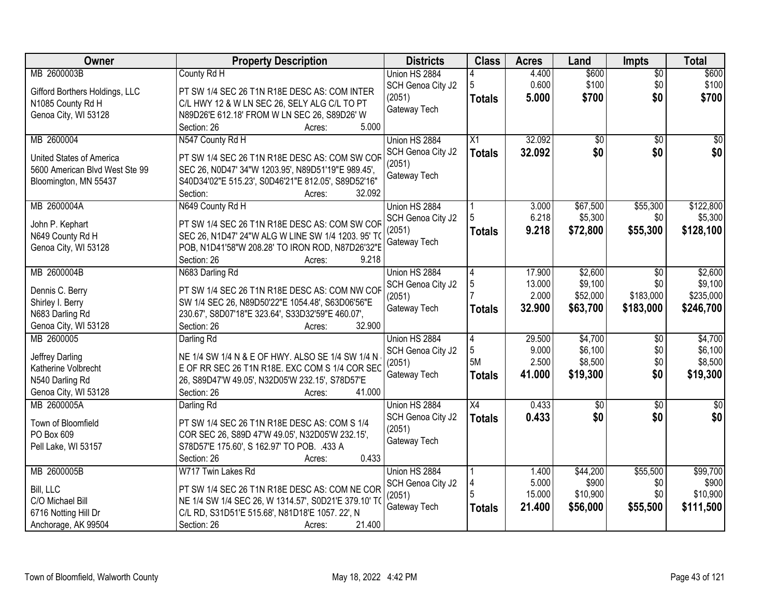| Owner                              | <b>Property Description</b>                                 | <b>Districts</b>  | <b>Class</b>   | <b>Acres</b> | Land            | <b>Impts</b>    | <b>Total</b> |
|------------------------------------|-------------------------------------------------------------|-------------------|----------------|--------------|-----------------|-----------------|--------------|
| MB 2600003B                        | County Rd H                                                 | Union HS 2884     |                | 4.400        | \$600           | $\overline{50}$ | \$600        |
| Gifford Borthers Holdings, LLC     | PT SW 1/4 SEC 26 T1N R18E DESC AS: COM INTER                | SCH Genoa City J2 | 5              | 0.600        | \$100           | \$0             | \$100        |
| N1085 County Rd H                  | C/L HWY 12 & W LN SEC 26, SELY ALG C/L TO PT                | (2051)            | <b>Totals</b>  | 5.000        | \$700           | \$0             | \$700        |
| Genoa City, WI 53128               | N89D26'E 612.18' FROM W LN SEC 26, S89D26' W                | Gateway Tech      |                |              |                 |                 |              |
|                                    | 5.000<br>Section: 26<br>Acres:                              |                   |                |              |                 |                 |              |
| MB 2600004                         | N547 County Rd H                                            | Union HS 2884     | X1             | 32.092       | \$0             | $\overline{50}$ | \$0          |
| United States of America           | PT SW 1/4 SEC 26 T1N R18E DESC AS: COM SW COF               | SCH Genoa City J2 | <b>Totals</b>  | 32.092       | \$0             | \$0             | \$0          |
| 5600 American Blvd West Ste 99     | SEC 26, N0D47' 34"W 1203.95', N89D51'19"E 989.45',          | (2051)            |                |              |                 |                 |              |
| Bloomington, MN 55437              | S40D34'02"E 515.23', S0D46'21"E 812.05', S89D52'16"         | Gateway Tech      |                |              |                 |                 |              |
|                                    | 32.092<br>Section:<br>Acres:                                |                   |                |              |                 |                 |              |
| MB 2600004A                        | N649 County Rd H                                            | Union HS 2884     |                | 3.000        | \$67,500        | \$55,300        | \$122,800    |
| John P. Kephart                    | PT SW 1/4 SEC 26 T1N R18E DESC AS: COM SW COF               | SCH Genoa City J2 |                | 6.218        | \$5,300         | \$0             | \$5,300      |
| N649 County Rd H                   | SEC 26, N1D47' 24"W ALG W LINE SW 1/4 1203. 95' TO          | (2051)            | Totals         | 9.218        | \$72,800        | \$55,300        | \$128,100    |
| Genoa City, WI 53128               | POB, N1D41'58"W 208.28' TO IRON ROD, N87D26'32"E            | Gateway Tech      |                |              |                 |                 |              |
|                                    | 9.218<br>Section: 26<br>Acres:                              |                   |                |              |                 |                 |              |
| MB 2600004B                        | N683 Darling Rd                                             | Union HS 2884     | 4              | 17.900       | \$2,600         | \$0             | \$2,600      |
|                                    |                                                             | SCH Genoa City J2 | 5              | 13.000       | \$9,100         | \$0             | \$9,100      |
| Dennis C. Berry                    | PT SW 1/4 SEC 26 T1N R18E DESC AS: COM NW COF               | (2051)            |                | 2.000        | \$52,000        | \$183,000       | \$235,000    |
| Shirley I. Berry                   | SW 1/4 SEC 26, N89D50'22"E 1054.48', S63D06'56"E            | Gateway Tech      | <b>Totals</b>  | 32.900       | \$63,700        | \$183,000       | \$246,700    |
| N683 Darling Rd                    | 230.67', S8D07'18"E 323.64', S33D32'59"E 460.07',<br>32.900 |                   |                |              |                 |                 |              |
| Genoa City, WI 53128<br>MB 2600005 | Section: 26<br>Acres:<br>Darling Rd                         | Union HS 2884     | $\overline{4}$ | 29.500       | \$4,700         | $\overline{50}$ | \$4,700      |
|                                    |                                                             | SCH Genoa City J2 | 5              | 9.000        | \$6,100         | \$0             | \$6,100      |
| Jeffrey Darling                    | NE 1/4 SW 1/4 N & E OF HWY. ALSO SE 1/4 SW 1/4 N            | (2051)            | <b>5M</b>      | 2.500        | \$8,500         | \$0             | \$8,500      |
| Katherine Volbrecht                | E OF RR SEC 26 T1N R18E. EXC COM S 1/4 COR SEC              | Gateway Tech      | <b>Totals</b>  | 41.000       | \$19,300        | \$0             | \$19,300     |
| N540 Darling Rd                    | 26, S89D47'W 49.05', N32D05'W 232.15', S78D57'E             |                   |                |              |                 |                 |              |
| Genoa City, WI 53128               | 41.000<br>Section: 26<br>Acres:                             |                   |                |              |                 |                 |              |
| MB 2600005A                        | Darling Rd                                                  | Union HS 2884     | X4             | 0.433        | $\overline{50}$ | $\overline{50}$ | $\sqrt{50}$  |
| Town of Bloomfield                 | PT SW 1/4 SEC 26 T1N R18E DESC AS: COM S 1/4                | SCH Genoa City J2 | <b>Totals</b>  | 0.433        | \$0             | \$0             | \$0          |
| PO Box 609                         | COR SEC 26, S89D 47'W 49.05', N32D05'W 232.15',             | (2051)            |                |              |                 |                 |              |
| Pell Lake, WI 53157                | S78D57'E 175.60', S 162.97' TO POB. .433 A                  | Gateway Tech      |                |              |                 |                 |              |
|                                    | 0.433<br>Section: 26<br>Acres:                              |                   |                |              |                 |                 |              |
| MB 2600005B                        | W717 Twin Lakes Rd                                          | Union HS 2884     |                | 1.400        | \$44,200        | \$55,500        | \$99,700     |
| Bill, LLC                          | PT SW 1/4 SEC 26 T1N R18E DESC AS: COM NE COR               | SCH Genoa City J2 |                | 5.000        | \$900           | \$0             | \$900        |
| C/O Michael Bill                   | NE 1/4 SW 1/4 SEC 26, W 1314.57', S0D21'E 379.10' TO        | (2051)            |                | 15.000       | \$10,900        | \$0             | \$10,900     |
| 6716 Notting Hill Dr               | C/L RD, S31D51'E 515.68', N81D18'E 1057. 22', N             | Gateway Tech      | <b>Totals</b>  | 21.400       | \$56,000        | \$55,500        | \$111,500    |
| Anchorage, AK 99504                | Section: 26<br>21.400<br>Acres:                             |                   |                |              |                 |                 |              |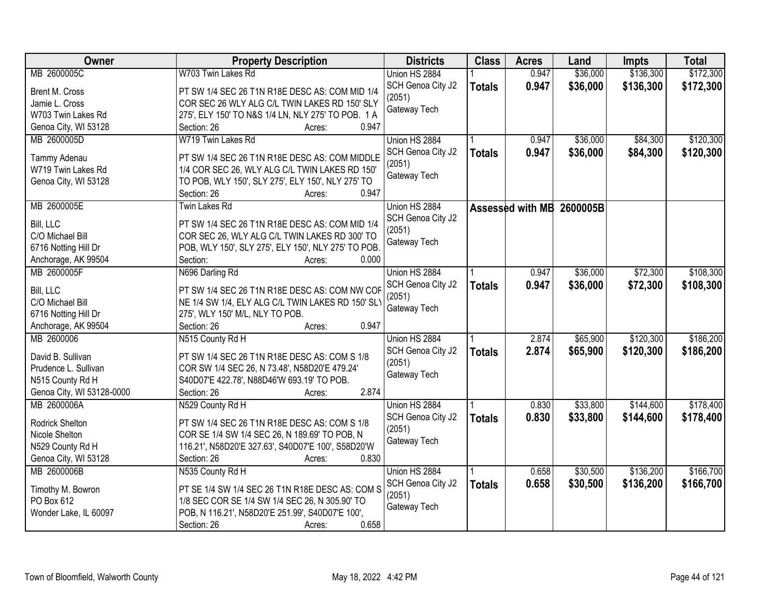| Owner                     | <b>Property Description</b>                         | <b>Districts</b>  | <b>Class</b>  | <b>Acres</b> | Land                      | <b>Impts</b> | <b>Total</b> |
|---------------------------|-----------------------------------------------------|-------------------|---------------|--------------|---------------------------|--------------|--------------|
| MB 2600005C               | W703 Twin Lakes Rd                                  | Union HS 2884     |               | 0.947        | \$36,000                  | \$136,300    | \$172,300    |
| Brent M. Cross            | PT SW 1/4 SEC 26 T1N R18E DESC AS: COM MID 1/4      | SCH Genoa City J2 | <b>Totals</b> | 0.947        | \$36,000                  | \$136,300    | \$172,300    |
| Jamie L. Cross            | COR SEC 26 WLY ALG C/L TWIN LAKES RD 150' SLY       | (2051)            |               |              |                           |              |              |
| W703 Twin Lakes Rd        | 275', ELY 150' TO N&S 1/4 LN, NLY 275' TO POB. 1 A  | Gateway Tech      |               |              |                           |              |              |
| Genoa City, WI 53128      | 0.947<br>Section: 26<br>Acres:                      |                   |               |              |                           |              |              |
| MB 2600005D               | W719 Twin Lakes Rd                                  | Union HS 2884     |               | 0.947        | \$36,000                  | \$84,300     | \$120,300    |
|                           |                                                     | SCH Genoa City J2 | <b>Totals</b> | 0.947        | \$36,000                  | \$84,300     | \$120,300    |
| Tammy Adenau              | PT SW 1/4 SEC 26 T1N R18E DESC AS: COM MIDDLE       | (2051)            |               |              |                           |              |              |
| W719 Twin Lakes Rd        | 1/4 COR SEC 26, WLY ALG C/L TWIN LAKES RD 150'      | Gateway Tech      |               |              |                           |              |              |
| Genoa City, WI 53128      | TO POB, WLY 150', SLY 275', ELY 150', NLY 275' TO   |                   |               |              |                           |              |              |
|                           | 0.947<br>Section: 26<br>Acres:                      |                   |               |              |                           |              |              |
| MB 2600005E               | Twin Lakes Rd                                       | Union HS 2884     |               |              | Assessed with MB 2600005B |              |              |
| Bill, LLC                 | PT SW 1/4 SEC 26 T1N R18E DESC AS: COM MID 1/4      | SCH Genoa City J2 |               |              |                           |              |              |
| C/O Michael Bill          | COR SEC 26, WLY ALG C/L TWIN LAKES RD 300' TO       | (2051)            |               |              |                           |              |              |
| 6716 Notting Hill Dr      | POB, WLY 150', SLY 275', ELY 150', NLY 275' TO POB. | Gateway Tech      |               |              |                           |              |              |
| Anchorage, AK 99504       | 0.000<br>Section:<br>Acres:                         |                   |               |              |                           |              |              |
| MB 2600005F               | N696 Darling Rd                                     | Union HS 2884     |               | 0.947        | \$36,000                  | \$72,300     | \$108,300    |
|                           |                                                     |                   |               |              |                           |              |              |
| Bill, LLC                 | PT SW 1/4 SEC 26 T1N R18E DESC AS: COM NW COF       | SCH Genoa City J2 | <b>Totals</b> | 0.947        | \$36,000                  | \$72,300     | \$108,300    |
| C/O Michael Bill          | NE 1/4 SW 1/4, ELY ALG C/L TWIN LAKES RD 150' SLY   | (2051)            |               |              |                           |              |              |
| 6716 Notting Hill Dr      | 275', WLY 150' M/L, NLY TO POB.                     | Gateway Tech      |               |              |                           |              |              |
| Anchorage, AK 99504       | 0.947<br>Section: 26<br>Acres:                      |                   |               |              |                           |              |              |
| MB 2600006                | N515 County Rd H                                    | Union HS 2884     |               | 2.874        | \$65,900                  | \$120,300    | \$186,200    |
|                           |                                                     | SCH Genoa City J2 | <b>Totals</b> | 2.874        | \$65,900                  | \$120,300    | \$186,200    |
| David B. Sullivan         | PT SW 1/4 SEC 26 T1N R18E DESC AS: COM S 1/8        | (2051)            |               |              |                           |              |              |
| Prudence L. Sullivan      | COR SW 1/4 SEC 26, N 73.48', N58D20'E 479.24'       | Gateway Tech      |               |              |                           |              |              |
| N515 County Rd H          | S40D07'E 422.78', N88D46'W 693.19' TO POB.          |                   |               |              |                           |              |              |
| Genoa City, WI 53128-0000 | 2.874<br>Section: 26<br>Acres:                      |                   |               |              |                           |              |              |
| MB 2600006A               | N529 County Rd H                                    | Union HS 2884     |               | 0.830        | \$33,800                  | \$144,600    | \$178,400    |
| Rodrick Shelton           | PT SW 1/4 SEC 26 T1N R18E DESC AS: COM S 1/8        | SCH Genoa City J2 | <b>Totals</b> | 0.830        | \$33,800                  | \$144,600    | \$178,400    |
| Nicole Shelton            | COR SE 1/4 SW 1/4 SEC 26, N 189.69' TO POB, N       | (2051)            |               |              |                           |              |              |
| N529 County Rd H          | 116.21', N58D20'E 327.63', S40D07'E 100', S58D20'W  | Gateway Tech      |               |              |                           |              |              |
| Genoa City, WI 53128      | Section: 26<br>0.830<br>Acres:                      |                   |               |              |                           |              |              |
| MB 2600006B               | N535 County Rd H                                    | Union HS 2884     |               | 0.658        | \$30,500                  | \$136,200    | \$166,700    |
|                           |                                                     | SCH Genoa City J2 | <b>Totals</b> | 0.658        | \$30,500                  | \$136,200    | \$166,700    |
| Timothy M. Bowron         | PT SE 1/4 SW 1/4 SEC 26 T1N R18E DESC AS: COM S     | (2051)            |               |              |                           |              |              |
| PO Box 612                | 1/8 SEC COR SE 1/4 SW 1/4 SEC 26, N 305.90' TO      | Gateway Tech      |               |              |                           |              |              |
| Wonder Lake, IL 60097     | POB, N 116.21', N58D20'E 251.99', S40D07'E 100',    |                   |               |              |                           |              |              |
|                           | 0.658<br>Section: 26<br>Acres:                      |                   |               |              |                           |              |              |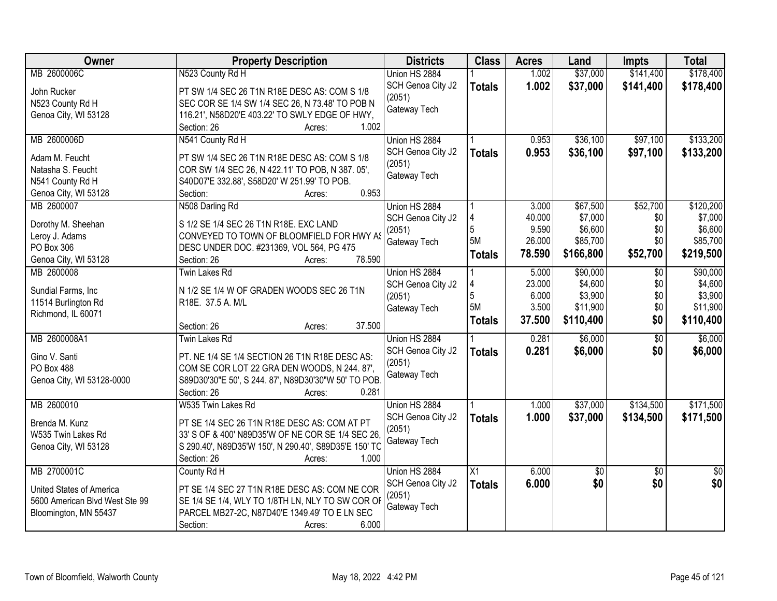| Owner                          | <b>Property Description</b>                           | <b>Districts</b>            | <b>Class</b>    | <b>Acres</b> | Land            | <b>Impts</b>    | <b>Total</b>    |
|--------------------------------|-------------------------------------------------------|-----------------------------|-----------------|--------------|-----------------|-----------------|-----------------|
| MB 2600006C                    | N523 County Rd H                                      | Union HS 2884               |                 | 1.002        | \$37,000        | \$141,400       | \$178,400       |
| John Rucker                    | PT SW 1/4 SEC 26 T1N R18E DESC AS: COM S 1/8          | SCH Genoa City J2           | <b>Totals</b>   | 1.002        | \$37,000        | \$141,400       | \$178,400       |
| N523 County Rd H               | SEC COR SE 1/4 SW 1/4 SEC 26, N 73.48' TO POB N       | (2051)                      |                 |              |                 |                 |                 |
| Genoa City, WI 53128           | 116.21', N58D20'E 403.22' TO SWLY EDGE OF HWY,        | Gateway Tech                |                 |              |                 |                 |                 |
|                                | 1.002<br>Section: 26<br>Acres:                        |                             |                 |              |                 |                 |                 |
| MB 2600006D                    | N541 County Rd H                                      | Union HS 2884               |                 | 0.953        | \$36,100        | \$97,100        | \$133,200       |
|                                |                                                       | SCH Genoa City J2           | <b>Totals</b>   | 0.953        | \$36,100        | \$97,100        | \$133,200       |
| Adam M. Feucht                 | PT SW 1/4 SEC 26 T1N R18E DESC AS: COM S 1/8          | (2051)                      |                 |              |                 |                 |                 |
| Natasha S. Feucht              | COR SW 1/4 SEC 26, N 422.11' TO POB, N 387.05',       | Gateway Tech                |                 |              |                 |                 |                 |
| N541 County Rd H               | S40D07'E 332.88', S58D20' W 251.99' TO POB.           |                             |                 |              |                 |                 |                 |
| Genoa City, WI 53128           | 0.953<br>Section:<br>Acres:                           |                             |                 |              |                 |                 |                 |
| MB 2600007                     | N508 Darling Rd                                       | Union HS 2884               |                 | 3.000        | \$67,500        | \$52,700        | \$120,200       |
| Dorothy M. Sheehan             | S 1/2 SE 1/4 SEC 26 T1N R18E. EXC LAND                | SCH Genoa City J2           |                 | 40.000       | \$7,000         | \$0             | \$7,000         |
| Leroy J. Adams                 | CONVEYED TO TOWN OF BLOOMFIELD FOR HWY AS             | (2051)                      | 5               | 9.590        | \$6,600         | \$0             | \$6,600         |
| PO Box 306                     | DESC UNDER DOC. #231369, VOL 564, PG 475              | Gateway Tech                | 5M              | 26.000       | \$85,700        | \$0             | \$85,700        |
| Genoa City, WI 53128           | 78.590<br>Section: 26<br>Acres:                       |                             | <b>Totals</b>   | 78.590       | \$166,800       | \$52,700        | \$219,500       |
| MB 2600008                     | <b>Twin Lakes Rd</b>                                  | Union HS 2884               |                 | 5.000        | \$90,000        | $\sqrt{6}$      | \$90,000        |
|                                |                                                       | SCH Genoa City J2           |                 | 23.000       | \$4,600         | \$0             | \$4,600         |
| Sundial Farms, Inc.            | N 1/2 SE 1/4 W OF GRADEN WOODS SEC 26 T1N             | (2051)                      | 5               | 6.000        | \$3,900         | \$0             | \$3,900         |
| 11514 Burlington Rd            | R18E. 37.5 A. M/L                                     | Gateway Tech                | 5M              | 3.500        | \$11,900        | \$0             | \$11,900        |
| Richmond, IL 60071             |                                                       |                             | <b>Totals</b>   | 37.500       | \$110,400       | \$0             | \$110,400       |
|                                | 37.500<br>Section: 26<br>Acres:                       |                             |                 |              |                 |                 |                 |
| MB 2600008A1                   | <b>Twin Lakes Rd</b>                                  | Union HS 2884               |                 | 0.281        | \$6,000         | $\overline{50}$ | \$6,000         |
| Gino V. Santi                  | PT. NE 1/4 SE 1/4 SECTION 26 T1N R18E DESC AS:        | SCH Genoa City J2           | <b>Totals</b>   | 0.281        | \$6,000         | \$0             | \$6,000         |
| PO Box 488                     | COM SE COR LOT 22 GRA DEN WOODS, N 244.87',           | (2051)                      |                 |              |                 |                 |                 |
| Genoa City, WI 53128-0000      | S89D30'30"E 50', S 244. 87', N89D30'30"W 50' TO POB.  | Gateway Tech                |                 |              |                 |                 |                 |
|                                | Section: 26<br>0.281<br>Acres:                        |                             |                 |              |                 |                 |                 |
| MB 2600010                     | W535 Twin Lakes Rd                                    | Union HS 2884               |                 | 1.000        | \$37,000        | \$134,500       | \$171,500       |
|                                |                                                       |                             |                 | 1.000        |                 |                 |                 |
| Brenda M. Kunz                 | PT SE 1/4 SEC 26 T1N R18E DESC AS: COM AT PT          | SCH Genoa City J2<br>(2051) | <b>Totals</b>   |              | \$37,000        | \$134,500       | \$171,500       |
| W535 Twin Lakes Rd             | 33' S OF & 400' N89D35'W OF NE COR SE 1/4 SEC 26      |                             |                 |              |                 |                 |                 |
| Genoa City, WI 53128           | S 290.40', N89D35'W 150', N 290.40', S89D35'E 150' TC | Gateway Tech                |                 |              |                 |                 |                 |
|                                | Section: 26<br>1.000<br>Acres:                        |                             |                 |              |                 |                 |                 |
| MB 2700001C                    | County Rd H                                           | Union HS 2884               | $\overline{X1}$ | 6.000        | $\overline{50}$ | $\overline{30}$ | $\overline{50}$ |
| United States of America       | PT SE 1/4 SEC 27 T1N R18E DESC AS: COM NE COR         | SCH Genoa City J2           | <b>Totals</b>   | 6.000        | \$0             | \$0             | \$0             |
|                                |                                                       | (2051)                      |                 |              |                 |                 |                 |
| 5600 American Blvd West Ste 99 | SE 1/4 SE 1/4, WLY TO 1/8TH LN, NLY TO SW COR OF      | Gateway Tech                |                 |              |                 |                 |                 |
| Bloomington, MN 55437          | PARCEL MB27-2C, N87D40'E 1349.49' TO E LN SEC         |                             |                 |              |                 |                 |                 |
|                                | Section:<br>6.000<br>Acres:                           |                             |                 |              |                 |                 |                 |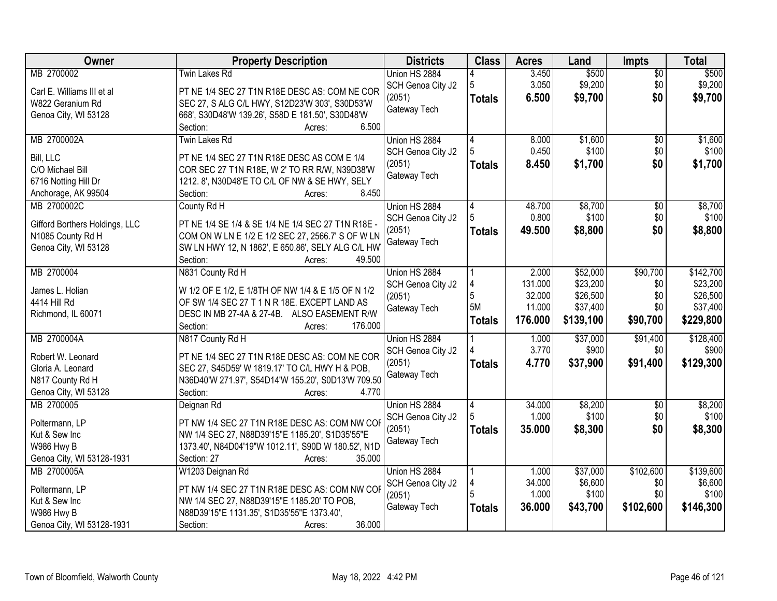| Owner                          | <b>Property Description</b>                         | <b>Districts</b>            | <b>Class</b>  | <b>Acres</b> | Land                 | Impts           | <b>Total</b>          |
|--------------------------------|-----------------------------------------------------|-----------------------------|---------------|--------------|----------------------|-----------------|-----------------------|
| MB 2700002                     | <b>Twin Lakes Rd</b>                                | Union HS 2884               |               | 3.450        | \$500                | $\overline{50}$ | \$500                 |
| Carl E. Williams III et al     | PT NE 1/4 SEC 27 T1N R18E DESC AS: COM NE COR       | SCH Genoa City J2           | 5             | 3.050        | \$9,200              | \$0             | \$9,200               |
| W822 Geranium Rd               | SEC 27, S ALG C/L HWY, S12D23'W 303', S30D53'W      | (2051)                      | <b>Totals</b> | 6.500        | \$9,700              | \$0             | \$9,700               |
| Genoa City, WI 53128           | 668', S30D48'W 139.26', S58D E 181.50', S30D48'W    | Gateway Tech                |               |              |                      |                 |                       |
|                                | 6.500<br>Section:<br>Acres:                         |                             |               |              |                      |                 |                       |
| MB 2700002A                    | <b>Twin Lakes Rd</b>                                | Union HS 2884               | 4             | 8.000        | \$1,600              | \$0             | \$1,600               |
| Bill, LLC                      | PT NE 1/4 SEC 27 T1N R18E DESC AS COM E 1/4         | SCH Genoa City J2           |               | 0.450        | \$100                | \$0             | \$100                 |
| C/O Michael Bill               | COR SEC 27 T1N R18E, W 2' TO RR R/W, N39D38'W       | (2051)                      | <b>Totals</b> | 8.450        | \$1,700              | \$0             | \$1,700               |
| 6716 Notting Hill Dr           | 1212. 8', N30D48'E TO C/L OF NW & SE HWY, SELY      | Gateway Tech                |               |              |                      |                 |                       |
| Anchorage, AK 99504            | 8.450<br>Section:<br>Acres:                         |                             |               |              |                      |                 |                       |
| MB 2700002C                    | County Rd H                                         | Union HS 2884               |               | 48.700       | \$8,700              | \$0             | \$8,700               |
|                                |                                                     | SCH Genoa City J2           |               | 0.800        | \$100                | \$0             | \$100                 |
| Gifford Borthers Holdings, LLC | PT NE 1/4 SE 1/4 & SE 1/4 NE 1/4 SEC 27 T1N R18E -  | (2051)                      | <b>Totals</b> | 49.500       | \$8,800              | \$0             | \$8,800               |
| N1085 County Rd H              | COM ON W LN E 1/2 E 1/2 SEC 27, 2566.7' S OF W LN   | Gateway Tech                |               |              |                      |                 |                       |
| Genoa City, WI 53128           | SW LN HWY 12, N 1862', E 650.86', SELY ALG C/L HW   |                             |               |              |                      |                 |                       |
|                                | 49.500<br>Section:<br>Acres:                        |                             |               | 2.000        |                      |                 |                       |
| MB 2700004                     | N831 County Rd H                                    | Union HS 2884               |               | 131.000      | \$52,000<br>\$23,200 | \$90,700<br>\$0 | \$142,700<br>\$23,200 |
| James L. Holian                | W 1/2 OF E 1/2, E 1/8TH OF NW 1/4 & E 1/5 OF N 1/2  | SCH Genoa City J2<br>(2051) | 5             | 32.000       | \$26,500             | \$0             | \$26,500              |
| 4414 Hill Rd                   | OF SW 1/4 SEC 27 T 1 N R 18E. EXCEPT LAND AS        | Gateway Tech                | 5M            | 11.000       | \$37,400             | \$0             | \$37,400              |
| Richmond, IL 60071             | DESC IN MB 27-4A & 27-4B. ALSO EASEMENT R/W         |                             | <b>Totals</b> | 176.000      | \$139,100            | \$90,700        | \$229,800             |
|                                | Section:<br>176.000<br>Acres:                       |                             |               |              |                      |                 |                       |
| MB 2700004A                    | N817 County Rd H                                    | Union HS 2884               |               | 1.000        | \$37,000             | \$91,400        | \$128,400             |
| Robert W. Leonard              | PT NE 1/4 SEC 27 T1N R18E DESC AS: COM NE COR       | SCH Genoa City J2           |               | 3.770        | \$900                | \$0             | \$900                 |
| Gloria A. Leonard              | SEC 27, S45D59' W 1819.17' TO C/L HWY H & POB,      | (2051)                      | <b>Totals</b> | 4.770        | \$37,900             | \$91,400        | \$129,300             |
| N817 County Rd H               | N36D40'W 271.97', S54D14'W 155.20', S0D13'W 709.50  | Gateway Tech                |               |              |                      |                 |                       |
| Genoa City, WI 53128           | 4.770<br>Section:<br>Acres:                         |                             |               |              |                      |                 |                       |
| MB 2700005                     | Deignan Rd                                          | Union HS 2884               | 4             | 34.000       | \$8,200              | $\overline{50}$ | \$8,200               |
| Poltermann, LP                 | PT NW 1/4 SEC 27 T1N R18E DESC AS: COM NW COF       | SCH Genoa City J2           |               | 1.000        | \$100                | \$0             | \$100                 |
| Kut & Sew Inc                  | NW 1/4 SEC 27, N88D39'15"E 1185.20', S1D35'55"E     | (2051)                      | <b>Totals</b> | 35.000       | \$8,300              | \$0             | \$8,300               |
| W986 Hwy B                     | 1373.40', N84D04'19"W 1012.11', S90D W 180.52', N1D | Gateway Tech                |               |              |                      |                 |                       |
| Genoa City, WI 53128-1931      | 35.000<br>Section: 27<br>Acres:                     |                             |               |              |                      |                 |                       |
| MB 2700005A                    | W1203 Deignan Rd                                    | Union HS 2884               |               | 1.000        | \$37,000             | \$102,600       | \$139,600             |
| Poltermann, LP                 | PT NW 1/4 SEC 27 T1N R18E DESC AS: COM NW COR       | SCH Genoa City J2           |               | 34.000       | \$6,600              | \$0             | \$6,600               |
| Kut & Sew Inc                  | NW 1/4 SEC 27, N88D39'15"E 1185.20' TO POB,         | (2051)                      |               | 1.000        | \$100                | \$0             | \$100                 |
| W986 Hwy B                     | N88D39'15"E 1131.35', S1D35'55"E 1373.40',          | Gateway Tech                | <b>Totals</b> | 36.000       | \$43,700             | \$102,600       | \$146,300             |
| Genoa City, WI 53128-1931      | 36.000<br>Section:<br>Acres:                        |                             |               |              |                      |                 |                       |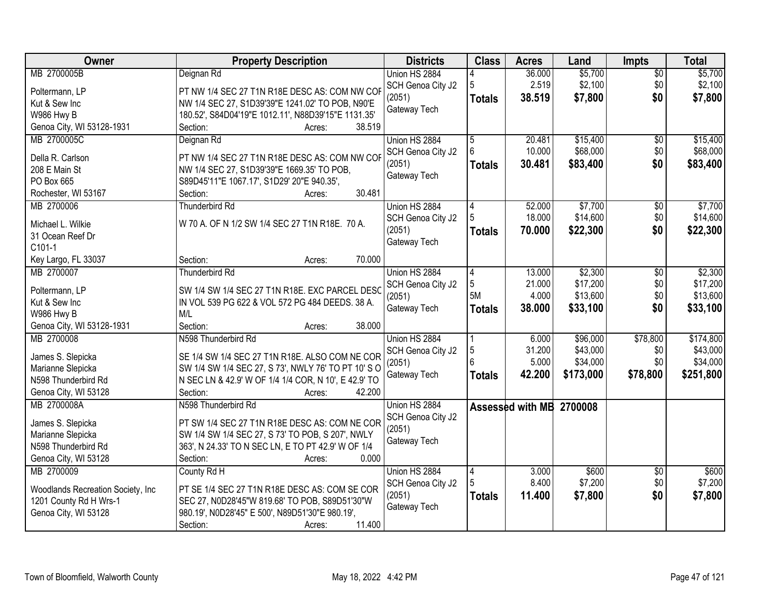| Owner                              | <b>Property Description</b>                                                              | <b>Districts</b>            | <b>Class</b>    | <b>Acres</b>             | Land             | <b>Impts</b>           | <b>Total</b>     |
|------------------------------------|------------------------------------------------------------------------------------------|-----------------------------|-----------------|--------------------------|------------------|------------------------|------------------|
| MB 2700005B                        | Deignan Rd                                                                               | Union HS 2884               |                 | 36.000                   | \$5,700          | $\overline{50}$        | \$5,700          |
| Poltermann, LP                     | PT NW 1/4 SEC 27 T1N R18E DESC AS: COM NW COF                                            | SCH Genoa City J2           | 5               | 2.519                    | \$2,100          | \$0                    | \$2,100          |
| Kut & Sew Inc                      | NW 1/4 SEC 27, S1D39'39"E 1241.02' TO POB, N90'E                                         | (2051)                      | <b>Totals</b>   | 38.519                   | \$7,800          | \$0                    | \$7,800          |
| W986 Hwy B                         | 180.52', S84D04'19"E 1012.11', N88D39'15"E 1131.35'                                      | Gateway Tech                |                 |                          |                  |                        |                  |
| Genoa City, WI 53128-1931          | 38.519<br>Section:<br>Acres:                                                             |                             |                 |                          |                  |                        |                  |
| MB 2700005C                        | Deignan Rd                                                                               | Union HS 2884               | 5               | 20.481                   | \$15,400         | $\overline{50}$        | \$15,400         |
|                                    |                                                                                          | SCH Genoa City J2           |                 | 10.000                   | \$68,000         | \$0                    | \$68,000         |
| Della R. Carlson<br>208 E Main St  | PT NW 1/4 SEC 27 T1N R18E DESC AS: COM NW COF                                            | (2051)                      | <b>Totals</b>   | 30.481                   | \$83,400         | \$0                    | \$83,400         |
| PO Box 665                         | NW 1/4 SEC 27, S1D39'39"E 1669.35' TO POB,<br>S89D45'11"E 1067.17', S1D29' 20"E 940.35', | Gateway Tech                |                 |                          |                  |                        |                  |
| Rochester, WI 53167                | 30.481<br>Section:<br>Acres:                                                             |                             |                 |                          |                  |                        |                  |
| MB 2700006                         | Thunderbird Rd                                                                           | Union HS 2884               | 4               | 52.000                   | \$7,700          | \$0                    | \$7,700          |
|                                    |                                                                                          | SCH Genoa City J2           |                 | 18.000                   | \$14,600         | \$0                    | \$14,600         |
| Michael L. Wilkie                  | W 70 A. OF N 1/2 SW 1/4 SEC 27 T1N R18E. 70 A.                                           | (2051)                      | Totals          | 70.000                   | \$22,300         | \$0                    | \$22,300         |
| 31 Ocean Reef Dr                   |                                                                                          | Gateway Tech                |                 |                          |                  |                        |                  |
| C101-1                             |                                                                                          |                             |                 |                          |                  |                        |                  |
| Key Largo, FL 33037                | 70.000<br>Section:<br>Acres:                                                             |                             |                 |                          |                  |                        |                  |
| MB 2700007                         | <b>Thunderbird Rd</b>                                                                    | Union HS 2884               | 4               | 13.000                   | \$2,300          | \$0                    | \$2,300          |
| Poltermann, LP                     | SW 1/4 SW 1/4 SEC 27 T1N R18E. EXC PARCEL DESC                                           | SCH Genoa City J2           | 5               | 21.000                   | \$17,200         | \$0                    | \$17,200         |
| Kut & Sew Inc                      | IN VOL 539 PG 622 & VOL 572 PG 484 DEEDS. 38 A.                                          | (2051)                      | 5M              | 4.000                    | \$13,600         | \$0                    | \$13,600         |
| W986 Hwy B                         | M/L                                                                                      | Gateway Tech                | <b>Totals</b>   | 38.000                   | \$33,100         | \$0                    | \$33,100         |
| Genoa City, WI 53128-1931          | 38.000<br>Section:<br>Acres:                                                             |                             |                 |                          |                  |                        |                  |
| MB 2700008                         | N598 Thunderbird Rd                                                                      | Union HS 2884               |                 | 6.000                    | \$96,000         | \$78,800               | \$174,800        |
| James S. Slepicka                  | SE 1/4 SW 1/4 SEC 27 T1N R18E. ALSO COM NE COR                                           | SCH Genoa City J2           | 5               | 31.200                   | \$43,000         | \$0                    | \$43,000         |
| Marianne Slepicka                  | SW 1/4 SW 1/4 SEC 27, S 73', NWLY 76' TO PT 10' S O                                      | (2051)                      | $6\overline{6}$ | 5.000                    | \$34,000         | \$0                    | \$34,000         |
| N598 Thunderbird Rd                | N SEC LN & 42.9' W OF 1/4 1/4 COR, N 10', E 42.9' TO                                     | Gateway Tech                | <b>Totals</b>   | 42.200                   | \$173,000        | \$78,800               | \$251,800        |
| Genoa City, WI 53128               | 42.200<br>Section:<br>Acres:                                                             |                             |                 |                          |                  |                        |                  |
| MB 2700008A                        | N598 Thunderbird Rd                                                                      | Union HS 2884               |                 | Assessed with MB 2700008 |                  |                        |                  |
|                                    |                                                                                          | SCH Genoa City J2           |                 |                          |                  |                        |                  |
| James S. Slepicka                  | PT SW 1/4 SEC 27 T1N R18E DESC AS: COM NE COR                                            | (2051)                      |                 |                          |                  |                        |                  |
| Marianne Slepicka                  | SW 1/4 SW 1/4 SEC 27, S 73' TO POB, S 207', NWLY                                         | Gateway Tech                |                 |                          |                  |                        |                  |
| N598 Thunderbird Rd                | 363', N 24.33' TO N SEC LN, E TO PT 42.9' W OF 1/4                                       |                             |                 |                          |                  |                        |                  |
| Genoa City, WI 53128<br>MB 2700009 | 0.000<br>Section:<br>Acres:                                                              |                             |                 |                          |                  |                        |                  |
|                                    | County Rd H                                                                              | Union HS 2884               | 4               | 3.000<br>8.400           | \$600<br>\$7,200 | $\overline{30}$<br>\$0 | \$600<br>\$7,200 |
| Woodlands Recreation Society, Inc. | PT SE 1/4 SEC 27 T1N R18E DESC AS: COM SE COR                                            | SCH Genoa City J2<br>(2051) |                 | 11.400                   | \$7,800          | \$0                    | \$7,800          |
| 1201 County Rd H Wrs-1             | SEC 27, N0D28'45"W 819.68' TO POB, S89D51'30"W                                           | Gateway Tech                | <b>Totals</b>   |                          |                  |                        |                  |
| Genoa City, WI 53128               | 980.19', N0D28'45" E 500', N89D51'30"E 980.19',                                          |                             |                 |                          |                  |                        |                  |
|                                    | 11.400<br>Section:<br>Acres:                                                             |                             |                 |                          |                  |                        |                  |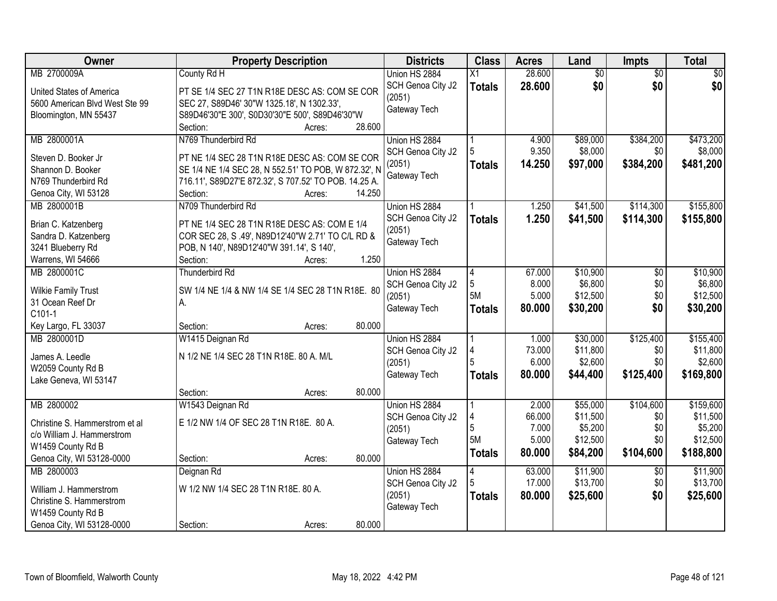| Owner                                    | <b>Property Description</b>                                                                           | <b>Districts</b>  | <b>Class</b>    | <b>Acres</b> | Land            | <b>Impts</b>    | <b>Total</b>    |
|------------------------------------------|-------------------------------------------------------------------------------------------------------|-------------------|-----------------|--------------|-----------------|-----------------|-----------------|
| MB 2700009A                              | County Rd H                                                                                           | Union HS 2884     | $\overline{X1}$ | 28.600       | $\overline{50}$ | $\overline{50}$ | $\overline{30}$ |
| United States of America                 | PT SE 1/4 SEC 27 T1N R18E DESC AS: COM SE COR                                                         | SCH Genoa City J2 | <b>Totals</b>   | 28.600       | \$0             | \$0             | \$0             |
| 5600 American Blvd West Ste 99           | SEC 27, S89D46' 30"W 1325.18', N 1302.33',                                                            | (2051)            |                 |              |                 |                 |                 |
| Bloomington, MN 55437                    | S89D46'30"E 300', S0D30'30"E 500', S89D46'30"W                                                        | Gateway Tech      |                 |              |                 |                 |                 |
|                                          | Section:<br>28.600<br>Acres:                                                                          |                   |                 |              |                 |                 |                 |
| MB 2800001A                              | N769 Thunderbird Rd                                                                                   | Union HS 2884     |                 | 4.900        | \$89,000        | \$384,200       | \$473,200       |
|                                          |                                                                                                       | SCH Genoa City J2 |                 | 9.350        | \$8,000         | \$0             | \$8,000         |
| Steven D. Booker Jr<br>Shannon D. Booker | PT NE 1/4 SEC 28 T1N R18E DESC AS: COM SE COR<br>SE 1/4 NE 1/4 SEC 28, N 552.51' TO POB, W 872.32', N | (2051)            | <b>Totals</b>   | 14.250       | \$97,000        | \$384,200       | \$481,200       |
| N769 Thunderbird Rd                      | 716.11', S89D27'E 872.32', S 707.52' TO POB. 14.25 A.                                                 | Gateway Tech      |                 |              |                 |                 |                 |
| Genoa City, WI 53128                     | Section:<br>14.250<br>Acres:                                                                          |                   |                 |              |                 |                 |                 |
| MB 2800001B                              | N709 Thunderbird Rd                                                                                   | Union HS 2884     |                 | 1.250        | \$41,500        | \$114,300       | \$155,800       |
|                                          |                                                                                                       | SCH Genoa City J2 | <b>Totals</b>   | 1.250        | \$41,500        | \$114,300       | \$155,800       |
| Brian C. Katzenberg                      | PT NE 1/4 SEC 28 T1N R18E DESC AS: COM E 1/4                                                          | (2051)            |                 |              |                 |                 |                 |
| Sandra D. Katzenberg                     | COR SEC 28, S .49', N89D12'40"W 2.71' TO C/L RD &                                                     | Gateway Tech      |                 |              |                 |                 |                 |
| 3241 Blueberry Rd                        | POB, N 140', N89D12'40"W 391.14', S 140',                                                             |                   |                 |              |                 |                 |                 |
| Warrens, WI 54666                        | 1.250<br>Section:<br>Acres:                                                                           |                   |                 |              |                 |                 |                 |
| MB 2800001C                              | <b>Thunderbird Rd</b>                                                                                 | Union HS 2884     | 4               | 67.000       | \$10,900        | $\overline{50}$ | \$10,900        |
| <b>Wilkie Family Trust</b>               | SW 1/4 NE 1/4 & NW 1/4 SE 1/4 SEC 28 T1N R18E. 80                                                     | SCH Genoa City J2 | 5               | 8.000        | \$6,800         | \$0             | \$6,800         |
| 31 Ocean Reef Dr                         | А.                                                                                                    | (2051)            | 5M              | 5.000        | \$12,500        | \$0             | \$12,500        |
| C101-1                                   |                                                                                                       | Gateway Tech      | <b>Totals</b>   | 80.000       | \$30,200        | \$0             | \$30,200        |
| Key Largo, FL 33037                      | 80.000<br>Section:<br>Acres:                                                                          |                   |                 |              |                 |                 |                 |
| MB 2800001D                              | W1415 Deignan Rd                                                                                      | Union HS 2884     |                 | 1.000        | \$30,000        | \$125,400       | \$155,400       |
| James A. Leedle                          | N 1/2 NE 1/4 SEC 28 T1N R18E. 80 A. M/L                                                               | SCH Genoa City J2 |                 | 73.000       | \$11,800        | \$0             | \$11,800        |
| W2059 County Rd B                        |                                                                                                       | (2051)            | 5               | 6.000        | \$2,600         | \$0             | \$2,600         |
| Lake Geneva, WI 53147                    |                                                                                                       | Gateway Tech      | <b>Totals</b>   | 80.000       | \$44,400        | \$125,400       | \$169,800       |
|                                          | 80.000<br>Section:<br>Acres:                                                                          |                   |                 |              |                 |                 |                 |
| MB 2800002                               | W1543 Deignan Rd                                                                                      | Union HS 2884     |                 | 2.000        | \$55,000        | \$104,600       | \$159,600       |
| Christine S. Hammerstrom et al.          | E 1/2 NW 1/4 OF SEC 28 T1N R18E. 80 A.                                                                | SCH Genoa City J2 |                 | 66.000       | \$11,500        | \$0             | \$11,500        |
| c/o William J. Hammerstrom               |                                                                                                       | (2051)            | 5               | 7.000        | \$5,200         | \$0             | \$5,200         |
| W1459 County Rd B                        |                                                                                                       | Gateway Tech      | 5M              | 5.000        | \$12,500        | \$0             | \$12,500        |
| Genoa City, WI 53128-0000                | 80.000<br>Section:<br>Acres:                                                                          |                   | <b>Totals</b>   | 80.000       | \$84,200        | \$104,600       | \$188,800       |
| MB 2800003                               | Deignan Rd                                                                                            | Union HS 2884     | 4               | 63.000       | \$11,900        | $\overline{50}$ | \$11,900        |
|                                          |                                                                                                       | SCH Genoa City J2 |                 | 17.000       | \$13,700        | \$0             | \$13,700        |
| William J. Hammerstrom                   | W 1/2 NW 1/4 SEC 28 T1N R18E. 80 A.                                                                   | (2051)            | <b>Totals</b>   | 80.000       | \$25,600        | \$0             | \$25,600        |
| Christine S. Hammerstrom                 |                                                                                                       | Gateway Tech      |                 |              |                 |                 |                 |
| W1459 County Rd B                        |                                                                                                       |                   |                 |              |                 |                 |                 |
| Genoa City, WI 53128-0000                | 80.000<br>Section:<br>Acres:                                                                          |                   |                 |              |                 |                 |                 |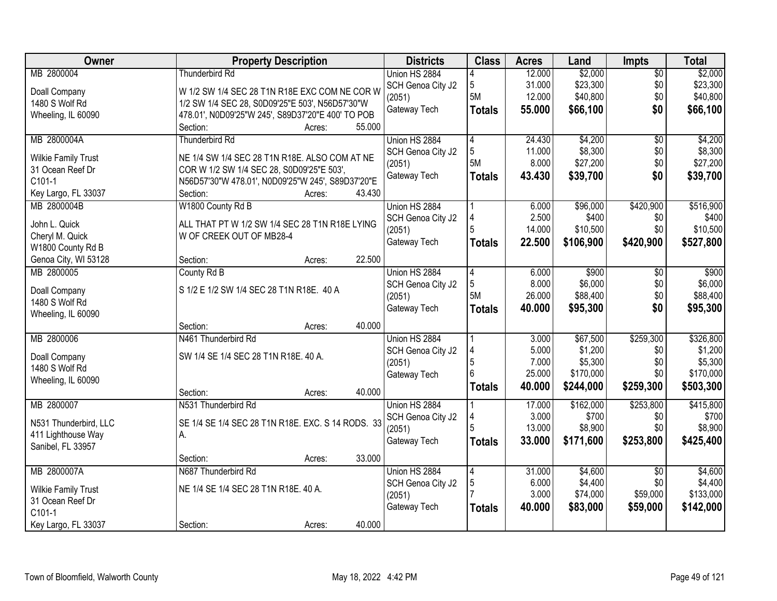| Owner                                   | <b>Property Description</b>                                                |                  | <b>Districts</b>  | <b>Class</b>   | <b>Acres</b> | Land      | <b>Impts</b>    | <b>Total</b> |
|-----------------------------------------|----------------------------------------------------------------------------|------------------|-------------------|----------------|--------------|-----------|-----------------|--------------|
| MB 2800004                              | <b>Thunderbird Rd</b>                                                      |                  | Union HS 2884     |                | 12.000       | \$2,000   | $\overline{50}$ | \$2,000      |
| Doall Company                           | W 1/2 SW 1/4 SEC 28 T1N R18E EXC COM NE COR W                              |                  | SCH Genoa City J2 | 5              | 31.000       | \$23,300  | \$0             | \$23,300     |
| 1480 S Wolf Rd                          | 1/2 SW 1/4 SEC 28, S0D09'25"E 503', N56D57'30"W                            |                  | (2051)            | 5M             | 12.000       | \$40,800  | \$0             | \$40,800     |
| Wheeling, IL 60090                      | 478.01', N0D09'25"W 245', S89D37'20"E 400' TO POB                          |                  | Gateway Tech      | <b>Totals</b>  | 55.000       | \$66,100  | \$0             | \$66,100     |
|                                         | Section:                                                                   | 55.000<br>Acres: |                   |                |              |           |                 |              |
| MB 2800004A                             | Thunderbird Rd                                                             |                  | Union HS 2884     | $\overline{4}$ | 24.430       | \$4,200   | $\overline{30}$ | \$4,200      |
| <b>Wilkie Family Trust</b>              | NE 1/4 SW 1/4 SEC 28 T1N R18E. ALSO COM AT NE                              |                  | SCH Genoa City J2 | 5              | 11.000       | \$8,300   | \$0             | \$8,300      |
| 31 Ocean Reef Dr                        | COR W 1/2 SW 1/4 SEC 28, S0D09'25"E 503',                                  |                  | (2051)            | 5M             | 8.000        | \$27,200  | \$0             | \$27,200     |
| C101-1                                  | N56D57'30"W 478.01', N0D09'25"W 245', S89D37'20"E                          |                  | Gateway Tech      | <b>Totals</b>  | 43.430       | \$39,700  | \$0             | \$39,700     |
| Key Largo, FL 33037                     | Section:                                                                   | 43.430<br>Acres: |                   |                |              |           |                 |              |
| MB 2800004B                             | W1800 County Rd B                                                          |                  | Union HS 2884     |                | 6.000        | \$96,000  | \$420,900       | \$516,900    |
|                                         |                                                                            |                  | SCH Genoa City J2 |                | 2.500        | \$400     | \$0             | \$400        |
| John L. Quick<br>Cheryl M. Quick        | ALL THAT PT W 1/2 SW 1/4 SEC 28 T1N R18E LYING<br>W OF CREEK OUT OF MB28-4 |                  | (2051)            | 5              | 14.000       | \$10,500  | \$0             | \$10,500     |
| W1800 County Rd B                       |                                                                            |                  | Gateway Tech      | <b>Totals</b>  | 22.500       | \$106,900 | \$420,900       | \$527,800    |
| Genoa City, WI 53128                    | Section:                                                                   | 22.500<br>Acres: |                   |                |              |           |                 |              |
| MB 2800005                              | County Rd B                                                                |                  | Union HS 2884     | 4              | 6.000        | \$900     | $\sqrt{6}$      | \$900        |
|                                         |                                                                            |                  | SCH Genoa City J2 | 5              | 8.000        | \$6,000   | \$0             | \$6,000      |
| Doall Company                           | S 1/2 E 1/2 SW 1/4 SEC 28 T1N R18E. 40 A                                   |                  | (2051)            | 5M             | 26.000       | \$88,400  | \$0             | \$88,400     |
| 1480 S Wolf Rd<br>Wheeling, IL 60090    |                                                                            |                  | Gateway Tech      | <b>Totals</b>  | 40.000       | \$95,300  | \$0             | \$95,300     |
|                                         | Section:                                                                   | 40.000<br>Acres: |                   |                |              |           |                 |              |
| MB 2800006                              | N461 Thunderbird Rd                                                        |                  | Union HS 2884     |                | 3.000        | \$67,500  | \$259,300       | \$326,800    |
|                                         |                                                                            |                  | SCH Genoa City J2 |                | 5.000        | \$1,200   | \$0             | \$1,200      |
| Doall Company                           | SW 1/4 SE 1/4 SEC 28 T1N R18E. 40 A.                                       |                  | (2051)            | 5              | 7.000        | \$5,300   | \$0             | \$5,300      |
| 1480 S Wolf Rd                          |                                                                            |                  | Gateway Tech      | 6              | 25.000       | \$170,000 | \$0             | \$170,000    |
| Wheeling, IL 60090                      | Section:                                                                   | 40.000<br>Acres: |                   | <b>Totals</b>  | 40.000       | \$244,000 | \$259,300       | \$503,300    |
| MB 2800007                              | N531 Thunderbird Rd                                                        |                  | Union HS 2884     |                | 17.000       | \$162,000 | \$253,800       | \$415,800    |
|                                         |                                                                            |                  | SCH Genoa City J2 |                | 3.000        | \$700     | \$0             | \$700        |
| N531 Thunderbird, LLC                   | SE 1/4 SE 1/4 SEC 28 T1N R18E. EXC. S 14 RODS. 33                          |                  | (2051)            |                | 13.000       | \$8,900   | \$0             | \$8,900      |
| 411 Lighthouse Way<br>Sanibel, FL 33957 | А.                                                                         |                  | Gateway Tech      | <b>Totals</b>  | 33.000       | \$171,600 | \$253,800       | \$425,400    |
|                                         | Section:                                                                   | 33.000<br>Acres: |                   |                |              |           |                 |              |
| MB 2800007A                             | N687 Thunderbird Rd                                                        |                  | Union HS 2884     | 4              | 31.000       | \$4,600   | $\overline{30}$ | \$4,600      |
| <b>Wilkie Family Trust</b>              | NE 1/4 SE 1/4 SEC 28 T1N R18E. 40 A.                                       |                  | SCH Genoa City J2 | 5              | 6.000        | \$4,400   | \$0             | \$4,400      |
| 31 Ocean Reef Dr                        |                                                                            |                  | (2051)            |                | 3.000        | \$74,000  | \$59,000        | \$133,000    |
| C101-1                                  |                                                                            |                  | Gateway Tech      | <b>Totals</b>  | 40.000       | \$83,000  | \$59,000        | \$142,000    |
| Key Largo, FL 33037                     | Section:                                                                   | 40.000<br>Acres: |                   |                |              |           |                 |              |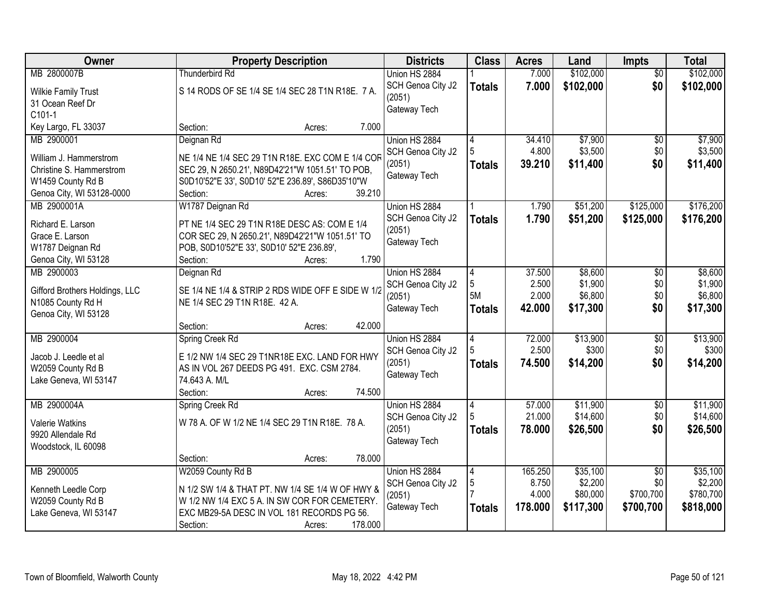| Owner                                | <b>Property Description</b>                                                                     | <b>Districts</b>            | <b>Class</b>   | <b>Acres</b>    | Land              | Impts                  | <b>Total</b>      |
|--------------------------------------|-------------------------------------------------------------------------------------------------|-----------------------------|----------------|-----------------|-------------------|------------------------|-------------------|
| MB 2800007B                          | <b>Thunderbird Rd</b>                                                                           | Union HS 2884               |                | 7.000           | \$102,000         | $\overline{50}$        | \$102,000         |
| <b>Wilkie Family Trust</b>           | S 14 RODS OF SE 1/4 SE 1/4 SEC 28 T1N R18E. 7 A.                                                | SCH Genoa City J2           | <b>Totals</b>  | 7.000           | \$102,000         | \$0                    | \$102,000         |
| 31 Ocean Reef Dr                     |                                                                                                 | (2051)                      |                |                 |                   |                        |                   |
| C101-1                               |                                                                                                 | Gateway Tech                |                |                 |                   |                        |                   |
| Key Largo, FL 33037                  | 7.000<br>Section:<br>Acres:                                                                     |                             |                |                 |                   |                        |                   |
| MB 2900001                           | Deignan Rd                                                                                      | Union HS 2884               | 4              | 34.410          | \$7,900           | $\overline{50}$        | \$7,900           |
| William J. Hammerstrom               | NE 1/4 NE 1/4 SEC 29 T1N R18E. EXC COM E 1/4 COR                                                | SCH Genoa City J2           |                | 4.800           | \$3,500           | \$0                    | \$3,500           |
| Christine S. Hammerstrom             | SEC 29, N 2650.21', N89D42'21"W 1051.51' TO POB,                                                | (2051)                      | <b>Totals</b>  | 39.210          | \$11,400          | \$0                    | \$11,400          |
| W1459 County Rd B                    | S0D10'52"E 33', S0D10' 52"E 236.89', S86D35'10"W                                                | Gateway Tech                |                |                 |                   |                        |                   |
| Genoa City, WI 53128-0000            | 39.210<br>Section:<br>Acres:                                                                    |                             |                |                 |                   |                        |                   |
| MB 2900001A                          | W1787 Deignan Rd                                                                                | Union HS 2884               |                | 1.790           | \$51,200          | \$125,000              | \$176,200         |
|                                      |                                                                                                 | SCH Genoa City J2           | <b>Totals</b>  | 1.790           | \$51,200          | \$125,000              | \$176,200         |
| Richard E. Larson<br>Grace E. Larson | PT NE 1/4 SEC 29 T1N R18E DESC AS: COM E 1/4<br>COR SEC 29, N 2650.21', N89D42'21"W 1051.51' TO | (2051)                      |                |                 |                   |                        |                   |
| W1787 Deignan Rd                     | POB, S0D10'52"E 33', S0D10' 52"E 236.89',                                                       | Gateway Tech                |                |                 |                   |                        |                   |
| Genoa City, WI 53128                 | 1.790<br>Section:<br>Acres:                                                                     |                             |                |                 |                   |                        |                   |
| MB 2900003                           | Deignan Rd                                                                                      | Union HS 2884               | $\overline{4}$ | 37.500          | \$8,600           | \$0                    | \$8,600           |
|                                      |                                                                                                 | SCH Genoa City J2           | 5              | 2.500           | \$1,900           | \$0                    | \$1,900           |
| Gifford Brothers Holdings, LLC       | SE 1/4 NE 1/4 & STRIP 2 RDS WIDE OFF E SIDE W 1/2                                               | (2051)                      | 5M             | 2.000           | \$6,800           | \$0                    | \$6,800           |
| N1085 County Rd H                    | NE 1/4 SEC 29 T1N R18E. 42 A.                                                                   | Gateway Tech                | <b>Totals</b>  | 42.000          | \$17,300          | \$0                    | \$17,300          |
| Genoa City, WI 53128                 |                                                                                                 |                             |                |                 |                   |                        |                   |
|                                      | 42.000<br>Section:<br>Acres:                                                                    |                             |                |                 |                   |                        |                   |
| MB 2900004                           | Spring Creek Rd                                                                                 | Union HS 2884               | $\overline{4}$ | 72.000<br>2.500 | \$13,900<br>\$300 | $\overline{50}$<br>\$0 | \$13,900<br>\$300 |
| Jacob J. Leedle et al                | E 1/2 NW 1/4 SEC 29 T1NR18E EXC. LAND FOR HWY                                                   | SCH Genoa City J2<br>(2051) |                | 74.500          | \$14,200          | \$0                    | \$14,200          |
| W2059 County Rd B                    | AS IN VOL 267 DEEDS PG 491. EXC. CSM 2784.                                                      | Gateway Tech                | <b>Totals</b>  |                 |                   |                        |                   |
| Lake Geneva, WI 53147                | 74.643 A. M/L                                                                                   |                             |                |                 |                   |                        |                   |
|                                      | 74.500<br>Section:<br>Acres:                                                                    |                             |                |                 |                   |                        |                   |
| MB 2900004A                          | Spring Creek Rd                                                                                 | Union HS 2884               | 4              | 57.000          | \$11,900          | $\overline{50}$        | \$11,900          |
| <b>Valerie Watkins</b>               | W 78 A. OF W 1/2 NE 1/4 SEC 29 T1N R18E. 78 A.                                                  | SCH Genoa City J2           |                | 21.000          | \$14,600          | \$0                    | \$14,600          |
| 9920 Allendale Rd                    |                                                                                                 | (2051)                      | <b>Totals</b>  | 78.000          | \$26,500          | \$0                    | \$26,500          |
| Woodstock, IL 60098                  |                                                                                                 | Gateway Tech                |                |                 |                   |                        |                   |
|                                      | 78.000<br>Section:<br>Acres:                                                                    |                             |                |                 |                   |                        |                   |
| MB 2900005                           | W2059 County Rd B                                                                               | Union HS 2884               | 4              | 165.250         | \$35,100          | $\overline{50}$        | \$35,100          |
| Kenneth Leedle Corp                  | N 1/2 SW 1/4 & THAT PT. NW 1/4 SE 1/4 W OF HWY &                                                | SCH Genoa City J2           | 5              | 8.750           | \$2,200           | \$0                    | \$2,200           |
| W2059 County Rd B                    | W 1/2 NW 1/4 EXC 5 A. IN SW COR FOR CEMETERY.                                                   | (2051)                      |                | 4.000           | \$80,000          | \$700,700              | \$780,700         |
| Lake Geneva, WI 53147                | EXC MB29-5A DESC IN VOL 181 RECORDS PG 56.                                                      | Gateway Tech                | <b>Totals</b>  | 178.000         | \$117,300         | \$700,700              | \$818,000         |
|                                      | 178.000<br>Section:<br>Acres:                                                                   |                             |                |                 |                   |                        |                   |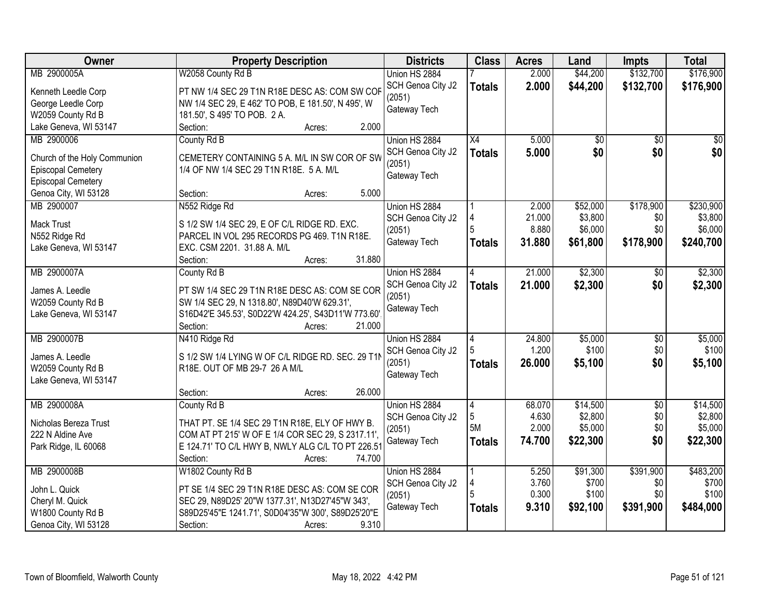| Owner                        | <b>Property Description</b>                         | <b>Districts</b>  | <b>Class</b>    | <b>Acres</b> | Land     | <b>Impts</b>    | <b>Total</b>    |
|------------------------------|-----------------------------------------------------|-------------------|-----------------|--------------|----------|-----------------|-----------------|
| MB 2900005A                  | W2058 County Rd B                                   | Union HS 2884     |                 | 2.000        | \$44,200 | \$132,700       | \$176,900       |
| Kenneth Leedle Corp          | PT NW 1/4 SEC 29 T1N R18E DESC AS: COM SW COF       | SCH Genoa City J2 | <b>Totals</b>   | 2.000        | \$44,200 | \$132,700       | \$176,900       |
| George Leedle Corp           | NW 1/4 SEC 29, E 462' TO POB, E 181.50', N 495', W  | (2051)            |                 |              |          |                 |                 |
| W2059 County Rd B            | 181.50', S 495' TO POB. 2 A.                        | Gateway Tech      |                 |              |          |                 |                 |
| Lake Geneva, WI 53147        | 2.000<br>Section:<br>Acres:                         |                   |                 |              |          |                 |                 |
| MB 2900006                   | County Rd B                                         | Union HS 2884     | $\overline{X4}$ | 5.000        | \$0      | $\overline{50}$ | $\overline{50}$ |
|                              |                                                     | SCH Genoa City J2 | <b>Totals</b>   | 5.000        | \$0      | \$0             | \$0             |
| Church of the Holy Communion | CEMETERY CONTAINING 5 A. M/L IN SW COR OF SW        | (2051)            |                 |              |          |                 |                 |
| <b>Episcopal Cemetery</b>    | 1/4 OF NW 1/4 SEC 29 T1N R18E. 5 A. M/L             | Gateway Tech      |                 |              |          |                 |                 |
| Episcopal Cemetery           |                                                     |                   |                 |              |          |                 |                 |
| Genoa City, WI 53128         | 5.000<br>Section:<br>Acres:                         |                   |                 |              |          |                 |                 |
| MB 2900007                   | N552 Ridge Rd                                       | Union HS 2884     |                 | 2.000        | \$52,000 | \$178,900       | \$230,900       |
| <b>Mack Trust</b>            | S 1/2 SW 1/4 SEC 29, E OF C/L RIDGE RD. EXC.        | SCH Genoa City J2 | 4               | 21.000       | \$3,800  | \$0             | \$3,800         |
| N552 Ridge Rd                | PARCEL IN VOL 295 RECORDS PG 469. T1N R18E.         | (2051)            |                 | 8.880        | \$6,000  | \$0             | \$6,000         |
| Lake Geneva, WI 53147        | EXC. CSM 2201. 31.88 A. M/L                         | Gateway Tech      | <b>Totals</b>   | 31.880       | \$61,800 | \$178,900       | \$240,700       |
|                              | 31.880<br>Section:<br>Acres:                        |                   |                 |              |          |                 |                 |
| MB 2900007A                  | County Rd B                                         | Union HS 2884     | 4               | 21.000       | \$2,300  | \$0             | \$2,300         |
|                              |                                                     | SCH Genoa City J2 | <b>Totals</b>   | 21.000       | \$2,300  | \$0             | \$2,300         |
| James A. Leedle              | PT SW 1/4 SEC 29 T1N R18E DESC AS: COM SE COR       | (2051)            |                 |              |          |                 |                 |
| W2059 County Rd B            | SW 1/4 SEC 29, N 1318.80', N89D40'W 629.31',        | Gateway Tech      |                 |              |          |                 |                 |
| Lake Geneva, WI 53147        | S16D42'E 345.53', S0D22'W 424.25', S43D11'W 773.60' |                   |                 |              |          |                 |                 |
|                              | 21.000<br>Section:<br>Acres:                        |                   |                 |              |          |                 |                 |
| MB 2900007B                  | N410 Ridge Rd                                       | Union HS 2884     | $\overline{4}$  | 24,800       | \$5,000  | \$0             | \$5,000         |
| James A. Leedle              | S 1/2 SW 1/4 LYING W OF C/L RIDGE RD. SEC. 29 T11   | SCH Genoa City J2 |                 | 1.200        | \$100    | \$0             | \$100           |
| W2059 County Rd B            | R18E. OUT OF MB 29-7 26 A M/L                       | (2051)            | <b>Totals</b>   | 26.000       | \$5,100  | \$0             | \$5,100         |
| Lake Geneva, WI 53147        |                                                     | Gateway Tech      |                 |              |          |                 |                 |
|                              | 26,000<br>Section:<br>Acres:                        |                   |                 |              |          |                 |                 |
| MB 2900008A                  | County Rd B                                         | Union HS 2884     | 4               | 68.070       | \$14,500 | $\overline{50}$ | \$14,500        |
|                              |                                                     | SCH Genoa City J2 | 5               | 4.630        | \$2,800  | \$0             | \$2,800         |
| Nicholas Bereza Trust        | THAT PT. SE 1/4 SEC 29 T1N R18E, ELY OF HWY B.      | (2051)            | 5M              | 2.000        | \$5,000  | \$0             | \$5,000         |
| 222 N Aldine Ave             | COM AT PT 215' W OF E 1/4 COR SEC 29, S 2317.11',   | Gateway Tech      | <b>Totals</b>   | 74.700       | \$22,300 | \$0             | \$22,300        |
| Park Ridge, IL 60068         | E 124.71' TO C/L HWY B, NWLY ALG C/L TO PT 226.51   |                   |                 |              |          |                 |                 |
|                              | Section:<br>74.700<br>Acres:                        |                   |                 |              |          |                 |                 |
| MB 2900008B                  | W1802 County Rd B                                   | Union HS 2884     |                 | 5.250        | \$91,300 | \$391,900       | \$483,200       |
| John L. Quick                | PT SE 1/4 SEC 29 T1N R18E DESC AS: COM SE COR       | SCH Genoa City J2 |                 | 3.760        | \$700    | \$0             | \$700           |
| Cheryl M. Quick              | SEC 29, N89D25' 20"W 1377.31', N13D27'45"W 343',    | (2051)            |                 | 0.300        | \$100    | \$0             | \$100           |
| W1800 County Rd B            | S89D25'45"E 1241.71', S0D04'35"W 300', S89D25'20"E  | Gateway Tech      | <b>Totals</b>   | 9.310        | \$92,100 | \$391,900       | \$484,000       |
| Genoa City, WI 53128         | 9.310<br>Section:<br>Acres:                         |                   |                 |              |          |                 |                 |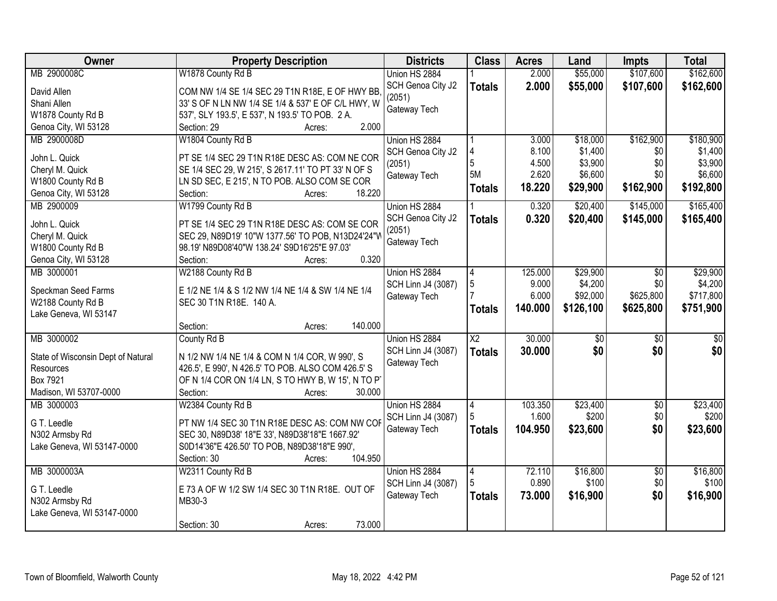| Owner                              | <b>Property Description</b>                        | <b>Districts</b>   | <b>Class</b>    | <b>Acres</b> | Land            | Impts           | <b>Total</b>    |
|------------------------------------|----------------------------------------------------|--------------------|-----------------|--------------|-----------------|-----------------|-----------------|
| MB 2900008C                        | W1878 County Rd B                                  | Union HS 2884      |                 | 2.000        | \$55,000        | \$107,600       | \$162,600       |
| David Allen                        | COM NW 1/4 SE 1/4 SEC 29 T1N R18E, E OF HWY BB,    | SCH Genoa City J2  | <b>Totals</b>   | 2.000        | \$55,000        | \$107,600       | \$162,600       |
| Shani Allen                        | 33' S OF N LN NW 1/4 SE 1/4 & 537' E OF C/L HWY, W | (2051)             |                 |              |                 |                 |                 |
| W1878 County Rd B                  | 537', SLY 193.5', E 537', N 193.5' TO POB. 2 A.    | Gateway Tech       |                 |              |                 |                 |                 |
| Genoa City, WI 53128               | 2.000<br>Section: 29<br>Acres:                     |                    |                 |              |                 |                 |                 |
| MB 2900008D                        | W1804 County Rd B                                  | Union HS 2884      |                 | 3.000        | \$18,000        | \$162,900       | \$180,900       |
|                                    |                                                    | SCH Genoa City J2  |                 | 8.100        | \$1,400         | \$0             | \$1,400         |
| John L. Quick                      | PT SE 1/4 SEC 29 T1N R18E DESC AS: COM NE COR      | (2051)             | 5               | 4.500        | \$3,900         | \$0             | \$3,900         |
| Cheryl M. Quick                    | SE 1/4 SEC 29, W 215', S 2617.11' TO PT 33' N OF S | Gateway Tech       | <b>5M</b>       | 2.620        | \$6,600         | \$0             | \$6,600         |
| W1800 County Rd B                  | LN SD SEC, E 215', N TO POB. ALSO COM SE COR       |                    | <b>Totals</b>   | 18.220       | \$29,900        | \$162,900       | \$192,800       |
| Genoa City, WI 53128               | 18.220<br>Section:<br>Acres:                       |                    |                 |              |                 |                 |                 |
| MB 2900009                         | W1799 County Rd B                                  | Union HS 2884      |                 | 0.320        | \$20,400        | \$145,000       | \$165,400       |
| John L. Quick                      | PT SE 1/4 SEC 29 T1N R18E DESC AS: COM SE COR      | SCH Genoa City J2  | <b>Totals</b>   | 0.320        | \$20,400        | \$145,000       | \$165,400       |
| Cheryl M. Quick                    | SEC 29, N89D19' 10"W 1377.56' TO POB, N13D24'24"W  | (2051)             |                 |              |                 |                 |                 |
| W1800 County Rd B                  | 98.19' N89D08'40"W 138.24' S9D16'25"E 97.03'       | Gateway Tech       |                 |              |                 |                 |                 |
| Genoa City, WI 53128               | 0.320<br>Section:<br>Acres:                        |                    |                 |              |                 |                 |                 |
| MB 3000001                         | W2188 County Rd B                                  | Union HS 2884      | 4               | 125.000      | \$29,900        | $\sqrt{6}$      | \$29,900        |
|                                    |                                                    | SCH Linn J4 (3087) | 5               | 9.000        | \$4,200         | \$0             | \$4,200         |
| Speckman Seed Farms                | E 1/2 NE 1/4 & S 1/2 NW 1/4 NE 1/4 & SW 1/4 NE 1/4 | Gateway Tech       |                 | 6.000        | \$92,000        | \$625,800       | \$717,800       |
| W2188 County Rd B                  | SEC 30 T1N R18E. 140 A.                            |                    | <b>Totals</b>   | 140.000      | \$126,100       | \$625,800       | \$751,900       |
| Lake Geneva, WI 53147              |                                                    |                    |                 |              |                 |                 |                 |
|                                    | 140.000<br>Section:<br>Acres:                      |                    |                 |              |                 |                 |                 |
| MB 3000002                         | County Rd B                                        | Union HS 2884      | $\overline{X2}$ | 30.000       | $\overline{30}$ | $\overline{50}$ | $\overline{30}$ |
| State of Wisconsin Dept of Natural | N 1/2 NW 1/4 NE 1/4 & COM N 1/4 COR, W 990', S     | SCH Linn J4 (3087) | <b>Totals</b>   | 30.000       | \$0             | \$0             | \$0             |
| Resources                          | 426.5', E 990', N 426.5' TO POB. ALSO COM 426.5' S | Gateway Tech       |                 |              |                 |                 |                 |
| Box 7921                           | OF N 1/4 COR ON 1/4 LN, S TO HWY B, W 15', N TO P  |                    |                 |              |                 |                 |                 |
| Madison, WI 53707-0000             | Section:<br>30.000<br>Acres:                       |                    |                 |              |                 |                 |                 |
| MB 3000003                         | W2384 County Rd B                                  | Union HS 2884      | $\overline{4}$  | 103.350      | \$23,400        | $\sqrt{6}$      | \$23,400        |
|                                    |                                                    | SCH Linn J4 (3087) |                 | 1.600        | \$200           | \$0             | \$200           |
| G T. Leedle                        | PT NW 1/4 SEC 30 T1N R18E DESC AS: COM NW COF      | Gateway Tech       | <b>Totals</b>   | 104.950      | \$23,600        | \$0             | \$23,600        |
| N302 Armsby Rd                     | SEC 30, N89D38' 18"E 33', N89D38'18"E 1667.92'     |                    |                 |              |                 |                 |                 |
| Lake Geneva, WI 53147-0000         | S0D14'36"E 426.50' TO POB, N89D38'18"E 990',       |                    |                 |              |                 |                 |                 |
|                                    | 104.950<br>Section: 30<br>Acres:                   |                    |                 |              |                 |                 |                 |
| MB 3000003A                        | W2311 County Rd B                                  | Union HS 2884      | 4               | 72.110       | \$16,800        | $\overline{30}$ | \$16,800        |
| G T. Leedle                        | E 73 A OF W 1/2 SW 1/4 SEC 30 T1N R18E. OUT OF     | SCH Linn J4 (3087) |                 | 0.890        | \$100           | \$0             | \$100           |
| N302 Armsby Rd                     | MB30-3                                             | Gateway Tech       | <b>Totals</b>   | 73.000       | \$16,900        | \$0             | \$16,900        |
| Lake Geneva, WI 53147-0000         |                                                    |                    |                 |              |                 |                 |                 |
|                                    | 73.000<br>Section: 30<br>Acres:                    |                    |                 |              |                 |                 |                 |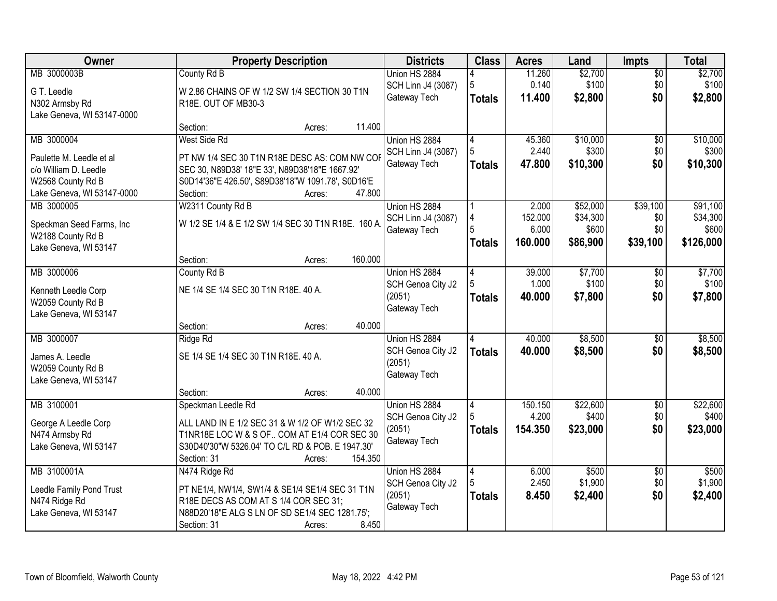| Owner                                         | <b>Property Description</b>                                                                    | <b>Districts</b>   | <b>Class</b>  | <b>Acres</b> | Land     | <b>Impts</b>    | <b>Total</b> |
|-----------------------------------------------|------------------------------------------------------------------------------------------------|--------------------|---------------|--------------|----------|-----------------|--------------|
| MB 3000003B                                   | County Rd B                                                                                    | Union HS 2884      |               | 11.260       | \$2,700  | $\overline{50}$ | \$2,700      |
| G T. Leedle                                   | W 2.86 CHAINS OF W 1/2 SW 1/4 SECTION 30 T1N                                                   | SCH Linn J4 (3087) | 5             | 0.140        | \$100    | \$0             | \$100        |
| N302 Armsby Rd                                | R18E. OUT OF MB30-3                                                                            | Gateway Tech       | <b>Totals</b> | 11.400       | \$2,800  | \$0             | \$2,800      |
| Lake Geneva, WI 53147-0000                    |                                                                                                |                    |               |              |          |                 |              |
|                                               | 11.400<br>Section:<br>Acres:                                                                   |                    |               |              |          |                 |              |
| MB 3000004                                    | West Side Rd                                                                                   | Union HS 2884      | 4             | 45.360       | \$10,000 | $\overline{50}$ | \$10,000     |
| Paulette M. Leedle et al                      | PT NW 1/4 SEC 30 T1N R18E DESC AS: COM NW COF                                                  | SCH Linn J4 (3087) | 5             | 2.440        | \$300    | \$0             | \$300        |
| c/o William D. Leedle                         | SEC 30, N89D38' 18"E 33', N89D38'18"E 1667.92'                                                 | Gateway Tech       | <b>Totals</b> | 47.800       | \$10,300 | \$0             | \$10,300     |
| W2568 County Rd B                             | S0D14'36"E 426.50', S89D38'18"W 1091.78', S0D16'E                                              |                    |               |              |          |                 |              |
| Lake Geneva, WI 53147-0000                    | 47.800<br>Section:<br>Acres:                                                                   |                    |               |              |          |                 |              |
| MB 3000005                                    | W2311 County Rd B                                                                              | Union HS 2884      |               | 2.000        | \$52,000 | \$39,100        | \$91,100     |
|                                               | W 1/2 SE 1/4 & E 1/2 SW 1/4 SEC 30 T1N R18E. 160 A                                             | SCH Linn J4 (3087) |               | 152.000      | \$34,300 | \$0             | \$34,300     |
| Speckman Seed Farms, Inc<br>W2188 County Rd B |                                                                                                | Gateway Tech       |               | 6.000        | \$600    | \$0             | \$600        |
| Lake Geneva, WI 53147                         |                                                                                                |                    | <b>Totals</b> | 160.000      | \$86,900 | \$39,100        | \$126,000    |
|                                               | 160.000<br>Section:<br>Acres:                                                                  |                    |               |              |          |                 |              |
| MB 3000006                                    | County Rd B                                                                                    | Union HS 2884      | 4             | 39.000       | \$7,700  | $\sqrt{6}$      | \$7,700      |
|                                               |                                                                                                | SCH Genoa City J2  |               | 1.000        | \$100    | \$0             | \$100        |
| Kenneth Leedle Corp<br>W2059 County Rd B      | NE 1/4 SE 1/4 SEC 30 T1N R18E. 40 A.                                                           | (2051)             | <b>Totals</b> | 40.000       | \$7,800  | \$0             | \$7,800      |
| Lake Geneva, WI 53147                         |                                                                                                | Gateway Tech       |               |              |          |                 |              |
|                                               | 40.000<br>Section:<br>Acres:                                                                   |                    |               |              |          |                 |              |
| MB 3000007                                    | Ridge Rd                                                                                       | Union HS 2884      |               | 40.000       | \$8,500  | \$0             | \$8,500      |
|                                               |                                                                                                | SCH Genoa City J2  | <b>Totals</b> | 40.000       | \$8,500  | \$0             | \$8,500      |
| James A. Leedle                               | SE 1/4 SE 1/4 SEC 30 T1N R18E. 40 A.                                                           | (2051)             |               |              |          |                 |              |
| W2059 County Rd B<br>Lake Geneva, WI 53147    |                                                                                                | Gateway Tech       |               |              |          |                 |              |
|                                               | 40.000<br>Section:<br>Acres:                                                                   |                    |               |              |          |                 |              |
| MB 3100001                                    | Speckman Leedle Rd                                                                             | Union HS 2884      | 4             | 150.150      | \$22,600 | $\sqrt{$0}$     | \$22,600     |
|                                               |                                                                                                | SCH Genoa City J2  |               | 4.200        | \$400    | \$0             | \$400        |
| George A Leedle Corp                          | ALL LAND IN E 1/2 SEC 31 & W 1/2 OF W1/2 SEC 32<br>T1NR18E LOC W & S OF COM AT E1/4 COR SEC 30 | (2051)             | <b>Totals</b> | 154.350      | \$23,000 | \$0             | \$23,000     |
| N474 Armsby Rd<br>Lake Geneva, WI 53147       | S30D40'30"W 5326.04' TO C/L RD & POB. E 1947.30'                                               | Gateway Tech       |               |              |          |                 |              |
|                                               | 154.350<br>Section: 31<br>Acres:                                                               |                    |               |              |          |                 |              |
| MB 3100001A                                   | N474 Ridge Rd                                                                                  | Union HS 2884      | 4             | 6.000        | \$500    | $\overline{50}$ | \$500        |
|                                               |                                                                                                | SCH Genoa City J2  |               | 2.450        | \$1,900  | \$0             | \$1,900      |
| Leedle Family Pond Trust                      | PT NE1/4, NW1/4, SW1/4 & SE1/4 SE1/4 SEC 31 T1N                                                | (2051)             | <b>Totals</b> | 8.450        | \$2,400  | \$0             | \$2,400      |
| N474 Ridge Rd<br>Lake Geneva, WI 53147        | R18E DECS AS COM AT S 1/4 COR SEC 31;<br>N88D20'18"E ALG S LN OF SD SE1/4 SEC 1281.75';        | Gateway Tech       |               |              |          |                 |              |
|                                               | 8.450<br>Section: 31<br>Acres:                                                                 |                    |               |              |          |                 |              |
|                                               |                                                                                                |                    |               |              |          |                 |              |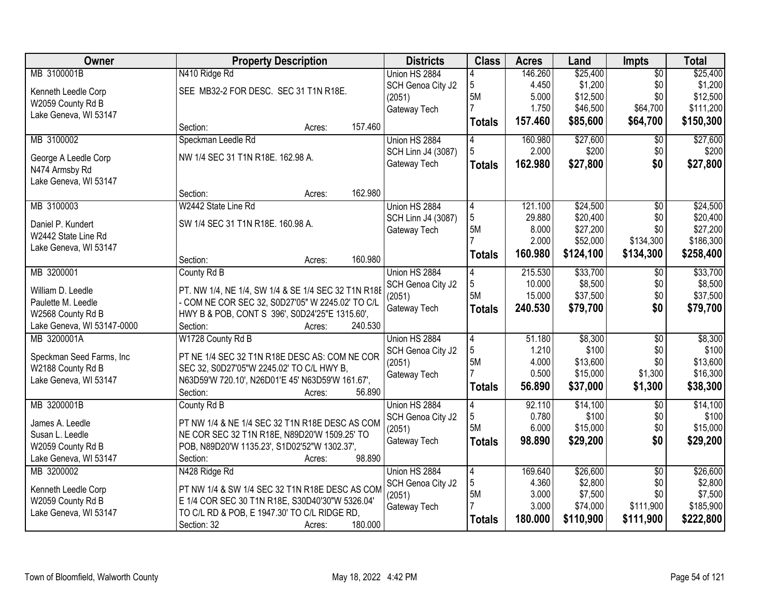| Owner                      | <b>Property Description</b>                         | <b>Districts</b>   | <b>Class</b>   | <b>Acres</b>    | Land                 | Impts           | <b>Total</b> |
|----------------------------|-----------------------------------------------------|--------------------|----------------|-----------------|----------------------|-----------------|--------------|
| MB 3100001B                | N410 Ridge Rd                                       | Union HS 2884      |                | 146.260         | \$25,400             | $\overline{50}$ | \$25,400     |
| Kenneth Leedle Corp        | SEE MB32-2 FOR DESC. SEC 31 T1N R18E.               | SCH Genoa City J2  | 5              | 4.450           | \$1,200              | \$0             | \$1,200      |
| W2059 County Rd B          |                                                     | (2051)             | 5M             | 5.000           | \$12,500             | \$0             | \$12,500     |
| Lake Geneva, WI 53147      |                                                     | Gateway Tech       |                | 1.750           | \$46,500             | \$64,700        | \$111,200    |
|                            | 157.460<br>Section:<br>Acres:                       |                    | <b>Totals</b>  | 157.460         | \$85,600             | \$64,700        | \$150,300    |
| MB 3100002                 | Speckman Leedle Rd                                  | Union HS 2884      | 4              | 160.980         | \$27,600             | $\overline{50}$ | \$27,600     |
|                            |                                                     | SCH Linn J4 (3087) | 5              | 2.000           | \$200                | \$0             | \$200        |
| George A Leedle Corp       | NW 1/4 SEC 31 T1N R18E. 162.98 A.                   | Gateway Tech       | <b>Totals</b>  | 162.980         | \$27,800             | \$0             | \$27,800     |
| N474 Armsby Rd             |                                                     |                    |                |                 |                      |                 |              |
| Lake Geneva, WI 53147      | 162.980                                             |                    |                |                 |                      |                 |              |
|                            | Section:<br>Acres:                                  |                    |                |                 |                      |                 |              |
| MB 3100003                 | W2442 State Line Rd                                 | Union HS 2884      | 4              | 121.100         | \$24,500             | $\overline{50}$ | \$24,500     |
| Daniel P. Kundert          | SW 1/4 SEC 31 T1N R18E. 160.98 A.                   | SCH Linn J4 (3087) | 5              | 29.880<br>8.000 | \$20,400<br>\$27,200 | \$0<br>\$0      | \$20,400     |
| W2442 State Line Rd        |                                                     | Gateway Tech       | 5M             | 2.000           |                      |                 | \$27,200     |
| Lake Geneva, WI 53147      |                                                     |                    |                |                 | \$52,000             | \$134,300       | \$186,300    |
|                            | 160.980<br>Section:<br>Acres:                       |                    | <b>Totals</b>  | 160.980         | \$124,100            | \$134,300       | \$258,400    |
| MB 3200001                 | County Rd B                                         | Union HS 2884      | 4              | 215.530         | \$33,700             | \$0             | \$33,700     |
|                            |                                                     | SCH Genoa City J2  | 5              | 10.000          | \$8,500              | \$0             | \$8,500      |
| William D. Leedle          | PT. NW 1/4, NE 1/4, SW 1/4 & SE 1/4 SEC 32 T1N R18E | (2051)             | 5M             | 15.000          | \$37,500             | \$0             | \$37,500     |
| Paulette M. Leedle         | - COM NE COR SEC 32, S0D27'05" W 2245.02' TO C/L    | Gateway Tech       | <b>Totals</b>  | 240.530         | \$79,700             | \$0             | \$79,700     |
| W2568 County Rd B          | HWY B & POB, CONT S 396', S0D24'25"E 1315.60',      |                    |                |                 |                      |                 |              |
| Lake Geneva, WI 53147-0000 | 240.530<br>Section:<br>Acres:                       |                    |                |                 |                      |                 |              |
| MB 3200001A                | W1728 County Rd B                                   | Union HS 2884      | $\overline{4}$ | 51.180          | \$8,300              | $\overline{50}$ | \$8,300      |
| Speckman Seed Farms, Inc   | PT NE 1/4 SEC 32 T1N R18E DESC AS: COM NE COR       | SCH Genoa City J2  | 5              | 1.210           | \$100                | \$0             | \$100        |
| W2188 County Rd B          | SEC 32, S0D27'05"W 2245.02' TO C/L HWY B,           | (2051)             | 5M             | 4.000           | \$13,600             | \$0             | \$13,600     |
| Lake Geneva, WI 53147      | N63D59'W 720.10', N26D01'E 45' N63D59'W 161.67',    | Gateway Tech       |                | 0.500           | \$15,000             | \$1,300         | \$16,300     |
|                            | 56.890<br>Section:<br>Acres:                        |                    | <b>Totals</b>  | 56.890          | \$37,000             | \$1,300         | \$38,300     |
| MB 3200001B                | County Rd B                                         | Union HS 2884      | 4              | 92.110          | \$14,100             | $\overline{50}$ | \$14,100     |
| James A. Leedle            | PT NW 1/4 & NE 1/4 SEC 32 T1N R18E DESC AS COM      | SCH Genoa City J2  | 5              | 0.780           | \$100                | \$0             | \$100        |
| Susan L. Leedle            | NE COR SEC 32 T1N R18E, N89D20'W 1509.25' TO        | (2051)             | 5M             | 6.000           | \$15,000             | \$0             | \$15,000     |
| W2059 County Rd B          | POB, N89D20'W 1135.23', S1D02'52"W 1302.37',        | Gateway Tech       | <b>Totals</b>  | 98.890          | \$29,200             | \$0             | \$29,200     |
| Lake Geneva, WI 53147      | 98.890<br>Section:<br>Acres:                        |                    |                |                 |                      |                 |              |
| MB 3200002                 | N428 Ridge Rd                                       | Union HS 2884      | $\overline{4}$ | 169.640         | \$26,600             | $\overline{50}$ | \$26,600     |
|                            |                                                     | SCH Genoa City J2  | 5              | 4.360           | \$2,800              | \$0             | \$2,800      |
| Kenneth Leedle Corp        | PT NW 1/4 & SW 1/4 SEC 32 T1N R18E DESC AS COM      | (2051)             | 5M             | 3.000           | \$7,500              | \$0             | \$7,500      |
| W2059 County Rd B          | E 1/4 COR SEC 30 T1N R18E, S30D40'30"W 5326.04"     | Gateway Tech       |                | 3.000           | \$74,000             | \$111,900       | \$185,900    |
| Lake Geneva, WI 53147      | TO C/L RD & POB, E 1947.30' TO C/L RIDGE RD,        |                    | <b>Totals</b>  | 180,000         | \$110,900            | \$111,900       | \$222,800    |
|                            | 180.000<br>Section: 32<br>Acres:                    |                    |                |                 |                      |                 |              |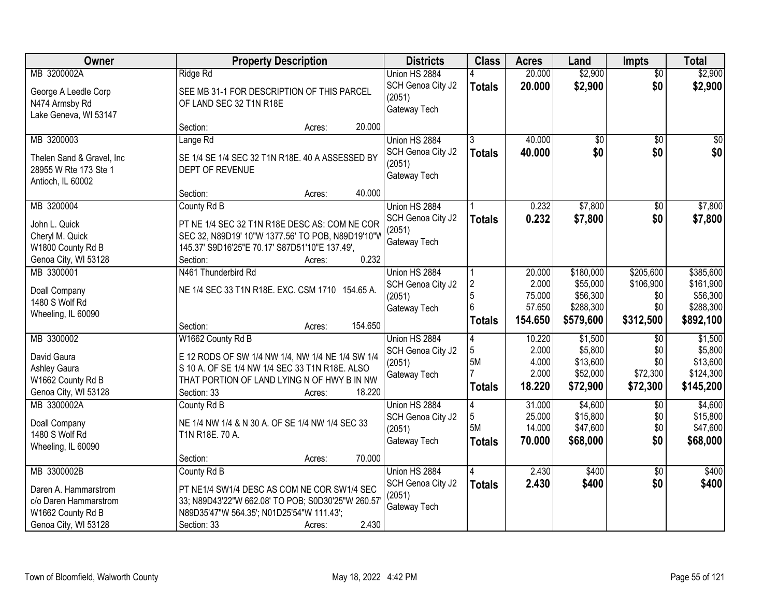| Owner                             | <b>Property Description</b>                                                                   | <b>Districts</b>  | <b>Class</b>   | <b>Acres</b> | Land            | Impts           | <b>Total</b> |
|-----------------------------------|-----------------------------------------------------------------------------------------------|-------------------|----------------|--------------|-----------------|-----------------|--------------|
| MB 3200002A                       | Ridge Rd                                                                                      | Union HS 2884     |                | 20.000       | \$2,900         | $\overline{50}$ | \$2,900      |
| George A Leedle Corp              | SEE MB 31-1 FOR DESCRIPTION OF THIS PARCEL                                                    | SCH Genoa City J2 | <b>Totals</b>  | 20.000       | \$2,900         | \$0             | \$2,900      |
| N474 Armsby Rd                    | OF LAND SEC 32 T1N R18E                                                                       | (2051)            |                |              |                 |                 |              |
| Lake Geneva, WI 53147             |                                                                                               | Gateway Tech      |                |              |                 |                 |              |
|                                   | 20.000<br>Section:<br>Acres:                                                                  |                   |                |              |                 |                 |              |
| MB 3200003                        | Lange Rd                                                                                      | Union HS 2884     | 3              | 40.000       | $\overline{50}$ | \$0             | \$0          |
| Thelen Sand & Gravel, Inc         | SE 1/4 SE 1/4 SEC 32 T1N R18E. 40 A ASSESSED BY                                               | SCH Genoa City J2 | <b>Totals</b>  | 40.000       | \$0             | \$0             | \$0          |
| 28955 W Rte 173 Ste 1             | DEPT OF REVENUE                                                                               | (2051)            |                |              |                 |                 |              |
| Antioch, IL 60002                 |                                                                                               | Gateway Tech      |                |              |                 |                 |              |
|                                   | 40.000<br>Section:<br>Acres:                                                                  |                   |                |              |                 |                 |              |
| MB 3200004                        | County Rd B                                                                                   | Union HS 2884     |                | 0.232        | \$7,800         | $\sqrt[6]{}$    | \$7,800      |
| John L. Quick                     | PT NE 1/4 SEC 32 T1N R18E DESC AS: COM NE COR                                                 | SCH Genoa City J2 | <b>Totals</b>  | 0.232        | \$7,800         | \$0             | \$7,800      |
| Cheryl M. Quick                   | SEC 32, N89D19' 10"W 1377.56' TO POB, N89D19'10"W                                             | (2051)            |                |              |                 |                 |              |
| W1800 County Rd B                 | 145.37' S9D16'25"E 70.17' S87D51'10"E 137.49',                                                | Gateway Tech      |                |              |                 |                 |              |
| Genoa City, WI 53128              | 0.232<br>Section:<br>Acres:                                                                   |                   |                |              |                 |                 |              |
| MB 3300001                        | N461 Thunderbird Rd                                                                           | Union HS 2884     |                | 20.000       | \$180,000       | \$205,600       | \$385,600    |
|                                   | NE 1/4 SEC 33 T1N R18E. EXC. CSM 1710 154.65 A.                                               | SCH Genoa City J2 | $\overline{2}$ | 2.000        | \$55,000        | \$106,900       | \$161,900    |
| Doall Company<br>1480 S Wolf Rd   |                                                                                               | (2051)            | 5              | 75.000       | \$56,300        | \$0             | \$56,300     |
| Wheeling, IL 60090                |                                                                                               | Gateway Tech      |                | 57.650       | \$288,300       | \$0             | \$288,300    |
|                                   | 154.650<br>Section:<br>Acres:                                                                 |                   | Totals         | 154.650      | \$579,600       | \$312,500       | \$892,100    |
| MB 3300002                        | W1662 County Rd B                                                                             | Union HS 2884     | $\overline{4}$ | 10.220       | \$1,500         | $\overline{50}$ | \$1,500      |
|                                   |                                                                                               | SCH Genoa City J2 | 5              | 2.000        | \$5,800         | \$0             | \$5,800      |
| David Gaura                       | E 12 RODS OF SW 1/4 NW 1/4, NW 1/4 NE 1/4 SW 1/4                                              | (2051)            | 5M             | 4.000        | \$13,600        | \$0             | \$13,600     |
| Ashley Gaura<br>W1662 County Rd B | S 10 A. OF SE 1/4 NW 1/4 SEC 33 T1N R18E. ALSO<br>THAT PORTION OF LAND LYING N OF HWY B IN NW | Gateway Tech      |                | 2.000        | \$52,000        | \$72,300        | \$124,300    |
| Genoa City, WI 53128              | 18.220<br>Section: 33<br>Acres:                                                               |                   | <b>Totals</b>  | 18.220       | \$72,900        | \$72,300        | \$145,200    |
| MB 3300002A                       | County Rd B                                                                                   | Union HS 2884     | 4              | 31.000       | \$4,600         | \$0             | \$4,600      |
|                                   |                                                                                               | SCH Genoa City J2 | 5              | 25.000       | \$15,800        | \$0             | \$15,800     |
| Doall Company                     | NE 1/4 NW 1/4 & N 30 A. OF SE 1/4 NW 1/4 SEC 33                                               | (2051)            | 5M             | 14.000       | \$47,600        | \$0             | \$47,600     |
| 1480 S Wolf Rd                    | T1N R18E. 70 A.                                                                               | Gateway Tech      | <b>Totals</b>  | 70.000       | \$68,000        | \$0             | \$68,000     |
| Wheeling, IL 60090                | 70.000<br>Section:<br>Acres:                                                                  |                   |                |              |                 |                 |              |
| MB 3300002B                       | County Rd B                                                                                   | Union HS 2884     |                | 2.430        | \$400           | $\overline{50}$ | \$400        |
|                                   |                                                                                               | SCH Genoa City J2 | <b>Totals</b>  | 2.430        | \$400           | \$0             | \$400        |
| Daren A. Hammarstrom              | PT NE1/4 SW1/4 DESC AS COM NE COR SW1/4 SEC                                                   | (2051)            |                |              |                 |                 |              |
| c/o Daren Hammarstrom             | 33; N89D43'22"W 662.08' TO POB; S0D30'25"W 260.57                                             | Gateway Tech      |                |              |                 |                 |              |
| W1662 County Rd B                 | N89D35'47"W 564.35'; N01D25'54"W 111.43';                                                     |                   |                |              |                 |                 |              |
| Genoa City, WI 53128              | 2.430<br>Section: 33<br>Acres:                                                                |                   |                |              |                 |                 |              |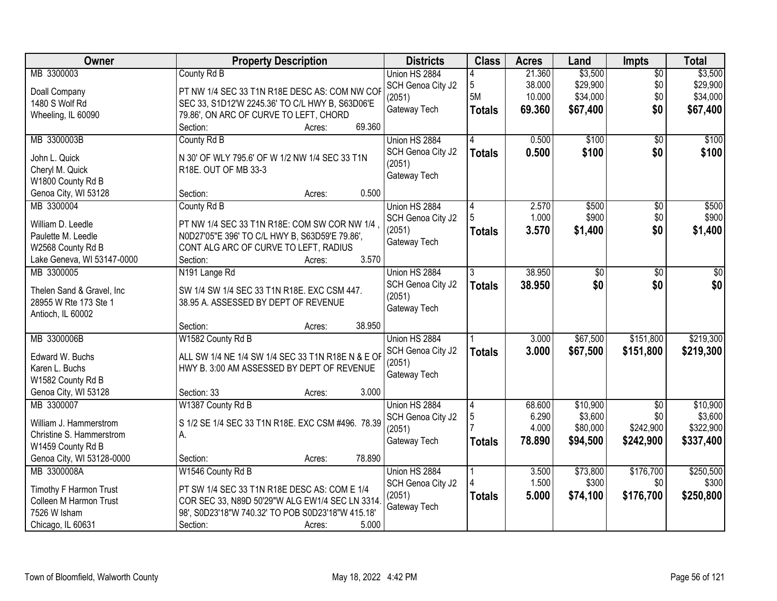| Owner                                    | <b>Property Description</b>                                            | <b>Districts</b>            | <b>Class</b>  | <b>Acres</b>   | Land              | <b>Impts</b>     | <b>Total</b>       |
|------------------------------------------|------------------------------------------------------------------------|-----------------------------|---------------|----------------|-------------------|------------------|--------------------|
| MB 3300003                               | County Rd B                                                            | Union HS 2884               |               | 21.360         | \$3,500           | $\overline{50}$  | \$3,500            |
| Doall Company                            | PT NW 1/4 SEC 33 T1N R18E DESC AS: COM NW COF                          | SCH Genoa City J2           | 5             | 38.000         | \$29,900          | \$0              | \$29,900           |
| 1480 S Wolf Rd                           | SEC 33, S1D12'W 2245.36' TO C/L HWY B, S63D06'E                        | (2051)                      | 5M            | 10.000         | \$34,000          | \$0              | \$34,000           |
| Wheeling, IL 60090                       | 79.86', ON ARC OF CURVE TO LEFT, CHORD                                 | Gateway Tech                | <b>Totals</b> | 69.360         | \$67,400          | \$0              | \$67,400           |
|                                          | 69.360<br>Section:<br>Acres:                                           |                             |               |                |                   |                  |                    |
| MB 3300003B                              | County Rd B                                                            | Union HS 2884               | 4             | 0.500          | \$100             | $\overline{50}$  | \$100              |
|                                          |                                                                        | SCH Genoa City J2           | <b>Totals</b> | 0.500          | \$100             | \$0              | \$100              |
| John L. Quick<br>Cheryl M. Quick         | N 30' OF WLY 795.6' OF W 1/2 NW 1/4 SEC 33 T1N<br>R18E. OUT OF MB 33-3 | (2051)                      |               |                |                   |                  |                    |
| W1800 County Rd B                        |                                                                        | Gateway Tech                |               |                |                   |                  |                    |
| Genoa City, WI 53128                     | 0.500<br>Section:<br>Acres:                                            |                             |               |                |                   |                  |                    |
| MB 3300004                               | County Rd B                                                            | Union HS 2884               | 4             | 2.570          | \$500             | $\overline{50}$  | \$500              |
|                                          |                                                                        | SCH Genoa City J2           |               | 1.000          | \$900             | \$0              | \$900              |
| William D. Leedle                        | PT NW 1/4 SEC 33 T1N R18E: COM SW COR NW 1/4,                          | (2051)                      | <b>Totals</b> | 3.570          | \$1,400           | \$0              | \$1,400            |
| Paulette M. Leedle                       | N0D27'05"E 396' TO C/L HWY B, S63D59'E 79.86',                         | Gateway Tech                |               |                |                   |                  |                    |
| W2568 County Rd B                        | CONT ALG ARC OF CURVE TO LEFT, RADIUS                                  |                             |               |                |                   |                  |                    |
| Lake Geneva, WI 53147-0000               | 3.570<br>Section:<br>Acres:                                            |                             |               |                |                   |                  |                    |
| MB 3300005                               | N191 Lange Rd                                                          | Union HS 2884               | 3             | 38.950         | \$0               | \$0              | \$0                |
| Thelen Sand & Gravel, Inc                | SW 1/4 SW 1/4 SEC 33 T1N R18E. EXC CSM 447.                            | SCH Genoa City J2           | <b>Totals</b> | 38.950         | \$0               | \$0              | \$0                |
| 28955 W Rte 173 Ste 1                    | 38.95 A. ASSESSED BY DEPT OF REVENUE                                   | (2051)                      |               |                |                   |                  |                    |
| Antioch, IL 60002                        |                                                                        | Gateway Tech                |               |                |                   |                  |                    |
|                                          | 38.950<br>Section:<br>Acres:                                           |                             |               |                |                   |                  |                    |
| MB 3300006B                              | W1582 County Rd B                                                      | Union HS 2884               |               | 3.000          | \$67,500          | \$151,800        | \$219,300          |
| Edward W. Buchs                          | ALL SW 1/4 NE 1/4 SW 1/4 SEC 33 T1N R18E N & E OF                      | SCH Genoa City J2           | <b>Totals</b> | 3.000          | \$67,500          | \$151,800        | \$219,300          |
| Karen L. Buchs                           | HWY B. 3:00 AM ASSESSED BY DEPT OF REVENUE                             | (2051)                      |               |                |                   |                  |                    |
| W1582 County Rd B                        |                                                                        | Gateway Tech                |               |                |                   |                  |                    |
| Genoa City, WI 53128                     | 3.000<br>Section: 33<br>Acres:                                         |                             |               |                |                   |                  |                    |
| MB 3300007                               | W1387 County Rd B                                                      | Union HS 2884               | 14            | 68.600         | \$10,900          | $\overline{30}$  | \$10,900           |
|                                          |                                                                        | SCH Genoa City J2           | 5             | 6.290          | \$3,600           | \$0              | \$3,600            |
| William J. Hammerstrom                   | S 1/2 SE 1/4 SEC 33 T1N R18E. EXC CSM #496. 78.39                      | (2051)                      |               | 4.000          | \$80,000          | \$242,900        | \$322,900          |
| Christine S. Hammerstrom                 | А.                                                                     | Gateway Tech                | <b>Totals</b> | 78.890         | \$94,500          | \$242,900        | \$337,400          |
| W1459 County Rd B                        | 78.890                                                                 |                             |               |                |                   |                  |                    |
| Genoa City, WI 53128-0000<br>MB 3300008A | Section:<br>Acres:                                                     |                             |               |                |                   |                  |                    |
|                                          | W1546 County Rd B                                                      | Union HS 2884               |               | 3.500<br>1.500 | \$73,800<br>\$300 | \$176,700<br>\$0 | \$250,500<br>\$300 |
| Timothy F Harmon Trust                   | PT SW 1/4 SEC 33 T1N R18E DESC AS: COM E 1/4                           | SCH Genoa City J2<br>(2051) |               | 5.000          | \$74,100          | \$176,700        | \$250,800          |
| Colleen M Harmon Trust                   | COR SEC 33, N89D 50'29"W ALG EW1/4 SEC LN 3314                         | Gateway Tech                | <b>Totals</b> |                |                   |                  |                    |
| 7526 W Isham                             | 98', S0D23'18"W 740.32' TO POB S0D23'18"W 415.18"                      |                             |               |                |                   |                  |                    |
| Chicago, IL 60631                        | Section:<br>5.000<br>Acres:                                            |                             |               |                |                   |                  |                    |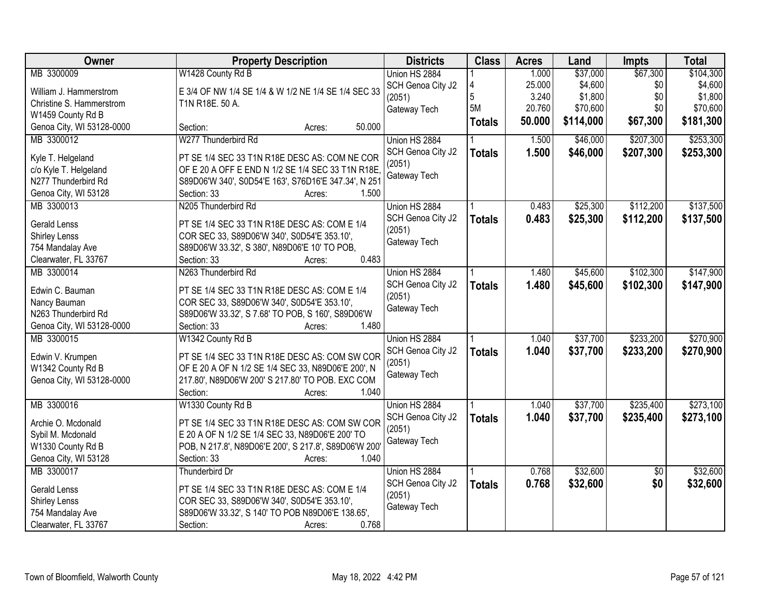| Owner                     | <b>Property Description</b>                           | <b>Districts</b>  | <b>Class</b>  | <b>Acres</b> | Land      | <b>Impts</b>    | <b>Total</b> |
|---------------------------|-------------------------------------------------------|-------------------|---------------|--------------|-----------|-----------------|--------------|
| MB 3300009                | W1428 County Rd B                                     | Union HS 2884     |               | 1.000        | \$37,000  | \$67,300        | \$104,300    |
| William J. Hammerstrom    | E 3/4 OF NW 1/4 SE 1/4 & W 1/2 NE 1/4 SE 1/4 SEC 33   | SCH Genoa City J2 | 4             | 25.000       | \$4,600   | \$0             | \$4,600      |
| Christine S. Hammerstrom  | T1N R18E. 50 A.                                       | (2051)            | 5             | 3.240        | \$1,800   | \$0             | \$1,800      |
| W1459 County Rd B         |                                                       | Gateway Tech      | 5M            | 20.760       | \$70,600  | \$0             | \$70,600     |
| Genoa City, WI 53128-0000 | 50.000<br>Section:<br>Acres:                          |                   | <b>Totals</b> | 50.000       | \$114,000 | \$67,300        | \$181,300    |
| MB 3300012                | W277 Thunderbird Rd                                   | Union HS 2884     |               | 1.500        | \$46,000  | \$207,300       | \$253,300    |
| Kyle T. Helgeland         | PT SE 1/4 SEC 33 T1N R18E DESC AS: COM NE COR         | SCH Genoa City J2 | <b>Totals</b> | 1.500        | \$46,000  | \$207,300       | \$253,300    |
| c/o Kyle T. Helgeland     | OF E 20 A OFF E END N 1/2 SE 1/4 SEC 33 T1N R18E      | (2051)            |               |              |           |                 |              |
| N277 Thunderbird Rd       | S89D06'W 340', S0D54'E 163', S76D16'E 347.34', N 251  | Gateway Tech      |               |              |           |                 |              |
| Genoa City, WI 53128      | 1.500<br>Section: 33<br>Acres:                        |                   |               |              |           |                 |              |
| MB 3300013                | N205 Thunderbird Rd                                   | Union HS 2884     |               | 0.483        | \$25,300  | \$112,200       | \$137,500    |
| <b>Gerald Lenss</b>       | PT SE 1/4 SEC 33 T1N R18E DESC AS: COM E 1/4          | SCH Genoa City J2 | <b>Totals</b> | 0.483        | \$25,300  | \$112,200       | \$137,500    |
| <b>Shirley Lenss</b>      | COR SEC 33, S89D06'W 340', S0D54'E 353.10',           | (2051)            |               |              |           |                 |              |
| 754 Mandalay Ave          | S89D06'W 33.32', S 380', N89D06'E 10' TO POB,         | Gateway Tech      |               |              |           |                 |              |
| Clearwater, FL 33767      | 0.483<br>Section: 33<br>Acres:                        |                   |               |              |           |                 |              |
| MB 3300014                | N263 Thunderbird Rd                                   | Union HS 2884     |               | 1.480        | \$45,600  | \$102,300       | \$147,900    |
|                           |                                                       | SCH Genoa City J2 | <b>Totals</b> | 1.480        | \$45,600  | \$102,300       | \$147,900    |
| Edwin C. Bauman           | PT SE 1/4 SEC 33 T1N R18E DESC AS: COM E 1/4          | (2051)            |               |              |           |                 |              |
| Nancy Bauman              | COR SEC 33, S89D06'W 340', S0D54'E 353.10',           | Gateway Tech      |               |              |           |                 |              |
| N263 Thunderbird Rd       | S89D06'W 33.32', S 7.68' TO POB, S 160', S89D06'W     |                   |               |              |           |                 |              |
| Genoa City, WI 53128-0000 | 1.480<br>Section: 33<br>Acres:                        |                   |               |              |           |                 |              |
| MB 3300015                | W1342 County Rd B                                     | Union HS 2884     |               | 1.040        | \$37,700  | \$233,200       | \$270,900    |
| Edwin V. Krumpen          | PT SE 1/4 SEC 33 T1N R18E DESC AS: COM SW COR         | SCH Genoa City J2 | <b>Totals</b> | 1.040        | \$37,700  | \$233,200       | \$270,900    |
| W1342 County Rd B         | OF E 20 A OF N 1/2 SE 1/4 SEC 33, N89D06'E 200', N    | (2051)            |               |              |           |                 |              |
| Genoa City, WI 53128-0000 | 217.80', N89D06'W 200' S 217.80' TO POB. EXC COM      | Gateway Tech      |               |              |           |                 |              |
|                           | 1.040<br>Section:<br>Acres:                           |                   |               |              |           |                 |              |
| MB 3300016                | W1330 County Rd B                                     | Union HS 2884     |               | 1.040        | \$37,700  | \$235,400       | \$273,100    |
| Archie O. Mcdonald        | PT SE 1/4 SEC 33 T1N R18E DESC AS: COM SW COR         | SCH Genoa City J2 | <b>Totals</b> | 1.040        | \$37,700  | \$235,400       | \$273,100    |
| Sybil M. Mcdonald         | E 20 A OF N 1/2 SE 1/4 SEC 33, N89D06'E 200' TO       | (2051)            |               |              |           |                 |              |
| W1330 County Rd B         | POB, N 217.8', N89D06'E 200', S 217.8', S89D06'W 200' | Gateway Tech      |               |              |           |                 |              |
| Genoa City, WI 53128      | Section: 33<br>1.040<br>Acres:                        |                   |               |              |           |                 |              |
| MB 3300017                | Thunderbird Dr                                        | Union HS 2884     |               | 0.768        | \$32,600  | $\overline{50}$ | \$32,600     |
| Gerald Lenss              | PT SE 1/4 SEC 33 T1N R18E DESC AS: COM E 1/4          | SCH Genoa City J2 | <b>Totals</b> | 0.768        | \$32,600  | \$0             | \$32,600     |
| Shirley Lenss             | COR SEC 33, S89D06'W 340', S0D54'E 353.10',           | (2051)            |               |              |           |                 |              |
| 754 Mandalay Ave          | S89D06'W 33.32', S 140' TO POB N89D06'E 138.65',      | Gateway Tech      |               |              |           |                 |              |
| Clearwater, FL 33767      | 0.768<br>Section:<br>Acres:                           |                   |               |              |           |                 |              |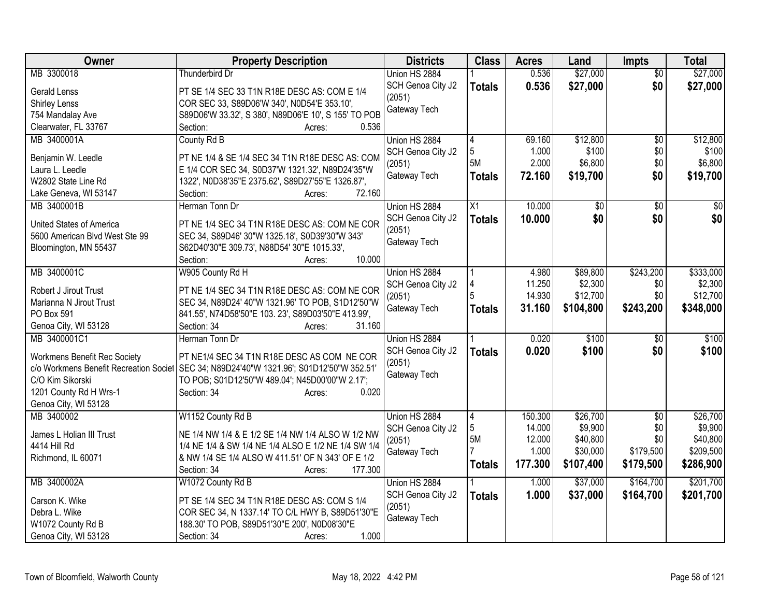| Owner                                  | <b>Property Description</b>                          | <b>Districts</b>       | <b>Class</b>  | <b>Acres</b> | Land            | <b>Impts</b>    | <b>Total</b> |
|----------------------------------------|------------------------------------------------------|------------------------|---------------|--------------|-----------------|-----------------|--------------|
| MB 3300018                             | <b>Thunderbird Dr</b>                                | Union HS 2884          |               | 0.536        | \$27,000        | $\overline{50}$ | \$27,000     |
| <b>Gerald Lenss</b>                    | PT SE 1/4 SEC 33 T1N R18E DESC AS: COM E 1/4         | SCH Genoa City J2      | <b>Totals</b> | 0.536        | \$27,000        | \$0             | \$27,000     |
| Shirley Lenss                          | COR SEC 33, S89D06'W 340', N0D54'E 353.10',          | (2051)                 |               |              |                 |                 |              |
| 754 Mandalay Ave                       | S89D06'W 33.32', S 380', N89D06'E 10', S 155' TO POB | Gateway Tech           |               |              |                 |                 |              |
| Clearwater, FL 33767                   | Section:<br>0.536<br>Acres:                          |                        |               |              |                 |                 |              |
| MB 3400001A                            | County Rd B                                          | Union HS 2884          | 4             | 69.160       | \$12,800        | \$0             | \$12,800     |
| Benjamin W. Leedle                     | PT NE 1/4 & SE 1/4 SEC 34 T1N R18E DESC AS: COM      | SCH Genoa City J2      | 5             | 1.000        | \$100           | \$0             | \$100        |
| Laura L. Leedle                        | E 1/4 COR SEC 34, S0D37'W 1321.32', N89D24'35"W      | (2051)                 | 5M            | 2.000        | \$6,800         | \$0             | \$6,800      |
| W2802 State Line Rd                    | 1322', N0D38'35"E 2375.62', S89D27'55"E 1326.87',    | Gateway Tech           | Totals        | 72.160       | \$19,700        | \$0             | \$19,700     |
| Lake Geneva, WI 53147                  | 72.160<br>Section:<br>Acres:                         |                        |               |              |                 |                 |              |
| MB 3400001B                            | Herman Tonn Dr                                       | Union HS 2884          | X1            | 10.000       | $\overline{50}$ | \$0             | $\sqrt{50}$  |
|                                        |                                                      | SCH Genoa City J2      | <b>Totals</b> | 10,000       | \$0             | \$0             | \$0          |
| United States of America               | PT NE 1/4 SEC 34 T1N R18E DESC AS: COM NE COR        | (2051)                 |               |              |                 |                 |              |
| 5600 American Blvd West Ste 99         | SEC 34, S89D46' 30"W 1325.18', S0D39'30"W 343'       | Gateway Tech           |               |              |                 |                 |              |
| Bloomington, MN 55437                  | S62D40'30"E 309.73', N88D54' 30"E 1015.33',          |                        |               |              |                 |                 |              |
|                                        | 10.000<br>Section:<br>Acres:                         |                        |               |              |                 |                 |              |
| MB 3400001C                            | W905 County Rd H                                     | Union HS 2884          |               | 4.980        | \$89,800        | \$243,200       | \$333,000    |
| Robert J Jirout Trust                  | PT NE 1/4 SEC 34 T1N R18E DESC AS: COM NE COR        | SCH Genoa City J2      |               | 11.250       | \$2,300         | \$0             | \$2,300      |
| Marianna N Jirout Trust                | SEC 34, N89D24' 40"W 1321.96' TO POB, S1D12'50"W     | (2051)                 | 5             | 14.930       | \$12,700        | \$0             | \$12,700     |
| PO Box 591                             | 841.55', N74D58'50"E 103. 23', S89D03'50"E 413.99',  | Gateway Tech           | <b>Totals</b> | 31.160       | \$104,800       | \$243,200       | \$348,000    |
| Genoa City, WI 53128                   | Section: 34<br>31.160<br>Acres:                      |                        |               |              |                 |                 |              |
| MB 3400001C1                           | Herman Tonn Dr                                       | Union HS 2884          |               | 0.020        | \$100           | \$0             | \$100        |
| <b>Workmens Benefit Rec Society</b>    | PT NE1/4 SEC 34 T1N R18E DESC AS COM NE COR          | SCH Genoa City J2      | <b>Totals</b> | 0.020        | \$100           | \$0             | \$100        |
| c/o Workmens Benefit Recreation Societ | SEC 34; N89D24'40"W 1321.96'; S01D12'50"W 352.51'    | (2051)                 |               |              |                 |                 |              |
| C/O Kim Sikorski                       | TO POB; S01D12'50"W 489.04"; N45D00'00"W 2.17";      | Gateway Tech           |               |              |                 |                 |              |
| 1201 County Rd H Wrs-1                 | 0.020<br>Section: 34<br>Acres:                       |                        |               |              |                 |                 |              |
| Genoa City, WI 53128                   |                                                      |                        |               |              |                 |                 |              |
| MB 3400002                             | W1152 County Rd B                                    | Union HS 2884          | 4             | 150.300      | \$26,700        | $\overline{50}$ | \$26,700     |
|                                        |                                                      | SCH Genoa City J2      | 5             | 14.000       | \$9,900         | \$0             | \$9,900      |
| James L Holian III Trust               | NE 1/4 NW 1/4 & E 1/2 SE 1/4 NW 1/4 ALSO W 1/2 NW    | (2051)                 | 5M            | 12.000       | \$40,800        | \$0             | \$40,800     |
| 4414 Hill Rd                           | 1/4 NE 1/4 & SW 1/4 NE 1/4 ALSO E 1/2 NE 1/4 SW 1/4  | Gateway Tech           |               | 1.000        | \$30,000        | \$179,500       | \$209,500    |
| Richmond, IL 60071                     | & NW 1/4 SE 1/4 ALSO W 411.51' OF N 343' OF E 1/2    |                        | <b>Totals</b> | 177.300      | \$107,400       | \$179,500       | \$286,900    |
| MB 3400002A                            | 177.300<br>Section: 34<br>Acres:                     | Union HS 2884          |               |              |                 | \$164,700       | \$201,700    |
|                                        | W1072 County Rd B                                    |                        |               | 1.000        | \$37,000        |                 |              |
| Carson K. Wike                         | PT SE 1/4 SEC 34 T1N R18E DESC AS: COM S 1/4         | SCH Genoa City J2      | <b>Totals</b> | 1.000        | \$37,000        | \$164,700       | \$201,700    |
| Debra L. Wike                          | COR SEC 34, N 1337.14' TO C/L HWY B, S89D51'30"E     | (2051)<br>Gateway Tech |               |              |                 |                 |              |
| W1072 County Rd B                      | 188.30' TO POB, S89D51'30"E 200', N0D08'30"E         |                        |               |              |                 |                 |              |
| Genoa City, WI 53128                   | 1.000<br>Section: 34<br>Acres:                       |                        |               |              |                 |                 |              |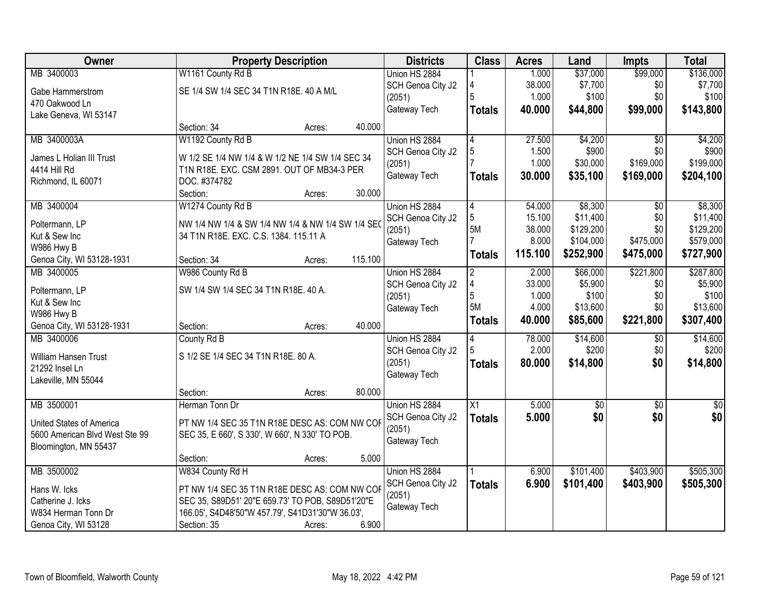| Owner                                    |                                                            | <b>Property Description</b> |         | <b>Districts</b>  | <b>Class</b>    | <b>Acres</b> | Land            | <b>Impts</b>    | <b>Total</b>     |
|------------------------------------------|------------------------------------------------------------|-----------------------------|---------|-------------------|-----------------|--------------|-----------------|-----------------|------------------|
| MB 3400003                               | W1161 County Rd B                                          |                             |         | Union HS 2884     |                 | 1.000        | \$37,000        | \$99,000        | \$136,000        |
| Gabe Hammerstrom                         | SE 1/4 SW 1/4 SEC 34 T1N R18E. 40 A M/L                    |                             |         | SCH Genoa City J2 |                 | 38.000       | \$7,700         | \$0             | \$7,700          |
| 470 Oakwood Ln                           |                                                            |                             |         | (2051)            | 5               | 1.000        | \$100           | \$0             | \$100            |
| Lake Geneva, WI 53147                    |                                                            |                             |         | Gateway Tech      | <b>Totals</b>   | 40.000       | \$44,800        | \$99,000        | \$143,800        |
|                                          | Section: 34                                                | Acres:                      | 40.000  |                   |                 |              |                 |                 |                  |
| MB 3400003A                              | W1192 County Rd B                                          |                             |         | Union HS 2884     | 4               | 27.500       | \$4,200         | $\overline{50}$ | \$4,200          |
|                                          |                                                            |                             |         | SCH Genoa City J2 | 5               | 1.500        | \$900           | \$0             | \$900            |
| James L Holian III Trust<br>4414 Hill Rd | W 1/2 SE 1/4 NW 1/4 & W 1/2 NE 1/4 SW 1/4 SEC 34           |                             |         | (2051)            |                 | 1.000        | \$30,000        | \$169,000       | \$199,000        |
| Richmond, IL 60071                       | T1N R18E. EXC. CSM 2891. OUT OF MB34-3 PER<br>DOC. #374782 |                             |         | Gateway Tech      | <b>Totals</b>   | 30.000       | \$35,100        | \$169,000       | \$204,100        |
|                                          | Section:                                                   | Acres:                      | 30.000  |                   |                 |              |                 |                 |                  |
| MB 3400004                               | W1274 County Rd B                                          |                             |         | Union HS 2884     | 4               | 54.000       | \$8,300         | $\overline{50}$ | \$8,300          |
|                                          |                                                            |                             |         | SCH Genoa City J2 | 5               | 15.100       | \$11,400        | \$0             | \$11,400         |
| Poltermann, LP                           | NW 1/4 NW 1/4 & SW 1/4 NW 1/4 & NW 1/4 SW 1/4 SE           |                             |         | (2051)            | <b>5M</b>       | 38.000       | \$129,200       | \$0             | \$129,200        |
| Kut & Sew Inc                            | 34 T1N R18E. EXC. C.S. 1384. 115.11 A                      |                             |         | Gateway Tech      |                 | 8.000        | \$104,000       | \$475,000       | \$579,000        |
| W986 Hwy B                               |                                                            |                             |         |                   | <b>Totals</b>   | 115.100      | \$252,900       | \$475,000       | \$727,900        |
| Genoa City, WI 53128-1931                | Section: 34                                                | Acres:                      | 115.100 |                   |                 |              |                 |                 |                  |
| MB 3400005                               | W986 County Rd B                                           |                             |         | Union HS 2884     | $\overline{2}$  | 2.000        | \$66,000        | \$221,800       | \$287,800        |
| Poltermann, LP                           | SW 1/4 SW 1/4 SEC 34 T1N R18E. 40 A.                       |                             |         | SCH Genoa City J2 | 4               | 33.000       | \$5,900         | \$0             | \$5,900          |
| Kut & Sew Inc                            |                                                            |                             |         | (2051)            | 5               | 1.000        | \$100           | \$0             | \$100            |
| W986 Hwy B                               |                                                            |                             |         | Gateway Tech      | 5M              | 4.000        | \$13,600        | \$0             | \$13,600         |
| Genoa City, WI 53128-1931                | Section:                                                   | Acres:                      | 40.000  |                   | <b>Totals</b>   | 40.000       | \$85,600        | \$221,800       | \$307,400        |
| MB 3400006                               | County Rd B                                                |                             |         | Union HS 2884     |                 | 78.000       | \$14,600        | \$0             | \$14,600         |
|                                          |                                                            |                             |         | SCH Genoa City J2 |                 | 2.000        | \$200           | \$0             | \$200            |
| William Hansen Trust                     | S 1/2 SE 1/4 SEC 34 T1N R18E. 80 A.                        |                             |         | (2051)            | Totals          | 80.000       | \$14,800        | \$0             | \$14,800         |
| 21292 Insel Ln                           |                                                            |                             |         | Gateway Tech      |                 |              |                 |                 |                  |
| Lakeville, MN 55044                      |                                                            |                             |         |                   |                 |              |                 |                 |                  |
|                                          | Section:                                                   | Acres:                      | 80.000  |                   |                 |              |                 |                 |                  |
| MB 3500001                               | Herman Tonn Dr                                             |                             |         | Union HS 2884     | $\overline{X1}$ | 5.000        | $\overline{60}$ | $\overline{60}$ | $\overline{\$0}$ |
| United States of America                 | PT NW 1/4 SEC 35 T1N R18E DESC AS: COM NW COF              |                             |         | SCH Genoa City J2 | <b>Totals</b>   | 5.000        | \$0             | \$0             | \$0              |
| 5600 American Blvd West Ste 99           | SEC 35, E 660', S 330', W 660', N 330' TO POB.             |                             |         | (2051)            |                 |              |                 |                 |                  |
| Bloomington, MN 55437                    |                                                            |                             |         | Gateway Tech      |                 |              |                 |                 |                  |
|                                          | Section:                                                   | Acres:                      | 5.000   |                   |                 |              |                 |                 |                  |
| MB 3500002                               | W834 County Rd H                                           |                             |         | Union HS 2884     |                 | 6.900        | \$101,400       | \$403,900       | \$505,300        |
| Hans W. Icks                             | PT NW 1/4 SEC 35 T1N R18E DESC AS: COM NW COF              |                             |         | SCH Genoa City J2 | <b>Totals</b>   | 6.900        | \$101,400       | \$403,900       | \$505,300        |
| Catherine J. Icks                        | SEC 35, S89D51' 20"E 659.73' TO POB, S89D51'20"E           |                             |         | (2051)            |                 |              |                 |                 |                  |
| W834 Herman Tonn Dr                      | 166.05', S4D48'50"W 457.79', S41D31'30"W 36.03',           |                             |         | Gateway Tech      |                 |              |                 |                 |                  |
| Genoa City, WI 53128                     | Section: 35                                                | Acres:                      | 6.900   |                   |                 |              |                 |                 |                  |
|                                          |                                                            |                             |         |                   |                 |              |                 |                 |                  |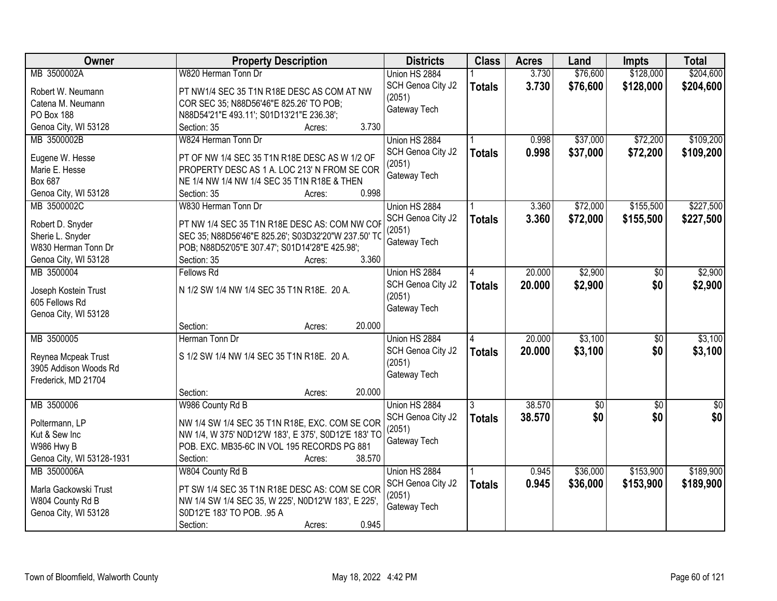| <b>Owner</b>              | <b>Property Description</b>                           | <b>Districts</b>  | <b>Class</b>  | <b>Acres</b> | Land       | <b>Impts</b>    | <b>Total</b>  |
|---------------------------|-------------------------------------------------------|-------------------|---------------|--------------|------------|-----------------|---------------|
| MB 3500002A               | W820 Herman Tonn Dr                                   | Union HS 2884     |               | 3.730        | \$76,600   | \$128,000       | \$204,600     |
| Robert W. Neumann         | PT NW1/4 SEC 35 T1N R18E DESC AS COM AT NW            | SCH Genoa City J2 | <b>Totals</b> | 3.730        | \$76,600   | \$128,000       | \$204,600     |
| Catena M. Neumann         | COR SEC 35; N88D56'46"E 825.26' TO POB;               | (2051)            |               |              |            |                 |               |
| PO Box 188                | N88D54'21"E 493.11'; S01D13'21"E 236.38';             | Gateway Tech      |               |              |            |                 |               |
| Genoa City, WI 53128      | 3.730<br>Section: 35<br>Acres:                        |                   |               |              |            |                 |               |
| MB 3500002B               | W824 Herman Tonn Dr                                   | Union HS 2884     |               | 0.998        | \$37,000   | \$72,200        | \$109,200     |
|                           |                                                       | SCH Genoa City J2 | <b>Totals</b> | 0.998        | \$37,000   | \$72,200        | \$109,200     |
| Eugene W. Hesse           | PT OF NW 1/4 SEC 35 T1N R18E DESC AS W 1/2 OF         | (2051)            |               |              |            |                 |               |
| Marie E. Hesse            | PROPERTY DESC AS 1 A. LOC 213' N FROM SE COR          | Gateway Tech      |               |              |            |                 |               |
| Box 687                   | NE 1/4 NW 1/4 NW 1/4 SEC 35 T1N R18E & THEN           |                   |               |              |            |                 |               |
| Genoa City, WI 53128      | 0.998<br>Section: 35<br>Acres:                        |                   |               |              |            |                 |               |
| MB 3500002C               | W830 Herman Tonn Dr                                   | Union HS 2884     |               | 3.360        | \$72,000   | \$155,500       | \$227,500     |
| Robert D. Snyder          | PT NW 1/4 SEC 35 T1N R18E DESC AS: COM NW COP         | SCH Genoa City J2 | <b>Totals</b> | 3.360        | \$72,000   | \$155,500       | \$227,500     |
| Sherie L. Snyder          | SEC 35; N88D56'46"E 825.26'; S03D32'20"W 237.50' TO   | (2051)            |               |              |            |                 |               |
| W830 Herman Tonn Dr       | POB; N88D52'05"E 307.47'; S01D14'28"E 425.98';        | Gateway Tech      |               |              |            |                 |               |
| Genoa City, WI 53128      | 3.360<br>Section: 35<br>Acres:                        |                   |               |              |            |                 |               |
| MB 3500004                | <b>Fellows Rd</b>                                     | Union HS 2884     | 4             | 20.000       | \$2,900    | $\sqrt[6]{}$    | \$2,900       |
|                           |                                                       | SCH Genoa City J2 | <b>Totals</b> | 20.000       | \$2,900    | \$0             | \$2,900       |
| Joseph Kostein Trust      | N 1/2 SW 1/4 NW 1/4 SEC 35 T1N R18E. 20 A.            | (2051)            |               |              |            |                 |               |
| 605 Fellows Rd            |                                                       | Gateway Tech      |               |              |            |                 |               |
| Genoa City, WI 53128      |                                                       |                   |               |              |            |                 |               |
|                           | 20.000<br>Section:<br>Acres:                          |                   |               |              |            |                 |               |
| MB 3500005                | Herman Tonn Dr                                        | Union HS 2884     | 4             | 20.000       | \$3,100    | $\overline{50}$ | \$3,100       |
| Reynea Mcpeak Trust       | S 1/2 SW 1/4 NW 1/4 SEC 35 T1N R18E. 20 A.            | SCH Genoa City J2 | <b>Totals</b> | 20.000       | \$3,100    | \$0             | \$3,100       |
| 3905 Addison Woods Rd     |                                                       | (2051)            |               |              |            |                 |               |
| Frederick, MD 21704       |                                                       | Gateway Tech      |               |              |            |                 |               |
|                           | 20.000<br>Section:<br>Acres:                          |                   |               |              |            |                 |               |
| MB 3500006                | W986 County Rd B                                      | Union HS 2884     | 3             | 38.570       | $\sqrt{6}$ | $\sqrt{6}$      | $\frac{1}{6}$ |
|                           |                                                       | SCH Genoa City J2 | <b>Totals</b> | 38.570       | \$0        | \$0             | \$0           |
| Poltermann, LP            | NW 1/4 SW 1/4 SEC 35 T1N R18E, EXC. COM SE COR        | (2051)            |               |              |            |                 |               |
| Kut & Sew Inc             | NW 1/4, W 375' N0D12'W 183', E 375', S0D12'E 183' TO  | Gateway Tech      |               |              |            |                 |               |
| W986 Hwy B                | POB. EXC. MB35-6C IN VOL 195 RECORDS PG 881<br>38.570 |                   |               |              |            |                 |               |
| Genoa City, WI 53128-1931 | Section:<br>Acres:                                    |                   |               |              |            |                 |               |
| MB 3500006A               | W804 County Rd B                                      | Union HS 2884     |               | 0.945        | \$36,000   | \$153,900       | \$189,900     |
| Marla Gackowski Trust     | PT SW 1/4 SEC 35 T1N R18E DESC AS: COM SE COR         | SCH Genoa City J2 | <b>Totals</b> | 0.945        | \$36,000   | \$153,900       | \$189,900     |
| W804 County Rd B          | NW 1/4 SW 1/4 SEC 35, W 225', N0D12'W 183', E 225',   | (2051)            |               |              |            |                 |               |
| Genoa City, WI 53128      | S0D12'E 183' TO POB. .95 A                            | Gateway Tech      |               |              |            |                 |               |
|                           | 0.945<br>Section:<br>Acres:                           |                   |               |              |            |                 |               |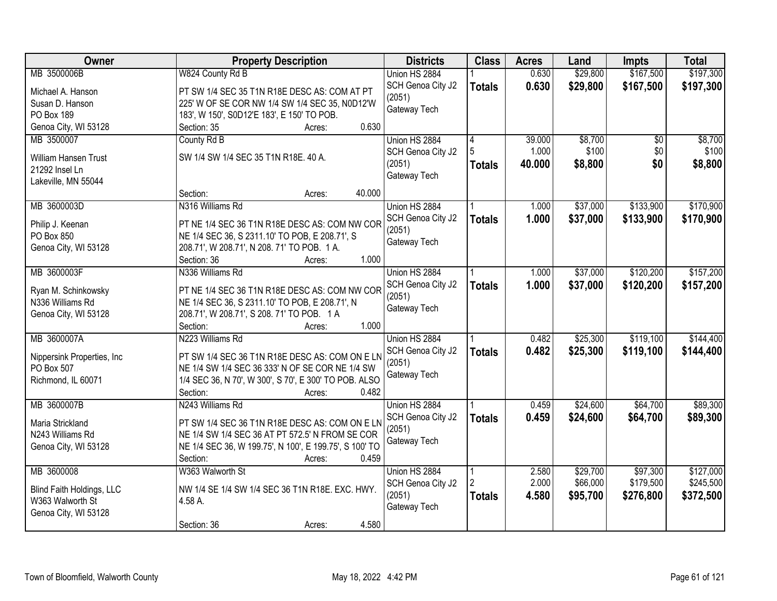| Owner                       | <b>Property Description</b>                            | <b>Districts</b>  | <b>Class</b>  | <b>Acres</b> | Land     | <b>Impts</b> | <b>Total</b> |
|-----------------------------|--------------------------------------------------------|-------------------|---------------|--------------|----------|--------------|--------------|
| MB 3500006B                 | W824 County Rd B                                       | Union HS 2884     |               | 0.630        | \$29,800 | \$167,500    | \$197,300    |
| Michael A. Hanson           | PT SW 1/4 SEC 35 T1N R18E DESC AS: COM AT PT           | SCH Genoa City J2 | <b>Totals</b> | 0.630        | \$29,800 | \$167,500    | \$197,300    |
| Susan D. Hanson             | 225' W OF SE COR NW 1/4 SW 1/4 SEC 35, N0D12'W         | (2051)            |               |              |          |              |              |
| PO Box 189                  | 183', W 150', S0D12'E 183', E 150' TO POB.             | Gateway Tech      |               |              |          |              |              |
| Genoa City, WI 53128        | 0.630<br>Section: 35<br>Acres:                         |                   |               |              |          |              |              |
| MB 3500007                  | County Rd B                                            | Union HS 2884     | 4             | 39.000       | \$8,700  | \$0          | \$8,700      |
|                             |                                                        | SCH Genoa City J2 |               | 1.000        | \$100    | \$0          | \$100        |
| <b>William Hansen Trust</b> | SW 1/4 SW 1/4 SEC 35 T1N R18E. 40 A.                   | (2051)            | <b>Totals</b> | 40.000       | \$8,800  | \$0          | \$8,800      |
| 21292 Insel Ln              |                                                        | Gateway Tech      |               |              |          |              |              |
| Lakeville, MN 55044         |                                                        |                   |               |              |          |              |              |
|                             | 40.000<br>Section:<br>Acres:                           |                   |               |              |          |              |              |
| MB 3600003D                 | N316 Williams Rd                                       | Union HS 2884     |               | 1.000        | \$37,000 | \$133,900    | \$170,900    |
| Philip J. Keenan            | PT NE 1/4 SEC 36 T1N R18E DESC AS: COM NW COR          | SCH Genoa City J2 | <b>Totals</b> | 1.000        | \$37,000 | \$133,900    | \$170,900    |
| PO Box 850                  | NE 1/4 SEC 36, S 2311.10' TO POB, E 208.71', S         | (2051)            |               |              |          |              |              |
| Genoa City, WI 53128        | 208.71', W 208.71', N 208. 71' TO POB. 1 A.            | Gateway Tech      |               |              |          |              |              |
|                             | 1.000<br>Section: 36<br>Acres:                         |                   |               |              |          |              |              |
| MB 3600003F                 | N336 Williams Rd                                       | Union HS 2884     |               | 1.000        | \$37,000 | \$120,200    | \$157,200    |
| Ryan M. Schinkowsky         | PT NE 1/4 SEC 36 T1N R18E DESC AS: COM NW COR          | SCH Genoa City J2 | <b>Totals</b> | 1.000        | \$37,000 | \$120,200    | \$157,200    |
| N336 Williams Rd            | NE 1/4 SEC 36, S 2311.10' TO POB, E 208.71', N         | (2051)            |               |              |          |              |              |
| Genoa City, WI 53128        | 208.71', W 208.71', S 208. 71' TO POB. 1 A             | Gateway Tech      |               |              |          |              |              |
|                             | 1.000<br>Section:<br>Acres:                            |                   |               |              |          |              |              |
| MB 3600007A                 | N223 Williams Rd                                       | Union HS 2884     |               | 0.482        | \$25,300 | \$119,100    | \$144,400    |
|                             |                                                        | SCH Genoa City J2 | <b>Totals</b> | 0.482        | \$25,300 | \$119,100    | \$144,400    |
| Nippersink Properties, Inc. | PT SW 1/4 SEC 36 T1N R18E DESC AS: COM ON E LN         | (2051)            |               |              |          |              |              |
| PO Box 507                  | NE 1/4 SW 1/4 SEC 36 333' N OF SE COR NE 1/4 SW        | Gateway Tech      |               |              |          |              |              |
| Richmond, IL 60071          | 1/4 SEC 36, N 70', W 300', S 70', E 300' TO POB. ALSO  |                   |               |              |          |              |              |
|                             | 0.482<br>Section:<br>Acres:                            |                   |               |              |          |              |              |
| MB 3600007B                 | N243 Williams Rd                                       | Union HS 2884     |               | 0.459        | \$24,600 | \$64,700     | \$89,300     |
| Maria Strickland            | PT SW 1/4 SEC 36 T1N R18E DESC AS: COM ON E LN         | SCH Genoa City J2 | <b>Totals</b> | 0.459        | \$24,600 | \$64,700     | \$89,300     |
| N243 Williams Rd            | NE 1/4 SW 1/4 SEC 36 AT PT 572.5' N FROM SE COR        | (2051)            |               |              |          |              |              |
| Genoa City, WI 53128        | NE 1/4 SEC 36, W 199.75', N 100', E 199.75', S 100' TO | Gateway Tech      |               |              |          |              |              |
|                             | 0.459<br>Section:<br>Acres:                            |                   |               |              |          |              |              |
| MB 3600008                  | W363 Walworth St                                       | Union HS 2884     |               | 2.580        | \$29,700 | \$97,300     | \$127,000    |
| Blind Faith Holdings, LLC   | NW 1/4 SE 1/4 SW 1/4 SEC 36 T1N R18E. EXC. HWY.        | SCH Genoa City J2 |               | 2.000        | \$66,000 | \$179,500    | \$245,500    |
| W363 Walworth St            | 4.58 A.                                                | (2051)            | <b>Totals</b> | 4.580        | \$95,700 | \$276,800    | \$372,500    |
| Genoa City, WI 53128        |                                                        | Gateway Tech      |               |              |          |              |              |
|                             | 4.580<br>Section: 36<br>Acres:                         |                   |               |              |          |              |              |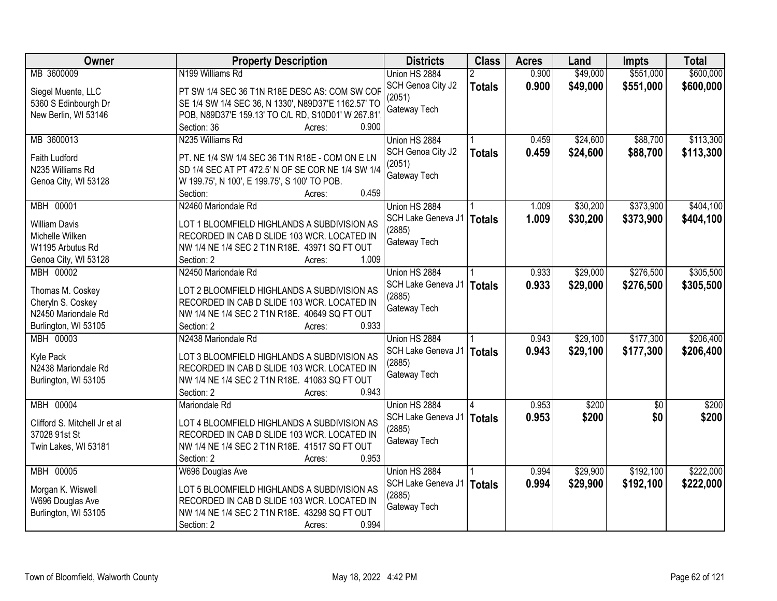| Owner                         | <b>Property Description</b>                           | <b>Districts</b>             | <b>Class</b>  | <b>Acres</b> | Land     | <b>Impts</b> | <b>Total</b> |
|-------------------------------|-------------------------------------------------------|------------------------------|---------------|--------------|----------|--------------|--------------|
| MB 3600009                    | N199 Williams Rd                                      | Union HS 2884                |               | 0.900        | \$49,000 | \$551,000    | \$600,000    |
| Siegel Muente, LLC            | PT SW 1/4 SEC 36 T1N R18E DESC AS: COM SW COF         | SCH Genoa City J2            | <b>Totals</b> | 0.900        | \$49,000 | \$551,000    | \$600,000    |
| 5360 S Edinbourgh Dr          | SE 1/4 SW 1/4 SEC 36, N 1330', N89D37'E 1162.57' TO   | (2051)                       |               |              |          |              |              |
| New Berlin, WI 53146          | POB, N89D37'E 159.13' TO C/L RD, S10D01' W 267.81'.   | Gateway Tech                 |               |              |          |              |              |
|                               | 0.900<br>Section: 36<br>Acres:                        |                              |               |              |          |              |              |
| MB 3600013                    | N235 Williams Rd                                      | Union HS 2884                |               | 0.459        | \$24,600 | \$88,700     | \$113,300    |
|                               |                                                       | SCH Genoa City J2            | <b>Totals</b> | 0.459        | \$24,600 | \$88,700     | \$113,300    |
| <b>Faith Ludford</b>          | PT. NE 1/4 SW 1/4 SEC 36 T1N R18E - COM ON E LN       | (2051)                       |               |              |          |              |              |
| N235 Williams Rd              | SD 1/4 SEC AT PT 472.5' N OF SE COR NE 1/4 SW 1/4     | Gateway Tech                 |               |              |          |              |              |
| Genoa City, WI 53128          | W 199.75', N 100', E 199.75', S 100' TO POB.<br>0.459 |                              |               |              |          |              |              |
| MBH 00001                     | Section:<br>Acres:<br>N2460 Mariondale Rd             | Union HS 2884                |               | 1.009        | \$30,200 | \$373,900    | \$404,100    |
|                               |                                                       |                              |               |              |          |              |              |
| <b>William Davis</b>          | LOT 1 BLOOMFIELD HIGHLANDS A SUBDIVISION AS           | SCH Lake Geneva J1<br>(2885) | <b>Totals</b> | 1.009        | \$30,200 | \$373,900    | \$404,100    |
| Michelle Wilken               | RECORDED IN CAB D SLIDE 103 WCR. LOCATED IN           |                              |               |              |          |              |              |
| W1195 Arbutus Rd              | NW 1/4 NE 1/4 SEC 2 T1N R18E. 43971 SQ FT OUT         | Gateway Tech                 |               |              |          |              |              |
| Genoa City, WI 53128          | 1.009<br>Section: 2<br>Acres:                         |                              |               |              |          |              |              |
| MBH 00002                     | N2450 Mariondale Rd                                   | Union HS 2884                |               | 0.933        | \$29,000 | \$276,500    | \$305,500    |
| Thomas M. Coskey              | LOT 2 BLOOMFIELD HIGHLANDS A SUBDIVISION AS           | SCH Lake Geneva J1           | <b>Totals</b> | 0.933        | \$29,000 | \$276,500    | \$305,500    |
| Cheryln S. Coskey             | RECORDED IN CAB D SLIDE 103 WCR. LOCATED IN           | (2885)                       |               |              |          |              |              |
| N2450 Mariondale Rd           | NW 1/4 NE 1/4 SEC 2 T1N R18E. 40649 SQ FT OUT         | Gateway Tech                 |               |              |          |              |              |
| Burlington, WI 53105          | 0.933<br>Section: 2<br>Acres:                         |                              |               |              |          |              |              |
| MBH 00003                     | N2438 Mariondale Rd                                   | Union HS 2884                |               | 0.943        | \$29,100 | \$177,300    | \$206,400    |
|                               |                                                       | SCH Lake Geneva J1           |               | 0.943        | \$29,100 | \$177,300    | \$206,400    |
| Kyle Pack                     | LOT 3 BLOOMFIELD HIGHLANDS A SUBDIVISION AS           | (2885)                       | <b>Totals</b> |              |          |              |              |
| N2438 Mariondale Rd           | RECORDED IN CAB D SLIDE 103 WCR. LOCATED IN           | Gateway Tech                 |               |              |          |              |              |
| Burlington, WI 53105          | NW 1/4 NE 1/4 SEC 2 T1N R18E. 41083 SQ FT OUT         |                              |               |              |          |              |              |
|                               | 0.943<br>Section: 2<br>Acres:                         |                              |               |              |          |              |              |
| <b>MBH 00004</b>              | Mariondale Rd                                         | Union HS 2884                |               | 0.953        | \$200    | $\sqrt{6}$   | \$200        |
| Clifford S. Mitchell Jr et al | LOT 4 BLOOMFIELD HIGHLANDS A SUBDIVISION AS           | SCH Lake Geneva J1           | <b>Totals</b> | 0.953        | \$200    | \$0          | \$200        |
| 37028 91st St                 | RECORDED IN CAB D SLIDE 103 WCR. LOCATED IN           | (2885)                       |               |              |          |              |              |
| Twin Lakes, WI 53181          | NW 1/4 NE 1/4 SEC 2 T1N R18E. 41517 SQ FT OUT         | Gateway Tech                 |               |              |          |              |              |
|                               | 0.953<br>Section: 2<br>Acres:                         |                              |               |              |          |              |              |
| MBH 00005                     | W696 Douglas Ave                                      | Union HS 2884                |               | 0.994        | \$29,900 | \$192,100    | \$222,000    |
|                               |                                                       | SCH Lake Geneva J1           | <b>Totals</b> | 0.994        | \$29,900 | \$192,100    | \$222,000    |
| Morgan K. Wiswell             | LOT 5 BLOOMFIELD HIGHLANDS A SUBDIVISION AS           | (2885)                       |               |              |          |              |              |
| W696 Douglas Ave              | RECORDED IN CAB D SLIDE 103 WCR. LOCATED IN           | Gateway Tech                 |               |              |          |              |              |
| Burlington, WI 53105          | NW 1/4 NE 1/4 SEC 2 T1N R18E. 43298 SQ FT OUT         |                              |               |              |          |              |              |
|                               | 0.994<br>Section: 2<br>Acres:                         |                              |               |              |          |              |              |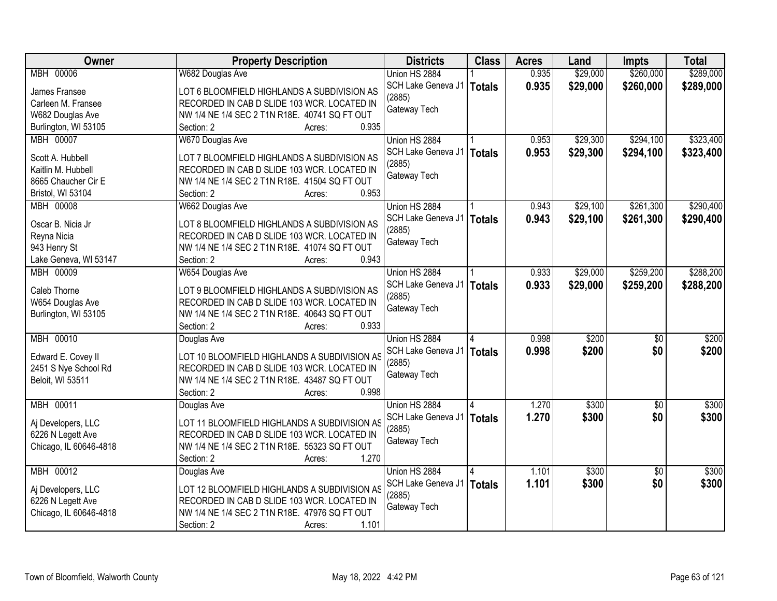| \$260,000<br><b>MBH 00006</b><br>0.935<br>\$29,000<br>W682 Douglas Ave<br>Union HS 2884<br>0.935<br>\$29,000<br>\$260,000<br>SCH Lake Geneva J1<br><b>Totals</b><br>James Fransee<br>LOT 6 BLOOMFIELD HIGHLANDS A SUBDIVISION AS<br>(2885)<br>RECORDED IN CAB D SLIDE 103 WCR. LOCATED IN<br>Carleen M. Fransee<br>Gateway Tech<br>NW 1/4 NE 1/4 SEC 2 T1N R18E. 40741 SQ FT OUT<br>W682 Douglas Ave<br>0.935<br>Burlington, WI 53105<br>Section: 2<br>Acres:<br>\$29,300<br>\$294,100<br>MBH 00007<br>W670 Douglas Ave<br>Union HS 2884<br>0.953<br>0.953<br>\$29,300<br>\$294,100<br>SCH Lake Geneva J1<br><b>Totals</b><br>LOT 7 BLOOMFIELD HIGHLANDS A SUBDIVISION AS<br>Scott A. Hubbell<br>(2885)<br>RECORDED IN CAB D SLIDE 103 WCR. LOCATED IN<br>Kaitlin M. Hubbell<br>Gateway Tech<br>8665 Chaucher Cir E<br>NW 1/4 NE 1/4 SEC 2 T1N R18E. 41504 SQ FT OUT<br>0.953<br>Bristol, WI 53104<br>Section: 2<br>Acres:<br>\$29,100<br>\$261,300<br>MBH 00008<br>W662 Douglas Ave<br>Union HS 2884<br>0.943<br>SCH Lake Geneva J1<br>0.943<br>\$29,100<br>\$261,300<br><b>Totals</b><br>Oscar B. Nicia Jr<br>LOT 8 BLOOMFIELD HIGHLANDS A SUBDIVISION AS<br>(2885)<br>RECORDED IN CAB D SLIDE 103 WCR. LOCATED IN<br>Reyna Nicia<br>Gateway Tech<br>NW 1/4 NE 1/4 SEC 2 T1N R18E. 41074 SQ FT OUT<br>943 Henry St<br>0.943<br>Lake Geneva, WI 53147<br>Section: 2<br>Acres:<br>\$259,200<br>MBH 00009<br>\$29,000<br>W654 Douglas Ave<br>Union HS 2884<br>0.933<br>0.933<br>SCH Lake Geneva J1<br>\$29,000<br>\$259,200<br><b>Totals</b><br>Caleb Thorne<br>LOT 9 BLOOMFIELD HIGHLANDS A SUBDIVISION AS<br>(2885)<br>RECORDED IN CAB D SLIDE 103 WCR. LOCATED IN<br>W654 Douglas Ave<br>Gateway Tech<br>NW 1/4 NE 1/4 SEC 2 T1N R18E. 40643 SQ FT OUT<br>Burlington, WI 53105<br>0.933<br>Section: 2<br>Acres:<br><b>MBH 00010</b><br>0.998<br>\$200<br>$\overline{50}$<br>Union HS 2884<br>Douglas Ave<br>0.998<br>\$200<br>\$0<br>SCH Lake Geneva J1<br><b>Totals</b><br>Edward E. Covey II<br>LOT 10 BLOOMFIELD HIGHLANDS A SUBDIVISION AS<br>(2885)<br>2451 S Nye School Rd<br>RECORDED IN CAB D SLIDE 103 WCR. LOCATED IN<br>Gateway Tech<br>Beloit, WI 53511<br>NW 1/4 NE 1/4 SEC 2 T1N R18E. 43487 SQ FT OUT<br>0.998<br>Section: 2<br>Acres:<br>\$300<br>MBH 00011<br>Union HS 2884<br>1.270<br>$\overline{50}$<br>Douglas Ave<br>1.270<br>\$300<br>\$0<br>SCH Lake Geneva J1<br><b>Totals</b><br>LOT 11 BLOOMFIELD HIGHLANDS A SUBDIVISION AS<br>Aj Developers, LLC<br>(2885)<br>RECORDED IN CAB D SLIDE 103 WCR. LOCATED IN<br>6226 N Legett Ave<br>Gateway Tech<br>NW 1/4 NE 1/4 SEC 2 T1N R18E. 55323 SQ FT OUT<br>Chicago, IL 60646-4818<br>1.270<br>Section: 2<br>Acres:<br>MBH 00012<br>Union HS 2884<br>\$300<br>\$300<br>1.101<br>$\overline{50}$<br>Douglas Ave<br>1.101<br>\$0<br>\$300<br>SCH Lake Geneva J1<br><b>Totals</b><br>LOT 12 BLOOMFIELD HIGHLANDS A SUBDIVISION AS<br>Aj Developers, LLC<br>(2885)<br>6226 N Legett Ave<br>RECORDED IN CAB D SLIDE 103 WCR. LOCATED IN<br>Gateway Tech<br>Chicago, IL 60646-4818<br>NW 1/4 NE 1/4 SEC 2 T1N R18E. 47976 SQ FT OUT | Owner | <b>Property Description</b>   | <b>Districts</b> | <b>Class</b> | <b>Acres</b> | Land | <b>Impts</b> | <b>Total</b> |
|-----------------------------------------------------------------------------------------------------------------------------------------------------------------------------------------------------------------------------------------------------------------------------------------------------------------------------------------------------------------------------------------------------------------------------------------------------------------------------------------------------------------------------------------------------------------------------------------------------------------------------------------------------------------------------------------------------------------------------------------------------------------------------------------------------------------------------------------------------------------------------------------------------------------------------------------------------------------------------------------------------------------------------------------------------------------------------------------------------------------------------------------------------------------------------------------------------------------------------------------------------------------------------------------------------------------------------------------------------------------------------------------------------------------------------------------------------------------------------------------------------------------------------------------------------------------------------------------------------------------------------------------------------------------------------------------------------------------------------------------------------------------------------------------------------------------------------------------------------------------------------------------------------------------------------------------------------------------------------------------------------------------------------------------------------------------------------------------------------------------------------------------------------------------------------------------------------------------------------------------------------------------------------------------------------------------------------------------------------------------------------------------------------------------------------------------------------------------------------------------------------------------------------------------------------------------------------------------------------------------------------------------------------------------------------------------------------------------------------------------------------------------------------------------------------------------------------------------------------------------------------------------------------------------------------------------------------------------------------------------------------------------------------------------------------------------------------------------------------|-------|-------------------------------|------------------|--------------|--------------|------|--------------|--------------|
|                                                                                                                                                                                                                                                                                                                                                                                                                                                                                                                                                                                                                                                                                                                                                                                                                                                                                                                                                                                                                                                                                                                                                                                                                                                                                                                                                                                                                                                                                                                                                                                                                                                                                                                                                                                                                                                                                                                                                                                                                                                                                                                                                                                                                                                                                                                                                                                                                                                                                                                                                                                                                                                                                                                                                                                                                                                                                                                                                                                                                                                                                                     |       |                               |                  |              |              |      |              | \$289,000    |
| \$323,400<br>\$323,400<br>\$290,400<br>\$288,200<br>\$288,200<br>\$200<br>\$200<br>\$300<br>\$300                                                                                                                                                                                                                                                                                                                                                                                                                                                                                                                                                                                                                                                                                                                                                                                                                                                                                                                                                                                                                                                                                                                                                                                                                                                                                                                                                                                                                                                                                                                                                                                                                                                                                                                                                                                                                                                                                                                                                                                                                                                                                                                                                                                                                                                                                                                                                                                                                                                                                                                                                                                                                                                                                                                                                                                                                                                                                                                                                                                                   |       |                               |                  |              |              |      |              | \$289,000    |
|                                                                                                                                                                                                                                                                                                                                                                                                                                                                                                                                                                                                                                                                                                                                                                                                                                                                                                                                                                                                                                                                                                                                                                                                                                                                                                                                                                                                                                                                                                                                                                                                                                                                                                                                                                                                                                                                                                                                                                                                                                                                                                                                                                                                                                                                                                                                                                                                                                                                                                                                                                                                                                                                                                                                                                                                                                                                                                                                                                                                                                                                                                     |       |                               |                  |              |              |      |              |              |
|                                                                                                                                                                                                                                                                                                                                                                                                                                                                                                                                                                                                                                                                                                                                                                                                                                                                                                                                                                                                                                                                                                                                                                                                                                                                                                                                                                                                                                                                                                                                                                                                                                                                                                                                                                                                                                                                                                                                                                                                                                                                                                                                                                                                                                                                                                                                                                                                                                                                                                                                                                                                                                                                                                                                                                                                                                                                                                                                                                                                                                                                                                     |       |                               |                  |              |              |      |              |              |
|                                                                                                                                                                                                                                                                                                                                                                                                                                                                                                                                                                                                                                                                                                                                                                                                                                                                                                                                                                                                                                                                                                                                                                                                                                                                                                                                                                                                                                                                                                                                                                                                                                                                                                                                                                                                                                                                                                                                                                                                                                                                                                                                                                                                                                                                                                                                                                                                                                                                                                                                                                                                                                                                                                                                                                                                                                                                                                                                                                                                                                                                                                     |       |                               |                  |              |              |      |              |              |
|                                                                                                                                                                                                                                                                                                                                                                                                                                                                                                                                                                                                                                                                                                                                                                                                                                                                                                                                                                                                                                                                                                                                                                                                                                                                                                                                                                                                                                                                                                                                                                                                                                                                                                                                                                                                                                                                                                                                                                                                                                                                                                                                                                                                                                                                                                                                                                                                                                                                                                                                                                                                                                                                                                                                                                                                                                                                                                                                                                                                                                                                                                     |       |                               |                  |              |              |      |              |              |
|                                                                                                                                                                                                                                                                                                                                                                                                                                                                                                                                                                                                                                                                                                                                                                                                                                                                                                                                                                                                                                                                                                                                                                                                                                                                                                                                                                                                                                                                                                                                                                                                                                                                                                                                                                                                                                                                                                                                                                                                                                                                                                                                                                                                                                                                                                                                                                                                                                                                                                                                                                                                                                                                                                                                                                                                                                                                                                                                                                                                                                                                                                     |       |                               |                  |              |              |      |              |              |
|                                                                                                                                                                                                                                                                                                                                                                                                                                                                                                                                                                                                                                                                                                                                                                                                                                                                                                                                                                                                                                                                                                                                                                                                                                                                                                                                                                                                                                                                                                                                                                                                                                                                                                                                                                                                                                                                                                                                                                                                                                                                                                                                                                                                                                                                                                                                                                                                                                                                                                                                                                                                                                                                                                                                                                                                                                                                                                                                                                                                                                                                                                     |       |                               |                  |              |              |      |              |              |
| \$290,400                                                                                                                                                                                                                                                                                                                                                                                                                                                                                                                                                                                                                                                                                                                                                                                                                                                                                                                                                                                                                                                                                                                                                                                                                                                                                                                                                                                                                                                                                                                                                                                                                                                                                                                                                                                                                                                                                                                                                                                                                                                                                                                                                                                                                                                                                                                                                                                                                                                                                                                                                                                                                                                                                                                                                                                                                                                                                                                                                                                                                                                                                           |       |                               |                  |              |              |      |              |              |
|                                                                                                                                                                                                                                                                                                                                                                                                                                                                                                                                                                                                                                                                                                                                                                                                                                                                                                                                                                                                                                                                                                                                                                                                                                                                                                                                                                                                                                                                                                                                                                                                                                                                                                                                                                                                                                                                                                                                                                                                                                                                                                                                                                                                                                                                                                                                                                                                                                                                                                                                                                                                                                                                                                                                                                                                                                                                                                                                                                                                                                                                                                     |       |                               |                  |              |              |      |              |              |
|                                                                                                                                                                                                                                                                                                                                                                                                                                                                                                                                                                                                                                                                                                                                                                                                                                                                                                                                                                                                                                                                                                                                                                                                                                                                                                                                                                                                                                                                                                                                                                                                                                                                                                                                                                                                                                                                                                                                                                                                                                                                                                                                                                                                                                                                                                                                                                                                                                                                                                                                                                                                                                                                                                                                                                                                                                                                                                                                                                                                                                                                                                     |       |                               |                  |              |              |      |              |              |
| \$300                                                                                                                                                                                                                                                                                                                                                                                                                                                                                                                                                                                                                                                                                                                                                                                                                                                                                                                                                                                                                                                                                                                                                                                                                                                                                                                                                                                                                                                                                                                                                                                                                                                                                                                                                                                                                                                                                                                                                                                                                                                                                                                                                                                                                                                                                                                                                                                                                                                                                                                                                                                                                                                                                                                                                                                                                                                                                                                                                                                                                                                                                               |       |                               |                  |              |              |      |              |              |
|                                                                                                                                                                                                                                                                                                                                                                                                                                                                                                                                                                                                                                                                                                                                                                                                                                                                                                                                                                                                                                                                                                                                                                                                                                                                                                                                                                                                                                                                                                                                                                                                                                                                                                                                                                                                                                                                                                                                                                                                                                                                                                                                                                                                                                                                                                                                                                                                                                                                                                                                                                                                                                                                                                                                                                                                                                                                                                                                                                                                                                                                                                     |       |                               |                  |              |              |      |              |              |
|                                                                                                                                                                                                                                                                                                                                                                                                                                                                                                                                                                                                                                                                                                                                                                                                                                                                                                                                                                                                                                                                                                                                                                                                                                                                                                                                                                                                                                                                                                                                                                                                                                                                                                                                                                                                                                                                                                                                                                                                                                                                                                                                                                                                                                                                                                                                                                                                                                                                                                                                                                                                                                                                                                                                                                                                                                                                                                                                                                                                                                                                                                     |       |                               |                  |              |              |      |              |              |
|                                                                                                                                                                                                                                                                                                                                                                                                                                                                                                                                                                                                                                                                                                                                                                                                                                                                                                                                                                                                                                                                                                                                                                                                                                                                                                                                                                                                                                                                                                                                                                                                                                                                                                                                                                                                                                                                                                                                                                                                                                                                                                                                                                                                                                                                                                                                                                                                                                                                                                                                                                                                                                                                                                                                                                                                                                                                                                                                                                                                                                                                                                     |       |                               |                  |              |              |      |              |              |
|                                                                                                                                                                                                                                                                                                                                                                                                                                                                                                                                                                                                                                                                                                                                                                                                                                                                                                                                                                                                                                                                                                                                                                                                                                                                                                                                                                                                                                                                                                                                                                                                                                                                                                                                                                                                                                                                                                                                                                                                                                                                                                                                                                                                                                                                                                                                                                                                                                                                                                                                                                                                                                                                                                                                                                                                                                                                                                                                                                                                                                                                                                     |       |                               |                  |              |              |      |              |              |
|                                                                                                                                                                                                                                                                                                                                                                                                                                                                                                                                                                                                                                                                                                                                                                                                                                                                                                                                                                                                                                                                                                                                                                                                                                                                                                                                                                                                                                                                                                                                                                                                                                                                                                                                                                                                                                                                                                                                                                                                                                                                                                                                                                                                                                                                                                                                                                                                                                                                                                                                                                                                                                                                                                                                                                                                                                                                                                                                                                                                                                                                                                     |       |                               |                  |              |              |      |              |              |
|                                                                                                                                                                                                                                                                                                                                                                                                                                                                                                                                                                                                                                                                                                                                                                                                                                                                                                                                                                                                                                                                                                                                                                                                                                                                                                                                                                                                                                                                                                                                                                                                                                                                                                                                                                                                                                                                                                                                                                                                                                                                                                                                                                                                                                                                                                                                                                                                                                                                                                                                                                                                                                                                                                                                                                                                                                                                                                                                                                                                                                                                                                     |       |                               |                  |              |              |      |              |              |
|                                                                                                                                                                                                                                                                                                                                                                                                                                                                                                                                                                                                                                                                                                                                                                                                                                                                                                                                                                                                                                                                                                                                                                                                                                                                                                                                                                                                                                                                                                                                                                                                                                                                                                                                                                                                                                                                                                                                                                                                                                                                                                                                                                                                                                                                                                                                                                                                                                                                                                                                                                                                                                                                                                                                                                                                                                                                                                                                                                                                                                                                                                     |       |                               |                  |              |              |      |              |              |
|                                                                                                                                                                                                                                                                                                                                                                                                                                                                                                                                                                                                                                                                                                                                                                                                                                                                                                                                                                                                                                                                                                                                                                                                                                                                                                                                                                                                                                                                                                                                                                                                                                                                                                                                                                                                                                                                                                                                                                                                                                                                                                                                                                                                                                                                                                                                                                                                                                                                                                                                                                                                                                                                                                                                                                                                                                                                                                                                                                                                                                                                                                     |       |                               |                  |              |              |      |              |              |
|                                                                                                                                                                                                                                                                                                                                                                                                                                                                                                                                                                                                                                                                                                                                                                                                                                                                                                                                                                                                                                                                                                                                                                                                                                                                                                                                                                                                                                                                                                                                                                                                                                                                                                                                                                                                                                                                                                                                                                                                                                                                                                                                                                                                                                                                                                                                                                                                                                                                                                                                                                                                                                                                                                                                                                                                                                                                                                                                                                                                                                                                                                     |       |                               |                  |              |              |      |              |              |
|                                                                                                                                                                                                                                                                                                                                                                                                                                                                                                                                                                                                                                                                                                                                                                                                                                                                                                                                                                                                                                                                                                                                                                                                                                                                                                                                                                                                                                                                                                                                                                                                                                                                                                                                                                                                                                                                                                                                                                                                                                                                                                                                                                                                                                                                                                                                                                                                                                                                                                                                                                                                                                                                                                                                                                                                                                                                                                                                                                                                                                                                                                     |       |                               |                  |              |              |      |              |              |
|                                                                                                                                                                                                                                                                                                                                                                                                                                                                                                                                                                                                                                                                                                                                                                                                                                                                                                                                                                                                                                                                                                                                                                                                                                                                                                                                                                                                                                                                                                                                                                                                                                                                                                                                                                                                                                                                                                                                                                                                                                                                                                                                                                                                                                                                                                                                                                                                                                                                                                                                                                                                                                                                                                                                                                                                                                                                                                                                                                                                                                                                                                     |       |                               |                  |              |              |      |              |              |
|                                                                                                                                                                                                                                                                                                                                                                                                                                                                                                                                                                                                                                                                                                                                                                                                                                                                                                                                                                                                                                                                                                                                                                                                                                                                                                                                                                                                                                                                                                                                                                                                                                                                                                                                                                                                                                                                                                                                                                                                                                                                                                                                                                                                                                                                                                                                                                                                                                                                                                                                                                                                                                                                                                                                                                                                                                                                                                                                                                                                                                                                                                     |       |                               |                  |              |              |      |              |              |
|                                                                                                                                                                                                                                                                                                                                                                                                                                                                                                                                                                                                                                                                                                                                                                                                                                                                                                                                                                                                                                                                                                                                                                                                                                                                                                                                                                                                                                                                                                                                                                                                                                                                                                                                                                                                                                                                                                                                                                                                                                                                                                                                                                                                                                                                                                                                                                                                                                                                                                                                                                                                                                                                                                                                                                                                                                                                                                                                                                                                                                                                                                     |       |                               |                  |              |              |      |              |              |
|                                                                                                                                                                                                                                                                                                                                                                                                                                                                                                                                                                                                                                                                                                                                                                                                                                                                                                                                                                                                                                                                                                                                                                                                                                                                                                                                                                                                                                                                                                                                                                                                                                                                                                                                                                                                                                                                                                                                                                                                                                                                                                                                                                                                                                                                                                                                                                                                                                                                                                                                                                                                                                                                                                                                                                                                                                                                                                                                                                                                                                                                                                     |       |                               |                  |              |              |      |              |              |
|                                                                                                                                                                                                                                                                                                                                                                                                                                                                                                                                                                                                                                                                                                                                                                                                                                                                                                                                                                                                                                                                                                                                                                                                                                                                                                                                                                                                                                                                                                                                                                                                                                                                                                                                                                                                                                                                                                                                                                                                                                                                                                                                                                                                                                                                                                                                                                                                                                                                                                                                                                                                                                                                                                                                                                                                                                                                                                                                                                                                                                                                                                     |       |                               |                  |              |              |      |              |              |
|                                                                                                                                                                                                                                                                                                                                                                                                                                                                                                                                                                                                                                                                                                                                                                                                                                                                                                                                                                                                                                                                                                                                                                                                                                                                                                                                                                                                                                                                                                                                                                                                                                                                                                                                                                                                                                                                                                                                                                                                                                                                                                                                                                                                                                                                                                                                                                                                                                                                                                                                                                                                                                                                                                                                                                                                                                                                                                                                                                                                                                                                                                     |       |                               |                  |              |              |      |              |              |
|                                                                                                                                                                                                                                                                                                                                                                                                                                                                                                                                                                                                                                                                                                                                                                                                                                                                                                                                                                                                                                                                                                                                                                                                                                                                                                                                                                                                                                                                                                                                                                                                                                                                                                                                                                                                                                                                                                                                                                                                                                                                                                                                                                                                                                                                                                                                                                                                                                                                                                                                                                                                                                                                                                                                                                                                                                                                                                                                                                                                                                                                                                     |       |                               |                  |              |              |      |              |              |
|                                                                                                                                                                                                                                                                                                                                                                                                                                                                                                                                                                                                                                                                                                                                                                                                                                                                                                                                                                                                                                                                                                                                                                                                                                                                                                                                                                                                                                                                                                                                                                                                                                                                                                                                                                                                                                                                                                                                                                                                                                                                                                                                                                                                                                                                                                                                                                                                                                                                                                                                                                                                                                                                                                                                                                                                                                                                                                                                                                                                                                                                                                     |       |                               |                  |              |              |      |              |              |
|                                                                                                                                                                                                                                                                                                                                                                                                                                                                                                                                                                                                                                                                                                                                                                                                                                                                                                                                                                                                                                                                                                                                                                                                                                                                                                                                                                                                                                                                                                                                                                                                                                                                                                                                                                                                                                                                                                                                                                                                                                                                                                                                                                                                                                                                                                                                                                                                                                                                                                                                                                                                                                                                                                                                                                                                                                                                                                                                                                                                                                                                                                     |       |                               |                  |              |              |      |              |              |
|                                                                                                                                                                                                                                                                                                                                                                                                                                                                                                                                                                                                                                                                                                                                                                                                                                                                                                                                                                                                                                                                                                                                                                                                                                                                                                                                                                                                                                                                                                                                                                                                                                                                                                                                                                                                                                                                                                                                                                                                                                                                                                                                                                                                                                                                                                                                                                                                                                                                                                                                                                                                                                                                                                                                                                                                                                                                                                                                                                                                                                                                                                     |       |                               |                  |              |              |      |              |              |
|                                                                                                                                                                                                                                                                                                                                                                                                                                                                                                                                                                                                                                                                                                                                                                                                                                                                                                                                                                                                                                                                                                                                                                                                                                                                                                                                                                                                                                                                                                                                                                                                                                                                                                                                                                                                                                                                                                                                                                                                                                                                                                                                                                                                                                                                                                                                                                                                                                                                                                                                                                                                                                                                                                                                                                                                                                                                                                                                                                                                                                                                                                     |       |                               |                  |              |              |      |              |              |
|                                                                                                                                                                                                                                                                                                                                                                                                                                                                                                                                                                                                                                                                                                                                                                                                                                                                                                                                                                                                                                                                                                                                                                                                                                                                                                                                                                                                                                                                                                                                                                                                                                                                                                                                                                                                                                                                                                                                                                                                                                                                                                                                                                                                                                                                                                                                                                                                                                                                                                                                                                                                                                                                                                                                                                                                                                                                                                                                                                                                                                                                                                     |       |                               |                  |              |              |      |              |              |
|                                                                                                                                                                                                                                                                                                                                                                                                                                                                                                                                                                                                                                                                                                                                                                                                                                                                                                                                                                                                                                                                                                                                                                                                                                                                                                                                                                                                                                                                                                                                                                                                                                                                                                                                                                                                                                                                                                                                                                                                                                                                                                                                                                                                                                                                                                                                                                                                                                                                                                                                                                                                                                                                                                                                                                                                                                                                                                                                                                                                                                                                                                     |       |                               |                  |              |              |      |              |              |
|                                                                                                                                                                                                                                                                                                                                                                                                                                                                                                                                                                                                                                                                                                                                                                                                                                                                                                                                                                                                                                                                                                                                                                                                                                                                                                                                                                                                                                                                                                                                                                                                                                                                                                                                                                                                                                                                                                                                                                                                                                                                                                                                                                                                                                                                                                                                                                                                                                                                                                                                                                                                                                                                                                                                                                                                                                                                                                                                                                                                                                                                                                     |       |                               |                  |              |              |      |              |              |
|                                                                                                                                                                                                                                                                                                                                                                                                                                                                                                                                                                                                                                                                                                                                                                                                                                                                                                                                                                                                                                                                                                                                                                                                                                                                                                                                                                                                                                                                                                                                                                                                                                                                                                                                                                                                                                                                                                                                                                                                                                                                                                                                                                                                                                                                                                                                                                                                                                                                                                                                                                                                                                                                                                                                                                                                                                                                                                                                                                                                                                                                                                     |       | 1.101<br>Section: 2<br>Acres: |                  |              |              |      |              |              |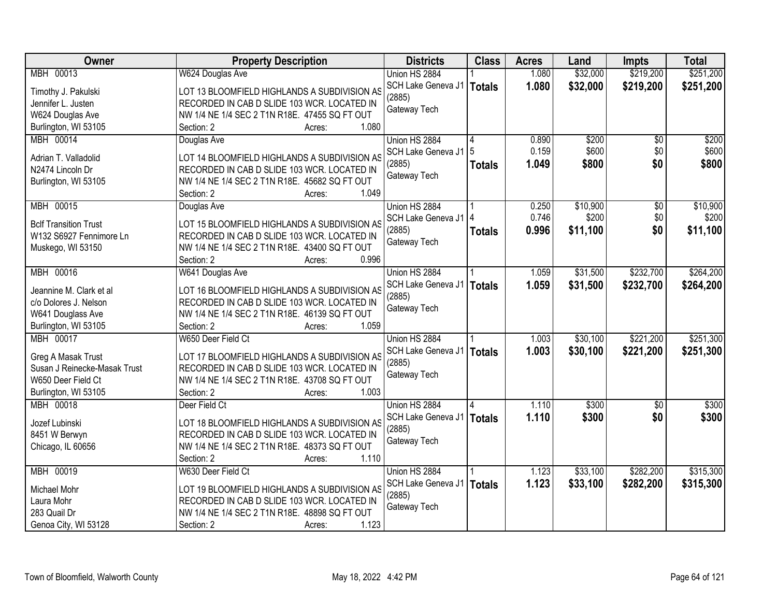| Owner                        | <b>Property Description</b>                   | <b>Districts</b>             | <b>Class</b>  | <b>Acres</b> | Land     | <b>Impts</b>    | <b>Total</b> |
|------------------------------|-----------------------------------------------|------------------------------|---------------|--------------|----------|-----------------|--------------|
| MBH 00013                    | W624 Douglas Ave                              | Union HS 2884                |               | 1.080        | \$32,000 | \$219,200       | \$251,200    |
| Timothy J. Pakulski          | LOT 13 BLOOMFIELD HIGHLANDS A SUBDIVISION AS  | SCH Lake Geneva J1           | <b>Totals</b> | 1.080        | \$32,000 | \$219,200       | \$251,200    |
| Jennifer L. Justen           | RECORDED IN CAB D SLIDE 103 WCR. LOCATED IN   | (2885)                       |               |              |          |                 |              |
| W624 Douglas Ave             | NW 1/4 NE 1/4 SEC 2 T1N R18E. 47455 SQ FT OUT | Gateway Tech                 |               |              |          |                 |              |
| Burlington, WI 53105         | 1.080<br>Section: 2<br>Acres:                 |                              |               |              |          |                 |              |
| MBH 00014                    | Douglas Ave                                   | Union HS 2884                |               | 0.890        | \$200    | \$0             | \$200        |
|                              |                                               | SCH Lake Geneva J1           | 5             | 0.159        | \$600    | \$0             | \$600        |
| Adrian T. Valladolid         | LOT 14 BLOOMFIELD HIGHLANDS A SUBDIVISION AS  | (2885)                       | <b>Totals</b> | 1.049        | \$800    | \$0             | \$800        |
| N2474 Lincoln Dr             | RECORDED IN CAB D SLIDE 103 WCR. LOCATED IN   | Gateway Tech                 |               |              |          |                 |              |
| Burlington, WI 53105         | NW 1/4 NE 1/4 SEC 2 T1N R18E. 45682 SQ FT OUT |                              |               |              |          |                 |              |
|                              | 1.049<br>Section: 2<br>Acres:                 |                              |               |              |          |                 |              |
| MBH 00015                    | Douglas Ave                                   | Union HS 2884                |               | 0.250        | \$10,900 | $\overline{50}$ | \$10,900     |
| <b>Bclf Transition Trust</b> | LOT 15 BLOOMFIELD HIGHLANDS A SUBDIVISION AS  | SCH Lake Geneva J1   4       |               | 0.746        | \$200    | \$0             | \$200        |
| W132 S6927 Fennimore Ln      | RECORDED IN CAB D SLIDE 103 WCR. LOCATED IN   | (2885)                       | <b>Totals</b> | 0.996        | \$11,100 | \$0             | \$11,100     |
| Muskego, WI 53150            | NW 1/4 NE 1/4 SEC 2 T1N R18E. 43400 SQ FT OUT | Gateway Tech                 |               |              |          |                 |              |
|                              | 0.996<br>Section: 2<br>Acres:                 |                              |               |              |          |                 |              |
| MBH 00016                    | W641 Douglas Ave                              | Union HS 2884                |               | 1.059        | \$31,500 | \$232,700       | \$264,200    |
|                              |                                               | SCH Lake Geneva J1           |               | 1.059        |          |                 |              |
| Jeannine M. Clark et al      | LOT 16 BLOOMFIELD HIGHLANDS A SUBDIVISION AS  | (2885)                       | <b>Totals</b> |              | \$31,500 | \$232,700       | \$264,200    |
| c/o Dolores J. Nelson        | RECORDED IN CAB D SLIDE 103 WCR. LOCATED IN   | Gateway Tech                 |               |              |          |                 |              |
| W641 Douglass Ave            | NW 1/4 NE 1/4 SEC 2 T1N R18E. 46139 SQ FT OUT |                              |               |              |          |                 |              |
| Burlington, WI 53105         | 1.059<br>Section: 2<br>Acres:                 |                              |               |              |          |                 |              |
| MBH 00017                    | W650 Deer Field Ct                            | Union HS 2884                |               | 1.003        | \$30,100 | \$221,200       | \$251,300    |
| Greg A Masak Trust           | LOT 17 BLOOMFIELD HIGHLANDS A SUBDIVISION AS  | SCH Lake Geneva J1           | <b>Totals</b> | 1.003        | \$30,100 | \$221,200       | \$251,300    |
| Susan J Reinecke-Masak Trust | RECORDED IN CAB D SLIDE 103 WCR. LOCATED IN   | (2885)                       |               |              |          |                 |              |
| W650 Deer Field Ct           | NW 1/4 NE 1/4 SEC 2 T1N R18E. 43708 SQ FT OUT | Gateway Tech                 |               |              |          |                 |              |
| Burlington, WI 53105         | 1.003<br>Section: 2<br>Acres:                 |                              |               |              |          |                 |              |
| MBH 00018                    | Deer Field Ct                                 | Union HS 2884                |               | 1.110        | \$300    | $\overline{50}$ | \$300        |
|                              |                                               |                              |               |              |          |                 |              |
| Jozef Lubinski               | LOT 18 BLOOMFIELD HIGHLANDS A SUBDIVISION AS  | SCH Lake Geneva J1<br>(2885) | <b>Totals</b> | 1.110        | \$300    | \$0             | \$300        |
| 8451 W Berwyn                | RECORDED IN CAB D SLIDE 103 WCR. LOCATED IN   |                              |               |              |          |                 |              |
| Chicago, IL 60656            | NW 1/4 NE 1/4 SEC 2 T1N R18E. 48373 SQ FT OUT | Gateway Tech                 |               |              |          |                 |              |
|                              | 1.110<br>Section: 2<br>Acres:                 |                              |               |              |          |                 |              |
| MBH 00019                    | W630 Deer Field Ct                            | Union HS 2884                |               | 1.123        | \$33,100 | \$282,200       | \$315,300    |
| Michael Mohr                 | LOT 19 BLOOMFIELD HIGHLANDS A SUBDIVISION AS  | SCH Lake Geneva J1           | <b>Totals</b> | 1.123        | \$33,100 | \$282,200       | \$315,300    |
| Laura Mohr                   | RECORDED IN CAB D SLIDE 103 WCR. LOCATED IN   | (2885)                       |               |              |          |                 |              |
| 283 Quail Dr                 | NW 1/4 NE 1/4 SEC 2 T1N R18E. 48898 SQ FT OUT | Gateway Tech                 |               |              |          |                 |              |
|                              | 1.123<br>Section: 2<br>Acres:                 |                              |               |              |          |                 |              |
| Genoa City, WI 53128         |                                               |                              |               |              |          |                 |              |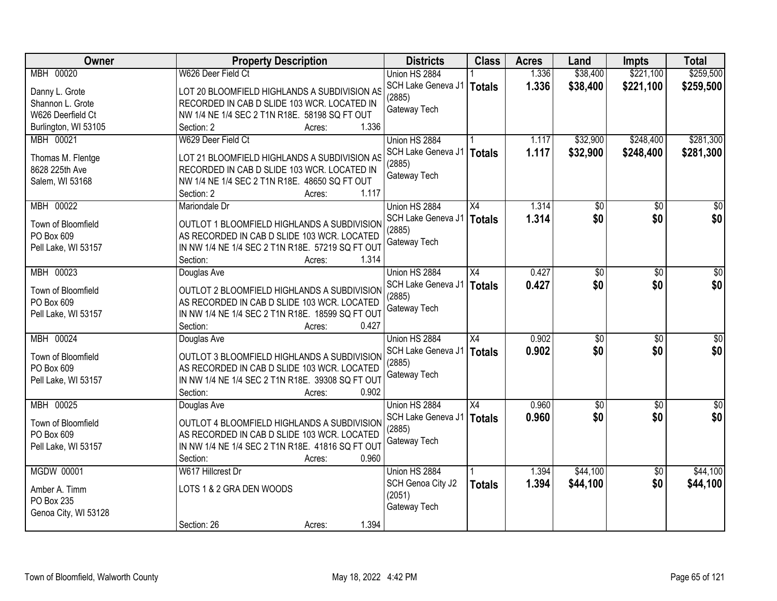| <b>Owner</b>                     | <b>Property Description</b>                                                                | <b>Districts</b>       | <b>Class</b>    | <b>Acres</b> | Land            | <b>Impts</b>    | <b>Total</b>    |
|----------------------------------|--------------------------------------------------------------------------------------------|------------------------|-----------------|--------------|-----------------|-----------------|-----------------|
| MBH 00020                        | W626 Deer Field Ct                                                                         | Union HS 2884          |                 | 1.336        | \$38,400        | \$221,100       | \$259,500       |
| Danny L. Grote                   | LOT 20 BLOOMFIELD HIGHLANDS A SUBDIVISION AS                                               | SCH Lake Geneva J1     | <b>Totals</b>   | 1.336        | \$38,400        | \$221,100       | \$259,500       |
| Shannon L. Grote                 | RECORDED IN CAB D SLIDE 103 WCR. LOCATED IN                                                | (2885)                 |                 |              |                 |                 |                 |
| W626 Deerfield Ct                | NW 1/4 NE 1/4 SEC 2 T1N R18E. 58198 SQ FT OUT                                              | Gateway Tech           |                 |              |                 |                 |                 |
| Burlington, WI 53105             | 1.336<br>Section: 2<br>Acres:                                                              |                        |                 |              |                 |                 |                 |
| MBH 00021                        | W629 Deer Field Ct                                                                         | Union HS 2884          |                 | 1.117        | \$32,900        | \$248,400       | \$281,300       |
|                                  |                                                                                            | SCH Lake Geneva J1     | <b>Totals</b>   | 1.117        | \$32,900        | \$248,400       | \$281,300       |
| Thomas M. Flentge                | LOT 21 BLOOMFIELD HIGHLANDS A SUBDIVISION AS                                               | (2885)                 |                 |              |                 |                 |                 |
| 8628 225th Ave                   | RECORDED IN CAB D SLIDE 103 WCR. LOCATED IN                                                | Gateway Tech           |                 |              |                 |                 |                 |
| Salem, WI 53168                  | NW 1/4 NE 1/4 SEC 2 T1N R18E. 48650 SQ FT OUT                                              |                        |                 |              |                 |                 |                 |
|                                  | 1.117<br>Section: 2<br>Acres:                                                              |                        |                 |              |                 |                 |                 |
| MBH 00022                        | Mariondale Dr                                                                              | Union HS 2884          | X4              | 1.314        | \$0             | $\overline{50}$ | $\overline{50}$ |
| Town of Bloomfield               | OUTLOT 1 BLOOMFIELD HIGHLANDS A SUBDIVISION                                                | SCH Lake Geneva J1     | <b>Totals</b>   | 1.314        | \$0             | \$0             | \$0             |
| PO Box 609                       | AS RECORDED IN CAB D SLIDE 103 WCR. LOCATED                                                | (2885)                 |                 |              |                 |                 |                 |
| Pell Lake, WI 53157              | IN NW 1/4 NE 1/4 SEC 2 T1N R18E. 57219 SQ FT OUT                                           | Gateway Tech           |                 |              |                 |                 |                 |
|                                  | Section:<br>1.314<br>Acres:                                                                |                        |                 |              |                 |                 |                 |
| MBH 00023                        | Douglas Ave                                                                                | Union HS 2884          | X4              | 0.427        | \$0             | \$0             | \$0             |
|                                  |                                                                                            | SCH Lake Geneva J1     | <b>Totals</b>   | 0.427        | \$0             | \$0             | \$0             |
| Town of Bloomfield               | OUTLOT 2 BLOOMFIELD HIGHLANDS A SUBDIVISION                                                | (2885)                 |                 |              |                 |                 |                 |
| PO Box 609                       | AS RECORDED IN CAB D SLIDE 103 WCR. LOCATED                                                | Gateway Tech           |                 |              |                 |                 |                 |
| Pell Lake, WI 53157              | IN NW 1/4 NE 1/4 SEC 2 T1N R18E. 18599 SQ FT OUT                                           |                        |                 |              |                 |                 |                 |
|                                  | 0.427<br>Section:<br>Acres:                                                                |                        |                 |              |                 |                 |                 |
| MBH 00024                        | Douglas Ave                                                                                | Union HS 2884          | $\overline{X4}$ | 0.902        | $\overline{50}$ | $\overline{50}$ | $\overline{50}$ |
| Town of Bloomfield               | OUTLOT 3 BLOOMFIELD HIGHLANDS A SUBDIVISION                                                | SCH Lake Geneva J1     | <b>Totals</b>   | 0.902        | \$0             | \$0             | \$0             |
| PO Box 609                       | AS RECORDED IN CAB D SLIDE 103 WCR. LOCATED                                                | (2885)                 |                 |              |                 |                 |                 |
| Pell Lake, WI 53157              | IN NW 1/4 NE 1/4 SEC 2 T1N R18E. 39308 SQ FT OUT                                           | Gateway Tech           |                 |              |                 |                 |                 |
|                                  | 0.902<br>Section:<br>Acres:                                                                |                        |                 |              |                 |                 |                 |
| MBH 00025                        | Douglas Ave                                                                                | Union HS 2884          | X4              | 0.960        | $\sqrt{50}$     | $\sqrt{6}$      | $\sqrt{60}$     |
|                                  |                                                                                            | SCH Lake Geneva J1     | <b>Totals</b>   | 0.960        | \$0             | \$0             | \$0             |
| Town of Bloomfield<br>PO Box 609 | OUTLOT 4 BLOOMFIELD HIGHLANDS A SUBDIVISION<br>AS RECORDED IN CAB D SLIDE 103 WCR. LOCATED | (2885)                 |                 |              |                 |                 |                 |
|                                  | IN NW 1/4 NE 1/4 SEC 2 T1N R18E. 41816 SQ FT OUT                                           | Gateway Tech           |                 |              |                 |                 |                 |
| Pell Lake, WI 53157              | Section:<br>0.960<br>Acres:                                                                |                        |                 |              |                 |                 |                 |
| <b>MGDW 00001</b>                | W617 Hillcrest Dr                                                                          | Union HS 2884          |                 | 1.394        | \$44,100        | $\overline{50}$ | \$44,100        |
|                                  |                                                                                            |                        |                 | 1.394        |                 | \$0             |                 |
| Amber A. Timm                    | LOTS 1 & 2 GRA DEN WOODS                                                                   | SCH Genoa City J2      | <b>Totals</b>   |              | \$44,100        |                 | \$44,100        |
| PO Box 235                       |                                                                                            | (2051)<br>Gateway Tech |                 |              |                 |                 |                 |
| Genoa City, WI 53128             |                                                                                            |                        |                 |              |                 |                 |                 |
|                                  | 1.394<br>Section: 26<br>Acres:                                                             |                        |                 |              |                 |                 |                 |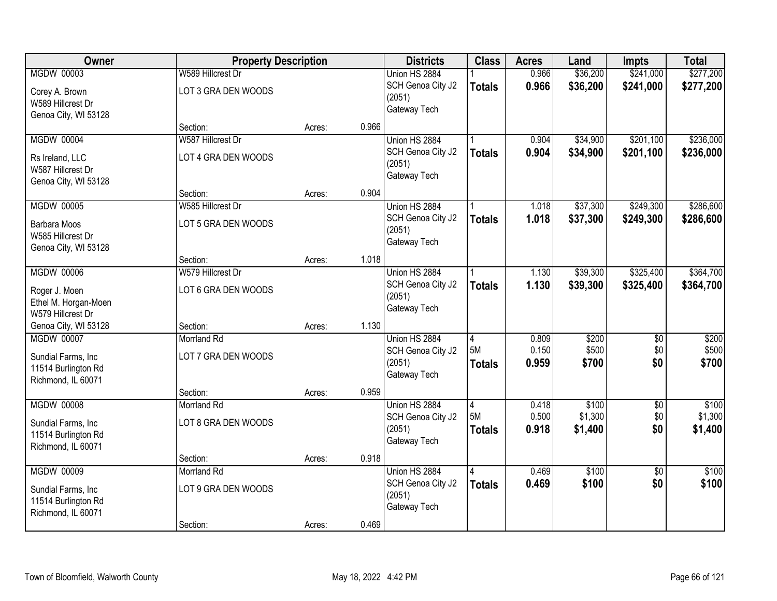| Owner                | <b>Property Description</b> |        |       | <b>Districts</b>       | <b>Class</b>   | <b>Acres</b> | Land     | <b>Impts</b>    | <b>Total</b> |
|----------------------|-----------------------------|--------|-------|------------------------|----------------|--------------|----------|-----------------|--------------|
| <b>MGDW 00003</b>    | W589 Hillcrest Dr           |        |       | Union HS 2884          |                | 0.966        | \$36,200 | \$241,000       | \$277,200    |
| Corey A. Brown       | LOT 3 GRA DEN WOODS         |        |       | SCH Genoa City J2      | <b>Totals</b>  | 0.966        | \$36,200 | \$241,000       | \$277,200    |
| W589 Hillcrest Dr    |                             |        |       | (2051)                 |                |              |          |                 |              |
| Genoa City, WI 53128 |                             |        |       | Gateway Tech           |                |              |          |                 |              |
|                      | Section:                    | Acres: | 0.966 |                        |                |              |          |                 |              |
| <b>MGDW 00004</b>    | W587 Hillcrest Dr           |        |       | Union HS 2884          |                | 0.904        | \$34,900 | \$201,100       | \$236,000    |
| Rs Ireland, LLC      | LOT 4 GRA DEN WOODS         |        |       | SCH Genoa City J2      | <b>Totals</b>  | 0.904        | \$34,900 | \$201,100       | \$236,000    |
| W587 Hillcrest Dr    |                             |        |       | (2051)                 |                |              |          |                 |              |
| Genoa City, WI 53128 |                             |        |       | Gateway Tech           |                |              |          |                 |              |
|                      | Section:                    | Acres: | 0.904 |                        |                |              |          |                 |              |
| <b>MGDW 00005</b>    | W585 Hillcrest Dr           |        |       | Union HS 2884          |                | 1.018        | \$37,300 | \$249,300       | \$286,600    |
| <b>Barbara Moos</b>  | LOT 5 GRA DEN WOODS         |        |       | SCH Genoa City J2      | <b>Totals</b>  | 1.018        | \$37,300 | \$249,300       | \$286,600    |
| W585 Hillcrest Dr    |                             |        |       | (2051)                 |                |              |          |                 |              |
| Genoa City, WI 53128 |                             |        |       | Gateway Tech           |                |              |          |                 |              |
|                      | Section:                    | Acres: | 1.018 |                        |                |              |          |                 |              |
| <b>MGDW 00006</b>    | W579 Hillcrest Dr           |        |       | Union HS 2884          |                | 1.130        | \$39,300 | \$325,400       | \$364,700    |
| Roger J. Moen        | LOT 6 GRA DEN WOODS         |        |       | SCH Genoa City J2      | <b>Totals</b>  | 1.130        | \$39,300 | \$325,400       | \$364,700    |
| Ethel M. Horgan-Moen |                             |        |       | (2051)                 |                |              |          |                 |              |
| W579 Hillcrest Dr    |                             |        |       | Gateway Tech           |                |              |          |                 |              |
| Genoa City, WI 53128 | Section:                    | Acres: | 1.130 |                        |                |              |          |                 |              |
| <b>MGDW 00007</b>    | <b>Morrland Rd</b>          |        |       | Union HS 2884          | $\overline{4}$ | 0.809        | \$200    | $\overline{50}$ | \$200        |
| Sundial Farms, Inc.  | LOT 7 GRA DEN WOODS         |        |       | SCH Genoa City J2      | 5M             | 0.150        | \$500    | \$0             | \$500        |
| 11514 Burlington Rd  |                             |        |       | (2051)<br>Gateway Tech | <b>Totals</b>  | 0.959        | \$700    | \$0             | \$700        |
| Richmond, IL 60071   |                             |        |       |                        |                |              |          |                 |              |
|                      | Section:                    | Acres: | 0.959 |                        |                |              |          |                 |              |
| <b>MGDW 00008</b>    | Morrland Rd                 |        |       | Union HS 2884          | $\overline{4}$ | 0.418        | \$100    | $\overline{50}$ | \$100        |
| Sundial Farms, Inc   | LOT 8 GRA DEN WOODS         |        |       | SCH Genoa City J2      | 5M             | 0.500        | \$1,300  | \$0             | \$1,300      |
| 11514 Burlington Rd  |                             |        |       | (2051)<br>Gateway Tech | <b>Totals</b>  | 0.918        | \$1,400  | \$0             | \$1,400      |
| Richmond, IL 60071   |                             |        |       |                        |                |              |          |                 |              |
|                      | Section:                    | Acres: | 0.918 |                        |                |              |          |                 |              |
| <b>MGDW 00009</b>    | <b>Morrland Rd</b>          |        |       | Union HS 2884          | 4              | 0.469        | \$100    | $\overline{30}$ | \$100        |
| Sundial Farms, Inc.  | LOT 9 GRA DEN WOODS         |        |       | SCH Genoa City J2      | <b>Totals</b>  | 0.469        | \$100    | \$0             | \$100        |
| 11514 Burlington Rd  |                             |        |       | (2051)<br>Gateway Tech |                |              |          |                 |              |
| Richmond, IL 60071   |                             |        |       |                        |                |              |          |                 |              |
|                      | Section:                    | Acres: | 0.469 |                        |                |              |          |                 |              |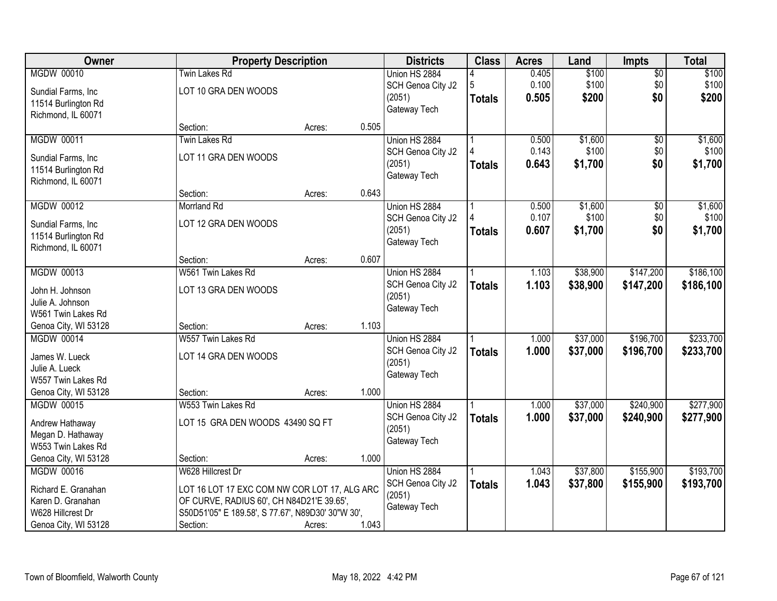| Owner                                                                                                      | <b>Property Description</b>                                                                                                                                                     |        |       | <b>Districts</b>                                             | <b>Class</b>       | <b>Acres</b>            | Land                        | <b>Impts</b>               | <b>Total</b>                |
|------------------------------------------------------------------------------------------------------------|---------------------------------------------------------------------------------------------------------------------------------------------------------------------------------|--------|-------|--------------------------------------------------------------|--------------------|-------------------------|-----------------------------|----------------------------|-----------------------------|
| <b>MGDW 00010</b><br>Sundial Farms, Inc.<br>11514 Burlington Rd                                            | Twin Lakes Rd<br>LOT 10 GRA DEN WOODS                                                                                                                                           |        |       | Union HS 2884<br>SCH Genoa City J2<br>(2051)                 | 5<br><b>Totals</b> | 0.405<br>0.100<br>0.505 | \$100<br>\$100<br>\$200     | \$0<br>\$0<br>\$0          | \$100<br>\$100<br>\$200     |
| Richmond, IL 60071                                                                                         | Section:                                                                                                                                                                        | Acres: | 0.505 | Gateway Tech                                                 |                    |                         |                             |                            |                             |
| MGDW 00011                                                                                                 | <b>Twin Lakes Rd</b>                                                                                                                                                            |        |       | Union HS 2884                                                |                    | 0.500                   | \$1,600                     | $\overline{50}$            | \$1,600                     |
| Sundial Farms, Inc.<br>11514 Burlington Rd<br>Richmond, IL 60071                                           | LOT 11 GRA DEN WOODS                                                                                                                                                            |        |       | SCH Genoa City J2<br>(2051)<br>Gateway Tech                  | Totals             | 0.143<br>0.643          | \$100<br>\$1,700            | \$0<br>\$0                 | \$100<br>\$1,700            |
|                                                                                                            | Section:                                                                                                                                                                        | Acres: | 0.643 |                                                              |                    |                         |                             |                            |                             |
| <b>MGDW 00012</b><br>Sundial Farms, Inc.<br>11514 Burlington Rd<br>Richmond, IL 60071                      | <b>Morrland Rd</b><br>LOT 12 GRA DEN WOODS                                                                                                                                      |        |       | Union HS 2884<br>SCH Genoa City J2<br>(2051)<br>Gateway Tech | <b>Totals</b>      | 0.500<br>0.107<br>0.607 | \$1,600<br>\$100<br>\$1,700 | $\sqrt[6]{}$<br>\$0<br>\$0 | \$1,600<br>\$100<br>\$1,700 |
|                                                                                                            | Section:                                                                                                                                                                        | Acres: | 0.607 |                                                              |                    |                         |                             |                            |                             |
| MGDW 00013<br>John H. Johnson<br>Julie A. Johnson<br>W561 Twin Lakes Rd                                    | W561 Twin Lakes Rd<br>LOT 13 GRA DEN WOODS                                                                                                                                      |        |       | Union HS 2884<br>SCH Genoa City J2<br>(2051)<br>Gateway Tech | <b>Totals</b>      | 1.103<br>1.103          | \$38,900<br>\$38,900        | \$147,200<br>\$147,200     | \$186,100<br>\$186,100      |
| Genoa City, WI 53128                                                                                       | Section:                                                                                                                                                                        | Acres: | 1.103 |                                                              |                    |                         |                             |                            |                             |
| <b>MGDW 00014</b><br>James W. Lueck<br>Julie A. Lueck<br>W557 Twin Lakes Rd                                | W557 Twin Lakes Rd<br>LOT 14 GRA DEN WOODS                                                                                                                                      |        |       | Union HS 2884<br>SCH Genoa City J2<br>(2051)<br>Gateway Tech | <b>Totals</b>      | 1.000<br>1.000          | \$37,000<br>\$37,000        | \$196,700<br>\$196,700     | \$233,700<br>\$233,700      |
| Genoa City, WI 53128                                                                                       | Section:                                                                                                                                                                        | Acres: | 1.000 |                                                              |                    |                         |                             |                            |                             |
| <b>MGDW 00015</b><br>Andrew Hathaway<br>Megan D. Hathaway<br>W553 Twin Lakes Rd                            | W553 Twin Lakes Rd<br>LOT 15 GRA DEN WOODS 43490 SQ FT                                                                                                                          |        |       | Union HS 2884<br>SCH Genoa City J2<br>(2051)<br>Gateway Tech | <b>Totals</b>      | 1.000<br>1.000          | \$37,000<br>\$37,000        | \$240,900<br>\$240,900     | \$277,900<br>\$277,900      |
| Genoa City, WI 53128                                                                                       | Section:                                                                                                                                                                        | Acres: | 1.000 |                                                              |                    |                         |                             |                            |                             |
| <b>MGDW 00016</b><br>Richard E. Granahan<br>Karen D. Granahan<br>W628 Hillcrest Dr<br>Genoa City, WI 53128 | W628 Hillcrest Dr<br>LOT 16 LOT 17 EXC COM NW COR LOT 17, ALG ARC<br>OF CURVE, RADIUS 60', CH N84D21'E 39.65',<br>S50D51'05" E 189.58', S 77.67', N89D30' 30"W 30',<br>Section: | Acres: | 1.043 | Union HS 2884<br>SCH Genoa City J2<br>(2051)<br>Gateway Tech | <b>Totals</b>      | 1.043<br>1.043          | \$37,800<br>\$37,800        | \$155,900<br>\$155,900     | \$193,700<br>\$193,700      |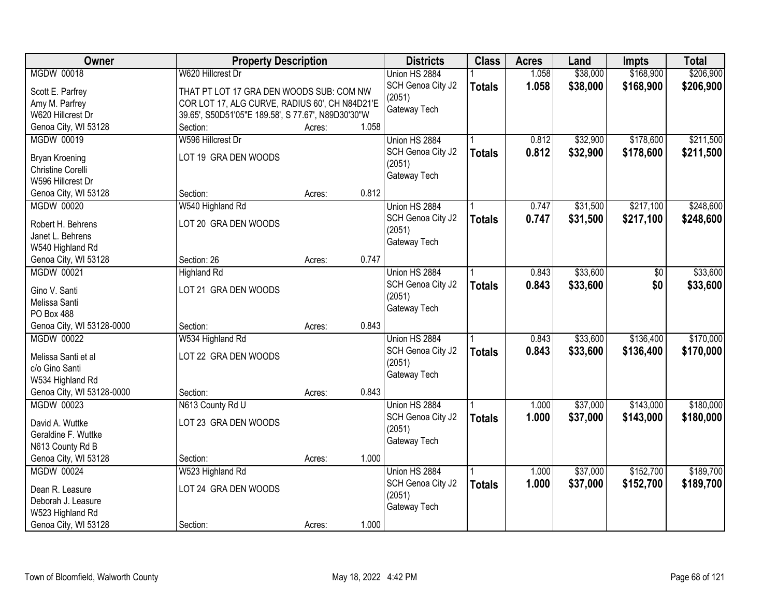| Owner                                          |                                                    | <b>Property Description</b> |       |                   | <b>Class</b>  | <b>Acres</b> | Land     | <b>Impts</b> | <b>Total</b> |
|------------------------------------------------|----------------------------------------------------|-----------------------------|-------|-------------------|---------------|--------------|----------|--------------|--------------|
| <b>MGDW 00018</b>                              | W620 Hillcrest Dr                                  |                             |       | Union HS 2884     |               | 1.058        | \$38,000 | \$168,900    | \$206,900    |
| Scott E. Parfrey                               | THAT PT LOT 17 GRA DEN WOODS SUB: COM NW           |                             |       | SCH Genoa City J2 | <b>Totals</b> | 1.058        | \$38,000 | \$168,900    | \$206,900    |
| Amy M. Parfrey                                 | COR LOT 17, ALG CURVE, RADIUS 60', CH N84D21'E     |                             |       | (2051)            |               |              |          |              |              |
| W620 Hillcrest Dr                              | 39.65', S50D51'05"E 189.58', S 77.67', N89D30'30"W |                             |       | Gateway Tech      |               |              |          |              |              |
| Genoa City, WI 53128                           | Section:                                           | Acres:                      | 1.058 |                   |               |              |          |              |              |
| <b>MGDW 00019</b>                              | W596 Hillcrest Dr                                  |                             |       | Union HS 2884     |               | 0.812        | \$32,900 | \$178,600    | \$211,500    |
|                                                |                                                    |                             |       | SCH Genoa City J2 | <b>Totals</b> | 0.812        | \$32,900 | \$178,600    | \$211,500    |
| Bryan Kroening                                 | LOT 19 GRA DEN WOODS                               |                             |       | (2051)            |               |              |          |              |              |
| Christine Corelli                              |                                                    |                             |       | Gateway Tech      |               |              |          |              |              |
| W596 Hillcrest Dr                              |                                                    |                             |       |                   |               |              |          |              |              |
| Genoa City, WI 53128                           | Section:                                           | Acres:                      | 0.812 |                   |               |              |          |              |              |
| <b>MGDW 00020</b>                              | W540 Highland Rd                                   |                             |       | Union HS 2884     |               | 0.747        | \$31,500 | \$217,100    | \$248,600    |
| Robert H. Behrens                              | LOT 20 GRA DEN WOODS                               |                             |       | SCH Genoa City J2 | <b>Totals</b> | 0.747        | \$31,500 | \$217,100    | \$248,600    |
| Janet L. Behrens                               |                                                    |                             |       | (2051)            |               |              |          |              |              |
| W540 Highland Rd                               |                                                    |                             |       | Gateway Tech      |               |              |          |              |              |
| Genoa City, WI 53128                           | Section: 26                                        | Acres:                      | 0.747 |                   |               |              |          |              |              |
| <b>MGDW 00021</b>                              | <b>Highland Rd</b>                                 |                             |       | Union HS 2884     |               | 0.843        | \$33,600 | \$0          | \$33,600     |
|                                                |                                                    |                             |       | SCH Genoa City J2 | <b>Totals</b> | 0.843        | \$33,600 | \$0          | \$33,600     |
| Gino V. Santi                                  | LOT 21 GRA DEN WOODS                               |                             |       | (2051)            |               |              |          |              |              |
| Melissa Santi<br>PO Box 488                    |                                                    |                             |       | Gateway Tech      |               |              |          |              |              |
|                                                |                                                    |                             | 0.843 |                   |               |              |          |              |              |
| Genoa City, WI 53128-0000<br><b>MGDW 00022</b> | Section:                                           | Acres:                      |       |                   |               |              |          |              |              |
|                                                | W534 Highland Rd                                   |                             |       | Union HS 2884     |               | 0.843        | \$33,600 | \$136,400    | \$170,000    |
| Melissa Santi et al                            | LOT 22 GRA DEN WOODS                               |                             |       | SCH Genoa City J2 | <b>Totals</b> | 0.843        | \$33,600 | \$136,400    | \$170,000    |
| c/o Gino Santi                                 |                                                    |                             |       | (2051)            |               |              |          |              |              |
| W534 Highland Rd                               |                                                    |                             |       | Gateway Tech      |               |              |          |              |              |
| Genoa City, WI 53128-0000                      | Section:                                           | Acres:                      | 0.843 |                   |               |              |          |              |              |
| <b>MGDW 00023</b>                              | N613 County Rd U                                   |                             |       | Union HS 2884     |               | 1.000        | \$37,000 | \$143,000    | \$180,000    |
| David A. Wuttke                                | LOT 23 GRA DEN WOODS                               |                             |       | SCH Genoa City J2 | <b>Totals</b> | 1.000        | \$37,000 | \$143,000    | \$180,000    |
| Geraldine F. Wuttke                            |                                                    |                             |       | (2051)            |               |              |          |              |              |
| N613 County Rd B                               |                                                    |                             |       | Gateway Tech      |               |              |          |              |              |
| Genoa City, WI 53128                           | Section:                                           | Acres:                      | 1.000 |                   |               |              |          |              |              |
| <b>MGDW 00024</b>                              | W523 Highland Rd                                   |                             |       | Union HS 2884     |               | 1.000        | \$37,000 | \$152,700    | \$189,700    |
|                                                |                                                    |                             |       | SCH Genoa City J2 | <b>Totals</b> | 1.000        | \$37,000 | \$152,700    | \$189,700    |
| Dean R. Leasure                                | LOT 24 GRA DEN WOODS                               |                             |       | (2051)            |               |              |          |              |              |
| Deborah J. Leasure                             |                                                    |                             |       | Gateway Tech      |               |              |          |              |              |
| W523 Highland Rd                               |                                                    |                             |       |                   |               |              |          |              |              |
| Genoa City, WI 53128                           | Section:                                           | Acres:                      | 1.000 |                   |               |              |          |              |              |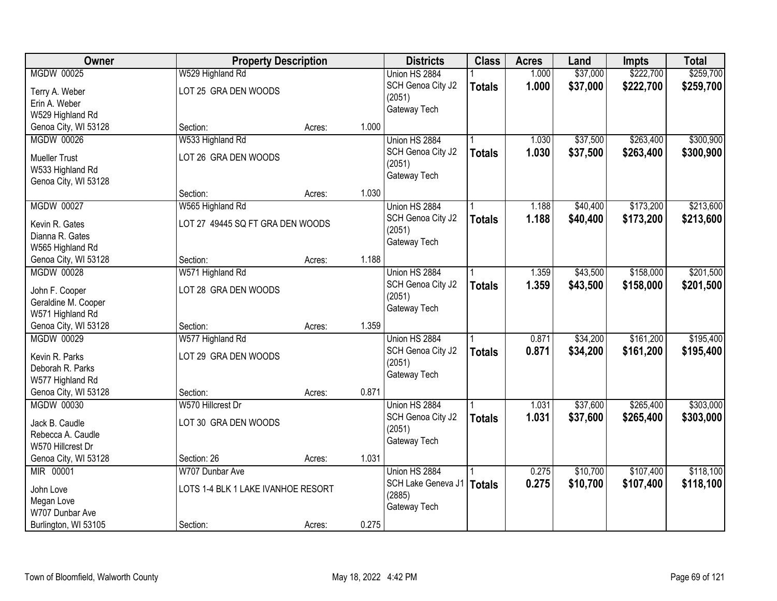| Owner                                    |                                    | <b>Property Description</b> |       | <b>Districts</b>   | <b>Class</b>  | <b>Acres</b> | Land     | <b>Impts</b> | <b>Total</b> |
|------------------------------------------|------------------------------------|-----------------------------|-------|--------------------|---------------|--------------|----------|--------------|--------------|
| <b>MGDW 00025</b>                        | W529 Highland Rd                   |                             |       | Union HS 2884      |               | 1.000        | \$37,000 | \$222,700    | \$259,700    |
| Terry A. Weber                           | LOT 25 GRA DEN WOODS               |                             |       | SCH Genoa City J2  | <b>Totals</b> | 1.000        | \$37,000 | \$222,700    | \$259,700    |
| Erin A. Weber                            |                                    |                             |       | (2051)             |               |              |          |              |              |
| W529 Highland Rd                         |                                    |                             |       | Gateway Tech       |               |              |          |              |              |
| Genoa City, WI 53128                     | Section:                           | Acres:                      | 1.000 |                    |               |              |          |              |              |
| <b>MGDW 00026</b>                        | W533 Highland Rd                   |                             |       | Union HS 2884      |               | 1.030        | \$37,500 | \$263,400    | \$300,900    |
|                                          |                                    |                             |       | SCH Genoa City J2  | <b>Totals</b> | 1.030        | \$37,500 | \$263,400    | \$300,900    |
| <b>Mueller Trust</b>                     | LOT 26 GRA DEN WOODS               |                             |       | (2051)             |               |              |          |              |              |
| W533 Highland Rd                         |                                    |                             |       | Gateway Tech       |               |              |          |              |              |
| Genoa City, WI 53128                     | Section:                           | Acres:                      | 1.030 |                    |               |              |          |              |              |
| <b>MGDW 00027</b>                        | W565 Highland Rd                   |                             |       | Union HS 2884      |               | 1.188        | \$40,400 | \$173,200    | \$213,600    |
|                                          |                                    |                             |       | SCH Genoa City J2  | <b>Totals</b> | 1.188        | \$40,400 | \$173,200    | \$213,600    |
| Kevin R. Gates                           | LOT 27 49445 SQ FT GRA DEN WOODS   |                             |       | (2051)             |               |              |          |              |              |
| Dianna R. Gates                          |                                    |                             |       | Gateway Tech       |               |              |          |              |              |
| W565 Highland Rd                         |                                    |                             |       |                    |               |              |          |              |              |
| Genoa City, WI 53128                     | Section:                           | Acres:                      | 1.188 |                    |               |              |          |              |              |
| <b>MGDW 00028</b>                        | W571 Highland Rd                   |                             |       | Union HS 2884      |               | 1.359        | \$43,500 | \$158,000    | \$201,500    |
| John F. Cooper                           | LOT 28 GRA DEN WOODS               |                             |       | SCH Genoa City J2  | <b>Totals</b> | 1.359        | \$43,500 | \$158,000    | \$201,500    |
| Geraldine M. Cooper                      |                                    |                             |       | (2051)             |               |              |          |              |              |
| W571 Highland Rd                         |                                    |                             |       | Gateway Tech       |               |              |          |              |              |
| Genoa City, WI 53128                     | Section:                           | Acres:                      | 1.359 |                    |               |              |          |              |              |
| <b>MGDW 00029</b>                        | W577 Highland Rd                   |                             |       | Union HS 2884      |               | 0.871        | \$34,200 | \$161,200    | \$195,400    |
|                                          |                                    |                             |       | SCH Genoa City J2  | <b>Totals</b> | 0.871        | \$34,200 | \$161,200    | \$195,400    |
| Kevin R. Parks                           | LOT 29 GRA DEN WOODS               |                             |       | (2051)             |               |              |          |              |              |
| Deborah R. Parks                         |                                    |                             |       | Gateway Tech       |               |              |          |              |              |
| W577 Highland Rd<br>Genoa City, WI 53128 | Section:                           | Acres:                      | 0.871 |                    |               |              |          |              |              |
| <b>MGDW 00030</b>                        | W570 Hillcrest Dr                  |                             |       | Union HS 2884      |               | 1.031        | \$37,600 | \$265,400    | \$303,000    |
|                                          |                                    |                             |       | SCH Genoa City J2  |               | 1.031        | \$37,600 | \$265,400    | \$303,000    |
| Jack B. Caudle                           | LOT 30 GRA DEN WOODS               |                             |       | (2051)             | <b>Totals</b> |              |          |              |              |
| Rebecca A. Caudle                        |                                    |                             |       | Gateway Tech       |               |              |          |              |              |
| W570 Hillcrest Dr                        |                                    |                             |       |                    |               |              |          |              |              |
| Genoa City, WI 53128                     | Section: 26                        | Acres:                      | 1.031 |                    |               |              |          |              |              |
| MIR 00001                                | W707 Dunbar Ave                    |                             |       | Union HS 2884      |               | 0.275        | \$10,700 | \$107,400    | \$118,100    |
| John Love                                | LOTS 1-4 BLK 1 LAKE IVANHOE RESORT |                             |       | SCH Lake Geneva J1 | <b>Totals</b> | 0.275        | \$10,700 | \$107,400    | \$118,100    |
| Megan Love                               |                                    |                             |       | (2885)             |               |              |          |              |              |
| W707 Dunbar Ave                          |                                    |                             |       | Gateway Tech       |               |              |          |              |              |
| Burlington, WI 53105                     | Section:                           | Acres:                      | 0.275 |                    |               |              |          |              |              |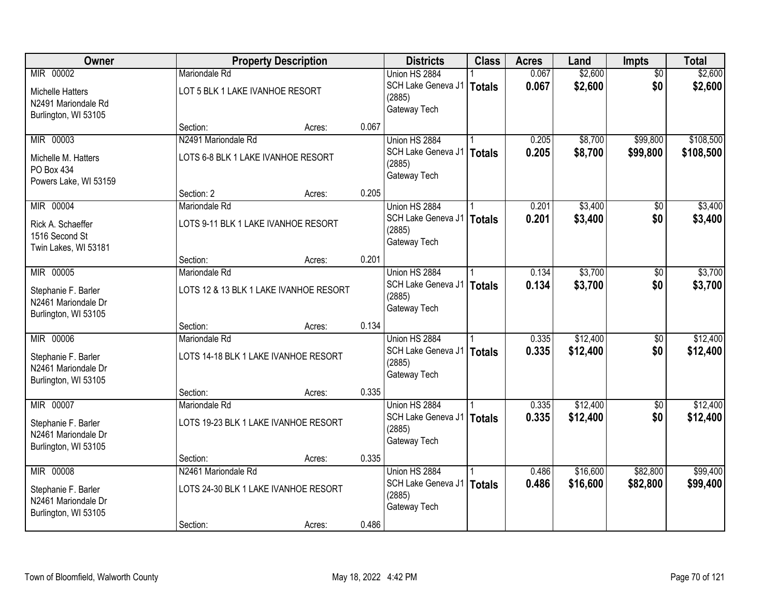| Owner                   |                                      | <b>Property Description</b>            |       |                              | <b>Class</b>  | <b>Acres</b> | Land     | Impts           | <b>Total</b> |
|-------------------------|--------------------------------------|----------------------------------------|-------|------------------------------|---------------|--------------|----------|-----------------|--------------|
| MIR 00002               | <b>Mariondale Rd</b>                 |                                        |       | Union HS 2884                |               | 0.067        | \$2,600  | $\overline{50}$ | \$2,600      |
| <b>Michelle Hatters</b> | LOT 5 BLK 1 LAKE IVANHOE RESORT      |                                        |       | SCH Lake Geneva J1           | <b>Totals</b> | 0.067        | \$2,600  | \$0             | \$2,600      |
| N2491 Mariondale Rd     |                                      |                                        |       | (2885)                       |               |              |          |                 |              |
| Burlington, WI 53105    |                                      |                                        |       | Gateway Tech                 |               |              |          |                 |              |
|                         | Section:                             | Acres:                                 | 0.067 |                              |               |              |          |                 |              |
| MIR 00003               | N2491 Mariondale Rd                  |                                        |       | Union HS 2884                |               | 0.205        | \$8,700  | \$99,800        | \$108,500    |
| Michelle M. Hatters     | LOTS 6-8 BLK 1 LAKE IVANHOE RESORT   |                                        |       | SCH Lake Geneva J1           | <b>Totals</b> | 0.205        | \$8,700  | \$99,800        | \$108,500    |
| PO Box 434              |                                      |                                        |       | (2885)                       |               |              |          |                 |              |
| Powers Lake, WI 53159   |                                      |                                        |       | Gateway Tech                 |               |              |          |                 |              |
|                         | Section: 2                           | Acres:                                 | 0.205 |                              |               |              |          |                 |              |
| MIR 00004               | Mariondale Rd                        |                                        |       | Union HS 2884                |               | 0.201        | \$3,400  | \$0             | \$3,400      |
| Rick A. Schaeffer       | LOTS 9-11 BLK 1 LAKE IVANHOE RESORT  |                                        |       | SCH Lake Geneva J1           | <b>Totals</b> | 0.201        | \$3,400  | \$0             | \$3,400      |
| 1516 Second St          |                                      |                                        |       | (2885)                       |               |              |          |                 |              |
| Twin Lakes, WI 53181    |                                      |                                        |       | Gateway Tech                 |               |              |          |                 |              |
|                         | Section:                             | Acres:                                 | 0.201 |                              |               |              |          |                 |              |
| MIR 00005               | Mariondale Rd                        |                                        |       | Union HS 2884                |               | 0.134        | \$3,700  | \$0             | \$3,700      |
| Stephanie F. Barler     |                                      | LOTS 12 & 13 BLK 1 LAKE IVANHOE RESORT |       | SCH Lake Geneva J1           | <b>Totals</b> | 0.134        | \$3,700  | \$0             | \$3,700      |
| N2461 Mariondale Dr     |                                      |                                        |       | (2885)<br>Gateway Tech       |               |              |          |                 |              |
| Burlington, WI 53105    |                                      |                                        |       |                              |               |              |          |                 |              |
|                         | Section:                             | Acres:                                 | 0.134 |                              |               |              |          |                 |              |
| MIR 00006               | Mariondale Rd                        |                                        |       | Union HS 2884                |               | 0.335        | \$12,400 | $\overline{50}$ | \$12,400     |
| Stephanie F. Barler     | LOTS 14-18 BLK 1 LAKE IVANHOE RESORT |                                        |       | SCH Lake Geneva J1           | <b>Totals</b> | 0.335        | \$12,400 | \$0             | \$12,400     |
| N2461 Mariondale Dr     |                                      |                                        |       | (2885)<br>Gateway Tech       |               |              |          |                 |              |
| Burlington, WI 53105    |                                      |                                        |       |                              |               |              |          |                 |              |
|                         | Section:                             | Acres:                                 | 0.335 |                              |               |              |          |                 |              |
| MIR 00007               | Mariondale Rd                        |                                        |       | Union HS 2884                |               | 0.335        | \$12,400 | $\overline{50}$ | \$12,400     |
| Stephanie F. Barler     | LOTS 19-23 BLK 1 LAKE IVANHOE RESORT |                                        |       | SCH Lake Geneva J1           | <b>Totals</b> | 0.335        | \$12,400 | \$0             | \$12,400     |
| N2461 Mariondale Dr     |                                      |                                        |       | (2885)<br>Gateway Tech       |               |              |          |                 |              |
| Burlington, WI 53105    |                                      |                                        |       |                              |               |              |          |                 |              |
|                         | Section:                             | Acres:                                 | 0.335 |                              |               |              |          |                 |              |
| MIR 00008               | N2461 Mariondale Rd                  |                                        |       | Union HS 2884                |               | 0.486        | \$16,600 | \$82,800        | \$99,400     |
| Stephanie F. Barler     | LOTS 24-30 BLK 1 LAKE IVANHOE RESORT |                                        |       | SCH Lake Geneva J1<br>(2885) | <b>Totals</b> | 0.486        | \$16,600 | \$82,800        | \$99,400     |
| N2461 Mariondale Dr     |                                      |                                        |       | Gateway Tech                 |               |              |          |                 |              |
| Burlington, WI 53105    |                                      |                                        |       |                              |               |              |          |                 |              |
|                         | Section:                             | Acres:                                 | 0.486 |                              |               |              |          |                 |              |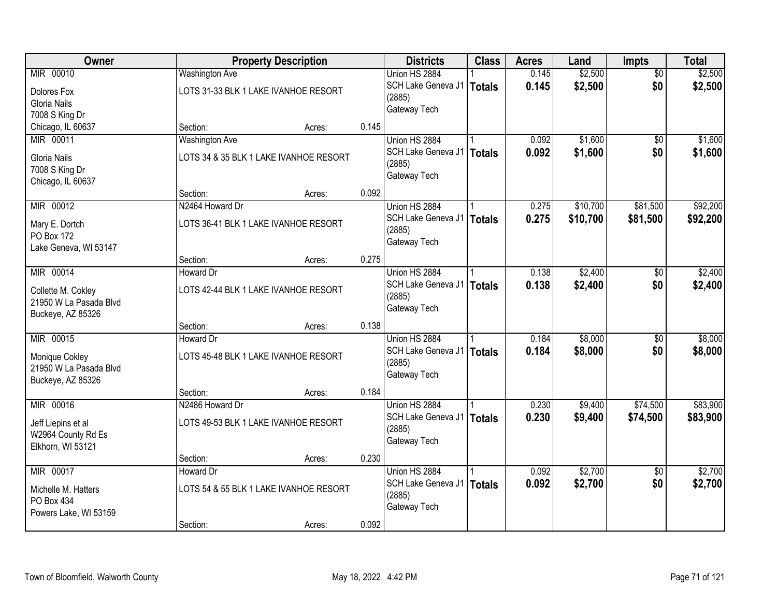| Owner                                       |                                        | <b>Property Description</b> |       |                        | <b>Class</b>  | <b>Acres</b> | Land     | Impts           | <b>Total</b> |
|---------------------------------------------|----------------------------------------|-----------------------------|-------|------------------------|---------------|--------------|----------|-----------------|--------------|
| MIR 00010                                   | <b>Washington Ave</b>                  |                             |       | Union HS 2884          |               | 0.145        | \$2,500  | $\overline{50}$ | \$2,500      |
| Dolores Fox                                 | LOTS 31-33 BLK 1 LAKE IVANHOE RESORT   |                             |       | SCH Lake Geneva J1     | <b>Totals</b> | 0.145        | \$2,500  | \$0             | \$2,500      |
| Gloria Nails                                |                                        |                             |       | (2885)                 |               |              |          |                 |              |
| 7008 S King Dr                              |                                        |                             |       | Gateway Tech           |               |              |          |                 |              |
| Chicago, IL 60637                           | Section:                               | Acres:                      | 0.145 |                        |               |              |          |                 |              |
| MIR 00011                                   | <b>Washington Ave</b>                  |                             |       | Union HS 2884          |               | 0.092        | \$1,600  | \$0             | \$1,600      |
| Gloria Nails                                | LOTS 34 & 35 BLK 1 LAKE IVANHOE RESORT |                             |       | SCH Lake Geneva J1     | <b>Totals</b> | 0.092        | \$1,600  | \$0             | \$1,600      |
| 7008 S King Dr                              |                                        |                             |       | (2885)                 |               |              |          |                 |              |
| Chicago, IL 60637                           |                                        |                             |       | Gateway Tech           |               |              |          |                 |              |
|                                             | Section:                               | Acres:                      | 0.092 |                        |               |              |          |                 |              |
| MIR 00012                                   | N2464 Howard Dr                        |                             |       | Union HS 2884          |               | 0.275        | \$10,700 | \$81,500        | \$92,200     |
|                                             | LOTS 36-41 BLK 1 LAKE IVANHOE RESORT   |                             |       | SCH Lake Geneva J1     | <b>Totals</b> | 0.275        | \$10,700 | \$81,500        | \$92,200     |
| Mary E. Dortch<br>PO Box 172                |                                        |                             |       | (2885)                 |               |              |          |                 |              |
| Lake Geneva, WI 53147                       |                                        |                             |       | Gateway Tech           |               |              |          |                 |              |
|                                             | Section:                               | Acres:                      | 0.275 |                        |               |              |          |                 |              |
| MIR 00014                                   | Howard Dr                              |                             |       | Union HS 2884          |               | 0.138        | \$2,400  | \$0             | \$2,400      |
|                                             |                                        |                             |       | SCH Lake Geneva J1     | <b>Totals</b> | 0.138        | \$2,400  | \$0             | \$2,400      |
| Collette M. Cokley                          | LOTS 42-44 BLK 1 LAKE IVANHOE RESORT   |                             |       | (2885)                 |               |              |          |                 |              |
| 21950 W La Pasada Blvd<br>Buckeye, AZ 85326 |                                        |                             |       | Gateway Tech           |               |              |          |                 |              |
|                                             | Section:                               | Acres:                      | 0.138 |                        |               |              |          |                 |              |
| MIR 00015                                   | Howard Dr                              |                             |       | Union HS 2884          |               | 0.184        | \$8,000  | $\overline{50}$ | \$8,000      |
|                                             |                                        |                             |       | SCH Lake Geneva J1     | <b>Totals</b> | 0.184        | \$8,000  | \$0             | \$8,000      |
| Monique Cokley                              | LOTS 45-48 BLK 1 LAKE IVANHOE RESORT   |                             |       | (2885)                 |               |              |          |                 |              |
| 21950 W La Pasada Blvd                      |                                        |                             |       | Gateway Tech           |               |              |          |                 |              |
| Buckeye, AZ 85326                           |                                        |                             |       |                        |               |              |          |                 |              |
| MIR 00016                                   | Section:<br>N2486 Howard Dr            | Acres:                      | 0.184 | Union HS 2884          |               | 0.230        | \$9,400  | \$74,500        | \$83,900     |
|                                             |                                        |                             |       | SCH Lake Geneva J1     | <b>Totals</b> | 0.230        | \$9,400  | \$74,500        | \$83,900     |
| Jeff Liepins et al                          | LOTS 49-53 BLK 1 LAKE IVANHOE RESORT   |                             |       | (2885)                 |               |              |          |                 |              |
| W2964 County Rd Es                          |                                        |                             |       | Gateway Tech           |               |              |          |                 |              |
| Elkhorn, WI 53121                           |                                        |                             |       |                        |               |              |          |                 |              |
|                                             | Section:                               | Acres:                      | 0.230 |                        |               |              |          |                 |              |
| MIR 00017                                   | <b>Howard Dr</b>                       |                             |       | Union HS 2884          |               | 0.092        | \$2,700  | $\overline{50}$ | \$2,700      |
| Michelle M. Hatters                         | LOTS 54 & 55 BLK 1 LAKE IVANHOE RESORT |                             |       | SCH Lake Geneva J1     | <b>Totals</b> | 0.092        | \$2,700  | \$0             | \$2,700      |
| PO Box 434                                  |                                        |                             |       | (2885)<br>Gateway Tech |               |              |          |                 |              |
| Powers Lake, WI 53159                       |                                        |                             |       |                        |               |              |          |                 |              |
|                                             | Section:                               | Acres:                      | 0.092 |                        |               |              |          |                 |              |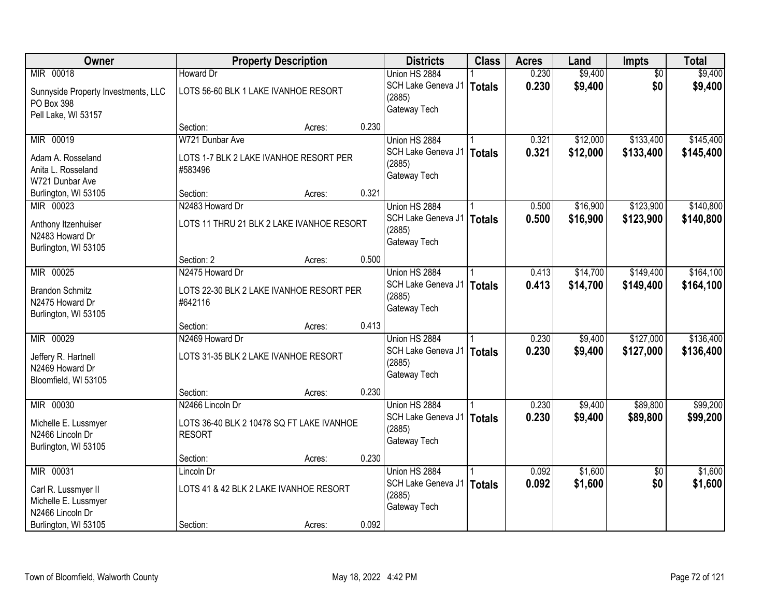| Owner                                       |                                           | <b>Property Description</b> |       | <b>Districts</b>   | <b>Class</b>  | <b>Acres</b> | Land     | <b>Impts</b>    | <b>Total</b> |
|---------------------------------------------|-------------------------------------------|-----------------------------|-------|--------------------|---------------|--------------|----------|-----------------|--------------|
| MIR 00018                                   | <b>Howard Dr</b>                          |                             |       | Union HS 2884      |               | 0.230        | \$9,400  | $\overline{50}$ | \$9,400      |
| Sunnyside Property Investments, LLC         | LOTS 56-60 BLK 1 LAKE IVANHOE RESORT      |                             |       | SCH Lake Geneva J1 | <b>Totals</b> | 0.230        | \$9,400  | \$0             | \$9,400      |
| PO Box 398                                  |                                           |                             |       | (2885)             |               |              |          |                 |              |
| Pell Lake, WI 53157                         |                                           |                             |       | Gateway Tech       |               |              |          |                 |              |
|                                             | Section:                                  | Acres:                      | 0.230 |                    |               |              |          |                 |              |
| MIR 00019                                   | W721 Dunbar Ave                           |                             |       | Union HS 2884      |               | 0.321        | \$12,000 | \$133,400       | \$145,400    |
| Adam A. Rosseland                           | LOTS 1-7 BLK 2 LAKE IVANHOE RESORT PER    |                             |       | SCH Lake Geneva J1 | <b>Totals</b> | 0.321        | \$12,000 | \$133,400       | \$145,400    |
| Anita L. Rosseland                          | #583496                                   |                             |       | (2885)             |               |              |          |                 |              |
| W721 Dunbar Ave                             |                                           |                             |       | Gateway Tech       |               |              |          |                 |              |
| Burlington, WI 53105                        | Section:                                  | Acres:                      | 0.321 |                    |               |              |          |                 |              |
| MIR 00023                                   | N2483 Howard Dr                           |                             |       | Union HS 2884      |               | 0.500        | \$16,900 | \$123,900       | \$140,800    |
| Anthony Itzenhuiser                         | LOTS 11 THRU 21 BLK 2 LAKE IVANHOE RESORT |                             |       | SCH Lake Geneva J1 | <b>Totals</b> | 0.500        | \$16,900 | \$123,900       | \$140,800    |
| N2483 Howard Dr                             |                                           |                             |       | (2885)             |               |              |          |                 |              |
| Burlington, WI 53105                        |                                           |                             |       | Gateway Tech       |               |              |          |                 |              |
|                                             | Section: 2                                | Acres:                      | 0.500 |                    |               |              |          |                 |              |
| MIR 00025                                   | N2475 Howard Dr                           |                             |       | Union HS 2884      |               | 0.413        | \$14,700 | \$149,400       | \$164,100    |
| <b>Brandon Schmitz</b>                      | LOTS 22-30 BLK 2 LAKE IVANHOE RESORT PER  |                             |       | SCH Lake Geneva J1 | <b>Totals</b> | 0.413        | \$14,700 | \$149,400       | \$164,100    |
| N2475 Howard Dr                             | #642116                                   |                             |       | (2885)             |               |              |          |                 |              |
| Burlington, WI 53105                        |                                           |                             |       | Gateway Tech       |               |              |          |                 |              |
|                                             | Section:                                  | Acres:                      | 0.413 |                    |               |              |          |                 |              |
| MIR 00029                                   | N2469 Howard Dr                           |                             |       | Union HS 2884      |               | 0.230        | \$9,400  | \$127,000       | \$136,400    |
| Jeffery R. Hartnell                         | LOTS 31-35 BLK 2 LAKE IVANHOE RESORT      |                             |       | SCH Lake Geneva J1 | <b>Totals</b> | 0.230        | \$9,400  | \$127,000       | \$136,400    |
| N2469 Howard Dr                             |                                           |                             |       | (2885)             |               |              |          |                 |              |
| Bloomfield, WI 53105                        |                                           |                             |       | Gateway Tech       |               |              |          |                 |              |
|                                             | Section:                                  | Acres:                      | 0.230 |                    |               |              |          |                 |              |
| MIR 00030                                   | N2466 Lincoln Dr                          |                             |       | Union HS 2884      |               | 0.230        | \$9,400  | \$89,800        | \$99,200     |
| Michelle E. Lussmyer                        | LOTS 36-40 BLK 2 10478 SQ FT LAKE IVANHOE |                             |       | SCH Lake Geneva J1 | <b>Totals</b> | 0.230        | \$9,400  | \$89,800        | \$99,200     |
| N2466 Lincoln Dr                            | <b>RESORT</b>                             |                             |       | (2885)             |               |              |          |                 |              |
| Burlington, WI 53105                        |                                           |                             |       | Gateway Tech       |               |              |          |                 |              |
|                                             | Section:                                  | Acres:                      | 0.230 |                    |               |              |          |                 |              |
| MIR 00031                                   | Lincoln Dr                                |                             |       | Union HS 2884      |               | 0.092        | \$1,600  | $\overline{30}$ | \$1,600      |
|                                             | LOTS 41 & 42 BLK 2 LAKE IVANHOE RESORT    |                             |       | SCH Lake Geneva J1 | <b>Totals</b> | 0.092        | \$1,600  | \$0             | \$1,600      |
| Carl R. Lussmyer II<br>Michelle E. Lussmyer |                                           |                             |       | (2885)             |               |              |          |                 |              |
| N2466 Lincoln Dr                            |                                           |                             |       | Gateway Tech       |               |              |          |                 |              |
| Burlington, WI 53105                        | Section:                                  | Acres:                      | 0.092 |                    |               |              |          |                 |              |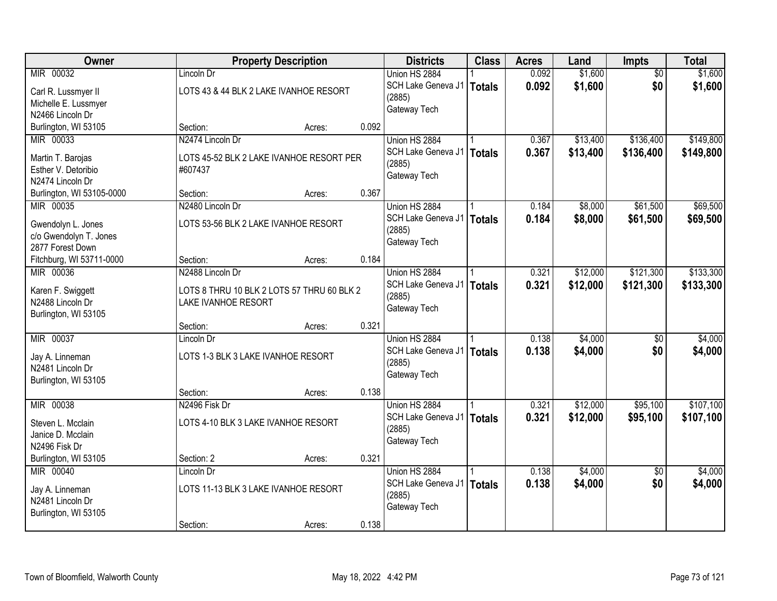| \$1,600<br>MIR 00032<br>Union HS 2884<br>0.092<br>\$1,600<br>Lincoln Dr<br>$\overline{50}$<br>\$1,600<br>\$0<br>SCH Lake Geneva J1<br>0.092<br>\$1,600<br>Totals<br>LOTS 43 & 44 BLK 2 LAKE IVANHOE RESORT<br>Carl R. Lussmyer II<br>(2885)<br>Michelle E. Lussmyer<br>Gateway Tech<br>N2466 Lincoln Dr<br>0.092<br>Burlington, WI 53105<br>Section:<br>Acres:<br>\$149,800<br>MIR 00033<br>N2474 Lincoln Dr<br>Union HS 2884<br>\$13,400<br>\$136,400<br>0.367 |
|-----------------------------------------------------------------------------------------------------------------------------------------------------------------------------------------------------------------------------------------------------------------------------------------------------------------------------------------------------------------------------------------------------------------------------------------------------------------|
|                                                                                                                                                                                                                                                                                                                                                                                                                                                                 |
|                                                                                                                                                                                                                                                                                                                                                                                                                                                                 |
|                                                                                                                                                                                                                                                                                                                                                                                                                                                                 |
|                                                                                                                                                                                                                                                                                                                                                                                                                                                                 |
|                                                                                                                                                                                                                                                                                                                                                                                                                                                                 |
|                                                                                                                                                                                                                                                                                                                                                                                                                                                                 |
| 0.367<br>SCH Lake Geneva J1<br>\$13,400<br>\$136,400<br>\$149,800<br>Totals                                                                                                                                                                                                                                                                                                                                                                                     |
| LOTS 45-52 BLK 2 LAKE IVANHOE RESORT PER<br>Martin T. Barojas<br>(2885)                                                                                                                                                                                                                                                                                                                                                                                         |
| Esther V. Detoribio<br>#607437<br>Gateway Tech<br>N2474 Lincoln Dr                                                                                                                                                                                                                                                                                                                                                                                              |
| 0.367<br>Section:<br>Acres:                                                                                                                                                                                                                                                                                                                                                                                                                                     |
| Burlington, WI 53105-0000<br>\$61,500<br>\$69,500<br>MIR 00035<br>N2480 Lincoln Dr<br>0.184<br>\$8,000<br>Union HS 2884                                                                                                                                                                                                                                                                                                                                         |
| SCH Lake Geneva J1                                                                                                                                                                                                                                                                                                                                                                                                                                              |
| 0.184<br>\$8,000<br>\$61,500<br>\$69,500<br><b>Totals</b><br>LOTS 53-56 BLK 2 LAKE IVANHOE RESORT<br>Gwendolyn L. Jones<br>(2885)                                                                                                                                                                                                                                                                                                                               |
| c/o Gwendolyn T. Jones<br>Gateway Tech                                                                                                                                                                                                                                                                                                                                                                                                                          |
| 2877 Forest Down                                                                                                                                                                                                                                                                                                                                                                                                                                                |
| 0.184<br>Fitchburg, WI 53711-0000<br>Section:<br>Acres:                                                                                                                                                                                                                                                                                                                                                                                                         |
| \$121,300<br>\$133,300<br>MIR 00036<br>N2488 Lincoln Dr<br>Union HS 2884<br>\$12,000<br>0.321                                                                                                                                                                                                                                                                                                                                                                   |
| SCH Lake Geneva J1<br>0.321<br>\$12,000<br>\$121,300<br>\$133,300<br>Totals<br>Karen F. Swiggett<br>LOTS 8 THRU 10 BLK 2 LOTS 57 THRU 60 BLK 2                                                                                                                                                                                                                                                                                                                  |
| (2885)<br>N2488 Lincoln Dr<br><b>LAKE IVANHOE RESORT</b>                                                                                                                                                                                                                                                                                                                                                                                                        |
| Gateway Tech<br>Burlington, WI 53105                                                                                                                                                                                                                                                                                                                                                                                                                            |
| 0.321<br>Section:<br>Acres:                                                                                                                                                                                                                                                                                                                                                                                                                                     |
| MIR 00037<br>0.138<br>\$4,000<br>\$4,000<br>Lincoln Dr<br>Union HS 2884<br>\$0                                                                                                                                                                                                                                                                                                                                                                                  |
| 0.138<br>\$4,000<br>\$0<br>\$4,000<br>SCH Lake Geneva J1<br>Totals                                                                                                                                                                                                                                                                                                                                                                                              |
| Jay A. Linneman<br>LOTS 1-3 BLK 3 LAKE IVANHOE RESORT<br>(2885)                                                                                                                                                                                                                                                                                                                                                                                                 |
| N2481 Lincoln Dr<br>Gateway Tech                                                                                                                                                                                                                                                                                                                                                                                                                                |
| Burlington, WI 53105                                                                                                                                                                                                                                                                                                                                                                                                                                            |
| 0.138<br>Section:<br>Acres:                                                                                                                                                                                                                                                                                                                                                                                                                                     |
| \$12,000<br>\$107,100<br>MIR 00038<br>N2496 Fisk Dr<br>0.321<br>\$95,100<br>Union HS 2884                                                                                                                                                                                                                                                                                                                                                                       |
| SCH Lake Geneva J1   Totals<br>0.321<br>\$12,000<br>\$95,100<br>\$107,100<br>LOTS 4-10 BLK 3 LAKE IVANHOE RESORT<br>Steven L. Mcclain                                                                                                                                                                                                                                                                                                                           |
| (2885)<br>Janice D. Mcclain                                                                                                                                                                                                                                                                                                                                                                                                                                     |
| Gateway Tech<br>N2496 Fisk Dr                                                                                                                                                                                                                                                                                                                                                                                                                                   |
| 0.321<br>Burlington, WI 53105<br>Section: 2<br>Acres:                                                                                                                                                                                                                                                                                                                                                                                                           |
| MIR 00040<br>Union HS 2884<br>\$4,000<br>\$4,000<br>0.138<br>Lincoln Dr<br>$\overline{50}$                                                                                                                                                                                                                                                                                                                                                                      |
| 0.138<br>\$0<br>\$4,000<br>SCH Lake Geneva J1   Totals<br>\$4,000<br>LOTS 11-13 BLK 3 LAKE IVANHOE RESORT                                                                                                                                                                                                                                                                                                                                                       |
| Jay A. Linneman<br>(2885)<br>N2481 Lincoln Dr                                                                                                                                                                                                                                                                                                                                                                                                                   |
| Gateway Tech<br>Burlington, WI 53105                                                                                                                                                                                                                                                                                                                                                                                                                            |
| 0.138<br>Section:<br>Acres:                                                                                                                                                                                                                                                                                                                                                                                                                                     |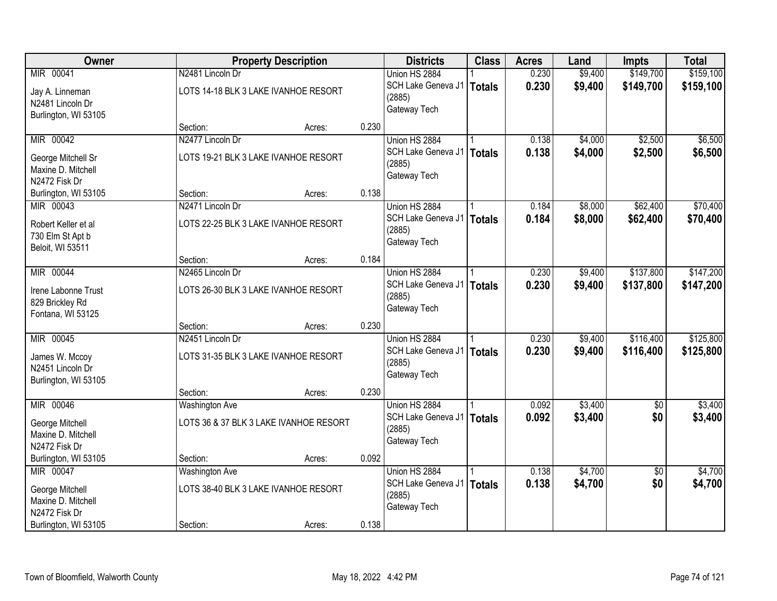| Owner                |                                        | <b>Property Description</b> |       | <b>Districts</b>   | <b>Class</b>  | <b>Acres</b> | Land    | <b>Impts</b>    | <b>Total</b> |
|----------------------|----------------------------------------|-----------------------------|-------|--------------------|---------------|--------------|---------|-----------------|--------------|
| MIR 00041            | N2481 Lincoln Dr                       |                             |       | Union HS 2884      |               | 0.230        | \$9,400 | \$149,700       | \$159,100    |
| Jay A. Linneman      | LOTS 14-18 BLK 3 LAKE IVANHOE RESORT   |                             |       | SCH Lake Geneva J1 | <b>Totals</b> | 0.230        | \$9,400 | \$149,700       | \$159,100    |
| N2481 Lincoln Dr     |                                        |                             |       | (2885)             |               |              |         |                 |              |
| Burlington, WI 53105 |                                        |                             |       | Gateway Tech       |               |              |         |                 |              |
|                      | Section:                               | Acres:                      | 0.230 |                    |               |              |         |                 |              |
| MIR 00042            | N2477 Lincoln Dr                       |                             |       | Union HS 2884      |               | 0.138        | \$4,000 | \$2,500         | \$6,500      |
| George Mitchell Sr   | LOTS 19-21 BLK 3 LAKE IVANHOE RESORT   |                             |       | SCH Lake Geneva J1 | <b>Totals</b> | 0.138        | \$4,000 | \$2,500         | \$6,500      |
| Maxine D. Mitchell   |                                        |                             |       | (2885)             |               |              |         |                 |              |
| N2472 Fisk Dr        |                                        |                             |       | Gateway Tech       |               |              |         |                 |              |
| Burlington, WI 53105 | Section:                               | Acres:                      | 0.138 |                    |               |              |         |                 |              |
| MIR 00043            | N2471 Lincoln Dr                       |                             |       | Union HS 2884      |               | 0.184        | \$8,000 | \$62,400        | \$70,400     |
| Robert Keller et al  | LOTS 22-25 BLK 3 LAKE IVANHOE RESORT   |                             |       | SCH Lake Geneva J1 | <b>Totals</b> | 0.184        | \$8,000 | \$62,400        | \$70,400     |
| 730 Elm St Apt b     |                                        |                             |       | (2885)             |               |              |         |                 |              |
| Beloit, WI 53511     |                                        |                             |       | Gateway Tech       |               |              |         |                 |              |
|                      | Section:                               | Acres:                      | 0.184 |                    |               |              |         |                 |              |
| MIR 00044            | N2465 Lincoln Dr                       |                             |       | Union HS 2884      |               | 0.230        | \$9,400 | \$137,800       | \$147,200    |
| Irene Labonne Trust  | LOTS 26-30 BLK 3 LAKE IVANHOE RESORT   |                             |       | SCH Lake Geneva J1 | <b>Totals</b> | 0.230        | \$9,400 | \$137,800       | \$147,200    |
| 829 Brickley Rd      |                                        |                             |       | (2885)             |               |              |         |                 |              |
| Fontana, WI 53125    |                                        |                             |       | Gateway Tech       |               |              |         |                 |              |
|                      | Section:                               | Acres:                      | 0.230 |                    |               |              |         |                 |              |
| MIR 00045            | N2451 Lincoln Dr                       |                             |       | Union HS 2884      |               | 0.230        | \$9,400 | \$116,400       | \$125,800    |
| James W. Mccoy       | LOTS 31-35 BLK 3 LAKE IVANHOE RESORT   |                             |       | SCH Lake Geneva J1 | <b>Totals</b> | 0.230        | \$9,400 | \$116,400       | \$125,800    |
| N2451 Lincoln Dr     |                                        |                             |       | (2885)             |               |              |         |                 |              |
| Burlington, WI 53105 |                                        |                             |       | Gateway Tech       |               |              |         |                 |              |
|                      | Section:                               | Acres:                      | 0.230 |                    |               |              |         |                 |              |
| MIR 00046            | <b>Washington Ave</b>                  |                             |       | Union HS 2884      |               | 0.092        | \$3,400 | $\sqrt{6}$      | \$3,400      |
| George Mitchell      | LOTS 36 & 37 BLK 3 LAKE IVANHOE RESORT |                             |       | SCH Lake Geneva J1 | <b>Totals</b> | 0.092        | \$3,400 | \$0             | \$3,400      |
| Maxine D. Mitchell   |                                        |                             |       | (2885)             |               |              |         |                 |              |
| N2472 Fisk Dr        |                                        |                             |       | Gateway Tech       |               |              |         |                 |              |
| Burlington, WI 53105 | Section:                               | Acres:                      | 0.092 |                    |               |              |         |                 |              |
| MIR 00047            | <b>Washington Ave</b>                  |                             |       | Union HS 2884      |               | 0.138        | \$4,700 | $\overline{30}$ | \$4,700      |
| George Mitchell      | LOTS 38-40 BLK 3 LAKE IVANHOE RESORT   |                             |       | SCH Lake Geneva J1 | <b>Totals</b> | 0.138        | \$4,700 | \$0             | \$4,700      |
| Maxine D. Mitchell   |                                        |                             |       | (2885)             |               |              |         |                 |              |
| N2472 Fisk Dr        |                                        |                             |       | Gateway Tech       |               |              |         |                 |              |
| Burlington, WI 53105 | Section:                               | Acres:                      | 0.138 |                    |               |              |         |                 |              |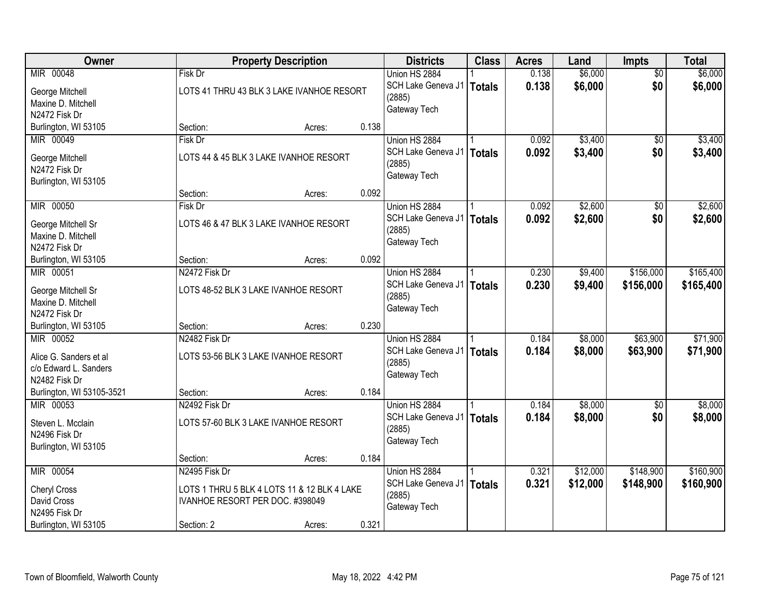| Owner                                    |                                      | <b>Property Description</b>                 |       | <b>Districts</b>             | <b>Class</b>  | <b>Acres</b> | Land     | <b>Impts</b>    | <b>Total</b> |
|------------------------------------------|--------------------------------------|---------------------------------------------|-------|------------------------------|---------------|--------------|----------|-----------------|--------------|
| MIR 00048                                | Fisk Dr                              |                                             |       | Union HS 2884                |               | 0.138        | \$6,000  | $\overline{50}$ | \$6,000      |
| George Mitchell                          |                                      | LOTS 41 THRU 43 BLK 3 LAKE IVANHOE RESORT   |       | SCH Lake Geneva J1           | Totals        | 0.138        | \$6,000  | \$0             | \$6,000      |
| Maxine D. Mitchell                       |                                      |                                             |       | (2885)                       |               |              |          |                 |              |
| N2472 Fisk Dr                            |                                      |                                             |       | Gateway Tech                 |               |              |          |                 |              |
| Burlington, WI 53105                     | Section:                             | Acres:                                      | 0.138 |                              |               |              |          |                 |              |
| MIR 00049                                | Fisk Dr                              |                                             |       | Union HS 2884                |               | 0.092        | \$3,400  | \$0             | \$3,400      |
| George Mitchell                          |                                      | LOTS 44 & 45 BLK 3 LAKE IVANHOE RESORT      |       | SCH Lake Geneva J1           | <b>Totals</b> | 0.092        | \$3,400  | \$0             | \$3,400      |
| N2472 Fisk Dr                            |                                      |                                             |       | (2885)                       |               |              |          |                 |              |
| Burlington, WI 53105                     |                                      |                                             |       | Gateway Tech                 |               |              |          |                 |              |
|                                          | Section:                             | Acres:                                      | 0.092 |                              |               |              |          |                 |              |
| MIR 00050                                | Fisk Dr                              |                                             |       | Union HS 2884                |               | 0.092        | \$2,600  | \$0             | \$2,600      |
|                                          |                                      | LOTS 46 & 47 BLK 3 LAKE IVANHOE RESORT      |       | SCH Lake Geneva J1           | <b>Totals</b> | 0.092        | \$2,600  | \$0             | \$2,600      |
| George Mitchell Sr<br>Maxine D. Mitchell |                                      |                                             |       | (2885)                       |               |              |          |                 |              |
| N2472 Fisk Dr                            |                                      |                                             |       | Gateway Tech                 |               |              |          |                 |              |
| Burlington, WI 53105                     | Section:                             | Acres:                                      | 0.092 |                              |               |              |          |                 |              |
| MIR 00051                                | N2472 Fisk Dr                        |                                             |       | Union HS 2884                |               | 0.230        | \$9,400  | \$156,000       | \$165,400    |
|                                          |                                      |                                             |       | SCH Lake Geneva J1           | <b>Totals</b> | 0.230        | \$9,400  | \$156,000       | \$165,400    |
| George Mitchell Sr<br>Maxine D. Mitchell | LOTS 48-52 BLK 3 LAKE IVANHOE RESORT |                                             |       | (2885)                       |               |              |          |                 |              |
| N2472 Fisk Dr                            |                                      |                                             |       | Gateway Tech                 |               |              |          |                 |              |
| Burlington, WI 53105                     | Section:                             | Acres:                                      | 0.230 |                              |               |              |          |                 |              |
| MIR 00052                                | N2482 Fisk Dr                        |                                             |       | Union HS 2884                |               | 0.184        | \$8,000  | \$63,900        | \$71,900     |
|                                          |                                      |                                             |       | SCH Lake Geneva J1           | Totals        | 0.184        | \$8,000  | \$63,900        | \$71,900     |
| Alice G. Sanders et al                   | LOTS 53-56 BLK 3 LAKE IVANHOE RESORT |                                             |       | (2885)                       |               |              |          |                 |              |
| c/o Edward L. Sanders                    |                                      |                                             |       | Gateway Tech                 |               |              |          |                 |              |
| N2482 Fisk Dr                            | Section:                             |                                             | 0.184 |                              |               |              |          |                 |              |
| Burlington, WI 53105-3521<br>MIR 00053   | N2492 Fisk Dr                        | Acres:                                      |       | Union HS 2884                |               | 0.184        | \$8,000  | $\overline{50}$ | \$8,000      |
|                                          |                                      |                                             |       | SCH Lake Geneva J1           | Totals        | 0.184        | \$8,000  | \$0             | \$8,000      |
| Steven L. Mcclain                        | LOTS 57-60 BLK 3 LAKE IVANHOE RESORT |                                             |       | (2885)                       |               |              |          |                 |              |
| N2496 Fisk Dr                            |                                      |                                             |       | Gateway Tech                 |               |              |          |                 |              |
| Burlington, WI 53105                     |                                      |                                             |       |                              |               |              |          |                 |              |
|                                          | Section:                             | Acres:                                      | 0.184 |                              |               |              |          |                 |              |
| MIR 00054                                | N2495 Fisk Dr                        |                                             |       | Union HS 2884                |               | 0.321        | \$12,000 | \$148,900       | \$160,900    |
| <b>Cheryl Cross</b>                      |                                      | LOTS 1 THRU 5 BLK 4 LOTS 11 & 12 BLK 4 LAKE |       | SCH Lake Geneva J1<br>(2885) | Totals        | 0.321        | \$12,000 | \$148,900       | \$160,900    |
| David Cross                              | IVANHOE RESORT PER DOC. #398049      |                                             |       | Gateway Tech                 |               |              |          |                 |              |
| N2495 Fisk Dr                            |                                      |                                             |       |                              |               |              |          |                 |              |
| Burlington, WI 53105                     | Section: 2                           | Acres:                                      | 0.321 |                              |               |              |          |                 |              |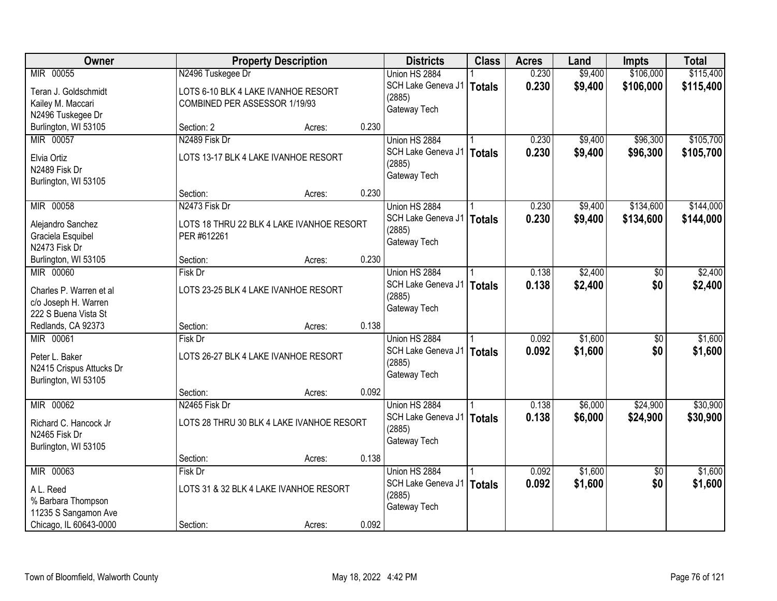| Owner                    |                                     | <b>Property Description</b>               |       | <b>Districts</b>            | <b>Class</b>  | <b>Acres</b> | Land    | <b>Impts</b>    | <b>Total</b> |
|--------------------------|-------------------------------------|-------------------------------------------|-------|-----------------------------|---------------|--------------|---------|-----------------|--------------|
| MIR 00055                | N2496 Tuskegee Dr                   |                                           |       | Union HS 2884               |               | 0.230        | \$9,400 | \$106,000       | \$115,400    |
| Teran J. Goldschmidt     | LOTS 6-10 BLK 4 LAKE IVANHOE RESORT |                                           |       | SCH Lake Geneva J1   Totals |               | 0.230        | \$9,400 | \$106,000       | \$115,400    |
| Kailey M. Maccari        | COMBINED PER ASSESSOR 1/19/93       |                                           |       | (2885)                      |               |              |         |                 |              |
| N2496 Tuskegee Dr        |                                     |                                           |       | Gateway Tech                |               |              |         |                 |              |
| Burlington, WI 53105     | Section: 2                          | Acres:                                    | 0.230 |                             |               |              |         |                 |              |
| MIR 00057                | N2489 Fisk Dr                       |                                           |       | Union HS 2884               |               | 0.230        | \$9,400 | \$96,300        | \$105,700    |
| Elvia Ortiz              |                                     | LOTS 13-17 BLK 4 LAKE IVANHOE RESORT      |       | SCH Lake Geneva J1          | <b>Totals</b> | 0.230        | \$9,400 | \$96,300        | \$105,700    |
| N2489 Fisk Dr            |                                     |                                           |       | (2885)                      |               |              |         |                 |              |
| Burlington, WI 53105     |                                     |                                           |       | Gateway Tech                |               |              |         |                 |              |
|                          | Section:                            | Acres:                                    | 0.230 |                             |               |              |         |                 |              |
| MIR 00058                | N2473 Fisk Dr                       |                                           |       | Union HS 2884               |               | 0.230        | \$9,400 | \$134,600       | \$144,000    |
| Alejandro Sanchez        |                                     | LOTS 18 THRU 22 BLK 4 LAKE IVANHOE RESORT |       | SCH Lake Geneva J1          | <b>Totals</b> | 0.230        | \$9,400 | \$134,600       | \$144,000    |
| Graciela Esquibel        | PER #612261                         |                                           |       | (2885)                      |               |              |         |                 |              |
| N2473 Fisk Dr            |                                     |                                           |       | Gateway Tech                |               |              |         |                 |              |
| Burlington, WI 53105     | Section:                            | Acres:                                    | 0.230 |                             |               |              |         |                 |              |
| MIR 00060                | Fisk Dr                             |                                           |       | Union HS 2884               |               | 0.138        | \$2,400 | \$0             | \$2,400      |
| Charles P. Warren et al  |                                     | LOTS 23-25 BLK 4 LAKE IVANHOE RESORT      |       | SCH Lake Geneva J1          | <b>Totals</b> | 0.138        | \$2,400 | \$0             | \$2,400      |
| c/o Joseph H. Warren     |                                     |                                           |       | (2885)                      |               |              |         |                 |              |
| 222 S Buena Vista St     |                                     |                                           |       | Gateway Tech                |               |              |         |                 |              |
| Redlands, CA 92373       | Section:                            | Acres:                                    | 0.138 |                             |               |              |         |                 |              |
| MIR 00061                | <b>Fisk Dr</b>                      |                                           |       | Union HS 2884               |               | 0.092        | \$1,600 | \$0             | \$1,600      |
| Peter L. Baker           |                                     | LOTS 26-27 BLK 4 LAKE IVANHOE RESORT      |       | SCH Lake Geneva J1   Totals |               | 0.092        | \$1,600 | \$0             | \$1,600      |
| N2415 Crispus Attucks Dr |                                     |                                           |       | (2885)                      |               |              |         |                 |              |
| Burlington, WI 53105     |                                     |                                           |       | Gateway Tech                |               |              |         |                 |              |
|                          | Section:                            | Acres:                                    | 0.092 |                             |               |              |         |                 |              |
| MIR 00062                | N2465 Fisk Dr                       |                                           |       | Union HS 2884               |               | 0.138        | \$6,000 | \$24,900        | \$30,900     |
| Richard C. Hancock Jr    |                                     | LOTS 28 THRU 30 BLK 4 LAKE IVANHOE RESORT |       | SCH Lake Geneva J1          | Totals        | 0.138        | \$6,000 | \$24,900        | \$30,900     |
| N2465 Fisk Dr            |                                     |                                           |       | (2885)                      |               |              |         |                 |              |
| Burlington, WI 53105     |                                     |                                           |       | Gateway Tech                |               |              |         |                 |              |
|                          | Section:                            | Acres:                                    | 0.138 |                             |               |              |         |                 |              |
| MIR 00063                | Fisk Dr                             |                                           |       | Union HS 2884               |               | 0.092        | \$1,600 | $\overline{30}$ | \$1,600      |
| A L. Reed                |                                     | LOTS 31 & 32 BLK 4 LAKE IVANHOE RESORT    |       | SCH Lake Geneva J1          | Totals        | 0.092        | \$1,600 | \$0             | \$1,600      |
| % Barbara Thompson       |                                     |                                           |       | (2885)                      |               |              |         |                 |              |
| 11235 S Sangamon Ave     |                                     |                                           |       | Gateway Tech                |               |              |         |                 |              |
| Chicago, IL 60643-0000   | Section:                            | Acres:                                    | 0.092 |                             |               |              |         |                 |              |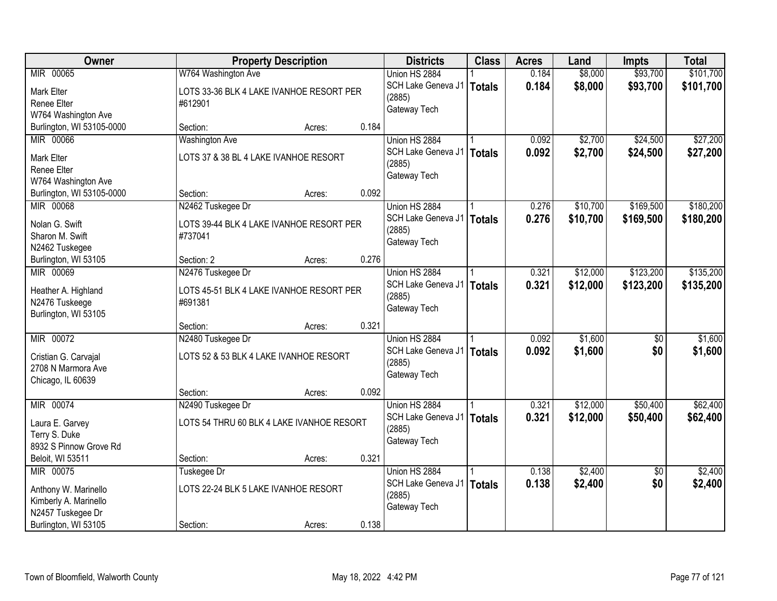| Owner                                  | <b>Property Description</b>                         |       | <b>Districts</b>   | <b>Class</b>  | <b>Acres</b> | Land     | <b>Impts</b>    | <b>Total</b> |
|----------------------------------------|-----------------------------------------------------|-------|--------------------|---------------|--------------|----------|-----------------|--------------|
| MIR 00065                              | W764 Washington Ave                                 |       | Union HS 2884      |               | 0.184        | \$8,000  | \$93,700        | \$101,700    |
| Mark Elter                             | LOTS 33-36 BLK 4 LAKE IVANHOE RESORT PER            |       | SCH Lake Geneva J1 | <b>Totals</b> | 0.184        | \$8,000  | \$93,700        | \$101,700    |
| Renee Elter                            | #612901                                             |       | (2885)             |               |              |          |                 |              |
| W764 Washington Ave                    |                                                     |       | Gateway Tech       |               |              |          |                 |              |
| Burlington, WI 53105-0000              | Section:<br>Acres:                                  | 0.184 |                    |               |              |          |                 |              |
| MIR 00066                              | <b>Washington Ave</b>                               |       | Union HS 2884      |               | 0.092        | \$2,700  | \$24,500        | \$27,200     |
| <b>Mark Elter</b>                      | LOTS 37 & 38 BL 4 LAKE IVANHOE RESORT               |       | SCH Lake Geneva J1 | <b>Totals</b> | 0.092        | \$2,700  | \$24,500        | \$27,200     |
| Renee Elter                            |                                                     |       | (2885)             |               |              |          |                 |              |
| W764 Washington Ave                    |                                                     |       | Gateway Tech       |               |              |          |                 |              |
| Burlington, WI 53105-0000              | Section:<br>Acres:                                  | 0.092 |                    |               |              |          |                 |              |
| MIR 00068                              | N2462 Tuskegee Dr                                   |       | Union HS 2884      |               | 0.276        | \$10,700 | \$169,500       | \$180,200    |
| Nolan G. Swift                         | LOTS 39-44 BLK 4 LAKE IVANHOE RESORT PER            |       | SCH Lake Geneva J1 | <b>Totals</b> | 0.276        | \$10,700 | \$169,500       | \$180,200    |
| Sharon M. Swift                        | #737041                                             |       | (2885)             |               |              |          |                 |              |
| N2462 Tuskegee                         |                                                     |       | Gateway Tech       |               |              |          |                 |              |
| Burlington, WI 53105                   | Section: 2<br>Acres:                                | 0.276 |                    |               |              |          |                 |              |
| MIR 00069                              | N2476 Tuskegee Dr                                   |       | Union HS 2884      |               | 0.321        | \$12,000 | \$123,200       | \$135,200    |
|                                        |                                                     |       | SCH Lake Geneva J1 | <b>Totals</b> | 0.321        | \$12,000 | \$123,200       | \$135,200    |
| Heather A. Highland                    | LOTS 45-51 BLK 4 LAKE IVANHOE RESORT PER<br>#691381 |       | (2885)             |               |              |          |                 |              |
| N2476 Tuskeege<br>Burlington, WI 53105 |                                                     |       | Gateway Tech       |               |              |          |                 |              |
|                                        | Section:<br>Acres:                                  | 0.321 |                    |               |              |          |                 |              |
| MIR 00072                              | N2480 Tuskegee Dr                                   |       | Union HS 2884      |               | 0.092        | \$1,600  | \$0             | \$1,600      |
|                                        |                                                     |       | SCH Lake Geneva J1 | <b>Totals</b> | 0.092        | \$1,600  | \$0             | \$1,600      |
| Cristian G. Carvajal                   | LOTS 52 & 53 BLK 4 LAKE IVANHOE RESORT              |       | (2885)             |               |              |          |                 |              |
| 2708 N Marmora Ave                     |                                                     |       | Gateway Tech       |               |              |          |                 |              |
| Chicago, IL 60639                      | Section:                                            | 0.092 |                    |               |              |          |                 |              |
| MIR 00074                              | Acres:<br>N2490 Tuskegee Dr                         |       | Union HS 2884      |               | 0.321        | \$12,000 | \$50,400        | \$62,400     |
|                                        |                                                     |       | SCH Lake Geneva J1 | <b>Totals</b> | 0.321        | \$12,000 | \$50,400        | \$62,400     |
| Laura E. Garvey                        | LOTS 54 THRU 60 BLK 4 LAKE IVANHOE RESORT           |       | (2885)             |               |              |          |                 |              |
| Terry S. Duke                          |                                                     |       | Gateway Tech       |               |              |          |                 |              |
| 8932 S Pinnow Grove Rd                 |                                                     |       |                    |               |              |          |                 |              |
| Beloit, WI 53511<br>MIR 00075          | Section:<br>Acres:                                  | 0.321 | Union HS 2884      |               | 0.138        | \$2,400  | $\overline{50}$ | \$2,400      |
|                                        | Tuskegee Dr                                         |       | SCH Lake Geneva J1 |               | 0.138        |          | \$0             |              |
| Anthony W. Marinello                   | LOTS 22-24 BLK 5 LAKE IVANHOE RESORT                |       | (2885)             | <b>Totals</b> |              | \$2,400  |                 | \$2,400      |
| Kimberly A. Marinello                  |                                                     |       | Gateway Tech       |               |              |          |                 |              |
| N2457 Tuskegee Dr                      |                                                     |       |                    |               |              |          |                 |              |
| Burlington, WI 53105                   | Section:<br>Acres:                                  | 0.138 |                    |               |              |          |                 |              |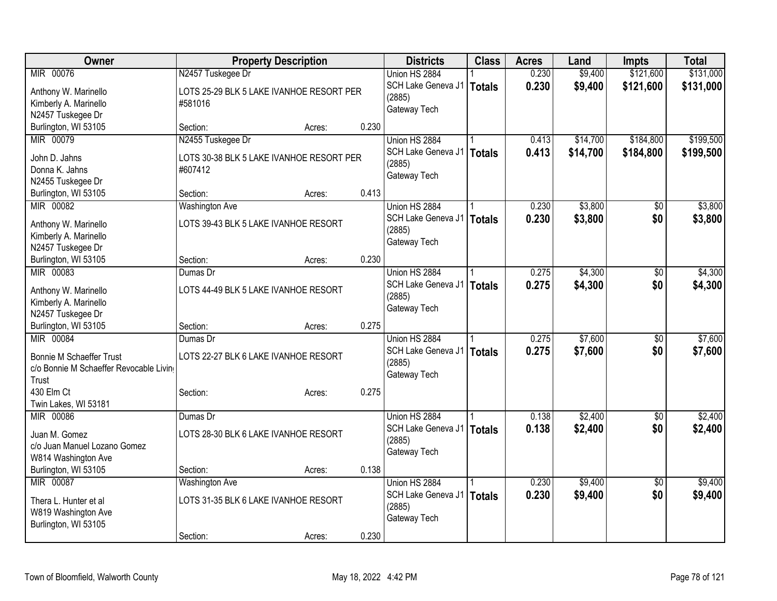| Owner                                      | <b>Property Description</b>              |        |       | <b>Districts</b>   | <b>Class</b>  | <b>Acres</b> | Land     | <b>Impts</b>    | <b>Total</b> |
|--------------------------------------------|------------------------------------------|--------|-------|--------------------|---------------|--------------|----------|-----------------|--------------|
| MIR 00076                                  | N2457 Tuskegee Dr                        |        |       | Union HS 2884      |               | 0.230        | \$9,400  | \$121,600       | \$131,000    |
| Anthony W. Marinello                       | LOTS 25-29 BLK 5 LAKE IVANHOE RESORT PER |        |       | SCH Lake Geneva J1 | Totals        | 0.230        | \$9,400  | \$121,600       | \$131,000    |
| Kimberly A. Marinello                      | #581016                                  |        |       | (2885)             |               |              |          |                 |              |
| N2457 Tuskegee Dr                          |                                          |        |       | Gateway Tech       |               |              |          |                 |              |
| Burlington, WI 53105                       | Section:                                 | Acres: | 0.230 |                    |               |              |          |                 |              |
| MIR 00079                                  | N2455 Tuskegee Dr                        |        |       | Union HS 2884      |               | 0.413        | \$14,700 | \$184,800       | \$199,500    |
|                                            |                                          |        |       | SCH Lake Geneva J1 | Totals        | 0.413        | \$14,700 | \$184,800       | \$199,500    |
| John D. Jahns                              | LOTS 30-38 BLK 5 LAKE IVANHOE RESORT PER |        |       | (2885)             |               |              |          |                 |              |
| Donna K. Jahns                             | #607412                                  |        |       | Gateway Tech       |               |              |          |                 |              |
| N2455 Tuskegee Dr                          | Section:                                 |        | 0.413 |                    |               |              |          |                 |              |
| Burlington, WI 53105<br>MIR 00082          |                                          | Acres: |       |                    |               |              |          |                 |              |
|                                            | <b>Washington Ave</b>                    |        |       | Union HS 2884      |               | 0.230        | \$3,800  | \$0             | \$3,800      |
| Anthony W. Marinello                       | LOTS 39-43 BLK 5 LAKE IVANHOE RESORT     |        |       | SCH Lake Geneva J1 | Totals        | 0.230        | \$3,800  | \$0             | \$3,800      |
| Kimberly A. Marinello                      |                                          |        |       | (2885)             |               |              |          |                 |              |
| N2457 Tuskegee Dr                          |                                          |        |       | Gateway Tech       |               |              |          |                 |              |
| Burlington, WI 53105                       | Section:                                 | Acres: | 0.230 |                    |               |              |          |                 |              |
| MIR 00083                                  | Dumas Dr                                 |        |       | Union HS 2884      |               | 0.275        | \$4,300  | \$0             | \$4,300      |
|                                            |                                          |        |       | SCH Lake Geneva J1 | Totals        | 0.275        | \$4,300  | \$0             | \$4,300      |
| Anthony W. Marinello                       | LOTS 44-49 BLK 5 LAKE IVANHOE RESORT     |        |       | (2885)             |               |              |          |                 |              |
| Kimberly A. Marinello<br>N2457 Tuskegee Dr |                                          |        |       | Gateway Tech       |               |              |          |                 |              |
| Burlington, WI 53105                       | Section:                                 |        | 0.275 |                    |               |              |          |                 |              |
| MIR 00084                                  | Dumas Dr                                 | Acres: |       | Union HS 2884      |               | 0.275        | \$7,600  | \$0             | \$7,600      |
|                                            |                                          |        |       | SCH Lake Geneva J1 |               |              |          |                 |              |
| <b>Bonnie M Schaeffer Trust</b>            | LOTS 22-27 BLK 6 LAKE IVANHOE RESORT     |        |       | (2885)             | <b>Totals</b> | 0.275        | \$7,600  | \$0             | \$7,600      |
| c/o Bonnie M Schaeffer Revocable Livin     |                                          |        |       | Gateway Tech       |               |              |          |                 |              |
| Trust                                      |                                          |        |       |                    |               |              |          |                 |              |
| 430 Elm Ct                                 | Section:                                 | Acres: | 0.275 |                    |               |              |          |                 |              |
| Twin Lakes, WI 53181                       |                                          |        |       |                    |               |              |          |                 |              |
| MIR 00086                                  | Dumas Dr                                 |        |       | Union HS 2884      |               | 0.138        | \$2,400  | $\sqrt{6}$      | \$2,400      |
| Juan M. Gomez                              | LOTS 28-30 BLK 6 LAKE IVANHOE RESORT     |        |       | SCH Lake Geneva J1 | Totals        | 0.138        | \$2,400  | \$0             | \$2,400      |
| c/o Juan Manuel Lozano Gomez               |                                          |        |       | (2885)             |               |              |          |                 |              |
| W814 Washington Ave                        |                                          |        |       | Gateway Tech       |               |              |          |                 |              |
| Burlington, WI 53105                       | Section:                                 | Acres: | 0.138 |                    |               |              |          |                 |              |
| MIR 00087                                  | <b>Washington Ave</b>                    |        |       | Union HS 2884      |               | 0.230        | \$9,400  | $\overline{50}$ | \$9,400      |
|                                            |                                          |        |       | SCH Lake Geneva J1 | <b>Totals</b> | 0.230        | \$9,400  | \$0             | \$9,400      |
| Thera L. Hunter et al                      | LOTS 31-35 BLK 6 LAKE IVANHOE RESORT     |        |       | (2885)             |               |              |          |                 |              |
| W819 Washington Ave                        |                                          |        |       | Gateway Tech       |               |              |          |                 |              |
| Burlington, WI 53105                       |                                          |        |       |                    |               |              |          |                 |              |
|                                            | Section:                                 | Acres: | 0.230 |                    |               |              |          |                 |              |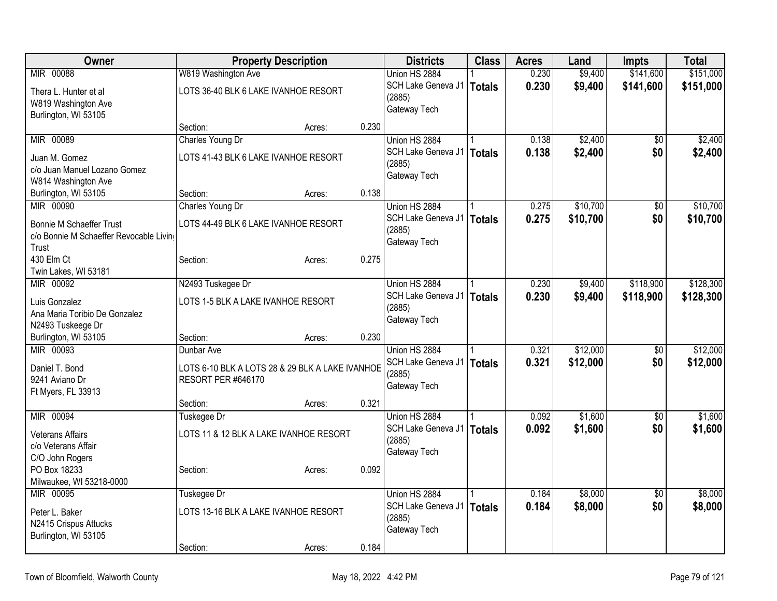| Owner                                  |                                                 | <b>Property Description</b> |       | <b>Districts</b>   | <b>Class</b>  | <b>Acres</b> | Land     | <b>Impts</b>    | <b>Total</b> |
|----------------------------------------|-------------------------------------------------|-----------------------------|-------|--------------------|---------------|--------------|----------|-----------------|--------------|
| MIR 00088                              | W819 Washington Ave                             |                             |       | Union HS 2884      |               | 0.230        | \$9,400  | \$141,600       | \$151,000    |
| Thera L. Hunter et al                  | LOTS 36-40 BLK 6 LAKE IVANHOE RESORT            |                             |       | SCH Lake Geneva J1 | <b>Totals</b> | 0.230        | \$9,400  | \$141,600       | \$151,000    |
| W819 Washington Ave                    |                                                 |                             |       | (2885)             |               |              |          |                 |              |
| Burlington, WI 53105                   |                                                 |                             |       | Gateway Tech       |               |              |          |                 |              |
|                                        | Section:                                        | Acres:                      | 0.230 |                    |               |              |          |                 |              |
| MIR 00089                              | Charles Young Dr                                |                             |       | Union HS 2884      |               | 0.138        | \$2,400  | $\overline{50}$ | \$2,400      |
| Juan M. Gomez                          | LOTS 41-43 BLK 6 LAKE IVANHOE RESORT            |                             |       | SCH Lake Geneva J1 | <b>Totals</b> | 0.138        | \$2,400  | \$0             | \$2,400      |
| c/o Juan Manuel Lozano Gomez           |                                                 |                             |       | (2885)             |               |              |          |                 |              |
| W814 Washington Ave                    |                                                 |                             |       | Gateway Tech       |               |              |          |                 |              |
| Burlington, WI 53105                   | Section:                                        | Acres:                      | 0.138 |                    |               |              |          |                 |              |
| MIR 00090                              | Charles Young Dr                                |                             |       | Union HS 2884      |               | 0.275        | \$10,700 | \$0             | \$10,700     |
|                                        |                                                 |                             |       | SCH Lake Geneva J1 | <b>Totals</b> | 0.275        | \$10,700 | \$0             | \$10,700     |
| <b>Bonnie M Schaeffer Trust</b>        | LOTS 44-49 BLK 6 LAKE IVANHOE RESORT            |                             |       | (2885)             |               |              |          |                 |              |
| c/o Bonnie M Schaeffer Revocable Livin |                                                 |                             |       | Gateway Tech       |               |              |          |                 |              |
| Trust                                  |                                                 |                             |       |                    |               |              |          |                 |              |
| 430 Elm Ct                             | Section:                                        | Acres:                      | 0.275 |                    |               |              |          |                 |              |
| Twin Lakes, WI 53181                   |                                                 |                             |       |                    |               |              |          |                 |              |
| MIR 00092                              | N2493 Tuskegee Dr                               |                             |       | Union HS 2884      |               | 0.230        | \$9,400  | \$118,900       | \$128,300    |
| Luis Gonzalez                          | LOTS 1-5 BLK A LAKE IVANHOE RESORT              |                             |       | SCH Lake Geneva J1 | <b>Totals</b> | 0.230        | \$9,400  | \$118,900       | \$128,300    |
| Ana Maria Toribio De Gonzalez          |                                                 |                             |       | (2885)             |               |              |          |                 |              |
| N2493 Tuskeege Dr                      |                                                 |                             |       | Gateway Tech       |               |              |          |                 |              |
| Burlington, WI 53105                   | Section:                                        | Acres:                      | 0.230 |                    |               |              |          |                 |              |
| MIR 00093                              | Dunbar Ave                                      |                             |       | Union HS 2884      |               | 0.321        | \$12,000 | \$0             | \$12,000     |
|                                        |                                                 |                             |       | SCH Lake Geneva J1 | <b>Totals</b> | 0.321        | \$12,000 | \$0             | \$12,000     |
| Daniel T. Bond                         | LOTS 6-10 BLK A LOTS 28 & 29 BLK A LAKE IVANHOE |                             |       | (2885)             |               |              |          |                 |              |
| 9241 Aviano Dr                         | <b>RESORT PER #646170</b>                       |                             |       | Gateway Tech       |               |              |          |                 |              |
| Ft Myers, FL 33913                     |                                                 |                             |       |                    |               |              |          |                 |              |
|                                        | Section:                                        | Acres:                      | 0.321 |                    |               |              |          |                 |              |
| MIR 00094                              | Tuskegee Dr                                     |                             |       | Union HS 2884      |               | 0.092        | \$1,600  | $\sqrt{6}$      | \$1,600      |
| <b>Veterans Affairs</b>                | LOTS 11 & 12 BLK A LAKE IVANHOE RESORT          |                             |       | SCH Lake Geneva J1 | <b>Totals</b> | 0.092        | \$1,600  | \$0             | \$1,600      |
| c/o Veterans Affair                    |                                                 |                             |       | (2885)             |               |              |          |                 |              |
| C/O John Rogers                        |                                                 |                             |       | Gateway Tech       |               |              |          |                 |              |
| PO Box 18233                           | Section:                                        | Acres:                      | 0.092 |                    |               |              |          |                 |              |
| Milwaukee, WI 53218-0000               |                                                 |                             |       |                    |               |              |          |                 |              |
| MIR 00095                              | Tuskegee Dr                                     |                             |       | Union HS 2884      |               | 0.184        | \$8,000  | $\overline{50}$ | \$8,000      |
|                                        |                                                 |                             |       | SCH Lake Geneva J1 | <b>Totals</b> | 0.184        | \$8,000  | \$0             | \$8,000      |
| Peter L. Baker                         | LOTS 13-16 BLK A LAKE IVANHOE RESORT            |                             |       | (2885)             |               |              |          |                 |              |
| N2415 Crispus Attucks                  |                                                 |                             |       | Gateway Tech       |               |              |          |                 |              |
| Burlington, WI 53105                   |                                                 |                             |       |                    |               |              |          |                 |              |
|                                        | Section:                                        | Acres:                      | 0.184 |                    |               |              |          |                 |              |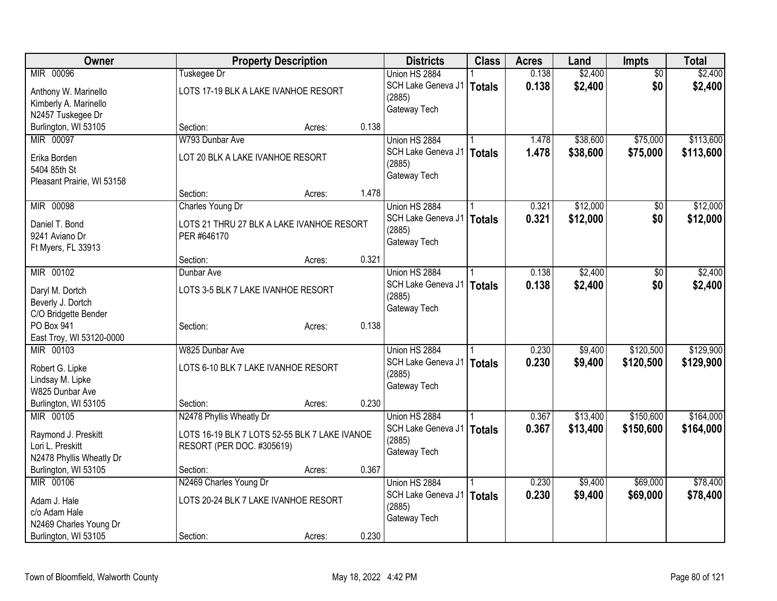| Owner                              |                                               | <b>Property Description</b> |       | <b>Districts</b>            | <b>Class</b> | <b>Acres</b> | Land     | <b>Impts</b>    | <b>Total</b> |
|------------------------------------|-----------------------------------------------|-----------------------------|-------|-----------------------------|--------------|--------------|----------|-----------------|--------------|
| MIR 00096                          | Tuskegee Dr                                   |                             |       | Union HS 2884               |              | 0.138        | \$2,400  | \$0             | \$2,400      |
| Anthony W. Marinello               | LOTS 17-19 BLK A LAKE IVANHOE RESORT          |                             |       | SCH Lake Geneva J1          | Totals       | 0.138        | \$2,400  | \$0             | \$2,400      |
| Kimberly A. Marinello              |                                               |                             |       | (2885)                      |              |              |          |                 |              |
| N2457 Tuskegee Dr                  |                                               |                             |       | Gateway Tech                |              |              |          |                 |              |
| Burlington, WI 53105               | Section:                                      | Acres:                      | 0.138 |                             |              |              |          |                 |              |
| MIR 00097                          | W793 Dunbar Ave                               |                             |       | Union HS 2884               |              | 1.478        | \$38,600 | \$75,000        | \$113,600    |
| Erika Borden                       | LOT 20 BLK A LAKE IVANHOE RESORT              |                             |       | SCH Lake Geneva J1          | Totals       | 1.478        | \$38,600 | \$75,000        | \$113,600    |
| 5404 85th St                       |                                               |                             |       | (2885)                      |              |              |          |                 |              |
| Pleasant Prairie, WI 53158         |                                               |                             |       | Gateway Tech                |              |              |          |                 |              |
|                                    | Section:                                      | Acres:                      | 1.478 |                             |              |              |          |                 |              |
| MIR 00098                          | Charles Young Dr                              |                             |       | Union HS 2884               |              | 0.321        | \$12,000 | \$0             | \$12,000     |
| Daniel T. Bond                     | LOTS 21 THRU 27 BLK A LAKE IVANHOE RESORT     |                             |       | SCH Lake Geneva J1   Totals |              | 0.321        | \$12,000 | \$0             | \$12,000     |
| 9241 Aviano Dr                     | PER #646170                                   |                             |       | (2885)                      |              |              |          |                 |              |
| Ft Myers, FL 33913                 |                                               |                             |       | Gateway Tech                |              |              |          |                 |              |
|                                    | Section:                                      | Acres:                      | 0.321 |                             |              |              |          |                 |              |
| MIR 00102                          | Dunbar Ave                                    |                             |       | Union HS 2884               |              | 0.138        | \$2,400  | $\overline{50}$ | \$2,400      |
|                                    |                                               |                             |       | SCH Lake Geneva J1   Totals |              | 0.138        | \$2,400  | \$0             | \$2,400      |
| Daryl M. Dortch                    | LOTS 3-5 BLK 7 LAKE IVANHOE RESORT            |                             |       | (2885)                      |              |              |          |                 |              |
| Beverly J. Dortch                  |                                               |                             |       | Gateway Tech                |              |              |          |                 |              |
| C/O Bridgette Bender<br>PO Box 941 | Section:                                      | Acres:                      | 0.138 |                             |              |              |          |                 |              |
| East Troy, WI 53120-0000           |                                               |                             |       |                             |              |              |          |                 |              |
| MIR 00103                          | W825 Dunbar Ave                               |                             |       | Union HS 2884               |              | 0.230        | \$9,400  | \$120,500       | \$129,900    |
|                                    |                                               |                             |       | SCH Lake Geneva J1          | Totals       | 0.230        | \$9,400  | \$120,500       | \$129,900    |
| Robert G. Lipke                    | LOTS 6-10 BLK 7 LAKE IVANHOE RESORT           |                             |       | (2885)                      |              |              |          |                 |              |
| Lindsay M. Lipke                   |                                               |                             |       | Gateway Tech                |              |              |          |                 |              |
| W825 Dunbar Ave                    |                                               |                             | 0.230 |                             |              |              |          |                 |              |
| Burlington, WI 53105<br>MIR 00105  | Section:<br>N2478 Phyllis Wheatly Dr          | Acres:                      |       | Union HS 2884               |              | 0.367        | \$13,400 | \$150,600       | \$164,000    |
|                                    |                                               |                             |       | SCH Lake Geneva J1   Totals |              | 0.367        |          |                 |              |
| Raymond J. Preskitt                | LOTS 16-19 BLK 7 LOTS 52-55 BLK 7 LAKE IVANOE |                             |       | (2885)                      |              |              | \$13,400 | \$150,600       | \$164,000    |
| Lori L. Preskitt                   | RESORT (PER DOC. #305619)                     |                             |       | Gateway Tech                |              |              |          |                 |              |
| N2478 Phyllis Wheatly Dr           |                                               |                             |       |                             |              |              |          |                 |              |
| Burlington, WI 53105               | Section:                                      | Acres:                      | 0.367 |                             |              |              |          |                 |              |
| MIR 00106                          | N2469 Charles Young Dr                        |                             |       | Union HS 2884               |              | 0.230        | \$9,400  | \$69,000        | \$78,400     |
| Adam J. Hale                       | LOTS 20-24 BLK 7 LAKE IVANHOE RESORT          |                             |       | SCH Lake Geneva J1   Totals |              | 0.230        | \$9,400  | \$69,000        | \$78,400     |
| c/o Adam Hale                      |                                               |                             |       | (2885)                      |              |              |          |                 |              |
| N2469 Charles Young Dr             |                                               |                             |       | Gateway Tech                |              |              |          |                 |              |
| Burlington, WI 53105               | Section:                                      | Acres:                      | 0.230 |                             |              |              |          |                 |              |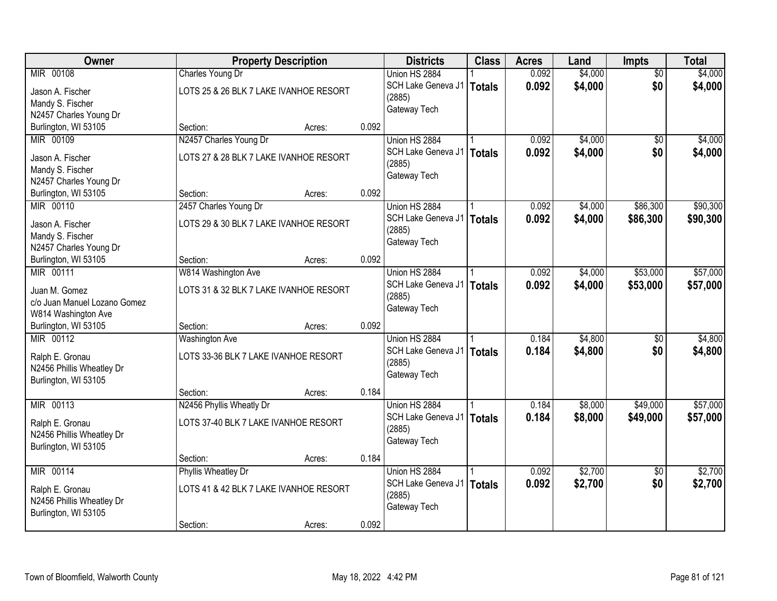| Owner                                         | <b>Property Description</b>            |                 | <b>Districts</b>            | <b>Class</b>  | <b>Acres</b> | Land    | <b>Impts</b>    | <b>Total</b> |
|-----------------------------------------------|----------------------------------------|-----------------|-----------------------------|---------------|--------------|---------|-----------------|--------------|
| MIR 00108                                     | Charles Young Dr                       |                 | Union HS 2884               |               | 0.092        | \$4,000 | $\overline{50}$ | \$4,000      |
| Jason A. Fischer                              | LOTS 25 & 26 BLK 7 LAKE IVANHOE RESORT |                 | SCH Lake Geneva J1          | Totals        | 0.092        | \$4,000 | \$0             | \$4,000      |
| Mandy S. Fischer                              |                                        |                 | (2885)                      |               |              |         |                 |              |
| N2457 Charles Young Dr                        |                                        |                 | Gateway Tech                |               |              |         |                 |              |
| Burlington, WI 53105                          | Section:                               | 0.092<br>Acres: |                             |               |              |         |                 |              |
| MIR 00109                                     | N2457 Charles Young Dr                 |                 | Union HS 2884               |               | 0.092        | \$4,000 | \$0             | \$4,000      |
|                                               |                                        |                 | SCH Lake Geneva J1          | <b>Totals</b> | 0.092        | \$4,000 | \$0             | \$4,000      |
| Jason A. Fischer                              | LOTS 27 & 28 BLK 7 LAKE IVANHOE RESORT |                 | (2885)                      |               |              |         |                 |              |
| Mandy S. Fischer                              |                                        |                 | Gateway Tech                |               |              |         |                 |              |
| N2457 Charles Young Dr                        |                                        |                 |                             |               |              |         |                 |              |
| Burlington, WI 53105                          | Section:                               | 0.092<br>Acres: |                             |               |              |         |                 |              |
| MIR 00110                                     | 2457 Charles Young Dr                  |                 | Union HS 2884               |               | 0.092        | \$4,000 | \$86,300        | \$90,300     |
| Jason A. Fischer                              | LOTS 29 & 30 BLK 7 LAKE IVANHOE RESORT |                 | SCH Lake Geneva J1          | <b>Totals</b> | 0.092        | \$4,000 | \$86,300        | \$90,300     |
| Mandy S. Fischer                              |                                        |                 | (2885)                      |               |              |         |                 |              |
| N2457 Charles Young Dr                        |                                        |                 | Gateway Tech                |               |              |         |                 |              |
| Burlington, WI 53105                          | Section:                               | 0.092<br>Acres: |                             |               |              |         |                 |              |
| MIR 00111                                     | W814 Washington Ave                    |                 | Union HS 2884               |               | 0.092        | \$4,000 | \$53,000        | \$57,000     |
|                                               | LOTS 31 & 32 BLK 7 LAKE IVANHOE RESORT |                 | SCH Lake Geneva J1   Totals |               | 0.092        | \$4,000 | \$53,000        | \$57,000     |
| Juan M. Gomez<br>c/o Juan Manuel Lozano Gomez |                                        |                 | (2885)                      |               |              |         |                 |              |
| W814 Washington Ave                           |                                        |                 | Gateway Tech                |               |              |         |                 |              |
| Burlington, WI 53105                          | Section:                               | 0.092<br>Acres: |                             |               |              |         |                 |              |
| MIR 00112                                     | <b>Washington Ave</b>                  |                 | Union HS 2884               |               | 0.184        | \$4,800 | $\overline{50}$ | \$4,800      |
|                                               |                                        |                 | SCH Lake Geneva J1   Totals |               | 0.184        | \$4,800 |                 |              |
| Ralph E. Gronau                               | LOTS 33-36 BLK 7 LAKE IVANHOE RESORT   |                 | (2885)                      |               |              |         | \$0             | \$4,800      |
| N2456 Phillis Wheatley Dr                     |                                        |                 | Gateway Tech                |               |              |         |                 |              |
| Burlington, WI 53105                          |                                        |                 |                             |               |              |         |                 |              |
|                                               | Section:                               | 0.184<br>Acres: |                             |               |              |         |                 |              |
| MIR 00113                                     | N2456 Phyllis Wheatly Dr               |                 | Union HS 2884               |               | 0.184        | \$8,000 | \$49,000        | \$57,000     |
| Ralph E. Gronau                               | LOTS 37-40 BLK 7 LAKE IVANHOE RESORT   |                 | SCH Lake Geneva J1          | <b>Totals</b> | 0.184        | \$8,000 | \$49,000        | \$57,000     |
| N2456 Phillis Wheatley Dr                     |                                        |                 | (2885)                      |               |              |         |                 |              |
| Burlington, WI 53105                          |                                        |                 | Gateway Tech                |               |              |         |                 |              |
|                                               | Section:                               | 0.184<br>Acres: |                             |               |              |         |                 |              |
| MIR 00114                                     | <b>Phyllis Wheatley Dr</b>             |                 | Union HS 2884               |               | 0.092        | \$2,700 | $\overline{50}$ | \$2,700      |
|                                               |                                        |                 | SCH Lake Geneva J1          | Totals        | 0.092        | \$2,700 | \$0             | \$2,700      |
| Ralph E. Gronau                               | LOTS 41 & 42 BLK 7 LAKE IVANHOE RESORT |                 | (2885)                      |               |              |         |                 |              |
| N2456 Phillis Wheatley Dr                     |                                        |                 | Gateway Tech                |               |              |         |                 |              |
| Burlington, WI 53105                          |                                        |                 |                             |               |              |         |                 |              |
|                                               | Section:                               | 0.092<br>Acres: |                             |               |              |         |                 |              |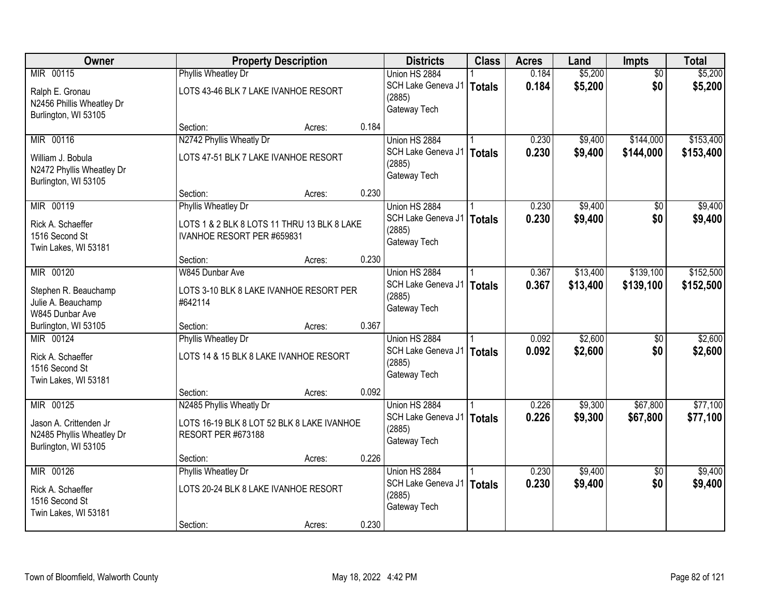| Owner                     |                                             | <b>Property Description</b> |                                     | <b>Class</b>  | <b>Acres</b>   | Land               | <b>Impts</b>           | <b>Total</b> |
|---------------------------|---------------------------------------------|-----------------------------|-------------------------------------|---------------|----------------|--------------------|------------------------|--------------|
| MIR 00115                 | <b>Phyllis Wheatley Dr</b>                  |                             | Union HS 2884                       |               | 0.184          | \$5,200            | $\overline{50}$        | \$5,200      |
| Ralph E. Gronau           | LOTS 43-46 BLK 7 LAKE IVANHOE RESORT        |                             | SCH Lake Geneva J1                  | <b>Totals</b> | 0.184          | \$5,200            | \$0                    | \$5,200      |
| N2456 Phillis Wheatley Dr |                                             |                             | (2885)                              |               |                |                    |                        |              |
| Burlington, WI 53105      |                                             |                             | Gateway Tech                        |               |                |                    |                        |              |
|                           | Section:                                    | 0.184<br>Acres:             |                                     |               |                |                    |                        |              |
| MIR 00116                 | N2742 Phyllis Wheatly Dr                    |                             | Union HS 2884                       |               | 0.230          | \$9,400            | \$144,000              | \$153,400    |
| William J. Bobula         | LOTS 47-51 BLK 7 LAKE IVANHOE RESORT        |                             | SCH Lake Geneva J1                  | <b>Totals</b> | 0.230          | \$9,400            | \$144,000              | \$153,400    |
| N2472 Phyllis Wheatley Dr |                                             |                             | (2885)<br>Gateway Tech              |               |                |                    |                        |              |
| Burlington, WI 53105      |                                             |                             |                                     |               |                |                    |                        |              |
|                           | Section:                                    | 0.230<br>Acres:             |                                     |               |                |                    |                        |              |
| MIR 00119                 | Phyllis Wheatley Dr                         |                             | Union HS 2884                       |               | 0.230          | \$9,400            | \$0                    | \$9,400      |
| Rick A. Schaeffer         | LOTS 1 & 2 BLK 8 LOTS 11 THRU 13 BLK 8 LAKE |                             | SCH Lake Geneva J1                  | <b>Totals</b> | 0.230          | \$9,400            | \$0                    | \$9,400      |
| 1516 Second St            | IVANHOE RESORT PER #659831                  |                             | (2885)<br>Gateway Tech              |               |                |                    |                        |              |
| Twin Lakes, WI 53181      |                                             |                             |                                     |               |                |                    |                        |              |
|                           | Section:                                    | 0.230<br>Acres:             |                                     |               |                |                    |                        |              |
| MIR 00120                 | W845 Dunbar Ave                             |                             | Union HS 2884                       |               | 0.367          | \$13,400           | \$139,100              | \$152,500    |
| Stephen R. Beauchamp      | LOTS 3-10 BLK 8 LAKE IVANHOE RESORT PER     |                             | SCH Lake Geneva J1<br>(2885)        | <b>Totals</b> | 0.367          | \$13,400           | \$139,100              | \$152,500    |
| Julie A. Beauchamp        | #642114                                     |                             | Gateway Tech                        |               |                |                    |                        |              |
| W845 Dunbar Ave           |                                             |                             |                                     |               |                |                    |                        |              |
| Burlington, WI 53105      | Section:                                    | 0.367<br>Acres:             |                                     |               |                |                    |                        |              |
| MIR 00124                 | <b>Phyllis Wheatley Dr</b>                  |                             | Union HS 2884                       |               | 0.092          | \$2,600            | $\overline{50}$        | \$2,600      |
| Rick A. Schaeffer         | LOTS 14 & 15 BLK 8 LAKE IVANHOE RESORT      |                             | SCH Lake Geneva J1<br>(2885)        | <b>Totals</b> | 0.092          | \$2,600            | \$0                    | \$2,600      |
| 1516 Second St            |                                             |                             | Gateway Tech                        |               |                |                    |                        |              |
| Twin Lakes, WI 53181      |                                             |                             |                                     |               |                |                    |                        |              |
|                           | Section:                                    | 0.092<br>Acres:             |                                     |               |                |                    |                        |              |
| MIR 00125                 | N2485 Phyllis Wheatly Dr                    |                             | Union HS 2884                       |               | 0.226          | \$9,300            | \$67,800               | \$77,100     |
| Jason A. Crittenden Jr    | LOTS 16-19 BLK 8 LOT 52 BLK 8 LAKE IVANHOE  |                             | SCH Lake Geneva J1<br>(2885)        | <b>Totals</b> | 0.226          | \$9,300            | \$67,800               | \$77,100     |
| N2485 Phyllis Wheatley Dr | <b>RESORT PER #673188</b>                   |                             | Gateway Tech                        |               |                |                    |                        |              |
| Burlington, WI 53105      |                                             |                             |                                     |               |                |                    |                        |              |
|                           | Section:                                    | 0.226<br>Acres:             |                                     |               |                |                    |                        |              |
| MIR 00126                 | <b>Phyllis Wheatley Dr</b>                  |                             | Union HS 2884<br>SCH Lake Geneva J1 |               | 0.230<br>0.230 | \$9,400<br>\$9,400 | $\overline{50}$<br>\$0 | \$9,400      |
| Rick A. Schaeffer         | LOTS 20-24 BLK 8 LAKE IVANHOE RESORT        |                             | (2885)                              | <b>Totals</b> |                |                    |                        | \$9,400      |
| 1516 Second St            |                                             |                             | Gateway Tech                        |               |                |                    |                        |              |
| Twin Lakes, WI 53181      |                                             |                             |                                     |               |                |                    |                        |              |
|                           | Section:                                    | 0.230<br>Acres:             |                                     |               |                |                    |                        |              |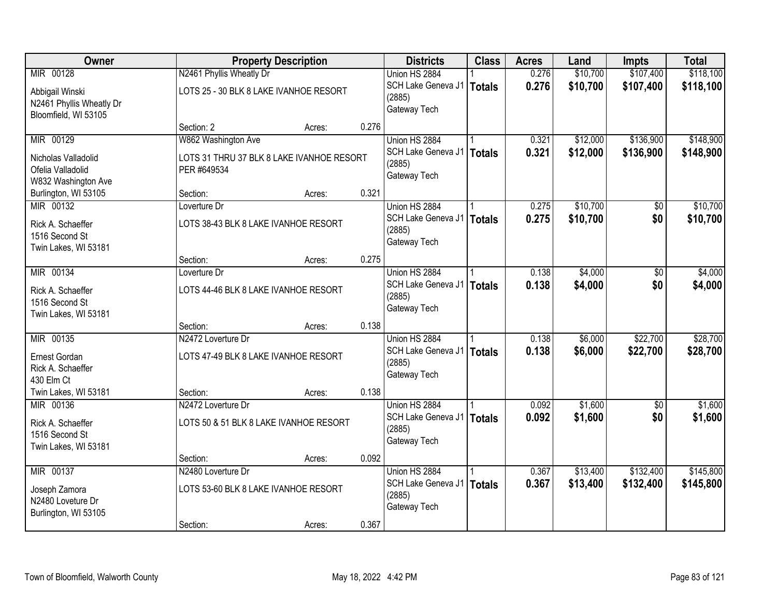| Owner                    |                                           | <b>Property Description</b> | <b>Districts</b> | <b>Class</b>                | <b>Acres</b>  | Land  | Impts    | <b>Total</b> |           |
|--------------------------|-------------------------------------------|-----------------------------|------------------|-----------------------------|---------------|-------|----------|--------------|-----------|
| MIR 00128                | N2461 Phyllis Wheatly Dr                  |                             |                  | Union HS 2884               |               | 0.276 | \$10,700 | \$107,400    | \$118,100 |
| Abbigail Winski          | LOTS 25 - 30 BLK 8 LAKE IVANHOE RESORT    |                             |                  | SCH Lake Geneva J1   Totals |               | 0.276 | \$10,700 | \$107,400    | \$118,100 |
| N2461 Phyllis Wheatly Dr |                                           |                             |                  | (2885)                      |               |       |          |              |           |
| Bloomfield, WI 53105     |                                           |                             |                  | Gateway Tech                |               |       |          |              |           |
|                          | Section: 2                                | Acres:                      | 0.276            |                             |               |       |          |              |           |
| MIR 00129                | W862 Washington Ave                       |                             |                  | Union HS 2884               |               | 0.321 | \$12,000 | \$136,900    | \$148,900 |
| Nicholas Valladolid      | LOTS 31 THRU 37 BLK 8 LAKE IVANHOE RESORT |                             |                  | SCH Lake Geneva J1          | <b>Totals</b> | 0.321 | \$12,000 | \$136,900    | \$148,900 |
| Ofelia Valladolid        | PER #649534                               |                             |                  | (2885)                      |               |       |          |              |           |
| W832 Washington Ave      |                                           |                             |                  | Gateway Tech                |               |       |          |              |           |
| Burlington, WI 53105     | Section:                                  | Acres:                      | 0.321            |                             |               |       |          |              |           |
| MIR 00132                | Loverture Dr                              |                             |                  | Union HS 2884               |               | 0.275 | \$10,700 | \$0          | \$10,700  |
| Rick A. Schaeffer        | LOTS 38-43 BLK 8 LAKE IVANHOE RESORT      |                             |                  | SCH Lake Geneva J1          | <b>Totals</b> | 0.275 | \$10,700 | \$0          | \$10,700  |
| 1516 Second St           |                                           |                             |                  | (2885)                      |               |       |          |              |           |
| Twin Lakes, WI 53181     |                                           |                             |                  | Gateway Tech                |               |       |          |              |           |
|                          | Section:                                  | Acres:                      | 0.275            |                             |               |       |          |              |           |
| MIR 00134                | Loverture Dr                              |                             |                  | Union HS 2884               |               | 0.138 | \$4,000  | \$0          | \$4,000   |
| Rick A. Schaeffer        | LOTS 44-46 BLK 8 LAKE IVANHOE RESORT      |                             |                  | SCH Lake Geneva J1          | Totals        | 0.138 | \$4,000  | \$0          | \$4,000   |
| 1516 Second St           |                                           |                             |                  | (2885)                      |               |       |          |              |           |
| Twin Lakes, WI 53181     |                                           |                             |                  | Gateway Tech                |               |       |          |              |           |
|                          | Section:                                  | Acres:                      | 0.138            |                             |               |       |          |              |           |
| MIR 00135                | N2472 Loverture Dr                        |                             |                  | Union HS 2884               |               | 0.138 | \$6,000  | \$22,700     | \$28,700  |
| Ernest Gordan            | LOTS 47-49 BLK 8 LAKE IVANHOE RESORT      |                             |                  | SCH Lake Geneva J1   Totals |               | 0.138 | \$6,000  | \$22,700     | \$28,700  |
| Rick A. Schaeffer        |                                           |                             |                  | (2885)                      |               |       |          |              |           |
| 430 Elm Ct               |                                           |                             |                  | Gateway Tech                |               |       |          |              |           |
| Twin Lakes, WI 53181     | Section:                                  | Acres:                      | 0.138            |                             |               |       |          |              |           |
| MIR 00136                | N2472 Loverture Dr                        |                             |                  | Union HS 2884               |               | 0.092 | \$1,600  | \$0          | \$1,600   |
| Rick A. Schaeffer        | LOTS 50 & 51 BLK 8 LAKE IVANHOE RESORT    |                             |                  | SCH Lake Geneva J1          | Totals        | 0.092 | \$1,600  | \$0          | \$1,600   |
| 1516 Second St           |                                           |                             |                  | (2885)                      |               |       |          |              |           |
| Twin Lakes, WI 53181     |                                           |                             |                  | Gateway Tech                |               |       |          |              |           |
|                          | Section:                                  | Acres:                      | 0.092            |                             |               |       |          |              |           |
| MIR 00137                | N2480 Loverture Dr                        |                             |                  | Union HS 2884               |               | 0.367 | \$13,400 | \$132,400    | \$145,800 |
| Joseph Zamora            | LOTS 53-60 BLK 8 LAKE IVANHOE RESORT      |                             |                  | SCH Lake Geneva J1   Totals |               | 0.367 | \$13,400 | \$132,400    | \$145,800 |
| N2480 Loveture Dr        |                                           |                             |                  | (2885)                      |               |       |          |              |           |
| Burlington, WI 53105     |                                           |                             |                  | Gateway Tech                |               |       |          |              |           |
|                          | Section:                                  | Acres:                      | 0.367            |                             |               |       |          |              |           |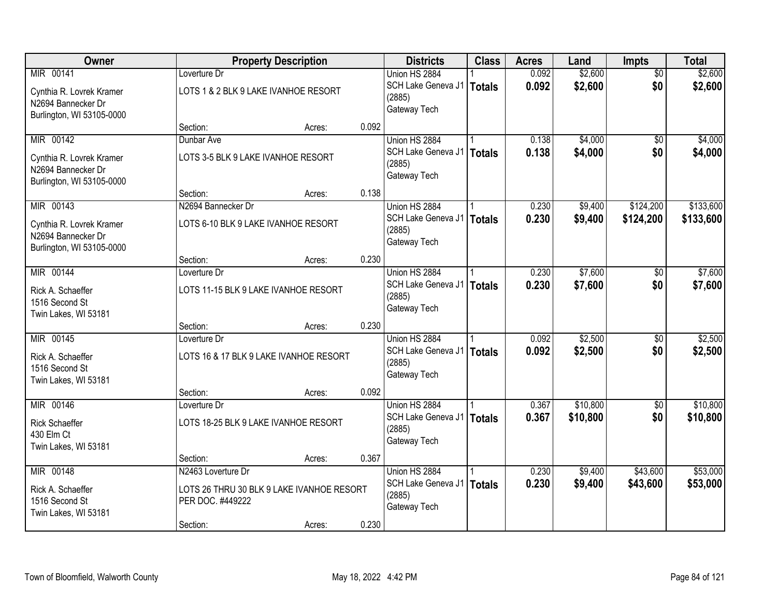| Owner                     |                                           | <b>Property Description</b> |       | <b>Districts</b>       | <b>Class</b>  | <b>Acres</b> | Land     | <b>Impts</b>    | <b>Total</b> |
|---------------------------|-------------------------------------------|-----------------------------|-------|------------------------|---------------|--------------|----------|-----------------|--------------|
| MIR 00141                 | Loverture Dr                              |                             |       | Union HS 2884          |               | 0.092        | \$2,600  | $\overline{50}$ | \$2,600      |
| Cynthia R. Lovrek Kramer  | LOTS 1 & 2 BLK 9 LAKE IVANHOE RESORT      |                             |       | SCH Lake Geneva J1     | <b>Totals</b> | 0.092        | \$2,600  | \$0             | \$2,600      |
| N2694 Bannecker Dr        |                                           |                             |       | (2885)                 |               |              |          |                 |              |
| Burlington, WI 53105-0000 |                                           |                             |       | Gateway Tech           |               |              |          |                 |              |
|                           | Section:                                  | Acres:                      | 0.092 |                        |               |              |          |                 |              |
| MIR 00142                 | Dunbar Ave                                |                             |       | Union HS 2884          |               | 0.138        | \$4,000  | \$0             | \$4,000      |
| Cynthia R. Lovrek Kramer  | LOTS 3-5 BLK 9 LAKE IVANHOE RESORT        |                             |       | SCH Lake Geneva J1     | <b>Totals</b> | 0.138        | \$4,000  | \$0             | \$4,000      |
| N2694 Bannecker Dr        |                                           |                             |       | (2885)<br>Gateway Tech |               |              |          |                 |              |
| Burlington, WI 53105-0000 |                                           |                             |       |                        |               |              |          |                 |              |
|                           | Section:                                  | Acres:                      | 0.138 |                        |               |              |          |                 |              |
| MIR 00143                 | N2694 Bannecker Dr                        |                             |       | Union HS 2884          |               | 0.230        | \$9,400  | \$124,200       | \$133,600    |
| Cynthia R. Lovrek Kramer  | LOTS 6-10 BLK 9 LAKE IVANHOE RESORT       |                             |       | SCH Lake Geneva J1     | <b>Totals</b> | 0.230        | \$9,400  | \$124,200       | \$133,600    |
| N2694 Bannecker Dr        |                                           |                             |       | (2885)                 |               |              |          |                 |              |
| Burlington, WI 53105-0000 |                                           |                             |       | Gateway Tech           |               |              |          |                 |              |
|                           | Section:                                  | Acres:                      | 0.230 |                        |               |              |          |                 |              |
| MIR 00144                 | Loverture Dr                              |                             |       | Union HS 2884          |               | 0.230        | \$7,600  | \$0             | \$7,600      |
| Rick A. Schaeffer         | LOTS 11-15 BLK 9 LAKE IVANHOE RESORT      |                             |       | SCH Lake Geneva J1     | <b>Totals</b> | 0.230        | \$7,600  | \$0             | \$7,600      |
| 1516 Second St            |                                           |                             |       | (2885)                 |               |              |          |                 |              |
| Twin Lakes, WI 53181      |                                           |                             |       | Gateway Tech           |               |              |          |                 |              |
|                           | Section:                                  | Acres:                      | 0.230 |                        |               |              |          |                 |              |
| MIR 00145                 | Loverture Dr                              |                             |       | Union HS 2884          |               | 0.092        | \$2,500  | \$0             | \$2,500      |
| Rick A. Schaeffer         | LOTS 16 & 17 BLK 9 LAKE IVANHOE RESORT    |                             |       | SCH Lake Geneva J1     | <b>Totals</b> | 0.092        | \$2,500  | \$0             | \$2,500      |
| 1516 Second St            |                                           |                             |       | (2885)<br>Gateway Tech |               |              |          |                 |              |
| Twin Lakes, WI 53181      |                                           |                             |       |                        |               |              |          |                 |              |
|                           | Section:                                  | Acres:                      | 0.092 |                        |               |              |          |                 |              |
| MIR 00146                 | Loverture Dr                              |                             |       | Union HS 2884          |               | 0.367        | \$10,800 | $\overline{50}$ | \$10,800     |
| <b>Rick Schaeffer</b>     | LOTS 18-25 BLK 9 LAKE IVANHOE RESORT      |                             |       | SCH Lake Geneva J1     | <b>Totals</b> | 0.367        | \$10,800 | \$0             | \$10,800     |
| 430 Elm Ct                |                                           |                             |       | (2885)<br>Gateway Tech |               |              |          |                 |              |
| Twin Lakes, WI 53181      |                                           |                             |       |                        |               |              |          |                 |              |
|                           | Section:                                  | Acres:                      | 0.367 |                        |               |              |          |                 |              |
| MIR 00148                 | N2463 Loverture Dr                        |                             |       | Union HS 2884          |               | 0.230        | \$9,400  | \$43,600        | \$53,000     |
| Rick A. Schaeffer         | LOTS 26 THRU 30 BLK 9 LAKE IVANHOE RESORT |                             |       | SCH Lake Geneva J1     | <b>Totals</b> | 0.230        | \$9,400  | \$43,600        | \$53,000     |
| 1516 Second St            | PER DOC. #449222                          |                             |       | (2885)<br>Gateway Tech |               |              |          |                 |              |
| Twin Lakes, WI 53181      |                                           |                             |       |                        |               |              |          |                 |              |
|                           | Section:                                  | Acres:                      | 0.230 |                        |               |              |          |                 |              |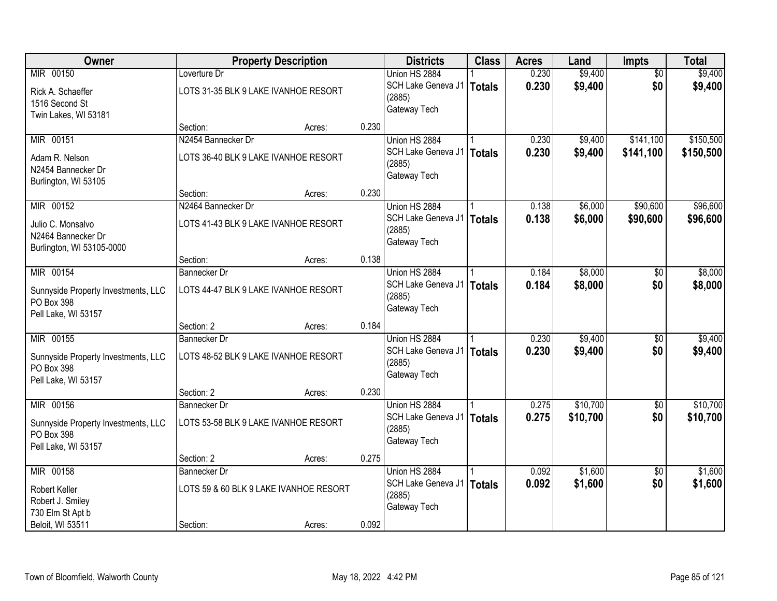| Owner                               |                                        | <b>Property Description</b> |       | <b>Districts</b>            | <b>Class</b>  | <b>Acres</b> | Land     | Impts           | <b>Total</b> |
|-------------------------------------|----------------------------------------|-----------------------------|-------|-----------------------------|---------------|--------------|----------|-----------------|--------------|
| MIR 00150                           | Loverture Dr                           |                             |       | Union HS 2884               |               | 0.230        | \$9,400  | $\overline{50}$ | \$9,400      |
| Rick A. Schaeffer                   | LOTS 31-35 BLK 9 LAKE IVANHOE RESORT   |                             |       | SCH Lake Geneva J1   Totals |               | 0.230        | \$9,400  | \$0             | \$9,400      |
| 1516 Second St                      |                                        |                             |       | (2885)                      |               |              |          |                 |              |
| Twin Lakes, WI 53181                |                                        |                             |       | Gateway Tech                |               |              |          |                 |              |
|                                     | Section:                               | Acres:                      | 0.230 |                             |               |              |          |                 |              |
| MIR 00151                           | N2454 Bannecker Dr                     |                             |       | Union HS 2884               |               | 0.230        | \$9,400  | \$141,100       | \$150,500    |
| Adam R. Nelson                      | LOTS 36-40 BLK 9 LAKE IVANHOE RESORT   |                             |       | SCH Lake Geneva J1          | <b>Totals</b> | 0.230        | \$9,400  | \$141,100       | \$150,500    |
| N2454 Bannecker Dr                  |                                        |                             |       | (2885)<br>Gateway Tech      |               |              |          |                 |              |
| Burlington, WI 53105                |                                        |                             |       |                             |               |              |          |                 |              |
|                                     | Section:                               | Acres:                      | 0.230 |                             |               |              |          |                 |              |
| MIR 00152                           | N2464 Bannecker Dr                     |                             |       | Union HS 2884               |               | 0.138        | \$6,000  | \$90,600        | \$96,600     |
| Julio C. Monsalvo                   | LOTS 41-43 BLK 9 LAKE IVANHOE RESORT   |                             |       | SCH Lake Geneva J1          | <b>Totals</b> | 0.138        | \$6,000  | \$90,600        | \$96,600     |
| N2464 Bannecker Dr                  |                                        |                             |       | (2885)                      |               |              |          |                 |              |
| Burlington, WI 53105-0000           |                                        |                             |       | Gateway Tech                |               |              |          |                 |              |
|                                     | Section:                               | Acres:                      | 0.138 |                             |               |              |          |                 |              |
| MIR 00154                           | <b>Bannecker Dr</b>                    |                             |       | Union HS 2884               |               | 0.184        | \$8,000  | \$0             | \$8,000      |
| Sunnyside Property Investments, LLC | LOTS 44-47 BLK 9 LAKE IVANHOE RESORT   |                             |       | SCH Lake Geneva J1   Totals |               | 0.184        | \$8,000  | \$0             | \$8,000      |
| PO Box 398                          |                                        |                             |       | (2885)<br>Gateway Tech      |               |              |          |                 |              |
| Pell Lake, WI 53157                 |                                        |                             |       |                             |               |              |          |                 |              |
|                                     | Section: 2                             | Acres:                      | 0.184 |                             |               |              |          |                 |              |
| MIR 00155                           | Bannecker Dr                           |                             |       | Union HS 2884               |               | 0.230        | \$9,400  | \$0             | \$9,400      |
| Sunnyside Property Investments, LLC | LOTS 48-52 BLK 9 LAKE IVANHOE RESORT   |                             |       | SCH Lake Geneva J1          | Totals        | 0.230        | \$9,400  | \$0             | \$9,400      |
| PO Box 398                          |                                        |                             |       | (2885)<br>Gateway Tech      |               |              |          |                 |              |
| Pell Lake, WI 53157                 |                                        |                             |       |                             |               |              |          |                 |              |
|                                     | Section: 2                             | Acres:                      | 0.230 |                             |               |              |          |                 |              |
| MIR 00156                           | Bannecker Dr                           |                             |       | Union HS 2884               |               | 0.275        | \$10,700 | $\sqrt{6}$      | \$10,700     |
| Sunnyside Property Investments, LLC | LOTS 53-58 BLK 9 LAKE IVANHOE RESORT   |                             |       | SCH Lake Geneva J1   Totals |               | 0.275        | \$10,700 | \$0             | \$10,700     |
| PO Box 398                          |                                        |                             |       | (2885)<br>Gateway Tech      |               |              |          |                 |              |
| Pell Lake, WI 53157                 |                                        |                             |       |                             |               |              |          |                 |              |
|                                     | Section: 2                             | Acres:                      | 0.275 |                             |               |              |          |                 |              |
| MIR 00158                           | <b>Bannecker Dr</b>                    |                             |       | Union HS 2884               |               | 0.092        | \$1,600  | $\overline{50}$ | \$1,600      |
| Robert Keller                       | LOTS 59 & 60 BLK 9 LAKE IVANHOE RESORT |                             |       | SCH Lake Geneva J1          | <b>Totals</b> | 0.092        | \$1,600  | \$0             | \$1,600      |
| Robert J. Smiley                    |                                        |                             |       | (2885)<br>Gateway Tech      |               |              |          |                 |              |
| 730 Elm St Apt b                    |                                        |                             |       |                             |               |              |          |                 |              |
| Beloit, WI 53511                    | Section:                               | Acres:                      | 0.092 |                             |               |              |          |                 |              |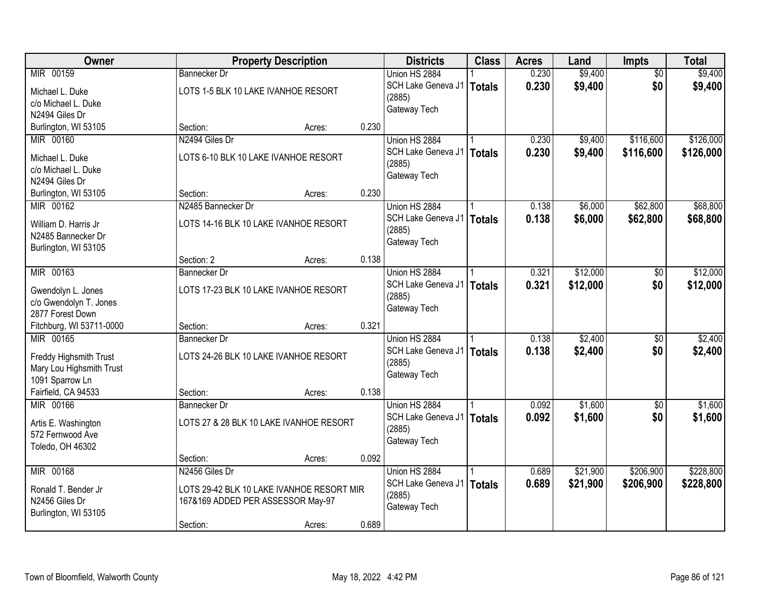| Owner                                      |                                      | <b>Property Description</b>               |       | <b>Districts</b>       | <b>Class</b>  | <b>Acres</b> | Land     | Impts                  | <b>Total</b> |
|--------------------------------------------|--------------------------------------|-------------------------------------------|-------|------------------------|---------------|--------------|----------|------------------------|--------------|
| MIR 00159                                  | <b>Bannecker Dr</b>                  |                                           |       | Union HS 2884          |               | 0.230        | \$9,400  | $\overline{50}$        | \$9,400      |
| Michael L. Duke                            | LOTS 1-5 BLK 10 LAKE IVANHOE RESORT  |                                           |       | SCH Lake Geneva J1     | <b>Totals</b> | 0.230        | \$9,400  | \$0                    | \$9,400      |
| c/o Michael L. Duke                        |                                      |                                           |       | (2885)                 |               |              |          |                        |              |
| N2494 Giles Dr                             |                                      |                                           |       | Gateway Tech           |               |              |          |                        |              |
| Burlington, WI 53105                       | Section:                             | Acres:                                    | 0.230 |                        |               |              |          |                        |              |
| MIR 00160                                  | N2494 Giles Dr                       |                                           |       | Union HS 2884          |               | 0.230        | \$9,400  | \$116,600              | \$126,000    |
| Michael L. Duke                            | LOTS 6-10 BLK 10 LAKE IVANHOE RESORT |                                           |       | SCH Lake Geneva J1     | <b>Totals</b> | 0.230        | \$9,400  | \$116,600              | \$126,000    |
| c/o Michael L. Duke                        |                                      |                                           |       | (2885)                 |               |              |          |                        |              |
| N2494 Giles Dr                             |                                      |                                           |       | Gateway Tech           |               |              |          |                        |              |
| Burlington, WI 53105                       | Section:                             | Acres:                                    | 0.230 |                        |               |              |          |                        |              |
| MIR 00162                                  | N2485 Bannecker Dr                   |                                           |       | Union HS 2884          |               | 0.138        | \$6,000  | \$62,800               | \$68,800     |
| William D. Harris Jr                       |                                      | LOTS 14-16 BLK 10 LAKE IVANHOE RESORT     |       | SCH Lake Geneva J1     | <b>Totals</b> | 0.138        | \$6,000  | \$62,800               | \$68,800     |
| N2485 Bannecker Dr                         |                                      |                                           |       | (2885)                 |               |              |          |                        |              |
| Burlington, WI 53105                       |                                      |                                           |       | Gateway Tech           |               |              |          |                        |              |
|                                            | Section: 2                           | Acres:                                    | 0.138 |                        |               |              |          |                        |              |
| MIR 00163                                  | <b>Bannecker Dr</b>                  |                                           |       | Union HS 2884          |               | 0.321        | \$12,000 | \$0                    | \$12,000     |
|                                            |                                      |                                           |       | SCH Lake Geneva J1     | <b>Totals</b> | 0.321        | \$12,000 | \$0                    | \$12,000     |
| Gwendolyn L. Jones                         |                                      | LOTS 17-23 BLK 10 LAKE IVANHOE RESORT     |       | (2885)                 |               |              |          |                        |              |
| c/o Gwendolyn T. Jones<br>2877 Forest Down |                                      |                                           |       | Gateway Tech           |               |              |          |                        |              |
| Fitchburg, WI 53711-0000                   | Section:                             | Acres:                                    | 0.321 |                        |               |              |          |                        |              |
| MIR 00165                                  | <b>Bannecker Dr</b>                  |                                           |       | Union HS 2884          |               | 0.138        | \$2,400  | $\overline{50}$        | \$2,400      |
|                                            |                                      |                                           |       | SCH Lake Geneva J1     | <b>Totals</b> | 0.138        | \$2,400  | \$0                    | \$2,400      |
| Freddy Highsmith Trust                     |                                      | LOTS 24-26 BLK 10 LAKE IVANHOE RESORT     |       | (2885)                 |               |              |          |                        |              |
| Mary Lou Highsmith Trust                   |                                      |                                           |       | Gateway Tech           |               |              |          |                        |              |
| 1091 Sparrow Ln                            |                                      |                                           |       |                        |               |              |          |                        |              |
| Fairfield, CA 94533<br>MIR 00166           | Section:<br><b>Bannecker Dr</b>      | Acres:                                    | 0.138 | Union HS 2884          |               | 0.092        | \$1,600  |                        | \$1,600      |
|                                            |                                      |                                           |       | SCH Lake Geneva J1     |               | 0.092        | \$1,600  | $\overline{50}$<br>\$0 | \$1,600      |
| Artis E. Washington                        |                                      | LOTS 27 & 28 BLK 10 LAKE IVANHOE RESORT   |       | (2885)                 | <b>Totals</b> |              |          |                        |              |
| 572 Fernwood Ave                           |                                      |                                           |       | Gateway Tech           |               |              |          |                        |              |
| Toledo, OH 46302                           |                                      |                                           |       |                        |               |              |          |                        |              |
|                                            | Section:                             | Acres:                                    | 0.092 |                        |               |              |          |                        |              |
| MIR 00168                                  | N2456 Giles Dr                       |                                           |       | Union HS 2884          |               | 0.689        | \$21,900 | \$206,900              | \$228,800    |
| Ronald T. Bender Jr                        |                                      | LOTS 29-42 BLK 10 LAKE IVANHOE RESORT MIR |       | SCH Lake Geneva J1     | <b>Totals</b> | 0.689        | \$21,900 | \$206,900              | \$228,800    |
| N2456 Giles Dr                             | 167&169 ADDED PER ASSESSOR May-97    |                                           |       | (2885)<br>Gateway Tech |               |              |          |                        |              |
| Burlington, WI 53105                       |                                      |                                           |       |                        |               |              |          |                        |              |
|                                            | Section:                             | Acres:                                    | 0.689 |                        |               |              |          |                        |              |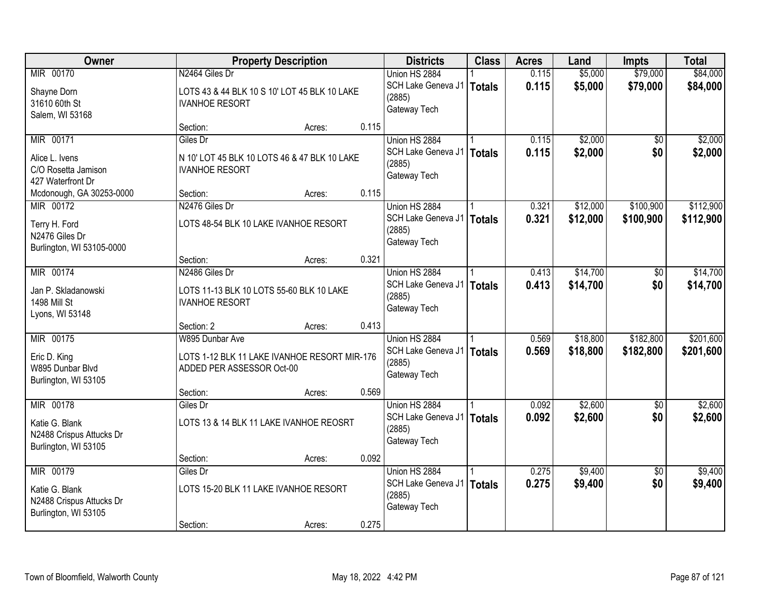| Owner                            | <b>Property Description</b>                                               |        |       | <b>Districts</b>   | <b>Class</b>  | <b>Acres</b> | Land     | <b>Impts</b>    | <b>Total</b> |
|----------------------------------|---------------------------------------------------------------------------|--------|-------|--------------------|---------------|--------------|----------|-----------------|--------------|
| MIR 00170                        | N2464 Giles Dr                                                            |        |       | Union HS 2884      |               | 0.115        | \$5,000  | \$79,000        | \$84,000     |
| Shayne Dorn                      | LOTS 43 & 44 BLK 10 S 10' LOT 45 BLK 10 LAKE                              |        |       | SCH Lake Geneva J1 | <b>Totals</b> | 0.115        | \$5,000  | \$79,000        | \$84,000     |
| 31610 60th St                    | <b>IVANHOE RESORT</b>                                                     |        |       | (2885)             |               |              |          |                 |              |
| Salem, WI 53168                  |                                                                           |        |       | Gateway Tech       |               |              |          |                 |              |
|                                  | Section:                                                                  | Acres: | 0.115 |                    |               |              |          |                 |              |
| MIR 00171                        | Giles Dr                                                                  |        |       | Union HS 2884      |               | 0.115        | \$2,000  | \$0             | \$2,000      |
| Alice L. Ivens                   | N 10' LOT 45 BLK 10 LOTS 46 & 47 BLK 10 LAKE                              |        |       | SCH Lake Geneva J1 | <b>Totals</b> | 0.115        | \$2,000  | \$0             | \$2,000      |
| C/O Rosetta Jamison              | <b>IVANHOE RESORT</b>                                                     |        |       | (2885)             |               |              |          |                 |              |
| 427 Waterfront Dr                |                                                                           |        |       | Gateway Tech       |               |              |          |                 |              |
| Mcdonough, GA 30253-0000         | Section:                                                                  | Acres: | 0.115 |                    |               |              |          |                 |              |
| MIR 00172                        | N2476 Giles Dr                                                            |        |       | Union HS 2884      |               | 0.321        | \$12,000 | \$100,900       | \$112,900    |
| Terry H. Ford                    | LOTS 48-54 BLK 10 LAKE IVANHOE RESORT                                     |        |       | SCH Lake Geneva J1 | <b>Totals</b> | 0.321        | \$12,000 | \$100,900       | \$112,900    |
| N2476 Giles Dr                   |                                                                           |        |       | (2885)             |               |              |          |                 |              |
| Burlington, WI 53105-0000        |                                                                           |        |       | Gateway Tech       |               |              |          |                 |              |
|                                  | Section:                                                                  | Acres: | 0.321 |                    |               |              |          |                 |              |
| MIR 00174                        | N2486 Giles Dr                                                            |        |       | Union HS 2884      |               | 0.413        | \$14,700 | \$0             | \$14,700     |
| Jan P. Skladanowski              | LOTS 11-13 BLK 10 LOTS 55-60 BLK 10 LAKE                                  |        |       | SCH Lake Geneva J1 | <b>Totals</b> | 0.413        | \$14,700 | \$0             | \$14,700     |
| 1498 Mill St                     | <b>IVANHOE RESORT</b>                                                     |        |       | (2885)             |               |              |          |                 |              |
| Lyons, WI 53148                  |                                                                           |        |       | Gateway Tech       |               |              |          |                 |              |
|                                  | Section: 2                                                                | Acres: | 0.413 |                    |               |              |          |                 |              |
| MIR 00175                        | W895 Dunbar Ave                                                           |        |       | Union HS 2884      |               | 0.569        | \$18,800 | \$182,800       | \$201,600    |
|                                  |                                                                           |        |       | SCH Lake Geneva J1 | <b>Totals</b> | 0.569        | \$18,800 | \$182,800       | \$201,600    |
| Eric D. King<br>W895 Dunbar Blvd | LOTS 1-12 BLK 11 LAKE IVANHOE RESORT MIR-176<br>ADDED PER ASSESSOR Oct-00 |        |       | (2885)             |               |              |          |                 |              |
| Burlington, WI 53105             |                                                                           |        |       | Gateway Tech       |               |              |          |                 |              |
|                                  | Section:                                                                  | Acres: | 0.569 |                    |               |              |          |                 |              |
| MIR 00178                        | Giles Dr                                                                  |        |       | Union HS 2884      |               | 0.092        | \$2,600  | $\overline{50}$ | \$2,600      |
| Katie G. Blank                   | LOTS 13 & 14 BLK 11 LAKE IVANHOE REOSRT                                   |        |       | SCH Lake Geneva J1 | <b>Totals</b> | 0.092        | \$2,600  | \$0             | \$2,600      |
| N2488 Crispus Attucks Dr         |                                                                           |        |       | (2885)             |               |              |          |                 |              |
| Burlington, WI 53105             |                                                                           |        |       | Gateway Tech       |               |              |          |                 |              |
|                                  | Section:                                                                  | Acres: | 0.092 |                    |               |              |          |                 |              |
| MIR 00179                        | Giles Dr                                                                  |        |       | Union HS 2884      |               | 0.275        | \$9,400  | $\overline{50}$ | \$9,400      |
| Katie G. Blank                   | LOTS 15-20 BLK 11 LAKE IVANHOE RESORT                                     |        |       | SCH Lake Geneva J1 | <b>Totals</b> | 0.275        | \$9,400  | \$0             | \$9,400      |
| N2488 Crispus Attucks Dr         |                                                                           |        |       | (2885)             |               |              |          |                 |              |
| Burlington, WI 53105             |                                                                           |        |       | Gateway Tech       |               |              |          |                 |              |
|                                  | Section:                                                                  | Acres: | 0.275 |                    |               |              |          |                 |              |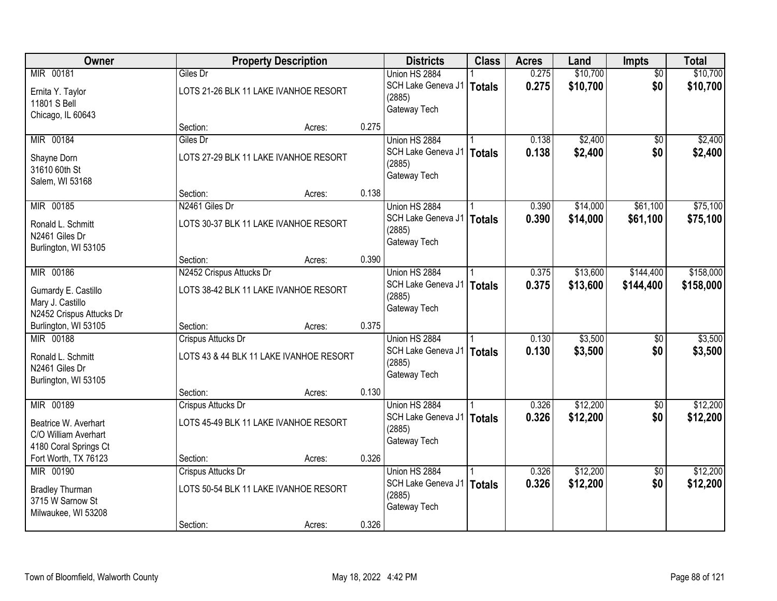| Owner                    |                                         | <b>Property Description</b> |       |                             | <b>Class</b>  | <b>Acres</b> | Land     | Impts           | <b>Total</b> |
|--------------------------|-----------------------------------------|-----------------------------|-------|-----------------------------|---------------|--------------|----------|-----------------|--------------|
| MIR 00181                | Giles Dr                                |                             |       | Union HS 2884               |               | 0.275        | \$10,700 | $\overline{50}$ | \$10,700     |
| Ernita Y. Taylor         | LOTS 21-26 BLK 11 LAKE IVANHOE RESORT   |                             |       | SCH Lake Geneva J1   Totals |               | 0.275        | \$10,700 | \$0             | \$10,700     |
| 11801 S Bell             |                                         |                             |       | (2885)                      |               |              |          |                 |              |
| Chicago, IL 60643        |                                         |                             |       | Gateway Tech                |               |              |          |                 |              |
|                          | Section:                                | Acres:                      | 0.275 |                             |               |              |          |                 |              |
| MIR 00184                | Giles Dr                                |                             |       | Union HS 2884               |               | 0.138        | \$2,400  | $\overline{50}$ | \$2,400      |
| Shayne Dorn              | LOTS 27-29 BLK 11 LAKE IVANHOE RESORT   |                             |       | SCH Lake Geneva J1          | <b>Totals</b> | 0.138        | \$2,400  | \$0             | \$2,400      |
| 31610 60th St            |                                         |                             |       | (2885)                      |               |              |          |                 |              |
| Salem, WI 53168          |                                         |                             |       | Gateway Tech                |               |              |          |                 |              |
|                          | Section:                                | Acres:                      | 0.138 |                             |               |              |          |                 |              |
| MIR 00185                | N2461 Giles Dr                          |                             |       | Union HS 2884               |               | 0.390        | \$14,000 | \$61,100        | \$75,100     |
| Ronald L. Schmitt        | LOTS 30-37 BLK 11 LAKE IVANHOE RESORT   |                             |       | SCH Lake Geneva J1          | <b>Totals</b> | 0.390        | \$14,000 | \$61,100        | \$75,100     |
| N2461 Giles Dr           |                                         |                             |       | (2885)                      |               |              |          |                 |              |
| Burlington, WI 53105     |                                         |                             |       | Gateway Tech                |               |              |          |                 |              |
|                          | Section:                                | Acres:                      | 0.390 |                             |               |              |          |                 |              |
| MIR 00186                | N2452 Crispus Attucks Dr                |                             |       | Union HS 2884               |               | 0.375        | \$13,600 | \$144,400       | \$158,000    |
| Gumardy E. Castillo      | LOTS 38-42 BLK 11 LAKE IVANHOE RESORT   |                             |       | SCH Lake Geneva J1   Totals |               | 0.375        | \$13,600 | \$144,400       | \$158,000    |
| Mary J. Castillo         |                                         |                             |       | (2885)                      |               |              |          |                 |              |
| N2452 Crispus Attucks Dr |                                         |                             |       | Gateway Tech                |               |              |          |                 |              |
| Burlington, WI 53105     | Section:                                | Acres:                      | 0.375 |                             |               |              |          |                 |              |
| MIR 00188                | Crispus Attucks Dr                      |                             |       | Union HS 2884               |               | 0.130        | \$3,500  | $\overline{50}$ | \$3,500      |
| Ronald L. Schmitt        | LOTS 43 & 44 BLK 11 LAKE IVANHOE RESORT |                             |       | SCH Lake Geneva J1   Totals |               | 0.130        | \$3,500  | \$0             | \$3,500      |
| N2461 Giles Dr           |                                         |                             |       | (2885)                      |               |              |          |                 |              |
| Burlington, WI 53105     |                                         |                             |       | Gateway Tech                |               |              |          |                 |              |
|                          | Section:                                | Acres:                      | 0.130 |                             |               |              |          |                 |              |
| MIR 00189                | Crispus Attucks Dr                      |                             |       | Union HS 2884               |               | 0.326        | \$12,200 | $\overline{50}$ | \$12,200     |
| Beatrice W. Averhart     | LOTS 45-49 BLK 11 LAKE IVANHOE RESORT   |                             |       | SCH Lake Geneva J1          | <b>Totals</b> | 0.326        | \$12,200 | \$0             | \$12,200     |
| C/O William Averhart     |                                         |                             |       | (2885)                      |               |              |          |                 |              |
| 4180 Coral Springs Ct    |                                         |                             |       | Gateway Tech                |               |              |          |                 |              |
| Fort Worth, TX 76123     | Section:                                | Acres:                      | 0.326 |                             |               |              |          |                 |              |
| MIR 00190                | Crispus Attucks Dr                      |                             |       | Union HS 2884               |               | 0.326        | \$12,200 | $\overline{50}$ | \$12,200     |
| <b>Bradley Thurman</b>   | LOTS 50-54 BLK 11 LAKE IVANHOE RESORT   |                             |       | SCH Lake Geneva J1          | Totals        | 0.326        | \$12,200 | \$0             | \$12,200     |
| 3715 W Sarnow St         |                                         |                             |       | (2885)                      |               |              |          |                 |              |
| Milwaukee, WI 53208      |                                         |                             |       | Gateway Tech                |               |              |          |                 |              |
|                          | Section:                                | Acres:                      | 0.326 |                             |               |              |          |                 |              |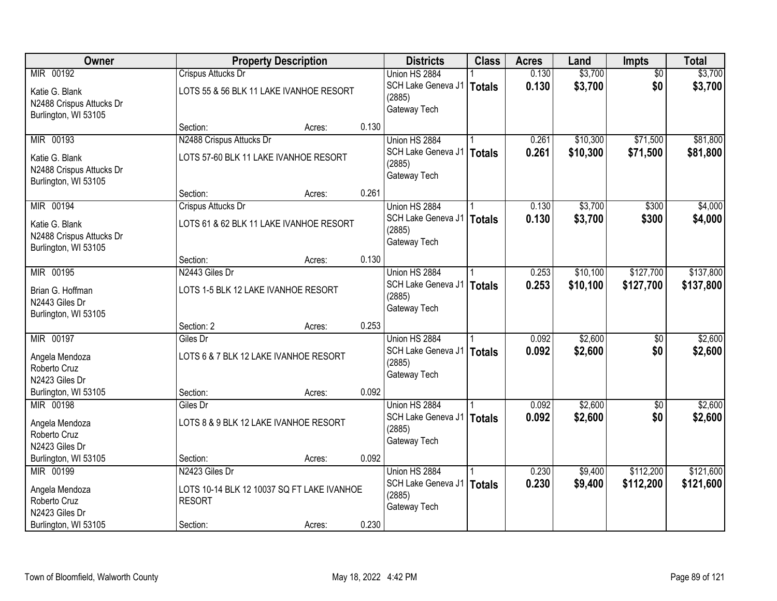| Owner                    |                          | <b>Property Description</b>                |       |                                       | <b>Class</b>  | <b>Acres</b> | Land     | <b>Impts</b>    | <b>Total</b> |
|--------------------------|--------------------------|--------------------------------------------|-------|---------------------------------------|---------------|--------------|----------|-----------------|--------------|
| MIR 00192                | Crispus Attucks Dr       |                                            |       | Union HS 2884                         |               | 0.130        | \$3,700  | $\overline{50}$ | \$3,700      |
| Katie G. Blank           |                          | LOTS 55 & 56 BLK 11 LAKE IVANHOE RESORT    |       | SCH Lake Geneva J1   Totals           |               | 0.130        | \$3,700  | \$0             | \$3,700      |
| N2488 Crispus Attucks Dr |                          |                                            |       | (2885)                                |               |              |          |                 |              |
| Burlington, WI 53105     |                          |                                            |       | Gateway Tech                          |               |              |          |                 |              |
|                          | Section:                 | Acres:                                     | 0.130 |                                       |               |              |          |                 |              |
| MIR 00193                | N2488 Crispus Attucks Dr |                                            |       | Union HS 2884                         |               | 0.261        | \$10,300 | \$71,500        | \$81,800     |
| Katie G. Blank           |                          | LOTS 57-60 BLK 11 LAKE IVANHOE RESORT      |       | SCH Lake Geneva J1                    | <b>Totals</b> | 0.261        | \$10,300 | \$71,500        | \$81,800     |
| N2488 Crispus Attucks Dr |                          |                                            |       | (2885)<br>Gateway Tech                |               |              |          |                 |              |
| Burlington, WI 53105     |                          |                                            |       |                                       |               |              |          |                 |              |
|                          | Section:                 | Acres:                                     | 0.261 |                                       |               |              |          |                 |              |
| MIR 00194                | Crispus Attucks Dr       |                                            |       | Union HS 2884                         |               | 0.130        | \$3,700  | \$300           | \$4,000      |
| Katie G. Blank           |                          | LOTS 61 & 62 BLK 11 LAKE IVANHOE RESORT    |       | SCH Lake Geneva J1                    | Totals        | 0.130        | \$3,700  | \$300           | \$4,000      |
| N2488 Crispus Attucks Dr |                          |                                            |       | (2885)<br>Gateway Tech                |               |              |          |                 |              |
| Burlington, WI 53105     |                          |                                            |       |                                       |               |              |          |                 |              |
|                          | Section:                 | Acres:                                     | 0.130 |                                       |               |              |          |                 |              |
| MIR 00195                | N2443 Giles Dr           |                                            |       | Union HS 2884                         |               | 0.253        | \$10,100 | \$127,700       | \$137,800    |
| Brian G. Hoffman         |                          | LOTS 1-5 BLK 12 LAKE IVANHOE RESORT        |       | SCH Lake Geneva J1                    | Totals        | 0.253        | \$10,100 | \$127,700       | \$137,800    |
| N2443 Giles Dr           |                          |                                            |       | (2885)<br>Gateway Tech                |               |              |          |                 |              |
| Burlington, WI 53105     |                          |                                            |       |                                       |               |              |          |                 |              |
|                          | Section: 2               | Acres:                                     | 0.253 |                                       |               |              |          |                 |              |
| MIR 00197                | Giles Dr                 |                                            |       | Union HS 2884                         |               | 0.092        | \$2,600  | $\overline{50}$ | \$2,600      |
| Angela Mendoza           |                          | LOTS 6 & 7 BLK 12 LAKE IVANHOE RESORT      |       | SCH Lake Geneva J1                    | <b>Totals</b> | 0.092        | \$2,600  | \$0             | \$2,600      |
| Roberto Cruz             |                          |                                            |       | (2885)<br>Gateway Tech                |               |              |          |                 |              |
| N2423 Giles Dr           |                          |                                            |       |                                       |               |              |          |                 |              |
| Burlington, WI 53105     | Section:                 | Acres:                                     | 0.092 |                                       |               |              |          |                 |              |
| MIR 00198                | Giles Dr                 |                                            |       | Union HS 2884                         |               | 0.092        | \$2,600  | $\overline{60}$ | \$2,600      |
| Angela Mendoza           |                          | LOTS 8 & 9 BLK 12 LAKE IVANHOE RESORT      |       | SCH Lake Geneva J1   Totals<br>(2885) |               | 0.092        | \$2,600  | \$0             | \$2,600      |
| Roberto Cruz             |                          |                                            |       | Gateway Tech                          |               |              |          |                 |              |
| N2423 Giles Dr           |                          |                                            |       |                                       |               |              |          |                 |              |
| Burlington, WI 53105     | Section:                 | Acres:                                     | 0.092 |                                       |               |              |          |                 |              |
| MIR 00199                | N2423 Giles Dr           |                                            |       | Union HS 2884                         |               | 0.230        | \$9,400  | \$112,200       | \$121,600    |
| Angela Mendoza           |                          | LOTS 10-14 BLK 12 10037 SQ FT LAKE IVANHOE |       | SCH Lake Geneva J1   Totals<br>(2885) |               | 0.230        | \$9,400  | \$112,200       | \$121,600    |
| Roberto Cruz             | <b>RESORT</b>            |                                            |       | Gateway Tech                          |               |              |          |                 |              |
| N2423 Giles Dr           |                          |                                            |       |                                       |               |              |          |                 |              |
| Burlington, WI 53105     | Section:                 | Acres:                                     | 0.230 |                                       |               |              |          |                 |              |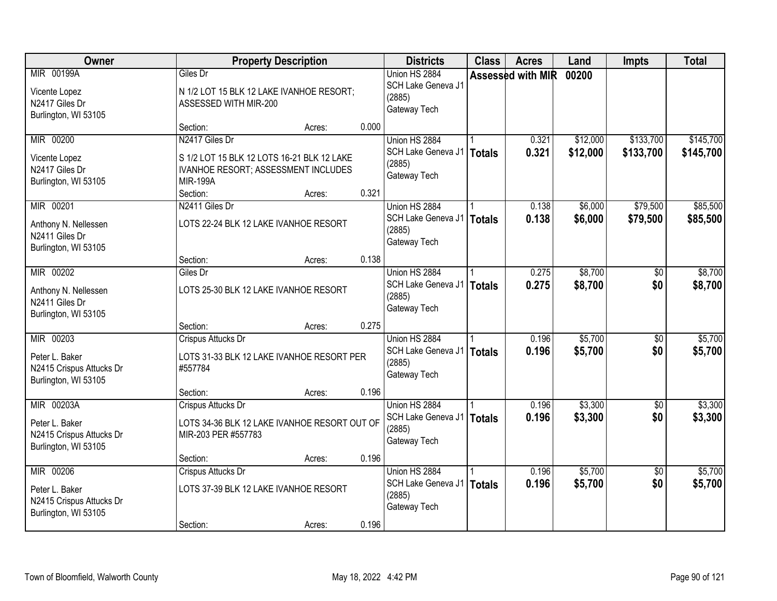| Owner                                                                            | <b>Property Description</b>                                                                                                        | <b>Districts</b> | <b>Class</b> | <b>Acres</b>                                                           | Land          | <b>Impts</b>      | <b>Total</b>         |                        |                        |
|----------------------------------------------------------------------------------|------------------------------------------------------------------------------------------------------------------------------------|------------------|--------------|------------------------------------------------------------------------|---------------|-------------------|----------------------|------------------------|------------------------|
| MIR 00199A<br>Vicente Lopez<br>N2417 Giles Dr<br>Burlington, WI 53105            | Giles Dr<br>N 1/2 LOT 15 BLK 12 LAKE IVANHOE RESORT;<br>ASSESSED WITH MIR-200                                                      |                  |              | Union HS 2884<br>SCH Lake Geneva J1<br>(2885)<br>Gateway Tech          |               | Assessed with MIR | 00200                |                        |                        |
|                                                                                  | Section:                                                                                                                           | Acres:           | 0.000        |                                                                        |               |                   |                      |                        |                        |
| MIR 00200<br>Vicente Lopez<br>N2417 Giles Dr<br>Burlington, WI 53105             | N2417 Giles Dr<br>S 1/2 LOT 15 BLK 12 LOTS 16-21 BLK 12 LAKE<br>IVANHOE RESORT; ASSESSMENT INCLUDES<br><b>MIR-199A</b><br>Section: | Acres:           | 0.321        | Union HS 2884<br>SCH Lake Geneva J1<br>(2885)<br>Gateway Tech          | <b>Totals</b> | 0.321<br>0.321    | \$12,000<br>\$12,000 | \$133,700<br>\$133,700 | \$145,700<br>\$145,700 |
| MIR 00201                                                                        | N2411 Giles Dr                                                                                                                     |                  |              | Union HS 2884                                                          |               | 0.138             | \$6,000              | \$79,500               | \$85,500               |
| Anthony N. Nellessen<br>N2411 Giles Dr<br>Burlington, WI 53105                   | LOTS 22-24 BLK 12 LAKE IVANHOE RESORT                                                                                              |                  |              | SCH Lake Geneva J1<br>(2885)<br>Gateway Tech                           | Totals        | 0.138             | \$6,000              | \$79,500               | \$85,500               |
|                                                                                  | Section:                                                                                                                           | Acres:           | 0.138        |                                                                        |               |                   |                      |                        |                        |
| MIR 00202<br>Anthony N. Nellessen<br>N2411 Giles Dr<br>Burlington, WI 53105      | Giles Dr<br>LOTS 25-30 BLK 12 LAKE IVANHOE RESORT                                                                                  |                  |              | Union HS 2884<br>SCH Lake Geneva J1<br>(2885)<br>Gateway Tech          | Totals        | 0.275<br>0.275    | \$8,700<br>\$8,700   | $\sqrt[6]{}$<br>\$0    | \$8,700<br>\$8,700     |
|                                                                                  | Section:                                                                                                                           | Acres:           | 0.275        |                                                                        |               |                   |                      |                        |                        |
| MIR 00203<br>Peter L. Baker<br>N2415 Crispus Attucks Dr<br>Burlington, WI 53105  | Crispus Attucks Dr<br>LOTS 31-33 BLK 12 LAKE IVANHOE RESORT PER<br>#557784                                                         |                  |              | Union HS 2884<br>SCH Lake Geneva J1   Totals<br>(2885)<br>Gateway Tech |               | 0.196<br>0.196    | \$5,700<br>\$5,700   | \$0<br>\$0             | \$5,700<br>\$5,700     |
|                                                                                  | Section:                                                                                                                           | Acres:           | 0.196        |                                                                        |               |                   |                      |                        |                        |
| MIR 00203A<br>Peter L. Baker<br>N2415 Crispus Attucks Dr<br>Burlington, WI 53105 | Crispus Attucks Dr<br>LOTS 34-36 BLK 12 LAKE IVANHOE RESORT OUT OF<br>MIR-203 PER #557783                                          |                  |              | Union HS 2884<br>SCH Lake Geneva J1   Totals<br>(2885)<br>Gateway Tech |               | 0.196<br>0.196    | \$3,300<br>\$3,300   | $\overline{50}$<br>\$0 | \$3,300<br>\$3,300     |
|                                                                                  | Section:                                                                                                                           | Acres:           | 0.196        |                                                                        |               |                   |                      |                        |                        |
| MIR 00206<br>Peter L. Baker<br>N2415 Crispus Attucks Dr<br>Burlington, WI 53105  | Crispus Attucks Dr<br>LOTS 37-39 BLK 12 LAKE IVANHOE RESORT<br>Section:                                                            | Acres:           | 0.196        | Union HS 2884<br>SCH Lake Geneva J1   Totals<br>(2885)<br>Gateway Tech |               | 0.196<br>0.196    | \$5,700<br>\$5,700   | $\overline{50}$<br>\$0 | \$5,700<br>\$5,700     |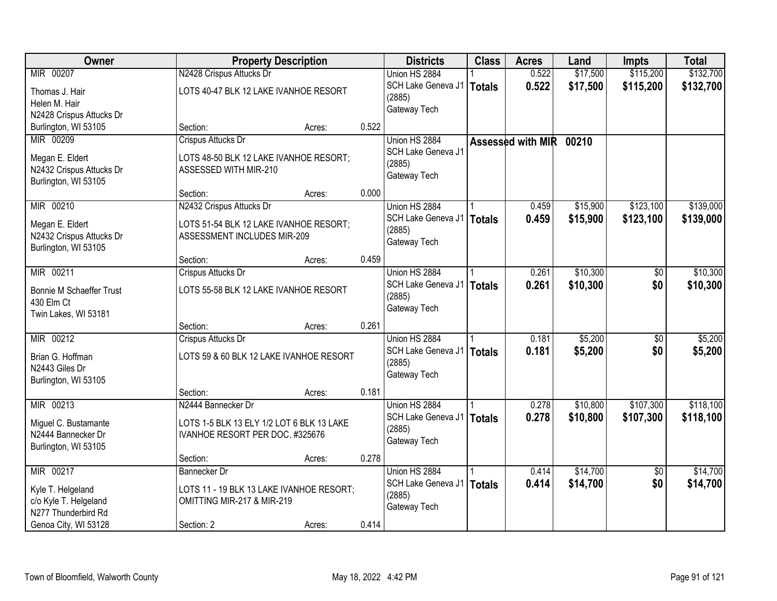| Owner                                      | <b>Property Description</b>               |        |       | <b>Districts</b>            | <b>Class</b>  | <b>Acres</b>      | Land     | <b>Impts</b>    | <b>Total</b> |
|--------------------------------------------|-------------------------------------------|--------|-------|-----------------------------|---------------|-------------------|----------|-----------------|--------------|
| MIR 00207                                  | N2428 Crispus Attucks Dr                  |        |       | Union HS 2884               |               | 0.522             | \$17,500 | \$115,200       | \$132,700    |
| Thomas J. Hair                             | LOTS 40-47 BLK 12 LAKE IVANHOE RESORT     |        |       | SCH Lake Geneva J1          | Totals        | 0.522             | \$17,500 | \$115,200       | \$132,700    |
| Helen M. Hair                              |                                           |        |       | (2885)                      |               |                   |          |                 |              |
| N2428 Crispus Attucks Dr                   |                                           |        |       | Gateway Tech                |               |                   |          |                 |              |
| Burlington, WI 53105                       | Section:                                  | Acres: | 0.522 |                             |               |                   |          |                 |              |
| MIR 00209                                  | Crispus Attucks Dr                        |        |       | Union HS 2884               |               | Assessed with MIR | 00210    |                 |              |
| Megan E. Eldert                            | LOTS 48-50 BLK 12 LAKE IVANHOE RESORT;    |        |       | SCH Lake Geneva J1          |               |                   |          |                 |              |
| N2432 Crispus Attucks Dr                   | ASSESSED WITH MIR-210                     |        |       | (2885)                      |               |                   |          |                 |              |
| Burlington, WI 53105                       |                                           |        |       | Gateway Tech                |               |                   |          |                 |              |
|                                            | Section:                                  | Acres: | 0.000 |                             |               |                   |          |                 |              |
| MIR 00210                                  | N2432 Crispus Attucks Dr                  |        |       | Union HS 2884               |               | 0.459             | \$15,900 | \$123,100       | \$139,000    |
| Megan E. Eldert                            | LOTS 51-54 BLK 12 LAKE IVANHOE RESORT;    |        |       | SCH Lake Geneva J1          | <b>Totals</b> | 0.459             | \$15,900 | \$123,100       | \$139,000    |
| N2432 Crispus Attucks Dr                   | ASSESSMENT INCLUDES MIR-209               |        |       | (2885)                      |               |                   |          |                 |              |
| Burlington, WI 53105                       |                                           |        |       | Gateway Tech                |               |                   |          |                 |              |
|                                            | Section:                                  | Acres: | 0.459 |                             |               |                   |          |                 |              |
| MIR 00211                                  | Crispus Attucks Dr                        |        |       | Union HS 2884               |               | 0.261             | \$10,300 | $\sqrt[6]{3}$   | \$10,300     |
| <b>Bonnie M Schaeffer Trust</b>            | LOTS 55-58 BLK 12 LAKE IVANHOE RESORT     |        |       | SCH Lake Geneva J1   Totals |               | 0.261             | \$10,300 | \$0             | \$10,300     |
| 430 Elm Ct                                 |                                           |        |       | (2885)                      |               |                   |          |                 |              |
| Twin Lakes, WI 53181                       |                                           |        |       | Gateway Tech                |               |                   |          |                 |              |
|                                            | Section:                                  | Acres: | 0.261 |                             |               |                   |          |                 |              |
| MIR 00212                                  | Crispus Attucks Dr                        |        |       | Union HS 2884               |               | 0.181             | \$5,200  | $\overline{50}$ | \$5,200      |
| Brian G. Hoffman                           | LOTS 59 & 60 BLK 12 LAKE IVANHOE RESORT   |        |       | SCH Lake Geneva J1          | <b>Totals</b> | 0.181             | \$5,200  | \$0             | \$5,200      |
| N2443 Giles Dr                             |                                           |        |       | (2885)                      |               |                   |          |                 |              |
| Burlington, WI 53105                       |                                           |        |       | Gateway Tech                |               |                   |          |                 |              |
|                                            | Section:                                  | Acres: | 0.181 |                             |               |                   |          |                 |              |
| MIR 00213                                  | N2444 Bannecker Dr                        |        |       | Union HS 2884               |               | 0.278             | \$10,800 | \$107,300       | \$118,100    |
| Miguel C. Bustamante                       | LOTS 1-5 BLK 13 ELY 1/2 LOT 6 BLK 13 LAKE |        |       | SCH Lake Geneva J1   Totals |               | 0.278             | \$10,800 | \$107,300       | \$118,100    |
| N2444 Bannecker Dr                         | IVANHOE RESORT PER DOC. #325676           |        |       | (2885)                      |               |                   |          |                 |              |
| Burlington, WI 53105                       |                                           |        |       | Gateway Tech                |               |                   |          |                 |              |
|                                            | Section:                                  | Acres: | 0.278 |                             |               |                   |          |                 |              |
| MIR 00217                                  | Bannecker Dr                              |        |       | Union HS 2884               |               | 0.414             | \$14,700 | $\overline{30}$ | \$14,700     |
|                                            | LOTS 11 - 19 BLK 13 LAKE IVANHOE RESORT;  |        |       | SCH Lake Geneva J1   Totals |               | 0.414             | \$14,700 | \$0             | \$14,700     |
| Kyle T. Helgeland<br>c/o Kyle T. Helgeland | OMITTING MIR-217 & MIR-219                |        |       | (2885)                      |               |                   |          |                 |              |
| N277 Thunderbird Rd                        |                                           |        |       | Gateway Tech                |               |                   |          |                 |              |
| Genoa City, WI 53128                       | Section: 2                                | Acres: | 0.414 |                             |               |                   |          |                 |              |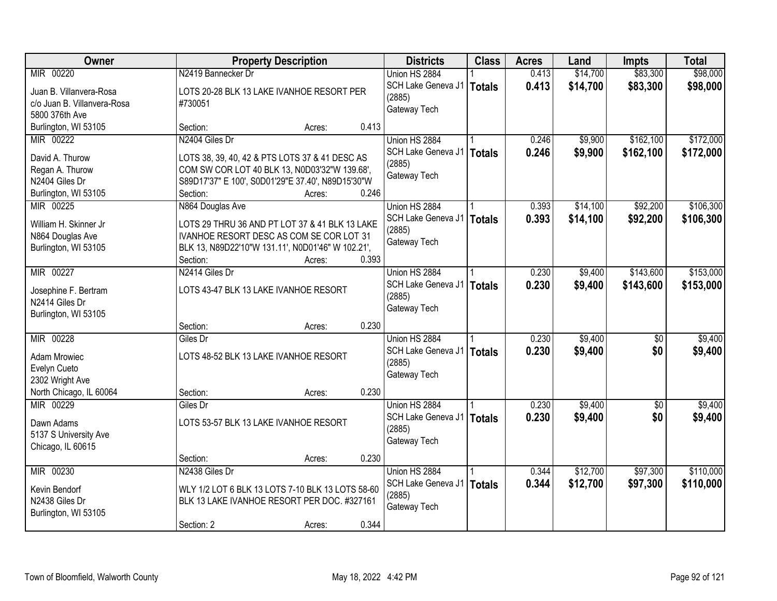| \$83,300<br>\$98,000<br>MIR 00220<br>N2419 Bannecker Dr<br>Union HS 2884<br>0.413<br>\$14,700<br>SCH Lake Geneva J1<br>0.413<br>\$14,700<br>\$83,300<br>\$98,000<br>Totals<br>Juan B. Villanvera-Rosa<br>LOTS 20-28 BLK 13 LAKE IVANHOE RESORT PER<br>(2885)<br>c/o Juan B. Villanvera-Rosa<br>#730051<br>Gateway Tech<br>5800 376th Ave<br>0.413<br>Burlington, WI 53105<br>Section:<br>Acres:<br>N2404 Giles Dr<br>\$9,900<br>\$162,100<br>\$172,000<br>MIR 00222<br>Union HS 2884<br>0.246<br>SCH Lake Geneva J1   Totals<br>0.246<br>\$9,900<br>\$162,100<br>\$172,000<br>David A. Thurow<br>LOTS 38, 39, 40, 42 & PTS LOTS 37 & 41 DESC AS<br>(2885)<br>COM SW COR LOT 40 BLK 13, N0D03'32"W 139.68',<br>Regan A. Thurow<br>Gateway Tech<br>N2404 Giles Dr<br>S89D17'37" E 100', S0D01'29"E 37.40', N89D15'30"W<br>0.246<br>Burlington, WI 53105<br>Section:<br>Acres: |
|-----------------------------------------------------------------------------------------------------------------------------------------------------------------------------------------------------------------------------------------------------------------------------------------------------------------------------------------------------------------------------------------------------------------------------------------------------------------------------------------------------------------------------------------------------------------------------------------------------------------------------------------------------------------------------------------------------------------------------------------------------------------------------------------------------------------------------------------------------------------------------|
|                                                                                                                                                                                                                                                                                                                                                                                                                                                                                                                                                                                                                                                                                                                                                                                                                                                                             |
|                                                                                                                                                                                                                                                                                                                                                                                                                                                                                                                                                                                                                                                                                                                                                                                                                                                                             |
|                                                                                                                                                                                                                                                                                                                                                                                                                                                                                                                                                                                                                                                                                                                                                                                                                                                                             |
|                                                                                                                                                                                                                                                                                                                                                                                                                                                                                                                                                                                                                                                                                                                                                                                                                                                                             |
|                                                                                                                                                                                                                                                                                                                                                                                                                                                                                                                                                                                                                                                                                                                                                                                                                                                                             |
|                                                                                                                                                                                                                                                                                                                                                                                                                                                                                                                                                                                                                                                                                                                                                                                                                                                                             |
|                                                                                                                                                                                                                                                                                                                                                                                                                                                                                                                                                                                                                                                                                                                                                                                                                                                                             |
|                                                                                                                                                                                                                                                                                                                                                                                                                                                                                                                                                                                                                                                                                                                                                                                                                                                                             |
|                                                                                                                                                                                                                                                                                                                                                                                                                                                                                                                                                                                                                                                                                                                                                                                                                                                                             |
|                                                                                                                                                                                                                                                                                                                                                                                                                                                                                                                                                                                                                                                                                                                                                                                                                                                                             |
| \$14,100<br>\$92,200<br>\$106,300<br>MIR 00225<br>N864 Douglas Ave<br>Union HS 2884<br>0.393                                                                                                                                                                                                                                                                                                                                                                                                                                                                                                                                                                                                                                                                                                                                                                                |
|                                                                                                                                                                                                                                                                                                                                                                                                                                                                                                                                                                                                                                                                                                                                                                                                                                                                             |
| SCH Lake Geneva J1<br>\$14,100<br>0.393<br>\$92,200<br>\$106,300<br>Totals<br>William H. Skinner Jr<br>LOTS 29 THRU 36 AND PT LOT 37 & 41 BLK 13 LAKE<br>(2885)                                                                                                                                                                                                                                                                                                                                                                                                                                                                                                                                                                                                                                                                                                             |
| N864 Douglas Ave<br>IVANHOE RESORT DESC AS COM SE COR LOT 31<br>Gateway Tech                                                                                                                                                                                                                                                                                                                                                                                                                                                                                                                                                                                                                                                                                                                                                                                                |
| BLK 13, N89D22'10"W 131.11', N0D01'46" W 102.21',<br>Burlington, WI 53105                                                                                                                                                                                                                                                                                                                                                                                                                                                                                                                                                                                                                                                                                                                                                                                                   |
| 0.393<br>Section:<br>Acres:                                                                                                                                                                                                                                                                                                                                                                                                                                                                                                                                                                                                                                                                                                                                                                                                                                                 |
| MIR 00227<br>\$9,400<br>\$143,600<br>\$153,000<br>N2414 Giles Dr<br>Union HS 2884<br>0.230                                                                                                                                                                                                                                                                                                                                                                                                                                                                                                                                                                                                                                                                                                                                                                                  |
| SCH Lake Geneva J1<br>0.230<br>Totals<br>\$9,400<br>\$143,600<br>\$153,000<br>LOTS 43-47 BLK 13 LAKE IVANHOE RESORT<br>Josephine F. Bertram                                                                                                                                                                                                                                                                                                                                                                                                                                                                                                                                                                                                                                                                                                                                 |
| (2885)<br>N2414 Giles Dr                                                                                                                                                                                                                                                                                                                                                                                                                                                                                                                                                                                                                                                                                                                                                                                                                                                    |
| Gateway Tech<br>Burlington, WI 53105                                                                                                                                                                                                                                                                                                                                                                                                                                                                                                                                                                                                                                                                                                                                                                                                                                        |
| 0.230<br>Section:<br>Acres:                                                                                                                                                                                                                                                                                                                                                                                                                                                                                                                                                                                                                                                                                                                                                                                                                                                 |
| MIR 00228<br>\$9,400<br>\$9,400<br>0.230<br>Union HS 2884<br>\$0<br>Giles Dr                                                                                                                                                                                                                                                                                                                                                                                                                                                                                                                                                                                                                                                                                                                                                                                                |
| SCH Lake Geneva J1<br>0.230<br>\$9,400<br>\$0<br>\$9,400<br><b>Totals</b>                                                                                                                                                                                                                                                                                                                                                                                                                                                                                                                                                                                                                                                                                                                                                                                                   |
| Adam Mrowiec<br>LOTS 48-52 BLK 13 LAKE IVANHOE RESORT<br>(2885)                                                                                                                                                                                                                                                                                                                                                                                                                                                                                                                                                                                                                                                                                                                                                                                                             |
| Evelyn Cueto<br>Gateway Tech                                                                                                                                                                                                                                                                                                                                                                                                                                                                                                                                                                                                                                                                                                                                                                                                                                                |
| 2302 Wright Ave                                                                                                                                                                                                                                                                                                                                                                                                                                                                                                                                                                                                                                                                                                                                                                                                                                                             |
| North Chicago, IL 60064<br>0.230<br>Section:<br>Acres:                                                                                                                                                                                                                                                                                                                                                                                                                                                                                                                                                                                                                                                                                                                                                                                                                      |
| \$9,400<br>\$9,400<br>MIR 00229<br>0.230<br>$\overline{60}$<br>Giles Dr<br>Union HS 2884                                                                                                                                                                                                                                                                                                                                                                                                                                                                                                                                                                                                                                                                                                                                                                                    |
| SCH Lake Geneva J1   Totals<br>0.230<br>\$9,400<br>\$0<br>\$9,400<br>LOTS 53-57 BLK 13 LAKE IVANHOE RESORT<br>Dawn Adams                                                                                                                                                                                                                                                                                                                                                                                                                                                                                                                                                                                                                                                                                                                                                    |
| (2885)<br>5137 S University Ave                                                                                                                                                                                                                                                                                                                                                                                                                                                                                                                                                                                                                                                                                                                                                                                                                                             |
| Gateway Tech<br>Chicago, IL 60615                                                                                                                                                                                                                                                                                                                                                                                                                                                                                                                                                                                                                                                                                                                                                                                                                                           |
| 0.230<br>Section:<br>Acres:                                                                                                                                                                                                                                                                                                                                                                                                                                                                                                                                                                                                                                                                                                                                                                                                                                                 |
| MIR 00230<br>Union HS 2884<br>\$12,700<br>\$97,300<br>\$110,000<br>N2438 Giles Dr<br>0.344                                                                                                                                                                                                                                                                                                                                                                                                                                                                                                                                                                                                                                                                                                                                                                                  |
| SCH Lake Geneva J1   Totals<br>0.344<br>\$12,700<br>\$97,300<br>\$110,000<br>WLY 1/2 LOT 6 BLK 13 LOTS 7-10 BLK 13 LOTS 58-60<br>Kevin Bendorf                                                                                                                                                                                                                                                                                                                                                                                                                                                                                                                                                                                                                                                                                                                              |
| (2885)<br>N2438 Giles Dr<br>BLK 13 LAKE IVANHOE RESORT PER DOC. #327161                                                                                                                                                                                                                                                                                                                                                                                                                                                                                                                                                                                                                                                                                                                                                                                                     |
| Gateway Tech<br>Burlington, WI 53105                                                                                                                                                                                                                                                                                                                                                                                                                                                                                                                                                                                                                                                                                                                                                                                                                                        |
| 0.344<br>Section: 2<br>Acres:                                                                                                                                                                                                                                                                                                                                                                                                                                                                                                                                                                                                                                                                                                                                                                                                                                               |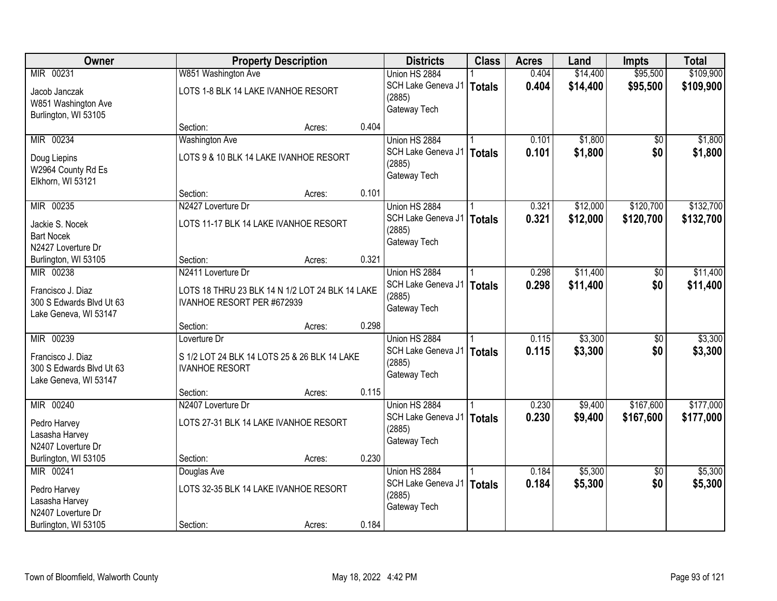| Owner                    |                                                 | <b>Property Description</b> |       |                             | <b>Class</b>  | <b>Acres</b> | Land     | <b>Impts</b>    | <b>Total</b> |
|--------------------------|-------------------------------------------------|-----------------------------|-------|-----------------------------|---------------|--------------|----------|-----------------|--------------|
| MIR 00231                | W851 Washington Ave                             |                             |       | Union HS 2884               |               | 0.404        | \$14,400 | \$95,500        | \$109,900    |
| Jacob Janczak            | LOTS 1-8 BLK 14 LAKE IVANHOE RESORT             |                             |       | SCH Lake Geneva J1          | Totals        | 0.404        | \$14,400 | \$95,500        | \$109,900    |
| W851 Washington Ave      |                                                 |                             |       | (2885)                      |               |              |          |                 |              |
| Burlington, WI 53105     |                                                 |                             |       | Gateway Tech                |               |              |          |                 |              |
|                          | Section:                                        | Acres:                      | 0.404 |                             |               |              |          |                 |              |
| MIR 00234                | <b>Washington Ave</b>                           |                             |       | Union HS 2884               |               | 0.101        | \$1,800  | \$0             | \$1,800      |
| Doug Liepins             | LOTS 9 & 10 BLK 14 LAKE IVANHOE RESORT          |                             |       | SCH Lake Geneva J1          | <b>Totals</b> | 0.101        | \$1,800  | \$0             | \$1,800      |
| W2964 County Rd Es       |                                                 |                             |       | (2885)                      |               |              |          |                 |              |
| Elkhorn, WI 53121        |                                                 |                             |       | Gateway Tech                |               |              |          |                 |              |
|                          | Section:                                        | Acres:                      | 0.101 |                             |               |              |          |                 |              |
| MIR 00235                | N2427 Loverture Dr                              |                             |       | Union HS 2884               |               | 0.321        | \$12,000 | \$120,700       | \$132,700    |
| Jackie S. Nocek          | LOTS 11-17 BLK 14 LAKE IVANHOE RESORT           |                             |       | SCH Lake Geneva J1          | <b>Totals</b> | 0.321        | \$12,000 | \$120,700       | \$132,700    |
| <b>Bart Nocek</b>        |                                                 |                             |       | (2885)                      |               |              |          |                 |              |
| N2427 Loverture Dr       |                                                 |                             |       | Gateway Tech                |               |              |          |                 |              |
| Burlington, WI 53105     | Section:                                        | Acres:                      | 0.321 |                             |               |              |          |                 |              |
| MIR 00238                | N2411 Loverture Dr                              |                             |       | Union HS 2884               |               | 0.298        | \$11,400 | \$0             | \$11,400     |
| Francisco J. Diaz        | LOTS 18 THRU 23 BLK 14 N 1/2 LOT 24 BLK 14 LAKE |                             |       | SCH Lake Geneva J1   Totals |               | 0.298        | \$11,400 | \$0             | \$11,400     |
| 300 S Edwards Blvd Ut 63 | IVANHOE RESORT PER #672939                      |                             |       | (2885)                      |               |              |          |                 |              |
| Lake Geneva, WI 53147    |                                                 |                             |       | Gateway Tech                |               |              |          |                 |              |
|                          | Section:                                        | Acres:                      | 0.298 |                             |               |              |          |                 |              |
| MIR 00239                | Loverture Dr                                    |                             |       | Union HS 2884               |               | 0.115        | \$3,300  | \$0             | \$3,300      |
| Francisco J. Diaz        | S 1/2 LOT 24 BLK 14 LOTS 25 & 26 BLK 14 LAKE    |                             |       | SCH Lake Geneva J1          | Totals        | 0.115        | \$3,300  | \$0             | \$3,300      |
| 300 S Edwards Blvd Ut 63 | <b>IVANHOE RESORT</b>                           |                             |       | (2885)                      |               |              |          |                 |              |
| Lake Geneva, WI 53147    |                                                 |                             |       | Gateway Tech                |               |              |          |                 |              |
|                          | Section:                                        | Acres:                      | 0.115 |                             |               |              |          |                 |              |
| MIR 00240                | N2407 Loverture Dr                              |                             |       | Union HS 2884               |               | 0.230        | \$9,400  | \$167,600       | \$177,000    |
| Pedro Harvey             | LOTS 27-31 BLK 14 LAKE IVANHOE RESORT           |                             |       | SCH Lake Geneva J1   Totals |               | 0.230        | \$9,400  | \$167,600       | \$177,000    |
| Lasasha Harvey           |                                                 |                             |       | (2885)                      |               |              |          |                 |              |
| N2407 Loverture Dr       |                                                 |                             |       | Gateway Tech                |               |              |          |                 |              |
| Burlington, WI 53105     | Section:                                        | Acres:                      | 0.230 |                             |               |              |          |                 |              |
| MIR 00241                | Douglas Ave                                     |                             |       | Union HS 2884               |               | 0.184        | \$5,300  | $\overline{50}$ | \$5,300      |
| Pedro Harvey             | LOTS 32-35 BLK 14 LAKE IVANHOE RESORT           |                             |       | SCH Lake Geneva J1          | <b>Totals</b> | 0.184        | \$5,300  | \$0             | \$5,300      |
| Lasasha Harvey           |                                                 |                             |       | (2885)                      |               |              |          |                 |              |
| N2407 Loverture Dr       |                                                 |                             |       | Gateway Tech                |               |              |          |                 |              |
| Burlington, WI 53105     | Section:                                        | Acres:                      | 0.184 |                             |               |              |          |                 |              |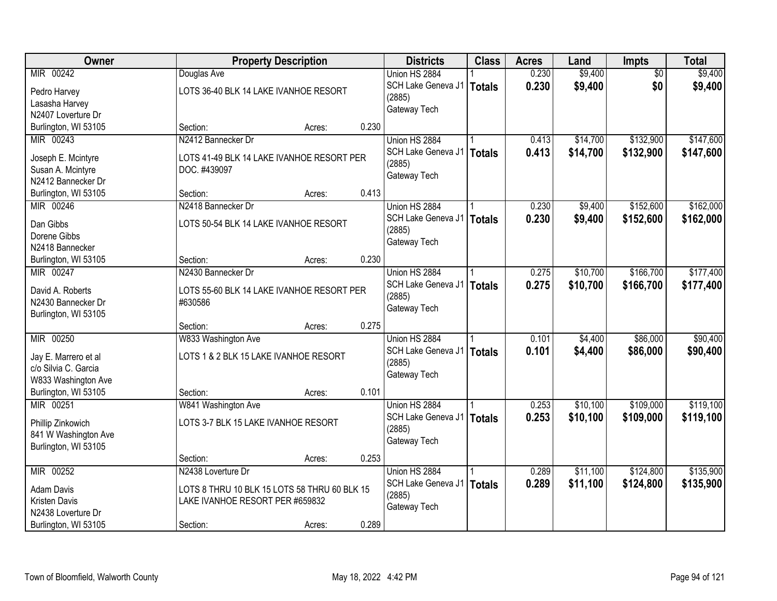| Owner                | <b>Property Description</b>                  |        |       | <b>Districts</b>            | <b>Class</b>  | <b>Acres</b> | Land     | Impts           | <b>Total</b> |
|----------------------|----------------------------------------------|--------|-------|-----------------------------|---------------|--------------|----------|-----------------|--------------|
| MIR 00242            | Douglas Ave                                  |        |       | Union HS 2884               |               | 0.230        | \$9,400  | $\overline{50}$ | \$9,400      |
| Pedro Harvey         | LOTS 36-40 BLK 14 LAKE IVANHOE RESORT        |        |       | SCH Lake Geneva J1          | Totals        | 0.230        | \$9,400  | \$0             | \$9,400      |
| Lasasha Harvey       |                                              |        |       | (2885)                      |               |              |          |                 |              |
| N2407 Loverture Dr   |                                              |        |       | Gateway Tech                |               |              |          |                 |              |
| Burlington, WI 53105 | Section:                                     | Acres: | 0.230 |                             |               |              |          |                 |              |
| MIR 00243            | N2412 Bannecker Dr                           |        |       | Union HS 2884               |               | 0.413        | \$14,700 | \$132,900       | \$147,600    |
|                      |                                              |        |       | SCH Lake Geneva J1   Totals |               | 0.413        | \$14,700 | \$132,900       | \$147,600    |
| Joseph E. Mcintyre   | LOTS 41-49 BLK 14 LAKE IVANHOE RESORT PER    |        |       | (2885)                      |               |              |          |                 |              |
| Susan A. Mcintyre    | DOC. #439097                                 |        |       | Gateway Tech                |               |              |          |                 |              |
| N2412 Bannecker Dr   |                                              |        |       |                             |               |              |          |                 |              |
| Burlington, WI 53105 | Section:                                     | Acres: | 0.413 |                             |               |              |          |                 |              |
| MIR 00246            | N2418 Bannecker Dr                           |        |       | Union HS 2884               |               | 0.230        | \$9,400  | \$152,600       | \$162,000    |
| Dan Gibbs            | LOTS 50-54 BLK 14 LAKE IVANHOE RESORT        |        |       | SCH Lake Geneva J1          | <b>Totals</b> | 0.230        | \$9,400  | \$152,600       | \$162,000    |
| Dorene Gibbs         |                                              |        |       | (2885)                      |               |              |          |                 |              |
| N2418 Bannecker      |                                              |        |       | Gateway Tech                |               |              |          |                 |              |
| Burlington, WI 53105 | Section:                                     | Acres: | 0.230 |                             |               |              |          |                 |              |
| MIR 00247            | N2430 Bannecker Dr                           |        |       | Union HS 2884               |               | 0.275        | \$10,700 | \$166,700       | \$177,400    |
|                      |                                              |        |       | SCH Lake Geneva J1          | <b>Totals</b> | 0.275        | \$10,700 | \$166,700       | \$177,400    |
| David A. Roberts     | LOTS 55-60 BLK 14 LAKE IVANHOE RESORT PER    |        |       | (2885)                      |               |              |          |                 |              |
| N2430 Bannecker Dr   | #630586                                      |        |       | Gateway Tech                |               |              |          |                 |              |
| Burlington, WI 53105 |                                              |        |       |                             |               |              |          |                 |              |
|                      | Section:                                     | Acres: | 0.275 |                             |               |              |          |                 |              |
| MIR 00250            | W833 Washington Ave                          |        |       | Union HS 2884               |               | 0.101        | \$4,400  | \$86,000        | \$90,400     |
| Jay E. Marrero et al | LOTS 1 & 2 BLK 15 LAKE IVANHOE RESORT        |        |       | SCH Lake Geneva J1          | Totals        | 0.101        | \$4,400  | \$86,000        | \$90,400     |
| c/o Silvia C. Garcia |                                              |        |       | (2885)                      |               |              |          |                 |              |
| W833 Washington Ave  |                                              |        |       | Gateway Tech                |               |              |          |                 |              |
| Burlington, WI 53105 | Section:                                     | Acres: | 0.101 |                             |               |              |          |                 |              |
| MIR 00251            | W841 Washington Ave                          |        |       | Union HS 2884               |               | 0.253        | \$10,100 | \$109,000       | \$119,100    |
|                      |                                              |        |       | SCH Lake Geneva J1   Totals |               | 0.253        | \$10,100 | \$109,000       | \$119,100    |
| Phillip Zinkowich    | LOTS 3-7 BLK 15 LAKE IVANHOE RESORT          |        |       | (2885)                      |               |              |          |                 |              |
| 841 W Washington Ave |                                              |        |       | Gateway Tech                |               |              |          |                 |              |
| Burlington, WI 53105 |                                              |        |       |                             |               |              |          |                 |              |
|                      | Section:                                     | Acres: | 0.253 |                             |               |              |          |                 |              |
| MIR 00252            | N2438 Loverture Dr                           |        |       | Union HS 2884               |               | 0.289        | \$11,100 | \$124,800       | \$135,900    |
| <b>Adam Davis</b>    | LOTS 8 THRU 10 BLK 15 LOTS 58 THRU 60 BLK 15 |        |       | SCH Lake Geneva J1          | Totals        | 0.289        | \$11,100 | \$124,800       | \$135,900    |
| Kristen Davis        | LAKE IVANHOE RESORT PER #659832              |        |       | (2885)                      |               |              |          |                 |              |
| N2438 Loverture Dr   |                                              |        |       | Gateway Tech                |               |              |          |                 |              |
| Burlington, WI 53105 | Section:                                     | Acres: | 0.289 |                             |               |              |          |                 |              |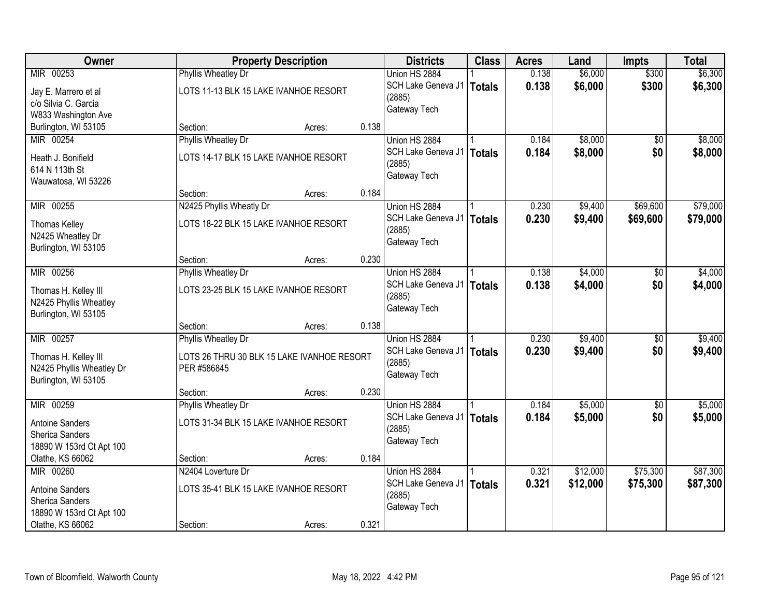| Owner                                             |                                            | <b>Property Description</b> |       |                             | <b>Class</b>  | <b>Acres</b> | Land     | <b>Impts</b>    | <b>Total</b> |
|---------------------------------------------------|--------------------------------------------|-----------------------------|-------|-----------------------------|---------------|--------------|----------|-----------------|--------------|
| MIR 00253                                         | <b>Phyllis Wheatley Dr</b>                 |                             |       | Union HS 2884               |               | 0.138        | \$6,000  | \$300           | \$6,300      |
| Jay E. Marrero et al                              | LOTS 11-13 BLK 15 LAKE IVANHOE RESORT      |                             |       | SCH Lake Geneva J1   Totals |               | 0.138        | \$6,000  | \$300           | \$6,300      |
| c/o Silvia C. Garcia                              |                                            |                             |       | (2885)                      |               |              |          |                 |              |
| W833 Washington Ave                               |                                            |                             |       | Gateway Tech                |               |              |          |                 |              |
| Burlington, WI 53105                              | Section:                                   | Acres:                      | 0.138 |                             |               |              |          |                 |              |
| MIR 00254                                         | <b>Phyllis Wheatley Dr</b>                 |                             |       | Union HS 2884               |               | 0.184        | \$8,000  | \$0             | \$8,000      |
| Heath J. Bonifield                                | LOTS 14-17 BLK 15 LAKE IVANHOE RESORT      |                             |       | SCH Lake Geneva J1          | Totals        | 0.184        | \$8,000  | \$0             | \$8,000      |
| 614 N 113th St                                    |                                            |                             |       | (2885)                      |               |              |          |                 |              |
| Wauwatosa, WI 53226                               |                                            |                             |       | Gateway Tech                |               |              |          |                 |              |
|                                                   | Section:                                   | Acres:                      | 0.184 |                             |               |              |          |                 |              |
| MIR 00255                                         | N2425 Phyllis Wheatly Dr                   |                             |       | Union HS 2884               |               | 0.230        | \$9,400  | \$69,600        | \$79,000     |
| <b>Thomas Kelley</b>                              | LOTS 18-22 BLK 15 LAKE IVANHOE RESORT      |                             |       | SCH Lake Geneva J1          | Totals        | 0.230        | \$9,400  | \$69,600        | \$79,000     |
| N2425 Wheatley Dr                                 |                                            |                             |       | (2885)                      |               |              |          |                 |              |
| Burlington, WI 53105                              |                                            |                             |       | Gateway Tech                |               |              |          |                 |              |
|                                                   | Section:                                   | Acres:                      | 0.230 |                             |               |              |          |                 |              |
| MIR 00256                                         | Phyllis Wheatley Dr                        |                             |       | Union HS 2884               |               | 0.138        | \$4,000  | \$0             | \$4,000      |
| Thomas H. Kelley III                              | LOTS 23-25 BLK 15 LAKE IVANHOE RESORT      |                             |       | SCH Lake Geneva J1          | <b>Totals</b> | 0.138        | \$4,000  | \$0             | \$4,000      |
| N2425 Phyllis Wheatley                            |                                            |                             |       | (2885)                      |               |              |          |                 |              |
| Burlington, WI 53105                              |                                            |                             |       | Gateway Tech                |               |              |          |                 |              |
|                                                   | Section:                                   | Acres:                      | 0.138 |                             |               |              |          |                 |              |
| MIR 00257                                         | Phyllis Wheatley Dr                        |                             |       | Union HS 2884               |               | 0.230        | \$9,400  | $\overline{50}$ | \$9,400      |
|                                                   | LOTS 26 THRU 30 BLK 15 LAKE IVANHOE RESORT |                             |       | SCH Lake Geneva J1          | <b>Totals</b> | 0.230        | \$9,400  | \$0             | \$9,400      |
| Thomas H. Kelley III<br>N2425 Phyllis Wheatley Dr | PER #586845                                |                             |       | (2885)                      |               |              |          |                 |              |
| Burlington, WI 53105                              |                                            |                             |       | Gateway Tech                |               |              |          |                 |              |
|                                                   | Section:                                   | Acres:                      | 0.230 |                             |               |              |          |                 |              |
| MIR 00259                                         | Phyllis Wheatley Dr                        |                             |       | Union HS 2884               |               | 0.184        | \$5,000  | $\overline{60}$ | \$5,000      |
| <b>Antoine Sanders</b>                            | LOTS 31-34 BLK 15 LAKE IVANHOE RESORT      |                             |       | SCH Lake Geneva J1          | <b>Totals</b> | 0.184        | \$5,000  | \$0             | \$5,000      |
| Sherica Sanders                                   |                                            |                             |       | (2885)                      |               |              |          |                 |              |
| 18890 W 153rd Ct Apt 100                          |                                            |                             |       | Gateway Tech                |               |              |          |                 |              |
| Olathe, KS 66062                                  | Section:                                   | Acres:                      | 0.184 |                             |               |              |          |                 |              |
| MIR 00260                                         | N2404 Loverture Dr                         |                             |       | Union HS 2884               |               | 0.321        | \$12,000 | \$75,300        | \$87,300     |
| <b>Antoine Sanders</b>                            | LOTS 35-41 BLK 15 LAKE IVANHOE RESORT      |                             |       | SCH Lake Geneva J1          | <b>Totals</b> | 0.321        | \$12,000 | \$75,300        | \$87,300     |
| Sherica Sanders                                   |                                            |                             |       | (2885)                      |               |              |          |                 |              |
| 18890 W 153rd Ct Apt 100                          |                                            |                             |       | Gateway Tech                |               |              |          |                 |              |
| Olathe, KS 66062                                  | Section:                                   | Acres:                      | 0.321 |                             |               |              |          |                 |              |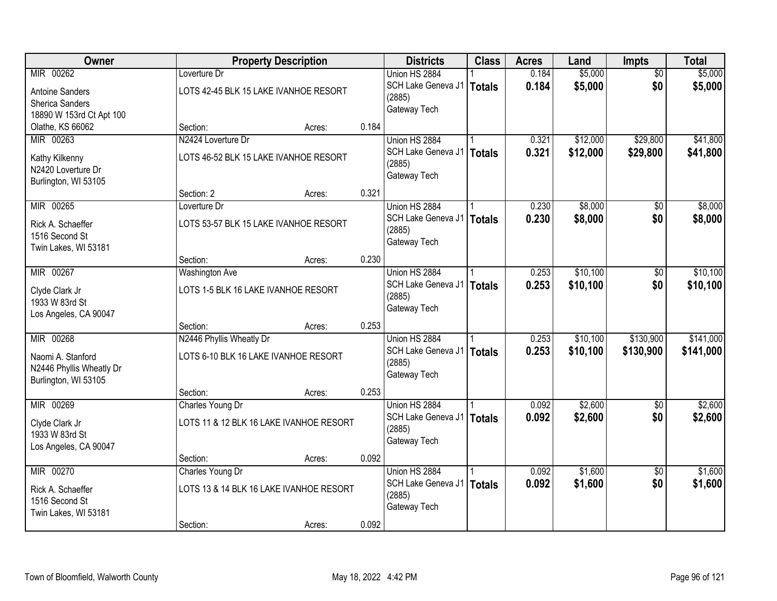| Owner                    |                                      | <b>Property Description</b>             |       |                    | <b>Class</b>  | <b>Acres</b> | Land     | Impts           | <b>Total</b> |
|--------------------------|--------------------------------------|-----------------------------------------|-------|--------------------|---------------|--------------|----------|-----------------|--------------|
| MIR 00262                | Loverture Dr                         |                                         |       | Union HS 2884      |               | 0.184        | \$5,000  | $\overline{50}$ | \$5,000      |
| <b>Antoine Sanders</b>   |                                      | LOTS 42-45 BLK 15 LAKE IVANHOE RESORT   |       | SCH Lake Geneva J1 | <b>Totals</b> | 0.184        | \$5,000  | \$0             | \$5,000      |
| <b>Sherica Sanders</b>   |                                      |                                         |       | (2885)             |               |              |          |                 |              |
| 18890 W 153rd Ct Apt 100 |                                      |                                         |       | Gateway Tech       |               |              |          |                 |              |
| Olathe, KS 66062         | Section:                             | Acres:                                  | 0.184 |                    |               |              |          |                 |              |
| MIR 00263                | N2424 Loverture Dr                   |                                         |       | Union HS 2884      |               | 0.321        | \$12,000 | \$29,800        | \$41,800     |
| Kathy Kilkenny           |                                      | LOTS 46-52 BLK 15 LAKE IVANHOE RESORT   |       | SCH Lake Geneva J1 | <b>Totals</b> | 0.321        | \$12,000 | \$29,800        | \$41,800     |
| N2420 Loverture Dr       |                                      |                                         |       | (2885)             |               |              |          |                 |              |
| Burlington, WI 53105     |                                      |                                         |       | Gateway Tech       |               |              |          |                 |              |
|                          | Section: 2                           | Acres:                                  | 0.321 |                    |               |              |          |                 |              |
| MIR 00265                | Loverture Dr                         |                                         |       | Union HS 2884      |               | 0.230        | \$8,000  | \$0             | \$8,000      |
| Rick A. Schaeffer        |                                      | LOTS 53-57 BLK 15 LAKE IVANHOE RESORT   |       | SCH Lake Geneva J1 | <b>Totals</b> | 0.230        | \$8,000  | \$0             | \$8,000      |
| 1516 Second St           |                                      |                                         |       | (2885)             |               |              |          |                 |              |
| Twin Lakes, WI 53181     |                                      |                                         |       | Gateway Tech       |               |              |          |                 |              |
|                          | Section:                             | Acres:                                  | 0.230 |                    |               |              |          |                 |              |
| MIR 00267                | <b>Washington Ave</b>                |                                         |       | Union HS 2884      |               | 0.253        | \$10,100 | \$0             | \$10,100     |
| Clyde Clark Jr           | LOTS 1-5 BLK 16 LAKE IVANHOE RESORT  |                                         |       | SCH Lake Geneva J1 | <b>Totals</b> | 0.253        | \$10,100 | \$0             | \$10,100     |
| 1933 W 83rd St           |                                      |                                         |       | (2885)             |               |              |          |                 |              |
| Los Angeles, CA 90047    |                                      |                                         |       | Gateway Tech       |               |              |          |                 |              |
|                          | Section:                             | Acres:                                  | 0.253 |                    |               |              |          |                 |              |
| MIR 00268                | N2446 Phyllis Wheatly Dr             |                                         |       | Union HS 2884      |               | 0.253        | \$10,100 | \$130,900       | \$141,000    |
| Naomi A. Stanford        | LOTS 6-10 BLK 16 LAKE IVANHOE RESORT |                                         |       | SCH Lake Geneva J1 | <b>Totals</b> | 0.253        | \$10,100 | \$130,900       | \$141,000    |
| N2446 Phyllis Wheatly Dr |                                      |                                         |       | (2885)             |               |              |          |                 |              |
| Burlington, WI 53105     |                                      |                                         |       | Gateway Tech       |               |              |          |                 |              |
|                          | Section:                             | Acres:                                  | 0.253 |                    |               |              |          |                 |              |
| MIR 00269                | Charles Young Dr                     |                                         |       | Union HS 2884      |               | 0.092        | \$2,600  | $\overline{50}$ | \$2,600      |
| Clyde Clark Jr           |                                      | LOTS 11 & 12 BLK 16 LAKE IVANHOE RESORT |       | SCH Lake Geneva J1 | <b>Totals</b> | 0.092        | \$2,600  | \$0             | \$2,600      |
| 1933 W 83rd St           |                                      |                                         |       | (2885)             |               |              |          |                 |              |
| Los Angeles, CA 90047    |                                      |                                         |       | Gateway Tech       |               |              |          |                 |              |
|                          | Section:                             | Acres:                                  | 0.092 |                    |               |              |          |                 |              |
| MIR 00270                | Charles Young Dr                     |                                         |       | Union HS 2884      |               | 0.092        | \$1,600  | $\overline{50}$ | \$1,600      |
| Rick A. Schaeffer        |                                      | LOTS 13 & 14 BLK 16 LAKE IVANHOE RESORT |       | SCH Lake Geneva J1 | <b>Totals</b> | 0.092        | \$1,600  | \$0             | \$1,600      |
| 1516 Second St           |                                      |                                         |       | (2885)             |               |              |          |                 |              |
| Twin Lakes, WI 53181     |                                      |                                         |       | Gateway Tech       |               |              |          |                 |              |
|                          | Section:                             | Acres:                                  | 0.092 |                    |               |              |          |                 |              |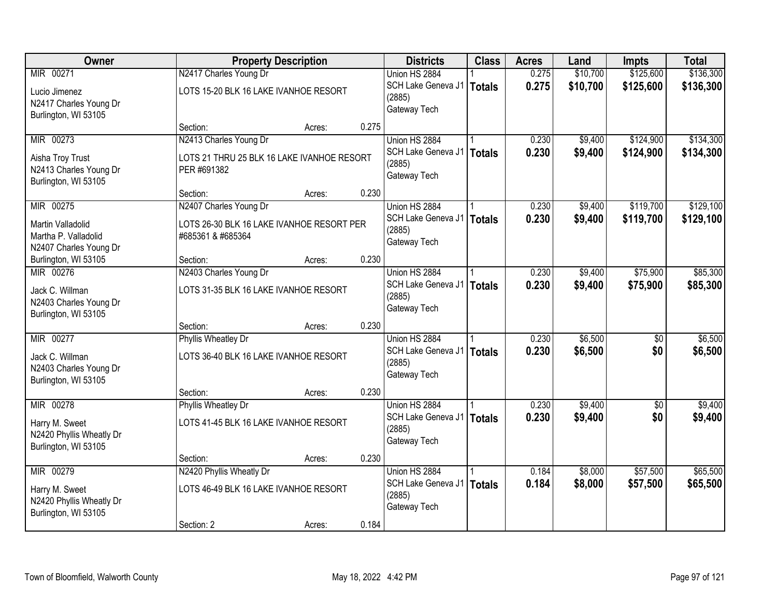| Owner                                          |                                                           | <b>Property Description</b> |       | <b>Districts</b>                             | <b>Class</b>  | <b>Acres</b>   | Land     | <b>Impts</b> | <b>Total</b> |
|------------------------------------------------|-----------------------------------------------------------|-----------------------------|-------|----------------------------------------------|---------------|----------------|----------|--------------|--------------|
| MIR 00271                                      | N2417 Charles Young Dr                                    |                             |       | Union HS 2884                                |               | 0.275          | \$10,700 | \$125,600    | \$136,300    |
| Lucio Jimenez<br>N2417 Charles Young Dr        | LOTS 15-20 BLK 16 LAKE IVANHOE RESORT                     |                             |       | SCH Lake Geneva J1<br>(2885)                 | Totals        | 0.275          | \$10,700 | \$125,600    | \$136,300    |
| Burlington, WI 53105                           |                                                           |                             |       | Gateway Tech                                 |               |                |          |              |              |
|                                                | Section:                                                  | Acres:                      | 0.275 |                                              |               |                |          |              |              |
| MIR 00273                                      | N2413 Charles Young Dr                                    |                             |       | Union HS 2884                                |               | 0.230          | \$9,400  | \$124,900    | \$134,300    |
| Aisha Troy Trust<br>N2413 Charles Young Dr     | LOTS 21 THRU 25 BLK 16 LAKE IVANHOE RESORT<br>PER #691382 |                             |       | SCH Lake Geneva J1<br>(2885)<br>Gateway Tech | <b>Totals</b> | 0.230          | \$9,400  | \$124,900    | \$134,300    |
| Burlington, WI 53105                           |                                                           |                             |       |                                              |               |                |          |              |              |
|                                                | Section:                                                  | Acres:                      | 0.230 |                                              |               |                |          |              |              |
| MIR 00275                                      | N2407 Charles Young Dr                                    |                             |       | Union HS 2884                                |               | 0.230          | \$9,400  | \$119,700    | \$129,100    |
| Martin Valladolid                              | LOTS 26-30 BLK 16 LAKE IVANHOE RESORT PER                 |                             |       | SCH Lake Geneva J1<br>(2885)                 | <b>Totals</b> | 0.230          | \$9,400  | \$119,700    | \$129,100    |
| Martha P. Valladolid                           | #685361 & #685364                                         |                             |       | Gateway Tech                                 |               |                |          |              |              |
| N2407 Charles Young Dr                         |                                                           |                             |       |                                              |               |                |          |              |              |
| Burlington, WI 53105<br>MIR 00276              | Section:                                                  | Acres:                      | 0.230 |                                              |               |                |          |              |              |
|                                                | N2403 Charles Young Dr                                    |                             |       | Union HS 2884<br>SCH Lake Geneva J1          |               | 0.230<br>0.230 | \$9,400  | \$75,900     | \$85,300     |
| Jack C. Willman                                | LOTS 31-35 BLK 16 LAKE IVANHOE RESORT                     |                             |       | (2885)                                       | Totals        |                | \$9,400  | \$75,900     | \$85,300     |
| N2403 Charles Young Dr                         |                                                           |                             |       | Gateway Tech                                 |               |                |          |              |              |
| Burlington, WI 53105                           | Section:                                                  | Acres:                      | 0.230 |                                              |               |                |          |              |              |
| MIR 00277                                      | <b>Phyllis Wheatley Dr</b>                                |                             |       | Union HS 2884                                |               | 0.230          | \$6,500  | \$0          | \$6,500      |
|                                                |                                                           |                             |       | SCH Lake Geneva J1   Totals                  |               | 0.230          | \$6,500  | \$0          | \$6,500      |
| Jack C. Willman                                | LOTS 36-40 BLK 16 LAKE IVANHOE RESORT                     |                             |       | (2885)                                       |               |                |          |              |              |
| N2403 Charles Young Dr<br>Burlington, WI 53105 |                                                           |                             |       | Gateway Tech                                 |               |                |          |              |              |
|                                                | Section:                                                  | Acres:                      | 0.230 |                                              |               |                |          |              |              |
| MIR 00278                                      | <b>Phyllis Wheatley Dr</b>                                |                             |       | Union HS 2884                                |               | 0.230          | \$9,400  | $\sqrt{6}$   | \$9,400      |
| Harry M. Sweet                                 | LOTS 41-45 BLK 16 LAKE IVANHOE RESORT                     |                             |       | SCH Lake Geneva J1                           | Totals        | 0.230          | \$9,400  | \$0          | \$9,400      |
| N2420 Phyllis Wheatly Dr                       |                                                           |                             |       | (2885)                                       |               |                |          |              |              |
| Burlington, WI 53105                           |                                                           |                             |       | Gateway Tech                                 |               |                |          |              |              |
|                                                | Section:                                                  | Acres:                      | 0.230 |                                              |               |                |          |              |              |
| MIR 00279                                      | N2420 Phyllis Wheatly Dr                                  |                             |       | Union HS 2884                                |               | 0.184          | \$8,000  | \$57,500     | \$65,500     |
| Harry M. Sweet                                 | LOTS 46-49 BLK 16 LAKE IVANHOE RESORT                     |                             |       | SCH Lake Geneva J1   Totals                  |               | 0.184          | \$8,000  | \$57,500     | \$65,500     |
| N2420 Phyllis Wheatly Dr                       |                                                           |                             |       | (2885)<br>Gateway Tech                       |               |                |          |              |              |
| Burlington, WI 53105                           |                                                           |                             |       |                                              |               |                |          |              |              |
|                                                | Section: 2                                                | Acres:                      | 0.184 |                                              |               |                |          |              |              |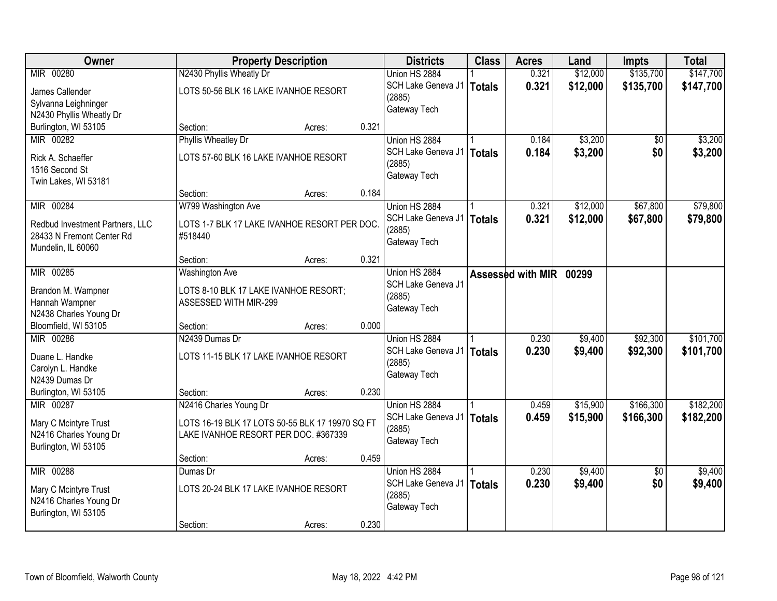| Owner                           |                                                 | <b>Property Description</b> |       | <b>Districts</b>            | <b>Class</b>  | <b>Acres</b>      | Land     | <b>Impts</b>    | <b>Total</b> |
|---------------------------------|-------------------------------------------------|-----------------------------|-------|-----------------------------|---------------|-------------------|----------|-----------------|--------------|
| MIR 00280                       | N2430 Phyllis Wheatly Dr                        |                             |       | Union HS 2884               |               | 0.321             | \$12,000 | \$135,700       | \$147,700    |
| James Callender                 | LOTS 50-56 BLK 16 LAKE IVANHOE RESORT           |                             |       | SCH Lake Geneva J1   Totals |               | 0.321             | \$12,000 | \$135,700       | \$147,700    |
| Sylvanna Leighninger            |                                                 |                             |       | (2885)                      |               |                   |          |                 |              |
| N2430 Phyllis Wheatly Dr        |                                                 |                             |       | Gateway Tech                |               |                   |          |                 |              |
| Burlington, WI 53105            | Section:                                        | Acres:                      | 0.321 |                             |               |                   |          |                 |              |
| MIR 00282                       | <b>Phyllis Wheatley Dr</b>                      |                             |       | Union HS 2884               |               | 0.184             | \$3,200  | \$0             | \$3,200      |
| Rick A. Schaeffer               | LOTS 57-60 BLK 16 LAKE IVANHOE RESORT           |                             |       | SCH Lake Geneva J1          | <b>Totals</b> | 0.184             | \$3,200  | \$0             | \$3,200      |
| 1516 Second St                  |                                                 |                             |       | (2885)                      |               |                   |          |                 |              |
| Twin Lakes, WI 53181            |                                                 |                             |       | Gateway Tech                |               |                   |          |                 |              |
|                                 | Section:                                        | Acres:                      | 0.184 |                             |               |                   |          |                 |              |
| MIR 00284                       | W799 Washington Ave                             |                             |       | Union HS 2884               |               | 0.321             | \$12,000 | \$67,800        | \$79,800     |
| Redbud Investment Partners, LLC | LOTS 1-7 BLK 17 LAKE IVANHOE RESORT PER DOC.    |                             |       | SCH Lake Geneva J1          | <b>Totals</b> | 0.321             | \$12,000 | \$67,800        | \$79,800     |
| 28433 N Fremont Center Rd       | #518440                                         |                             |       | (2885)                      |               |                   |          |                 |              |
| Mundelin, IL 60060              |                                                 |                             |       | Gateway Tech                |               |                   |          |                 |              |
|                                 | Section:                                        | Acres:                      | 0.321 |                             |               |                   |          |                 |              |
| MIR 00285                       | <b>Washington Ave</b>                           |                             |       | Union HS 2884               |               | Assessed with MIR | 00299    |                 |              |
| Brandon M. Wampner              | LOTS 8-10 BLK 17 LAKE IVANHOE RESORT;           |                             |       | SCH Lake Geneva J1          |               |                   |          |                 |              |
| Hannah Wampner                  | ASSESSED WITH MIR-299                           |                             |       | (2885)                      |               |                   |          |                 |              |
| N2438 Charles Young Dr          |                                                 |                             |       | Gateway Tech                |               |                   |          |                 |              |
| Bloomfield, WI 53105            | Section:                                        | Acres:                      | 0.000 |                             |               |                   |          |                 |              |
| MIR 00286                       | N2439 Dumas Dr                                  |                             |       | Union HS 2884               |               | 0.230             | \$9,400  | \$92,300        | \$101,700    |
| Duane L. Handke                 | LOTS 11-15 BLK 17 LAKE IVANHOE RESORT           |                             |       | SCH Lake Geneva J1   Totals |               | 0.230             | \$9,400  | \$92,300        | \$101,700    |
| Carolyn L. Handke               |                                                 |                             |       | (2885)                      |               |                   |          |                 |              |
| N2439 Dumas Dr                  |                                                 |                             |       | Gateway Tech                |               |                   |          |                 |              |
| Burlington, WI 53105            | Section:                                        | Acres:                      | 0.230 |                             |               |                   |          |                 |              |
| MIR 00287                       | N2416 Charles Young Dr                          |                             |       | Union HS 2884               |               | 0.459             | \$15,900 | \$166,300       | \$182,200    |
| Mary C Mcintyre Trust           | LOTS 16-19 BLK 17 LOTS 50-55 BLK 17 19970 SQ FT |                             |       | SCH Lake Geneva J1          | <b>Totals</b> | 0.459             | \$15,900 | \$166,300       | \$182,200    |
| N2416 Charles Young Dr          | LAKE IVANHOE RESORT PER DOC. #367339            |                             |       | (2885)                      |               |                   |          |                 |              |
| Burlington, WI 53105            |                                                 |                             |       | Gateway Tech                |               |                   |          |                 |              |
|                                 | Section:                                        | Acres:                      | 0.459 |                             |               |                   |          |                 |              |
| MIR 00288                       | Dumas Dr                                        |                             |       | Union HS 2884               |               | 0.230             | \$9,400  | $\overline{50}$ | \$9,400      |
| Mary C Mcintyre Trust           | LOTS 20-24 BLK 17 LAKE IVANHOE RESORT           |                             |       | SCH Lake Geneva J1          | Totals        | 0.230             | \$9,400  | \$0             | \$9,400      |
| N2416 Charles Young Dr          |                                                 |                             |       | (2885)                      |               |                   |          |                 |              |
| Burlington, WI 53105            |                                                 |                             |       | Gateway Tech                |               |                   |          |                 |              |
|                                 | Section:                                        | Acres:                      | 0.230 |                             |               |                   |          |                 |              |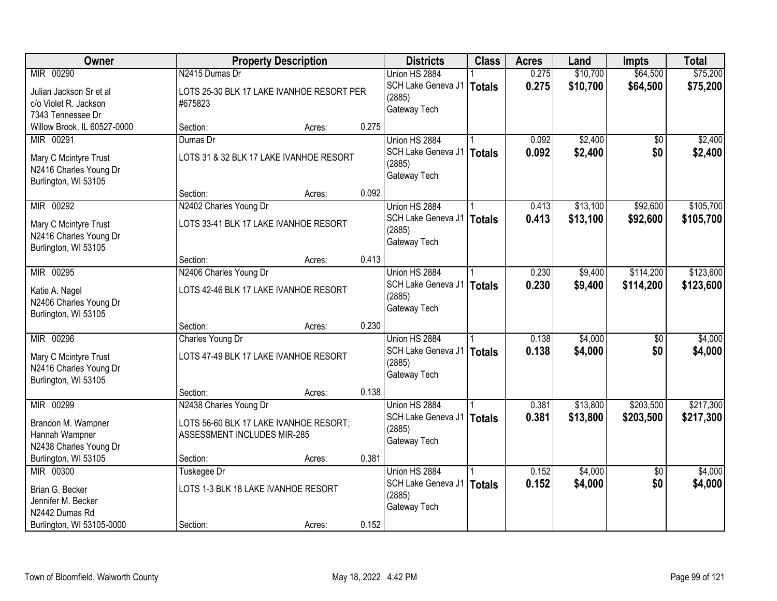| Owner                       |                                           | <b>Property Description</b> |       | <b>Districts</b>             | <b>Class</b>  | <b>Acres</b> | Land     | <b>Impts</b>    | <b>Total</b> |
|-----------------------------|-------------------------------------------|-----------------------------|-------|------------------------------|---------------|--------------|----------|-----------------|--------------|
| MIR 00290                   | N2415 Dumas Dr                            |                             |       | Union HS 2884                |               | 0.275        | \$10,700 | \$64,500        | \$75,200     |
| Julian Jackson Sr et al     | LOTS 25-30 BLK 17 LAKE IVANHOE RESORT PER |                             |       | SCH Lake Geneva J1<br>(2885) | <b>Totals</b> | 0.275        | \$10,700 | \$64,500        | \$75,200     |
| c/o Violet R. Jackson       | #675823                                   |                             |       | Gateway Tech                 |               |              |          |                 |              |
| 7343 Tennessee Dr           |                                           |                             |       |                              |               |              |          |                 |              |
| Willow Brook, IL 60527-0000 | Section:                                  | Acres:                      | 0.275 |                              |               |              |          |                 |              |
| MIR 00291                   | Dumas Dr                                  |                             |       | Union HS 2884                |               | 0.092        | \$2,400  | \$0             | \$2,400      |
| Mary C Mcintyre Trust       | LOTS 31 & 32 BLK 17 LAKE IVANHOE RESORT   |                             |       | SCH Lake Geneva J1<br>(2885) | <b>Totals</b> | 0.092        | \$2,400  | \$0             | \$2,400      |
| N2416 Charles Young Dr      |                                           |                             |       | Gateway Tech                 |               |              |          |                 |              |
| Burlington, WI 53105        |                                           |                             |       |                              |               |              |          |                 |              |
|                             | Section:                                  | Acres:                      | 0.092 |                              |               |              |          |                 |              |
| MIR 00292                   | N2402 Charles Young Dr                    |                             |       | Union HS 2884                |               | 0.413        | \$13,100 | \$92,600        | \$105,700    |
| Mary C Mcintyre Trust       | LOTS 33-41 BLK 17 LAKE IVANHOE RESORT     |                             |       | SCH Lake Geneva J1<br>(2885) | <b>Totals</b> | 0.413        | \$13,100 | \$92,600        | \$105,700    |
| N2416 Charles Young Dr      |                                           |                             |       | Gateway Tech                 |               |              |          |                 |              |
| Burlington, WI 53105        |                                           |                             |       |                              |               |              |          |                 |              |
|                             | Section:                                  | Acres:                      | 0.413 |                              |               |              |          |                 |              |
| MIR 00295                   | N2406 Charles Young Dr                    |                             |       | Union HS 2884                |               | 0.230        | \$9,400  | \$114,200       | \$123,600    |
| Katie A. Nagel              | LOTS 42-46 BLK 17 LAKE IVANHOE RESORT     |                             |       | SCH Lake Geneva J1<br>(2885) | <b>Totals</b> | 0.230        | \$9,400  | \$114,200       | \$123,600    |
| N2406 Charles Young Dr      |                                           |                             |       | Gateway Tech                 |               |              |          |                 |              |
| Burlington, WI 53105        |                                           |                             |       |                              |               |              |          |                 |              |
|                             | Section:                                  | Acres:                      | 0.230 |                              |               |              |          |                 |              |
| MIR 00296                   | Charles Young Dr                          |                             |       | Union HS 2884                |               | 0.138        | \$4,000  | $\overline{50}$ | \$4,000      |
| Mary C Mcintyre Trust       | LOTS 47-49 BLK 17 LAKE IVANHOE RESORT     |                             |       | SCH Lake Geneva J1<br>(2885) | <b>Totals</b> | 0.138        | \$4,000  | \$0             | \$4,000      |
| N2416 Charles Young Dr      |                                           |                             |       | Gateway Tech                 |               |              |          |                 |              |
| Burlington, WI 53105        |                                           |                             |       |                              |               |              |          |                 |              |
|                             | Section:                                  | Acres:                      | 0.138 |                              |               |              |          |                 |              |
| MIR 00299                   | N2438 Charles Young Dr                    |                             |       | Union HS 2884                |               | 0.381        | \$13,800 | \$203,500       | \$217,300    |
| Brandon M. Wampner          | LOTS 56-60 BLK 17 LAKE IVANHOE RESORT;    |                             |       | SCH Lake Geneva J1<br>(2885) | <b>Totals</b> | 0.381        | \$13,800 | \$203,500       | \$217,300    |
| Hannah Wampner              | ASSESSMENT INCLUDES MIR-285               |                             |       | Gateway Tech                 |               |              |          |                 |              |
| N2438 Charles Young Dr      |                                           |                             |       |                              |               |              |          |                 |              |
| Burlington, WI 53105        | Section:                                  | Acres:                      | 0.381 |                              |               |              |          |                 |              |
| MIR 00300                   | Tuskegee Dr                               |                             |       | Union HS 2884                |               | 0.152        | \$4,000  | $\overline{30}$ | \$4,000      |
| Brian G. Becker             | LOTS 1-3 BLK 18 LAKE IVANHOE RESORT       |                             |       | SCH Lake Geneva J1<br>(2885) | <b>Totals</b> | 0.152        | \$4,000  | \$0             | \$4,000      |
| Jennifer M. Becker          |                                           |                             |       | Gateway Tech                 |               |              |          |                 |              |
| N2442 Dumas Rd              |                                           |                             |       |                              |               |              |          |                 |              |
| Burlington, WI 53105-0000   | Section:                                  | Acres:                      | 0.152 |                              |               |              |          |                 |              |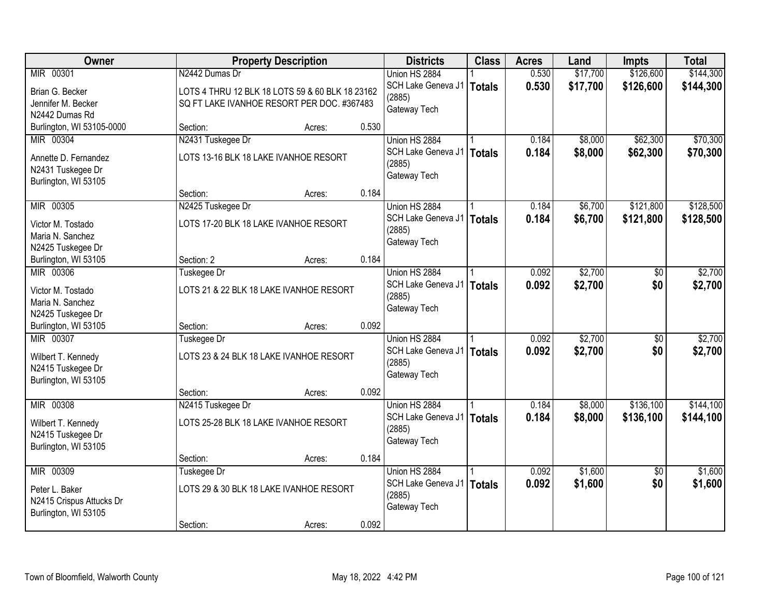| Owner                                   |                    | <b>Property Description</b>                     |       | <b>Districts</b>   | <b>Class</b>  | <b>Acres</b> | Land     | <b>Impts</b>    | <b>Total</b> |
|-----------------------------------------|--------------------|-------------------------------------------------|-------|--------------------|---------------|--------------|----------|-----------------|--------------|
| MIR 00301                               | N2442 Dumas Dr     |                                                 |       | Union HS 2884      |               | 0.530        | \$17,700 | \$126,600       | \$144,300    |
| Brian G. Becker                         |                    | LOTS 4 THRU 12 BLK 18 LOTS 59 & 60 BLK 18 23162 |       | SCH Lake Geneva J1 | <b>Totals</b> | 0.530        | \$17,700 | \$126,600       | \$144,300    |
| Jennifer M. Becker                      |                    | SQ FT LAKE IVANHOE RESORT PER DOC. #367483      |       | (2885)             |               |              |          |                 |              |
| N2442 Dumas Rd                          |                    |                                                 |       | Gateway Tech       |               |              |          |                 |              |
| Burlington, WI 53105-0000               | Section:           | Acres:                                          | 0.530 |                    |               |              |          |                 |              |
| MIR 00304                               | N2431 Tuskegee Dr  |                                                 |       | Union HS 2884      |               | 0.184        | \$8,000  | \$62,300        | \$70,300     |
| Annette D. Fernandez                    |                    | LOTS 13-16 BLK 18 LAKE IVANHOE RESORT           |       | SCH Lake Geneva J1 | <b>Totals</b> | 0.184        | \$8,000  | \$62,300        | \$70,300     |
| N2431 Tuskegee Dr                       |                    |                                                 |       | (2885)             |               |              |          |                 |              |
| Burlington, WI 53105                    |                    |                                                 |       | Gateway Tech       |               |              |          |                 |              |
|                                         | Section:           | Acres:                                          | 0.184 |                    |               |              |          |                 |              |
| MIR 00305                               | N2425 Tuskegee Dr  |                                                 |       | Union HS 2884      |               | 0.184        | \$6,700  | \$121,800       | \$128,500    |
| Victor M. Tostado                       |                    | LOTS 17-20 BLK 18 LAKE IVANHOE RESORT           |       | SCH Lake Geneva J1 | <b>Totals</b> | 0.184        | \$6,700  | \$121,800       | \$128,500    |
| Maria N. Sanchez                        |                    |                                                 |       | (2885)             |               |              |          |                 |              |
| N2425 Tuskegee Dr                       |                    |                                                 |       | Gateway Tech       |               |              |          |                 |              |
| Burlington, WI 53105                    | Section: 2         | Acres:                                          | 0.184 |                    |               |              |          |                 |              |
| MIR 00306                               | Tuskegee Dr        |                                                 |       | Union HS 2884      |               | 0.092        | \$2,700  | $\sqrt[6]{}$    | \$2,700      |
| Victor M. Tostado                       |                    | LOTS 21 & 22 BLK 18 LAKE IVANHOE RESORT         |       | SCH Lake Geneva J1 | <b>Totals</b> | 0.092        | \$2,700  | \$0             | \$2,700      |
| Maria N. Sanchez                        |                    |                                                 |       | (2885)             |               |              |          |                 |              |
| N2425 Tuskegee Dr                       |                    |                                                 |       | Gateway Tech       |               |              |          |                 |              |
| Burlington, WI 53105                    | Section:           | Acres:                                          | 0.092 |                    |               |              |          |                 |              |
| MIR 00307                               | <b>Tuskegee Dr</b> |                                                 |       | Union HS 2884      |               | 0.092        | \$2,700  | $\overline{50}$ | \$2,700      |
|                                         |                    |                                                 |       | SCH Lake Geneva J1 | <b>Totals</b> | 0.092        | \$2,700  | \$0             | \$2,700      |
| Wilbert T. Kennedy<br>N2415 Tuskegee Dr |                    | LOTS 23 & 24 BLK 18 LAKE IVANHOE RESORT         |       | (2885)             |               |              |          |                 |              |
| Burlington, WI 53105                    |                    |                                                 |       | Gateway Tech       |               |              |          |                 |              |
|                                         | Section:           | Acres:                                          | 0.092 |                    |               |              |          |                 |              |
| MIR 00308                               | N2415 Tuskegee Dr  |                                                 |       | Union HS 2884      |               | 0.184        | \$8,000  | \$136,100       | \$144,100    |
| Wilbert T. Kennedy                      |                    | LOTS 25-28 BLK 18 LAKE IVANHOE RESORT           |       | SCH Lake Geneva J1 | <b>Totals</b> | 0.184        | \$8,000  | \$136,100       | \$144,100    |
| N2415 Tuskegee Dr                       |                    |                                                 |       | (2885)             |               |              |          |                 |              |
| Burlington, WI 53105                    |                    |                                                 |       | Gateway Tech       |               |              |          |                 |              |
|                                         | Section:           | Acres:                                          | 0.184 |                    |               |              |          |                 |              |
| MIR 00309                               | Tuskegee Dr        |                                                 |       | Union HS 2884      |               | 0.092        | \$1,600  | $\overline{50}$ | \$1,600      |
| Peter L. Baker                          |                    | LOTS 29 & 30 BLK 18 LAKE IVANHOE RESORT         |       | SCH Lake Geneva J1 | <b>Totals</b> | 0.092        | \$1,600  | \$0             | \$1,600      |
| N2415 Crispus Attucks Dr                |                    |                                                 |       | (2885)             |               |              |          |                 |              |
| Burlington, WI 53105                    |                    |                                                 |       | Gateway Tech       |               |              |          |                 |              |
|                                         | Section:           | Acres:                                          | 0.092 |                    |               |              |          |                 |              |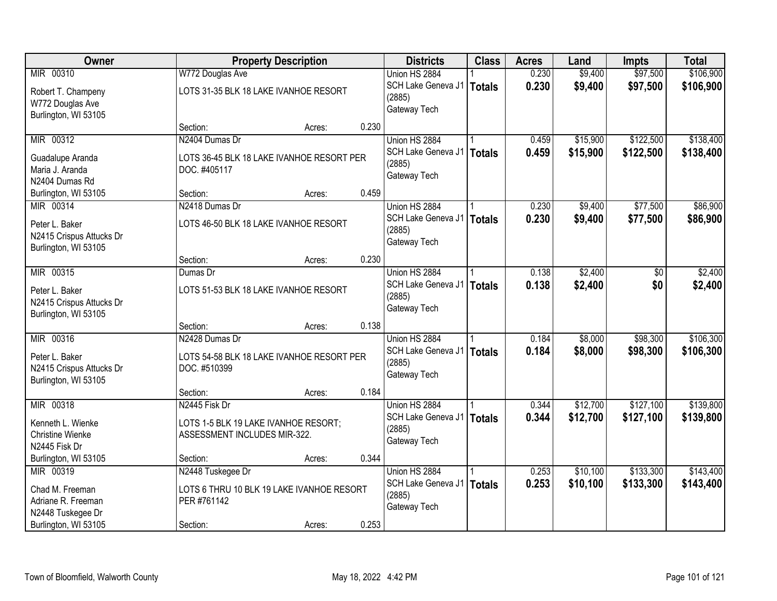| Owner                    |                                      | <b>Property Description</b>               |       | <b>Districts</b>   | <b>Class</b>  | <b>Acres</b> | Land     | <b>Impts</b> | <b>Total</b> |
|--------------------------|--------------------------------------|-------------------------------------------|-------|--------------------|---------------|--------------|----------|--------------|--------------|
| MIR 00310                | W772 Douglas Ave                     |                                           |       | Union HS 2884      |               | 0.230        | \$9,400  | \$97,500     | \$106,900    |
| Robert T. Champeny       |                                      | LOTS 31-35 BLK 18 LAKE IVANHOE RESORT     |       | SCH Lake Geneva J1 | <b>Totals</b> | 0.230        | \$9,400  | \$97,500     | \$106,900    |
| W772 Douglas Ave         |                                      |                                           |       | (2885)             |               |              |          |              |              |
| Burlington, WI 53105     |                                      |                                           |       | Gateway Tech       |               |              |          |              |              |
|                          | Section:                             | Acres:                                    | 0.230 |                    |               |              |          |              |              |
| MIR 00312                | N2404 Dumas Dr                       |                                           |       | Union HS 2884      |               | 0.459        | \$15,900 | \$122,500    | \$138,400    |
| Guadalupe Aranda         |                                      | LOTS 36-45 BLK 18 LAKE IVANHOE RESORT PER |       | SCH Lake Geneva J1 | <b>Totals</b> | 0.459        | \$15,900 | \$122,500    | \$138,400    |
| Maria J. Aranda          | DOC. #405117                         |                                           |       | (2885)             |               |              |          |              |              |
| N2404 Dumas Rd           |                                      |                                           |       | Gateway Tech       |               |              |          |              |              |
| Burlington, WI 53105     | Section:                             | Acres:                                    | 0.459 |                    |               |              |          |              |              |
| MIR 00314                | N2418 Dumas Dr                       |                                           |       | Union HS 2884      |               | 0.230        | \$9,400  | \$77,500     | \$86,900     |
| Peter L. Baker           |                                      | LOTS 46-50 BLK 18 LAKE IVANHOE RESORT     |       | SCH Lake Geneva J1 | <b>Totals</b> | 0.230        | \$9,400  | \$77,500     | \$86,900     |
| N2415 Crispus Attucks Dr |                                      |                                           |       | (2885)             |               |              |          |              |              |
| Burlington, WI 53105     |                                      |                                           |       | Gateway Tech       |               |              |          |              |              |
|                          | Section:                             | Acres:                                    | 0.230 |                    |               |              |          |              |              |
| MIR 00315                | Dumas Dr                             |                                           |       | Union HS 2884      |               | 0.138        | \$2,400  | \$0          | \$2,400      |
| Peter L. Baker           |                                      | LOTS 51-53 BLK 18 LAKE IVANHOE RESORT     |       | SCH Lake Geneva J1 | <b>Totals</b> | 0.138        | \$2,400  | \$0          | \$2,400      |
| N2415 Crispus Attucks Dr |                                      |                                           |       | (2885)             |               |              |          |              |              |
| Burlington, WI 53105     |                                      |                                           |       | Gateway Tech       |               |              |          |              |              |
|                          | Section:                             | Acres:                                    | 0.138 |                    |               |              |          |              |              |
| MIR 00316                | N2428 Dumas Dr                       |                                           |       | Union HS 2884      |               | 0.184        | \$8,000  | \$98,300     | \$106,300    |
| Peter L. Baker           |                                      | LOTS 54-58 BLK 18 LAKE IVANHOE RESORT PER |       | SCH Lake Geneva J1 | <b>Totals</b> | 0.184        | \$8,000  | \$98,300     | \$106,300    |
| N2415 Crispus Attucks Dr | DOC. #510399                         |                                           |       | (2885)             |               |              |          |              |              |
| Burlington, WI 53105     |                                      |                                           |       | Gateway Tech       |               |              |          |              |              |
|                          | Section:                             | Acres:                                    | 0.184 |                    |               |              |          |              |              |
| MIR 00318                | N2445 Fisk Dr                        |                                           |       | Union HS 2884      |               | 0.344        | \$12,700 | \$127,100    | \$139,800    |
| Kenneth L. Wienke        | LOTS 1-5 BLK 19 LAKE IVANHOE RESORT; |                                           |       | SCH Lake Geneva J1 | <b>Totals</b> | 0.344        | \$12,700 | \$127,100    | \$139,800    |
| <b>Christine Wienke</b>  | ASSESSMENT INCLUDES MIR-322.         |                                           |       | (2885)             |               |              |          |              |              |
| N2445 Fisk Dr            |                                      |                                           |       | Gateway Tech       |               |              |          |              |              |
| Burlington, WI 53105     | Section:                             | Acres:                                    | 0.344 |                    |               |              |          |              |              |
| MIR 00319                | N2448 Tuskegee Dr                    |                                           |       | Union HS 2884      |               | 0.253        | \$10,100 | \$133,300    | \$143,400    |
| Chad M. Freeman          |                                      | LOTS 6 THRU 10 BLK 19 LAKE IVANHOE RESORT |       | SCH Lake Geneva J1 | <b>Totals</b> | 0.253        | \$10,100 | \$133,300    | \$143,400    |
| Adriane R. Freeman       | PER #761142                          |                                           |       | (2885)             |               |              |          |              |              |
| N2448 Tuskegee Dr        |                                      |                                           |       | Gateway Tech       |               |              |          |              |              |
| Burlington, WI 53105     | Section:                             | Acres:                                    | 0.253 |                    |               |              |          |              |              |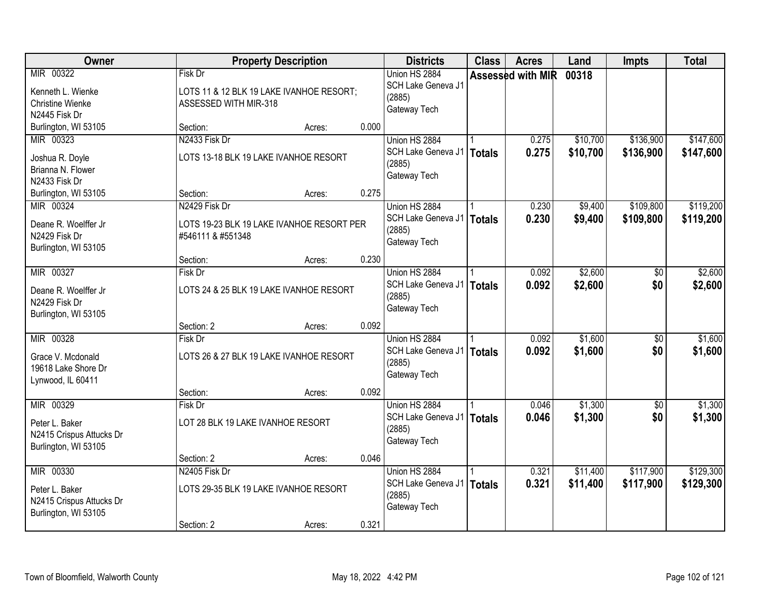| <b>Owner</b>                          |                                   | <b>Property Description</b>               |       | <b>Districts</b>                    | <b>Class</b> | <b>Acres</b>      | Land     | <b>Impts</b> | <b>Total</b> |
|---------------------------------------|-----------------------------------|-------------------------------------------|-------|-------------------------------------|--------------|-------------------|----------|--------------|--------------|
| MIR 00322                             | Fisk Dr                           |                                           |       | Union HS 2884<br>SCH Lake Geneva J1 |              | Assessed with MIR | 00318    |              |              |
| Kenneth L. Wienke                     |                                   | LOTS 11 & 12 BLK 19 LAKE IVANHOE RESORT;  |       | (2885)                              |              |                   |          |              |              |
| <b>Christine Wienke</b>               | ASSESSED WITH MIR-318             |                                           |       | Gateway Tech                        |              |                   |          |              |              |
| N2445 Fisk Dr                         |                                   |                                           |       |                                     |              |                   |          |              |              |
| Burlington, WI 53105                  | Section:                          | Acres:                                    | 0.000 |                                     |              |                   |          |              |              |
| MIR 00323                             | N2433 Fisk Dr                     |                                           |       | Union HS 2884                       |              | 0.275             | \$10,700 | \$136,900    | \$147,600    |
| Joshua R. Doyle                       |                                   | LOTS 13-18 BLK 19 LAKE IVANHOE RESORT     |       | SCH Lake Geneva J1                  | Totals       | 0.275             | \$10,700 | \$136,900    | \$147,600    |
| Brianna N. Flower                     |                                   |                                           |       | (2885)                              |              |                   |          |              |              |
| N2433 Fisk Dr                         |                                   |                                           |       | Gateway Tech                        |              |                   |          |              |              |
| Burlington, WI 53105                  | Section:                          | Acres:                                    | 0.275 |                                     |              |                   |          |              |              |
| MIR 00324                             | N2429 Fisk Dr                     |                                           |       | Union HS 2884                       |              | 0.230             | \$9,400  | \$109,800    | \$119,200    |
| Deane R. Woelffer Jr                  |                                   | LOTS 19-23 BLK 19 LAKE IVANHOE RESORT PER |       | SCH Lake Geneva J1                  | Totals       | 0.230             | \$9,400  | \$109,800    | \$119,200    |
| N2429 Fisk Dr                         | #546111 & #551348                 |                                           |       | (2885)                              |              |                   |          |              |              |
| Burlington, WI 53105                  |                                   |                                           |       | Gateway Tech                        |              |                   |          |              |              |
|                                       | Section:                          | Acres:                                    | 0.230 |                                     |              |                   |          |              |              |
| MIR 00327                             | Fisk Dr                           |                                           |       | Union HS 2884                       |              | 0.092             | \$2,600  | $\sqrt[6]{}$ | \$2,600      |
|                                       |                                   |                                           |       | SCH Lake Geneva J1                  | Totals       | 0.092             | \$2,600  | \$0          | \$2,600      |
| Deane R. Woelffer Jr<br>N2429 Fisk Dr |                                   | LOTS 24 & 25 BLK 19 LAKE IVANHOE RESORT   |       | (2885)                              |              |                   |          |              |              |
| Burlington, WI 53105                  |                                   |                                           |       | Gateway Tech                        |              |                   |          |              |              |
|                                       | Section: 2                        | Acres:                                    | 0.092 |                                     |              |                   |          |              |              |
| MIR 00328                             | Fisk Dr                           |                                           |       | Union HS 2884                       |              | 0.092             | \$1,600  | \$0          | \$1,600      |
|                                       |                                   |                                           |       | SCH Lake Geneva J1   Totals         |              | 0.092             | \$1,600  | \$0          | \$1,600      |
| Grace V. Mcdonald                     |                                   | LOTS 26 & 27 BLK 19 LAKE IVANHOE RESORT   |       | (2885)                              |              |                   |          |              |              |
| 19618 Lake Shore Dr                   |                                   |                                           |       | Gateway Tech                        |              |                   |          |              |              |
| Lynwood, IL 60411                     |                                   |                                           |       |                                     |              |                   |          |              |              |
|                                       | Section:                          | Acres:                                    | 0.092 |                                     |              |                   |          |              |              |
| MIR 00329                             | Fisk Dr                           |                                           |       | Union HS 2884                       |              | 0.046             | \$1,300  | \$0          | \$1,300      |
| Peter L. Baker                        | LOT 28 BLK 19 LAKE IVANHOE RESORT |                                           |       | SCH Lake Geneva J1   Totals         |              | 0.046             | \$1,300  | \$0          | \$1,300      |
| N2415 Crispus Attucks Dr              |                                   |                                           |       | (2885)<br>Gateway Tech              |              |                   |          |              |              |
| Burlington, WI 53105                  |                                   |                                           |       |                                     |              |                   |          |              |              |
|                                       | Section: 2                        | Acres:                                    | 0.046 |                                     |              |                   |          |              |              |
| MIR 00330                             | N2405 Fisk Dr                     |                                           |       | Union HS 2884                       |              | 0.321             | \$11,400 | \$117,900    | \$129,300    |
| Peter L. Baker                        |                                   | LOTS 29-35 BLK 19 LAKE IVANHOE RESORT     |       | SCH Lake Geneva J1   Totals         |              | 0.321             | \$11,400 | \$117,900    | \$129,300    |
| N2415 Crispus Attucks Dr              |                                   |                                           |       | (2885)                              |              |                   |          |              |              |
| Burlington, WI 53105                  |                                   |                                           |       | Gateway Tech                        |              |                   |          |              |              |
|                                       | Section: 2                        | Acres:                                    | 0.321 |                                     |              |                   |          |              |              |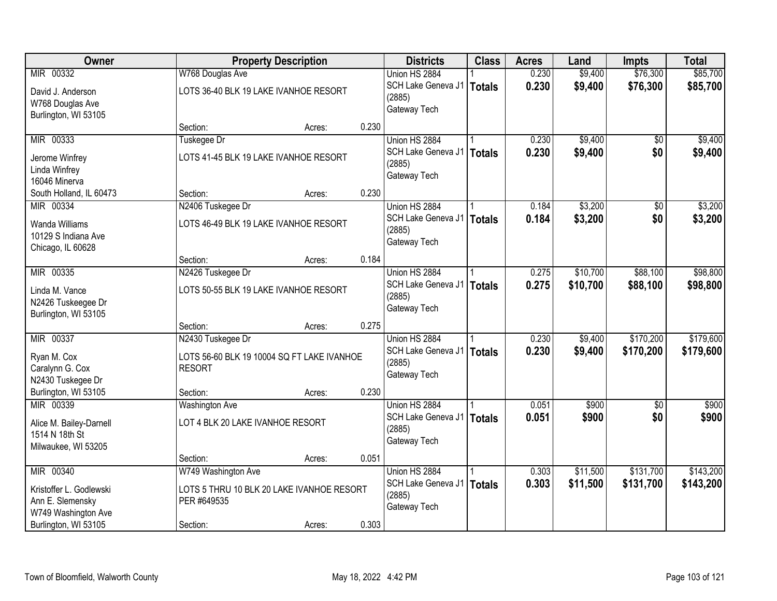| Owner                   |                                  | <b>Property Description</b>                |       | <b>Districts</b>   | <b>Class</b>  | <b>Acres</b> | Land     | <b>Impts</b>    | <b>Total</b> |
|-------------------------|----------------------------------|--------------------------------------------|-------|--------------------|---------------|--------------|----------|-----------------|--------------|
| MIR 00332               | W768 Douglas Ave                 |                                            |       | Union HS 2884      |               | 0.230        | \$9,400  | \$76,300        | \$85,700     |
| David J. Anderson       |                                  | LOTS 36-40 BLK 19 LAKE IVANHOE RESORT      |       | SCH Lake Geneva J1 | <b>Totals</b> | 0.230        | \$9,400  | \$76,300        | \$85,700     |
| W768 Douglas Ave        |                                  |                                            |       | (2885)             |               |              |          |                 |              |
| Burlington, WI 53105    |                                  |                                            |       | Gateway Tech       |               |              |          |                 |              |
|                         | Section:                         | Acres:                                     | 0.230 |                    |               |              |          |                 |              |
| MIR 00333               | Tuskegee Dr                      |                                            |       | Union HS 2884      |               | 0.230        | \$9,400  | \$0             | \$9,400      |
| Jerome Winfrey          |                                  | LOTS 41-45 BLK 19 LAKE IVANHOE RESORT      |       | SCH Lake Geneva J1 | <b>Totals</b> | 0.230        | \$9,400  | \$0             | \$9,400      |
| Linda Winfrey           |                                  |                                            |       | (2885)             |               |              |          |                 |              |
| 16046 Minerva           |                                  |                                            |       | Gateway Tech       |               |              |          |                 |              |
| South Holland, IL 60473 | Section:                         | Acres:                                     | 0.230 |                    |               |              |          |                 |              |
| MIR 00334               | N2406 Tuskegee Dr                |                                            |       | Union HS 2884      |               | 0.184        | \$3,200  | $\overline{50}$ | \$3,200      |
| Wanda Williams          |                                  | LOTS 46-49 BLK 19 LAKE IVANHOE RESORT      |       | SCH Lake Geneva J1 | <b>Totals</b> | 0.184        | \$3,200  | \$0             | \$3,200      |
| 10129 S Indiana Ave     |                                  |                                            |       | (2885)             |               |              |          |                 |              |
| Chicago, IL 60628       |                                  |                                            |       | Gateway Tech       |               |              |          |                 |              |
|                         | Section:                         | Acres:                                     | 0.184 |                    |               |              |          |                 |              |
| MIR 00335               | N2426 Tuskegee Dr                |                                            |       | Union HS 2884      |               | 0.275        | \$10,700 | \$88,100        | \$98,800     |
| Linda M. Vance          |                                  | LOTS 50-55 BLK 19 LAKE IVANHOE RESORT      |       | SCH Lake Geneva J1 | <b>Totals</b> | 0.275        | \$10,700 | \$88,100        | \$98,800     |
| N2426 Tuskeegee Dr      |                                  |                                            |       | (2885)             |               |              |          |                 |              |
| Burlington, WI 53105    |                                  |                                            |       | Gateway Tech       |               |              |          |                 |              |
|                         | Section:                         | Acres:                                     | 0.275 |                    |               |              |          |                 |              |
| MIR 00337               | N2430 Tuskegee Dr                |                                            |       | Union HS 2884      |               | 0.230        | \$9,400  | \$170,200       | \$179,600    |
| Ryan M. Cox             |                                  | LOTS 56-60 BLK 19 10004 SQ FT LAKE IVANHOE |       | SCH Lake Geneva J1 | <b>Totals</b> | 0.230        | \$9,400  | \$170,200       | \$179,600    |
| Caralynn G. Cox         | <b>RESORT</b>                    |                                            |       | (2885)             |               |              |          |                 |              |
| N2430 Tuskegee Dr       |                                  |                                            |       | Gateway Tech       |               |              |          |                 |              |
| Burlington, WI 53105    | Section:                         | Acres:                                     | 0.230 |                    |               |              |          |                 |              |
| MIR 00339               | <b>Washington Ave</b>            |                                            |       | Union HS 2884      |               | 0.051        | \$900    | $\sqrt{6}$      | \$900        |
| Alice M. Bailey-Darnell | LOT 4 BLK 20 LAKE IVANHOE RESORT |                                            |       | SCH Lake Geneva J1 | <b>Totals</b> | 0.051        | \$900    | \$0             | \$900        |
| 1514 N 18th St          |                                  |                                            |       | (2885)             |               |              |          |                 |              |
| Milwaukee, WI 53205     |                                  |                                            |       | Gateway Tech       |               |              |          |                 |              |
|                         | Section:                         | Acres:                                     | 0.051 |                    |               |              |          |                 |              |
| MIR 00340               | W749 Washington Ave              |                                            |       | Union HS 2884      |               | 0.303        | \$11,500 | \$131,700       | \$143,200    |
| Kristoffer L. Godlewski |                                  | LOTS 5 THRU 10 BLK 20 LAKE IVANHOE RESORT  |       | SCH Lake Geneva J1 | <b>Totals</b> | 0.303        | \$11,500 | \$131,700       | \$143,200    |
| Ann E. Slemensky        | PER #649535                      |                                            |       | (2885)             |               |              |          |                 |              |
| W749 Washington Ave     |                                  |                                            |       | Gateway Tech       |               |              |          |                 |              |
| Burlington, WI 53105    | Section:                         | Acres:                                     | 0.303 |                    |               |              |          |                 |              |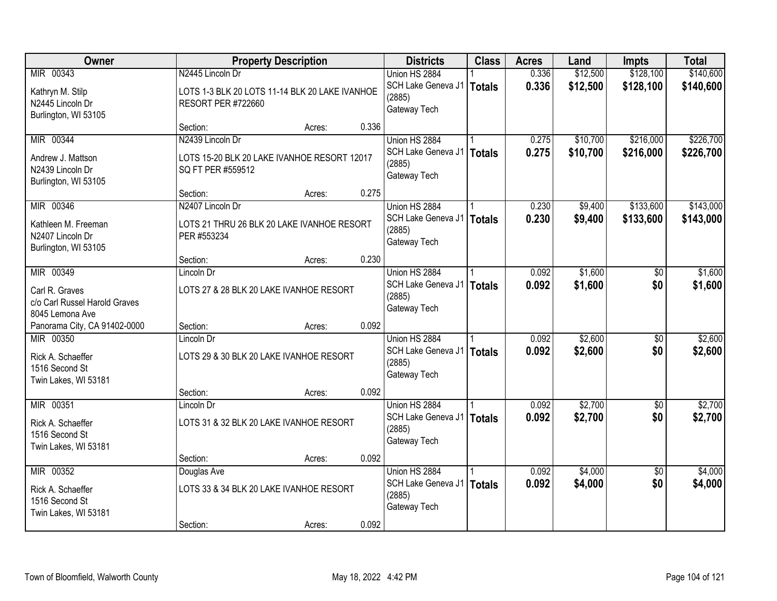| Owner                                                           |                                                                    | <b>Property Description</b> |       | <b>Districts</b>                             | <b>Class</b>  | <b>Acres</b>   | Land                 | <b>Impts</b>           | <b>Total</b>           |
|-----------------------------------------------------------------|--------------------------------------------------------------------|-----------------------------|-------|----------------------------------------------|---------------|----------------|----------------------|------------------------|------------------------|
| MIR 00343<br>Kathryn M. Stilp                                   | N2445 Lincoln Dr<br>LOTS 1-3 BLK 20 LOTS 11-14 BLK 20 LAKE IVANHOE |                             |       | Union HS 2884<br>SCH Lake Geneva J1          | <b>Totals</b> | 0.336<br>0.336 | \$12,500<br>\$12,500 | \$128,100<br>\$128,100 | \$140,600<br>\$140,600 |
| N2445 Lincoln Dr<br>Burlington, WI 53105                        | <b>RESORT PER #722660</b>                                          |                             |       | (2885)<br>Gateway Tech                       |               |                |                      |                        |                        |
|                                                                 | Section:                                                           | Acres:                      | 0.336 |                                              |               |                |                      |                        |                        |
| MIR 00344                                                       | N2439 Lincoln Dr                                                   |                             |       | Union HS 2884                                |               | 0.275          | \$10,700             | \$216,000              | \$226,700              |
| Andrew J. Mattson<br>N2439 Lincoln Dr<br>Burlington, WI 53105   | LOTS 15-20 BLK 20 LAKE IVANHOE RESORT 12017<br>SQ FT PER #559512   |                             |       | SCH Lake Geneva J1<br>(2885)<br>Gateway Tech | <b>Totals</b> | 0.275          | \$10,700             | \$216,000              | \$226,700              |
|                                                                 | Section:                                                           | Acres:                      | 0.275 |                                              |               |                |                      |                        |                        |
| MIR 00346                                                       | N2407 Lincoln Dr                                                   |                             |       | Union HS 2884                                |               | 0.230          | \$9,400              | \$133,600              | \$143,000              |
| Kathleen M. Freeman<br>N2407 Lincoln Dr<br>Burlington, WI 53105 | LOTS 21 THRU 26 BLK 20 LAKE IVANHOE RESORT<br>PER #553234          |                             |       | SCH Lake Geneva J1<br>(2885)<br>Gateway Tech | <b>Totals</b> | 0.230          | \$9,400              | \$133,600              | \$143,000              |
|                                                                 | Section:                                                           | Acres:                      | 0.230 |                                              |               |                |                      |                        |                        |
| MIR 00349                                                       | Lincoln Dr                                                         |                             |       | Union HS 2884                                |               | 0.092          | \$1,600              | $\sqrt[6]{}$           | \$1,600                |
| Carl R. Graves<br>c/o Carl Russel Harold Graves                 | LOTS 27 & 28 BLK 20 LAKE IVANHOE RESORT                            |                             |       | SCH Lake Geneva J1<br>(2885)                 | <b>Totals</b> | 0.092          | \$1,600              | \$0                    | \$1,600                |
| 8045 Lemona Ave                                                 |                                                                    |                             |       | Gateway Tech                                 |               |                |                      |                        |                        |
| Panorama City, CA 91402-0000                                    | Section:                                                           | Acres:                      | 0.092 |                                              |               |                |                      |                        |                        |
| MIR 00350                                                       | Lincoln Dr                                                         |                             |       | Union HS 2884                                |               | 0.092          | \$2,600              | $\overline{50}$        | \$2,600                |
| Rick A. Schaeffer<br>1516 Second St                             | LOTS 29 & 30 BLK 20 LAKE IVANHOE RESORT                            |                             |       | SCH Lake Geneva J1<br>(2885)                 | <b>Totals</b> | 0.092          | \$2,600              | \$0                    | \$2,600                |
| Twin Lakes, WI 53181                                            |                                                                    |                             |       | Gateway Tech                                 |               |                |                      |                        |                        |
|                                                                 | Section:                                                           | Acres:                      | 0.092 |                                              |               |                |                      |                        |                        |
| MIR 00351                                                       | Lincoln Dr                                                         |                             |       | Union HS 2884                                |               | 0.092          | \$2,700              | $\overline{50}$        | \$2,700                |
| Rick A. Schaeffer<br>1516 Second St                             | LOTS 31 & 32 BLK 20 LAKE IVANHOE RESORT                            |                             |       | SCH Lake Geneva J1<br>(2885)<br>Gateway Tech | <b>Totals</b> | 0.092          | \$2,700              | \$0                    | \$2,700                |
| Twin Lakes, WI 53181                                            |                                                                    |                             |       |                                              |               |                |                      |                        |                        |
|                                                                 | Section:                                                           | Acres:                      | 0.092 |                                              |               |                |                      |                        |                        |
| MIR 00352                                                       | Douglas Ave                                                        |                             |       | Union HS 2884                                |               | 0.092          | \$4,000              | $\overline{50}$        | \$4,000                |
| Rick A. Schaeffer<br>1516 Second St                             | LOTS 33 & 34 BLK 20 LAKE IVANHOE RESORT                            |                             |       | SCH Lake Geneva J1<br>(2885)<br>Gateway Tech | <b>Totals</b> | 0.092          | \$4,000              | \$0                    | \$4,000                |
| Twin Lakes, WI 53181                                            |                                                                    |                             |       |                                              |               |                |                      |                        |                        |
|                                                                 | Section:                                                           | Acres:                      | 0.092 |                                              |               |                |                      |                        |                        |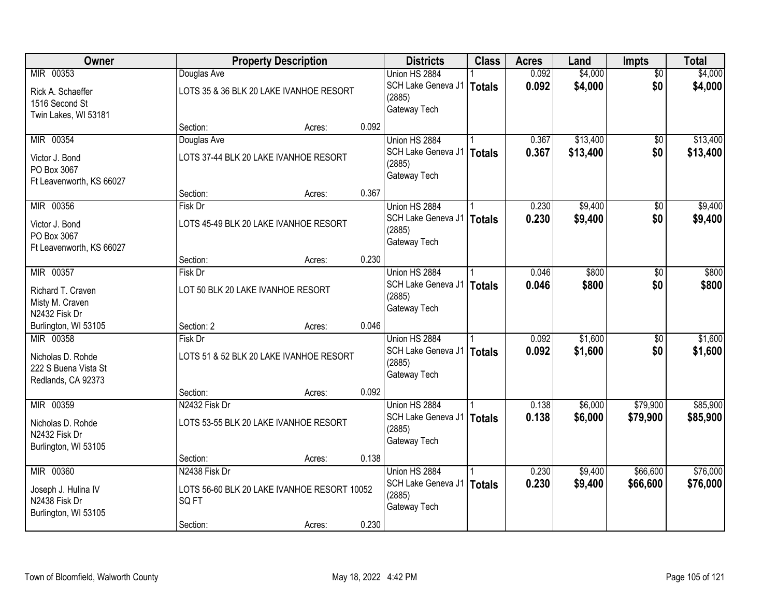| Owner                    |                  | <b>Property Description</b>                 |       | <b>Districts</b>             | <b>Class</b>  | <b>Acres</b> | Land     | Impts           | <b>Total</b> |
|--------------------------|------------------|---------------------------------------------|-------|------------------------------|---------------|--------------|----------|-----------------|--------------|
| MIR 00353                | Douglas Ave      |                                             |       | Union HS 2884                |               | 0.092        | \$4,000  | $\overline{50}$ | \$4,000      |
| Rick A. Schaeffer        |                  | LOTS 35 & 36 BLK 20 LAKE IVANHOE RESORT     |       | SCH Lake Geneva J1<br>(2885) | <b>Totals</b> | 0.092        | \$4,000  | \$0             | \$4,000      |
| 1516 Second St           |                  |                                             |       | Gateway Tech                 |               |              |          |                 |              |
| Twin Lakes, WI 53181     |                  |                                             |       |                              |               |              |          |                 |              |
|                          | Section:         | Acres:                                      | 0.092 |                              |               |              |          |                 |              |
| MIR 00354                | Douglas Ave      |                                             |       | Union HS 2884                |               | 0.367        | \$13,400 | $\overline{50}$ | \$13,400     |
| Victor J. Bond           |                  | LOTS 37-44 BLK 20 LAKE IVANHOE RESORT       |       | SCH Lake Geneva J1<br>(2885) | <b>Totals</b> | 0.367        | \$13,400 | \$0             | \$13,400     |
| PO Box 3067              |                  |                                             |       | Gateway Tech                 |               |              |          |                 |              |
| Ft Leavenworth, KS 66027 |                  |                                             |       |                              |               |              |          |                 |              |
|                          | Section:         | Acres:                                      | 0.367 |                              |               |              |          |                 |              |
| MIR 00356                | Fisk Dr          |                                             |       | Union HS 2884                |               | 0.230        | \$9,400  | \$0             | \$9,400      |
| Victor J. Bond           |                  | LOTS 45-49 BLK 20 LAKE IVANHOE RESORT       |       | SCH Lake Geneva J1           | <b>Totals</b> | 0.230        | \$9,400  | \$0             | \$9,400      |
| PO Box 3067              |                  |                                             |       | (2885)                       |               |              |          |                 |              |
| Ft Leavenworth, KS 66027 |                  |                                             |       | Gateway Tech                 |               |              |          |                 |              |
|                          | Section:         | Acres:                                      | 0.230 |                              |               |              |          |                 |              |
| MIR 00357                | Fisk Dr          |                                             |       | Union HS 2884                |               | 0.046        | \$800    | \$0             | \$800        |
| Richard T. Craven        |                  | LOT 50 BLK 20 LAKE IVANHOE RESORT           |       | SCH Lake Geneva J1           | <b>Totals</b> | 0.046        | \$800    | \$0             | \$800        |
| Misty M. Craven          |                  |                                             |       | (2885)                       |               |              |          |                 |              |
| N2432 Fisk Dr            |                  |                                             |       | Gateway Tech                 |               |              |          |                 |              |
| Burlington, WI 53105     | Section: 2       | Acres:                                      | 0.046 |                              |               |              |          |                 |              |
| MIR 00358                | <b>Fisk Dr</b>   |                                             |       | Union HS 2884                |               | 0.092        | \$1,600  | $\overline{50}$ | \$1,600      |
| Nicholas D. Rohde        |                  | LOTS 51 & 52 BLK 20 LAKE IVANHOE RESORT     |       | SCH Lake Geneva J1           | <b>Totals</b> | 0.092        | \$1,600  | \$0             | \$1,600      |
| 222 S Buena Vista St     |                  |                                             |       | (2885)                       |               |              |          |                 |              |
| Redlands, CA 92373       |                  |                                             |       | Gateway Tech                 |               |              |          |                 |              |
|                          | Section:         | Acres:                                      | 0.092 |                              |               |              |          |                 |              |
| MIR 00359                | N2432 Fisk Dr    |                                             |       | Union HS 2884                |               | 0.138        | \$6,000  | \$79,900        | \$85,900     |
| Nicholas D. Rohde        |                  | LOTS 53-55 BLK 20 LAKE IVANHOE RESORT       |       | SCH Lake Geneva J1           | <b>Totals</b> | 0.138        | \$6,000  | \$79,900        | \$85,900     |
| N2432 Fisk Dr            |                  |                                             |       | (2885)                       |               |              |          |                 |              |
| Burlington, WI 53105     |                  |                                             |       | Gateway Tech                 |               |              |          |                 |              |
|                          | Section:         | Acres:                                      | 0.138 |                              |               |              |          |                 |              |
| MIR 00360                | N2438 Fisk Dr    |                                             |       | Union HS 2884                |               | 0.230        | \$9,400  | \$66,600        | \$76,000     |
| Joseph J. Hulina IV      |                  | LOTS 56-60 BLK 20 LAKE IVANHOE RESORT 10052 |       | SCH Lake Geneva J1           | <b>Totals</b> | 0.230        | \$9,400  | \$66,600        | \$76,000     |
| N2438 Fisk Dr            | SQ <sub>FT</sub> |                                             |       | (2885)                       |               |              |          |                 |              |
| Burlington, WI 53105     |                  |                                             |       | Gateway Tech                 |               |              |          |                 |              |
|                          | Section:         | Acres:                                      | 0.230 |                              |               |              |          |                 |              |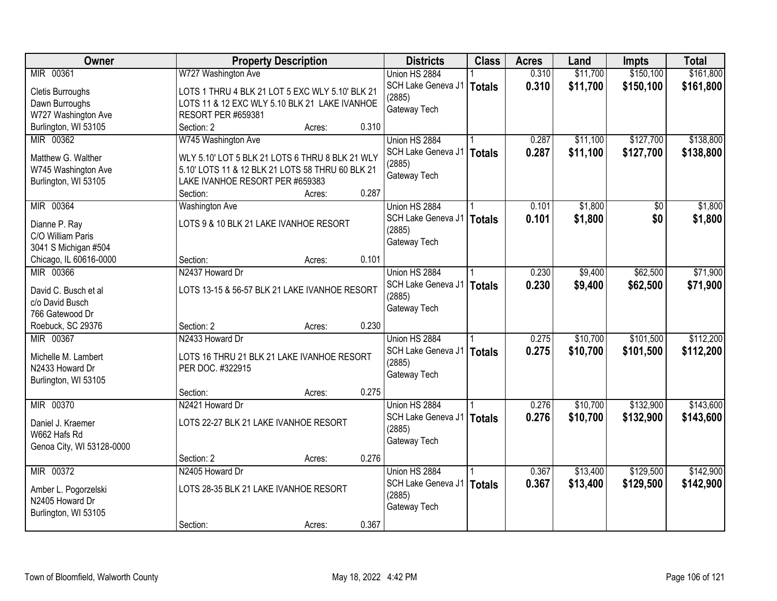| Owner                          |                                                  | <b>Property Description</b> |       | <b>Districts</b>            | <b>Class</b>  | <b>Acres</b> | Land     | <b>Impts</b> | <b>Total</b> |
|--------------------------------|--------------------------------------------------|-----------------------------|-------|-----------------------------|---------------|--------------|----------|--------------|--------------|
| MIR 00361                      | W727 Washington Ave                              |                             |       | Union HS 2884               |               | 0.310        | \$11,700 | \$150,100    | \$161,800    |
| <b>Cletis Burroughs</b>        | LOTS 1 THRU 4 BLK 21 LOT 5 EXC WLY 5.10' BLK 21  |                             |       | SCH Lake Geneva J1          | Totals        | 0.310        | \$11,700 | \$150,100    | \$161,800    |
| Dawn Burroughs                 | LOTS 11 & 12 EXC WLY 5.10 BLK 21 LAKE IVANHOE    |                             |       | (2885)                      |               |              |          |              |              |
| W727 Washington Ave            | <b>RESORT PER #659381</b>                        |                             |       | Gateway Tech                |               |              |          |              |              |
| Burlington, WI 53105           | Section: 2                                       | Acres:                      | 0.310 |                             |               |              |          |              |              |
| MIR 00362                      | W745 Washington Ave                              |                             |       | Union HS 2884               |               | 0.287        | \$11,100 | \$127,700    | \$138,800    |
|                                |                                                  |                             |       | SCH Lake Geneva J1   Totals |               | 0.287        | \$11,100 | \$127,700    | \$138,800    |
| Matthew G. Walther             | WLY 5.10' LOT 5 BLK 21 LOTS 6 THRU 8 BLK 21 WLY  |                             |       | (2885)                      |               |              |          |              |              |
| W745 Washington Ave            | 5.10' LOTS 11 & 12 BLK 21 LOTS 58 THRU 60 BLK 21 |                             |       | Gateway Tech                |               |              |          |              |              |
| Burlington, WI 53105           | LAKE IVANHOE RESORT PER #659383                  |                             |       |                             |               |              |          |              |              |
|                                | Section:                                         | Acres:                      | 0.287 |                             |               |              |          |              |              |
| MIR 00364                      | <b>Washington Ave</b>                            |                             |       | Union HS 2884               |               | 0.101        | \$1,800  | \$0          | \$1,800      |
| Dianne P. Ray                  | LOTS 9 & 10 BLK 21 LAKE IVANHOE RESORT           |                             |       | SCH Lake Geneva J1          | <b>Totals</b> | 0.101        | \$1,800  | \$0          | \$1,800      |
| C/O William Paris              |                                                  |                             |       | (2885)                      |               |              |          |              |              |
| 3041 S Michigan #504           |                                                  |                             |       | Gateway Tech                |               |              |          |              |              |
| Chicago, IL 60616-0000         | Section:                                         | Acres:                      | 0.101 |                             |               |              |          |              |              |
| MIR 00366                      | N2437 Howard Dr                                  |                             |       | Union HS 2884               |               | 0.230        | \$9,400  | \$62,500     | \$71,900     |
|                                |                                                  |                             |       | SCH Lake Geneva J1   Totals |               | 0.230        | \$9,400  | \$62,500     | \$71,900     |
| David C. Busch et al           | LOTS 13-15 & 56-57 BLK 21 LAKE IVANHOE RESORT    |                             |       | (2885)                      |               |              |          |              |              |
| c/o David Busch                |                                                  |                             |       | Gateway Tech                |               |              |          |              |              |
| 766 Gatewood Dr                |                                                  |                             | 0.230 |                             |               |              |          |              |              |
| Roebuck, SC 29376<br>MIR 00367 | Section: 2<br>N2433 Howard Dr                    | Acres:                      |       |                             |               |              | \$10,700 | \$101,500    | \$112,200    |
|                                |                                                  |                             |       | Union HS 2884               |               | 0.275        |          |              |              |
| Michelle M. Lambert            | LOTS 16 THRU 21 BLK 21 LAKE IVANHOE RESORT       |                             |       | SCH Lake Geneva J1          | Totals        | 0.275        | \$10,700 | \$101,500    | \$112,200    |
| N2433 Howard Dr                | PER DOC. #322915                                 |                             |       | (2885)<br>Gateway Tech      |               |              |          |              |              |
| Burlington, WI 53105           |                                                  |                             |       |                             |               |              |          |              |              |
|                                | Section:                                         | Acres:                      | 0.275 |                             |               |              |          |              |              |
| MIR 00370                      | N2421 Howard Dr                                  |                             |       | Union HS 2884               |               | 0.276        | \$10,700 | \$132,900    | \$143,600    |
| Daniel J. Kraemer              | LOTS 22-27 BLK 21 LAKE IVANHOE RESORT            |                             |       | SCH Lake Geneva J1          | <b>Totals</b> | 0.276        | \$10,700 | \$132,900    | \$143,600    |
| W662 Hafs Rd                   |                                                  |                             |       | (2885)                      |               |              |          |              |              |
| Genoa City, WI 53128-0000      |                                                  |                             |       | Gateway Tech                |               |              |          |              |              |
|                                | Section: 2                                       | Acres:                      | 0.276 |                             |               |              |          |              |              |
| MIR 00372                      | N2405 Howard Dr                                  |                             |       | Union HS 2884               |               | 0.367        | \$13,400 | \$129,500    | \$142,900    |
|                                |                                                  |                             |       | SCH Lake Geneva J1          | Totals        | 0.367        | \$13,400 | \$129,500    | \$142,900    |
| Amber L. Pogorzelski           | LOTS 28-35 BLK 21 LAKE IVANHOE RESORT            |                             |       | (2885)                      |               |              |          |              |              |
| N2405 Howard Dr                |                                                  |                             |       | Gateway Tech                |               |              |          |              |              |
| Burlington, WI 53105           |                                                  |                             |       |                             |               |              |          |              |              |
|                                | Section:                                         | Acres:                      | 0.367 |                             |               |              |          |              |              |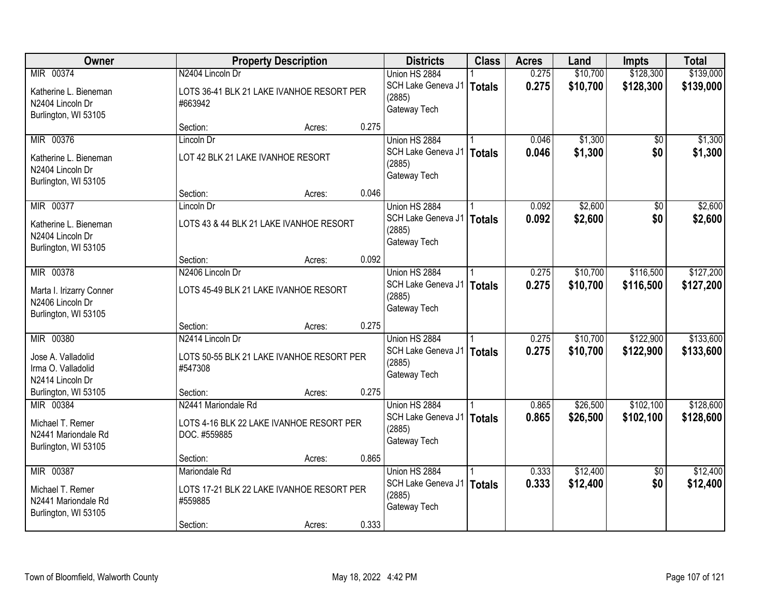| \$128,300<br>\$139,000<br>MIR 00374<br>N2404 Lincoln Dr<br>Union HS 2884<br>0.275<br>\$10,700<br>0.275<br>SCH Lake Geneva J1<br>\$10,700<br>\$128,300<br>\$139,000<br><b>Totals</b><br>LOTS 36-41 BLK 21 LAKE IVANHOE RESORT PER<br>Katherine L. Bieneman<br>(2885)<br>N2404 Lincoln Dr<br>#663942<br>Gateway Tech<br>Burlington, WI 53105<br>0.275<br>Section:<br>Acres:<br>MIR 00376<br>\$1,300<br>\$1,300<br>0.046<br>Lincoln Dr<br>Union HS 2884<br>\$0<br>0.046<br>\$1,300<br>\$0<br>SCH Lake Geneva J1<br><b>Totals</b><br>LOT 42 BLK 21 LAKE IVANHOE RESORT<br>Katherine L. Bieneman<br>(2885)<br>N2404 Lincoln Dr<br>Gateway Tech<br>Burlington, WI 53105<br>0.046<br>Section:<br>Acres:<br>\$2,600<br>MIR 00377<br>Union HS 2884<br>0.092<br>$\overline{50}$<br>Lincoln Dr<br>\$0<br>SCH Lake Geneva J1<br>0.092<br>\$2,600<br><b>Totals</b><br>LOTS 43 & 44 BLK 21 LAKE IVANHOE RESORT<br>Katherine L. Bieneman<br>(2885)<br>N2404 Lincoln Dr<br>Gateway Tech<br>Burlington, WI 53105<br>0.092<br>Section:<br>Acres:<br>MIR 00378<br>N2406 Lincoln Dr<br>\$10,700<br>\$116,500<br>Union HS 2884<br>0.275<br>0.275<br>SCH Lake Geneva J1<br>\$10,700<br>\$116,500<br><b>Totals</b><br>LOTS 45-49 BLK 21 LAKE IVANHOE RESORT<br>Marta I. Irizarry Conner<br>(2885)<br>N2406 Lincoln Dr<br>Gateway Tech<br>Burlington, WI 53105<br>0.275<br>Section:<br>Acres:<br>MIR 00380<br>\$10,700<br>\$122,900<br>N2414 Lincoln Dr<br>Union HS 2884<br>0.275<br>0.275<br>SCH Lake Geneva J1<br>\$10,700<br>\$122,900<br><b>Totals</b><br>Jose A. Valladolid<br>LOTS 50-55 BLK 21 LAKE IVANHOE RESORT PER<br>(2885)<br>#547308<br>Irma O. Valladolid<br>Gateway Tech<br>N2414 Lincoln Dr<br>0.275<br>Burlington, WI 53105<br>Section:<br>Acres:<br>MIR 00384<br>N2441 Mariondale Rd<br>\$26,500<br>\$102,100<br>Union HS 2884<br>0.865<br>\$26,500<br>SCH Lake Geneva J1<br>0.865<br>\$102,100<br><b>Totals</b><br>Michael T. Remer<br>LOTS 4-16 BLK 22 LAKE IVANHOE RESORT PER<br>(2885)<br>N2441 Mariondale Rd<br>DOC. #559885<br>Gateway Tech<br>Burlington, WI 53105<br>0.865<br>Section:<br>Acres:<br>\$12,400<br>MIR 00387<br>Mariondale Rd<br>Union HS 2884<br>0.333<br>$\overline{50}$<br>0.333<br>\$0<br>SCH Lake Geneva J1<br>\$12,400<br><b>Totals</b><br>LOTS 17-21 BLK 22 LAKE IVANHOE RESORT PER<br>Michael T. Remer<br>(2885)<br>N2441 Mariondale Rd<br>#559885<br>Gateway Tech<br>Burlington, WI 53105 | Owner |          | <b>Property Description</b> |       | <b>Districts</b> | <b>Class</b> | <b>Acres</b> | Land | <b>Impts</b> | <b>Total</b> |
|--------------------------------------------------------------------------------------------------------------------------------------------------------------------------------------------------------------------------------------------------------------------------------------------------------------------------------------------------------------------------------------------------------------------------------------------------------------------------------------------------------------------------------------------------------------------------------------------------------------------------------------------------------------------------------------------------------------------------------------------------------------------------------------------------------------------------------------------------------------------------------------------------------------------------------------------------------------------------------------------------------------------------------------------------------------------------------------------------------------------------------------------------------------------------------------------------------------------------------------------------------------------------------------------------------------------------------------------------------------------------------------------------------------------------------------------------------------------------------------------------------------------------------------------------------------------------------------------------------------------------------------------------------------------------------------------------------------------------------------------------------------------------------------------------------------------------------------------------------------------------------------------------------------------------------------------------------------------------------------------------------------------------------------------------------------------------------------------------------------------------------------------------------------------------------------------------------------------------------------------------------------------------------------------------------------------------------------------------------------------------------------------------------------------|-------|----------|-----------------------------|-------|------------------|--------------|--------------|------|--------------|--------------|
|                                                                                                                                                                                                                                                                                                                                                                                                                                                                                                                                                                                                                                                                                                                                                                                                                                                                                                                                                                                                                                                                                                                                                                                                                                                                                                                                                                                                                                                                                                                                                                                                                                                                                                                                                                                                                                                                                                                                                                                                                                                                                                                                                                                                                                                                                                                                                                                                                    |       |          |                             |       |                  |              |              |      |              |              |
|                                                                                                                                                                                                                                                                                                                                                                                                                                                                                                                                                                                                                                                                                                                                                                                                                                                                                                                                                                                                                                                                                                                                                                                                                                                                                                                                                                                                                                                                                                                                                                                                                                                                                                                                                                                                                                                                                                                                                                                                                                                                                                                                                                                                                                                                                                                                                                                                                    |       |          |                             |       |                  |              |              |      |              |              |
| \$1,300<br>\$2,600<br>\$2,600<br>\$127,200<br>\$127,200<br>\$133,600<br>\$133,600<br>\$128,600<br>\$128,600<br>\$12,400<br>\$12,400                                                                                                                                                                                                                                                                                                                                                                                                                                                                                                                                                                                                                                                                                                                                                                                                                                                                                                                                                                                                                                                                                                                                                                                                                                                                                                                                                                                                                                                                                                                                                                                                                                                                                                                                                                                                                                                                                                                                                                                                                                                                                                                                                                                                                                                                                |       |          |                             |       |                  |              |              |      |              |              |
|                                                                                                                                                                                                                                                                                                                                                                                                                                                                                                                                                                                                                                                                                                                                                                                                                                                                                                                                                                                                                                                                                                                                                                                                                                                                                                                                                                                                                                                                                                                                                                                                                                                                                                                                                                                                                                                                                                                                                                                                                                                                                                                                                                                                                                                                                                                                                                                                                    |       |          |                             |       |                  |              |              |      |              |              |
|                                                                                                                                                                                                                                                                                                                                                                                                                                                                                                                                                                                                                                                                                                                                                                                                                                                                                                                                                                                                                                                                                                                                                                                                                                                                                                                                                                                                                                                                                                                                                                                                                                                                                                                                                                                                                                                                                                                                                                                                                                                                                                                                                                                                                                                                                                                                                                                                                    |       |          |                             |       |                  |              |              |      |              |              |
|                                                                                                                                                                                                                                                                                                                                                                                                                                                                                                                                                                                                                                                                                                                                                                                                                                                                                                                                                                                                                                                                                                                                                                                                                                                                                                                                                                                                                                                                                                                                                                                                                                                                                                                                                                                                                                                                                                                                                                                                                                                                                                                                                                                                                                                                                                                                                                                                                    |       |          |                             |       |                  |              |              |      |              |              |
|                                                                                                                                                                                                                                                                                                                                                                                                                                                                                                                                                                                                                                                                                                                                                                                                                                                                                                                                                                                                                                                                                                                                                                                                                                                                                                                                                                                                                                                                                                                                                                                                                                                                                                                                                                                                                                                                                                                                                                                                                                                                                                                                                                                                                                                                                                                                                                                                                    |       |          |                             |       |                  |              |              |      |              |              |
|                                                                                                                                                                                                                                                                                                                                                                                                                                                                                                                                                                                                                                                                                                                                                                                                                                                                                                                                                                                                                                                                                                                                                                                                                                                                                                                                                                                                                                                                                                                                                                                                                                                                                                                                                                                                                                                                                                                                                                                                                                                                                                                                                                                                                                                                                                                                                                                                                    |       |          |                             |       |                  |              |              |      |              |              |
|                                                                                                                                                                                                                                                                                                                                                                                                                                                                                                                                                                                                                                                                                                                                                                                                                                                                                                                                                                                                                                                                                                                                                                                                                                                                                                                                                                                                                                                                                                                                                                                                                                                                                                                                                                                                                                                                                                                                                                                                                                                                                                                                                                                                                                                                                                                                                                                                                    |       |          |                             |       |                  |              |              |      |              |              |
|                                                                                                                                                                                                                                                                                                                                                                                                                                                                                                                                                                                                                                                                                                                                                                                                                                                                                                                                                                                                                                                                                                                                                                                                                                                                                                                                                                                                                                                                                                                                                                                                                                                                                                                                                                                                                                                                                                                                                                                                                                                                                                                                                                                                                                                                                                                                                                                                                    |       |          |                             |       |                  |              |              |      |              |              |
|                                                                                                                                                                                                                                                                                                                                                                                                                                                                                                                                                                                                                                                                                                                                                                                                                                                                                                                                                                                                                                                                                                                                                                                                                                                                                                                                                                                                                                                                                                                                                                                                                                                                                                                                                                                                                                                                                                                                                                                                                                                                                                                                                                                                                                                                                                                                                                                                                    |       |          |                             |       |                  |              |              |      |              |              |
|                                                                                                                                                                                                                                                                                                                                                                                                                                                                                                                                                                                                                                                                                                                                                                                                                                                                                                                                                                                                                                                                                                                                                                                                                                                                                                                                                                                                                                                                                                                                                                                                                                                                                                                                                                                                                                                                                                                                                                                                                                                                                                                                                                                                                                                                                                                                                                                                                    |       |          |                             |       |                  |              |              |      |              |              |
|                                                                                                                                                                                                                                                                                                                                                                                                                                                                                                                                                                                                                                                                                                                                                                                                                                                                                                                                                                                                                                                                                                                                                                                                                                                                                                                                                                                                                                                                                                                                                                                                                                                                                                                                                                                                                                                                                                                                                                                                                                                                                                                                                                                                                                                                                                                                                                                                                    |       |          |                             |       |                  |              |              |      |              |              |
|                                                                                                                                                                                                                                                                                                                                                                                                                                                                                                                                                                                                                                                                                                                                                                                                                                                                                                                                                                                                                                                                                                                                                                                                                                                                                                                                                                                                                                                                                                                                                                                                                                                                                                                                                                                                                                                                                                                                                                                                                                                                                                                                                                                                                                                                                                                                                                                                                    |       |          |                             |       |                  |              |              |      |              |              |
|                                                                                                                                                                                                                                                                                                                                                                                                                                                                                                                                                                                                                                                                                                                                                                                                                                                                                                                                                                                                                                                                                                                                                                                                                                                                                                                                                                                                                                                                                                                                                                                                                                                                                                                                                                                                                                                                                                                                                                                                                                                                                                                                                                                                                                                                                                                                                                                                                    |       |          |                             |       |                  |              |              |      |              |              |
|                                                                                                                                                                                                                                                                                                                                                                                                                                                                                                                                                                                                                                                                                                                                                                                                                                                                                                                                                                                                                                                                                                                                                                                                                                                                                                                                                                                                                                                                                                                                                                                                                                                                                                                                                                                                                                                                                                                                                                                                                                                                                                                                                                                                                                                                                                                                                                                                                    |       |          |                             |       |                  |              |              |      |              |              |
|                                                                                                                                                                                                                                                                                                                                                                                                                                                                                                                                                                                                                                                                                                                                                                                                                                                                                                                                                                                                                                                                                                                                                                                                                                                                                                                                                                                                                                                                                                                                                                                                                                                                                                                                                                                                                                                                                                                                                                                                                                                                                                                                                                                                                                                                                                                                                                                                                    |       |          |                             |       |                  |              |              |      |              |              |
|                                                                                                                                                                                                                                                                                                                                                                                                                                                                                                                                                                                                                                                                                                                                                                                                                                                                                                                                                                                                                                                                                                                                                                                                                                                                                                                                                                                                                                                                                                                                                                                                                                                                                                                                                                                                                                                                                                                                                                                                                                                                                                                                                                                                                                                                                                                                                                                                                    |       |          |                             |       |                  |              |              |      |              |              |
|                                                                                                                                                                                                                                                                                                                                                                                                                                                                                                                                                                                                                                                                                                                                                                                                                                                                                                                                                                                                                                                                                                                                                                                                                                                                                                                                                                                                                                                                                                                                                                                                                                                                                                                                                                                                                                                                                                                                                                                                                                                                                                                                                                                                                                                                                                                                                                                                                    |       |          |                             |       |                  |              |              |      |              |              |
|                                                                                                                                                                                                                                                                                                                                                                                                                                                                                                                                                                                                                                                                                                                                                                                                                                                                                                                                                                                                                                                                                                                                                                                                                                                                                                                                                                                                                                                                                                                                                                                                                                                                                                                                                                                                                                                                                                                                                                                                                                                                                                                                                                                                                                                                                                                                                                                                                    |       |          |                             |       |                  |              |              |      |              |              |
|                                                                                                                                                                                                                                                                                                                                                                                                                                                                                                                                                                                                                                                                                                                                                                                                                                                                                                                                                                                                                                                                                                                                                                                                                                                                                                                                                                                                                                                                                                                                                                                                                                                                                                                                                                                                                                                                                                                                                                                                                                                                                                                                                                                                                                                                                                                                                                                                                    |       |          |                             |       |                  |              |              |      |              |              |
|                                                                                                                                                                                                                                                                                                                                                                                                                                                                                                                                                                                                                                                                                                                                                                                                                                                                                                                                                                                                                                                                                                                                                                                                                                                                                                                                                                                                                                                                                                                                                                                                                                                                                                                                                                                                                                                                                                                                                                                                                                                                                                                                                                                                                                                                                                                                                                                                                    |       |          |                             |       |                  |              |              |      |              |              |
|                                                                                                                                                                                                                                                                                                                                                                                                                                                                                                                                                                                                                                                                                                                                                                                                                                                                                                                                                                                                                                                                                                                                                                                                                                                                                                                                                                                                                                                                                                                                                                                                                                                                                                                                                                                                                                                                                                                                                                                                                                                                                                                                                                                                                                                                                                                                                                                                                    |       |          |                             |       |                  |              |              |      |              |              |
|                                                                                                                                                                                                                                                                                                                                                                                                                                                                                                                                                                                                                                                                                                                                                                                                                                                                                                                                                                                                                                                                                                                                                                                                                                                                                                                                                                                                                                                                                                                                                                                                                                                                                                                                                                                                                                                                                                                                                                                                                                                                                                                                                                                                                                                                                                                                                                                                                    |       |          |                             |       |                  |              |              |      |              |              |
|                                                                                                                                                                                                                                                                                                                                                                                                                                                                                                                                                                                                                                                                                                                                                                                                                                                                                                                                                                                                                                                                                                                                                                                                                                                                                                                                                                                                                                                                                                                                                                                                                                                                                                                                                                                                                                                                                                                                                                                                                                                                                                                                                                                                                                                                                                                                                                                                                    |       |          |                             |       |                  |              |              |      |              |              |
|                                                                                                                                                                                                                                                                                                                                                                                                                                                                                                                                                                                                                                                                                                                                                                                                                                                                                                                                                                                                                                                                                                                                                                                                                                                                                                                                                                                                                                                                                                                                                                                                                                                                                                                                                                                                                                                                                                                                                                                                                                                                                                                                                                                                                                                                                                                                                                                                                    |       |          |                             |       |                  |              |              |      |              |              |
|                                                                                                                                                                                                                                                                                                                                                                                                                                                                                                                                                                                                                                                                                                                                                                                                                                                                                                                                                                                                                                                                                                                                                                                                                                                                                                                                                                                                                                                                                                                                                                                                                                                                                                                                                                                                                                                                                                                                                                                                                                                                                                                                                                                                                                                                                                                                                                                                                    |       |          |                             |       |                  |              |              |      |              |              |
|                                                                                                                                                                                                                                                                                                                                                                                                                                                                                                                                                                                                                                                                                                                                                                                                                                                                                                                                                                                                                                                                                                                                                                                                                                                                                                                                                                                                                                                                                                                                                                                                                                                                                                                                                                                                                                                                                                                                                                                                                                                                                                                                                                                                                                                                                                                                                                                                                    |       |          |                             |       |                  |              |              |      |              |              |
|                                                                                                                                                                                                                                                                                                                                                                                                                                                                                                                                                                                                                                                                                                                                                                                                                                                                                                                                                                                                                                                                                                                                                                                                                                                                                                                                                                                                                                                                                                                                                                                                                                                                                                                                                                                                                                                                                                                                                                                                                                                                                                                                                                                                                                                                                                                                                                                                                    |       |          |                             |       |                  |              |              |      |              |              |
|                                                                                                                                                                                                                                                                                                                                                                                                                                                                                                                                                                                                                                                                                                                                                                                                                                                                                                                                                                                                                                                                                                                                                                                                                                                                                                                                                                                                                                                                                                                                                                                                                                                                                                                                                                                                                                                                                                                                                                                                                                                                                                                                                                                                                                                                                                                                                                                                                    |       |          |                             |       |                  |              |              |      |              |              |
|                                                                                                                                                                                                                                                                                                                                                                                                                                                                                                                                                                                                                                                                                                                                                                                                                                                                                                                                                                                                                                                                                                                                                                                                                                                                                                                                                                                                                                                                                                                                                                                                                                                                                                                                                                                                                                                                                                                                                                                                                                                                                                                                                                                                                                                                                                                                                                                                                    |       |          |                             |       |                  |              |              |      |              |              |
|                                                                                                                                                                                                                                                                                                                                                                                                                                                                                                                                                                                                                                                                                                                                                                                                                                                                                                                                                                                                                                                                                                                                                                                                                                                                                                                                                                                                                                                                                                                                                                                                                                                                                                                                                                                                                                                                                                                                                                                                                                                                                                                                                                                                                                                                                                                                                                                                                    |       |          |                             |       |                  |              |              |      |              |              |
|                                                                                                                                                                                                                                                                                                                                                                                                                                                                                                                                                                                                                                                                                                                                                                                                                                                                                                                                                                                                                                                                                                                                                                                                                                                                                                                                                                                                                                                                                                                                                                                                                                                                                                                                                                                                                                                                                                                                                                                                                                                                                                                                                                                                                                                                                                                                                                                                                    |       |          |                             |       |                  |              |              |      |              |              |
|                                                                                                                                                                                                                                                                                                                                                                                                                                                                                                                                                                                                                                                                                                                                                                                                                                                                                                                                                                                                                                                                                                                                                                                                                                                                                                                                                                                                                                                                                                                                                                                                                                                                                                                                                                                                                                                                                                                                                                                                                                                                                                                                                                                                                                                                                                                                                                                                                    |       | Section: | Acres:                      | 0.333 |                  |              |              |      |              |              |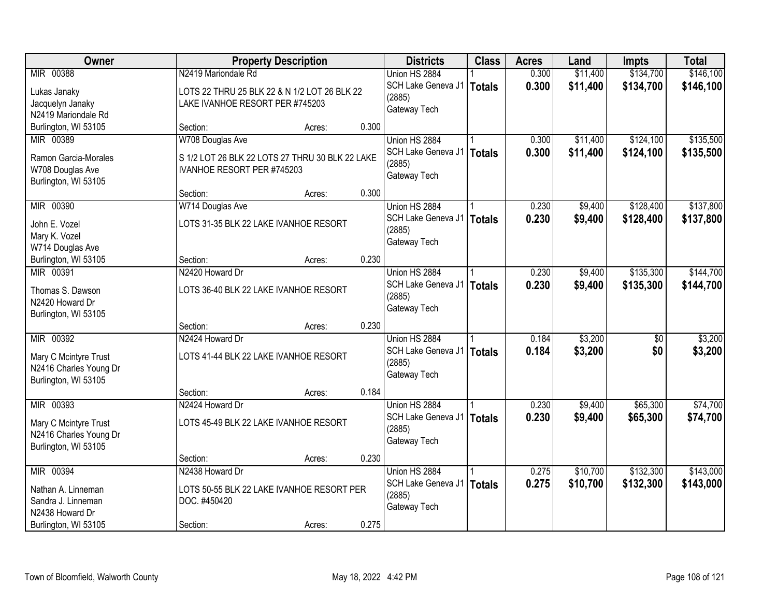| Owner                  |                                 | <b>Property Description</b>                     |       | <b>Districts</b>            | <b>Class</b>  | <b>Acres</b> | Land     | <b>Impts</b>    | <b>Total</b> |
|------------------------|---------------------------------|-------------------------------------------------|-------|-----------------------------|---------------|--------------|----------|-----------------|--------------|
| MIR 00388              | N2419 Mariondale Rd             |                                                 |       | Union HS 2884               |               | 0.300        | \$11,400 | \$134,700       | \$146,100    |
| Lukas Janaky           |                                 | LOTS 22 THRU 25 BLK 22 & N 1/2 LOT 26 BLK 22    |       | SCH Lake Geneva J1          | <b>Totals</b> | 0.300        | \$11,400 | \$134,700       | \$146,100    |
| Jacquelyn Janaky       | LAKE IVANHOE RESORT PER #745203 |                                                 |       | (2885)                      |               |              |          |                 |              |
| N2419 Mariondale Rd    |                                 |                                                 |       | Gateway Tech                |               |              |          |                 |              |
| Burlington, WI 53105   | Section:                        | Acres:                                          | 0.300 |                             |               |              |          |                 |              |
| MIR 00389              | W708 Douglas Ave                |                                                 |       | Union HS 2884               |               | 0.300        | \$11,400 | \$124,100       | \$135,500    |
| Ramon Garcia-Morales   |                                 | S 1/2 LOT 26 BLK 22 LOTS 27 THRU 30 BLK 22 LAKE |       | SCH Lake Geneva J1          | Totals        | 0.300        | \$11,400 | \$124,100       | \$135,500    |
| W708 Douglas Ave       | IVANHOE RESORT PER #745203      |                                                 |       | (2885)                      |               |              |          |                 |              |
| Burlington, WI 53105   |                                 |                                                 |       | Gateway Tech                |               |              |          |                 |              |
|                        | Section:                        | Acres:                                          | 0.300 |                             |               |              |          |                 |              |
| MIR 00390              | W714 Douglas Ave                |                                                 |       | Union HS 2884               |               | 0.230        | \$9,400  | \$128,400       | \$137,800    |
| John E. Vozel          |                                 | LOTS 31-35 BLK 22 LAKE IVANHOE RESORT           |       | SCH Lake Geneva J1          | <b>Totals</b> | 0.230        | \$9,400  | \$128,400       | \$137,800    |
| Mary K. Vozel          |                                 |                                                 |       | (2885)                      |               |              |          |                 |              |
| W714 Douglas Ave       |                                 |                                                 |       | Gateway Tech                |               |              |          |                 |              |
| Burlington, WI 53105   | Section:                        | Acres:                                          | 0.230 |                             |               |              |          |                 |              |
| MIR 00391              | N2420 Howard Dr                 |                                                 |       | Union HS 2884               |               | 0.230        | \$9,400  | \$135,300       | \$144,700    |
|                        |                                 |                                                 |       | SCH Lake Geneva J1          | <b>Totals</b> | 0.230        | \$9,400  | \$135,300       | \$144,700    |
| Thomas S. Dawson       |                                 | LOTS 36-40 BLK 22 LAKE IVANHOE RESORT           |       | (2885)                      |               |              |          |                 |              |
| N2420 Howard Dr        |                                 |                                                 |       | Gateway Tech                |               |              |          |                 |              |
| Burlington, WI 53105   | Section:                        |                                                 | 0.230 |                             |               |              |          |                 |              |
| MIR 00392              | N2424 Howard Dr                 | Acres:                                          |       | Union HS 2884               |               | 0.184        | \$3,200  | $\overline{50}$ | \$3,200      |
|                        |                                 |                                                 |       | SCH Lake Geneva J1          |               | 0.184        | \$3,200  | \$0             |              |
| Mary C Mcintyre Trust  |                                 | LOTS 41-44 BLK 22 LAKE IVANHOE RESORT           |       | (2885)                      | <b>Totals</b> |              |          |                 | \$3,200      |
| N2416 Charles Young Dr |                                 |                                                 |       | Gateway Tech                |               |              |          |                 |              |
| Burlington, WI 53105   |                                 |                                                 |       |                             |               |              |          |                 |              |
|                        | Section:                        | Acres:                                          | 0.184 |                             |               |              |          |                 |              |
| MIR 00393              | N2424 Howard Dr                 |                                                 |       | Union HS 2884               |               | 0.230        | \$9,400  | \$65,300        | \$74,700     |
| Mary C Mcintyre Trust  |                                 | LOTS 45-49 BLK 22 LAKE IVANHOE RESORT           |       | SCH Lake Geneva J1   Totals |               | 0.230        | \$9,400  | \$65,300        | \$74,700     |
| N2416 Charles Young Dr |                                 |                                                 |       | (2885)                      |               |              |          |                 |              |
| Burlington, WI 53105   |                                 |                                                 |       | Gateway Tech                |               |              |          |                 |              |
|                        | Section:                        | Acres:                                          | 0.230 |                             |               |              |          |                 |              |
| MIR 00394              | N2438 Howard Dr                 |                                                 |       | Union HS 2884               |               | 0.275        | \$10,700 | \$132,300       | \$143,000    |
| Nathan A. Linneman     |                                 | LOTS 50-55 BLK 22 LAKE IVANHOE RESORT PER       |       | SCH Lake Geneva J1   Totals |               | 0.275        | \$10,700 | \$132,300       | \$143,000    |
| Sandra J. Linneman     | DOC. #450420                    |                                                 |       | (2885)                      |               |              |          |                 |              |
| N2438 Howard Dr        |                                 |                                                 |       | Gateway Tech                |               |              |          |                 |              |
| Burlington, WI 53105   | Section:                        | Acres:                                          | 0.275 |                             |               |              |          |                 |              |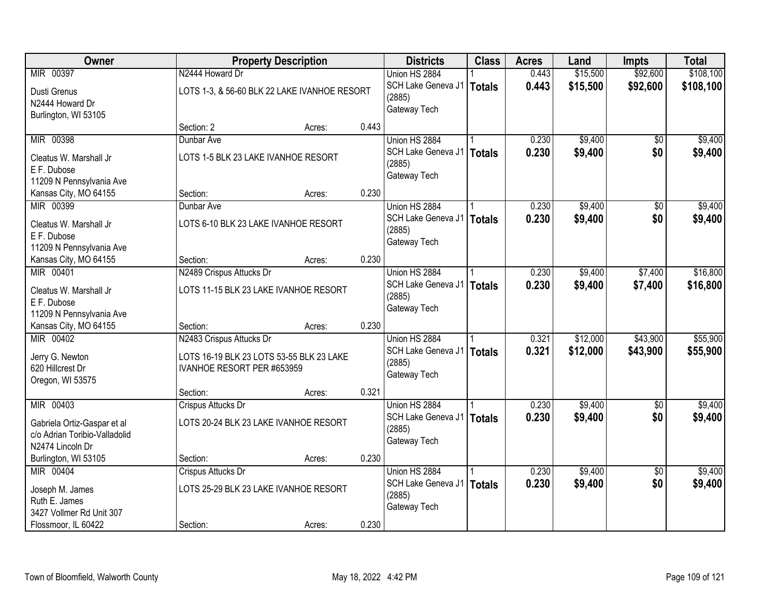| Owner                               |                                     | <b>Property Description</b>                  |       | <b>Districts</b>   | <b>Class</b>  | <b>Acres</b> | Land     | <b>Impts</b>    | <b>Total</b> |
|-------------------------------------|-------------------------------------|----------------------------------------------|-------|--------------------|---------------|--------------|----------|-----------------|--------------|
| MIR 00397                           | N2444 Howard Dr                     |                                              |       | Union HS 2884      |               | 0.443        | \$15,500 | \$92,600        | \$108,100    |
| Dusti Grenus                        |                                     | LOTS 1-3, & 56-60 BLK 22 LAKE IVANHOE RESORT |       | SCH Lake Geneva J1 | <b>Totals</b> | 0.443        | \$15,500 | \$92,600        | \$108,100    |
| N2444 Howard Dr                     |                                     |                                              |       | (2885)             |               |              |          |                 |              |
| Burlington, WI 53105                |                                     |                                              |       | Gateway Tech       |               |              |          |                 |              |
|                                     | Section: 2                          | Acres:                                       | 0.443 |                    |               |              |          |                 |              |
| MIR 00398                           | Dunbar Ave                          |                                              |       | Union HS 2884      |               | 0.230        | \$9,400  | \$0             | \$9,400      |
| Cleatus W. Marshall Jr              | LOTS 1-5 BLK 23 LAKE IVANHOE RESORT |                                              |       | SCH Lake Geneva J1 | <b>Totals</b> | 0.230        | \$9,400  | \$0             | \$9,400      |
| E F. Dubose                         |                                     |                                              |       | (2885)             |               |              |          |                 |              |
| 11209 N Pennsylvania Ave            |                                     |                                              |       | Gateway Tech       |               |              |          |                 |              |
| Kansas City, MO 64155               | Section:                            | Acres:                                       | 0.230 |                    |               |              |          |                 |              |
| MIR 00399                           | Dunbar Ave                          |                                              |       | Union HS 2884      |               | 0.230        | \$9,400  | $\overline{50}$ | \$9,400      |
| Cleatus W. Marshall Jr              |                                     | LOTS 6-10 BLK 23 LAKE IVANHOE RESORT         |       | SCH Lake Geneva J1 | <b>Totals</b> | 0.230        | \$9,400  | \$0             | \$9,400      |
| E F. Dubose                         |                                     |                                              |       | (2885)             |               |              |          |                 |              |
| 11209 N Pennsylvania Ave            |                                     |                                              |       | Gateway Tech       |               |              |          |                 |              |
| Kansas City, MO 64155               | Section:                            | Acres:                                       | 0.230 |                    |               |              |          |                 |              |
| MIR 00401                           | N2489 Crispus Attucks Dr            |                                              |       | Union HS 2884      |               | 0.230        | \$9,400  | \$7,400         | \$16,800     |
| Cleatus W. Marshall Jr              |                                     | LOTS 11-15 BLK 23 LAKE IVANHOE RESORT        |       | SCH Lake Geneva J1 | <b>Totals</b> | 0.230        | \$9,400  | \$7,400         | \$16,800     |
| E F. Dubose                         |                                     |                                              |       | (2885)             |               |              |          |                 |              |
| 11209 N Pennsylvania Ave            |                                     |                                              |       | Gateway Tech       |               |              |          |                 |              |
| Kansas City, MO 64155               | Section:                            | Acres:                                       | 0.230 |                    |               |              |          |                 |              |
| MIR 00402                           | N2483 Crispus Attucks Dr            |                                              |       | Union HS 2884      |               | 0.321        | \$12,000 | \$43,900        | \$55,900     |
|                                     |                                     |                                              |       | SCH Lake Geneva J1 | <b>Totals</b> | 0.321        | \$12,000 | \$43,900        | \$55,900     |
| Jerry G. Newton<br>620 Hillcrest Dr | IVANHOE RESORT PER #653959          | LOTS 16-19 BLK 23 LOTS 53-55 BLK 23 LAKE     |       | (2885)             |               |              |          |                 |              |
| Oregon, WI 53575                    |                                     |                                              |       | Gateway Tech       |               |              |          |                 |              |
|                                     | Section:                            | Acres:                                       | 0.321 |                    |               |              |          |                 |              |
| MIR 00403                           | Crispus Attucks Dr                  |                                              |       | Union HS 2884      |               | 0.230        | \$9,400  | $\sqrt{6}$      | \$9,400      |
| Gabriela Ortiz-Gaspar et al         |                                     | LOTS 20-24 BLK 23 LAKE IVANHOE RESORT        |       | SCH Lake Geneva J1 | <b>Totals</b> | 0.230        | \$9,400  | \$0             | \$9,400      |
| c/o Adrian Toribio-Valladolid       |                                     |                                              |       | (2885)             |               |              |          |                 |              |
| N2474 Lincoln Dr                    |                                     |                                              |       | Gateway Tech       |               |              |          |                 |              |
| Burlington, WI 53105                | Section:                            | Acres:                                       | 0.230 |                    |               |              |          |                 |              |
| MIR 00404                           | Crispus Attucks Dr                  |                                              |       | Union HS 2884      |               | 0.230        | \$9,400  | $\overline{30}$ | \$9,400      |
| Joseph M. James                     |                                     | LOTS 25-29 BLK 23 LAKE IVANHOE RESORT        |       | SCH Lake Geneva J1 | <b>Totals</b> | 0.230        | \$9,400  | \$0             | \$9,400      |
| Ruth E. James                       |                                     |                                              |       | (2885)             |               |              |          |                 |              |
| 3427 Vollmer Rd Unit 307            |                                     |                                              |       | Gateway Tech       |               |              |          |                 |              |
| Flossmoor, IL 60422                 | Section:                            | Acres:                                       | 0.230 |                    |               |              |          |                 |              |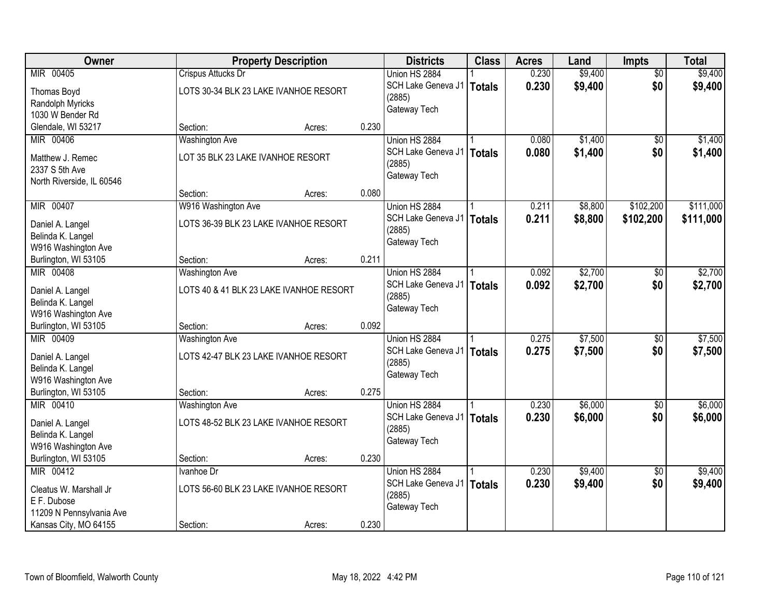| Owner                                    |                                         | <b>Property Description</b> |       | <b>Districts</b>   | <b>Class</b>  | <b>Acres</b> | Land    | Impts           | <b>Total</b> |
|------------------------------------------|-----------------------------------------|-----------------------------|-------|--------------------|---------------|--------------|---------|-----------------|--------------|
| MIR 00405                                | Crispus Attucks Dr                      |                             |       | Union HS 2884      |               | 0.230        | \$9,400 | $\overline{50}$ | \$9,400      |
| Thomas Boyd                              | LOTS 30-34 BLK 23 LAKE IVANHOE RESORT   |                             |       | SCH Lake Geneva J1 | Totals        | 0.230        | \$9,400 | \$0             | \$9,400      |
| Randolph Myricks                         |                                         |                             |       | (2885)             |               |              |         |                 |              |
| 1030 W Bender Rd                         |                                         |                             |       | Gateway Tech       |               |              |         |                 |              |
| Glendale, WI 53217                       | Section:                                | Acres:                      | 0.230 |                    |               |              |         |                 |              |
| MIR 00406                                | <b>Washington Ave</b>                   |                             |       | Union HS 2884      |               | 0.080        | \$1,400 | \$0             | \$1,400      |
| Matthew J. Remec                         | LOT 35 BLK 23 LAKE IVANHOE RESORT       |                             |       | SCH Lake Geneva J1 | <b>Totals</b> | 0.080        | \$1,400 | \$0             | \$1,400      |
| 2337 S 5th Ave                           |                                         |                             |       | (2885)             |               |              |         |                 |              |
| North Riverside, IL 60546                |                                         |                             |       | Gateway Tech       |               |              |         |                 |              |
|                                          | Section:                                | Acres:                      | 0.080 |                    |               |              |         |                 |              |
| MIR 00407                                | W916 Washington Ave                     |                             |       | Union HS 2884      |               | 0.211        | \$8,800 | \$102,200       | \$111,000    |
| Daniel A. Langel                         | LOTS 36-39 BLK 23 LAKE IVANHOE RESORT   |                             |       | SCH Lake Geneva J1 | <b>Totals</b> | 0.211        | \$8,800 | \$102,200       | \$111,000    |
| Belinda K. Langel                        |                                         |                             |       | (2885)             |               |              |         |                 |              |
| W916 Washington Ave                      |                                         |                             |       | Gateway Tech       |               |              |         |                 |              |
| Burlington, WI 53105                     | Section:                                | Acres:                      | 0.211 |                    |               |              |         |                 |              |
| MIR 00408                                | <b>Washington Ave</b>                   |                             |       | Union HS 2884      |               | 0.092        | \$2,700 | \$0             | \$2,700      |
|                                          |                                         |                             |       | SCH Lake Geneva J1 | <b>Totals</b> | 0.092        | \$2,700 | \$0             | \$2,700      |
| Daniel A. Langel                         | LOTS 40 & 41 BLK 23 LAKE IVANHOE RESORT |                             |       | (2885)             |               |              |         |                 |              |
| Belinda K. Langel<br>W916 Washington Ave |                                         |                             |       | Gateway Tech       |               |              |         |                 |              |
| Burlington, WI 53105                     | Section:                                | Acres:                      | 0.092 |                    |               |              |         |                 |              |
| MIR 00409                                | <b>Washington Ave</b>                   |                             |       | Union HS 2884      |               | 0.275        | \$7,500 | \$0             | \$7,500      |
|                                          |                                         |                             |       | SCH Lake Geneva J1 |               | 0.275        | \$7,500 | \$0             | \$7,500      |
| Daniel A. Langel                         | LOTS 42-47 BLK 23 LAKE IVANHOE RESORT   |                             |       | (2885)             | <b>Totals</b> |              |         |                 |              |
| Belinda K. Langel                        |                                         |                             |       | Gateway Tech       |               |              |         |                 |              |
| W916 Washington Ave                      |                                         |                             |       |                    |               |              |         |                 |              |
| Burlington, WI 53105                     | Section:                                | Acres:                      | 0.275 |                    |               |              |         |                 |              |
| MIR 00410                                | <b>Washington Ave</b>                   |                             |       | Union HS 2884      |               | 0.230        | \$6,000 | $\overline{50}$ | \$6,000      |
| Daniel A. Langel                         | LOTS 48-52 BLK 23 LAKE IVANHOE RESORT   |                             |       | SCH Lake Geneva J1 | <b>Totals</b> | 0.230        | \$6,000 | \$0             | \$6,000      |
| Belinda K. Langel                        |                                         |                             |       | (2885)             |               |              |         |                 |              |
| W916 Washington Ave                      |                                         |                             |       | Gateway Tech       |               |              |         |                 |              |
| Burlington, WI 53105                     | Section:                                | Acres:                      | 0.230 |                    |               |              |         |                 |              |
| MIR 00412                                | Ivanhoe Dr                              |                             |       | Union HS 2884      |               | 0.230        | \$9,400 | $\overline{30}$ | \$9,400      |
| Cleatus W. Marshall Jr                   | LOTS 56-60 BLK 23 LAKE IVANHOE RESORT   |                             |       | SCH Lake Geneva J1 | <b>Totals</b> | 0.230        | \$9,400 | \$0             | \$9,400      |
| E F. Dubose                              |                                         |                             |       | (2885)             |               |              |         |                 |              |
| 11209 N Pennsylvania Ave                 |                                         |                             |       | Gateway Tech       |               |              |         |                 |              |
| Kansas City, MO 64155                    | Section:                                | Acres:                      | 0.230 |                    |               |              |         |                 |              |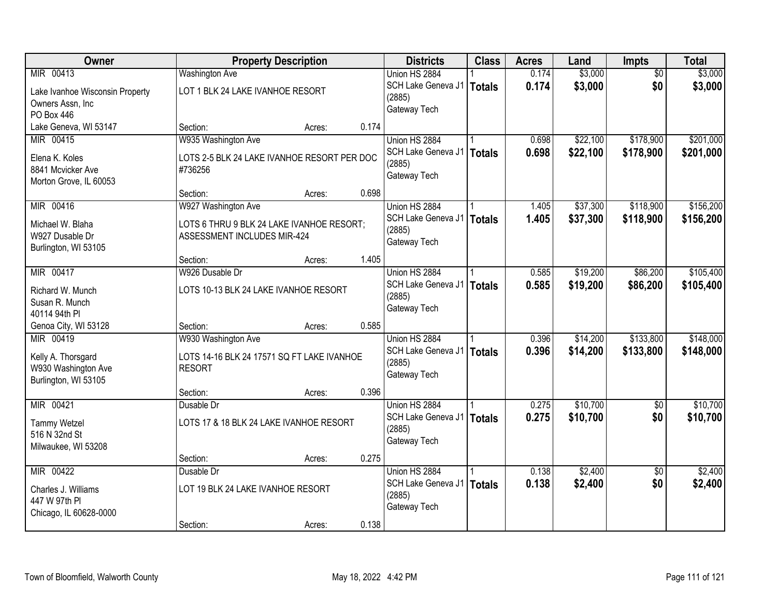| <b>Owner</b>                    |                                             | <b>Property Description</b> |       | <b>Districts</b>   | <b>Class</b>  | <b>Acres</b> | Land     | Impts           | <b>Total</b> |
|---------------------------------|---------------------------------------------|-----------------------------|-------|--------------------|---------------|--------------|----------|-----------------|--------------|
| MIR 00413                       | <b>Washington Ave</b>                       |                             |       | Union HS 2884      |               | 0.174        | \$3,000  | $\overline{50}$ | \$3,000      |
| Lake Ivanhoe Wisconsin Property | LOT 1 BLK 24 LAKE IVANHOE RESORT            |                             |       | SCH Lake Geneva J1 | <b>Totals</b> | 0.174        | \$3,000  | \$0             | \$3,000      |
| Owners Assn, Inc                |                                             |                             |       | (2885)             |               |              |          |                 |              |
| PO Box 446                      |                                             |                             |       | Gateway Tech       |               |              |          |                 |              |
| Lake Geneva, WI 53147           | Section:                                    | Acres:                      | 0.174 |                    |               |              |          |                 |              |
| MIR 00415                       | W935 Washington Ave                         |                             |       | Union HS 2884      |               | 0.698        | \$22,100 | \$178,900       | \$201,000    |
| Elena K. Koles                  | LOTS 2-5 BLK 24 LAKE IVANHOE RESORT PER DOC |                             |       | SCH Lake Geneva J1 | <b>Totals</b> | 0.698        | \$22,100 | \$178,900       | \$201,000    |
| 8841 Mcvicker Ave               | #736256                                     |                             |       | (2885)             |               |              |          |                 |              |
| Morton Grove, IL 60053          |                                             |                             |       | Gateway Tech       |               |              |          |                 |              |
|                                 | Section:                                    | Acres:                      | 0.698 |                    |               |              |          |                 |              |
| MIR 00416                       | W927 Washington Ave                         |                             |       | Union HS 2884      |               | 1.405        | \$37,300 | \$118,900       | \$156,200    |
| Michael W. Blaha                | LOTS 6 THRU 9 BLK 24 LAKE IVANHOE RESORT;   |                             |       | SCH Lake Geneva J1 | <b>Totals</b> | 1.405        | \$37,300 | \$118,900       | \$156,200    |
| W927 Dusable Dr                 | ASSESSMENT INCLUDES MIR-424                 |                             |       | (2885)             |               |              |          |                 |              |
| Burlington, WI 53105            |                                             |                             |       | Gateway Tech       |               |              |          |                 |              |
|                                 | Section:                                    | Acres:                      | 1.405 |                    |               |              |          |                 |              |
| MIR 00417                       | W926 Dusable Dr                             |                             |       | Union HS 2884      |               | 0.585        | \$19,200 | \$86,200        | \$105,400    |
| Richard W. Munch                | LOTS 10-13 BLK 24 LAKE IVANHOE RESORT       |                             |       | SCH Lake Geneva J1 | <b>Totals</b> | 0.585        | \$19,200 | \$86,200        | \$105,400    |
| Susan R. Munch                  |                                             |                             |       | (2885)             |               |              |          |                 |              |
| 40114 94th PI                   |                                             |                             |       | Gateway Tech       |               |              |          |                 |              |
| Genoa City, WI 53128            | Section:                                    | Acres:                      | 0.585 |                    |               |              |          |                 |              |
| MIR 00419                       | W930 Washington Ave                         |                             |       | Union HS 2884      |               | 0.396        | \$14,200 | \$133,800       | \$148,000    |
|                                 |                                             |                             |       | SCH Lake Geneva J1 | <b>Totals</b> | 0.396        | \$14,200 | \$133,800       | \$148,000    |
| Kelly A. Thorsgard              | LOTS 14-16 BLK 24 17571 SQ FT LAKE IVANHOE  |                             |       | (2885)             |               |              |          |                 |              |
| W930 Washington Ave             | <b>RESORT</b>                               |                             |       | Gateway Tech       |               |              |          |                 |              |
| Burlington, WI 53105            |                                             |                             | 0.396 |                    |               |              |          |                 |              |
| MIR 00421                       | Section:<br>Dusable Dr                      | Acres:                      |       | Union HS 2884      |               | 0.275        | \$10,700 | $\overline{50}$ | \$10,700     |
|                                 |                                             |                             |       | SCH Lake Geneva J1 | <b>Totals</b> | 0.275        | \$10,700 | \$0             | \$10,700     |
| <b>Tammy Wetzel</b>             | LOTS 17 & 18 BLK 24 LAKE IVANHOE RESORT     |                             |       | (2885)             |               |              |          |                 |              |
| 516 N 32nd St                   |                                             |                             |       | Gateway Tech       |               |              |          |                 |              |
| Milwaukee, WI 53208             |                                             |                             |       |                    |               |              |          |                 |              |
|                                 | Section:                                    | Acres:                      | 0.275 |                    |               |              |          |                 |              |
| MIR 00422                       | Dusable Dr                                  |                             |       | Union HS 2884      |               | 0.138        | \$2,400  | $\overline{50}$ | \$2,400      |
| Charles J. Williams             | LOT 19 BLK 24 LAKE IVANHOE RESORT           |                             |       | SCH Lake Geneva J1 | <b>Totals</b> | 0.138        | \$2,400  | \$0             | \$2,400      |
| 447 W 97th PI                   |                                             |                             |       | (2885)             |               |              |          |                 |              |
| Chicago, IL 60628-0000          |                                             |                             |       | Gateway Tech       |               |              |          |                 |              |
|                                 | Section:                                    | Acres:                      | 0.138 |                    |               |              |          |                 |              |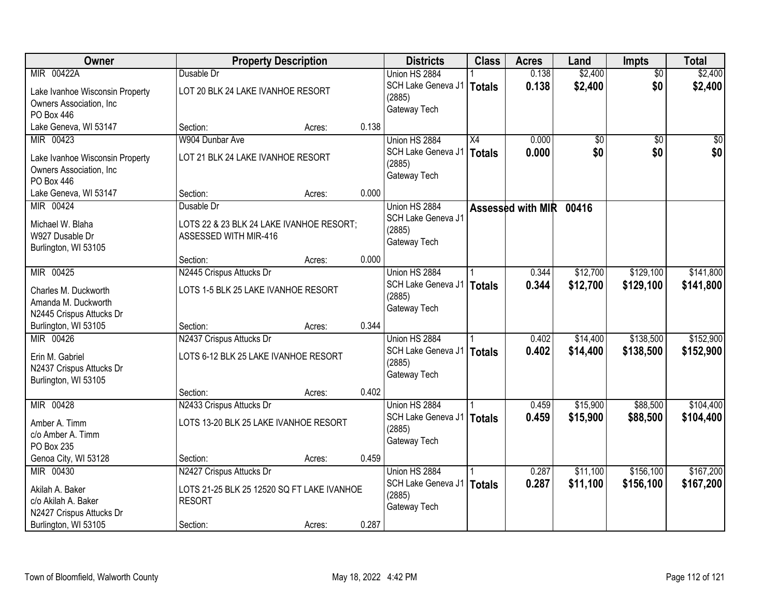| Owner                                  |                                                             | <b>Property Description</b> |       | <b>Districts</b>   | <b>Class</b>    | <b>Acres</b>      | Land     | Impts           | <b>Total</b> |
|----------------------------------------|-------------------------------------------------------------|-----------------------------|-------|--------------------|-----------------|-------------------|----------|-----------------|--------------|
| MIR 00422A                             | Dusable Dr                                                  |                             |       | Union HS 2884      |                 | 0.138             | \$2,400  | $\overline{50}$ | \$2,400      |
| Lake Ivanhoe Wisconsin Property        | LOT 20 BLK 24 LAKE IVANHOE RESORT                           |                             |       | SCH Lake Geneva J1 | <b>Totals</b>   | 0.138             | \$2,400  | \$0             | \$2,400      |
| Owners Association, Inc                |                                                             |                             |       | (2885)             |                 |                   |          |                 |              |
| <b>PO Box 446</b>                      |                                                             |                             |       | Gateway Tech       |                 |                   |          |                 |              |
| Lake Geneva, WI 53147                  | Section:                                                    | Acres:                      | 0.138 |                    |                 |                   |          |                 |              |
| MIR 00423                              | W904 Dunbar Ave                                             |                             |       | Union HS 2884      | $\overline{X4}$ | 0.000             | \$0      | $\overline{50}$ | \$0          |
| Lake Ivanhoe Wisconsin Property        | LOT 21 BLK 24 LAKE IVANHOE RESORT                           |                             |       | SCH Lake Geneva J1 | <b>Totals</b>   | 0.000             | \$0      | \$0             | \$0          |
| Owners Association, Inc.               |                                                             |                             |       | (2885)             |                 |                   |          |                 |              |
| PO Box 446                             |                                                             |                             |       | Gateway Tech       |                 |                   |          |                 |              |
| Lake Geneva, WI 53147                  | Section:                                                    | Acres:                      | 0.000 |                    |                 |                   |          |                 |              |
| MIR 00424                              | Dusable Dr                                                  |                             |       | Union HS 2884      |                 | Assessed with MIR | 00416    |                 |              |
|                                        |                                                             |                             |       | SCH Lake Geneva J1 |                 |                   |          |                 |              |
| Michael W. Blaha                       | LOTS 22 & 23 BLK 24 LAKE IVANHOE RESORT;                    |                             |       | (2885)             |                 |                   |          |                 |              |
| W927 Dusable Dr                        | ASSESSED WITH MIR-416                                       |                             |       | Gateway Tech       |                 |                   |          |                 |              |
| Burlington, WI 53105                   | Section:                                                    | Acres:                      | 0.000 |                    |                 |                   |          |                 |              |
| MIR 00425                              | N2445 Crispus Attucks Dr                                    |                             |       | Union HS 2884      |                 | 0.344             | \$12,700 | \$129,100       | \$141,800    |
|                                        |                                                             |                             |       | SCH Lake Geneva J1 | <b>Totals</b>   | 0.344             | \$12,700 | \$129,100       | \$141,800    |
| Charles M. Duckworth                   | LOTS 1-5 BLK 25 LAKE IVANHOE RESORT                         |                             |       | (2885)             |                 |                   |          |                 |              |
| Amanda M. Duckworth                    |                                                             |                             |       | Gateway Tech       |                 |                   |          |                 |              |
| N2445 Crispus Attucks Dr               |                                                             |                             |       |                    |                 |                   |          |                 |              |
| Burlington, WI 53105                   | Section:                                                    | Acres:                      | 0.344 |                    |                 |                   |          |                 |              |
| MIR 00426                              | N2437 Crispus Attucks Dr                                    |                             |       | Union HS 2884      |                 | 0.402             | \$14,400 | \$138,500       | \$152,900    |
| Erin M. Gabriel                        | LOTS 6-12 BLK 25 LAKE IVANHOE RESORT                        |                             |       | SCH Lake Geneva J1 | <b>Totals</b>   | 0.402             | \$14,400 | \$138,500       | \$152,900    |
| N2437 Crispus Attucks Dr               |                                                             |                             |       | (2885)             |                 |                   |          |                 |              |
| Burlington, WI 53105                   |                                                             |                             |       | Gateway Tech       |                 |                   |          |                 |              |
|                                        | Section:                                                    | Acres:                      | 0.402 |                    |                 |                   |          |                 |              |
| MIR 00428                              | N2433 Crispus Attucks Dr                                    |                             |       | Union HS 2884      |                 | 0.459             | \$15,900 | \$88,500        | \$104,400    |
| Amber A. Timm                          | LOTS 13-20 BLK 25 LAKE IVANHOE RESORT                       |                             |       | SCH Lake Geneva J1 | <b>Totals</b>   | 0.459             | \$15,900 | \$88,500        | \$104,400    |
| c/o Amber A. Timm                      |                                                             |                             |       | (2885)             |                 |                   |          |                 |              |
| PO Box 235                             |                                                             |                             |       | Gateway Tech       |                 |                   |          |                 |              |
| Genoa City, WI 53128                   | Section:                                                    | Acres:                      | 0.459 |                    |                 |                   |          |                 |              |
| MIR 00430                              | N2427 Crispus Attucks Dr                                    |                             |       | Union HS 2884      |                 | 0.287             | \$11,100 | \$156,100       | \$167,200    |
|                                        |                                                             |                             |       | SCH Lake Geneva J1 | <b>Totals</b>   | 0.287             | \$11,100 | \$156,100       | \$167,200    |
| Akilah A. Baker<br>c/o Akilah A. Baker | LOTS 21-25 BLK 25 12520 SQ FT LAKE IVANHOE<br><b>RESORT</b> |                             |       | (2885)             |                 |                   |          |                 |              |
| N2427 Crispus Attucks Dr               |                                                             |                             |       | Gateway Tech       |                 |                   |          |                 |              |
| Burlington, WI 53105                   | Section:                                                    | Acres:                      | 0.287 |                    |                 |                   |          |                 |              |
|                                        |                                                             |                             |       |                    |                 |                   |          |                 |              |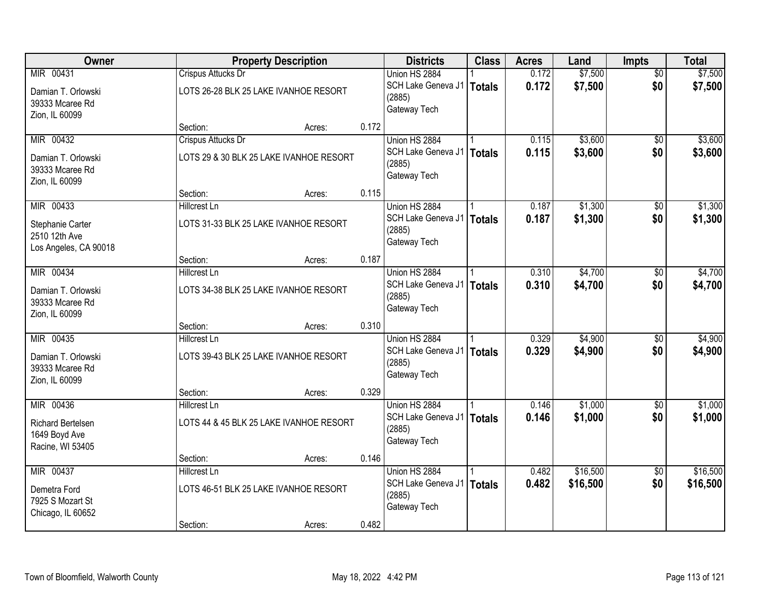| Owner                    |                           | <b>Property Description</b>             |       | <b>Districts</b>                      | <b>Class</b>  | <b>Acres</b> | Land     | <b>Impts</b>    | <b>Total</b> |
|--------------------------|---------------------------|-----------------------------------------|-------|---------------------------------------|---------------|--------------|----------|-----------------|--------------|
| MIR 00431                | Crispus Attucks Dr        |                                         |       | Union HS 2884                         |               | 0.172        | \$7,500  | $\overline{50}$ | \$7,500      |
| Damian T. Orlowski       |                           | LOTS 26-28 BLK 25 LAKE IVANHOE RESORT   |       | SCH Lake Geneva J1                    | Totals        | 0.172        | \$7,500  | \$0             | \$7,500      |
| 39333 Mcaree Rd          |                           |                                         |       | (2885)                                |               |              |          |                 |              |
| Zion, IL 60099           |                           |                                         |       | Gateway Tech                          |               |              |          |                 |              |
|                          | Section:                  | Acres:                                  | 0.172 |                                       |               |              |          |                 |              |
| MIR 00432                | <b>Crispus Attucks Dr</b> |                                         |       | Union HS 2884                         |               | 0.115        | \$3,600  | $\overline{50}$ | \$3,600      |
| Damian T. Orlowski       |                           | LOTS 29 & 30 BLK 25 LAKE IVANHOE RESORT |       | SCH Lake Geneva J1                    | <b>Totals</b> | 0.115        | \$3,600  | \$0             | \$3,600      |
| 39333 Mcaree Rd          |                           |                                         |       | (2885)<br>Gateway Tech                |               |              |          |                 |              |
| Zion, IL 60099           |                           |                                         |       |                                       |               |              |          |                 |              |
|                          | Section:                  | Acres:                                  | 0.115 |                                       |               |              |          |                 |              |
| MIR 00433                | Hillcrest Ln              |                                         |       | Union HS 2884                         |               | 0.187        | \$1,300  | \$0             | \$1,300      |
| Stephanie Carter         |                           | LOTS 31-33 BLK 25 LAKE IVANHOE RESORT   |       | SCH Lake Geneva J1                    | <b>Totals</b> | 0.187        | \$1,300  | \$0             | \$1,300      |
| 2510 12th Ave            |                           |                                         |       | (2885)<br>Gateway Tech                |               |              |          |                 |              |
| Los Angeles, CA 90018    |                           |                                         |       |                                       |               |              |          |                 |              |
|                          | Section:                  | Acres:                                  | 0.187 |                                       |               |              |          |                 |              |
| MIR 00434                | <b>Hillcrest Ln</b>       |                                         |       | Union HS 2884                         |               | 0.310        | \$4,700  | \$0             | \$4,700      |
| Damian T. Orlowski       |                           | LOTS 34-38 BLK 25 LAKE IVANHOE RESORT   |       | SCH Lake Geneva J1                    | Totals        | 0.310        | \$4,700  | \$0             | \$4,700      |
| 39333 Mcaree Rd          |                           |                                         |       | (2885)<br>Gateway Tech                |               |              |          |                 |              |
| Zion, IL 60099           |                           |                                         |       |                                       |               |              |          |                 |              |
|                          | Section:                  | Acres:                                  | 0.310 |                                       |               |              |          |                 |              |
| MIR 00435                | <b>Hillcrest Ln</b>       |                                         |       | Union HS 2884                         |               | 0.329        | \$4,900  | $\overline{50}$ | \$4,900      |
| Damian T. Orlowski       |                           | LOTS 39-43 BLK 25 LAKE IVANHOE RESORT   |       | SCH Lake Geneva J1   Totals<br>(2885) |               | 0.329        | \$4,900  | \$0             | \$4,900      |
| 39333 Mcaree Rd          |                           |                                         |       | Gateway Tech                          |               |              |          |                 |              |
| Zion, IL 60099           |                           |                                         |       |                                       |               |              |          |                 |              |
|                          | Section:                  | Acres:                                  | 0.329 |                                       |               |              |          |                 |              |
| MIR 00436                | <b>Hillcrest Ln</b>       |                                         |       | Union HS 2884                         |               | 0.146        | \$1,000  | $\overline{60}$ | \$1,000      |
| <b>Richard Bertelsen</b> |                           | LOTS 44 & 45 BLK 25 LAKE IVANHOE RESORT |       | SCH Lake Geneva J1<br>(2885)          | Totals        | 0.146        | \$1,000  | \$0             | \$1,000      |
| 1649 Boyd Ave            |                           |                                         |       | Gateway Tech                          |               |              |          |                 |              |
| Racine, WI 53405         |                           |                                         |       |                                       |               |              |          |                 |              |
|                          | Section:                  | Acres:                                  | 0.146 |                                       |               |              |          |                 |              |
| MIR 00437                | Hillcrest Ln              |                                         |       | Union HS 2884                         |               | 0.482        | \$16,500 | $\overline{50}$ | \$16,500     |
| Demetra Ford             |                           | LOTS 46-51 BLK 25 LAKE IVANHOE RESORT   |       | SCH Lake Geneva J1   Totals<br>(2885) |               | 0.482        | \$16,500 | \$0             | \$16,500     |
| 7925 S Mozart St         |                           |                                         |       | Gateway Tech                          |               |              |          |                 |              |
| Chicago, IL 60652        |                           |                                         |       |                                       |               |              |          |                 |              |
|                          | Section:                  | Acres:                                  | 0.482 |                                       |               |              |          |                 |              |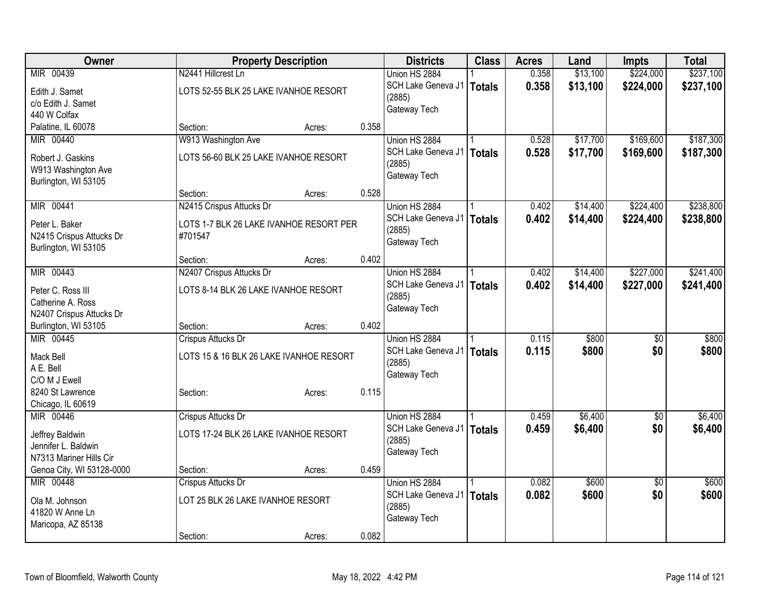| Owner                             | <b>Property Description</b>             |        |       | <b>Districts</b>             | <b>Class</b>  | <b>Acres</b> | Land     | Impts           | <b>Total</b> |
|-----------------------------------|-----------------------------------------|--------|-------|------------------------------|---------------|--------------|----------|-----------------|--------------|
| MIR 00439                         | N2441 Hillcrest Ln                      |        |       | Union HS 2884                |               | 0.358        | \$13,100 | \$224,000       | \$237,100    |
| Edith J. Samet                    | LOTS 52-55 BLK 25 LAKE IVANHOE RESORT   |        |       | SCH Lake Geneva J1           | <b>Totals</b> | 0.358        | \$13,100 | \$224,000       | \$237,100    |
| c/o Edith J. Samet                |                                         |        |       | (2885)                       |               |              |          |                 |              |
| 440 W Colfax                      |                                         |        |       | Gateway Tech                 |               |              |          |                 |              |
| Palatine, IL 60078                | Section:                                | Acres: | 0.358 |                              |               |              |          |                 |              |
| MIR 00440                         | W913 Washington Ave                     |        |       | Union HS 2884                |               | 0.528        | \$17,700 | \$169,600       | \$187,300    |
| Robert J. Gaskins                 | LOTS 56-60 BLK 25 LAKE IVANHOE RESORT   |        |       | SCH Lake Geneva J1           | <b>Totals</b> | 0.528        | \$17,700 | \$169,600       | \$187,300    |
| W913 Washington Ave               |                                         |        |       | (2885)                       |               |              |          |                 |              |
| Burlington, WI 53105              |                                         |        |       | Gateway Tech                 |               |              |          |                 |              |
|                                   | Section:                                | Acres: | 0.528 |                              |               |              |          |                 |              |
| MIR 00441                         | N2415 Crispus Attucks Dr                |        |       | Union HS 2884                |               | 0.402        | \$14,400 | \$224,400       | \$238,800    |
| Peter L. Baker                    | LOTS 1-7 BLK 26 LAKE IVANHOE RESORT PER |        |       | SCH Lake Geneva J1           | Totals        | 0.402        | \$14,400 | \$224,400       | \$238,800    |
| N2415 Crispus Attucks Dr          | #701547                                 |        |       | (2885)                       |               |              |          |                 |              |
| Burlington, WI 53105              |                                         |        |       | Gateway Tech                 |               |              |          |                 |              |
|                                   | Section:                                | Acres: | 0.402 |                              |               |              |          |                 |              |
| MIR 00443                         | N2407 Crispus Attucks Dr                |        |       | Union HS 2884                |               | 0.402        | \$14,400 | \$227,000       | \$241,400    |
|                                   |                                         |        |       | SCH Lake Geneva J1           | Totals        | 0.402        | \$14,400 | \$227,000       | \$241,400    |
| Peter C. Ross III                 | LOTS 8-14 BLK 26 LAKE IVANHOE RESORT    |        |       | (2885)                       |               |              |          |                 |              |
| Catherine A. Ross                 |                                         |        |       | Gateway Tech                 |               |              |          |                 |              |
| N2407 Crispus Attucks Dr          |                                         |        |       |                              |               |              |          |                 |              |
| Burlington, WI 53105<br>MIR 00445 | Section:                                | Acres: | 0.402 |                              |               | 0.115        | \$800    |                 | \$800        |
|                                   | Crispus Attucks Dr                      |        |       | Union HS 2884                |               |              |          | $\overline{30}$ |              |
| <b>Mack Bell</b>                  | LOTS 15 & 16 BLK 26 LAKE IVANHOE RESORT |        |       | SCH Lake Geneva J1<br>(2885) | <b>Totals</b> | 0.115        | \$800    | \$0             | \$800        |
| A E. Bell                         |                                         |        |       | Gateway Tech                 |               |              |          |                 |              |
| C/O M J Ewell                     |                                         |        |       |                              |               |              |          |                 |              |
| 8240 St Lawrence                  | Section:                                | Acres: | 0.115 |                              |               |              |          |                 |              |
| Chicago, IL 60619                 |                                         |        |       |                              |               |              |          |                 |              |
| MIR 00446                         | <b>Crispus Attucks Dr</b>               |        |       | Union HS 2884                |               | 0.459        | \$6,400  | $\overline{30}$ | \$6,400      |
| Jeffrey Baldwin                   | LOTS 17-24 BLK 26 LAKE IVANHOE RESORT   |        |       | SCH Lake Geneva J1           | Totals        | 0.459        | \$6,400  | \$0             | \$6,400      |
| Jennifer L. Baldwin               |                                         |        |       | (2885)                       |               |              |          |                 |              |
| N7313 Mariner Hills Cir           |                                         |        |       | Gateway Tech                 |               |              |          |                 |              |
| Genoa City, WI 53128-0000         | Section:                                | Acres: | 0.459 |                              |               |              |          |                 |              |
| MIR 00448                         | Crispus Attucks Dr                      |        |       | Union HS 2884                |               | 0.082        | \$600    | $\overline{30}$ | \$600        |
| Ola M. Johnson                    | LOT 25 BLK 26 LAKE IVANHOE RESORT       |        |       | SCH Lake Geneva J1           | <b>Totals</b> | 0.082        | \$600    | \$0             | \$600        |
| 41820 W Anne Ln                   |                                         |        |       | (2885)                       |               |              |          |                 |              |
| Maricopa, AZ 85138                |                                         |        |       | Gateway Tech                 |               |              |          |                 |              |
|                                   | Section:                                | Acres: | 0.082 |                              |               |              |          |                 |              |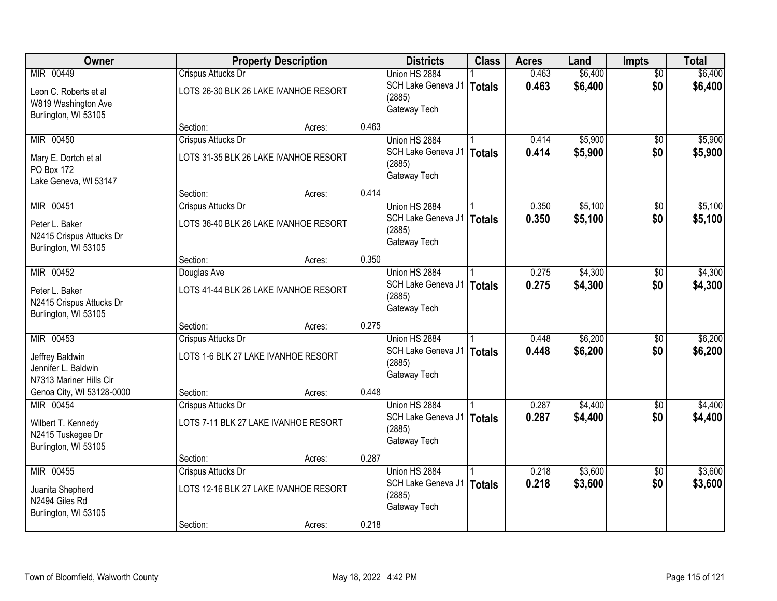| Owner                     |                                     | <b>Property Description</b>           |       | <b>Districts</b>                    | <b>Class</b>  | <b>Acres</b> | Land    | Impts           | <b>Total</b> |
|---------------------------|-------------------------------------|---------------------------------------|-------|-------------------------------------|---------------|--------------|---------|-----------------|--------------|
| MIR 00449                 | Crispus Attucks Dr                  |                                       |       | Union HS 2884                       |               | 0.463        | \$6,400 | $\overline{50}$ | \$6,400      |
| Leon C. Roberts et al     |                                     | LOTS 26-30 BLK 26 LAKE IVANHOE RESORT |       | SCH Lake Geneva J1                  | <b>Totals</b> | 0.463        | \$6,400 | \$0             | \$6,400      |
| W819 Washington Ave       |                                     |                                       |       | (2885)                              |               |              |         |                 |              |
| Burlington, WI 53105      |                                     |                                       |       | Gateway Tech                        |               |              |         |                 |              |
|                           | Section:                            | Acres:                                | 0.463 |                                     |               |              |         |                 |              |
| MIR 00450                 | <b>Crispus Attucks Dr</b>           |                                       |       | Union HS 2884                       |               | 0.414        | \$5,900 | \$0             | \$5,900      |
| Mary E. Dortch et al      |                                     | LOTS 31-35 BLK 26 LAKE IVANHOE RESORT |       | SCH Lake Geneva J1                  | <b>Totals</b> | 0.414        | \$5,900 | \$0             | \$5,900      |
| PO Box 172                |                                     |                                       |       | (2885)<br>Gateway Tech              |               |              |         |                 |              |
| Lake Geneva, WI 53147     |                                     |                                       |       |                                     |               |              |         |                 |              |
|                           | Section:                            | Acres:                                | 0.414 |                                     |               |              |         |                 |              |
| MIR 00451                 | Crispus Attucks Dr                  |                                       |       | Union HS 2884                       |               | 0.350        | \$5,100 | \$0             | \$5,100      |
| Peter L. Baker            |                                     | LOTS 36-40 BLK 26 LAKE IVANHOE RESORT |       | SCH Lake Geneva J1                  | <b>Totals</b> | 0.350        | \$5,100 | \$0             | \$5,100      |
| N2415 Crispus Attucks Dr  |                                     |                                       |       | (2885)<br>Gateway Tech              |               |              |         |                 |              |
| Burlington, WI 53105      |                                     |                                       |       |                                     |               |              |         |                 |              |
|                           | Section:                            | Acres:                                | 0.350 |                                     |               |              |         |                 |              |
| MIR 00452                 | Douglas Ave                         |                                       |       | Union HS 2884                       |               | 0.275        | \$4,300 | \$0             | \$4,300      |
| Peter L. Baker            |                                     | LOTS 41-44 BLK 26 LAKE IVANHOE RESORT |       | SCH Lake Geneva J1                  | <b>Totals</b> | 0.275        | \$4,300 | \$0             | \$4,300      |
| N2415 Crispus Attucks Dr  |                                     |                                       |       | (2885)<br>Gateway Tech              |               |              |         |                 |              |
| Burlington, WI 53105      |                                     |                                       |       |                                     |               |              |         |                 |              |
|                           | Section:                            | Acres:                                | 0.275 |                                     |               |              |         |                 |              |
| MIR 00453                 | Crispus Attucks Dr                  |                                       |       | Union HS 2884                       |               | 0.448        | \$6,200 | $\overline{50}$ | \$6,200      |
| Jeffrey Baldwin           | LOTS 1-6 BLK 27 LAKE IVANHOE RESORT |                                       |       | SCH Lake Geneva J1<br>(2885)        | <b>Totals</b> | 0.448        | \$6,200 | \$0             | \$6,200      |
| Jennifer L. Baldwin       |                                     |                                       |       | Gateway Tech                        |               |              |         |                 |              |
| N7313 Mariner Hills Cir   |                                     |                                       |       |                                     |               |              |         |                 |              |
| Genoa City, WI 53128-0000 | Section:                            | Acres:                                | 0.448 |                                     |               |              |         |                 |              |
| MIR 00454                 | Crispus Attucks Dr                  |                                       |       | Union HS 2884                       |               | 0.287        | \$4,400 | $\overline{50}$ | \$4,400      |
| Wilbert T. Kennedy        |                                     | LOTS 7-11 BLK 27 LAKE IVANHOE RESORT  |       | SCH Lake Geneva J1<br>(2885)        | <b>Totals</b> | 0.287        | \$4,400 | \$0             | \$4,400      |
| N2415 Tuskegee Dr         |                                     |                                       |       | Gateway Tech                        |               |              |         |                 |              |
| Burlington, WI 53105      |                                     |                                       |       |                                     |               |              |         |                 |              |
|                           | Section:                            | Acres:                                | 0.287 |                                     |               |              |         |                 |              |
| MIR 00455                 | Crispus Attucks Dr                  |                                       |       | Union HS 2884<br>SCH Lake Geneva J1 |               | 0.218        | \$3,600 | $\overline{50}$ | \$3,600      |
| Juanita Shepherd          |                                     | LOTS 12-16 BLK 27 LAKE IVANHOE RESORT |       | (2885)                              | <b>Totals</b> | 0.218        | \$3,600 | \$0             | \$3,600      |
| N2494 Giles Rd            |                                     |                                       |       | Gateway Tech                        |               |              |         |                 |              |
| Burlington, WI 53105      |                                     |                                       |       |                                     |               |              |         |                 |              |
|                           | Section:                            | Acres:                                | 0.218 |                                     |               |              |         |                 |              |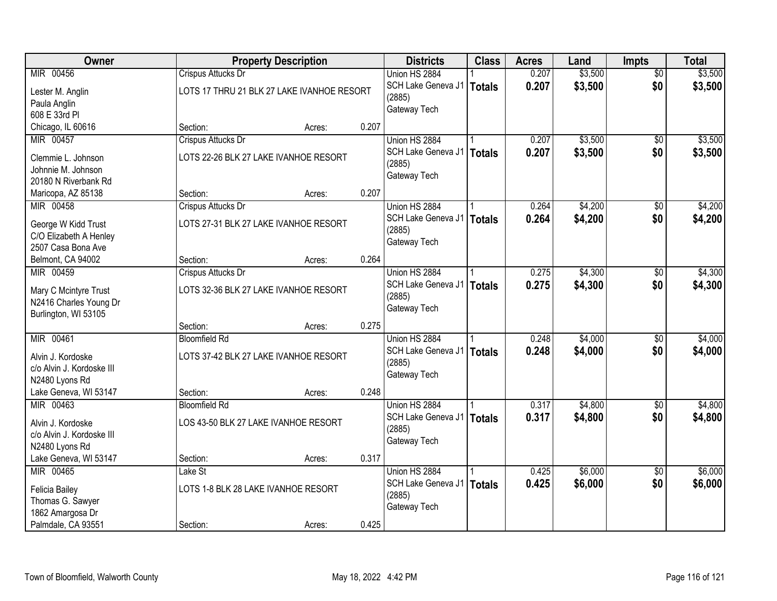| Owner                     |                                            | <b>Property Description</b> |       | <b>Districts</b>            | <b>Class</b>  | <b>Acres</b> | Land    | <b>Impts</b>    | <b>Total</b> |
|---------------------------|--------------------------------------------|-----------------------------|-------|-----------------------------|---------------|--------------|---------|-----------------|--------------|
| MIR 00456                 | <b>Crispus Attucks Dr</b>                  |                             |       | Union HS 2884               |               | 0.207        | \$3,500 | $\overline{30}$ | \$3,500      |
| Lester M. Anglin          | LOTS 17 THRU 21 BLK 27 LAKE IVANHOE RESORT |                             |       | SCH Lake Geneva J1          | Totals        | 0.207        | \$3,500 | \$0             | \$3,500      |
| Paula Anglin              |                                            |                             |       | (2885)                      |               |              |         |                 |              |
| 608 E 33rd PI             |                                            |                             |       | Gateway Tech                |               |              |         |                 |              |
| Chicago, IL 60616         | Section:                                   | Acres:                      | 0.207 |                             |               |              |         |                 |              |
| MIR 00457                 | Crispus Attucks Dr                         |                             |       | Union HS 2884               |               | 0.207        | \$3,500 | $\overline{50}$ | \$3,500      |
| Clemmie L. Johnson        | LOTS 22-26 BLK 27 LAKE IVANHOE RESORT      |                             |       | SCH Lake Geneva J1          | <b>Totals</b> | 0.207        | \$3,500 | \$0             | \$3,500      |
| Johnnie M. Johnson        |                                            |                             |       | (2885)                      |               |              |         |                 |              |
| 20180 N Riverbank Rd      |                                            |                             |       | Gateway Tech                |               |              |         |                 |              |
| Maricopa, AZ 85138        | Section:                                   | Acres:                      | 0.207 |                             |               |              |         |                 |              |
| MIR 00458                 | Crispus Attucks Dr                         |                             |       | Union HS 2884               |               | 0.264        | \$4,200 | \$0             | \$4,200      |
|                           |                                            |                             |       | SCH Lake Geneva J1          | <b>Totals</b> | 0.264        | \$4,200 | \$0             | \$4,200      |
| George W Kidd Trust       | LOTS 27-31 BLK 27 LAKE IVANHOE RESORT      |                             |       | (2885)                      |               |              |         |                 |              |
| C/O Elizabeth A Henley    |                                            |                             |       | Gateway Tech                |               |              |         |                 |              |
| 2507 Casa Bona Ave        |                                            |                             |       |                             |               |              |         |                 |              |
| Belmont, CA 94002         | Section:                                   | Acres:                      | 0.264 |                             |               |              |         |                 |              |
| MIR 00459                 | Crispus Attucks Dr                         |                             |       | Union HS 2884               |               | 0.275        | \$4,300 | \$0             | \$4,300      |
| Mary C Mcintyre Trust     | LOTS 32-36 BLK 27 LAKE IVANHOE RESORT      |                             |       | SCH Lake Geneva J1          | Totals        | 0.275        | \$4,300 | \$0             | \$4,300      |
| N2416 Charles Young Dr    |                                            |                             |       | (2885)                      |               |              |         |                 |              |
| Burlington, WI 53105      |                                            |                             |       | Gateway Tech                |               |              |         |                 |              |
|                           | Section:                                   | Acres:                      | 0.275 |                             |               |              |         |                 |              |
| MIR 00461                 | <b>Bloomfield Rd</b>                       |                             |       | Union HS 2884               |               | 0.248        | \$4,000 | \$0             | \$4,000      |
| Alvin J. Kordoske         | LOTS 37-42 BLK 27 LAKE IVANHOE RESORT      |                             |       | SCH Lake Geneva J1          | Totals        | 0.248        | \$4,000 | \$0             | \$4,000      |
| c/o Alvin J. Kordoske III |                                            |                             |       | (2885)                      |               |              |         |                 |              |
| N2480 Lyons Rd            |                                            |                             |       | Gateway Tech                |               |              |         |                 |              |
| Lake Geneva, WI 53147     | Section:                                   | Acres:                      | 0.248 |                             |               |              |         |                 |              |
| MIR 00463                 | <b>Bloomfield Rd</b>                       |                             |       | Union HS 2884               |               | 0.317        | \$4,800 | $\sqrt{6}$      | \$4,800      |
|                           |                                            |                             |       | SCH Lake Geneva J1   Totals |               | 0.317        | \$4,800 | \$0             | \$4,800      |
| Alvin J. Kordoske         | LOS 43-50 BLK 27 LAKE IVANHOE RESORT       |                             |       | (2885)                      |               |              |         |                 |              |
| c/o Alvin J. Kordoske III |                                            |                             |       | Gateway Tech                |               |              |         |                 |              |
| N2480 Lyons Rd            |                                            |                             |       |                             |               |              |         |                 |              |
| Lake Geneva, WI 53147     | Section:                                   | Acres:                      | 0.317 |                             |               |              |         |                 |              |
| MIR 00465                 | Lake St                                    |                             |       | Union HS 2884               |               | 0.425        | \$6,000 | $\overline{50}$ | \$6,000      |
| <b>Felicia Bailey</b>     | LOTS 1-8 BLK 28 LAKE IVANHOE RESORT        |                             |       | SCH Lake Geneva J1          | Totals        | 0.425        | \$6,000 | \$0             | \$6,000      |
| Thomas G. Sawyer          |                                            |                             |       | (2885)                      |               |              |         |                 |              |
| 1862 Amargosa Dr          |                                            |                             |       | Gateway Tech                |               |              |         |                 |              |
| Palmdale, CA 93551        | Section:                                   | Acres:                      | 0.425 |                             |               |              |         |                 |              |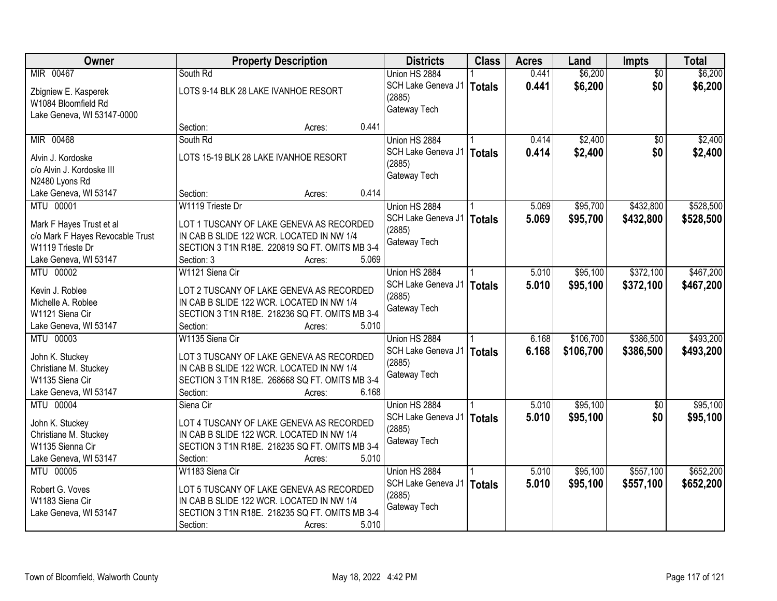| Owner                            | <b>Property Description</b>                    | <b>Districts</b>            | <b>Class</b>  | <b>Acres</b> | Land      | Impts           | <b>Total</b> |
|----------------------------------|------------------------------------------------|-----------------------------|---------------|--------------|-----------|-----------------|--------------|
| MIR 00467                        | South Rd                                       | Union HS 2884               |               | 0.441        | \$6,200   | $\overline{50}$ | \$6,200      |
| Zbigniew E. Kasperek             | LOTS 9-14 BLK 28 LAKE IVANHOE RESORT           | SCH Lake Geneva J1          | Totals        | 0.441        | \$6,200   | \$0             | \$6,200      |
| W1084 Bloomfield Rd              |                                                | (2885)                      |               |              |           |                 |              |
| Lake Geneva, WI 53147-0000       |                                                | Gateway Tech                |               |              |           |                 |              |
|                                  | 0.441<br>Section:<br>Acres:                    |                             |               |              |           |                 |              |
| MIR 00468                        | South Rd                                       | Union HS 2884               |               | 0.414        | \$2,400   | $\overline{30}$ | \$2,400      |
|                                  |                                                | SCH Lake Geneva J1          | Totals        | 0.414        | \$2,400   | \$0             | \$2,400      |
| Alvin J. Kordoske                | LOTS 15-19 BLK 28 LAKE IVANHOE RESORT          | (2885)                      |               |              |           |                 |              |
| c/o Alvin J. Kordoske III        |                                                | Gateway Tech                |               |              |           |                 |              |
| N2480 Lyons Rd                   |                                                |                             |               |              |           |                 |              |
| Lake Geneva, WI 53147            | 0.414<br>Section:<br>Acres:                    |                             |               |              |           |                 |              |
| MTU 00001                        | W1119 Trieste Dr                               | Union HS 2884               |               | 5.069        | \$95,700  | \$432,800       | \$528,500    |
| Mark F Hayes Trust et al         | LOT 1 TUSCANY OF LAKE GENEVA AS RECORDED       | SCH Lake Geneva J1          | <b>Totals</b> | 5.069        | \$95,700  | \$432,800       | \$528,500    |
| c/o Mark F Hayes Revocable Trust | IN CAB B SLIDE 122 WCR. LOCATED IN NW 1/4      | (2885)                      |               |              |           |                 |              |
| W1119 Trieste Dr                 | SECTION 3 T1N R18E. 220819 SQ FT. OMITS MB 3-4 | Gateway Tech                |               |              |           |                 |              |
| Lake Geneva, WI 53147            | Section: 3<br>5.069<br>Acres:                  |                             |               |              |           |                 |              |
| MTU 00002                        | W1121 Siena Cir                                | Union HS 2884               |               | 5.010        | \$95,100  | \$372,100       | \$467,200    |
|                                  |                                                | SCH Lake Geneva J1          | <b>Totals</b> | 5.010        | \$95,100  | \$372,100       | \$467,200    |
| Kevin J. Roblee                  | LOT 2 TUSCANY OF LAKE GENEVA AS RECORDED       | (2885)                      |               |              |           |                 |              |
| Michelle A. Roblee               | IN CAB B SLIDE 122 WCR. LOCATED IN NW 1/4      | Gateway Tech                |               |              |           |                 |              |
| W1121 Siena Cir                  | SECTION 3 T1N R18E. 218236 SQ FT. OMITS MB 3-4 |                             |               |              |           |                 |              |
| Lake Geneva, WI 53147            | Section:<br>5.010<br>Acres:                    |                             |               |              |           |                 |              |
| MTU 00003                        | W1135 Siena Cir                                | Union HS 2884               |               | 6.168        | \$106,700 | \$386,500       | \$493,200    |
| John K. Stuckey                  | LOT 3 TUSCANY OF LAKE GENEVA AS RECORDED       | SCH Lake Geneva J1          | <b>Totals</b> | 6.168        | \$106,700 | \$386,500       | \$493,200    |
| Christiane M. Stuckey            | IN CAB B SLIDE 122 WCR. LOCATED IN NW 1/4      | (2885)                      |               |              |           |                 |              |
| W1135 Siena Cir                  | SECTION 3 T1N R18E. 268668 SQ FT. OMITS MB 3-4 | Gateway Tech                |               |              |           |                 |              |
| Lake Geneva, WI 53147            | 6.168<br>Section:<br>Acres:                    |                             |               |              |           |                 |              |
| MTU 00004                        | Siena Cir                                      | Union HS 2884               |               | 5.010        | \$95,100  | $\overline{60}$ | \$95,100     |
|                                  |                                                | SCH Lake Geneva J1   Totals |               | 5.010        | \$95,100  | \$0             | \$95,100     |
| John K. Stuckey                  | LOT 4 TUSCANY OF LAKE GENEVA AS RECORDED       | (2885)                      |               |              |           |                 |              |
| Christiane M. Stuckey            | IN CAB B SLIDE 122 WCR. LOCATED IN NW 1/4      | Gateway Tech                |               |              |           |                 |              |
| W1135 Sienna Cir                 | SECTION 3 T1N R18E. 218235 SQ FT. OMITS MB 3-4 |                             |               |              |           |                 |              |
| Lake Geneva, WI 53147            | 5.010<br>Section:<br>Acres:                    |                             |               |              |           |                 |              |
| MTU 00005                        | W1183 Siena Cir                                | Union HS 2884               |               | 5.010        | \$95,100  | \$557,100       | \$652,200    |
| Robert G. Voves                  | LOT 5 TUSCANY OF LAKE GENEVA AS RECORDED       | SCH Lake Geneva J1          | Totals        | 5.010        | \$95,100  | \$557,100       | \$652,200    |
| W1183 Siena Cir                  | IN CAB B SLIDE 122 WCR. LOCATED IN NW 1/4      | (2885)                      |               |              |           |                 |              |
| Lake Geneva, WI 53147            | SECTION 3 T1N R18E. 218235 SQ FT. OMITS MB 3-4 | Gateway Tech                |               |              |           |                 |              |
|                                  | 5.010<br>Section:<br>Acres:                    |                             |               |              |           |                 |              |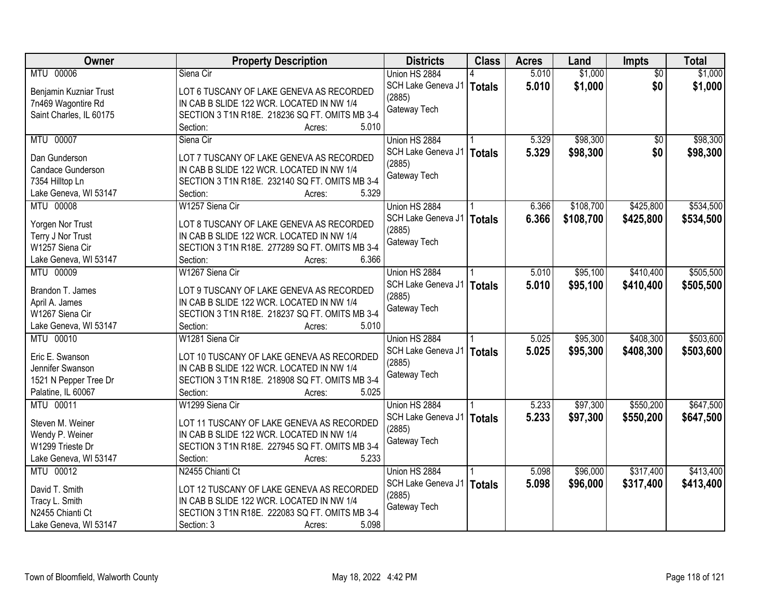| MTU 00006<br>Union HS 2884<br>5.010<br>\$1,000<br>Siena Cir<br>$\overline{50}$<br>\$1,000<br>\$1,000<br>SCH Lake Geneva J1<br>5.010<br>\$0<br><b>Totals</b><br>LOT 6 TUSCANY OF LAKE GENEVA AS RECORDED<br>Benjamin Kuzniar Trust<br>(2885)<br>IN CAB B SLIDE 122 WCR. LOCATED IN NW 1/4<br>7n469 Wagontire Rd<br>Gateway Tech<br>Saint Charles, IL 60175<br>SECTION 3 T1N R18E. 218236 SQ FT. OMITS MB 3-4<br>5.010<br>Section:<br>Acres:<br>MTU 00007<br>\$98,300<br>\$98,300<br>Union HS 2884<br>5.329<br>$\overline{50}$<br>Siena Cir<br>5.329<br>\$98,300<br>\$0<br>SCH Lake Geneva J1<br>\$98,300<br><b>Totals</b><br>LOT 7 TUSCANY OF LAKE GENEVA AS RECORDED<br>Dan Gunderson<br>(2885)<br>Candace Gunderson<br>IN CAB B SLIDE 122 WCR. LOCATED IN NW 1/4<br>Gateway Tech<br>SECTION 3 T1N R18E. 232140 SQ FT. OMITS MB 3-4<br>7354 Hilltop Ln<br>5.329<br>Lake Geneva, WI 53147<br>Section:<br>Acres:<br>\$108,700<br>\$534,500<br>MTU 00008<br>W1257 Siena Cir<br>Union HS 2884<br>\$425,800<br>6.366<br>SCH Lake Geneva J1<br>6.366<br>\$108,700<br>\$425,800<br>\$534,500<br><b>Totals</b><br>LOT 8 TUSCANY OF LAKE GENEVA AS RECORDED<br>Yorgen Nor Trust<br>(2885)<br>Terry J Nor Trust<br>IN CAB B SLIDE 122 WCR. LOCATED IN NW 1/4<br>Gateway Tech<br>W1257 Siena Cir<br>SECTION 3 T1N R18E. 277289 SQ FT. OMITS MB 3-4<br>Lake Geneva, WI 53147<br>6.366<br>Section:<br>Acres:<br>MTU 00009<br>W1267 Siena Cir<br>\$95,100<br>\$410,400<br>\$505,500<br>Union HS 2884<br>5.010<br>SCH Lake Geneva J1<br>5.010<br>\$95,100<br>\$410,400<br>\$505,500<br><b>Totals</b><br>Brandon T. James<br>LOT 9 TUSCANY OF LAKE GENEVA AS RECORDED<br>(2885)<br>April A. James<br>IN CAB B SLIDE 122 WCR. LOCATED IN NW 1/4<br>Gateway Tech<br>W1267 Siena Cir<br>SECTION 3 T1N R18E. 218237 SQ FT. OMITS MB 3-4<br>Lake Geneva, WI 53147<br>Section:<br>5.010<br>Acres:<br>\$408,300<br>MTU 00010<br>W1281 Siena Cir<br>5.025<br>\$95,300<br>Union HS 2884<br>5.025<br>\$95,300<br>\$408,300<br>SCH Lake Geneva J1<br><b>Totals</b><br>Eric E. Swanson<br>LOT 10 TUSCANY OF LAKE GENEVA AS RECORDED<br>(2885)<br>Jennifer Swanson<br>IN CAB B SLIDE 122 WCR. LOCATED IN NW 1/4<br>Gateway Tech<br>1521 N Pepper Tree Dr<br>SECTION 3 T1N R18E. 218908 SQ FT. OMITS MB 3-4<br>Palatine, IL 60067<br>5.025<br>Section:<br>Acres:<br>MTU 00011<br>5.233<br>\$97,300<br>\$550,200<br>W1299 Siena Cir<br>Union HS 2884<br>\$97,300<br>SCH Lake Geneva J1<br>5.233<br>\$550,200<br><b>Totals</b><br>Steven M. Weiner<br>LOT 11 TUSCANY OF LAKE GENEVA AS RECORDED<br>(2885)<br>Wendy P. Weiner<br>IN CAB B SLIDE 122 WCR. LOCATED IN NW 1/4<br>Gateway Tech<br>W1299 Trieste Dr<br>SECTION 3 T1N R18E. 227945 SQ FT. OMITS MB 3-4<br>Lake Geneva, WI 53147<br>Section:<br>5.233<br>Acres:<br>\$317,400<br>MTU 00012<br>N2455 Chianti Ct<br>Union HS 2884<br>\$96,000<br>\$413,400<br>5.098<br>5.098<br>SCH Lake Geneva J1<br>\$96,000<br>\$317,400<br>\$413,400<br><b>Totals</b><br>David T. Smith<br>LOT 12 TUSCANY OF LAKE GENEVA AS RECORDED<br>(2885)<br>IN CAB B SLIDE 122 WCR. LOCATED IN NW 1/4<br>Tracy L. Smith<br>Gateway Tech | Owner            | <b>Property Description</b>                    | <b>Districts</b> | <b>Class</b> | <b>Acres</b> | Land    | Impts | <b>Total</b> |
|----------------------------------------------------------------------------------------------------------------------------------------------------------------------------------------------------------------------------------------------------------------------------------------------------------------------------------------------------------------------------------------------------------------------------------------------------------------------------------------------------------------------------------------------------------------------------------------------------------------------------------------------------------------------------------------------------------------------------------------------------------------------------------------------------------------------------------------------------------------------------------------------------------------------------------------------------------------------------------------------------------------------------------------------------------------------------------------------------------------------------------------------------------------------------------------------------------------------------------------------------------------------------------------------------------------------------------------------------------------------------------------------------------------------------------------------------------------------------------------------------------------------------------------------------------------------------------------------------------------------------------------------------------------------------------------------------------------------------------------------------------------------------------------------------------------------------------------------------------------------------------------------------------------------------------------------------------------------------------------------------------------------------------------------------------------------------------------------------------------------------------------------------------------------------------------------------------------------------------------------------------------------------------------------------------------------------------------------------------------------------------------------------------------------------------------------------------------------------------------------------------------------------------------------------------------------------------------------------------------------------------------------------------------------------------------------------------------------------------------------------------------------------------------------------------------------------------------------------------------------------------------------------------------------------------------------------------------------------------------------------------------------------------------------------------------------------------------------------------------------------------------|------------------|------------------------------------------------|------------------|--------------|--------------|---------|-------|--------------|
|                                                                                                                                                                                                                                                                                                                                                                                                                                                                                                                                                                                                                                                                                                                                                                                                                                                                                                                                                                                                                                                                                                                                                                                                                                                                                                                                                                                                                                                                                                                                                                                                                                                                                                                                                                                                                                                                                                                                                                                                                                                                                                                                                                                                                                                                                                                                                                                                                                                                                                                                                                                                                                                                                                                                                                                                                                                                                                                                                                                                                                                                                                                                        |                  |                                                |                  |              |              | \$1,000 |       |              |
|                                                                                                                                                                                                                                                                                                                                                                                                                                                                                                                                                                                                                                                                                                                                                                                                                                                                                                                                                                                                                                                                                                                                                                                                                                                                                                                                                                                                                                                                                                                                                                                                                                                                                                                                                                                                                                                                                                                                                                                                                                                                                                                                                                                                                                                                                                                                                                                                                                                                                                                                                                                                                                                                                                                                                                                                                                                                                                                                                                                                                                                                                                                                        |                  |                                                |                  |              |              |         |       |              |
| \$503,600<br>\$503,600<br>\$647,500<br>\$647,500                                                                                                                                                                                                                                                                                                                                                                                                                                                                                                                                                                                                                                                                                                                                                                                                                                                                                                                                                                                                                                                                                                                                                                                                                                                                                                                                                                                                                                                                                                                                                                                                                                                                                                                                                                                                                                                                                                                                                                                                                                                                                                                                                                                                                                                                                                                                                                                                                                                                                                                                                                                                                                                                                                                                                                                                                                                                                                                                                                                                                                                                                       |                  |                                                |                  |              |              |         |       |              |
|                                                                                                                                                                                                                                                                                                                                                                                                                                                                                                                                                                                                                                                                                                                                                                                                                                                                                                                                                                                                                                                                                                                                                                                                                                                                                                                                                                                                                                                                                                                                                                                                                                                                                                                                                                                                                                                                                                                                                                                                                                                                                                                                                                                                                                                                                                                                                                                                                                                                                                                                                                                                                                                                                                                                                                                                                                                                                                                                                                                                                                                                                                                                        |                  |                                                |                  |              |              |         |       |              |
|                                                                                                                                                                                                                                                                                                                                                                                                                                                                                                                                                                                                                                                                                                                                                                                                                                                                                                                                                                                                                                                                                                                                                                                                                                                                                                                                                                                                                                                                                                                                                                                                                                                                                                                                                                                                                                                                                                                                                                                                                                                                                                                                                                                                                                                                                                                                                                                                                                                                                                                                                                                                                                                                                                                                                                                                                                                                                                                                                                                                                                                                                                                                        |                  |                                                |                  |              |              |         |       |              |
|                                                                                                                                                                                                                                                                                                                                                                                                                                                                                                                                                                                                                                                                                                                                                                                                                                                                                                                                                                                                                                                                                                                                                                                                                                                                                                                                                                                                                                                                                                                                                                                                                                                                                                                                                                                                                                                                                                                                                                                                                                                                                                                                                                                                                                                                                                                                                                                                                                                                                                                                                                                                                                                                                                                                                                                                                                                                                                                                                                                                                                                                                                                                        |                  |                                                |                  |              |              |         |       |              |
|                                                                                                                                                                                                                                                                                                                                                                                                                                                                                                                                                                                                                                                                                                                                                                                                                                                                                                                                                                                                                                                                                                                                                                                                                                                                                                                                                                                                                                                                                                                                                                                                                                                                                                                                                                                                                                                                                                                                                                                                                                                                                                                                                                                                                                                                                                                                                                                                                                                                                                                                                                                                                                                                                                                                                                                                                                                                                                                                                                                                                                                                                                                                        |                  |                                                |                  |              |              |         |       |              |
|                                                                                                                                                                                                                                                                                                                                                                                                                                                                                                                                                                                                                                                                                                                                                                                                                                                                                                                                                                                                                                                                                                                                                                                                                                                                                                                                                                                                                                                                                                                                                                                                                                                                                                                                                                                                                                                                                                                                                                                                                                                                                                                                                                                                                                                                                                                                                                                                                                                                                                                                                                                                                                                                                                                                                                                                                                                                                                                                                                                                                                                                                                                                        |                  |                                                |                  |              |              |         |       |              |
|                                                                                                                                                                                                                                                                                                                                                                                                                                                                                                                                                                                                                                                                                                                                                                                                                                                                                                                                                                                                                                                                                                                                                                                                                                                                                                                                                                                                                                                                                                                                                                                                                                                                                                                                                                                                                                                                                                                                                                                                                                                                                                                                                                                                                                                                                                                                                                                                                                                                                                                                                                                                                                                                                                                                                                                                                                                                                                                                                                                                                                                                                                                                        |                  |                                                |                  |              |              |         |       |              |
|                                                                                                                                                                                                                                                                                                                                                                                                                                                                                                                                                                                                                                                                                                                                                                                                                                                                                                                                                                                                                                                                                                                                                                                                                                                                                                                                                                                                                                                                                                                                                                                                                                                                                                                                                                                                                                                                                                                                                                                                                                                                                                                                                                                                                                                                                                                                                                                                                                                                                                                                                                                                                                                                                                                                                                                                                                                                                                                                                                                                                                                                                                                                        |                  |                                                |                  |              |              |         |       |              |
|                                                                                                                                                                                                                                                                                                                                                                                                                                                                                                                                                                                                                                                                                                                                                                                                                                                                                                                                                                                                                                                                                                                                                                                                                                                                                                                                                                                                                                                                                                                                                                                                                                                                                                                                                                                                                                                                                                                                                                                                                                                                                                                                                                                                                                                                                                                                                                                                                                                                                                                                                                                                                                                                                                                                                                                                                                                                                                                                                                                                                                                                                                                                        |                  |                                                |                  |              |              |         |       |              |
|                                                                                                                                                                                                                                                                                                                                                                                                                                                                                                                                                                                                                                                                                                                                                                                                                                                                                                                                                                                                                                                                                                                                                                                                                                                                                                                                                                                                                                                                                                                                                                                                                                                                                                                                                                                                                                                                                                                                                                                                                                                                                                                                                                                                                                                                                                                                                                                                                                                                                                                                                                                                                                                                                                                                                                                                                                                                                                                                                                                                                                                                                                                                        |                  |                                                |                  |              |              |         |       |              |
|                                                                                                                                                                                                                                                                                                                                                                                                                                                                                                                                                                                                                                                                                                                                                                                                                                                                                                                                                                                                                                                                                                                                                                                                                                                                                                                                                                                                                                                                                                                                                                                                                                                                                                                                                                                                                                                                                                                                                                                                                                                                                                                                                                                                                                                                                                                                                                                                                                                                                                                                                                                                                                                                                                                                                                                                                                                                                                                                                                                                                                                                                                                                        |                  |                                                |                  |              |              |         |       |              |
|                                                                                                                                                                                                                                                                                                                                                                                                                                                                                                                                                                                                                                                                                                                                                                                                                                                                                                                                                                                                                                                                                                                                                                                                                                                                                                                                                                                                                                                                                                                                                                                                                                                                                                                                                                                                                                                                                                                                                                                                                                                                                                                                                                                                                                                                                                                                                                                                                                                                                                                                                                                                                                                                                                                                                                                                                                                                                                                                                                                                                                                                                                                                        |                  |                                                |                  |              |              |         |       |              |
|                                                                                                                                                                                                                                                                                                                                                                                                                                                                                                                                                                                                                                                                                                                                                                                                                                                                                                                                                                                                                                                                                                                                                                                                                                                                                                                                                                                                                                                                                                                                                                                                                                                                                                                                                                                                                                                                                                                                                                                                                                                                                                                                                                                                                                                                                                                                                                                                                                                                                                                                                                                                                                                                                                                                                                                                                                                                                                                                                                                                                                                                                                                                        |                  |                                                |                  |              |              |         |       |              |
|                                                                                                                                                                                                                                                                                                                                                                                                                                                                                                                                                                                                                                                                                                                                                                                                                                                                                                                                                                                                                                                                                                                                                                                                                                                                                                                                                                                                                                                                                                                                                                                                                                                                                                                                                                                                                                                                                                                                                                                                                                                                                                                                                                                                                                                                                                                                                                                                                                                                                                                                                                                                                                                                                                                                                                                                                                                                                                                                                                                                                                                                                                                                        |                  |                                                |                  |              |              |         |       |              |
|                                                                                                                                                                                                                                                                                                                                                                                                                                                                                                                                                                                                                                                                                                                                                                                                                                                                                                                                                                                                                                                                                                                                                                                                                                                                                                                                                                                                                                                                                                                                                                                                                                                                                                                                                                                                                                                                                                                                                                                                                                                                                                                                                                                                                                                                                                                                                                                                                                                                                                                                                                                                                                                                                                                                                                                                                                                                                                                                                                                                                                                                                                                                        |                  |                                                |                  |              |              |         |       |              |
|                                                                                                                                                                                                                                                                                                                                                                                                                                                                                                                                                                                                                                                                                                                                                                                                                                                                                                                                                                                                                                                                                                                                                                                                                                                                                                                                                                                                                                                                                                                                                                                                                                                                                                                                                                                                                                                                                                                                                                                                                                                                                                                                                                                                                                                                                                                                                                                                                                                                                                                                                                                                                                                                                                                                                                                                                                                                                                                                                                                                                                                                                                                                        |                  |                                                |                  |              |              |         |       |              |
|                                                                                                                                                                                                                                                                                                                                                                                                                                                                                                                                                                                                                                                                                                                                                                                                                                                                                                                                                                                                                                                                                                                                                                                                                                                                                                                                                                                                                                                                                                                                                                                                                                                                                                                                                                                                                                                                                                                                                                                                                                                                                                                                                                                                                                                                                                                                                                                                                                                                                                                                                                                                                                                                                                                                                                                                                                                                                                                                                                                                                                                                                                                                        |                  |                                                |                  |              |              |         |       |              |
|                                                                                                                                                                                                                                                                                                                                                                                                                                                                                                                                                                                                                                                                                                                                                                                                                                                                                                                                                                                                                                                                                                                                                                                                                                                                                                                                                                                                                                                                                                                                                                                                                                                                                                                                                                                                                                                                                                                                                                                                                                                                                                                                                                                                                                                                                                                                                                                                                                                                                                                                                                                                                                                                                                                                                                                                                                                                                                                                                                                                                                                                                                                                        |                  |                                                |                  |              |              |         |       |              |
|                                                                                                                                                                                                                                                                                                                                                                                                                                                                                                                                                                                                                                                                                                                                                                                                                                                                                                                                                                                                                                                                                                                                                                                                                                                                                                                                                                                                                                                                                                                                                                                                                                                                                                                                                                                                                                                                                                                                                                                                                                                                                                                                                                                                                                                                                                                                                                                                                                                                                                                                                                                                                                                                                                                                                                                                                                                                                                                                                                                                                                                                                                                                        |                  |                                                |                  |              |              |         |       |              |
|                                                                                                                                                                                                                                                                                                                                                                                                                                                                                                                                                                                                                                                                                                                                                                                                                                                                                                                                                                                                                                                                                                                                                                                                                                                                                                                                                                                                                                                                                                                                                                                                                                                                                                                                                                                                                                                                                                                                                                                                                                                                                                                                                                                                                                                                                                                                                                                                                                                                                                                                                                                                                                                                                                                                                                                                                                                                                                                                                                                                                                                                                                                                        |                  |                                                |                  |              |              |         |       |              |
|                                                                                                                                                                                                                                                                                                                                                                                                                                                                                                                                                                                                                                                                                                                                                                                                                                                                                                                                                                                                                                                                                                                                                                                                                                                                                                                                                                                                                                                                                                                                                                                                                                                                                                                                                                                                                                                                                                                                                                                                                                                                                                                                                                                                                                                                                                                                                                                                                                                                                                                                                                                                                                                                                                                                                                                                                                                                                                                                                                                                                                                                                                                                        |                  |                                                |                  |              |              |         |       |              |
|                                                                                                                                                                                                                                                                                                                                                                                                                                                                                                                                                                                                                                                                                                                                                                                                                                                                                                                                                                                                                                                                                                                                                                                                                                                                                                                                                                                                                                                                                                                                                                                                                                                                                                                                                                                                                                                                                                                                                                                                                                                                                                                                                                                                                                                                                                                                                                                                                                                                                                                                                                                                                                                                                                                                                                                                                                                                                                                                                                                                                                                                                                                                        |                  |                                                |                  |              |              |         |       |              |
|                                                                                                                                                                                                                                                                                                                                                                                                                                                                                                                                                                                                                                                                                                                                                                                                                                                                                                                                                                                                                                                                                                                                                                                                                                                                                                                                                                                                                                                                                                                                                                                                                                                                                                                                                                                                                                                                                                                                                                                                                                                                                                                                                                                                                                                                                                                                                                                                                                                                                                                                                                                                                                                                                                                                                                                                                                                                                                                                                                                                                                                                                                                                        |                  |                                                |                  |              |              |         |       |              |
|                                                                                                                                                                                                                                                                                                                                                                                                                                                                                                                                                                                                                                                                                                                                                                                                                                                                                                                                                                                                                                                                                                                                                                                                                                                                                                                                                                                                                                                                                                                                                                                                                                                                                                                                                                                                                                                                                                                                                                                                                                                                                                                                                                                                                                                                                                                                                                                                                                                                                                                                                                                                                                                                                                                                                                                                                                                                                                                                                                                                                                                                                                                                        |                  |                                                |                  |              |              |         |       |              |
|                                                                                                                                                                                                                                                                                                                                                                                                                                                                                                                                                                                                                                                                                                                                                                                                                                                                                                                                                                                                                                                                                                                                                                                                                                                                                                                                                                                                                                                                                                                                                                                                                                                                                                                                                                                                                                                                                                                                                                                                                                                                                                                                                                                                                                                                                                                                                                                                                                                                                                                                                                                                                                                                                                                                                                                                                                                                                                                                                                                                                                                                                                                                        |                  |                                                |                  |              |              |         |       |              |
|                                                                                                                                                                                                                                                                                                                                                                                                                                                                                                                                                                                                                                                                                                                                                                                                                                                                                                                                                                                                                                                                                                                                                                                                                                                                                                                                                                                                                                                                                                                                                                                                                                                                                                                                                                                                                                                                                                                                                                                                                                                                                                                                                                                                                                                                                                                                                                                                                                                                                                                                                                                                                                                                                                                                                                                                                                                                                                                                                                                                                                                                                                                                        |                  |                                                |                  |              |              |         |       |              |
|                                                                                                                                                                                                                                                                                                                                                                                                                                                                                                                                                                                                                                                                                                                                                                                                                                                                                                                                                                                                                                                                                                                                                                                                                                                                                                                                                                                                                                                                                                                                                                                                                                                                                                                                                                                                                                                                                                                                                                                                                                                                                                                                                                                                                                                                                                                                                                                                                                                                                                                                                                                                                                                                                                                                                                                                                                                                                                                                                                                                                                                                                                                                        |                  |                                                |                  |              |              |         |       |              |
|                                                                                                                                                                                                                                                                                                                                                                                                                                                                                                                                                                                                                                                                                                                                                                                                                                                                                                                                                                                                                                                                                                                                                                                                                                                                                                                                                                                                                                                                                                                                                                                                                                                                                                                                                                                                                                                                                                                                                                                                                                                                                                                                                                                                                                                                                                                                                                                                                                                                                                                                                                                                                                                                                                                                                                                                                                                                                                                                                                                                                                                                                                                                        |                  |                                                |                  |              |              |         |       |              |
|                                                                                                                                                                                                                                                                                                                                                                                                                                                                                                                                                                                                                                                                                                                                                                                                                                                                                                                                                                                                                                                                                                                                                                                                                                                                                                                                                                                                                                                                                                                                                                                                                                                                                                                                                                                                                                                                                                                                                                                                                                                                                                                                                                                                                                                                                                                                                                                                                                                                                                                                                                                                                                                                                                                                                                                                                                                                                                                                                                                                                                                                                                                                        |                  |                                                |                  |              |              |         |       |              |
|                                                                                                                                                                                                                                                                                                                                                                                                                                                                                                                                                                                                                                                                                                                                                                                                                                                                                                                                                                                                                                                                                                                                                                                                                                                                                                                                                                                                                                                                                                                                                                                                                                                                                                                                                                                                                                                                                                                                                                                                                                                                                                                                                                                                                                                                                                                                                                                                                                                                                                                                                                                                                                                                                                                                                                                                                                                                                                                                                                                                                                                                                                                                        |                  |                                                |                  |              |              |         |       |              |
|                                                                                                                                                                                                                                                                                                                                                                                                                                                                                                                                                                                                                                                                                                                                                                                                                                                                                                                                                                                                                                                                                                                                                                                                                                                                                                                                                                                                                                                                                                                                                                                                                                                                                                                                                                                                                                                                                                                                                                                                                                                                                                                                                                                                                                                                                                                                                                                                                                                                                                                                                                                                                                                                                                                                                                                                                                                                                                                                                                                                                                                                                                                                        |                  |                                                |                  |              |              |         |       |              |
|                                                                                                                                                                                                                                                                                                                                                                                                                                                                                                                                                                                                                                                                                                                                                                                                                                                                                                                                                                                                                                                                                                                                                                                                                                                                                                                                                                                                                                                                                                                                                                                                                                                                                                                                                                                                                                                                                                                                                                                                                                                                                                                                                                                                                                                                                                                                                                                                                                                                                                                                                                                                                                                                                                                                                                                                                                                                                                                                                                                                                                                                                                                                        |                  |                                                |                  |              |              |         |       |              |
|                                                                                                                                                                                                                                                                                                                                                                                                                                                                                                                                                                                                                                                                                                                                                                                                                                                                                                                                                                                                                                                                                                                                                                                                                                                                                                                                                                                                                                                                                                                                                                                                                                                                                                                                                                                                                                                                                                                                                                                                                                                                                                                                                                                                                                                                                                                                                                                                                                                                                                                                                                                                                                                                                                                                                                                                                                                                                                                                                                                                                                                                                                                                        |                  |                                                |                  |              |              |         |       |              |
|                                                                                                                                                                                                                                                                                                                                                                                                                                                                                                                                                                                                                                                                                                                                                                                                                                                                                                                                                                                                                                                                                                                                                                                                                                                                                                                                                                                                                                                                                                                                                                                                                                                                                                                                                                                                                                                                                                                                                                                                                                                                                                                                                                                                                                                                                                                                                                                                                                                                                                                                                                                                                                                                                                                                                                                                                                                                                                                                                                                                                                                                                                                                        |                  |                                                |                  |              |              |         |       |              |
|                                                                                                                                                                                                                                                                                                                                                                                                                                                                                                                                                                                                                                                                                                                                                                                                                                                                                                                                                                                                                                                                                                                                                                                                                                                                                                                                                                                                                                                                                                                                                                                                                                                                                                                                                                                                                                                                                                                                                                                                                                                                                                                                                                                                                                                                                                                                                                                                                                                                                                                                                                                                                                                                                                                                                                                                                                                                                                                                                                                                                                                                                                                                        | N2455 Chianti Ct | SECTION 3 T1N R18E. 222083 SQ FT. OMITS MB 3-4 |                  |              |              |         |       |              |
| 5.098<br>Lake Geneva, WI 53147<br>Section: 3<br>Acres:                                                                                                                                                                                                                                                                                                                                                                                                                                                                                                                                                                                                                                                                                                                                                                                                                                                                                                                                                                                                                                                                                                                                                                                                                                                                                                                                                                                                                                                                                                                                                                                                                                                                                                                                                                                                                                                                                                                                                                                                                                                                                                                                                                                                                                                                                                                                                                                                                                                                                                                                                                                                                                                                                                                                                                                                                                                                                                                                                                                                                                                                                 |                  |                                                |                  |              |              |         |       |              |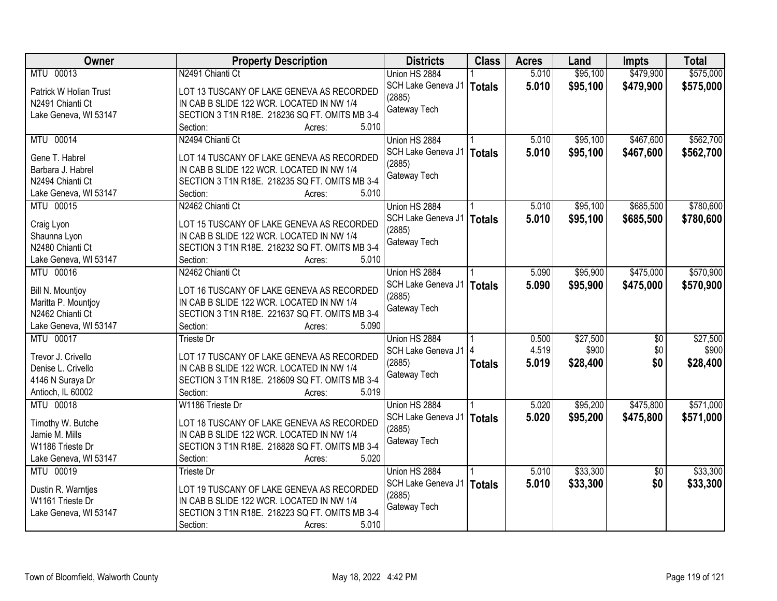| Owner                  | <b>Property Description</b>                    | <b>Districts</b>       | <b>Class</b>  | <b>Acres</b> | Land     | <b>Impts</b>    | <b>Total</b> |
|------------------------|------------------------------------------------|------------------------|---------------|--------------|----------|-----------------|--------------|
| MTU 00013              | N2491 Chianti Ct                               | Union HS 2884          |               | 5.010        | \$95,100 | \$479,900       | \$575,000    |
| Patrick W Holian Trust | LOT 13 TUSCANY OF LAKE GENEVA AS RECORDED      | SCH Lake Geneva J1     | <b>Totals</b> | 5.010        | \$95,100 | \$479,900       | \$575,000    |
| N2491 Chianti Ct       | IN CAB B SLIDE 122 WCR. LOCATED IN NW 1/4      | (2885)                 |               |              |          |                 |              |
| Lake Geneva, WI 53147  | SECTION 3 T1N R18E. 218236 SQ FT. OMITS MB 3-4 | Gateway Tech           |               |              |          |                 |              |
|                        | 5.010<br>Section:<br>Acres:                    |                        |               |              |          |                 |              |
| MTU 00014              | N2494 Chianti Ct                               | Union HS 2884          |               | 5.010        | \$95,100 | \$467,600       | \$562,700    |
|                        |                                                | SCH Lake Geneva J1     | <b>Totals</b> | 5.010        | \$95,100 | \$467,600       | \$562,700    |
| Gene T. Habrel         | LOT 14 TUSCANY OF LAKE GENEVA AS RECORDED      | (2885)                 |               |              |          |                 |              |
| Barbara J. Habrel      | IN CAB B SLIDE 122 WCR. LOCATED IN NW 1/4      | Gateway Tech           |               |              |          |                 |              |
| N2494 Chianti Ct       | SECTION 3 T1N R18E. 218235 SQ FT. OMITS MB 3-4 |                        |               |              |          |                 |              |
| Lake Geneva, WI 53147  | 5.010<br>Section:<br>Acres:                    |                        |               |              |          |                 |              |
| MTU 00015              | N2462 Chianti Ct                               | Union HS 2884          |               | 5.010        | \$95,100 | \$685,500       | \$780,600    |
| Craig Lyon             | LOT 15 TUSCANY OF LAKE GENEVA AS RECORDED      | SCH Lake Geneva J1     | <b>Totals</b> | 5.010        | \$95,100 | \$685,500       | \$780,600    |
| Shaunna Lyon           | IN CAB B SLIDE 122 WCR. LOCATED IN NW 1/4      | (2885)                 |               |              |          |                 |              |
| N2480 Chianti Ct       | SECTION 3 T1N R18E. 218232 SQ FT. OMITS MB 3-4 | Gateway Tech           |               |              |          |                 |              |
| Lake Geneva, WI 53147  | Section:<br>5.010<br>Acres:                    |                        |               |              |          |                 |              |
| MTU 00016              | N2462 Chianti Ct                               | Union HS 2884          |               | 5.090        | \$95,900 | \$475,000       | \$570,900    |
|                        |                                                | SCH Lake Geneva J1     | <b>Totals</b> | 5.090        | \$95,900 | \$475,000       | \$570,900    |
| Bill N. Mountjoy       | LOT 16 TUSCANY OF LAKE GENEVA AS RECORDED      | (2885)                 |               |              |          |                 |              |
| Maritta P. Mountjoy    | IN CAB B SLIDE 122 WCR. LOCATED IN NW 1/4      | Gateway Tech           |               |              |          |                 |              |
| N2462 Chianti Ct       | SECTION 3 T1N R18E. 221637 SQ FT. OMITS MB 3-4 |                        |               |              |          |                 |              |
| Lake Geneva, WI 53147  | Section:<br>5.090<br>Acres:                    |                        |               |              |          |                 |              |
| MTU 00017              | Trieste Dr                                     | Union HS 2884          |               | 0.500        | \$27,500 | \$0             | \$27,500     |
| Trevor J. Crivello     | LOT 17 TUSCANY OF LAKE GENEVA AS RECORDED      | SCH Lake Geneva J1   4 |               | 4.519        | \$900    | \$0             | \$900        |
| Denise L. Crivello     | IN CAB B SLIDE 122 WCR. LOCATED IN NW 1/4      | (2885)                 | <b>Totals</b> | 5.019        | \$28,400 | \$0             | \$28,400     |
| 4146 N Suraya Dr       | SECTION 3 T1N R18E. 218609 SQ FT. OMITS MB 3-4 | Gateway Tech           |               |              |          |                 |              |
| Antioch, IL 60002      | Section:<br>5.019<br>Acres:                    |                        |               |              |          |                 |              |
| MTU 00018              | W1186 Trieste Dr                               | Union HS 2884          |               | 5.020        | \$95,200 | \$475,800       | \$571,000    |
|                        |                                                | SCH Lake Geneva J1     | <b>Totals</b> | 5.020        | \$95,200 | \$475,800       | \$571,000    |
| Timothy W. Butche      | LOT 18 TUSCANY OF LAKE GENEVA AS RECORDED      | (2885)                 |               |              |          |                 |              |
| Jamie M. Mills         | IN CAB B SLIDE 122 WCR. LOCATED IN NW 1/4      | Gateway Tech           |               |              |          |                 |              |
| W1186 Trieste Dr       | SECTION 3 T1N R18E. 218828 SQ FT. OMITS MB 3-4 |                        |               |              |          |                 |              |
| Lake Geneva, WI 53147  | Section:<br>5.020<br>Acres:                    |                        |               |              |          |                 |              |
| MTU 00019              | <b>Trieste Dr</b>                              | Union HS 2884          |               | 5.010        | \$33,300 | $\overline{50}$ | \$33,300     |
| Dustin R. Warntjes     | LOT 19 TUSCANY OF LAKE GENEVA AS RECORDED      | SCH Lake Geneva J1     | <b>Totals</b> | 5.010        | \$33,300 | \$0             | \$33,300     |
| W1161 Trieste Dr       | IN CAB B SLIDE 122 WCR. LOCATED IN NW 1/4      | (2885)                 |               |              |          |                 |              |
| Lake Geneva, WI 53147  | SECTION 3 T1N R18E. 218223 SQ FT. OMITS MB 3-4 | Gateway Tech           |               |              |          |                 |              |
|                        | 5.010<br>Section:<br>Acres:                    |                        |               |              |          |                 |              |
|                        |                                                |                        |               |              |          |                 |              |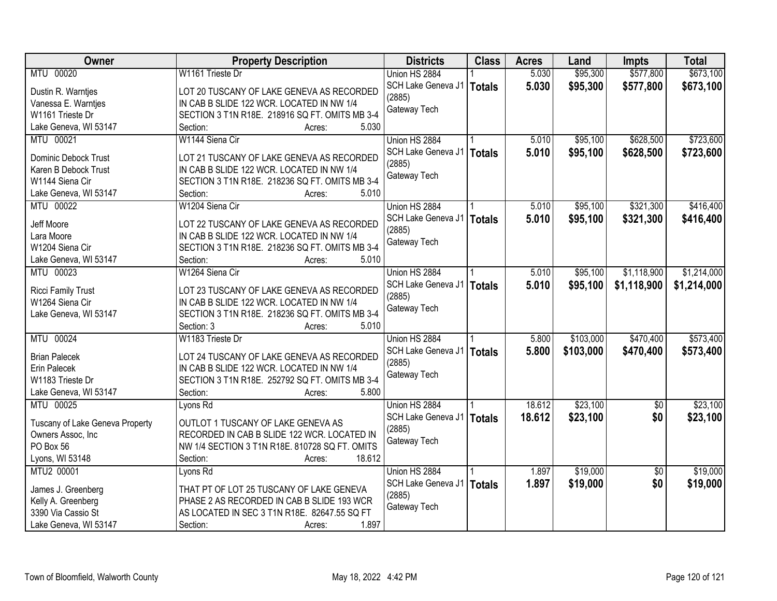| Owner                           | <b>Property Description</b>                    | <b>Districts</b>   | <b>Class</b>  | <b>Acres</b> | Land      | <b>Impts</b>    | <b>Total</b> |
|---------------------------------|------------------------------------------------|--------------------|---------------|--------------|-----------|-----------------|--------------|
| MTU 00020                       | W1161 Trieste Dr                               | Union HS 2884      |               | 5.030        | \$95,300  | \$577,800       | \$673,100    |
| Dustin R. Warntjes              | LOT 20 TUSCANY OF LAKE GENEVA AS RECORDED      | SCH Lake Geneva J1 | <b>Totals</b> | 5.030        | \$95,300  | \$577,800       | \$673,100    |
| Vanessa E. Warntjes             | IN CAB B SLIDE 122 WCR. LOCATED IN NW 1/4      | (2885)             |               |              |           |                 |              |
| W1161 Trieste Dr                | SECTION 3 T1N R18E. 218916 SQ FT. OMITS MB 3-4 | Gateway Tech       |               |              |           |                 |              |
| Lake Geneva, WI 53147           | 5.030<br>Section:<br>Acres:                    |                    |               |              |           |                 |              |
| MTU 00021                       | W1144 Siena Cir                                | Union HS 2884      |               | 5.010        | \$95,100  | \$628,500       | \$723,600    |
|                                 |                                                | SCH Lake Geneva J1 | <b>Totals</b> | 5.010        | \$95,100  | \$628,500       | \$723,600    |
| Dominic Debock Trust            | LOT 21 TUSCANY OF LAKE GENEVA AS RECORDED      | (2885)             |               |              |           |                 |              |
| Karen B Debock Trust            | IN CAB B SLIDE 122 WCR. LOCATED IN NW 1/4      | Gateway Tech       |               |              |           |                 |              |
| W1144 Siena Cir                 | SECTION 3 T1N R18E. 218236 SQ FT. OMITS MB 3-4 |                    |               |              |           |                 |              |
| Lake Geneva, WI 53147           | 5.010<br>Section:<br>Acres:                    |                    |               |              |           |                 |              |
| MTU 00022                       | W1204 Siena Cir                                | Union HS 2884      |               | 5.010        | \$95,100  | \$321,300       | \$416,400    |
| Jeff Moore                      | LOT 22 TUSCANY OF LAKE GENEVA AS RECORDED      | SCH Lake Geneva J1 | <b>Totals</b> | 5.010        | \$95,100  | \$321,300       | \$416,400    |
| Lara Moore                      | IN CAB B SLIDE 122 WCR. LOCATED IN NW 1/4      | (2885)             |               |              |           |                 |              |
| W1204 Siena Cir                 | SECTION 3 T1N R18E. 218236 SQ FT. OMITS MB 3-4 | Gateway Tech       |               |              |           |                 |              |
| Lake Geneva, WI 53147           | Section:<br>5.010<br>Acres:                    |                    |               |              |           |                 |              |
| MTU 00023                       | W1264 Siena Cir                                | Union HS 2884      |               | 5.010        | \$95,100  | \$1,118,900     | \$1,214,000  |
|                                 |                                                | SCH Lake Geneva J1 | <b>Totals</b> | 5.010        | \$95,100  | \$1,118,900     | \$1,214,000  |
| <b>Ricci Family Trust</b>       | LOT 23 TUSCANY OF LAKE GENEVA AS RECORDED      | (2885)             |               |              |           |                 |              |
| W1264 Siena Cir                 | IN CAB B SLIDE 122 WCR. LOCATED IN NW 1/4      | Gateway Tech       |               |              |           |                 |              |
| Lake Geneva, WI 53147           | SECTION 3 T1N R18E. 218236 SQ FT. OMITS MB 3-4 |                    |               |              |           |                 |              |
|                                 | Section: 3<br>5.010<br>Acres:                  |                    |               |              |           |                 |              |
| MTU 00024                       | W1183 Trieste Dr                               | Union HS 2884      |               | 5.800        | \$103,000 | \$470,400       | \$573,400    |
| <b>Brian Palecek</b>            | LOT 24 TUSCANY OF LAKE GENEVA AS RECORDED      | SCH Lake Geneva J1 | <b>Totals</b> | 5.800        | \$103,000 | \$470,400       | \$573,400    |
| Erin Palecek                    | IN CAB B SLIDE 122 WCR. LOCATED IN NW 1/4      | (2885)             |               |              |           |                 |              |
| W1183 Trieste Dr                | SECTION 3 T1N R18E. 252792 SQ FT. OMITS MB 3-4 | Gateway Tech       |               |              |           |                 |              |
| Lake Geneva, WI 53147           | Section:<br>5.800<br>Acres:                    |                    |               |              |           |                 |              |
| MTU 00025                       |                                                |                    |               |              | \$23,100  |                 |              |
|                                 | Lyons Rd                                       | Union HS 2884      |               | 18.612       |           | $\overline{50}$ | \$23,100     |
| Tuscany of Lake Geneva Property | OUTLOT 1 TUSCANY OF LAKE GENEVA AS             | SCH Lake Geneva J1 | <b>Totals</b> | 18.612       | \$23,100  | \$0             | \$23,100     |
| Owners Assoc, Inc               | RECORDED IN CAB B SLIDE 122 WCR. LOCATED IN    | (2885)             |               |              |           |                 |              |
| PO Box 56                       | NW 1/4 SECTION 3 T1N R18E. 810728 SQ FT. OMITS | Gateway Tech       |               |              |           |                 |              |
| Lyons, WI 53148                 | 18.612<br>Section:<br>Acres:                   |                    |               |              |           |                 |              |
| MTU2 00001                      | Lyons Rd                                       | Union HS 2884      |               | 1.897        | \$19,000  | $\overline{50}$ | \$19,000     |
|                                 | THAT PT OF LOT 25 TUSCANY OF LAKE GENEVA       | SCH Lake Geneva J1 | <b>Totals</b> | 1.897        | \$19,000  | \$0             | \$19,000     |
| James J. Greenberg              |                                                | (2885)             |               |              |           |                 |              |
| Kelly A. Greenberg              | PHASE 2 AS RECORDED IN CAB B SLIDE 193 WCR     | Gateway Tech       |               |              |           |                 |              |
| 3390 Via Cassio St              | AS LOCATED IN SEC 3 T1N R18E. 82647.55 SQ FT   |                    |               |              |           |                 |              |
| Lake Geneva, WI 53147           | 1.897<br>Section:<br>Acres:                    |                    |               |              |           |                 |              |